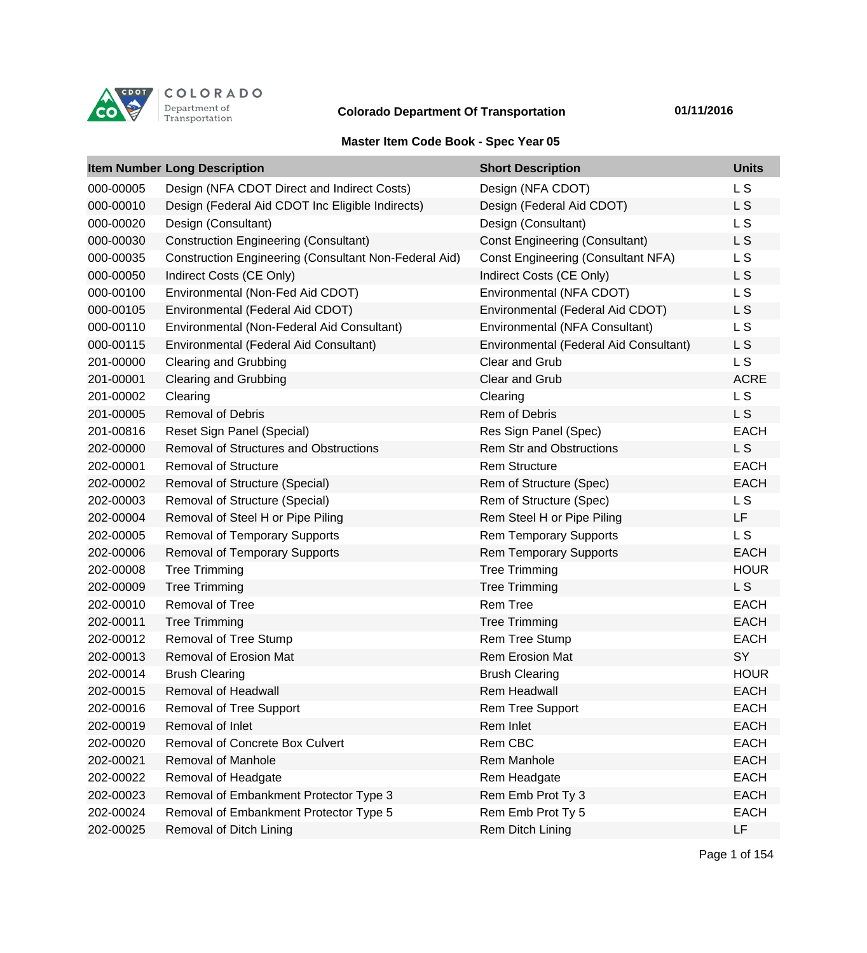

## **Colorado Department Of Transportation 01/11/2016**

## **Master Item Code Book - Spec Year 05**

|           | <b>Item Number Long Description</b>                          | <b>Short Description</b>                  | <b>Units</b>   |
|-----------|--------------------------------------------------------------|-------------------------------------------|----------------|
| 000-00005 | Design (NFA CDOT Direct and Indirect Costs)                  | Design (NFA CDOT)                         | L S            |
| 000-00010 | Design (Federal Aid CDOT Inc Eligible Indirects)             | Design (Federal Aid CDOT)                 | L <sub>S</sub> |
| 000-00020 | Design (Consultant)                                          | Design (Consultant)                       | L <sub>S</sub> |
| 000-00030 | <b>Construction Engineering (Consultant)</b>                 | <b>Const Engineering (Consultant)</b>     | L S            |
| 000-00035 | <b>Construction Engineering (Consultant Non-Federal Aid)</b> | <b>Const Engineering (Consultant NFA)</b> | L <sub>S</sub> |
| 000-00050 | Indirect Costs (CE Only)                                     | Indirect Costs (CE Only)                  | L S            |
| 000-00100 | Environmental (Non-Fed Aid CDOT)                             | Environmental (NFA CDOT)                  | L <sub>S</sub> |
| 000-00105 | Environmental (Federal Aid CDOT)                             | Environmental (Federal Aid CDOT)          | L S            |
| 000-00110 | Environmental (Non-Federal Aid Consultant)                   | Environmental (NFA Consultant)            | L <sub>S</sub> |
| 000-00115 | Environmental (Federal Aid Consultant)                       | Environmental (Federal Aid Consultant)    | L <sub>S</sub> |
| 201-00000 | <b>Clearing and Grubbing</b>                                 | Clear and Grub                            | <b>LS</b>      |
| 201-00001 | <b>Clearing and Grubbing</b>                                 | Clear and Grub                            | <b>ACRE</b>    |
| 201-00002 | Clearing                                                     | Clearing                                  | L <sub>S</sub> |
| 201-00005 | <b>Removal of Debris</b>                                     | <b>Rem of Debris</b>                      | L S            |
| 201-00816 | Reset Sign Panel (Special)                                   | Res Sign Panel (Spec)                     | <b>EACH</b>    |
| 202-00000 | <b>Removal of Structures and Obstructions</b>                | <b>Rem Str and Obstructions</b>           | L S            |
| 202-00001 | <b>Removal of Structure</b>                                  | <b>Rem Structure</b>                      | <b>EACH</b>    |
| 202-00002 | Removal of Structure (Special)                               | Rem of Structure (Spec)                   | <b>EACH</b>    |
| 202-00003 | Removal of Structure (Special)                               | Rem of Structure (Spec)                   | L <sub>S</sub> |
| 202-00004 | Removal of Steel H or Pipe Piling                            | Rem Steel H or Pipe Piling                | <b>LF</b>      |
| 202-00005 | <b>Removal of Temporary Supports</b>                         | <b>Rem Temporary Supports</b>             | L S            |
| 202-00006 | <b>Removal of Temporary Supports</b>                         | <b>Rem Temporary Supports</b>             | <b>EACH</b>    |
| 202-00008 | <b>Tree Trimming</b>                                         | <b>Tree Trimming</b>                      | <b>HOUR</b>    |
| 202-00009 | <b>Tree Trimming</b>                                         | <b>Tree Trimming</b>                      | L <sub>S</sub> |
| 202-00010 | Removal of Tree                                              | <b>Rem Tree</b>                           | <b>EACH</b>    |
| 202-00011 | <b>Tree Trimming</b>                                         | <b>Tree Trimming</b>                      | <b>EACH</b>    |
| 202-00012 | Removal of Tree Stump                                        | <b>Rem Tree Stump</b>                     | <b>EACH</b>    |
| 202-00013 | <b>Removal of Erosion Mat</b>                                | <b>Rem Erosion Mat</b>                    | SY             |
| 202-00014 | <b>Brush Clearing</b>                                        | <b>Brush Clearing</b>                     | <b>HOUR</b>    |
| 202-00015 | Removal of Headwall                                          | <b>Rem Headwall</b>                       | <b>EACH</b>    |
| 202-00016 | Removal of Tree Support                                      | Rem Tree Support                          | <b>EACH</b>    |
| 202-00019 | Removal of Inlet                                             | Rem Inlet                                 | <b>EACH</b>    |
| 202-00020 | Removal of Concrete Box Culvert                              | Rem CBC                                   | <b>EACH</b>    |
| 202-00021 | Removal of Manhole                                           | Rem Manhole                               | <b>EACH</b>    |
| 202-00022 | Removal of Headgate                                          | Rem Headgate                              | <b>EACH</b>    |
| 202-00023 | Removal of Embankment Protector Type 3                       | Rem Emb Prot Ty 3                         | <b>EACH</b>    |
| 202-00024 | Removal of Embankment Protector Type 5                       | Rem Emb Prot Ty 5                         | <b>EACH</b>    |
| 202-00025 | Removal of Ditch Lining                                      | Rem Ditch Lining                          | LF             |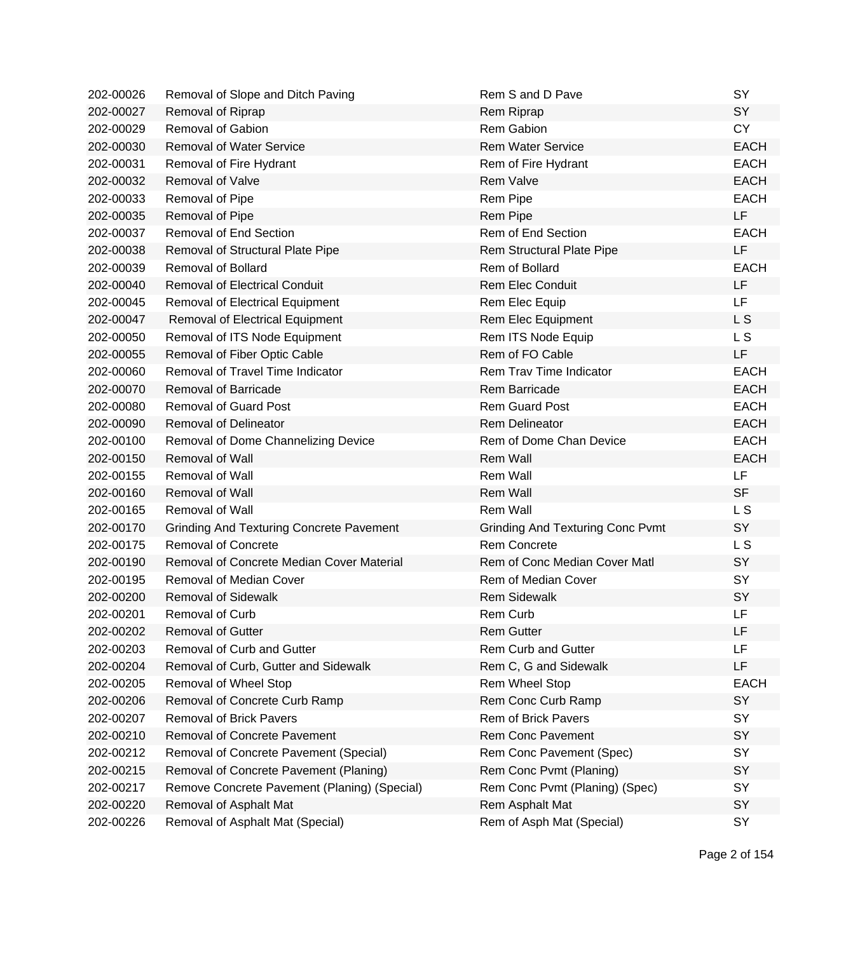| 202-00026 | Removal of Slope and Ditch Paving               | Rem S and D Pave                        | <b>SY</b>      |
|-----------|-------------------------------------------------|-----------------------------------------|----------------|
| 202-00027 | Removal of Riprap                               | Rem Riprap                              | SY             |
| 202-00029 | Removal of Gabion                               | <b>Rem Gabion</b>                       | <b>CY</b>      |
| 202-00030 | <b>Removal of Water Service</b>                 | <b>Rem Water Service</b>                | <b>EACH</b>    |
| 202-00031 | Removal of Fire Hydrant                         | Rem of Fire Hydrant                     | <b>EACH</b>    |
| 202-00032 | Removal of Valve                                | <b>Rem Valve</b>                        | <b>EACH</b>    |
| 202-00033 | Removal of Pipe                                 | Rem Pipe                                | <b>EACH</b>    |
| 202-00035 | Removal of Pipe                                 | Rem Pipe                                | <b>LF</b>      |
| 202-00037 | <b>Removal of End Section</b>                   | Rem of End Section                      | <b>EACH</b>    |
| 202-00038 | Removal of Structural Plate Pipe                | Rem Structural Plate Pipe               | <b>LF</b>      |
| 202-00039 | <b>Removal of Bollard</b>                       | Rem of Bollard                          | <b>EACH</b>    |
| 202-00040 | <b>Removal of Electrical Conduit</b>            | <b>Rem Elec Conduit</b>                 | <b>LF</b>      |
| 202-00045 | Removal of Electrical Equipment                 | Rem Elec Equip                          | <b>LF</b>      |
| 202-00047 | Removal of Electrical Equipment                 | Rem Elec Equipment                      | L S            |
| 202-00050 | Removal of ITS Node Equipment                   | Rem ITS Node Equip                      | L S            |
| 202-00055 | Removal of Fiber Optic Cable                    | Rem of FO Cable                         | <b>LF</b>      |
| 202-00060 | Removal of Travel Time Indicator                | Rem Trav Time Indicator                 | <b>EACH</b>    |
| 202-00070 | <b>Removal of Barricade</b>                     | <b>Rem Barricade</b>                    | <b>EACH</b>    |
| 202-00080 | <b>Removal of Guard Post</b>                    | <b>Rem Guard Post</b>                   | <b>EACH</b>    |
| 202-00090 | <b>Removal of Delineator</b>                    | <b>Rem Delineator</b>                   | <b>EACH</b>    |
| 202-00100 | Removal of Dome Channelizing Device             | Rem of Dome Chan Device                 | <b>EACH</b>    |
| 202-00150 | <b>Removal of Wall</b>                          | Rem Wall                                | <b>EACH</b>    |
| 202-00155 | Removal of Wall                                 | Rem Wall                                | <b>LF</b>      |
| 202-00160 | <b>Removal of Wall</b>                          | <b>Rem Wall</b>                         | <b>SF</b>      |
| 202-00165 | <b>Removal of Wall</b>                          | <b>Rem Wall</b>                         | L S            |
| 202-00170 | <b>Grinding And Texturing Concrete Pavement</b> | <b>Grinding And Texturing Conc Pvmt</b> | <b>SY</b>      |
| 202-00175 | <b>Removal of Concrete</b>                      | <b>Rem Concrete</b>                     | L <sub>S</sub> |
| 202-00190 | Removal of Concrete Median Cover Material       | Rem of Conc Median Cover Matl           | SY             |
| 202-00195 | <b>Removal of Median Cover</b>                  | Rem of Median Cover                     | <b>SY</b>      |
| 202-00200 | <b>Removal of Sidewalk</b>                      | <b>Rem Sidewalk</b>                     | SY             |
| 202-00201 | <b>Removal of Curb</b>                          | Rem Curb                                | LF             |
| 202-00202 | <b>Removal of Gutter</b>                        | <b>Rem Gutter</b>                       | LF             |
| 202-00203 | Removal of Curb and Gutter                      | <b>Rem Curb and Gutter</b>              | LF             |
| 202-00204 | Removal of Curb, Gutter and Sidewalk            | Rem C, G and Sidewalk                   | LF             |
| 202-00205 | Removal of Wheel Stop                           | Rem Wheel Stop                          | <b>EACH</b>    |
| 202-00206 | Removal of Concrete Curb Ramp                   | Rem Conc Curb Ramp                      | <b>SY</b>      |
| 202-00207 | <b>Removal of Brick Pavers</b>                  | Rem of Brick Pavers                     | SY             |
| 202-00210 | <b>Removal of Concrete Pavement</b>             | <b>Rem Conc Pavement</b>                | SY             |
| 202-00212 | Removal of Concrete Pavement (Special)          | Rem Conc Pavement (Spec)                | SY             |
| 202-00215 | Removal of Concrete Pavement (Planing)          | Rem Conc Pvmt (Planing)                 | SY             |
| 202-00217 | Remove Concrete Pavement (Planing) (Special)    | Rem Conc Pvmt (Planing) (Spec)          | <b>SY</b>      |
| 202-00220 | Removal of Asphalt Mat                          | Rem Asphalt Mat                         | SY             |
| 202-00226 | Removal of Asphalt Mat (Special)                | Rem of Asph Mat (Special)               | SY             |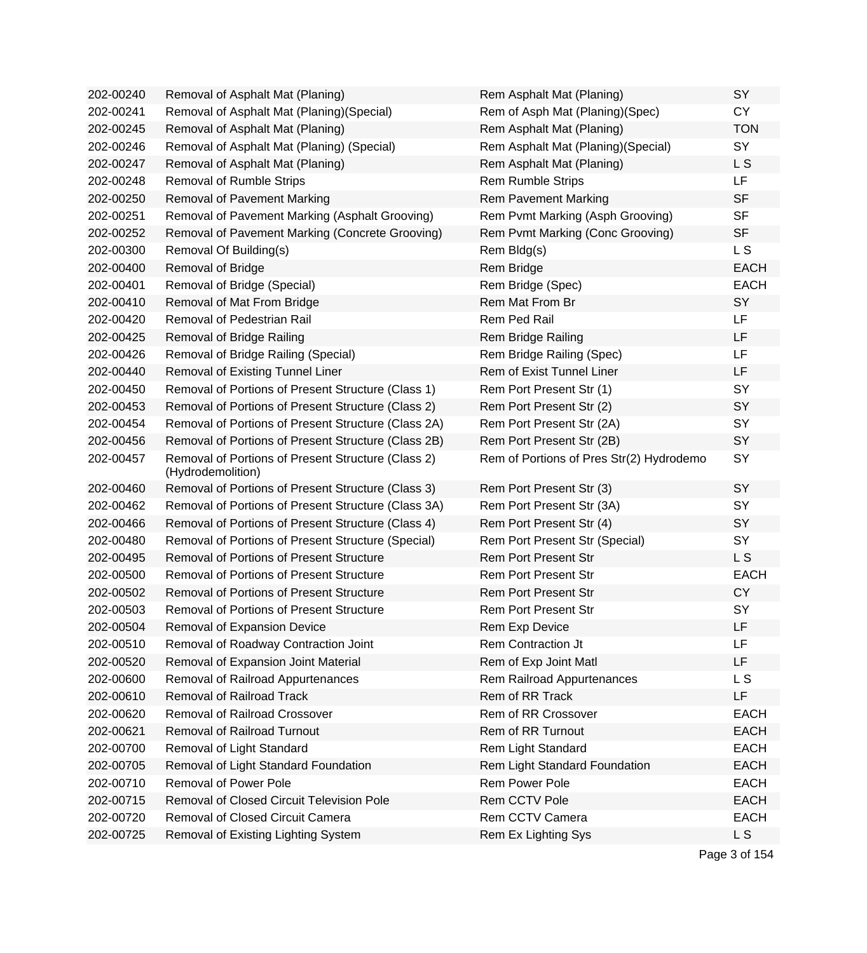| 202-00240 | Removal of Asphalt Mat (Planing)                                        | Rem Asphalt Mat (Planing)                | SY          |
|-----------|-------------------------------------------------------------------------|------------------------------------------|-------------|
| 202-00241 | Removal of Asphalt Mat (Planing) (Special)                              | Rem of Asph Mat (Planing)(Spec)          | <b>CY</b>   |
| 202-00245 | Removal of Asphalt Mat (Planing)                                        | Rem Asphalt Mat (Planing)                | <b>TON</b>  |
| 202-00246 | Removal of Asphalt Mat (Planing) (Special)                              | Rem Asphalt Mat (Planing) (Special)      | SY          |
| 202-00247 | Removal of Asphalt Mat (Planing)                                        | Rem Asphalt Mat (Planing)                | L S         |
| 202-00248 | Removal of Rumble Strips                                                | <b>Rem Rumble Strips</b>                 | LF          |
| 202-00250 | <b>Removal of Pavement Marking</b>                                      | <b>Rem Pavement Marking</b>              | <b>SF</b>   |
| 202-00251 | Removal of Pavement Marking (Asphalt Grooving)                          | Rem Pvmt Marking (Asph Grooving)         | <b>SF</b>   |
| 202-00252 | Removal of Pavement Marking (Concrete Grooving)                         | Rem Pvmt Marking (Conc Grooving)         | <b>SF</b>   |
| 202-00300 | Removal Of Building(s)                                                  | Rem Bldg(s)                              | L S         |
| 202-00400 | Removal of Bridge                                                       | Rem Bridge                               | <b>EACH</b> |
| 202-00401 | Removal of Bridge (Special)                                             | Rem Bridge (Spec)                        | <b>EACH</b> |
| 202-00410 | Removal of Mat From Bridge                                              | Rem Mat From Br                          | SY          |
| 202-00420 | Removal of Pedestrian Rail                                              | Rem Ped Rail                             | LF          |
| 202-00425 | Removal of Bridge Railing                                               | Rem Bridge Railing                       | LF          |
| 202-00426 | Removal of Bridge Railing (Special)                                     | Rem Bridge Railing (Spec)                | LF          |
| 202-00440 | Removal of Existing Tunnel Liner                                        | <b>Rem of Exist Tunnel Liner</b>         | LF          |
| 202-00450 | Removal of Portions of Present Structure (Class 1)                      | Rem Port Present Str (1)                 | SY          |
| 202-00453 | Removal of Portions of Present Structure (Class 2)                      | Rem Port Present Str (2)                 | SY          |
| 202-00454 | Removal of Portions of Present Structure (Class 2A)                     | Rem Port Present Str (2A)                | SY          |
| 202-00456 | Removal of Portions of Present Structure (Class 2B)                     | Rem Port Present Str (2B)                | SY          |
| 202-00457 | Removal of Portions of Present Structure (Class 2)<br>(Hydrodemolition) | Rem of Portions of Pres Str(2) Hydrodemo | SY          |
| 202-00460 | Removal of Portions of Present Structure (Class 3)                      | Rem Port Present Str (3)                 | SY          |
| 202-00462 | Removal of Portions of Present Structure (Class 3A)                     | Rem Port Present Str (3A)                | SY          |
| 202-00466 | Removal of Portions of Present Structure (Class 4)                      | Rem Port Present Str (4)                 | SY          |
| 202-00480 | Removal of Portions of Present Structure (Special)                      | Rem Port Present Str (Special)           | SY          |
| 202-00495 | <b>Removal of Portions of Present Structure</b>                         | <b>Rem Port Present Str</b>              | L S         |
| 202-00500 | <b>Removal of Portions of Present Structure</b>                         | <b>Rem Port Present Str</b>              | <b>EACH</b> |
| 202-00502 | <b>Removal of Portions of Present Structure</b>                         | <b>Rem Port Present Str</b>              | <b>CY</b>   |
| 202-00503 | <b>Removal of Portions of Present Structure</b>                         | <b>Rem Port Present Str</b>              | SY          |
| 202-00504 | Removal of Expansion Device                                             | Rem Exp Device                           | LF          |
| 202-00510 | Removal of Roadway Contraction Joint                                    | Rem Contraction Jt                       | LF          |
| 202-00520 | Removal of Expansion Joint Material                                     | Rem of Exp Joint Matl                    | LF          |
| 202-00600 | Removal of Railroad Appurtenances                                       | Rem Railroad Appurtenances               | L S         |
| 202-00610 | <b>Removal of Railroad Track</b>                                        | Rem of RR Track                          | LF          |
| 202-00620 | Removal of Railroad Crossover                                           | Rem of RR Crossover                      | <b>EACH</b> |
| 202-00621 | <b>Removal of Railroad Turnout</b>                                      | <b>Rem of RR Turnout</b>                 | <b>EACH</b> |
| 202-00700 | Removal of Light Standard                                               | Rem Light Standard                       | <b>EACH</b> |
| 202-00705 | Removal of Light Standard Foundation                                    | Rem Light Standard Foundation            | <b>EACH</b> |
| 202-00710 | Removal of Power Pole                                                   | Rem Power Pole                           | <b>EACH</b> |
| 202-00715 | Removal of Closed Circuit Television Pole                               | Rem CCTV Pole                            | <b>EACH</b> |
| 202-00720 | <b>Removal of Closed Circuit Camera</b>                                 | Rem CCTV Camera                          | <b>EACH</b> |
| 202-00725 | Removal of Existing Lighting System                                     | Rem Ex Lighting Sys                      | L S         |
|           |                                                                         |                                          |             |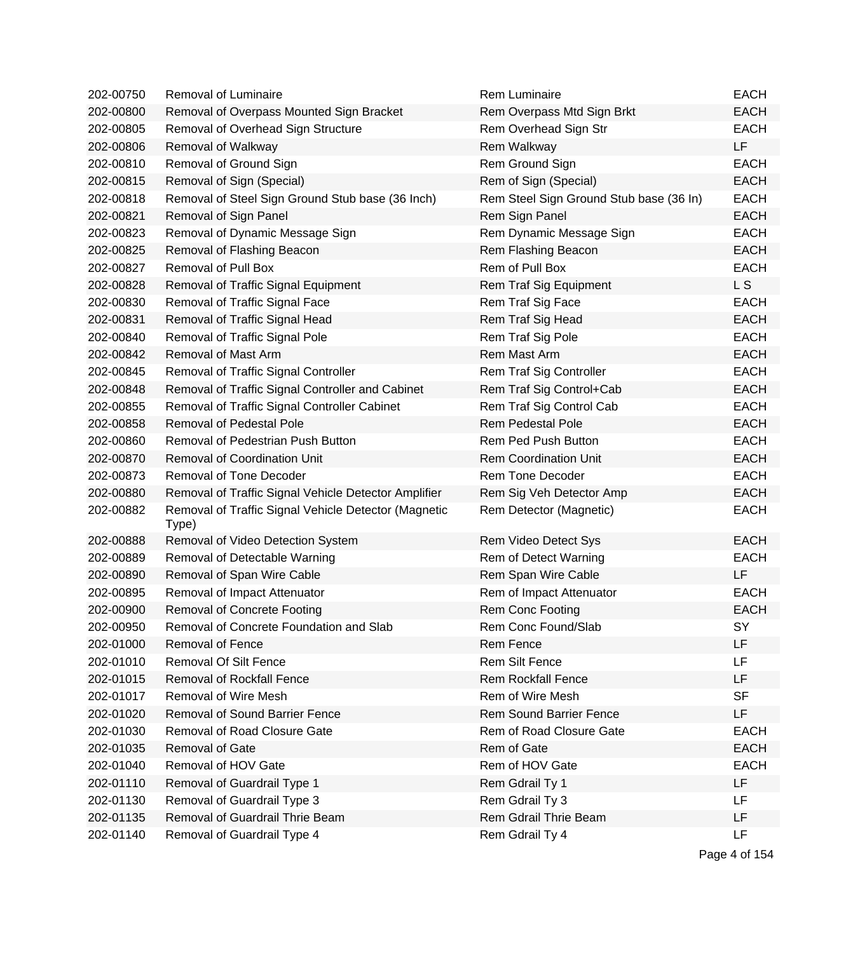| 202-00750 | Removal of Luminaire                                          | <b>Rem Luminaire</b>                    | <b>EACH</b> |
|-----------|---------------------------------------------------------------|-----------------------------------------|-------------|
| 202-00800 | Removal of Overpass Mounted Sign Bracket                      | Rem Overpass Mtd Sign Brkt              | <b>EACH</b> |
| 202-00805 | Removal of Overhead Sign Structure                            | Rem Overhead Sign Str                   | <b>EACH</b> |
| 202-00806 | Removal of Walkway                                            | Rem Walkway                             | LF          |
| 202-00810 | Removal of Ground Sign                                        | Rem Ground Sign                         | <b>EACH</b> |
| 202-00815 | Removal of Sign (Special)                                     | Rem of Sign (Special)                   | <b>EACH</b> |
| 202-00818 | Removal of Steel Sign Ground Stub base (36 Inch)              | Rem Steel Sign Ground Stub base (36 In) | <b>EACH</b> |
| 202-00821 | Removal of Sign Panel                                         | Rem Sign Panel                          | <b>EACH</b> |
| 202-00823 | Removal of Dynamic Message Sign                               | Rem Dynamic Message Sign                | <b>EACH</b> |
| 202-00825 | Removal of Flashing Beacon                                    | Rem Flashing Beacon                     | <b>EACH</b> |
| 202-00827 | Removal of Pull Box                                           | Rem of Pull Box                         | <b>EACH</b> |
| 202-00828 | Removal of Traffic Signal Equipment                           | Rem Traf Sig Equipment                  | L S         |
| 202-00830 | Removal of Traffic Signal Face                                | Rem Traf Sig Face                       | <b>EACH</b> |
| 202-00831 | Removal of Traffic Signal Head                                | Rem Traf Sig Head                       | <b>EACH</b> |
| 202-00840 | Removal of Traffic Signal Pole                                | Rem Traf Sig Pole                       | <b>EACH</b> |
| 202-00842 | Removal of Mast Arm                                           | Rem Mast Arm                            | <b>EACH</b> |
| 202-00845 | Removal of Traffic Signal Controller                          | Rem Traf Sig Controller                 | <b>EACH</b> |
| 202-00848 | Removal of Traffic Signal Controller and Cabinet              | Rem Traf Sig Control+Cab                | <b>EACH</b> |
| 202-00855 | Removal of Traffic Signal Controller Cabinet                  | Rem Traf Sig Control Cab                | <b>EACH</b> |
| 202-00858 | <b>Removal of Pedestal Pole</b>                               | <b>Rem Pedestal Pole</b>                | <b>EACH</b> |
| 202-00860 | Removal of Pedestrian Push Button                             | Rem Ped Push Button                     | <b>EACH</b> |
| 202-00870 | <b>Removal of Coordination Unit</b>                           | <b>Rem Coordination Unit</b>            | <b>EACH</b> |
| 202-00873 | Removal of Tone Decoder                                       | <b>Rem Tone Decoder</b>                 | <b>EACH</b> |
| 202-00880 | Removal of Traffic Signal Vehicle Detector Amplifier          | Rem Sig Veh Detector Amp                | <b>EACH</b> |
| 202-00882 | Removal of Traffic Signal Vehicle Detector (Magnetic<br>Type) | Rem Detector (Magnetic)                 | <b>EACH</b> |
| 202-00888 | Removal of Video Detection System                             | Rem Video Detect Sys                    | <b>EACH</b> |
| 202-00889 | Removal of Detectable Warning                                 | Rem of Detect Warning                   | <b>EACH</b> |
| 202-00890 | Removal of Span Wire Cable                                    | Rem Span Wire Cable                     | LF          |
| 202-00895 | Removal of Impact Attenuator                                  | Rem of Impact Attenuator                | <b>EACH</b> |
| 202-00900 | <b>Removal of Concrete Footing</b>                            | Rem Conc Footing                        | <b>EACH</b> |
| 202-00950 | Removal of Concrete Foundation and Slab                       | Rem Conc Found/Slab                     | SY          |
| 202-01000 | Removal of Fence                                              | Rem Fence                               | LF          |
| 202-01010 | <b>Removal Of Silt Fence</b>                                  | <b>Rem Silt Fence</b>                   | LF          |
| 202-01015 | <b>Removal of Rockfall Fence</b>                              | <b>Rem Rockfall Fence</b>               | LF          |
| 202-01017 | Removal of Wire Mesh                                          | Rem of Wire Mesh                        | <b>SF</b>   |
| 202-01020 | Removal of Sound Barrier Fence                                | <b>Rem Sound Barrier Fence</b>          | LF          |
| 202-01030 | <b>Removal of Road Closure Gate</b>                           | Rem of Road Closure Gate                | <b>EACH</b> |
| 202-01035 | Removal of Gate                                               | Rem of Gate                             | <b>EACH</b> |
| 202-01040 | Removal of HOV Gate                                           | Rem of HOV Gate                         | <b>EACH</b> |
| 202-01110 | Removal of Guardrail Type 1                                   | Rem Gdrail Ty 1                         | LF          |
| 202-01130 | Removal of Guardrail Type 3                                   | Rem Gdrail Ty 3                         | LF          |
| 202-01135 | Removal of Guardrail Thrie Beam                               | Rem Gdrail Thrie Beam                   | LF          |
| 202-01140 | Removal of Guardrail Type 4                                   | Rem Gdrail Ty 4                         | LF          |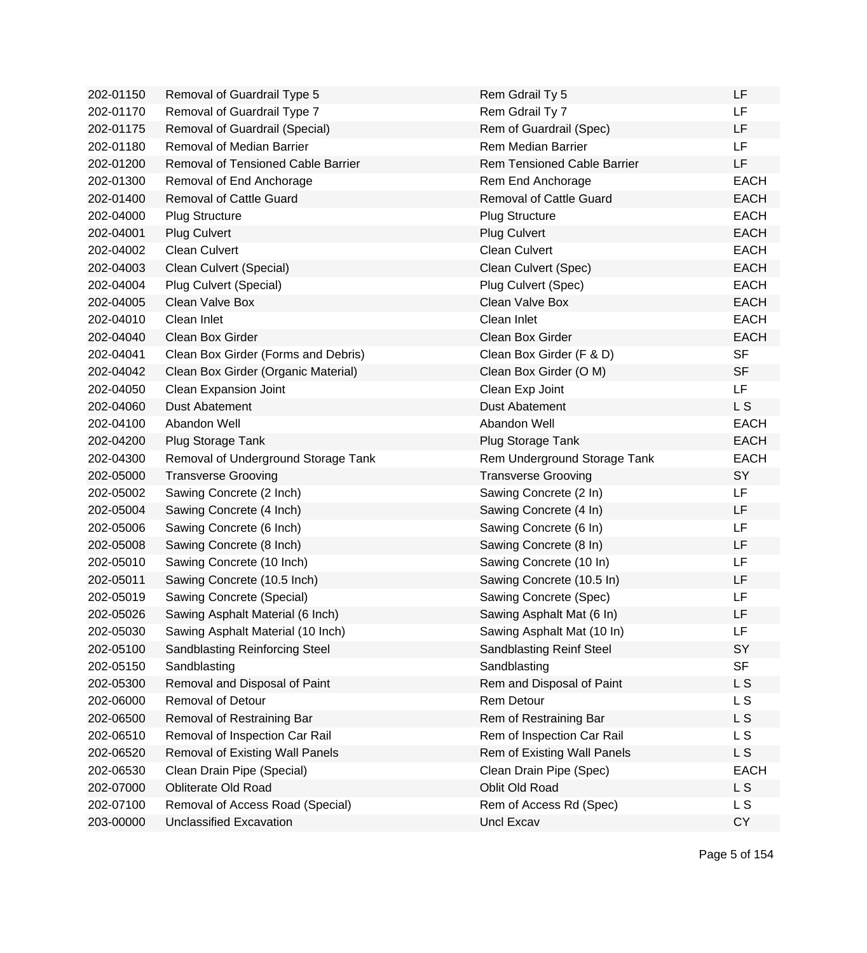| 202-01150 | Removal of Guardrail Type 5            | Rem Gdrail Ty 5                    | LF             |
|-----------|----------------------------------------|------------------------------------|----------------|
| 202-01170 | Removal of Guardrail Type 7            | Rem Gdrail Ty 7                    | <b>LF</b>      |
| 202-01175 | Removal of Guardrail (Special)         | Rem of Guardrail (Spec)            | <b>LF</b>      |
| 202-01180 | <b>Removal of Median Barrier</b>       | <b>Rem Median Barrier</b>          | LF             |
| 202-01200 | Removal of Tensioned Cable Barrier     | <b>Rem Tensioned Cable Barrier</b> | LF             |
| 202-01300 | Removal of End Anchorage               | Rem End Anchorage                  | <b>EACH</b>    |
| 202-01400 | <b>Removal of Cattle Guard</b>         | <b>Removal of Cattle Guard</b>     | <b>EACH</b>    |
| 202-04000 | <b>Plug Structure</b>                  | <b>Plug Structure</b>              | <b>EACH</b>    |
| 202-04001 | <b>Plug Culvert</b>                    | <b>Plug Culvert</b>                | <b>EACH</b>    |
| 202-04002 | <b>Clean Culvert</b>                   | <b>Clean Culvert</b>               | <b>EACH</b>    |
| 202-04003 | Clean Culvert (Special)                | Clean Culvert (Spec)               | <b>EACH</b>    |
| 202-04004 | Plug Culvert (Special)                 | Plug Culvert (Spec)                | <b>EACH</b>    |
| 202-04005 | Clean Valve Box                        | Clean Valve Box                    | <b>EACH</b>    |
| 202-04010 | Clean Inlet                            | Clean Inlet                        | <b>EACH</b>    |
| 202-04040 | Clean Box Girder                       | Clean Box Girder                   | <b>EACH</b>    |
| 202-04041 | Clean Box Girder (Forms and Debris)    | Clean Box Girder (F & D)           | <b>SF</b>      |
| 202-04042 | Clean Box Girder (Organic Material)    | Clean Box Girder (O M)             | <b>SF</b>      |
| 202-04050 | Clean Expansion Joint                  | Clean Exp Joint                    | LF             |
| 202-04060 | <b>Dust Abatement</b>                  | <b>Dust Abatement</b>              | L S            |
| 202-04100 | Abandon Well                           | Abandon Well                       | <b>EACH</b>    |
| 202-04200 | Plug Storage Tank                      | Plug Storage Tank                  | <b>EACH</b>    |
| 202-04300 | Removal of Underground Storage Tank    | Rem Underground Storage Tank       | <b>EACH</b>    |
| 202-05000 | <b>Transverse Grooving</b>             | <b>Transverse Grooving</b>         | SY             |
| 202-05002 | Sawing Concrete (2 Inch)               | Sawing Concrete (2 In)             | LF             |
| 202-05004 | Sawing Concrete (4 Inch)               | Sawing Concrete (4 In)             | <b>LF</b>      |
| 202-05006 | Sawing Concrete (6 Inch)               | Sawing Concrete (6 In)             | LF             |
| 202-05008 | Sawing Concrete (8 Inch)               | Sawing Concrete (8 In)             | LF             |
| 202-05010 | Sawing Concrete (10 Inch)              | Sawing Concrete (10 In)            | LF             |
| 202-05011 | Sawing Concrete (10.5 Inch)            | Sawing Concrete (10.5 In)          | LF             |
| 202-05019 | Sawing Concrete (Special)              | Sawing Concrete (Spec)             | LF             |
| 202-05026 | Sawing Asphalt Material (6 Inch)       | Sawing Asphalt Mat (6 In)          | LF             |
| 202-05030 | Sawing Asphalt Material (10 Inch)      | Sawing Asphalt Mat (10 In)         | LF             |
| 202-05100 | Sandblasting Reinforcing Steel         | Sandblasting Reinf Steel           | SY             |
| 202-05150 | Sandblasting                           | Sandblasting                       | <b>SF</b>      |
| 202-05300 | Removal and Disposal of Paint          | Rem and Disposal of Paint          | L <sub>S</sub> |
| 202-06000 | <b>Removal of Detour</b>               | Rem Detour                         | L S            |
| 202-06500 | Removal of Restraining Bar             | Rem of Restraining Bar             | L S            |
| 202-06510 | Removal of Inspection Car Rail         | Rem of Inspection Car Rail         | L S            |
| 202-06520 | <b>Removal of Existing Wall Panels</b> | Rem of Existing Wall Panels        | L S            |
| 202-06530 | Clean Drain Pipe (Special)             | Clean Drain Pipe (Spec)            | <b>EACH</b>    |
| 202-07000 | Obliterate Old Road                    | Oblit Old Road                     | L S            |
| 202-07100 | Removal of Access Road (Special)       | Rem of Access Rd (Spec)            | L S            |
| 203-00000 | Unclassified Excavation                | Uncl Excav                         | <b>CY</b>      |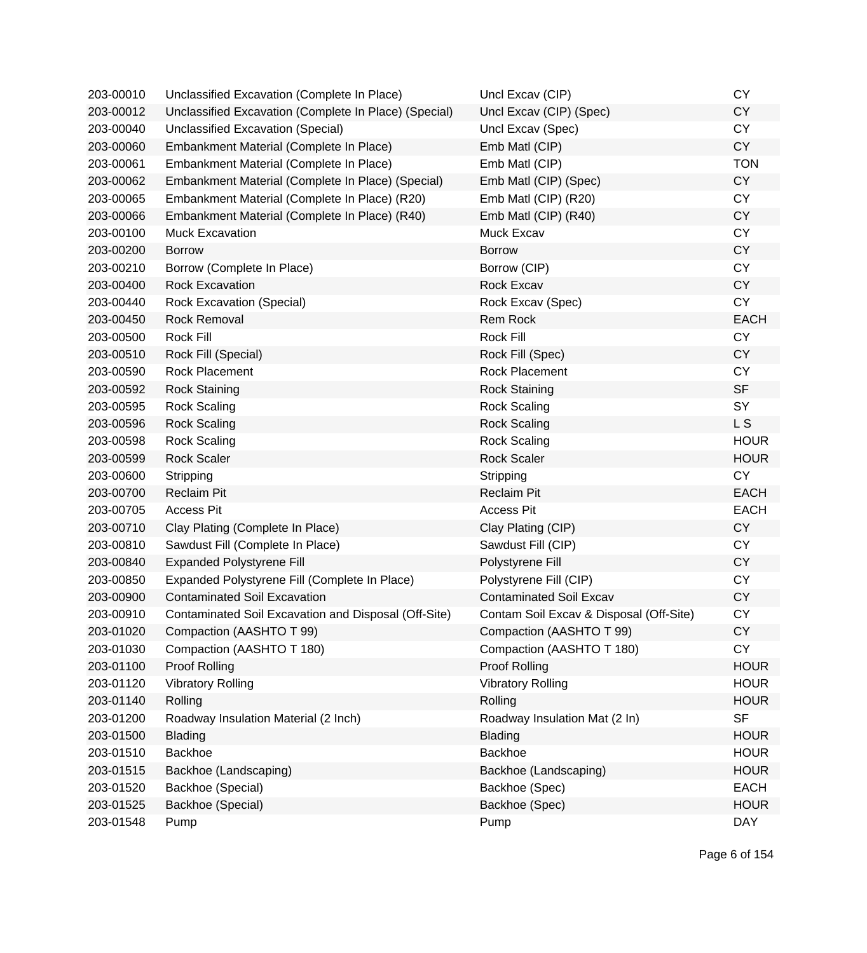| 203-00010 | Unclassified Excavation (Complete In Place)           | Uncl Excav (CIP)                        | <b>CY</b>   |
|-----------|-------------------------------------------------------|-----------------------------------------|-------------|
| 203-00012 | Unclassified Excavation (Complete In Place) (Special) | Uncl Excav (CIP) (Spec)                 | <b>CY</b>   |
| 203-00040 | Unclassified Excavation (Special)                     | Uncl Excav (Spec)                       | <b>CY</b>   |
| 203-00060 | Embankment Material (Complete In Place)               | Emb Matl (CIP)                          | <b>CY</b>   |
| 203-00061 | Embankment Material (Complete In Place)               | Emb Matl (CIP)                          | <b>TON</b>  |
| 203-00062 | Embankment Material (Complete In Place) (Special)     | Emb Matl (CIP) (Spec)                   | <b>CY</b>   |
| 203-00065 | Embankment Material (Complete In Place) (R20)         | Emb Matl (CIP) (R20)                    | <b>CY</b>   |
| 203-00066 | Embankment Material (Complete In Place) (R40)         | Emb Matl (CIP) (R40)                    | <b>CY</b>   |
| 203-00100 | <b>Muck Excavation</b>                                | Muck Excav                              | <b>CY</b>   |
| 203-00200 | <b>Borrow</b>                                         | <b>Borrow</b>                           | <b>CY</b>   |
| 203-00210 | Borrow (Complete In Place)                            | Borrow (CIP)                            | <b>CY</b>   |
| 203-00400 | <b>Rock Excavation</b>                                | Rock Excav                              | <b>CY</b>   |
| 203-00440 | <b>Rock Excavation (Special)</b>                      | Rock Excav (Spec)                       | <b>CY</b>   |
| 203-00450 | <b>Rock Removal</b>                                   | <b>Rem Rock</b>                         | <b>EACH</b> |
| 203-00500 | Rock Fill                                             | Rock Fill                               | <b>CY</b>   |
| 203-00510 | Rock Fill (Special)                                   | Rock Fill (Spec)                        | <b>CY</b>   |
| 203-00590 | Rock Placement                                        | <b>Rock Placement</b>                   | <b>CY</b>   |
| 203-00592 | <b>Rock Staining</b>                                  | <b>Rock Staining</b>                    | <b>SF</b>   |
| 203-00595 | <b>Rock Scaling</b>                                   | <b>Rock Scaling</b>                     | <b>SY</b>   |
| 203-00596 | <b>Rock Scaling</b>                                   | <b>Rock Scaling</b>                     | L S         |
| 203-00598 | <b>Rock Scaling</b>                                   | <b>Rock Scaling</b>                     | <b>HOUR</b> |
| 203-00599 | <b>Rock Scaler</b>                                    | <b>Rock Scaler</b>                      | <b>HOUR</b> |
| 203-00600 | Stripping                                             | Stripping                               | <b>CY</b>   |
| 203-00700 | <b>Reclaim Pit</b>                                    | <b>Reclaim Pit</b>                      | <b>EACH</b> |
| 203-00705 | <b>Access Pit</b>                                     | <b>Access Pit</b>                       | <b>EACH</b> |
| 203-00710 | Clay Plating (Complete In Place)                      | Clay Plating (CIP)                      | <b>CY</b>   |
| 203-00810 | Sawdust Fill (Complete In Place)                      | Sawdust Fill (CIP)                      | <b>CY</b>   |
| 203-00840 | <b>Expanded Polystyrene Fill</b>                      | Polystyrene Fill                        | <b>CY</b>   |
| 203-00850 | Expanded Polystyrene Fill (Complete In Place)         | Polystyrene Fill (CIP)                  | <b>CY</b>   |
| 203-00900 | <b>Contaminated Soil Excavation</b>                   | <b>Contaminated Soil Excav</b>          | <b>CY</b>   |
| 203-00910 | Contaminated Soil Excavation and Disposal (Off-Site)  | Contam Soil Excav & Disposal (Off-Site) | <b>CY</b>   |
| 203-01020 | Compaction (AASHTO T 99)                              | Compaction (AASHTO T 99)                | CY.         |
| 203-01030 | Compaction (AASHTO T 180)                             | Compaction (AASHTO T 180)               | CY          |
| 203-01100 | <b>Proof Rolling</b>                                  | <b>Proof Rolling</b>                    | <b>HOUR</b> |
| 203-01120 | <b>Vibratory Rolling</b>                              | <b>Vibratory Rolling</b>                | <b>HOUR</b> |
| 203-01140 | Rolling                                               | Rolling                                 | <b>HOUR</b> |
| 203-01200 | Roadway Insulation Material (2 Inch)                  | Roadway Insulation Mat (2 In)           | <b>SF</b>   |
| 203-01500 | <b>Blading</b>                                        | <b>Blading</b>                          | <b>HOUR</b> |
| 203-01510 | <b>Backhoe</b>                                        | <b>Backhoe</b>                          | <b>HOUR</b> |
| 203-01515 | Backhoe (Landscaping)                                 | Backhoe (Landscaping)                   | <b>HOUR</b> |
| 203-01520 | Backhoe (Special)                                     | Backhoe (Spec)                          | <b>EACH</b> |
| 203-01525 | Backhoe (Special)                                     | Backhoe (Spec)                          | <b>HOUR</b> |
| 203-01548 | Pump                                                  | Pump                                    | <b>DAY</b>  |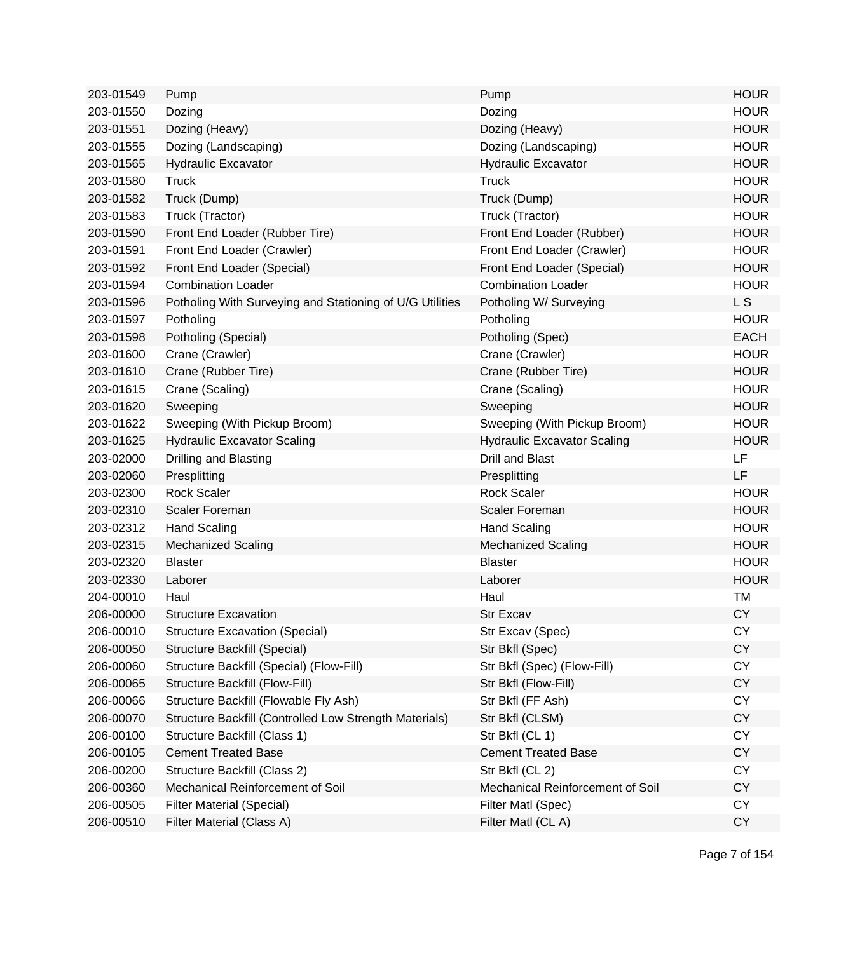| 203-01549 | Pump                                                     | Pump                               | <b>HOUR</b>    |
|-----------|----------------------------------------------------------|------------------------------------|----------------|
| 203-01550 | Dozing                                                   | Dozing                             | <b>HOUR</b>    |
| 203-01551 | Dozing (Heavy)                                           | Dozing (Heavy)                     | <b>HOUR</b>    |
| 203-01555 | Dozing (Landscaping)                                     | Dozing (Landscaping)               | <b>HOUR</b>    |
| 203-01565 | <b>Hydraulic Excavator</b>                               | <b>Hydraulic Excavator</b>         | <b>HOUR</b>    |
| 203-01580 | <b>Truck</b>                                             | <b>Truck</b>                       | <b>HOUR</b>    |
| 203-01582 | Truck (Dump)                                             | Truck (Dump)                       | <b>HOUR</b>    |
| 203-01583 | Truck (Tractor)                                          | Truck (Tractor)                    | <b>HOUR</b>    |
| 203-01590 | Front End Loader (Rubber Tire)                           | Front End Loader (Rubber)          | <b>HOUR</b>    |
| 203-01591 | Front End Loader (Crawler)                               | Front End Loader (Crawler)         | <b>HOUR</b>    |
| 203-01592 | Front End Loader (Special)                               | Front End Loader (Special)         | <b>HOUR</b>    |
| 203-01594 | <b>Combination Loader</b>                                | <b>Combination Loader</b>          | <b>HOUR</b>    |
| 203-01596 | Potholing With Surveying and Stationing of U/G Utilities | Potholing W/ Surveying             | L <sub>S</sub> |
| 203-01597 | Potholing                                                | Potholing                          | <b>HOUR</b>    |
| 203-01598 | Potholing (Special)                                      | Potholing (Spec)                   | <b>EACH</b>    |
| 203-01600 | Crane (Crawler)                                          | Crane (Crawler)                    | <b>HOUR</b>    |
| 203-01610 | Crane (Rubber Tire)                                      | Crane (Rubber Tire)                | <b>HOUR</b>    |
| 203-01615 | Crane (Scaling)                                          | Crane (Scaling)                    | <b>HOUR</b>    |
| 203-01620 | Sweeping                                                 | Sweeping                           | <b>HOUR</b>    |
| 203-01622 | Sweeping (With Pickup Broom)                             | Sweeping (With Pickup Broom)       | <b>HOUR</b>    |
| 203-01625 | <b>Hydraulic Excavator Scaling</b>                       | <b>Hydraulic Excavator Scaling</b> | <b>HOUR</b>    |
| 203-02000 | Drilling and Blasting                                    | <b>Drill and Blast</b>             | LF             |
| 203-02060 | Presplitting                                             | Presplitting                       | LF             |
| 203-02300 | <b>Rock Scaler</b>                                       | <b>Rock Scaler</b>                 | <b>HOUR</b>    |
| 203-02310 | Scaler Foreman                                           | <b>Scaler Foreman</b>              | <b>HOUR</b>    |
| 203-02312 | <b>Hand Scaling</b>                                      | <b>Hand Scaling</b>                | <b>HOUR</b>    |
| 203-02315 | <b>Mechanized Scaling</b>                                | <b>Mechanized Scaling</b>          | <b>HOUR</b>    |
| 203-02320 | <b>Blaster</b>                                           | <b>Blaster</b>                     | <b>HOUR</b>    |
| 203-02330 | Laborer                                                  | Laborer                            | <b>HOUR</b>    |
| 204-00010 | Haul                                                     | Haul                               | <b>TM</b>      |
| 206-00000 | <b>Structure Excavation</b>                              | <b>Str Excav</b>                   | <b>CY</b>      |
| 206-00010 | <b>Structure Excavation (Special)</b>                    | Str Excav (Spec)                   | СY             |
| 206-00050 | Structure Backfill (Special)                             | Str Bkfl (Spec)                    | <b>CY</b>      |
| 206-00060 | Structure Backfill (Special) (Flow-Fill)                 | Str Bkfl (Spec) (Flow-Fill)        | <b>CY</b>      |
| 206-00065 | Structure Backfill (Flow-Fill)                           | Str Bkfl (Flow-Fill)               | <b>CY</b>      |
| 206-00066 | Structure Backfill (Flowable Fly Ash)                    | Str Bkfl (FF Ash)                  | <b>CY</b>      |
| 206-00070 | Structure Backfill (Controlled Low Strength Materials)   | Str Bkfl (CLSM)                    | <b>CY</b>      |
| 206-00100 | Structure Backfill (Class 1)                             | Str Bkfl (CL 1)                    | <b>CY</b>      |
| 206-00105 | <b>Cement Treated Base</b>                               | <b>Cement Treated Base</b>         | <b>CY</b>      |
| 206-00200 | Structure Backfill (Class 2)                             | Str Bkfl (CL 2)                    | <b>CY</b>      |
| 206-00360 | Mechanical Reinforcement of Soil                         | Mechanical Reinforcement of Soil   | <b>CY</b>      |
| 206-00505 | <b>Filter Material (Special)</b>                         | Filter Matl (Spec)                 | <b>CY</b>      |
| 206-00510 | Filter Material (Class A)                                | Filter Matl (CL A)                 | <b>CY</b>      |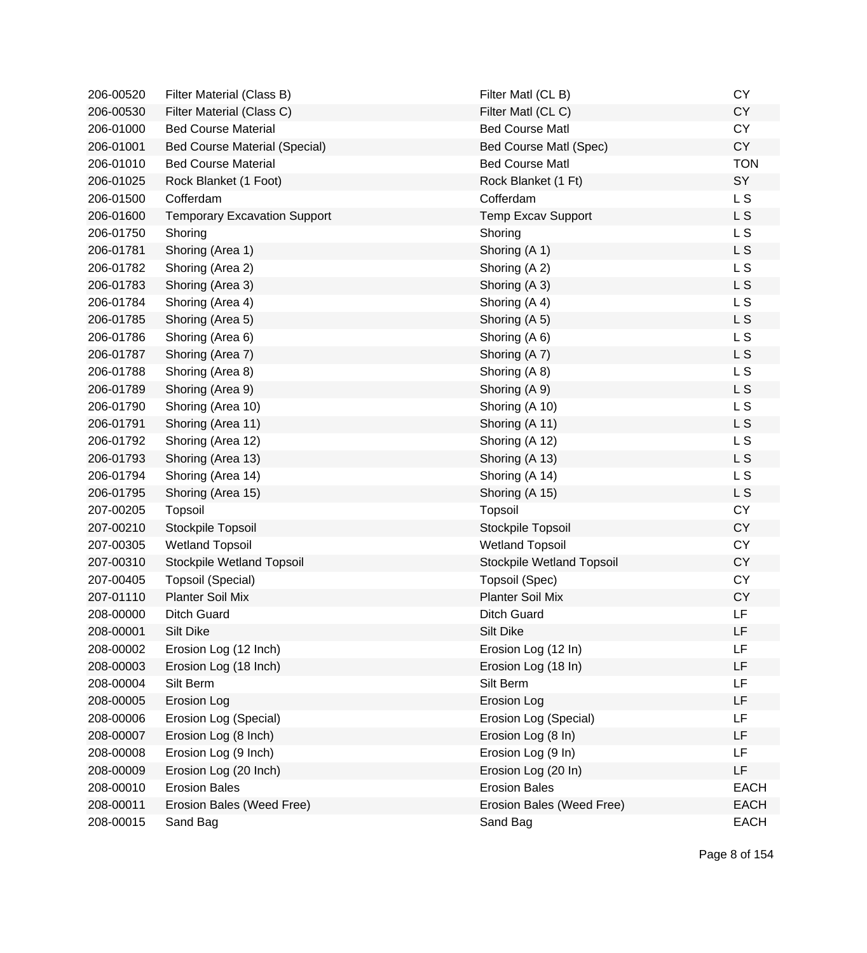| 206-00520 | Filter Material (Class B)            | Filter Matl (CL B)        | <b>CY</b>      |
|-----------|--------------------------------------|---------------------------|----------------|
| 206-00530 | Filter Material (Class C)            | Filter Matl (CLC)         | <b>CY</b>      |
| 206-01000 | <b>Bed Course Material</b>           | <b>Bed Course Matl</b>    | <b>CY</b>      |
| 206-01001 | <b>Bed Course Material (Special)</b> | Bed Course Matl (Spec)    | <b>CY</b>      |
| 206-01010 | <b>Bed Course Material</b>           | <b>Bed Course Matl</b>    | <b>TON</b>     |
| 206-01025 | Rock Blanket (1 Foot)                | Rock Blanket (1 Ft)       | SY             |
| 206-01500 | Cofferdam                            | Cofferdam                 | L <sub>S</sub> |
| 206-01600 | <b>Temporary Excavation Support</b>  | <b>Temp Excav Support</b> | L <sub>S</sub> |
| 206-01750 | Shoring                              | Shoring                   | L S            |
| 206-01781 | Shoring (Area 1)                     | Shoring (A 1)             | L S            |
| 206-01782 | Shoring (Area 2)                     | Shoring (A 2)             | L <sub>S</sub> |
| 206-01783 | Shoring (Area 3)                     | Shoring (A 3)             | L S            |
| 206-01784 | Shoring (Area 4)                     | Shoring (A 4)             | L <sub>S</sub> |
| 206-01785 | Shoring (Area 5)                     | Shoring (A 5)             | L S            |
| 206-01786 | Shoring (Area 6)                     | Shoring (A 6)             | L <sub>S</sub> |
| 206-01787 | Shoring (Area 7)                     | Shoring (A 7)             | L S            |
| 206-01788 | Shoring (Area 8)                     | Shoring (A 8)             | L <sub>S</sub> |
| 206-01789 | Shoring (Area 9)                     | Shoring (A 9)             | L <sub>S</sub> |
| 206-01790 | Shoring (Area 10)                    | Shoring (A 10)            | L S            |
| 206-01791 | Shoring (Area 11)                    | Shoring (A 11)            | L S            |
| 206-01792 | Shoring (Area 12)                    | Shoring (A 12)            | L <sub>S</sub> |
| 206-01793 | Shoring (Area 13)                    | Shoring (A 13)            | L S            |
| 206-01794 | Shoring (Area 14)                    | Shoring (A 14)            | L <sub>S</sub> |
| 206-01795 | Shoring (Area 15)                    | Shoring (A 15)            | L S            |
| 207-00205 | <b>Topsoil</b>                       | Topsoil                   | <b>CY</b>      |
| 207-00210 | Stockpile Topsoil                    | Stockpile Topsoil         | <b>CY</b>      |
| 207-00305 | <b>Wetland Topsoil</b>               | <b>Wetland Topsoil</b>    | <b>CY</b>      |
| 207-00310 | Stockpile Wetland Topsoil            | Stockpile Wetland Topsoil | <b>CY</b>      |
| 207-00405 | Topsoil (Special)                    | Topsoil (Spec)            | <b>CY</b>      |
| 207-01110 | <b>Planter Soil Mix</b>              | <b>Planter Soil Mix</b>   | <b>CY</b>      |
| 208-00000 | <b>Ditch Guard</b>                   | <b>Ditch Guard</b>        | LF             |
| 208-00001 | Silt Dike                            | Silt Dike                 | LF             |
| 208-00002 | Erosion Log (12 Inch)                | Erosion Log (12 In)       | LF             |
| 208-00003 | Erosion Log (18 Inch)                | Erosion Log (18 In)       | <b>LF</b>      |
| 208-00004 | Silt Berm                            | Silt Berm                 | LF             |
| 208-00005 | Erosion Log                          | Erosion Log               | LF             |
| 208-00006 | Erosion Log (Special)                | Erosion Log (Special)     | LF             |
| 208-00007 | Erosion Log (8 Inch)                 | Erosion Log (8 In)        | LF             |
| 208-00008 | Erosion Log (9 Inch)                 | Erosion Log (9 In)        | LF.            |
| 208-00009 | Erosion Log (20 Inch)                | Erosion Log (20 In)       | LF             |
| 208-00010 | <b>Erosion Bales</b>                 | <b>Erosion Bales</b>      | <b>EACH</b>    |
| 208-00011 | Erosion Bales (Weed Free)            | Erosion Bales (Weed Free) | <b>EACH</b>    |
| 208-00015 | Sand Bag                             | Sand Bag                  | EACH           |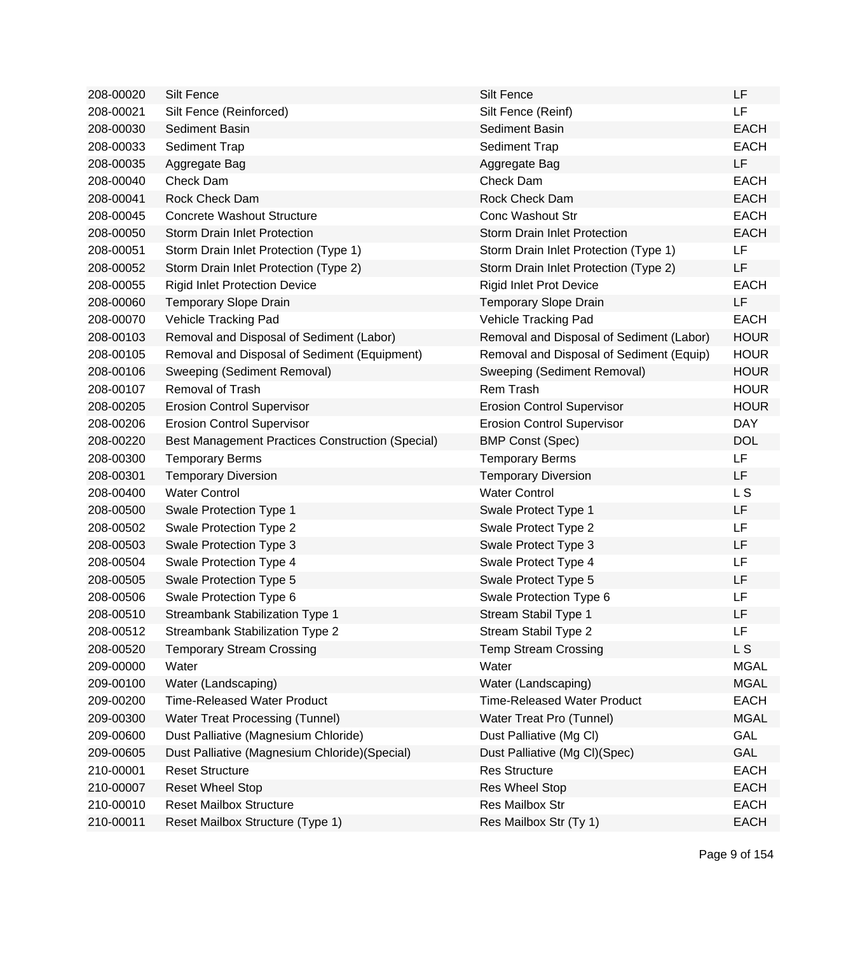| 208-00020 | <b>Silt Fence</b>                                       | Silt Fence                               | LF          |
|-----------|---------------------------------------------------------|------------------------------------------|-------------|
| 208-00021 | Silt Fence (Reinforced)                                 | Silt Fence (Reinf)                       | <b>LF</b>   |
| 208-00030 | Sediment Basin                                          | Sediment Basin                           | <b>EACH</b> |
| 208-00033 | Sediment Trap                                           | Sediment Trap                            | <b>EACH</b> |
| 208-00035 | Aggregate Bag                                           | Aggregate Bag                            | LF          |
| 208-00040 | Check Dam                                               | Check Dam                                | <b>EACH</b> |
| 208-00041 | Rock Check Dam                                          | Rock Check Dam                           | <b>EACH</b> |
| 208-00045 | <b>Concrete Washout Structure</b>                       | <b>Conc Washout Str</b>                  | <b>EACH</b> |
| 208-00050 | <b>Storm Drain Inlet Protection</b>                     | <b>Storm Drain Inlet Protection</b>      | <b>EACH</b> |
| 208-00051 | Storm Drain Inlet Protection (Type 1)                   | Storm Drain Inlet Protection (Type 1)    | LF          |
| 208-00052 | Storm Drain Inlet Protection (Type 2)                   | Storm Drain Inlet Protection (Type 2)    | LF          |
| 208-00055 | <b>Rigid Inlet Protection Device</b>                    | <b>Rigid Inlet Prot Device</b>           | <b>EACH</b> |
| 208-00060 | <b>Temporary Slope Drain</b>                            | <b>Temporary Slope Drain</b>             | <b>LF</b>   |
| 208-00070 | Vehicle Tracking Pad                                    | Vehicle Tracking Pad                     | <b>EACH</b> |
| 208-00103 | Removal and Disposal of Sediment (Labor)                | Removal and Disposal of Sediment (Labor) | <b>HOUR</b> |
| 208-00105 | Removal and Disposal of Sediment (Equipment)            | Removal and Disposal of Sediment (Equip) | <b>HOUR</b> |
| 208-00106 | Sweeping (Sediment Removal)                             | Sweeping (Sediment Removal)              | <b>HOUR</b> |
| 208-00107 | <b>Removal of Trash</b>                                 | Rem Trash                                | <b>HOUR</b> |
| 208-00205 | <b>Erosion Control Supervisor</b>                       | <b>Erosion Control Supervisor</b>        | <b>HOUR</b> |
| 208-00206 | <b>Erosion Control Supervisor</b>                       | <b>Erosion Control Supervisor</b>        | <b>DAY</b>  |
| 208-00220 | <b>Best Management Practices Construction (Special)</b> | <b>BMP Const (Spec)</b>                  | <b>DOL</b>  |
| 208-00300 | <b>Temporary Berms</b>                                  | <b>Temporary Berms</b>                   | LF          |
| 208-00301 | <b>Temporary Diversion</b>                              | <b>Temporary Diversion</b>               | <b>LF</b>   |
| 208-00400 | <b>Water Control</b>                                    | <b>Water Control</b>                     | L S         |
| 208-00500 | Swale Protection Type 1                                 | Swale Protect Type 1                     | LF          |
| 208-00502 | Swale Protection Type 2                                 | Swale Protect Type 2                     | LF          |
| 208-00503 | Swale Protection Type 3                                 | Swale Protect Type 3                     | LF          |
| 208-00504 | Swale Protection Type 4                                 | Swale Protect Type 4                     | LF          |
| 208-00505 | Swale Protection Type 5                                 | Swale Protect Type 5                     | LF          |
| 208-00506 | Swale Protection Type 6                                 | Swale Protection Type 6                  | LF          |
| 208-00510 | Streambank Stabilization Type 1                         | Stream Stabil Type 1                     | LF          |
| 208-00512 | Streambank Stabilization Type 2                         | Stream Stabil Type 2                     | LF          |
| 208-00520 | <b>Temporary Stream Crossing</b>                        | <b>Temp Stream Crossing</b>              | L S         |
| 209-00000 | Water                                                   | Water                                    | <b>MGAL</b> |
| 209-00100 | Water (Landscaping)                                     | Water (Landscaping)                      | <b>MGAL</b> |
| 209-00200 | <b>Time-Released Water Product</b>                      | <b>Time-Released Water Product</b>       | <b>EACH</b> |
| 209-00300 | <b>Water Treat Processing (Tunnel)</b>                  | Water Treat Pro (Tunnel)                 | <b>MGAL</b> |
| 209-00600 | Dust Palliative (Magnesium Chloride)                    | Dust Palliative (Mg Cl)                  | GAL         |
| 209-00605 | Dust Palliative (Magnesium Chloride) (Special)          | Dust Palliative (Mg Cl)(Spec)            | GAL         |
| 210-00001 | <b>Reset Structure</b>                                  | <b>Res Structure</b>                     | <b>EACH</b> |
| 210-00007 | <b>Reset Wheel Stop</b>                                 | Res Wheel Stop                           | <b>EACH</b> |
| 210-00010 | <b>Reset Mailbox Structure</b>                          | Res Mailbox Str                          | <b>EACH</b> |
| 210-00011 | Reset Mailbox Structure (Type 1)                        | Res Mailbox Str (Ty 1)                   | <b>EACH</b> |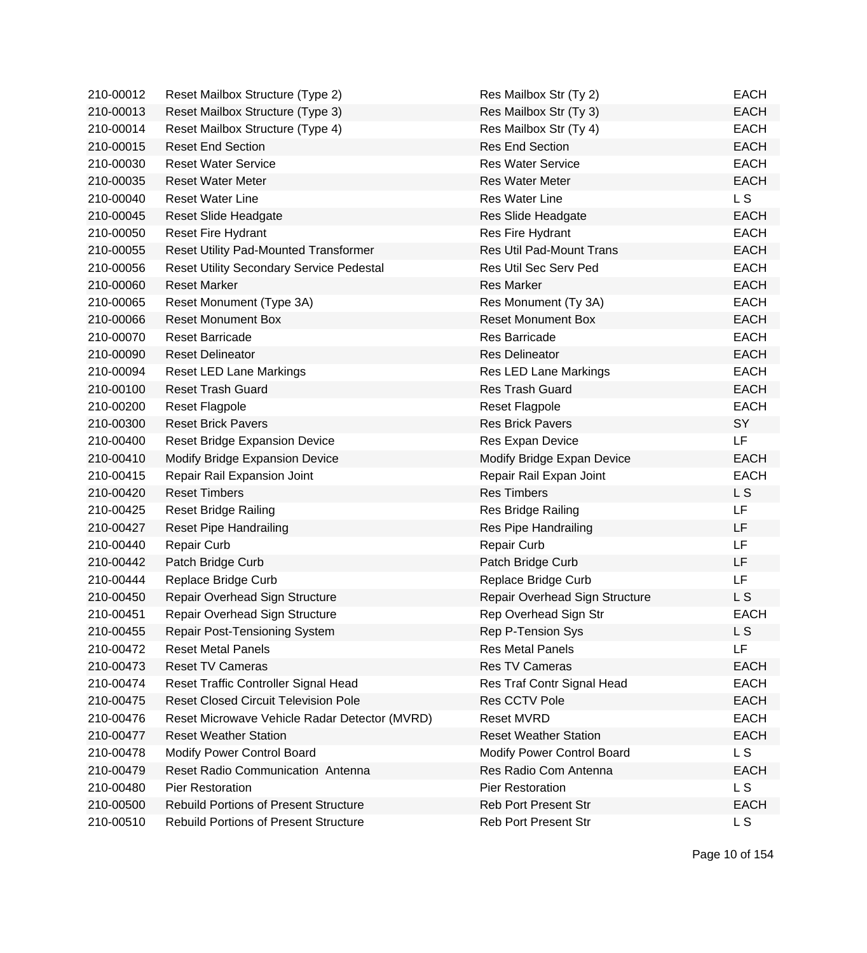| 210-00012 | Reset Mailbox Structure (Type 2)                | Res Mailbox Str (Ty 2)            | <b>EACH</b> |
|-----------|-------------------------------------------------|-----------------------------------|-------------|
| 210-00013 | Reset Mailbox Structure (Type 3)                | Res Mailbox Str (Ty 3)            | <b>EACH</b> |
| 210-00014 | Reset Mailbox Structure (Type 4)                | Res Mailbox Str (Ty 4)            | <b>EACH</b> |
| 210-00015 | <b>Reset End Section</b>                        | <b>Res End Section</b>            | <b>EACH</b> |
| 210-00030 | <b>Reset Water Service</b>                      | <b>Res Water Service</b>          | <b>EACH</b> |
| 210-00035 | <b>Reset Water Meter</b>                        | <b>Res Water Meter</b>            | <b>EACH</b> |
| 210-00040 | <b>Reset Water Line</b>                         | <b>Res Water Line</b>             | L S         |
| 210-00045 | Reset Slide Headgate                            | Res Slide Headgate                | <b>EACH</b> |
| 210-00050 | <b>Reset Fire Hydrant</b>                       | Res Fire Hydrant                  | <b>EACH</b> |
| 210-00055 | <b>Reset Utility Pad-Mounted Transformer</b>    | Res Util Pad-Mount Trans          | <b>EACH</b> |
| 210-00056 | <b>Reset Utility Secondary Service Pedestal</b> | Res Util Sec Serv Ped             | <b>EACH</b> |
| 210-00060 | <b>Reset Marker</b>                             | <b>Res Marker</b>                 | <b>EACH</b> |
| 210-00065 | Reset Monument (Type 3A)                        | Res Monument (Ty 3A)              | <b>EACH</b> |
| 210-00066 | <b>Reset Monument Box</b>                       | <b>Reset Monument Box</b>         | <b>EACH</b> |
| 210-00070 | <b>Reset Barricade</b>                          | Res Barricade                     | <b>EACH</b> |
| 210-00090 | <b>Reset Delineator</b>                         | <b>Res Delineator</b>             | <b>EACH</b> |
| 210-00094 | <b>Reset LED Lane Markings</b>                  | Res LED Lane Markings             | <b>EACH</b> |
| 210-00100 | <b>Reset Trash Guard</b>                        | <b>Res Trash Guard</b>            | <b>EACH</b> |
| 210-00200 | <b>Reset Flagpole</b>                           | <b>Reset Flagpole</b>             | <b>EACH</b> |
| 210-00300 | <b>Reset Brick Pavers</b>                       | <b>Res Brick Pavers</b>           | SY          |
| 210-00400 | <b>Reset Bridge Expansion Device</b>            | Res Expan Device                  | LF          |
| 210-00410 | Modify Bridge Expansion Device                  | Modify Bridge Expan Device        | <b>EACH</b> |
| 210-00415 | Repair Rail Expansion Joint                     | Repair Rail Expan Joint           | <b>EACH</b> |
| 210-00420 | <b>Reset Timbers</b>                            | <b>Res Timbers</b>                | <b>LS</b>   |
| 210-00425 | <b>Reset Bridge Railing</b>                     | Res Bridge Railing                | LF          |
| 210-00427 | <b>Reset Pipe Handrailing</b>                   | Res Pipe Handrailing              | LF          |
| 210-00440 | <b>Repair Curb</b>                              | Repair Curb                       | LF          |
| 210-00442 | Patch Bridge Curb                               | Patch Bridge Curb                 | <b>LF</b>   |
| 210-00444 | Replace Bridge Curb                             | Replace Bridge Curb               | LF.         |
| 210-00450 | Repair Overhead Sign Structure                  | Repair Overhead Sign Structure    | L S         |
| 210-00451 | Repair Overhead Sign Structure                  | Rep Overhead Sign Str             | <b>EACH</b> |
| 210-00455 | <b>Repair Post-Tensioning System</b>            | Rep P-Tension Sys                 | L S         |
| 210-00472 | <b>Reset Metal Panels</b>                       | <b>Res Metal Panels</b>           | LF          |
| 210-00473 | <b>Reset TV Cameras</b>                         | Res TV Cameras                    | <b>EACH</b> |
| 210-00474 | Reset Traffic Controller Signal Head            | Res Traf Contr Signal Head        | <b>EACH</b> |
| 210-00475 | <b>Reset Closed Circuit Television Pole</b>     | Res CCTV Pole                     | <b>EACH</b> |
| 210-00476 | Reset Microwave Vehicle Radar Detector (MVRD)   | <b>Reset MVRD</b>                 | <b>EACH</b> |
| 210-00477 | <b>Reset Weather Station</b>                    | <b>Reset Weather Station</b>      | <b>EACH</b> |
| 210-00478 | Modify Power Control Board                      | <b>Modify Power Control Board</b> | L S         |
| 210-00479 | Reset Radio Communication Antenna               | Res Radio Com Antenna             | <b>EACH</b> |
| 210-00480 | Pier Restoration                                | <b>Pier Restoration</b>           | L S         |
| 210-00500 | <b>Rebuild Portions of Present Structure</b>    | <b>Reb Port Present Str</b>       | <b>EACH</b> |
| 210-00510 | <b>Rebuild Portions of Present Structure</b>    | Reb Port Present Str              | L S         |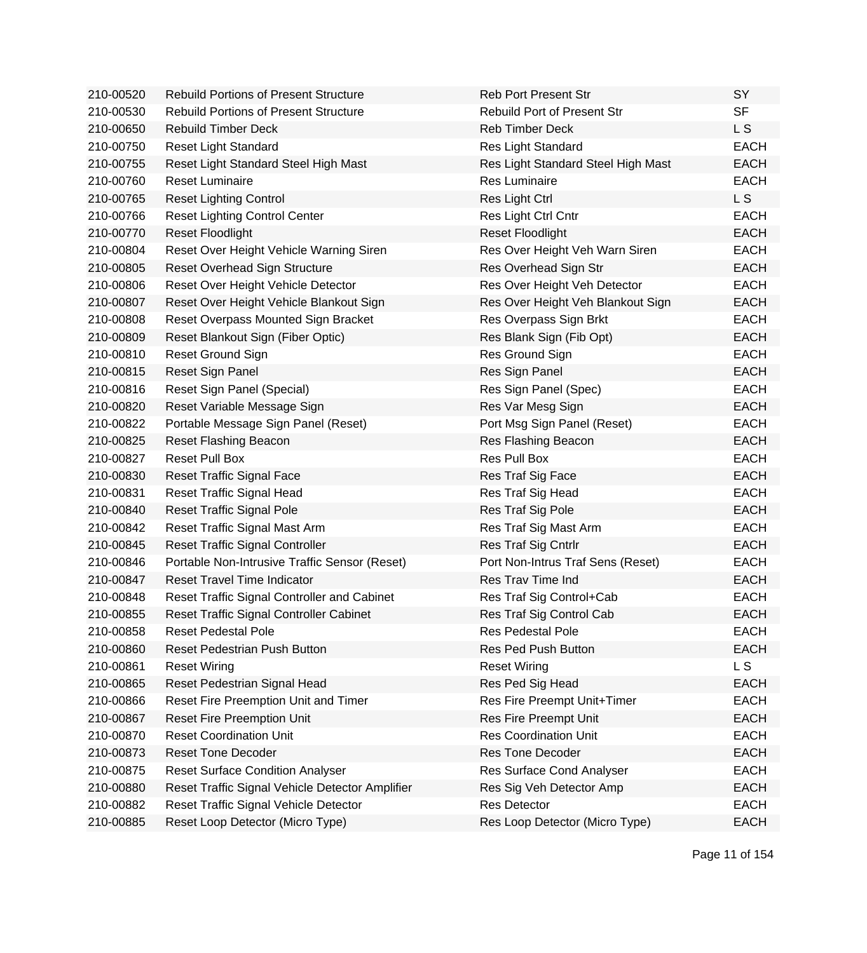| 210-00520 | <b>Rebuild Portions of Present Structure</b>    | <b>Reb Port Present Str</b>        | <b>SY</b>      |
|-----------|-------------------------------------------------|------------------------------------|----------------|
| 210-00530 | <b>Rebuild Portions of Present Structure</b>    | <b>Rebuild Port of Present Str</b> | <b>SF</b>      |
| 210-00650 | <b>Rebuild Timber Deck</b>                      | <b>Reb Timber Deck</b>             | L <sub>S</sub> |
| 210-00750 | Reset Light Standard                            | Res Light Standard                 | <b>EACH</b>    |
| 210-00755 | Reset Light Standard Steel High Mast            | Res Light Standard Steel High Mast | <b>EACH</b>    |
| 210-00760 | <b>Reset Luminaire</b>                          | <b>Res Luminaire</b>               | <b>EACH</b>    |
| 210-00765 | <b>Reset Lighting Control</b>                   | Res Light Ctrl                     | L <sub>S</sub> |
| 210-00766 | <b>Reset Lighting Control Center</b>            | Res Light Ctrl Cntr                | <b>EACH</b>    |
| 210-00770 | <b>Reset Floodlight</b>                         | <b>Reset Floodlight</b>            | <b>EACH</b>    |
| 210-00804 | Reset Over Height Vehicle Warning Siren         | Res Over Height Veh Warn Siren     | <b>EACH</b>    |
| 210-00805 | <b>Reset Overhead Sign Structure</b>            | Res Overhead Sign Str              | <b>EACH</b>    |
| 210-00806 | Reset Over Height Vehicle Detector              | Res Over Height Veh Detector       | <b>EACH</b>    |
| 210-00807 | Reset Over Height Vehicle Blankout Sign         | Res Over Height Veh Blankout Sign  | <b>EACH</b>    |
| 210-00808 | Reset Overpass Mounted Sign Bracket             | Res Overpass Sign Brkt             | <b>EACH</b>    |
| 210-00809 | Reset Blankout Sign (Fiber Optic)               | Res Blank Sign (Fib Opt)           | <b>EACH</b>    |
| 210-00810 | <b>Reset Ground Sign</b>                        | Res Ground Sign                    | <b>EACH</b>    |
| 210-00815 | Reset Sign Panel                                | Res Sign Panel                     | <b>EACH</b>    |
| 210-00816 | Reset Sign Panel (Special)                      | Res Sign Panel (Spec)              | <b>EACH</b>    |
| 210-00820 | Reset Variable Message Sign                     | Res Var Mesg Sign                  | <b>EACH</b>    |
| 210-00822 | Portable Message Sign Panel (Reset)             | Port Msg Sign Panel (Reset)        | <b>EACH</b>    |
| 210-00825 | <b>Reset Flashing Beacon</b>                    | Res Flashing Beacon                | <b>EACH</b>    |
| 210-00827 | <b>Reset Pull Box</b>                           | Res Pull Box                       | <b>EACH</b>    |
| 210-00830 | <b>Reset Traffic Signal Face</b>                | Res Traf Sig Face                  | <b>EACH</b>    |
| 210-00831 | Reset Traffic Signal Head                       | Res Traf Sig Head                  | <b>EACH</b>    |
| 210-00840 | <b>Reset Traffic Signal Pole</b>                | Res Traf Sig Pole                  | <b>EACH</b>    |
| 210-00842 | Reset Traffic Signal Mast Arm                   | Res Traf Sig Mast Arm              | <b>EACH</b>    |
| 210-00845 | <b>Reset Traffic Signal Controller</b>          | Res Traf Sig Cntrlr                | <b>EACH</b>    |
| 210-00846 | Portable Non-Intrusive Traffic Sensor (Reset)   | Port Non-Intrus Traf Sens (Reset)  | <b>EACH</b>    |
| 210-00847 | <b>Reset Travel Time Indicator</b>              | Res Trav Time Ind                  | <b>EACH</b>    |
| 210-00848 | Reset Traffic Signal Controller and Cabinet     | Res Traf Sig Control+Cab           | <b>EACH</b>    |
| 210-00855 | Reset Traffic Signal Controller Cabinet         | Res Traf Sig Control Cab           | <b>EACH</b>    |
| 210-00858 | <b>Reset Pedestal Pole</b>                      | <b>Res Pedestal Pole</b>           | <b>EACH</b>    |
| 210-00860 | Reset Pedestrian Push Button                    | <b>Res Ped Push Button</b>         | <b>EACH</b>    |
| 210-00861 | <b>Reset Wiring</b>                             | <b>Reset Wiring</b>                | L S            |
| 210-00865 | Reset Pedestrian Signal Head                    | Res Ped Sig Head                   | <b>EACH</b>    |
| 210-00866 | Reset Fire Preemption Unit and Timer            | Res Fire Preempt Unit+Timer        | <b>EACH</b>    |
| 210-00867 | <b>Reset Fire Preemption Unit</b>               | Res Fire Preempt Unit              | <b>EACH</b>    |
| 210-00870 | <b>Reset Coordination Unit</b>                  | <b>Res Coordination Unit</b>       | <b>EACH</b>    |
| 210-00873 | <b>Reset Tone Decoder</b>                       | <b>Res Tone Decoder</b>            | <b>EACH</b>    |
| 210-00875 | <b>Reset Surface Condition Analyser</b>         | Res Surface Cond Analyser          | <b>EACH</b>    |
| 210-00880 | Reset Traffic Signal Vehicle Detector Amplifier | Res Sig Veh Detector Amp           | <b>EACH</b>    |
| 210-00882 | Reset Traffic Signal Vehicle Detector           | <b>Res Detector</b>                | <b>EACH</b>    |
| 210-00885 | Reset Loop Detector (Micro Type)                | Res Loop Detector (Micro Type)     | <b>EACH</b>    |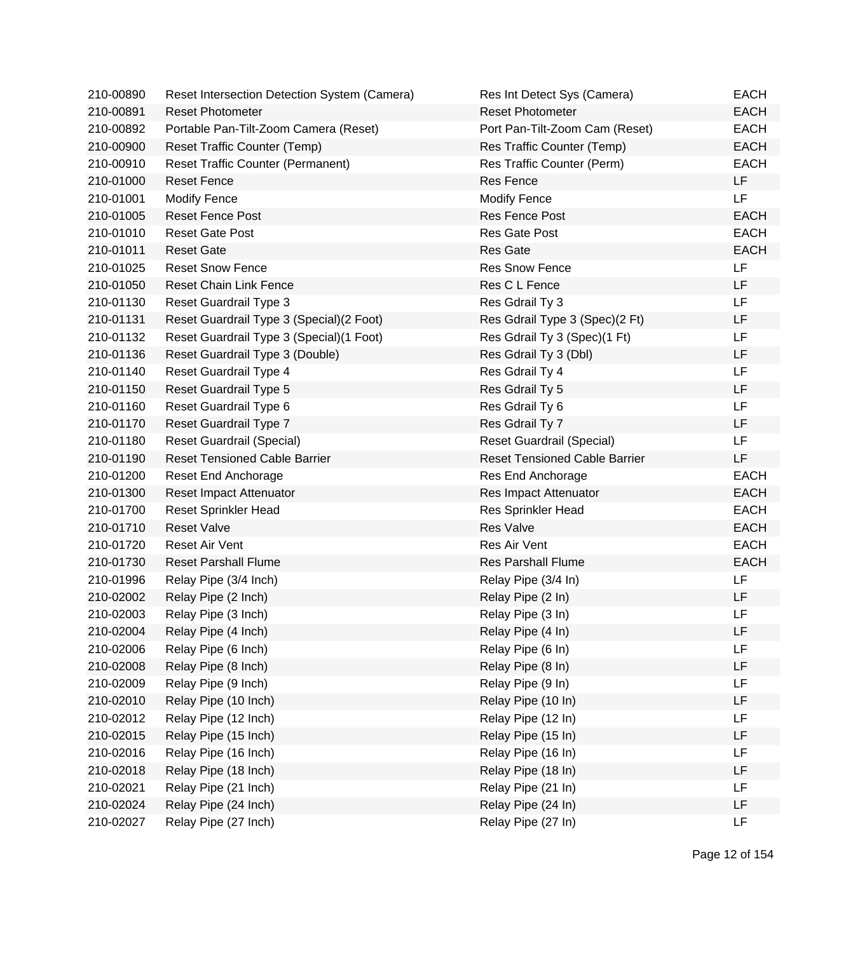| 210-00890 | Reset Intersection Detection System (Camera) | Res Int Detect Sys (Camera)          | <b>EACH</b> |
|-----------|----------------------------------------------|--------------------------------------|-------------|
| 210-00891 | <b>Reset Photometer</b>                      | <b>Reset Photometer</b>              | <b>EACH</b> |
| 210-00892 | Portable Pan-Tilt-Zoom Camera (Reset)        | Port Pan-Tilt-Zoom Cam (Reset)       | <b>EACH</b> |
| 210-00900 | Reset Traffic Counter (Temp)                 | Res Traffic Counter (Temp)           | <b>EACH</b> |
| 210-00910 | <b>Reset Traffic Counter (Permanent)</b>     | Res Traffic Counter (Perm)           | <b>EACH</b> |
| 210-01000 | <b>Reset Fence</b>                           | Res Fence                            | <b>LF</b>   |
| 210-01001 | <b>Modify Fence</b>                          | <b>Modify Fence</b>                  | <b>LF</b>   |
| 210-01005 | <b>Reset Fence Post</b>                      | Res Fence Post                       | <b>EACH</b> |
| 210-01010 | <b>Reset Gate Post</b>                       | <b>Res Gate Post</b>                 | <b>EACH</b> |
| 210-01011 | <b>Reset Gate</b>                            | <b>Res Gate</b>                      | <b>EACH</b> |
| 210-01025 | <b>Reset Snow Fence</b>                      | <b>Res Snow Fence</b>                | LF          |
| 210-01050 | <b>Reset Chain Link Fence</b>                | Res C L Fence                        | LF          |
| 210-01130 | Reset Guardrail Type 3                       | Res Gdrail Ty 3                      | LF          |
| 210-01131 | Reset Guardrail Type 3 (Special) (2 Foot)    | Res Gdrail Type 3 (Spec)(2 Ft)       | LF          |
| 210-01132 | Reset Guardrail Type 3 (Special) (1 Foot)    | Res Gdrail Ty 3 (Spec)(1 Ft)         | LF          |
| 210-01136 | Reset Guardrail Type 3 (Double)              | Res Gdrail Ty 3 (Dbl)                | LF          |
| 210-01140 | Reset Guardrail Type 4                       | Res Gdrail Ty 4                      | <b>LF</b>   |
| 210-01150 | Reset Guardrail Type 5                       | Res Gdrail Ty 5                      | <b>LF</b>   |
| 210-01160 | Reset Guardrail Type 6                       | Res Gdrail Ty 6                      | LF          |
| 210-01170 | Reset Guardrail Type 7                       | Res Gdrail Ty 7                      | <b>LF</b>   |
| 210-01180 | Reset Guardrail (Special)                    | <b>Reset Guardrail (Special)</b>     | <b>LF</b>   |
| 210-01190 | <b>Reset Tensioned Cable Barrier</b>         | <b>Reset Tensioned Cable Barrier</b> | LF          |
| 210-01200 | Reset End Anchorage                          | Res End Anchorage                    | <b>EACH</b> |
| 210-01300 | Reset Impact Attenuator                      | Res Impact Attenuator                | <b>EACH</b> |
| 210-01700 | <b>Reset Sprinkler Head</b>                  | <b>Res Sprinkler Head</b>            | <b>EACH</b> |
| 210-01710 | <b>Reset Valve</b>                           | <b>Res Valve</b>                     | <b>EACH</b> |
| 210-01720 | Reset Air Vent                               | Res Air Vent                         | <b>EACH</b> |
| 210-01730 | <b>Reset Parshall Flume</b>                  | <b>Res Parshall Flume</b>            | <b>EACH</b> |
| 210-01996 | Relay Pipe (3/4 Inch)                        | Relay Pipe (3/4 In)                  | LF          |
| 210-02002 | Relay Pipe (2 Inch)                          | Relay Pipe (2 In)                    | LF          |
| 210-02003 | Relay Pipe (3 Inch)                          | Relay Pipe (3 In)                    | <b>LF</b>   |
| 210-02004 | Relay Pipe (4 Inch)                          | Relay Pipe (4 In)                    | LF          |
| 210-02006 | Relay Pipe (6 Inch)                          | Relay Pipe (6 In)                    | LF          |
| 210-02008 | Relay Pipe (8 Inch)                          | Relay Pipe (8 In)                    | LF          |
| 210-02009 | Relay Pipe (9 Inch)                          | Relay Pipe (9 In)                    | LF          |
| 210-02010 | Relay Pipe (10 Inch)                         | Relay Pipe (10 In)                   | LF          |
| 210-02012 | Relay Pipe (12 Inch)                         | Relay Pipe (12 In)                   | LF          |
| 210-02015 | Relay Pipe (15 Inch)                         | Relay Pipe (15 In)                   | LF          |
| 210-02016 | Relay Pipe (16 Inch)                         | Relay Pipe (16 In)                   | LF          |
| 210-02018 | Relay Pipe (18 Inch)                         | Relay Pipe (18 In)                   | LF          |
| 210-02021 | Relay Pipe (21 Inch)                         | Relay Pipe (21 In)                   | LF          |
| 210-02024 | Relay Pipe (24 Inch)                         | Relay Pipe (24 In)                   | LF          |
| 210-02027 | Relay Pipe (27 Inch)                         | Relay Pipe (27 In)                   | LF          |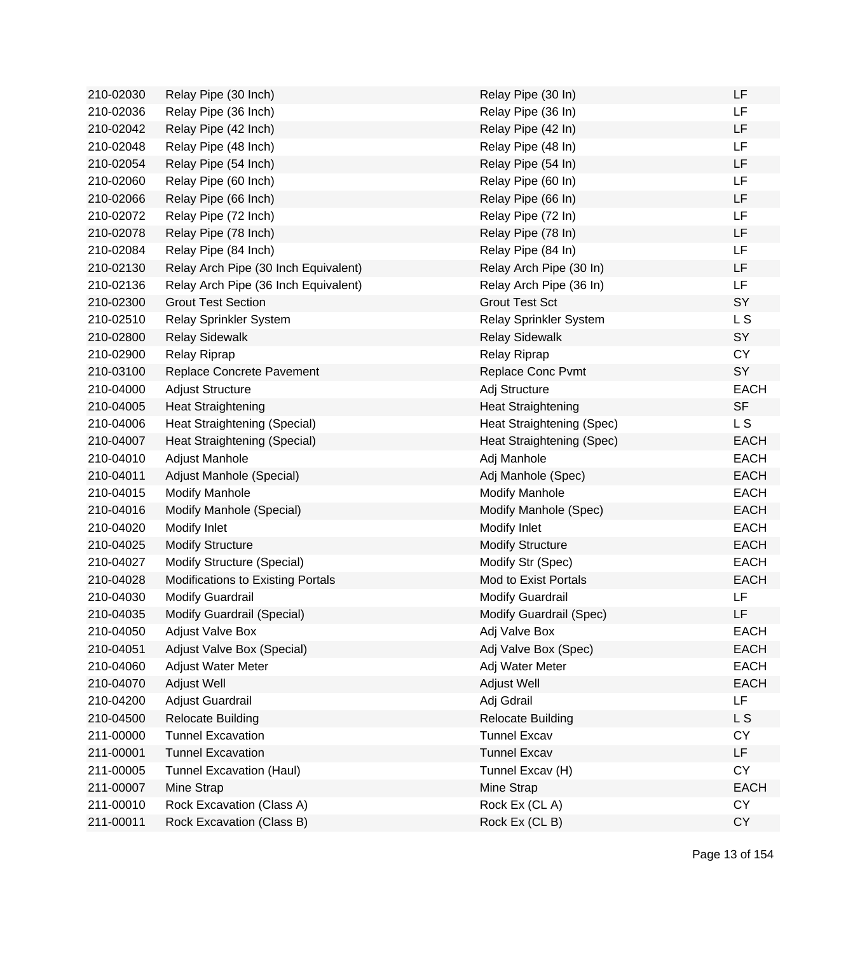| 210-02030 | Relay Pipe (30 Inch)                 | Relay Pipe (30 In)        | LF          |
|-----------|--------------------------------------|---------------------------|-------------|
| 210-02036 | Relay Pipe (36 Inch)                 | Relay Pipe (36 In)        | LF          |
| 210-02042 | Relay Pipe (42 Inch)                 | Relay Pipe (42 In)        | LF          |
| 210-02048 | Relay Pipe (48 Inch)                 | Relay Pipe (48 In)        | <b>LF</b>   |
| 210-02054 | Relay Pipe (54 Inch)                 | Relay Pipe (54 In)        | LF          |
| 210-02060 | Relay Pipe (60 Inch)                 | Relay Pipe (60 In)        | <b>LF</b>   |
| 210-02066 | Relay Pipe (66 Inch)                 | Relay Pipe (66 In)        | LF          |
| 210-02072 | Relay Pipe (72 Inch)                 | Relay Pipe (72 In)        | LF          |
| 210-02078 | Relay Pipe (78 Inch)                 | Relay Pipe (78 In)        | LF          |
| 210-02084 | Relay Pipe (84 Inch)                 | Relay Pipe (84 In)        | LF          |
| 210-02130 | Relay Arch Pipe (30 Inch Equivalent) | Relay Arch Pipe (30 In)   | LF          |
| 210-02136 | Relay Arch Pipe (36 Inch Equivalent) | Relay Arch Pipe (36 In)   | LF          |
| 210-02300 | <b>Grout Test Section</b>            | <b>Grout Test Sct</b>     | SY          |
| 210-02510 | Relay Sprinkler System               | Relay Sprinkler System    | L S         |
| 210-02800 | <b>Relay Sidewalk</b>                | <b>Relay Sidewalk</b>     | SY          |
| 210-02900 | Relay Riprap                         | <b>Relay Riprap</b>       | <b>CY</b>   |
| 210-03100 | Replace Concrete Pavement            | Replace Conc Pvmt         | SY          |
| 210-04000 | <b>Adjust Structure</b>              | Adj Structure             | <b>EACH</b> |
| 210-04005 | <b>Heat Straightening</b>            | <b>Heat Straightening</b> | <b>SF</b>   |
| 210-04006 | Heat Straightening (Special)         | Heat Straightening (Spec) | L S         |
| 210-04007 | Heat Straightening (Special)         | Heat Straightening (Spec) | <b>EACH</b> |
| 210-04010 | Adjust Manhole                       | Adj Manhole               | <b>EACH</b> |
| 210-04011 | Adjust Manhole (Special)             | Adj Manhole (Spec)        | <b>EACH</b> |
| 210-04015 | <b>Modify Manhole</b>                | <b>Modify Manhole</b>     | <b>EACH</b> |
| 210-04016 | Modify Manhole (Special)             | Modify Manhole (Spec)     | <b>EACH</b> |
| 210-04020 | Modify Inlet                         | Modify Inlet              | <b>EACH</b> |
| 210-04025 | <b>Modify Structure</b>              | <b>Modify Structure</b>   | <b>EACH</b> |
| 210-04027 | Modify Structure (Special)           | Modify Str (Spec)         | <b>EACH</b> |
| 210-04028 | Modifications to Existing Portals    | Mod to Exist Portals      | <b>EACH</b> |
| 210-04030 | <b>Modify Guardrail</b>              | <b>Modify Guardrail</b>   | LF          |
| 210-04035 | Modify Guardrail (Special)           | Modify Guardrail (Spec)   | LF          |
| 210-04050 | <b>Adjust Valve Box</b>              | Adj Valve Box             | <b>EACH</b> |
| 210-04051 | Adjust Valve Box (Special)           | Adj Valve Box (Spec)      | <b>EACH</b> |
| 210-04060 | Adjust Water Meter                   | Adj Water Meter           | <b>EACH</b> |
| 210-04070 | Adjust Well                          | <b>Adjust Well</b>        | <b>EACH</b> |
| 210-04200 | Adjust Guardrail                     | Adj Gdrail                | LF          |
| 210-04500 | <b>Relocate Building</b>             | <b>Relocate Building</b>  | L S         |
| 211-00000 | <b>Tunnel Excavation</b>             | <b>Tunnel Excav</b>       | <b>CY</b>   |
| 211-00001 | <b>Tunnel Excavation</b>             | <b>Tunnel Excav</b>       | LF.         |
| 211-00005 | <b>Tunnel Excavation (Haul)</b>      | Tunnel Excav (H)          | <b>CY</b>   |
| 211-00007 | Mine Strap                           | Mine Strap                | <b>EACH</b> |
| 211-00010 | Rock Excavation (Class A)            | Rock Ex (CLA)             | CY          |
| 211-00011 | Rock Excavation (Class B)            | Rock Ex (CLB)             | <b>CY</b>   |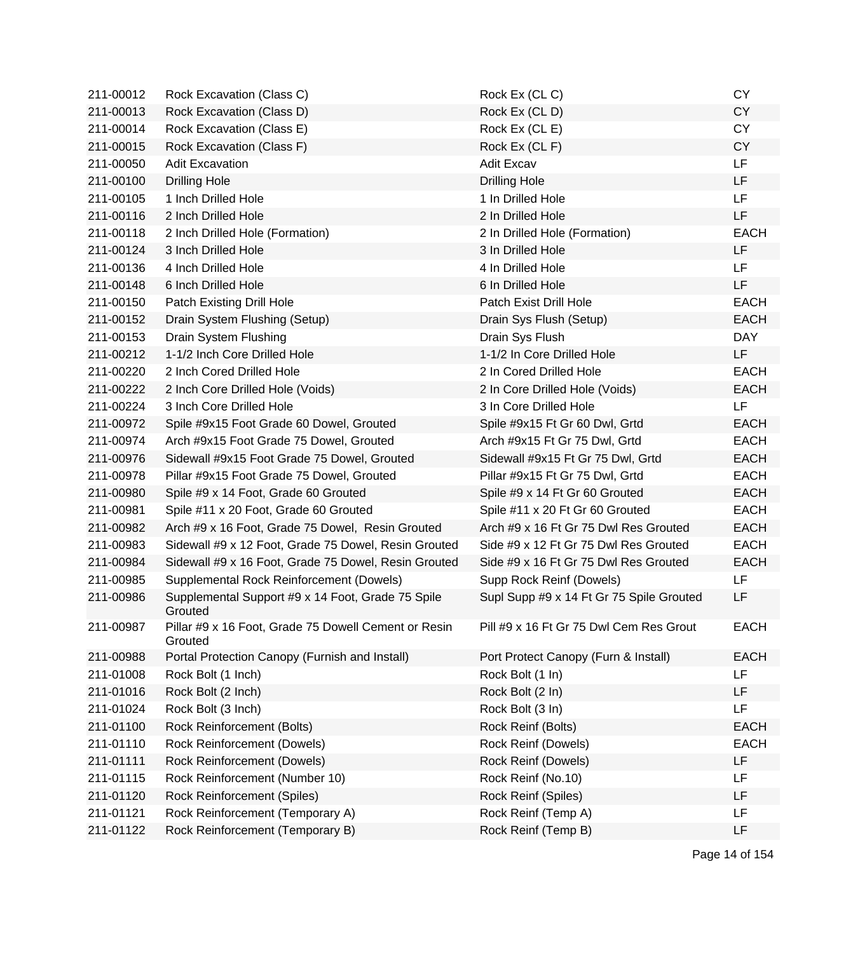| 211-00012 | Rock Excavation (Class C)                                       | Rock Ex (CL C)                           | <b>CY</b>   |
|-----------|-----------------------------------------------------------------|------------------------------------------|-------------|
| 211-00013 | Rock Excavation (Class D)                                       | Rock Ex (CLD)                            | <b>CY</b>   |
| 211-00014 | Rock Excavation (Class E)                                       | Rock Ex (CL E)                           | <b>CY</b>   |
| 211-00015 | Rock Excavation (Class F)                                       | Rock Ex (CL F)                           | <b>CY</b>   |
| 211-00050 | <b>Adit Excavation</b>                                          | Adit Excav                               | <b>LF</b>   |
| 211-00100 | <b>Drilling Hole</b>                                            | <b>Drilling Hole</b>                     | LF          |
| 211-00105 | 1 Inch Drilled Hole                                             | 1 In Drilled Hole                        | <b>LF</b>   |
| 211-00116 | 2 Inch Drilled Hole                                             | 2 In Drilled Hole                        | LF          |
| 211-00118 | 2 Inch Drilled Hole (Formation)                                 | 2 In Drilled Hole (Formation)            | <b>EACH</b> |
| 211-00124 | 3 Inch Drilled Hole                                             | 3 In Drilled Hole                        | LF          |
| 211-00136 | 4 Inch Drilled Hole                                             | 4 In Drilled Hole                        | <b>LF</b>   |
| 211-00148 | 6 Inch Drilled Hole                                             | 6 In Drilled Hole                        | LF          |
| 211-00150 | Patch Existing Drill Hole                                       | Patch Exist Drill Hole                   | <b>EACH</b> |
| 211-00152 | Drain System Flushing (Setup)                                   | Drain Sys Flush (Setup)                  | <b>EACH</b> |
| 211-00153 | Drain System Flushing                                           | Drain Sys Flush                          | <b>DAY</b>  |
| 211-00212 | 1-1/2 Inch Core Drilled Hole                                    | 1-1/2 In Core Drilled Hole               | LF.         |
| 211-00220 | 2 Inch Cored Drilled Hole                                       | 2 In Cored Drilled Hole                  | <b>EACH</b> |
| 211-00222 | 2 Inch Core Drilled Hole (Voids)                                | 2 In Core Drilled Hole (Voids)           | <b>EACH</b> |
| 211-00224 | 3 Inch Core Drilled Hole                                        | 3 In Core Drilled Hole                   | LF          |
| 211-00972 | Spile #9x15 Foot Grade 60 Dowel, Grouted                        | Spile #9x15 Ft Gr 60 Dwl, Grtd           | <b>EACH</b> |
| 211-00974 | Arch #9x15 Foot Grade 75 Dowel, Grouted                         | Arch #9x15 Ft Gr 75 Dwl, Grtd            | <b>EACH</b> |
| 211-00976 | Sidewall #9x15 Foot Grade 75 Dowel, Grouted                     | Sidewall #9x15 Ft Gr 75 Dwl, Grtd        | <b>EACH</b> |
| 211-00978 | Pillar #9x15 Foot Grade 75 Dowel, Grouted                       | Pillar #9x15 Ft Gr 75 Dwl, Grtd          | <b>EACH</b> |
| 211-00980 | Spile #9 x 14 Foot, Grade 60 Grouted                            | Spile #9 x 14 Ft Gr 60 Grouted           | <b>EACH</b> |
| 211-00981 | Spile #11 x 20 Foot, Grade 60 Grouted                           | Spile #11 x 20 Ft Gr 60 Grouted          | <b>EACH</b> |
| 211-00982 | Arch #9 x 16 Foot, Grade 75 Dowel, Resin Grouted                | Arch #9 x 16 Ft Gr 75 Dwl Res Grouted    | <b>EACH</b> |
| 211-00983 | Sidewall #9 x 12 Foot, Grade 75 Dowel, Resin Grouted            | Side #9 x 12 Ft Gr 75 Dwl Res Grouted    | <b>EACH</b> |
| 211-00984 | Sidewall #9 x 16 Foot, Grade 75 Dowel, Resin Grouted            | Side #9 x 16 Ft Gr 75 Dwl Res Grouted    | <b>EACH</b> |
| 211-00985 | Supplemental Rock Reinforcement (Dowels)                        | Supp Rock Reinf (Dowels)                 | LF.         |
| 211-00986 | Supplemental Support #9 x 14 Foot, Grade 75 Spile<br>Grouted    | Supl Supp #9 x 14 Ft Gr 75 Spile Grouted | LF          |
| 211-00987 | Pillar #9 x 16 Foot, Grade 75 Dowell Cement or Resin<br>Grouted | Pill #9 x 16 Ft Gr 75 Dwl Cem Res Grout  | <b>EACH</b> |
| 211-00988 | Portal Protection Canopy (Furnish and Install)                  | Port Protect Canopy (Furn & Install)     | <b>EACH</b> |
| 211-01008 | Rock Bolt (1 Inch)                                              | Rock Bolt (1 In)                         | LF          |
| 211-01016 | Rock Bolt (2 Inch)                                              | Rock Bolt (2 In)                         | LF          |
| 211-01024 | Rock Bolt (3 Inch)                                              | Rock Bolt (3 In)                         | LF          |
| 211-01100 | Rock Reinforcement (Bolts)                                      | Rock Reinf (Bolts)                       | <b>EACH</b> |
| 211-01110 | Rock Reinforcement (Dowels)                                     | Rock Reinf (Dowels)                      | <b>EACH</b> |
| 211-01111 | <b>Rock Reinforcement (Dowels)</b>                              | Rock Reinf (Dowels)                      | LF          |
| 211-01115 | Rock Reinforcement (Number 10)                                  | Rock Reinf (No.10)                       | LF          |
| 211-01120 | <b>Rock Reinforcement (Spiles)</b>                              | Rock Reinf (Spiles)                      | LF          |
| 211-01121 | Rock Reinforcement (Temporary A)                                | Rock Reinf (Temp A)                      | LF          |
| 211-01122 | Rock Reinforcement (Temporary B)                                | Rock Reinf (Temp B)                      | LF          |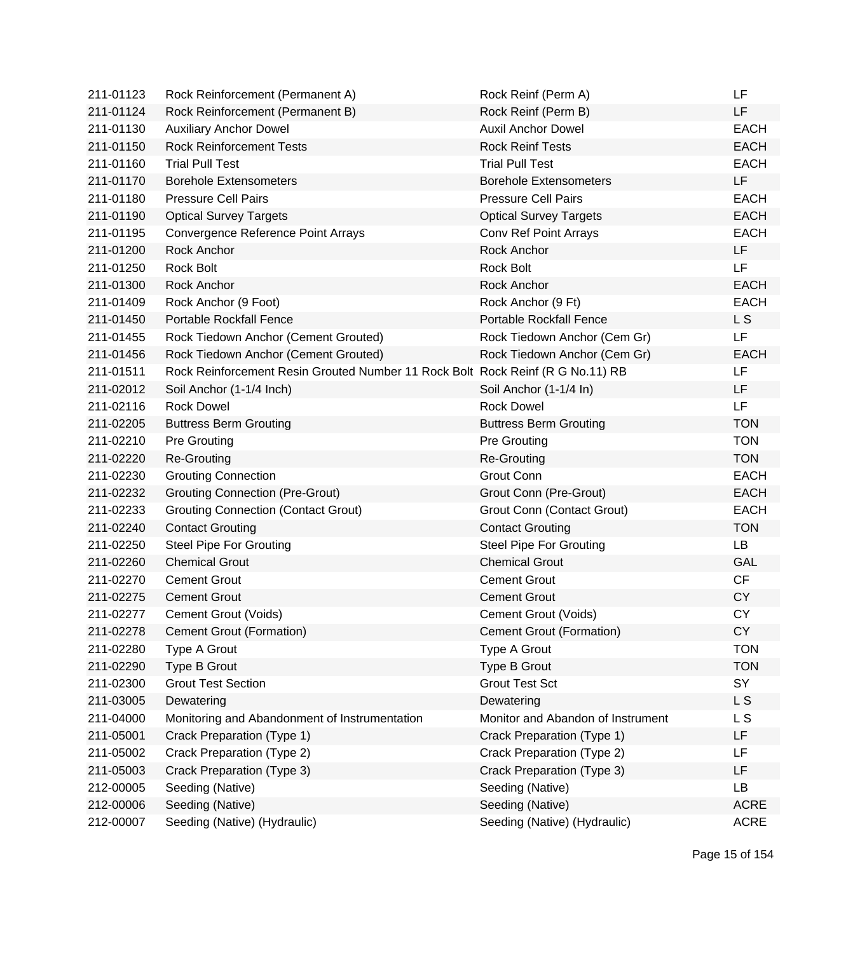| 211-01123 | Rock Reinforcement (Permanent A)                                               | Rock Reinf (Perm A)               | LF          |
|-----------|--------------------------------------------------------------------------------|-----------------------------------|-------------|
| 211-01124 | Rock Reinforcement (Permanent B)                                               | Rock Reinf (Perm B)               | LF          |
| 211-01130 | <b>Auxiliary Anchor Dowel</b>                                                  | <b>Auxil Anchor Dowel</b>         | <b>EACH</b> |
| 211-01150 | <b>Rock Reinforcement Tests</b>                                                | <b>Rock Reinf Tests</b>           | <b>EACH</b> |
| 211-01160 | <b>Trial Pull Test</b>                                                         | <b>Trial Pull Test</b>            | <b>EACH</b> |
| 211-01170 | <b>Borehole Extensometers</b>                                                  | <b>Borehole Extensometers</b>     | LF          |
| 211-01180 | <b>Pressure Cell Pairs</b>                                                     | <b>Pressure Cell Pairs</b>        | <b>EACH</b> |
| 211-01190 | <b>Optical Survey Targets</b>                                                  | <b>Optical Survey Targets</b>     | <b>EACH</b> |
| 211-01195 | Convergence Reference Point Arrays                                             | <b>Conv Ref Point Arrays</b>      | <b>EACH</b> |
| 211-01200 | Rock Anchor                                                                    | Rock Anchor                       | LF          |
| 211-01250 | <b>Rock Bolt</b>                                                               | <b>Rock Bolt</b>                  | LF          |
| 211-01300 | Rock Anchor                                                                    | Rock Anchor                       | <b>EACH</b> |
| 211-01409 | Rock Anchor (9 Foot)                                                           | Rock Anchor (9 Ft)                | <b>EACH</b> |
| 211-01450 | <b>Portable Rockfall Fence</b>                                                 | <b>Portable Rockfall Fence</b>    | L S         |
| 211-01455 | Rock Tiedown Anchor (Cement Grouted)                                           | Rock Tiedown Anchor (Cem Gr)      | LF          |
| 211-01456 | Rock Tiedown Anchor (Cement Grouted)                                           | Rock Tiedown Anchor (Cem Gr)      | <b>EACH</b> |
| 211-01511 | Rock Reinforcement Resin Grouted Number 11 Rock Bolt Rock Reinf (R G No.11) RB |                                   | LF          |
| 211-02012 | Soil Anchor (1-1/4 Inch)                                                       | Soil Anchor (1-1/4 In)            | LF          |
| 211-02116 | <b>Rock Dowel</b>                                                              | <b>Rock Dowel</b>                 | LF          |
| 211-02205 | <b>Buttress Berm Grouting</b>                                                  | <b>Buttress Berm Grouting</b>     | <b>TON</b>  |
| 211-02210 | <b>Pre Grouting</b>                                                            | <b>Pre Grouting</b>               | <b>TON</b>  |
| 211-02220 | <b>Re-Grouting</b>                                                             | Re-Grouting                       | <b>TON</b>  |
| 211-02230 | <b>Grouting Connection</b>                                                     | Grout Conn                        | <b>EACH</b> |
| 211-02232 | <b>Grouting Connection (Pre-Grout)</b>                                         | Grout Conn (Pre-Grout)            | <b>EACH</b> |
| 211-02233 | <b>Grouting Connection (Contact Grout)</b>                                     | Grout Conn (Contact Grout)        | <b>EACH</b> |
| 211-02240 | <b>Contact Grouting</b>                                                        | <b>Contact Grouting</b>           | <b>TON</b>  |
| 211-02250 | <b>Steel Pipe For Grouting</b>                                                 | <b>Steel Pipe For Grouting</b>    | <b>LB</b>   |
| 211-02260 | <b>Chemical Grout</b>                                                          | <b>Chemical Grout</b>             | <b>GAL</b>  |
| 211-02270 | <b>Cement Grout</b>                                                            | <b>Cement Grout</b>               | CF          |
| 211-02275 | <b>Cement Grout</b>                                                            | <b>Cement Grout</b>               | <b>CY</b>   |
| 211-02277 | Cement Grout (Voids)                                                           | Cement Grout (Voids)              | <b>CY</b>   |
| 211-02278 | Cement Grout (Formation)                                                       | Cement Grout (Formation)          | CY          |
| 211-02280 | <b>Type A Grout</b>                                                            | Type A Grout                      | <b>TON</b>  |
| 211-02290 | Type B Grout                                                                   | Type B Grout                      | <b>TON</b>  |
| 211-02300 | <b>Grout Test Section</b>                                                      | <b>Grout Test Sct</b>             | SY          |
| 211-03005 | Dewatering                                                                     | Dewatering                        | L S         |
| 211-04000 | Monitoring and Abandonment of Instrumentation                                  | Monitor and Abandon of Instrument | L S         |
| 211-05001 | Crack Preparation (Type 1)                                                     | Crack Preparation (Type 1)        | LF          |
| 211-05002 | Crack Preparation (Type 2)                                                     | Crack Preparation (Type 2)        | LF          |
| 211-05003 | Crack Preparation (Type 3)                                                     | Crack Preparation (Type 3)        | LF          |
| 212-00005 | Seeding (Native)                                                               | Seeding (Native)                  | LB          |
| 212-00006 | Seeding (Native)                                                               | Seeding (Native)                  | <b>ACRE</b> |
| 212-00007 | Seeding (Native) (Hydraulic)                                                   | Seeding (Native) (Hydraulic)      | <b>ACRE</b> |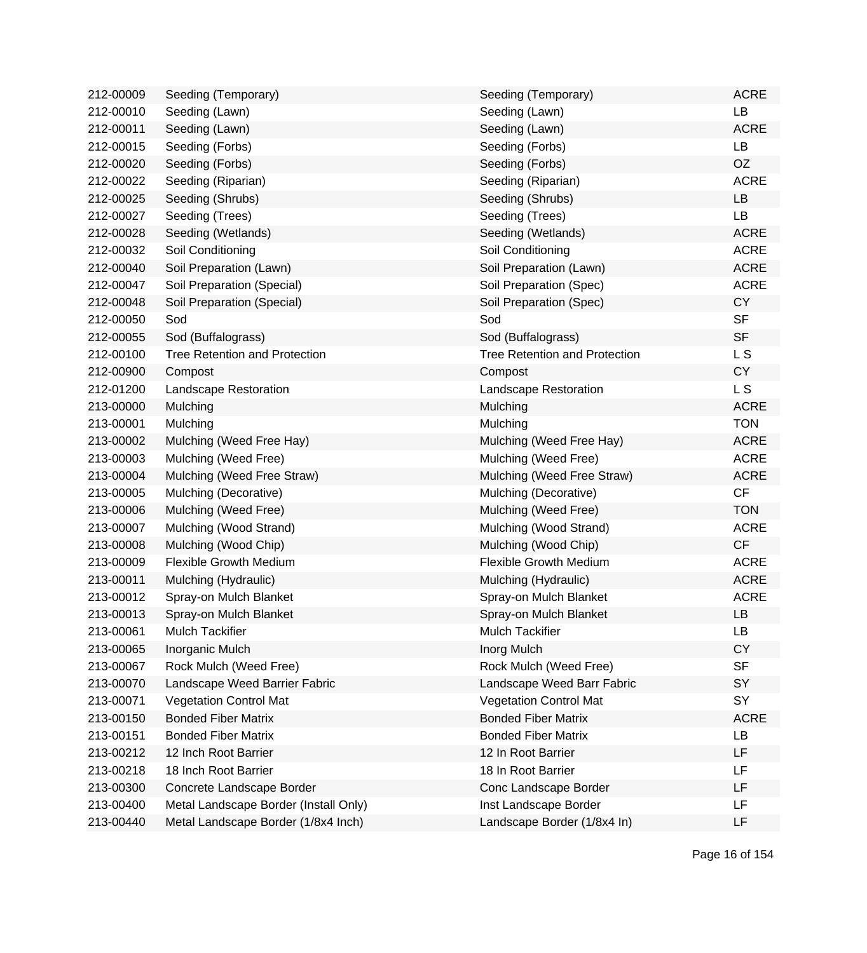| 212-00009 | Seeding (Temporary)                   | Seeding (Temporary)                  | <b>ACRE</b>    |
|-----------|---------------------------------------|--------------------------------------|----------------|
| 212-00010 | Seeding (Lawn)                        | Seeding (Lawn)                       | LB             |
| 212-00011 | Seeding (Lawn)                        | Seeding (Lawn)                       | <b>ACRE</b>    |
| 212-00015 | Seeding (Forbs)                       | Seeding (Forbs)                      | <b>LB</b>      |
| 212-00020 | Seeding (Forbs)                       | Seeding (Forbs)                      | OZ             |
| 212-00022 | Seeding (Riparian)                    | Seeding (Riparian)                   | <b>ACRE</b>    |
| 212-00025 | Seeding (Shrubs)                      | Seeding (Shrubs)                     | LB             |
| 212-00027 | Seeding (Trees)                       | Seeding (Trees)                      | LB             |
| 212-00028 | Seeding (Wetlands)                    | Seeding (Wetlands)                   | <b>ACRE</b>    |
| 212-00032 | Soil Conditioning                     | Soil Conditioning                    | <b>ACRE</b>    |
| 212-00040 | Soil Preparation (Lawn)               | Soil Preparation (Lawn)              | <b>ACRE</b>    |
| 212-00047 | Soil Preparation (Special)            | Soil Preparation (Spec)              | <b>ACRE</b>    |
| 212-00048 | Soil Preparation (Special)            | Soil Preparation (Spec)              | <b>CY</b>      |
| 212-00050 | Sod                                   | Sod                                  | <b>SF</b>      |
| 212-00055 | Sod (Buffalograss)                    | Sod (Buffalograss)                   | <b>SF</b>      |
| 212-00100 | <b>Tree Retention and Protection</b>  | <b>Tree Retention and Protection</b> | L S            |
| 212-00900 | Compost                               | Compost                              | <b>CY</b>      |
| 212-01200 | Landscape Restoration                 | Landscape Restoration                | L <sub>S</sub> |
| 213-00000 | Mulching                              | Mulching                             | <b>ACRE</b>    |
| 213-00001 | Mulching                              | Mulching                             | <b>TON</b>     |
| 213-00002 | Mulching (Weed Free Hay)              | Mulching (Weed Free Hay)             | <b>ACRE</b>    |
| 213-00003 | Mulching (Weed Free)                  | Mulching (Weed Free)                 | <b>ACRE</b>    |
| 213-00004 | Mulching (Weed Free Straw)            | Mulching (Weed Free Straw)           | <b>ACRE</b>    |
| 213-00005 | Mulching (Decorative)                 | Mulching (Decorative)                | CF             |
| 213-00006 | Mulching (Weed Free)                  | Mulching (Weed Free)                 | <b>TON</b>     |
| 213-00007 | Mulching (Wood Strand)                | Mulching (Wood Strand)               | <b>ACRE</b>    |
| 213-00008 | Mulching (Wood Chip)                  | Mulching (Wood Chip)                 | CF             |
| 213-00009 | <b>Flexible Growth Medium</b>         | <b>Flexible Growth Medium</b>        | <b>ACRE</b>    |
| 213-00011 | Mulching (Hydraulic)                  | Mulching (Hydraulic)                 | <b>ACRE</b>    |
| 213-00012 | Spray-on Mulch Blanket                | Spray-on Mulch Blanket               | <b>ACRE</b>    |
| 213-00013 | Spray-on Mulch Blanket                | Spray-on Mulch Blanket               | LB             |
| 213-00061 | <b>Mulch Tackifier</b>                | <b>Mulch Tackifier</b>               | LB             |
| 213-00065 | Inorganic Mulch                       | Inorg Mulch                          | <b>CY</b>      |
| 213-00067 | Rock Mulch (Weed Free)                | Rock Mulch (Weed Free)               | <b>SF</b>      |
| 213-00070 | Landscape Weed Barrier Fabric         | Landscape Weed Barr Fabric           | SY             |
| 213-00071 | <b>Vegetation Control Mat</b>         | <b>Vegetation Control Mat</b>        | SY             |
| 213-00150 | <b>Bonded Fiber Matrix</b>            | <b>Bonded Fiber Matrix</b>           | <b>ACRE</b>    |
| 213-00151 | <b>Bonded Fiber Matrix</b>            | <b>Bonded Fiber Matrix</b>           | LB             |
| 213-00212 | 12 Inch Root Barrier                  | 12 In Root Barrier                   | LF             |
| 213-00218 | 18 Inch Root Barrier                  | 18 In Root Barrier                   | LF             |
| 213-00300 | Concrete Landscape Border             | Conc Landscape Border                | LF             |
| 213-00400 | Metal Landscape Border (Install Only) | Inst Landscape Border                | LF             |
| 213-00440 | Metal Landscape Border (1/8x4 Inch)   | Landscape Border (1/8x4 In)          | LF             |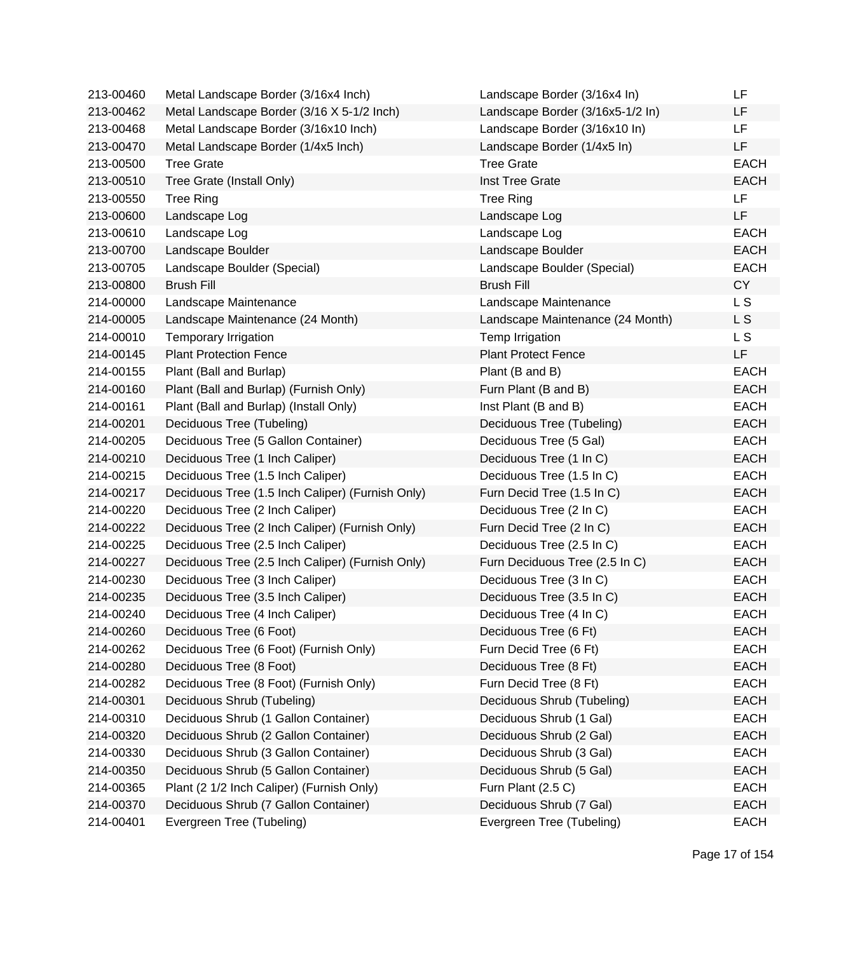| 213-00460 | Metal Landscape Border (3/16x4 Inch)             | Landscape Border (3/16x4 In)     | LF             |
|-----------|--------------------------------------------------|----------------------------------|----------------|
| 213-00462 | Metal Landscape Border (3/16 X 5-1/2 Inch)       | Landscape Border (3/16x5-1/2 In) | LF             |
| 213-00468 | Metal Landscape Border (3/16x10 Inch)            | Landscape Border (3/16x10 In)    | <b>LF</b>      |
| 213-00470 | Metal Landscape Border (1/4x5 Inch)              | Landscape Border (1/4x5 In)      | LF             |
| 213-00500 | <b>Tree Grate</b>                                | <b>Tree Grate</b>                | <b>EACH</b>    |
| 213-00510 | Tree Grate (Install Only)                        | Inst Tree Grate                  | <b>EACH</b>    |
| 213-00550 | <b>Tree Ring</b>                                 | <b>Tree Ring</b>                 | LF             |
| 213-00600 | Landscape Log                                    | Landscape Log                    | <b>LF</b>      |
| 213-00610 | Landscape Log                                    | Landscape Log                    | <b>EACH</b>    |
| 213-00700 | Landscape Boulder                                | Landscape Boulder                | <b>EACH</b>    |
| 213-00705 | Landscape Boulder (Special)                      | Landscape Boulder (Special)      | <b>EACH</b>    |
| 213-00800 | <b>Brush Fill</b>                                | <b>Brush Fill</b>                | <b>CY</b>      |
| 214-00000 | Landscape Maintenance                            | Landscape Maintenance            | L <sub>S</sub> |
| 214-00005 | Landscape Maintenance (24 Month)                 | Landscape Maintenance (24 Month) | L S            |
| 214-00010 | Temporary Irrigation                             | Temp Irrigation                  | L S            |
| 214-00145 | <b>Plant Protection Fence</b>                    | <b>Plant Protect Fence</b>       | LF.            |
| 214-00155 | Plant (Ball and Burlap)                          | Plant (B and B)                  | <b>EACH</b>    |
| 214-00160 | Plant (Ball and Burlap) (Furnish Only)           | Furn Plant (B and B)             | <b>EACH</b>    |
| 214-00161 | Plant (Ball and Burlap) (Install Only)           | Inst Plant (B and B)             | <b>EACH</b>    |
| 214-00201 | Deciduous Tree (Tubeling)                        | Deciduous Tree (Tubeling)        | <b>EACH</b>    |
| 214-00205 | Deciduous Tree (5 Gallon Container)              | Deciduous Tree (5 Gal)           | <b>EACH</b>    |
| 214-00210 | Deciduous Tree (1 Inch Caliper)                  | Deciduous Tree (1 In C)          | <b>EACH</b>    |
| 214-00215 | Deciduous Tree (1.5 Inch Caliper)                | Deciduous Tree (1.5 In C)        | <b>EACH</b>    |
| 214-00217 | Deciduous Tree (1.5 Inch Caliper) (Furnish Only) | Furn Decid Tree (1.5 In C)       | <b>EACH</b>    |
| 214-00220 | Deciduous Tree (2 Inch Caliper)                  | Deciduous Tree (2 In C)          | <b>EACH</b>    |
| 214-00222 | Deciduous Tree (2 Inch Caliper) (Furnish Only)   | Furn Decid Tree (2 In C)         | <b>EACH</b>    |
| 214-00225 | Deciduous Tree (2.5 Inch Caliper)                | Deciduous Tree (2.5 In C)        | <b>EACH</b>    |
| 214-00227 | Deciduous Tree (2.5 Inch Caliper) (Furnish Only) | Furn Deciduous Tree (2.5 In C)   | <b>EACH</b>    |
| 214-00230 | Deciduous Tree (3 Inch Caliper)                  | Deciduous Tree (3 In C)          | <b>EACH</b>    |
| 214-00235 | Deciduous Tree (3.5 Inch Caliper)                | Deciduous Tree (3.5 In C)        | <b>EACH</b>    |
| 214-00240 | Deciduous Tree (4 Inch Caliper)                  | Deciduous Tree (4 In C)          | <b>EACH</b>    |
| 214-00260 | Deciduous Tree (6 Foot)                          | Deciduous Tree (6 Ft)            | <b>EACH</b>    |
| 214-00262 | Deciduous Tree (6 Foot) (Furnish Only)           | Furn Decid Tree (6 Ft)           | <b>EACH</b>    |
| 214-00280 | Deciduous Tree (8 Foot)                          | Deciduous Tree (8 Ft)            | <b>EACH</b>    |
| 214-00282 | Deciduous Tree (8 Foot) (Furnish Only)           | Furn Decid Tree (8 Ft)           | <b>EACH</b>    |
| 214-00301 | Deciduous Shrub (Tubeling)                       | Deciduous Shrub (Tubeling)       | <b>EACH</b>    |
| 214-00310 | Deciduous Shrub (1 Gallon Container)             | Deciduous Shrub (1 Gal)          | <b>EACH</b>    |
| 214-00320 | Deciduous Shrub (2 Gallon Container)             | Deciduous Shrub (2 Gal)          | <b>EACH</b>    |
| 214-00330 | Deciduous Shrub (3 Gallon Container)             | Deciduous Shrub (3 Gal)          | <b>EACH</b>    |
| 214-00350 | Deciduous Shrub (5 Gallon Container)             | Deciduous Shrub (5 Gal)          | <b>EACH</b>    |
| 214-00365 | Plant (2 1/2 Inch Caliper) (Furnish Only)        | Furn Plant (2.5 C)               | <b>EACH</b>    |
| 214-00370 | Deciduous Shrub (7 Gallon Container)             | Deciduous Shrub (7 Gal)          | <b>EACH</b>    |
| 214-00401 | Evergreen Tree (Tubeling)                        | Evergreen Tree (Tubeling)        | <b>EACH</b>    |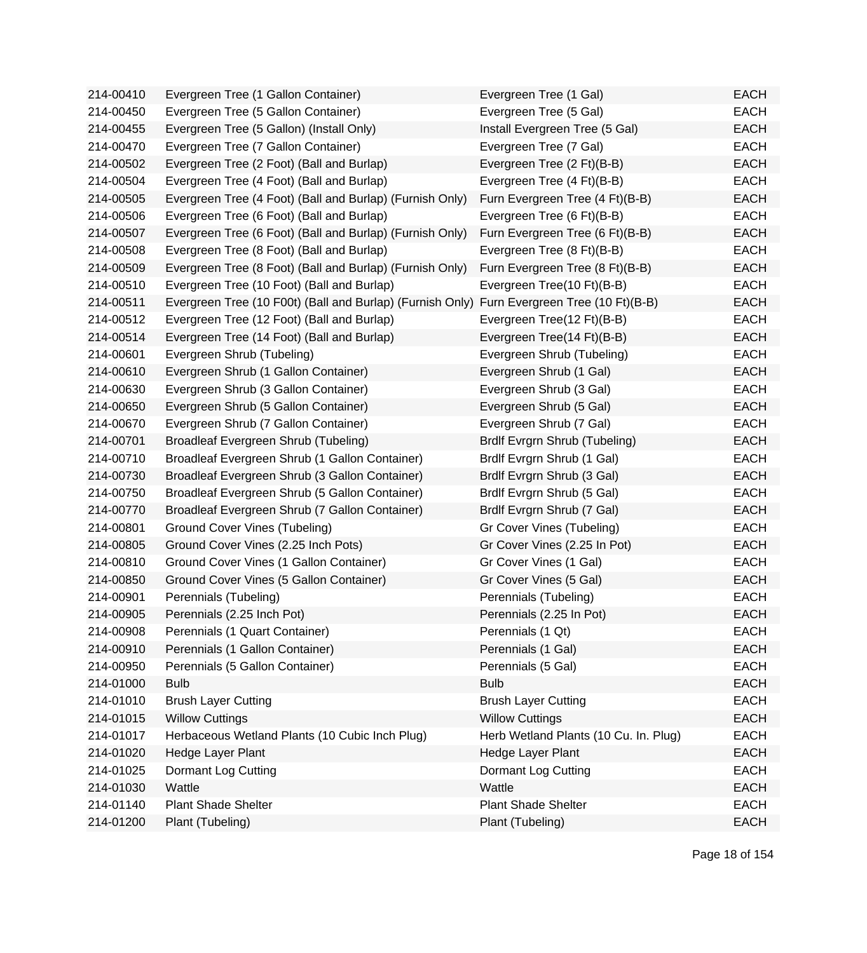| 214-00410 | Evergreen Tree (1 Gallon Container)                                                        | Evergreen Tree (1 Gal)                | <b>EACH</b> |
|-----------|--------------------------------------------------------------------------------------------|---------------------------------------|-------------|
| 214-00450 | Evergreen Tree (5 Gallon Container)                                                        | Evergreen Tree (5 Gal)                | <b>EACH</b> |
| 214-00455 | Evergreen Tree (5 Gallon) (Install Only)                                                   | Install Evergreen Tree (5 Gal)        | <b>EACH</b> |
| 214-00470 | Evergreen Tree (7 Gallon Container)                                                        | Evergreen Tree (7 Gal)                | <b>EACH</b> |
| 214-00502 | Evergreen Tree (2 Foot) (Ball and Burlap)                                                  | Evergreen Tree (2 Ft)(B-B)            | <b>EACH</b> |
| 214-00504 | Evergreen Tree (4 Foot) (Ball and Burlap)                                                  | Evergreen Tree (4 Ft)(B-B)            | <b>EACH</b> |
| 214-00505 | Evergreen Tree (4 Foot) (Ball and Burlap) (Furnish Only)                                   | Furn Evergreen Tree (4 Ft)(B-B)       | <b>EACH</b> |
| 214-00506 | Evergreen Tree (6 Foot) (Ball and Burlap)                                                  | Evergreen Tree (6 Ft)(B-B)            | <b>EACH</b> |
| 214-00507 | Evergreen Tree (6 Foot) (Ball and Burlap) (Furnish Only)                                   | Furn Evergreen Tree (6 Ft)(B-B)       | <b>EACH</b> |
| 214-00508 | Evergreen Tree (8 Foot) (Ball and Burlap)                                                  | Evergreen Tree (8 Ft)(B-B)            | <b>EACH</b> |
| 214-00509 | Evergreen Tree (8 Foot) (Ball and Burlap) (Furnish Only)                                   | Furn Evergreen Tree (8 Ft)(B-B)       | <b>EACH</b> |
| 214-00510 | Evergreen Tree (10 Foot) (Ball and Burlap)                                                 | Evergreen Tree(10 Ft)(B-B)            | <b>EACH</b> |
| 214-00511 | Evergreen Tree (10 F00t) (Ball and Burlap) (Furnish Only) Furn Evergreen Tree (10 Ft)(B-B) |                                       | <b>EACH</b> |
| 214-00512 | Evergreen Tree (12 Foot) (Ball and Burlap)                                                 | Evergreen Tree(12 Ft)(B-B)            | <b>EACH</b> |
| 214-00514 | Evergreen Tree (14 Foot) (Ball and Burlap)                                                 | Evergreen Tree(14 Ft)(B-B)            | <b>EACH</b> |
| 214-00601 | Evergreen Shrub (Tubeling)                                                                 | Evergreen Shrub (Tubeling)            | <b>EACH</b> |
| 214-00610 | Evergreen Shrub (1 Gallon Container)                                                       | Evergreen Shrub (1 Gal)               | <b>EACH</b> |
| 214-00630 | Evergreen Shrub (3 Gallon Container)                                                       | Evergreen Shrub (3 Gal)               | <b>EACH</b> |
| 214-00650 | Evergreen Shrub (5 Gallon Container)                                                       | Evergreen Shrub (5 Gal)               | <b>EACH</b> |
| 214-00670 | Evergreen Shrub (7 Gallon Container)                                                       | Evergreen Shrub (7 Gal)               | <b>EACH</b> |
| 214-00701 | Broadleaf Evergreen Shrub (Tubeling)                                                       | Brdlf Evrgrn Shrub (Tubeling)         | <b>EACH</b> |
| 214-00710 | Broadleaf Evergreen Shrub (1 Gallon Container)                                             | Brdlf Evrgrn Shrub (1 Gal)            | <b>EACH</b> |
| 214-00730 | Broadleaf Evergreen Shrub (3 Gallon Container)                                             | Brdlf Evrgrn Shrub (3 Gal)            | <b>EACH</b> |
| 214-00750 | Broadleaf Evergreen Shrub (5 Gallon Container)                                             | Brdlf Evrgrn Shrub (5 Gal)            | <b>EACH</b> |
| 214-00770 | Broadleaf Evergreen Shrub (7 Gallon Container)                                             | Brdlf Evrgrn Shrub (7 Gal)            | <b>EACH</b> |
| 214-00801 | Ground Cover Vines (Tubeling)                                                              | Gr Cover Vines (Tubeling)             | <b>EACH</b> |
| 214-00805 | Ground Cover Vines (2.25 Inch Pots)                                                        | Gr Cover Vines (2.25 In Pot)          | <b>EACH</b> |
| 214-00810 | Ground Cover Vines (1 Gallon Container)                                                    | Gr Cover Vines (1 Gal)                | <b>EACH</b> |
| 214-00850 | Ground Cover Vines (5 Gallon Container)                                                    | Gr Cover Vines (5 Gal)                | <b>EACH</b> |
| 214-00901 | Perennials (Tubeling)                                                                      | Perennials (Tubeling)                 | <b>EACH</b> |
| 214-00905 | Perennials (2.25 Inch Pot)                                                                 | Perennials (2.25 In Pot)              | <b>EACH</b> |
| 214-00908 | Perennials (1 Quart Container)                                                             | Perennials (1 Qt)                     | <b>EACH</b> |
| 214-00910 | Perennials (1 Gallon Container)                                                            | Perennials (1 Gal)                    | <b>EACH</b> |
| 214-00950 | Perennials (5 Gallon Container)                                                            | Perennials (5 Gal)                    | <b>EACH</b> |
| 214-01000 | <b>Bulb</b>                                                                                | <b>Bulb</b>                           | <b>EACH</b> |
| 214-01010 | <b>Brush Layer Cutting</b>                                                                 | <b>Brush Layer Cutting</b>            | <b>EACH</b> |
| 214-01015 | <b>Willow Cuttings</b>                                                                     | <b>Willow Cuttings</b>                | <b>EACH</b> |
| 214-01017 | Herbaceous Wetland Plants (10 Cubic Inch Plug)                                             | Herb Wetland Plants (10 Cu. In. Plug) | <b>EACH</b> |
| 214-01020 | Hedge Layer Plant                                                                          | Hedge Layer Plant                     | <b>EACH</b> |
| 214-01025 | Dormant Log Cutting                                                                        | Dormant Log Cutting                   | <b>EACH</b> |
| 214-01030 | Wattle                                                                                     | Wattle                                | <b>EACH</b> |
| 214-01140 | <b>Plant Shade Shelter</b>                                                                 | <b>Plant Shade Shelter</b>            | <b>EACH</b> |
| 214-01200 | Plant (Tubeling)                                                                           | Plant (Tubeling)                      | <b>EACH</b> |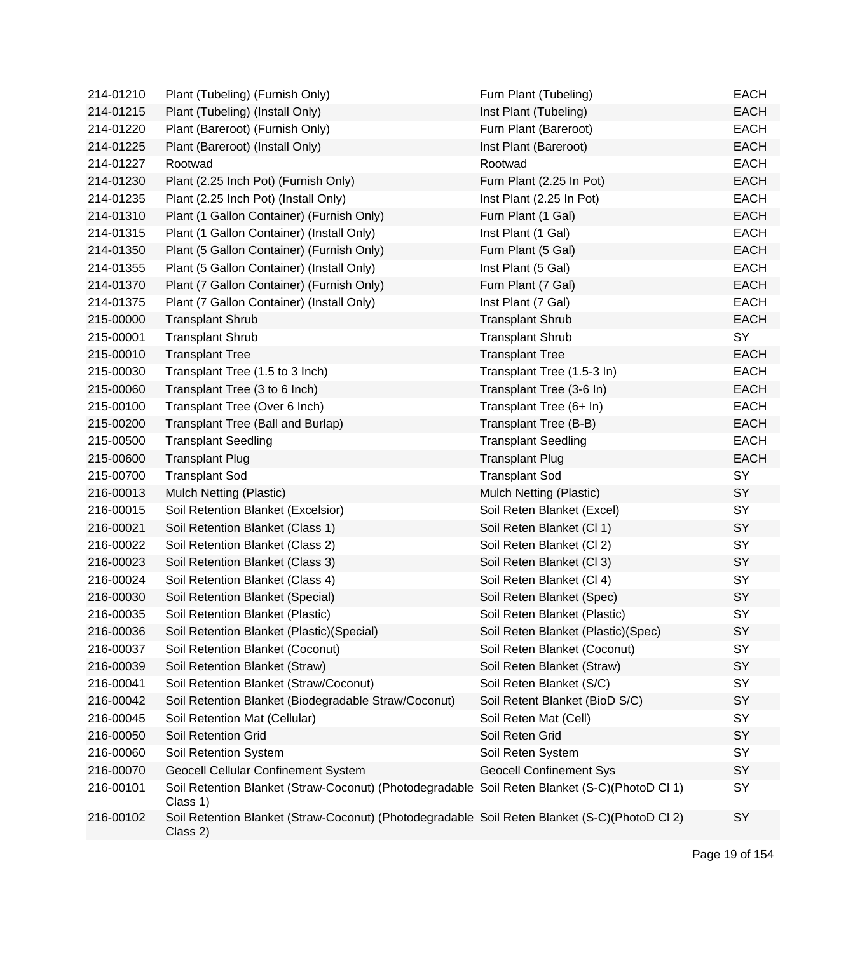| 214-01210 | Plant (Tubeling) (Furnish Only)                                                                           | Furn Plant (Tubeling)              | <b>EACH</b> |
|-----------|-----------------------------------------------------------------------------------------------------------|------------------------------------|-------------|
| 214-01215 | Plant (Tubeling) (Install Only)                                                                           | Inst Plant (Tubeling)              | <b>EACH</b> |
| 214-01220 | Plant (Bareroot) (Furnish Only)                                                                           | Furn Plant (Bareroot)              | <b>EACH</b> |
| 214-01225 | Plant (Bareroot) (Install Only)                                                                           | Inst Plant (Bareroot)              | <b>EACH</b> |
| 214-01227 | Rootwad                                                                                                   | Rootwad                            | <b>EACH</b> |
| 214-01230 | Plant (2.25 Inch Pot) (Furnish Only)                                                                      | Furn Plant (2.25 In Pot)           | <b>EACH</b> |
| 214-01235 | Plant (2.25 Inch Pot) (Install Only)                                                                      | Inst Plant (2.25 In Pot)           | <b>EACH</b> |
| 214-01310 | Plant (1 Gallon Container) (Furnish Only)                                                                 | Furn Plant (1 Gal)                 | <b>EACH</b> |
| 214-01315 | Plant (1 Gallon Container) (Install Only)                                                                 | Inst Plant (1 Gal)                 | <b>EACH</b> |
| 214-01350 | Plant (5 Gallon Container) (Furnish Only)                                                                 | Furn Plant (5 Gal)                 | <b>EACH</b> |
| 214-01355 | Plant (5 Gallon Container) (Install Only)                                                                 | Inst Plant (5 Gal)                 | <b>EACH</b> |
| 214-01370 | Plant (7 Gallon Container) (Furnish Only)                                                                 | Furn Plant (7 Gal)                 | <b>EACH</b> |
| 214-01375 | Plant (7 Gallon Container) (Install Only)                                                                 | Inst Plant (7 Gal)                 | <b>EACH</b> |
| 215-00000 | <b>Transplant Shrub</b>                                                                                   | <b>Transplant Shrub</b>            | <b>EACH</b> |
| 215-00001 | <b>Transplant Shrub</b>                                                                                   | <b>Transplant Shrub</b>            | SY          |
| 215-00010 | <b>Transplant Tree</b>                                                                                    | <b>Transplant Tree</b>             | <b>EACH</b> |
| 215-00030 | Transplant Tree (1.5 to 3 Inch)                                                                           | Transplant Tree (1.5-3 In)         | <b>EACH</b> |
| 215-00060 | Transplant Tree (3 to 6 Inch)                                                                             | Transplant Tree (3-6 In)           | <b>EACH</b> |
| 215-00100 | Transplant Tree (Over 6 Inch)                                                                             | Transplant Tree (6+ In)            | <b>EACH</b> |
| 215-00200 | Transplant Tree (Ball and Burlap)                                                                         | Transplant Tree (B-B)              | <b>EACH</b> |
| 215-00500 | <b>Transplant Seedling</b>                                                                                | <b>Transplant Seedling</b>         | <b>EACH</b> |
| 215-00600 | <b>Transplant Plug</b>                                                                                    | <b>Transplant Plug</b>             | <b>EACH</b> |
| 215-00700 | <b>Transplant Sod</b>                                                                                     | <b>Transplant Sod</b>              | SY          |
| 216-00013 | Mulch Netting (Plastic)                                                                                   | Mulch Netting (Plastic)            | SY          |
| 216-00015 | Soil Retention Blanket (Excelsior)                                                                        | Soil Reten Blanket (Excel)         | SY          |
| 216-00021 | Soil Retention Blanket (Class 1)                                                                          | Soil Reten Blanket (Cl 1)          | SY          |
| 216-00022 | Soil Retention Blanket (Class 2)                                                                          | Soil Reten Blanket (Cl 2)          | SY          |
| 216-00023 | Soil Retention Blanket (Class 3)                                                                          | Soil Reten Blanket (Cl 3)          | SY          |
| 216-00024 | Soil Retention Blanket (Class 4)                                                                          | Soil Reten Blanket (Cl 4)          | SY          |
| 216-00030 | Soil Retention Blanket (Special)                                                                          | Soil Reten Blanket (Spec)          | SY          |
| 216-00035 | Soil Retention Blanket (Plastic)                                                                          | Soil Reten Blanket (Plastic)       | SY          |
| 216-00036 | Soil Retention Blanket (Plastic) (Special)                                                                | Soil Reten Blanket (Plastic)(Spec) | SY          |
| 216-00037 | Soil Retention Blanket (Coconut)                                                                          | Soil Reten Blanket (Coconut)       | SY          |
| 216-00039 | Soil Retention Blanket (Straw)                                                                            | Soil Reten Blanket (Straw)         | <b>SY</b>   |
| 216-00041 | Soil Retention Blanket (Straw/Coconut)                                                                    | Soil Reten Blanket (S/C)           | SY          |
| 216-00042 | Soil Retention Blanket (Biodegradable Straw/Coconut)                                                      | Soil Retent Blanket (BioD S/C)     | SY          |
| 216-00045 | Soil Retention Mat (Cellular)                                                                             | Soil Reten Mat (Cell)              | SY          |
| 216-00050 | Soil Retention Grid                                                                                       | Soil Reten Grid                    | SY          |
| 216-00060 | Soil Retention System                                                                                     | Soil Reten System                  | SY          |
| 216-00070 | <b>Geocell Cellular Confinement System</b>                                                                | <b>Geocell Confinement Sys</b>     | SY          |
| 216-00101 | Soil Retention Blanket (Straw-Coconut) (Photodegradable Soil Reten Blanket (S-C)(PhotoD Cl 1)<br>Class 1) |                                    | SY          |
| 216-00102 | Soil Retention Blanket (Straw-Coconut) (Photodegradable Soil Reten Blanket (S-C)(PhotoD Cl 2)<br>Class 2) |                                    | SY          |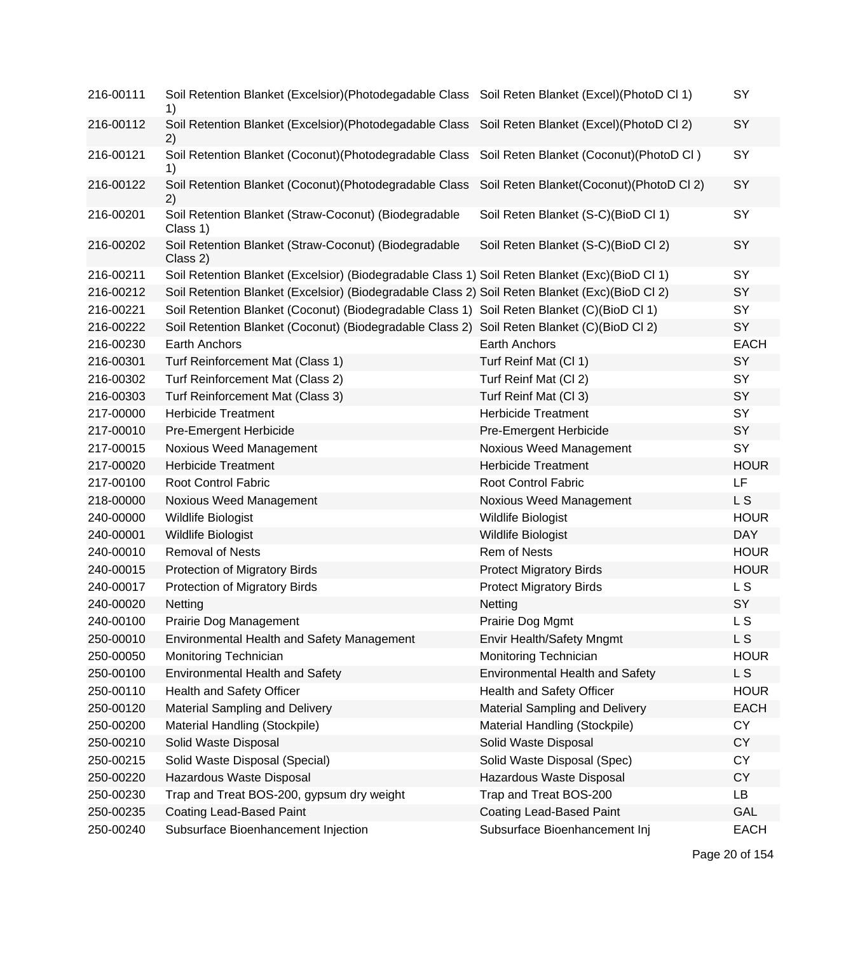| 216-00111 | Soil Retention Blanket (Excelsior)(Photodegadable Class Soil Reten Blanket (Excel)(PhotoD Cl 1)<br>1)  |                                           | SY             |
|-----------|--------------------------------------------------------------------------------------------------------|-------------------------------------------|----------------|
| 216-00112 | Soil Retention Blanket (Excelsior)(Photodegadable Class Soil Reten Blanket (Excel)(PhotoD Cl 2)<br>2)  |                                           | SY             |
| 216-00121 | Soil Retention Blanket (Coconut) (Photodegradable Class Soil Reten Blanket (Coconut) (PhotoD Cl)<br>1) |                                           | SY             |
| 216-00122 | Soil Retention Blanket (Coconut) (Photodegradable Class<br>2)                                          | Soil Reten Blanket(Coconut) (PhotoD Cl 2) | SY             |
| 216-00201 | Soil Retention Blanket (Straw-Coconut) (Biodegradable<br>Class 1)                                      | Soil Reten Blanket (S-C)(BioD Cl 1)       | SY             |
| 216-00202 | Soil Retention Blanket (Straw-Coconut) (Biodegradable<br>Class 2)                                      | Soil Reten Blanket (S-C)(BioD Cl 2)       | SY             |
| 216-00211 | Soil Retention Blanket (Excelsior) (Biodegradable Class 1) Soil Reten Blanket (Exc)(BioD Cl 1)         |                                           | SY             |
| 216-00212 | Soil Retention Blanket (Excelsior) (Biodegradable Class 2) Soil Reten Blanket (Exc)(BioD Cl 2)         |                                           | SY             |
| 216-00221 | Soil Retention Blanket (Coconut) (Biodegradable Class 1) Soil Reten Blanket (C)(BioD Cl 1)             |                                           | SY             |
| 216-00222 | Soil Retention Blanket (Coconut) (Biodegradable Class 2) Soil Reten Blanket (C)(BioD Cl 2)             |                                           | SY             |
| 216-00230 | Earth Anchors                                                                                          | Earth Anchors                             | <b>EACH</b>    |
| 216-00301 | Turf Reinforcement Mat (Class 1)                                                                       | Turf Reinf Mat (Cl 1)                     | SY             |
| 216-00302 | Turf Reinforcement Mat (Class 2)                                                                       | Turf Reinf Mat (Cl 2)                     | SY             |
| 216-00303 | Turf Reinforcement Mat (Class 3)                                                                       | Turf Reinf Mat (Cl 3)                     | SY             |
| 217-00000 | <b>Herbicide Treatment</b>                                                                             | <b>Herbicide Treatment</b>                | SY             |
| 217-00010 | Pre-Emergent Herbicide                                                                                 | Pre-Emergent Herbicide                    | SY             |
| 217-00015 | Noxious Weed Management                                                                                | <b>Noxious Weed Management</b>            | SY             |
| 217-00020 | <b>Herbicide Treatment</b>                                                                             | <b>Herbicide Treatment</b>                | <b>HOUR</b>    |
| 217-00100 | Root Control Fabric                                                                                    | Root Control Fabric                       | LF             |
| 218-00000 | Noxious Weed Management                                                                                | Noxious Weed Management                   | L S            |
| 240-00000 | Wildlife Biologist                                                                                     | Wildlife Biologist                        | <b>HOUR</b>    |
| 240-00001 | Wildlife Biologist                                                                                     | <b>Wildlife Biologist</b>                 | <b>DAY</b>     |
| 240-00010 | Removal of Nests                                                                                       | Rem of Nests                              | <b>HOUR</b>    |
| 240-00015 | Protection of Migratory Birds                                                                          | <b>Protect Migratory Birds</b>            | <b>HOUR</b>    |
| 240-00017 | Protection of Migratory Birds                                                                          | <b>Protect Migratory Birds</b>            | <b>LS</b>      |
| 240-00020 | Netting                                                                                                | Netting                                   | SY             |
| 240-00100 | Prairie Dog Management                                                                                 | Prairie Dog Mgmt                          | L <sub>S</sub> |
| 250-00010 | <b>Environmental Health and Safety Management</b>                                                      | Envir Health/Safety Mngmt                 | L S            |
| 250-00050 | Monitoring Technician                                                                                  | Monitoring Technician                     | <b>HOUR</b>    |
| 250-00100 | <b>Environmental Health and Safety</b>                                                                 | <b>Environmental Health and Safety</b>    | L S            |
| 250-00110 | Health and Safety Officer                                                                              | Health and Safety Officer                 | <b>HOUR</b>    |
| 250-00120 | <b>Material Sampling and Delivery</b>                                                                  | Material Sampling and Delivery            | <b>EACH</b>    |
| 250-00200 | Material Handling (Stockpile)                                                                          | Material Handling (Stockpile)             | <b>CY</b>      |
| 250-00210 | Solid Waste Disposal                                                                                   | Solid Waste Disposal                      | <b>CY</b>      |
| 250-00215 | Solid Waste Disposal (Special)                                                                         | Solid Waste Disposal (Spec)               | <b>CY</b>      |
| 250-00220 | Hazardous Waste Disposal                                                                               | Hazardous Waste Disposal                  | <b>CY</b>      |
| 250-00230 | Trap and Treat BOS-200, gypsum dry weight                                                              | Trap and Treat BOS-200                    | LB             |
| 250-00235 | Coating Lead-Based Paint                                                                               | Coating Lead-Based Paint                  | GAL            |
| 250-00240 | Subsurface Bioenhancement Injection                                                                    | Subsurface Bioenhancement Inj             | <b>EACH</b>    |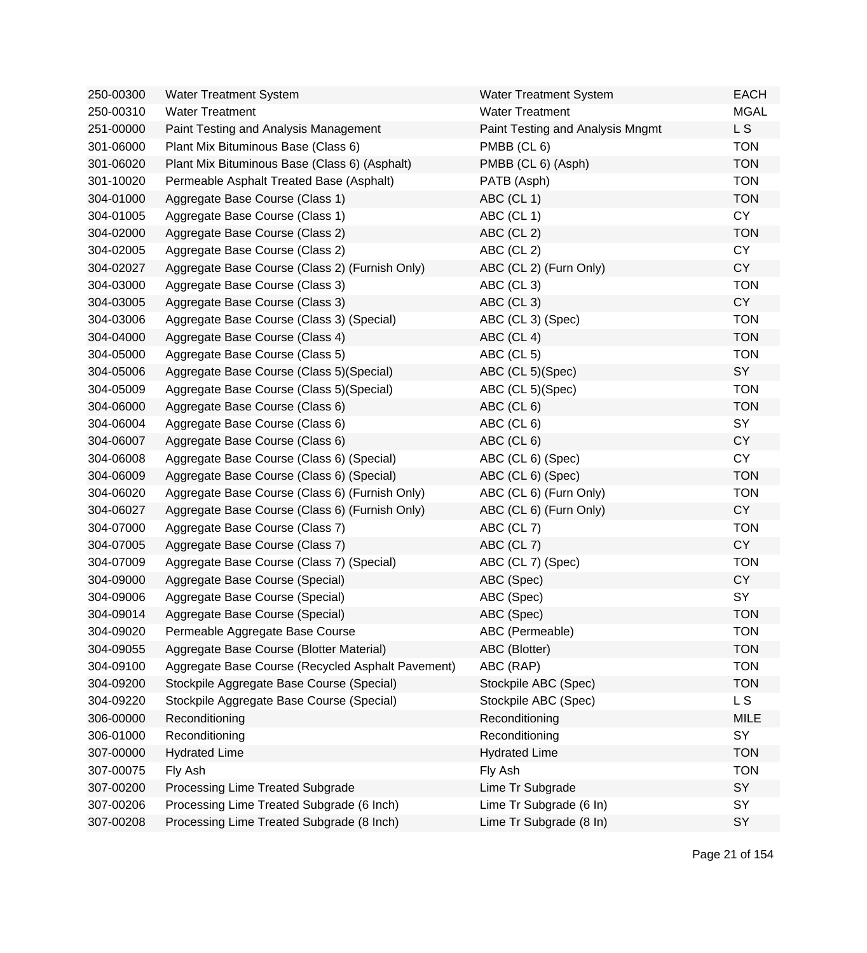| 250-00300 | <b>Water Treatment System</b>                     | <b>Water Treatment System</b>    | <b>EACH</b> |
|-----------|---------------------------------------------------|----------------------------------|-------------|
| 250-00310 | <b>Water Treatment</b>                            | <b>Water Treatment</b>           | <b>MGAL</b> |
| 251-00000 | Paint Testing and Analysis Management             | Paint Testing and Analysis Mngmt | L S         |
| 301-06000 | Plant Mix Bituminous Base (Class 6)               | PMBB (CL 6)                      | <b>TON</b>  |
| 301-06020 | Plant Mix Bituminous Base (Class 6) (Asphalt)     | PMBB (CL 6) (Asph)               | <b>TON</b>  |
| 301-10020 | Permeable Asphalt Treated Base (Asphalt)          | PATB (Asph)                      | <b>TON</b>  |
| 304-01000 | Aggregate Base Course (Class 1)                   | ABC (CL 1)                       | <b>TON</b>  |
| 304-01005 | Aggregate Base Course (Class 1)                   | ABC (CL 1)                       | <b>CY</b>   |
| 304-02000 | Aggregate Base Course (Class 2)                   | ABC (CL 2)                       | <b>TON</b>  |
| 304-02005 | Aggregate Base Course (Class 2)                   | ABC (CL 2)                       | <b>CY</b>   |
| 304-02027 | Aggregate Base Course (Class 2) (Furnish Only)    | ABC (CL 2) (Furn Only)           | <b>CY</b>   |
| 304-03000 | Aggregate Base Course (Class 3)                   | ABC (CL 3)                       | <b>TON</b>  |
| 304-03005 | Aggregate Base Course (Class 3)                   | ABC (CL 3)                       | <b>CY</b>   |
| 304-03006 | Aggregate Base Course (Class 3) (Special)         | ABC (CL 3) (Spec)                | <b>TON</b>  |
| 304-04000 | Aggregate Base Course (Class 4)                   | ABC (CL 4)                       | <b>TON</b>  |
| 304-05000 | Aggregate Base Course (Class 5)                   | ABC (CL 5)                       | <b>TON</b>  |
| 304-05006 | Aggregate Base Course (Class 5) (Special)         | ABC (CL 5)(Spec)                 | SY          |
| 304-05009 | Aggregate Base Course (Class 5) (Special)         | ABC (CL 5)(Spec)                 | <b>TON</b>  |
| 304-06000 | Aggregate Base Course (Class 6)                   | ABC (CL 6)                       | <b>TON</b>  |
| 304-06004 | Aggregate Base Course (Class 6)                   | ABC (CL 6)                       | SY          |
| 304-06007 | Aggregate Base Course (Class 6)                   | ABC (CL 6)                       | <b>CY</b>   |
| 304-06008 | Aggregate Base Course (Class 6) (Special)         | ABC (CL 6) (Spec)                | <b>CY</b>   |
| 304-06009 | Aggregate Base Course (Class 6) (Special)         | ABC (CL 6) (Spec)                | <b>TON</b>  |
| 304-06020 | Aggregate Base Course (Class 6) (Furnish Only)    | ABC (CL 6) (Furn Only)           | <b>TON</b>  |
| 304-06027 | Aggregate Base Course (Class 6) (Furnish Only)    | ABC (CL 6) (Furn Only)           | <b>CY</b>   |
| 304-07000 | Aggregate Base Course (Class 7)                   | ABC (CL 7)                       | <b>TON</b>  |
| 304-07005 | Aggregate Base Course (Class 7)                   | ABC (CL 7)                       | <b>CY</b>   |
| 304-07009 | Aggregate Base Course (Class 7) (Special)         | ABC (CL 7) (Spec)                | <b>TON</b>  |
| 304-09000 | Aggregate Base Course (Special)                   | ABC (Spec)                       | <b>CY</b>   |
| 304-09006 | Aggregate Base Course (Special)                   | ABC (Spec)                       | SY          |
| 304-09014 | Aggregate Base Course (Special)                   | ABC (Spec)                       | <b>TON</b>  |
| 304-09020 | Permeable Aggregate Base Course                   | ABC (Permeable)                  | TON         |
| 304-09055 | Aggregate Base Course (Blotter Material)          | ABC (Blotter)                    | <b>TON</b>  |
| 304-09100 | Aggregate Base Course (Recycled Asphalt Pavement) | ABC (RAP)                        | <b>TON</b>  |
| 304-09200 | Stockpile Aggregate Base Course (Special)         | Stockpile ABC (Spec)             | <b>TON</b>  |
| 304-09220 | Stockpile Aggregate Base Course (Special)         | Stockpile ABC (Spec)             | L S         |
| 306-00000 | Reconditioning                                    | Reconditioning                   | <b>MILE</b> |
| 306-01000 | Reconditioning                                    | Reconditioning                   | SY          |
| 307-00000 | <b>Hydrated Lime</b>                              | <b>Hydrated Lime</b>             | <b>TON</b>  |
| 307-00075 | Fly Ash                                           | Fly Ash                          | <b>TON</b>  |
| 307-00200 | Processing Lime Treated Subgrade                  | Lime Tr Subgrade                 | SY          |
| 307-00206 | Processing Lime Treated Subgrade (6 Inch)         | Lime Tr Subgrade (6 In)          | SY          |
| 307-00208 | Processing Lime Treated Subgrade (8 Inch)         | Lime Tr Subgrade (8 In)          | SY          |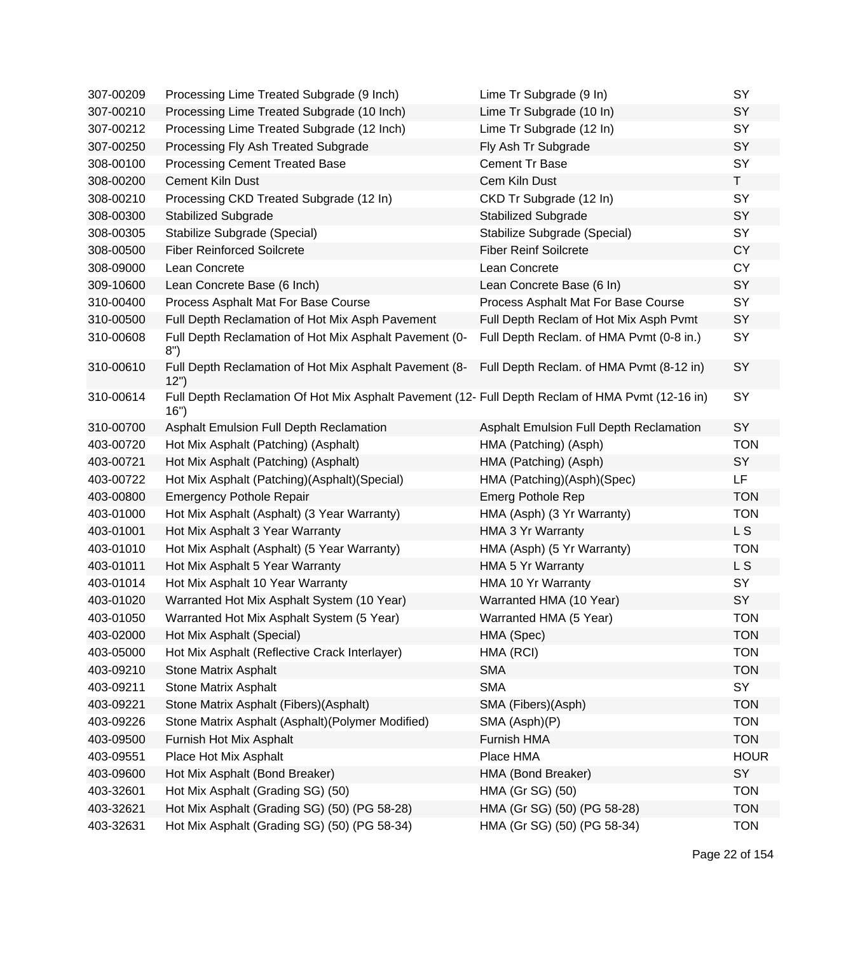| 307-00209 | Processing Lime Treated Subgrade (9 Inch)                                                                | Lime Tr Subgrade (9 In)                  | SY          |
|-----------|----------------------------------------------------------------------------------------------------------|------------------------------------------|-------------|
| 307-00210 | Processing Lime Treated Subgrade (10 Inch)                                                               | Lime Tr Subgrade (10 In)                 | SY          |
| 307-00212 | Processing Lime Treated Subgrade (12 Inch)                                                               | Lime Tr Subgrade (12 In)                 | SY          |
| 307-00250 | Processing Fly Ash Treated Subgrade                                                                      | Fly Ash Tr Subgrade                      | SY          |
| 308-00100 | Processing Cement Treated Base                                                                           | <b>Cement Tr Base</b>                    | SY          |
| 308-00200 | <b>Cement Kiln Dust</b>                                                                                  | Cem Kiln Dust                            | T.          |
| 308-00210 | Processing CKD Treated Subgrade (12 In)                                                                  | CKD Tr Subgrade (12 In)                  | SY          |
| 308-00300 | Stabilized Subgrade                                                                                      | <b>Stabilized Subgrade</b>               | SY          |
| 308-00305 | Stabilize Subgrade (Special)                                                                             | Stabilize Subgrade (Special)             | SY          |
| 308-00500 | <b>Fiber Reinforced Soilcrete</b>                                                                        | <b>Fiber Reinf Soilcrete</b>             | <b>CY</b>   |
| 308-09000 | Lean Concrete                                                                                            | Lean Concrete                            | <b>CY</b>   |
| 309-10600 | Lean Concrete Base (6 Inch)                                                                              | Lean Concrete Base (6 In)                | SY          |
| 310-00400 | Process Asphalt Mat For Base Course                                                                      | Process Asphalt Mat For Base Course      | SY          |
| 310-00500 | Full Depth Reclamation of Hot Mix Asph Pavement                                                          | Full Depth Reclam of Hot Mix Asph Pvmt   | SY          |
| 310-00608 | Full Depth Reclamation of Hot Mix Asphalt Pavement (0-<br>8")                                            | Full Depth Reclam. of HMA Pvmt (0-8 in.) | SY          |
| 310-00610 | Full Depth Reclamation of Hot Mix Asphalt Pavement (8-<br>12")                                           | Full Depth Reclam. of HMA Pvmt (8-12 in) | SY          |
| 310-00614 | Full Depth Reclamation Of Hot Mix Asphalt Pavement (12- Full Depth Reclam of HMA Pvmt (12-16 in)<br>16") |                                          | SY          |
| 310-00700 | Asphalt Emulsion Full Depth Reclamation                                                                  | Asphalt Emulsion Full Depth Reclamation  | SY          |
| 403-00720 | Hot Mix Asphalt (Patching) (Asphalt)                                                                     | HMA (Patching) (Asph)                    | <b>TON</b>  |
| 403-00721 | Hot Mix Asphalt (Patching) (Asphalt)                                                                     | HMA (Patching) (Asph)                    | SY          |
| 403-00722 | Hot Mix Asphalt (Patching)(Asphalt)(Special)                                                             | HMA (Patching)(Asph)(Spec)               | LF          |
| 403-00800 | <b>Emergency Pothole Repair</b>                                                                          | <b>Emerg Pothole Rep</b>                 | <b>TON</b>  |
| 403-01000 | Hot Mix Asphalt (Asphalt) (3 Year Warranty)                                                              | HMA (Asph) (3 Yr Warranty)               | <b>TON</b>  |
| 403-01001 | Hot Mix Asphalt 3 Year Warranty                                                                          | HMA 3 Yr Warranty                        | L S         |
| 403-01010 | Hot Mix Asphalt (Asphalt) (5 Year Warranty)                                                              | HMA (Asph) (5 Yr Warranty)               | <b>TON</b>  |
| 403-01011 | Hot Mix Asphalt 5 Year Warranty                                                                          | HMA 5 Yr Warranty                        | L S         |
| 403-01014 | Hot Mix Asphalt 10 Year Warranty                                                                         | HMA 10 Yr Warranty                       | SY          |
| 403-01020 | Warranted Hot Mix Asphalt System (10 Year)                                                               | Warranted HMA (10 Year)                  | SY          |
| 403-01050 | Warranted Hot Mix Asphalt System (5 Year)                                                                | Warranted HMA (5 Year)                   | <b>TON</b>  |
| 403-02000 | Hot Mix Asphalt (Special)                                                                                | HMA (Spec)                               | <b>TON</b>  |
| 403-05000 | Hot Mix Asphalt (Reflective Crack Interlayer)                                                            | HMA (RCI)                                | <b>TON</b>  |
| 403-09210 | <b>Stone Matrix Asphalt</b>                                                                              | <b>SMA</b>                               | <b>TON</b>  |
| 403-09211 | <b>Stone Matrix Asphalt</b>                                                                              | <b>SMA</b>                               | SY          |
| 403-09221 | Stone Matrix Asphalt (Fibers) (Asphalt)                                                                  | SMA (Fibers)(Asph)                       | <b>TON</b>  |
| 403-09226 | Stone Matrix Asphalt (Asphalt) (Polymer Modified)                                                        | SMA (Asph)(P)                            | <b>TON</b>  |
| 403-09500 | Furnish Hot Mix Asphalt                                                                                  | Furnish HMA                              | <b>TON</b>  |
| 403-09551 | Place Hot Mix Asphalt                                                                                    | Place HMA                                | <b>HOUR</b> |
| 403-09600 | Hot Mix Asphalt (Bond Breaker)                                                                           | HMA (Bond Breaker)                       | SY          |
| 403-32601 | Hot Mix Asphalt (Grading SG) (50)                                                                        | HMA (Gr SG) (50)                         | <b>TON</b>  |
| 403-32621 | Hot Mix Asphalt (Grading SG) (50) (PG 58-28)                                                             | HMA (Gr SG) (50) (PG 58-28)              | <b>TON</b>  |
| 403-32631 | Hot Mix Asphalt (Grading SG) (50) (PG 58-34)                                                             | HMA (Gr SG) (50) (PG 58-34)              | <b>TON</b>  |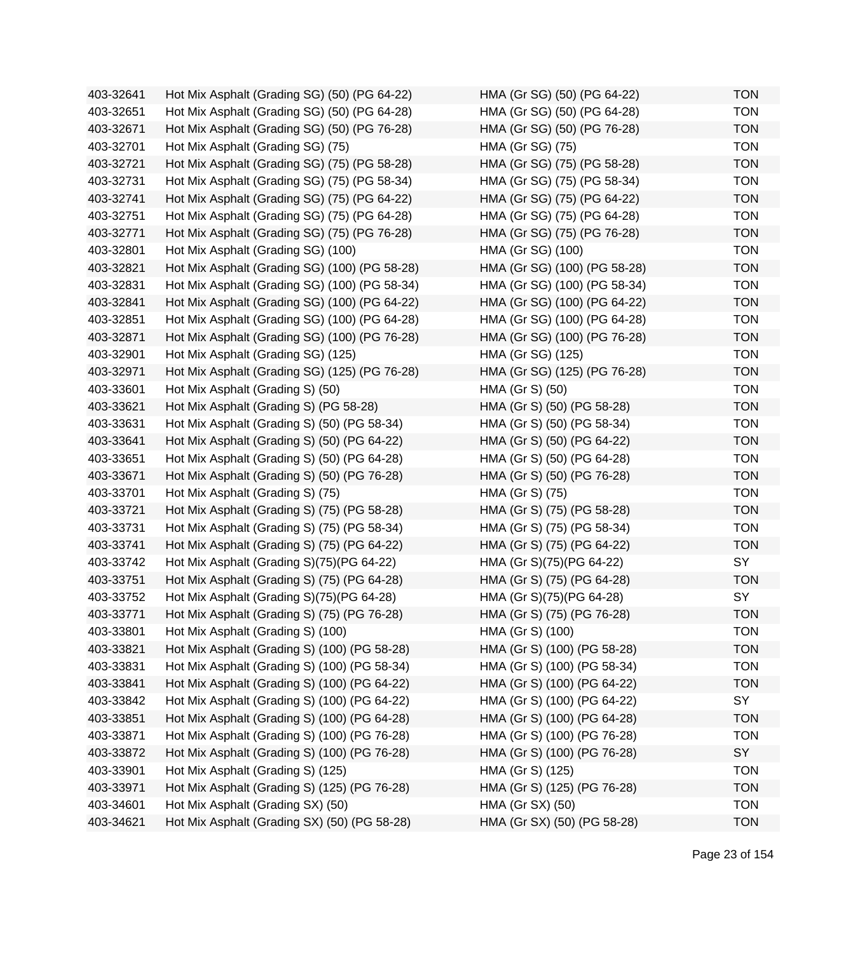403-32641 Hot Mix Asphalt (Grading SG) (50) (PG 64-22) HMA (Gr SG) (50) (PG 64-22) TON 403-32651 Hot Mix Asphalt (Grading SG) (50) (PG 64-28) HMA (Gr SG) (50) (PG 64-28) TON 403-32671 Hot Mix Asphalt (Grading SG) (50) (PG 76-28) HMA (Gr SG) (50) (PG 76-28) TON 403-32701 Hot Mix Asphalt (Grading SG) (75) HMA (Gr SG) (75) TON 403-32721 Hot Mix Asphalt (Grading SG) (75) (PG 58-28) HMA (Gr SG) (75) (PG 58-28) TON 403-32731 Hot Mix Asphalt (Grading SG) (75) (PG 58-34) HMA (Gr SG) (75) (PG 58-34) TON 403-32741 Hot Mix Asphalt (Grading SG) (75) (PG 64-22) HMA (Gr SG) (75) (PG 64-22) TON 403-32751 Hot Mix Asphalt (Grading SG) (75) (PG 64-28) HMA (Gr SG) (75) (PG 64-28) TON 403-32771 Hot Mix Asphalt (Grading SG) (75) (PG 76-28) HMA (Gr SG) (75) (PG 76-28) TON 403-32801 Hot Mix Asphalt (Grading SG) (100) HMA (Gr SG) (100) TON 403-32821 Hot Mix Asphalt (Grading SG) (100) (PG 58-28) HMA (Gr SG) (100) (PG 58-28) TON 403-32831 Hot Mix Asphalt (Grading SG) (100) (PG 58-34) HMA (Gr SG) (100) (PG 58-34) TON 403-32841 Hot Mix Asphalt (Grading SG) (100) (PG 64-22) HMA (Gr SG) (100) (PG 64-22) TON 403-32851 Hot Mix Asphalt (Grading SG) (100) (PG 64-28) HMA (Gr SG) (100) (PG 64-28) TON 403-32871 Hot Mix Asphalt (Grading SG) (100) (PG 76-28) HMA (Gr SG) (100) (PG 76-28) TON 403-32901 Hot Mix Asphalt (Grading SG) (125) HMA (Gr SG) (125) TON 403-32971 Hot Mix Asphalt (Grading SG) (125) (PG 76-28) HMA (Gr SG) (125) (PG 76-28) TON 403-33601 Hot Mix Asphalt (Grading S) (50) HMA (Gr S) (50) TON 403-33621 Hot Mix Asphalt (Grading S) (PG 58-28) HMA (Gr S) (50) (PG 58-28) TON 403-33631 Hot Mix Asphalt (Grading S) (50) (PG 58-34) HMA (Gr S) (50) (PG 58-34) TON 403-33641 Hot Mix Asphalt (Grading S) (50) (PG 64-22) HMA (Gr S) (50) (PG 64-22) TON 403-33651 Hot Mix Asphalt (Grading S) (50) (PG 64-28) HMA (Gr S) (50) (PG 64-28) TON 403-33671 Hot Mix Asphalt (Grading S) (50) (PG 76-28) HMA (Gr S) (50) (PG 76-28) TON 403-33701 Hot Mix Asphalt (Grading S) (75) HMA (Gr S) (75) TON 403-33721 Hot Mix Asphalt (Grading S) (75) (PG 58-28) HMA (Gr S) (75) (PG 58-28) TON 403-33731 Hot Mix Asphalt (Grading S) (75) (PG 58-34) HMA (Gr S) (75) (PG 58-34) TON 403-33741 Hot Mix Asphalt (Grading S) (75) (PG 64-22) HMA (Gr S) (75) (PG 64-22) TON 403-33742 Hot Mix Asphalt (Grading S)(75)(PG 64-22) HMA (Gr S)(75)(PG 64-22) SY 403-33751 Hot Mix Asphalt (Grading S) (75) (PG 64-28) HMA (Gr S) (75) (PG 64-28) TON 403-33752 Hot Mix Asphalt (Grading S)(75)(PG 64-28) HMA (Gr S)(75)(PG 64-28) SY 403-33771 Hot Mix Asphalt (Grading S) (75) (PG 76-28) HMA (Gr S) (75) (PG 76-28) TON 403-33801 Hot Mix Asphalt (Grading S) (100) HMA (Gr S) (100) TON 403-33821 Hot Mix Asphalt (Grading S) (100) (PG 58-28) HMA (Gr S) (100) (PG 58-28) TON 403-33831 Hot Mix Asphalt (Grading S) (100) (PG 58-34) HMA (Gr S) (100) (PG 58-34) TON 403-33841 Hot Mix Asphalt (Grading S) (100) (PG 64-22) HMA (Gr S) (100) (PG 64-22) TON 403-33842 Hot Mix Asphalt (Grading S) (100) (PG 64-22) HMA (Gr S) (100) (PG 64-22) SY 403-33851 Hot Mix Asphalt (Grading S) (100) (PG 64-28) HMA (Gr S) (100) (PG 64-28) TON 403-33871 Hot Mix Asphalt (Grading S) (100) (PG 76-28) HMA (Gr S) (100) (PG 76-28) TON 403-33872 Hot Mix Asphalt (Grading S) (100) (PG 76-28) HMA (Gr S) (100) (PG 76-28) SY 403-33901 Hot Mix Asphalt (Grading S) (125) HMA (Gr S) (125) TON 403-33971 Hot Mix Asphalt (Grading S) (125) (PG 76-28) HMA (Gr S) (125) (PG 76-28) TON 403-34601 Hot Mix Asphalt (Grading SX) (50) HMA (Gr SX) (50) TON 403-34621 Hot Mix Asphalt (Grading SX) (50) (PG 58-28) HMA (Gr SX) (50) (PG 58-28) TON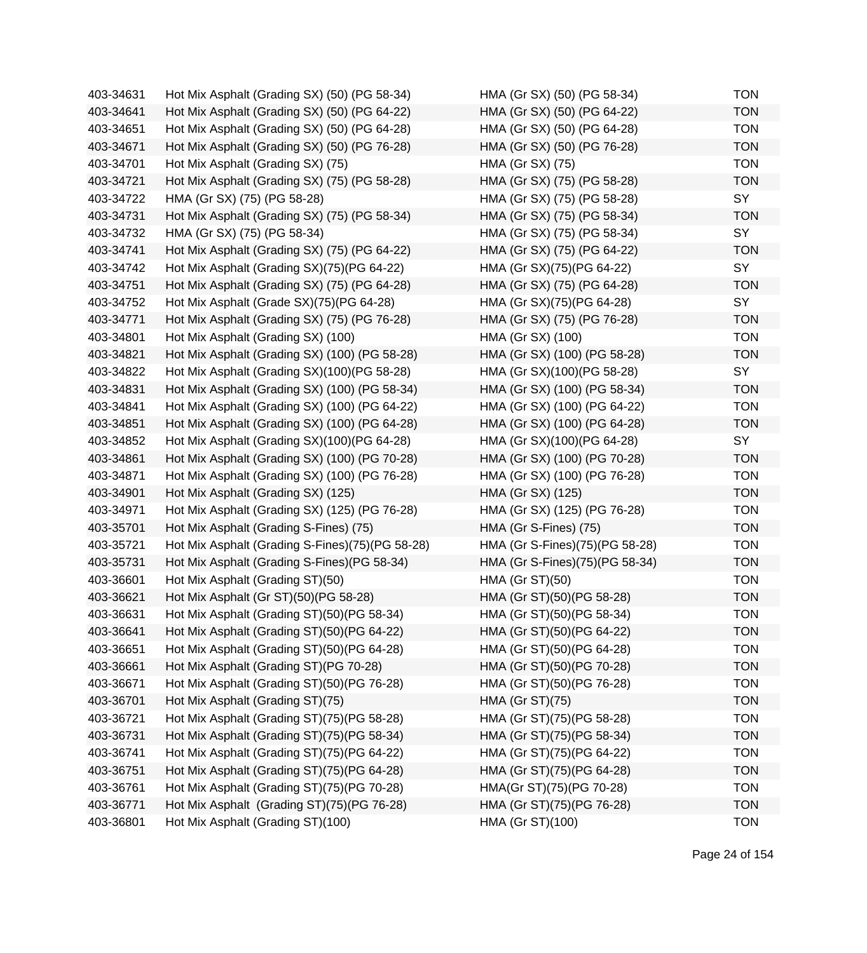| 403-34641<br>Hot Mix Asphalt (Grading SX) (50) (PG 64-22)<br>HMA (Gr SX) (50) (PG 64-22)<br>Hot Mix Asphalt (Grading SX) (50) (PG 64-28)<br>HMA (Gr SX) (50) (PG 64-28)<br>403-34651<br>403-34671<br>Hot Mix Asphalt (Grading SX) (50) (PG 76-28)<br>HMA (Gr SX) (50) (PG 76-28)<br>403-34701<br>Hot Mix Asphalt (Grading SX) (75)<br>HMA (Gr SX) (75)<br>403-34721<br>Hot Mix Asphalt (Grading SX) (75) (PG 58-28)<br>HMA (Gr SX) (75) (PG 58-28)<br>403-34722<br>HMA (Gr SX) (75) (PG 58-28)<br>HMA (Gr SX) (75) (PG 58-28)<br>HMA (Gr SX) (75) (PG 58-34)<br>403-34731<br>Hot Mix Asphalt (Grading SX) (75) (PG 58-34)<br>403-34732<br>HMA (Gr SX) (75) (PG 58-34)<br>HMA (Gr SX) (75) (PG 58-34)<br>403-34741<br>Hot Mix Asphalt (Grading SX) (75) (PG 64-22)<br>HMA (Gr SX) (75) (PG 64-22)<br>Hot Mix Asphalt (Grading SX)(75)(PG 64-22)<br>403-34742<br>HMA (Gr SX)(75)(PG 64-22)<br>403-34751<br>Hot Mix Asphalt (Grading SX) (75) (PG 64-28)<br>HMA (Gr SX) (75) (PG 64-28)<br>Hot Mix Asphalt (Grade SX)(75)(PG 64-28)<br>HMA (Gr SX)(75)(PG 64-28)<br>403-34752<br>403-34771<br>Hot Mix Asphalt (Grading SX) (75) (PG 76-28)<br>HMA (Gr SX) (75) (PG 76-28)<br>403-34801<br>Hot Mix Asphalt (Grading SX) (100)<br>HMA (Gr SX) (100)<br>Hot Mix Asphalt (Grading SX) (100) (PG 58-28)<br>HMA (Gr SX) (100) (PG 58-28)<br>403-34821<br>Hot Mix Asphalt (Grading SX)(100)(PG 58-28)<br>403-34822<br>HMA (Gr SX)(100)(PG 58-28)<br>Hot Mix Asphalt (Grading SX) (100) (PG 58-34)<br>HMA (Gr SX) (100) (PG 58-34)<br>403-34831<br>403-34841<br>Hot Mix Asphalt (Grading SX) (100) (PG 64-22)<br>HMA (Gr SX) (100) (PG 64-22)<br>403-34851<br>Hot Mix Asphalt (Grading SX) (100) (PG 64-28)<br>HMA (Gr SX) (100) (PG 64-28)<br>Hot Mix Asphalt (Grading SX)(100)(PG 64-28)<br>HMA (Gr SX)(100)(PG 64-28)<br>403-34852<br>403-34861<br>Hot Mix Asphalt (Grading SX) (100) (PG 70-28)<br>HMA (Gr SX) (100) (PG 70-28)<br>Hot Mix Asphalt (Grading SX) (100) (PG 76-28)<br>HMA (Gr SX) (100) (PG 76-28)<br>403-34871<br>403-34901<br>Hot Mix Asphalt (Grading SX) (125)<br>HMA (Gr SX) (125)<br>403-34971<br>Hot Mix Asphalt (Grading SX) (125) (PG 76-28)<br>HMA (Gr SX) (125) (PG 76-28)<br>403-35701<br>Hot Mix Asphalt (Grading S-Fines) (75)<br>HMA (Gr S-Fines) (75)<br>403-35721<br>Hot Mix Asphalt (Grading S-Fines)(75)(PG 58-28)<br>HMA (Gr S-Fines)(75)(PG 58-28)<br>403-35731<br>Hot Mix Asphalt (Grading S-Fines) (PG 58-34)<br>HMA (Gr S-Fines)(75)(PG 58-34)<br>403-36601<br>Hot Mix Asphalt (Grading ST)(50)<br><b>HMA (Gr ST)(50)</b><br>403-36621<br>Hot Mix Asphalt (Gr ST)(50)(PG 58-28)<br>HMA (Gr ST)(50)(PG 58-28)<br>Hot Mix Asphalt (Grading ST)(50)(PG 58-34)<br>HMA (Gr ST)(50)(PG 58-34)<br>403-36631<br>403-36641<br>Hot Mix Asphalt (Grading ST)(50)(PG 64-22)<br>HMA (Gr ST)(50)(PG 64-22)<br>HMA (Gr ST)(50)(PG 64-28)<br>403-36651<br>Hot Mix Asphalt (Grading ST)(50)(PG 64-28)<br>HMA (Gr ST)(50)(PG 70-28)<br>403-36661<br>Hot Mix Asphalt (Grading ST)(PG 70-28)<br>403-36671<br>Hot Mix Asphalt (Grading ST)(50)(PG 76-28)<br>HMA (Gr ST)(50)(PG 76-28)<br>403-36701<br>Hot Mix Asphalt (Grading ST)(75)<br><b>HMA (Gr ST)(75)</b><br>403-36721<br>Hot Mix Asphalt (Grading ST)(75)(PG 58-28)<br>HMA (Gr ST)(75)(PG 58-28)<br>403-36731<br>Hot Mix Asphalt (Grading ST)(75)(PG 58-34)<br>HMA (Gr ST)(75)(PG 58-34)<br>Hot Mix Asphalt (Grading ST)(75)(PG 64-22)<br>HMA (Gr ST)(75)(PG 64-22)<br>403-36741<br>Hot Mix Asphalt (Grading ST)(75)(PG 64-28)<br>HMA (Gr ST)(75)(PG 64-28)<br>403-36751<br>Hot Mix Asphalt (Grading ST)(75)(PG 70-28)<br>HMA(Gr ST)(75)(PG 70-28)<br>403-36761<br>403-36771<br>Hot Mix Asphalt (Grading ST)(75)(PG 76-28)<br>HMA (Gr ST)(75)(PG 76-28)<br>403-36801<br>Hot Mix Asphalt (Grading ST)(100)<br>HMA (Gr ST)(100) | 403-34631 | Hot Mix Asphalt (Grading SX) (50) (PG 58-34) | HMA (Gr SX) (50) (PG 58-34) | <b>TON</b> |
|-------------------------------------------------------------------------------------------------------------------------------------------------------------------------------------------------------------------------------------------------------------------------------------------------------------------------------------------------------------------------------------------------------------------------------------------------------------------------------------------------------------------------------------------------------------------------------------------------------------------------------------------------------------------------------------------------------------------------------------------------------------------------------------------------------------------------------------------------------------------------------------------------------------------------------------------------------------------------------------------------------------------------------------------------------------------------------------------------------------------------------------------------------------------------------------------------------------------------------------------------------------------------------------------------------------------------------------------------------------------------------------------------------------------------------------------------------------------------------------------------------------------------------------------------------------------------------------------------------------------------------------------------------------------------------------------------------------------------------------------------------------------------------------------------------------------------------------------------------------------------------------------------------------------------------------------------------------------------------------------------------------------------------------------------------------------------------------------------------------------------------------------------------------------------------------------------------------------------------------------------------------------------------------------------------------------------------------------------------------------------------------------------------------------------------------------------------------------------------------------------------------------------------------------------------------------------------------------------------------------------------------------------------------------------------------------------------------------------------------------------------------------------------------------------------------------------------------------------------------------------------------------------------------------------------------------------------------------------------------------------------------------------------------------------------------------------------------------------------------------------------------------------------------------------------------------------------------------------------------------------------------------------------------------------------------------------------------------------------------------------------------------------------------------------------------------------------------------------------------------------------------------------------------------------------------------------------------------------------------------------------------------------------------------------------------------------------------------------------------------------------------------------------------------------|-----------|----------------------------------------------|-----------------------------|------------|
|                                                                                                                                                                                                                                                                                                                                                                                                                                                                                                                                                                                                                                                                                                                                                                                                                                                                                                                                                                                                                                                                                                                                                                                                                                                                                                                                                                                                                                                                                                                                                                                                                                                                                                                                                                                                                                                                                                                                                                                                                                                                                                                                                                                                                                                                                                                                                                                                                                                                                                                                                                                                                                                                                                                                                                                                                                                                                                                                                                                                                                                                                                                                                                                                                                                                                                                                                                                                                                                                                                                                                                                                                                                                                                                                                                                                 |           |                                              |                             | <b>TON</b> |
|                                                                                                                                                                                                                                                                                                                                                                                                                                                                                                                                                                                                                                                                                                                                                                                                                                                                                                                                                                                                                                                                                                                                                                                                                                                                                                                                                                                                                                                                                                                                                                                                                                                                                                                                                                                                                                                                                                                                                                                                                                                                                                                                                                                                                                                                                                                                                                                                                                                                                                                                                                                                                                                                                                                                                                                                                                                                                                                                                                                                                                                                                                                                                                                                                                                                                                                                                                                                                                                                                                                                                                                                                                                                                                                                                                                                 |           |                                              |                             | <b>TON</b> |
|                                                                                                                                                                                                                                                                                                                                                                                                                                                                                                                                                                                                                                                                                                                                                                                                                                                                                                                                                                                                                                                                                                                                                                                                                                                                                                                                                                                                                                                                                                                                                                                                                                                                                                                                                                                                                                                                                                                                                                                                                                                                                                                                                                                                                                                                                                                                                                                                                                                                                                                                                                                                                                                                                                                                                                                                                                                                                                                                                                                                                                                                                                                                                                                                                                                                                                                                                                                                                                                                                                                                                                                                                                                                                                                                                                                                 |           |                                              |                             | <b>TON</b> |
|                                                                                                                                                                                                                                                                                                                                                                                                                                                                                                                                                                                                                                                                                                                                                                                                                                                                                                                                                                                                                                                                                                                                                                                                                                                                                                                                                                                                                                                                                                                                                                                                                                                                                                                                                                                                                                                                                                                                                                                                                                                                                                                                                                                                                                                                                                                                                                                                                                                                                                                                                                                                                                                                                                                                                                                                                                                                                                                                                                                                                                                                                                                                                                                                                                                                                                                                                                                                                                                                                                                                                                                                                                                                                                                                                                                                 |           |                                              |                             | <b>TON</b> |
|                                                                                                                                                                                                                                                                                                                                                                                                                                                                                                                                                                                                                                                                                                                                                                                                                                                                                                                                                                                                                                                                                                                                                                                                                                                                                                                                                                                                                                                                                                                                                                                                                                                                                                                                                                                                                                                                                                                                                                                                                                                                                                                                                                                                                                                                                                                                                                                                                                                                                                                                                                                                                                                                                                                                                                                                                                                                                                                                                                                                                                                                                                                                                                                                                                                                                                                                                                                                                                                                                                                                                                                                                                                                                                                                                                                                 |           |                                              |                             | <b>TON</b> |
|                                                                                                                                                                                                                                                                                                                                                                                                                                                                                                                                                                                                                                                                                                                                                                                                                                                                                                                                                                                                                                                                                                                                                                                                                                                                                                                                                                                                                                                                                                                                                                                                                                                                                                                                                                                                                                                                                                                                                                                                                                                                                                                                                                                                                                                                                                                                                                                                                                                                                                                                                                                                                                                                                                                                                                                                                                                                                                                                                                                                                                                                                                                                                                                                                                                                                                                                                                                                                                                                                                                                                                                                                                                                                                                                                                                                 |           |                                              |                             | SY         |
|                                                                                                                                                                                                                                                                                                                                                                                                                                                                                                                                                                                                                                                                                                                                                                                                                                                                                                                                                                                                                                                                                                                                                                                                                                                                                                                                                                                                                                                                                                                                                                                                                                                                                                                                                                                                                                                                                                                                                                                                                                                                                                                                                                                                                                                                                                                                                                                                                                                                                                                                                                                                                                                                                                                                                                                                                                                                                                                                                                                                                                                                                                                                                                                                                                                                                                                                                                                                                                                                                                                                                                                                                                                                                                                                                                                                 |           |                                              |                             | <b>TON</b> |
|                                                                                                                                                                                                                                                                                                                                                                                                                                                                                                                                                                                                                                                                                                                                                                                                                                                                                                                                                                                                                                                                                                                                                                                                                                                                                                                                                                                                                                                                                                                                                                                                                                                                                                                                                                                                                                                                                                                                                                                                                                                                                                                                                                                                                                                                                                                                                                                                                                                                                                                                                                                                                                                                                                                                                                                                                                                                                                                                                                                                                                                                                                                                                                                                                                                                                                                                                                                                                                                                                                                                                                                                                                                                                                                                                                                                 |           |                                              |                             | SY         |
|                                                                                                                                                                                                                                                                                                                                                                                                                                                                                                                                                                                                                                                                                                                                                                                                                                                                                                                                                                                                                                                                                                                                                                                                                                                                                                                                                                                                                                                                                                                                                                                                                                                                                                                                                                                                                                                                                                                                                                                                                                                                                                                                                                                                                                                                                                                                                                                                                                                                                                                                                                                                                                                                                                                                                                                                                                                                                                                                                                                                                                                                                                                                                                                                                                                                                                                                                                                                                                                                                                                                                                                                                                                                                                                                                                                                 |           |                                              |                             | <b>TON</b> |
|                                                                                                                                                                                                                                                                                                                                                                                                                                                                                                                                                                                                                                                                                                                                                                                                                                                                                                                                                                                                                                                                                                                                                                                                                                                                                                                                                                                                                                                                                                                                                                                                                                                                                                                                                                                                                                                                                                                                                                                                                                                                                                                                                                                                                                                                                                                                                                                                                                                                                                                                                                                                                                                                                                                                                                                                                                                                                                                                                                                                                                                                                                                                                                                                                                                                                                                                                                                                                                                                                                                                                                                                                                                                                                                                                                                                 |           |                                              |                             | SY         |
|                                                                                                                                                                                                                                                                                                                                                                                                                                                                                                                                                                                                                                                                                                                                                                                                                                                                                                                                                                                                                                                                                                                                                                                                                                                                                                                                                                                                                                                                                                                                                                                                                                                                                                                                                                                                                                                                                                                                                                                                                                                                                                                                                                                                                                                                                                                                                                                                                                                                                                                                                                                                                                                                                                                                                                                                                                                                                                                                                                                                                                                                                                                                                                                                                                                                                                                                                                                                                                                                                                                                                                                                                                                                                                                                                                                                 |           |                                              |                             | <b>TON</b> |
|                                                                                                                                                                                                                                                                                                                                                                                                                                                                                                                                                                                                                                                                                                                                                                                                                                                                                                                                                                                                                                                                                                                                                                                                                                                                                                                                                                                                                                                                                                                                                                                                                                                                                                                                                                                                                                                                                                                                                                                                                                                                                                                                                                                                                                                                                                                                                                                                                                                                                                                                                                                                                                                                                                                                                                                                                                                                                                                                                                                                                                                                                                                                                                                                                                                                                                                                                                                                                                                                                                                                                                                                                                                                                                                                                                                                 |           |                                              |                             | SY         |
|                                                                                                                                                                                                                                                                                                                                                                                                                                                                                                                                                                                                                                                                                                                                                                                                                                                                                                                                                                                                                                                                                                                                                                                                                                                                                                                                                                                                                                                                                                                                                                                                                                                                                                                                                                                                                                                                                                                                                                                                                                                                                                                                                                                                                                                                                                                                                                                                                                                                                                                                                                                                                                                                                                                                                                                                                                                                                                                                                                                                                                                                                                                                                                                                                                                                                                                                                                                                                                                                                                                                                                                                                                                                                                                                                                                                 |           |                                              |                             | <b>TON</b> |
|                                                                                                                                                                                                                                                                                                                                                                                                                                                                                                                                                                                                                                                                                                                                                                                                                                                                                                                                                                                                                                                                                                                                                                                                                                                                                                                                                                                                                                                                                                                                                                                                                                                                                                                                                                                                                                                                                                                                                                                                                                                                                                                                                                                                                                                                                                                                                                                                                                                                                                                                                                                                                                                                                                                                                                                                                                                                                                                                                                                                                                                                                                                                                                                                                                                                                                                                                                                                                                                                                                                                                                                                                                                                                                                                                                                                 |           |                                              |                             | <b>TON</b> |
|                                                                                                                                                                                                                                                                                                                                                                                                                                                                                                                                                                                                                                                                                                                                                                                                                                                                                                                                                                                                                                                                                                                                                                                                                                                                                                                                                                                                                                                                                                                                                                                                                                                                                                                                                                                                                                                                                                                                                                                                                                                                                                                                                                                                                                                                                                                                                                                                                                                                                                                                                                                                                                                                                                                                                                                                                                                                                                                                                                                                                                                                                                                                                                                                                                                                                                                                                                                                                                                                                                                                                                                                                                                                                                                                                                                                 |           |                                              |                             | <b>TON</b> |
|                                                                                                                                                                                                                                                                                                                                                                                                                                                                                                                                                                                                                                                                                                                                                                                                                                                                                                                                                                                                                                                                                                                                                                                                                                                                                                                                                                                                                                                                                                                                                                                                                                                                                                                                                                                                                                                                                                                                                                                                                                                                                                                                                                                                                                                                                                                                                                                                                                                                                                                                                                                                                                                                                                                                                                                                                                                                                                                                                                                                                                                                                                                                                                                                                                                                                                                                                                                                                                                                                                                                                                                                                                                                                                                                                                                                 |           |                                              |                             | SY         |
|                                                                                                                                                                                                                                                                                                                                                                                                                                                                                                                                                                                                                                                                                                                                                                                                                                                                                                                                                                                                                                                                                                                                                                                                                                                                                                                                                                                                                                                                                                                                                                                                                                                                                                                                                                                                                                                                                                                                                                                                                                                                                                                                                                                                                                                                                                                                                                                                                                                                                                                                                                                                                                                                                                                                                                                                                                                                                                                                                                                                                                                                                                                                                                                                                                                                                                                                                                                                                                                                                                                                                                                                                                                                                                                                                                                                 |           |                                              |                             | <b>TON</b> |
|                                                                                                                                                                                                                                                                                                                                                                                                                                                                                                                                                                                                                                                                                                                                                                                                                                                                                                                                                                                                                                                                                                                                                                                                                                                                                                                                                                                                                                                                                                                                                                                                                                                                                                                                                                                                                                                                                                                                                                                                                                                                                                                                                                                                                                                                                                                                                                                                                                                                                                                                                                                                                                                                                                                                                                                                                                                                                                                                                                                                                                                                                                                                                                                                                                                                                                                                                                                                                                                                                                                                                                                                                                                                                                                                                                                                 |           |                                              |                             | <b>TON</b> |
|                                                                                                                                                                                                                                                                                                                                                                                                                                                                                                                                                                                                                                                                                                                                                                                                                                                                                                                                                                                                                                                                                                                                                                                                                                                                                                                                                                                                                                                                                                                                                                                                                                                                                                                                                                                                                                                                                                                                                                                                                                                                                                                                                                                                                                                                                                                                                                                                                                                                                                                                                                                                                                                                                                                                                                                                                                                                                                                                                                                                                                                                                                                                                                                                                                                                                                                                                                                                                                                                                                                                                                                                                                                                                                                                                                                                 |           |                                              |                             | <b>TON</b> |
|                                                                                                                                                                                                                                                                                                                                                                                                                                                                                                                                                                                                                                                                                                                                                                                                                                                                                                                                                                                                                                                                                                                                                                                                                                                                                                                                                                                                                                                                                                                                                                                                                                                                                                                                                                                                                                                                                                                                                                                                                                                                                                                                                                                                                                                                                                                                                                                                                                                                                                                                                                                                                                                                                                                                                                                                                                                                                                                                                                                                                                                                                                                                                                                                                                                                                                                                                                                                                                                                                                                                                                                                                                                                                                                                                                                                 |           |                                              |                             | SY         |
|                                                                                                                                                                                                                                                                                                                                                                                                                                                                                                                                                                                                                                                                                                                                                                                                                                                                                                                                                                                                                                                                                                                                                                                                                                                                                                                                                                                                                                                                                                                                                                                                                                                                                                                                                                                                                                                                                                                                                                                                                                                                                                                                                                                                                                                                                                                                                                                                                                                                                                                                                                                                                                                                                                                                                                                                                                                                                                                                                                                                                                                                                                                                                                                                                                                                                                                                                                                                                                                                                                                                                                                                                                                                                                                                                                                                 |           |                                              |                             | <b>TON</b> |
|                                                                                                                                                                                                                                                                                                                                                                                                                                                                                                                                                                                                                                                                                                                                                                                                                                                                                                                                                                                                                                                                                                                                                                                                                                                                                                                                                                                                                                                                                                                                                                                                                                                                                                                                                                                                                                                                                                                                                                                                                                                                                                                                                                                                                                                                                                                                                                                                                                                                                                                                                                                                                                                                                                                                                                                                                                                                                                                                                                                                                                                                                                                                                                                                                                                                                                                                                                                                                                                                                                                                                                                                                                                                                                                                                                                                 |           |                                              |                             | <b>TON</b> |
|                                                                                                                                                                                                                                                                                                                                                                                                                                                                                                                                                                                                                                                                                                                                                                                                                                                                                                                                                                                                                                                                                                                                                                                                                                                                                                                                                                                                                                                                                                                                                                                                                                                                                                                                                                                                                                                                                                                                                                                                                                                                                                                                                                                                                                                                                                                                                                                                                                                                                                                                                                                                                                                                                                                                                                                                                                                                                                                                                                                                                                                                                                                                                                                                                                                                                                                                                                                                                                                                                                                                                                                                                                                                                                                                                                                                 |           |                                              |                             | <b>TON</b> |
|                                                                                                                                                                                                                                                                                                                                                                                                                                                                                                                                                                                                                                                                                                                                                                                                                                                                                                                                                                                                                                                                                                                                                                                                                                                                                                                                                                                                                                                                                                                                                                                                                                                                                                                                                                                                                                                                                                                                                                                                                                                                                                                                                                                                                                                                                                                                                                                                                                                                                                                                                                                                                                                                                                                                                                                                                                                                                                                                                                                                                                                                                                                                                                                                                                                                                                                                                                                                                                                                                                                                                                                                                                                                                                                                                                                                 |           |                                              |                             | <b>TON</b> |
|                                                                                                                                                                                                                                                                                                                                                                                                                                                                                                                                                                                                                                                                                                                                                                                                                                                                                                                                                                                                                                                                                                                                                                                                                                                                                                                                                                                                                                                                                                                                                                                                                                                                                                                                                                                                                                                                                                                                                                                                                                                                                                                                                                                                                                                                                                                                                                                                                                                                                                                                                                                                                                                                                                                                                                                                                                                                                                                                                                                                                                                                                                                                                                                                                                                                                                                                                                                                                                                                                                                                                                                                                                                                                                                                                                                                 |           |                                              |                             | <b>TON</b> |
|                                                                                                                                                                                                                                                                                                                                                                                                                                                                                                                                                                                                                                                                                                                                                                                                                                                                                                                                                                                                                                                                                                                                                                                                                                                                                                                                                                                                                                                                                                                                                                                                                                                                                                                                                                                                                                                                                                                                                                                                                                                                                                                                                                                                                                                                                                                                                                                                                                                                                                                                                                                                                                                                                                                                                                                                                                                                                                                                                                                                                                                                                                                                                                                                                                                                                                                                                                                                                                                                                                                                                                                                                                                                                                                                                                                                 |           |                                              |                             | <b>TON</b> |
|                                                                                                                                                                                                                                                                                                                                                                                                                                                                                                                                                                                                                                                                                                                                                                                                                                                                                                                                                                                                                                                                                                                                                                                                                                                                                                                                                                                                                                                                                                                                                                                                                                                                                                                                                                                                                                                                                                                                                                                                                                                                                                                                                                                                                                                                                                                                                                                                                                                                                                                                                                                                                                                                                                                                                                                                                                                                                                                                                                                                                                                                                                                                                                                                                                                                                                                                                                                                                                                                                                                                                                                                                                                                                                                                                                                                 |           |                                              |                             | <b>TON</b> |
|                                                                                                                                                                                                                                                                                                                                                                                                                                                                                                                                                                                                                                                                                                                                                                                                                                                                                                                                                                                                                                                                                                                                                                                                                                                                                                                                                                                                                                                                                                                                                                                                                                                                                                                                                                                                                                                                                                                                                                                                                                                                                                                                                                                                                                                                                                                                                                                                                                                                                                                                                                                                                                                                                                                                                                                                                                                                                                                                                                                                                                                                                                                                                                                                                                                                                                                                                                                                                                                                                                                                                                                                                                                                                                                                                                                                 |           |                                              |                             | <b>TON</b> |
|                                                                                                                                                                                                                                                                                                                                                                                                                                                                                                                                                                                                                                                                                                                                                                                                                                                                                                                                                                                                                                                                                                                                                                                                                                                                                                                                                                                                                                                                                                                                                                                                                                                                                                                                                                                                                                                                                                                                                                                                                                                                                                                                                                                                                                                                                                                                                                                                                                                                                                                                                                                                                                                                                                                                                                                                                                                                                                                                                                                                                                                                                                                                                                                                                                                                                                                                                                                                                                                                                                                                                                                                                                                                                                                                                                                                 |           |                                              |                             | <b>TON</b> |
|                                                                                                                                                                                                                                                                                                                                                                                                                                                                                                                                                                                                                                                                                                                                                                                                                                                                                                                                                                                                                                                                                                                                                                                                                                                                                                                                                                                                                                                                                                                                                                                                                                                                                                                                                                                                                                                                                                                                                                                                                                                                                                                                                                                                                                                                                                                                                                                                                                                                                                                                                                                                                                                                                                                                                                                                                                                                                                                                                                                                                                                                                                                                                                                                                                                                                                                                                                                                                                                                                                                                                                                                                                                                                                                                                                                                 |           |                                              |                             | <b>TON</b> |
|                                                                                                                                                                                                                                                                                                                                                                                                                                                                                                                                                                                                                                                                                                                                                                                                                                                                                                                                                                                                                                                                                                                                                                                                                                                                                                                                                                                                                                                                                                                                                                                                                                                                                                                                                                                                                                                                                                                                                                                                                                                                                                                                                                                                                                                                                                                                                                                                                                                                                                                                                                                                                                                                                                                                                                                                                                                                                                                                                                                                                                                                                                                                                                                                                                                                                                                                                                                                                                                                                                                                                                                                                                                                                                                                                                                                 |           |                                              |                             | TON        |
|                                                                                                                                                                                                                                                                                                                                                                                                                                                                                                                                                                                                                                                                                                                                                                                                                                                                                                                                                                                                                                                                                                                                                                                                                                                                                                                                                                                                                                                                                                                                                                                                                                                                                                                                                                                                                                                                                                                                                                                                                                                                                                                                                                                                                                                                                                                                                                                                                                                                                                                                                                                                                                                                                                                                                                                                                                                                                                                                                                                                                                                                                                                                                                                                                                                                                                                                                                                                                                                                                                                                                                                                                                                                                                                                                                                                 |           |                                              |                             | <b>TON</b> |
|                                                                                                                                                                                                                                                                                                                                                                                                                                                                                                                                                                                                                                                                                                                                                                                                                                                                                                                                                                                                                                                                                                                                                                                                                                                                                                                                                                                                                                                                                                                                                                                                                                                                                                                                                                                                                                                                                                                                                                                                                                                                                                                                                                                                                                                                                                                                                                                                                                                                                                                                                                                                                                                                                                                                                                                                                                                                                                                                                                                                                                                                                                                                                                                                                                                                                                                                                                                                                                                                                                                                                                                                                                                                                                                                                                                                 |           |                                              |                             | <b>TON</b> |
|                                                                                                                                                                                                                                                                                                                                                                                                                                                                                                                                                                                                                                                                                                                                                                                                                                                                                                                                                                                                                                                                                                                                                                                                                                                                                                                                                                                                                                                                                                                                                                                                                                                                                                                                                                                                                                                                                                                                                                                                                                                                                                                                                                                                                                                                                                                                                                                                                                                                                                                                                                                                                                                                                                                                                                                                                                                                                                                                                                                                                                                                                                                                                                                                                                                                                                                                                                                                                                                                                                                                                                                                                                                                                                                                                                                                 |           |                                              |                             | <b>TON</b> |
|                                                                                                                                                                                                                                                                                                                                                                                                                                                                                                                                                                                                                                                                                                                                                                                                                                                                                                                                                                                                                                                                                                                                                                                                                                                                                                                                                                                                                                                                                                                                                                                                                                                                                                                                                                                                                                                                                                                                                                                                                                                                                                                                                                                                                                                                                                                                                                                                                                                                                                                                                                                                                                                                                                                                                                                                                                                                                                                                                                                                                                                                                                                                                                                                                                                                                                                                                                                                                                                                                                                                                                                                                                                                                                                                                                                                 |           |                                              |                             | <b>TON</b> |
|                                                                                                                                                                                                                                                                                                                                                                                                                                                                                                                                                                                                                                                                                                                                                                                                                                                                                                                                                                                                                                                                                                                                                                                                                                                                                                                                                                                                                                                                                                                                                                                                                                                                                                                                                                                                                                                                                                                                                                                                                                                                                                                                                                                                                                                                                                                                                                                                                                                                                                                                                                                                                                                                                                                                                                                                                                                                                                                                                                                                                                                                                                                                                                                                                                                                                                                                                                                                                                                                                                                                                                                                                                                                                                                                                                                                 |           |                                              |                             | <b>TON</b> |
|                                                                                                                                                                                                                                                                                                                                                                                                                                                                                                                                                                                                                                                                                                                                                                                                                                                                                                                                                                                                                                                                                                                                                                                                                                                                                                                                                                                                                                                                                                                                                                                                                                                                                                                                                                                                                                                                                                                                                                                                                                                                                                                                                                                                                                                                                                                                                                                                                                                                                                                                                                                                                                                                                                                                                                                                                                                                                                                                                                                                                                                                                                                                                                                                                                                                                                                                                                                                                                                                                                                                                                                                                                                                                                                                                                                                 |           |                                              |                             | <b>TON</b> |
|                                                                                                                                                                                                                                                                                                                                                                                                                                                                                                                                                                                                                                                                                                                                                                                                                                                                                                                                                                                                                                                                                                                                                                                                                                                                                                                                                                                                                                                                                                                                                                                                                                                                                                                                                                                                                                                                                                                                                                                                                                                                                                                                                                                                                                                                                                                                                                                                                                                                                                                                                                                                                                                                                                                                                                                                                                                                                                                                                                                                                                                                                                                                                                                                                                                                                                                                                                                                                                                                                                                                                                                                                                                                                                                                                                                                 |           |                                              |                             | <b>TON</b> |
|                                                                                                                                                                                                                                                                                                                                                                                                                                                                                                                                                                                                                                                                                                                                                                                                                                                                                                                                                                                                                                                                                                                                                                                                                                                                                                                                                                                                                                                                                                                                                                                                                                                                                                                                                                                                                                                                                                                                                                                                                                                                                                                                                                                                                                                                                                                                                                                                                                                                                                                                                                                                                                                                                                                                                                                                                                                                                                                                                                                                                                                                                                                                                                                                                                                                                                                                                                                                                                                                                                                                                                                                                                                                                                                                                                                                 |           |                                              |                             | <b>TON</b> |
|                                                                                                                                                                                                                                                                                                                                                                                                                                                                                                                                                                                                                                                                                                                                                                                                                                                                                                                                                                                                                                                                                                                                                                                                                                                                                                                                                                                                                                                                                                                                                                                                                                                                                                                                                                                                                                                                                                                                                                                                                                                                                                                                                                                                                                                                                                                                                                                                                                                                                                                                                                                                                                                                                                                                                                                                                                                                                                                                                                                                                                                                                                                                                                                                                                                                                                                                                                                                                                                                                                                                                                                                                                                                                                                                                                                                 |           |                                              |                             | <b>TON</b> |
|                                                                                                                                                                                                                                                                                                                                                                                                                                                                                                                                                                                                                                                                                                                                                                                                                                                                                                                                                                                                                                                                                                                                                                                                                                                                                                                                                                                                                                                                                                                                                                                                                                                                                                                                                                                                                                                                                                                                                                                                                                                                                                                                                                                                                                                                                                                                                                                                                                                                                                                                                                                                                                                                                                                                                                                                                                                                                                                                                                                                                                                                                                                                                                                                                                                                                                                                                                                                                                                                                                                                                                                                                                                                                                                                                                                                 |           |                                              |                             | <b>TON</b> |
|                                                                                                                                                                                                                                                                                                                                                                                                                                                                                                                                                                                                                                                                                                                                                                                                                                                                                                                                                                                                                                                                                                                                                                                                                                                                                                                                                                                                                                                                                                                                                                                                                                                                                                                                                                                                                                                                                                                                                                                                                                                                                                                                                                                                                                                                                                                                                                                                                                                                                                                                                                                                                                                                                                                                                                                                                                                                                                                                                                                                                                                                                                                                                                                                                                                                                                                                                                                                                                                                                                                                                                                                                                                                                                                                                                                                 |           |                                              |                             | <b>TON</b> |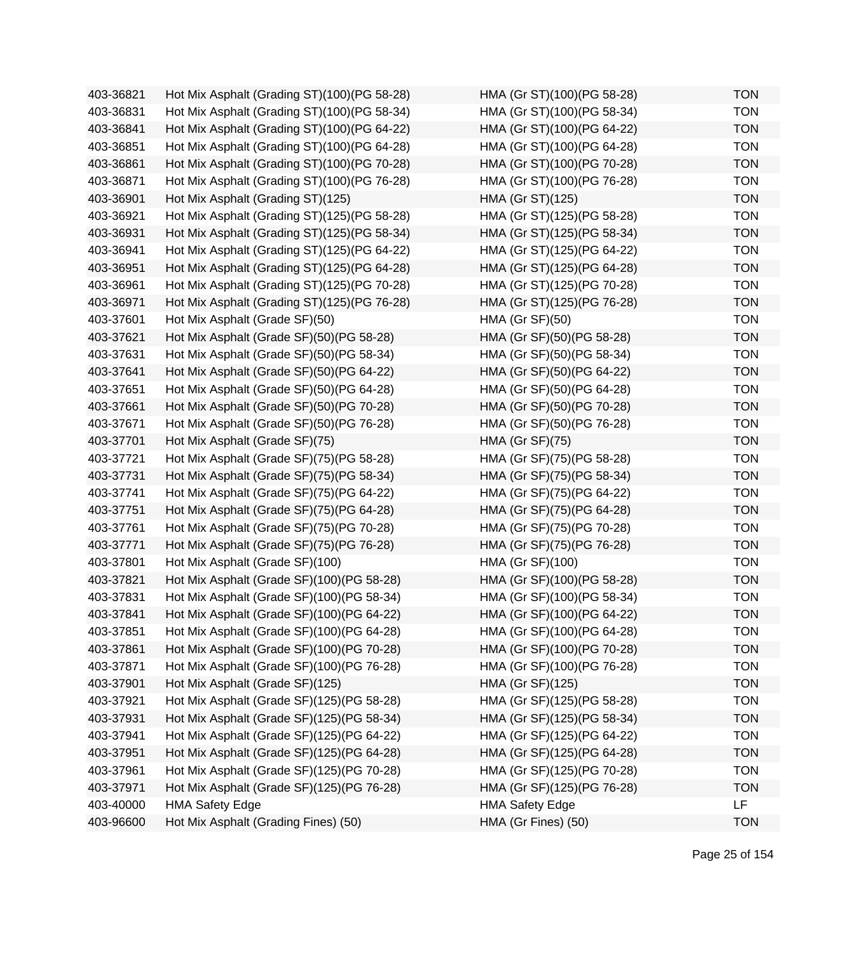| 403-36821 | Hot Mix Asphalt (Grading ST)(100)(PG 58-28) | HMA (Gr ST)(100)(PG 58-28) | <b>TON</b> |
|-----------|---------------------------------------------|----------------------------|------------|
| 403-36831 | Hot Mix Asphalt (Grading ST)(100)(PG 58-34) | HMA (Gr ST)(100)(PG 58-34) | <b>TON</b> |
| 403-36841 | Hot Mix Asphalt (Grading ST)(100)(PG 64-22) | HMA (Gr ST)(100)(PG 64-22) | <b>TON</b> |
| 403-36851 | Hot Mix Asphalt (Grading ST)(100)(PG 64-28) | HMA (Gr ST)(100)(PG 64-28) | <b>TON</b> |
| 403-36861 | Hot Mix Asphalt (Grading ST)(100)(PG 70-28) | HMA (Gr ST)(100)(PG 70-28) | <b>TON</b> |
| 403-36871 | Hot Mix Asphalt (Grading ST)(100)(PG 76-28) | HMA (Gr ST)(100)(PG 76-28) | <b>TON</b> |
| 403-36901 | Hot Mix Asphalt (Grading ST)(125)           | HMA (Gr ST)(125)           | <b>TON</b> |
| 403-36921 | Hot Mix Asphalt (Grading ST)(125)(PG 58-28) | HMA (Gr ST)(125)(PG 58-28) | <b>TON</b> |
| 403-36931 | Hot Mix Asphalt (Grading ST)(125)(PG 58-34) | HMA (Gr ST)(125)(PG 58-34) | <b>TON</b> |
| 403-36941 | Hot Mix Asphalt (Grading ST)(125)(PG 64-22) | HMA (Gr ST)(125)(PG 64-22) | <b>TON</b> |
| 403-36951 | Hot Mix Asphalt (Grading ST)(125)(PG 64-28) | HMA (Gr ST)(125)(PG 64-28) | <b>TON</b> |
| 403-36961 | Hot Mix Asphalt (Grading ST)(125)(PG 70-28) | HMA (Gr ST)(125)(PG 70-28) | <b>TON</b> |
| 403-36971 | Hot Mix Asphalt (Grading ST)(125)(PG 76-28) | HMA (Gr ST)(125)(PG 76-28) | <b>TON</b> |
| 403-37601 | Hot Mix Asphalt (Grade SF)(50)              | <b>HMA (Gr SF)(50)</b>     | <b>TON</b> |
| 403-37621 | Hot Mix Asphalt (Grade SF)(50)(PG 58-28)    | HMA (Gr SF)(50)(PG 58-28)  | <b>TON</b> |
| 403-37631 | Hot Mix Asphalt (Grade SF)(50)(PG 58-34)    | HMA (Gr SF)(50)(PG 58-34)  | <b>TON</b> |
| 403-37641 | Hot Mix Asphalt (Grade SF)(50)(PG 64-22)    | HMA (Gr SF)(50)(PG 64-22)  | <b>TON</b> |
| 403-37651 | Hot Mix Asphalt (Grade SF)(50)(PG 64-28)    | HMA (Gr SF)(50)(PG 64-28)  | <b>TON</b> |
| 403-37661 | Hot Mix Asphalt (Grade SF)(50)(PG 70-28)    | HMA (Gr SF)(50)(PG 70-28)  | <b>TON</b> |
| 403-37671 | Hot Mix Asphalt (Grade SF)(50)(PG 76-28)    | HMA (Gr SF)(50)(PG 76-28)  | <b>TON</b> |
| 403-37701 | Hot Mix Asphalt (Grade SF)(75)              | <b>HMA (Gr SF)(75)</b>     | <b>TON</b> |
| 403-37721 | Hot Mix Asphalt (Grade SF)(75)(PG 58-28)    | HMA (Gr SF)(75)(PG 58-28)  | <b>TON</b> |
| 403-37731 | Hot Mix Asphalt (Grade SF)(75)(PG 58-34)    | HMA (Gr SF)(75)(PG 58-34)  | <b>TON</b> |
| 403-37741 | Hot Mix Asphalt (Grade SF)(75)(PG 64-22)    | HMA (Gr SF)(75)(PG 64-22)  | <b>TON</b> |
| 403-37751 | Hot Mix Asphalt (Grade SF)(75)(PG 64-28)    | HMA (Gr SF)(75)(PG 64-28)  | <b>TON</b> |
| 403-37761 | Hot Mix Asphalt (Grade SF)(75)(PG 70-28)    | HMA (Gr SF)(75)(PG 70-28)  | <b>TON</b> |
| 403-37771 | Hot Mix Asphalt (Grade SF)(75)(PG 76-28)    | HMA (Gr SF)(75)(PG 76-28)  | <b>TON</b> |
| 403-37801 | Hot Mix Asphalt (Grade SF)(100)             | HMA (Gr SF)(100)           | <b>TON</b> |
| 403-37821 | Hot Mix Asphalt (Grade SF)(100)(PG 58-28)   | HMA (Gr SF)(100)(PG 58-28) | <b>TON</b> |
| 403-37831 | Hot Mix Asphalt (Grade SF)(100)(PG 58-34)   | HMA (Gr SF)(100)(PG 58-34) | <b>TON</b> |
| 403-37841 | Hot Mix Asphalt (Grade SF)(100)(PG 64-22)   | HMA (Gr SF)(100)(PG 64-22) | <b>TON</b> |
| 403-37851 | Hot Mix Asphalt (Grade SF)(100)(PG 64-28)   | HMA (Gr SF)(100)(PG 64-28) | <b>TON</b> |
| 403-37861 | Hot Mix Asphalt (Grade SF)(100)(PG 70-28)   | HMA (Gr SF)(100)(PG 70-28) | <b>TON</b> |
| 403-37871 | Hot Mix Asphalt (Grade SF)(100)(PG 76-28)   | HMA (Gr SF)(100)(PG 76-28) | <b>TON</b> |
| 403-37901 | Hot Mix Asphalt (Grade SF)(125)             | HMA (Gr SF)(125)           | <b>TON</b> |
| 403-37921 | Hot Mix Asphalt (Grade SF)(125)(PG 58-28)   | HMA (Gr SF)(125)(PG 58-28) | <b>TON</b> |
| 403-37931 | Hot Mix Asphalt (Grade SF)(125)(PG 58-34)   | HMA (Gr SF)(125)(PG 58-34) | <b>TON</b> |
| 403-37941 | Hot Mix Asphalt (Grade SF)(125)(PG 64-22)   | HMA (Gr SF)(125)(PG 64-22) | <b>TON</b> |
| 403-37951 | Hot Mix Asphalt (Grade SF)(125)(PG 64-28)   | HMA (Gr SF)(125)(PG 64-28) | <b>TON</b> |
| 403-37961 | Hot Mix Asphalt (Grade SF)(125)(PG 70-28)   | HMA (Gr SF)(125)(PG 70-28) | <b>TON</b> |
| 403-37971 | Hot Mix Asphalt (Grade SF)(125)(PG 76-28)   | HMA (Gr SF)(125)(PG 76-28) | <b>TON</b> |
| 403-40000 | <b>HMA Safety Edge</b>                      | <b>HMA Safety Edge</b>     | <b>LF</b>  |
| 403-96600 | Hot Mix Asphalt (Grading Fines) (50)        | HMA (Gr Fines) (50)        | <b>TON</b> |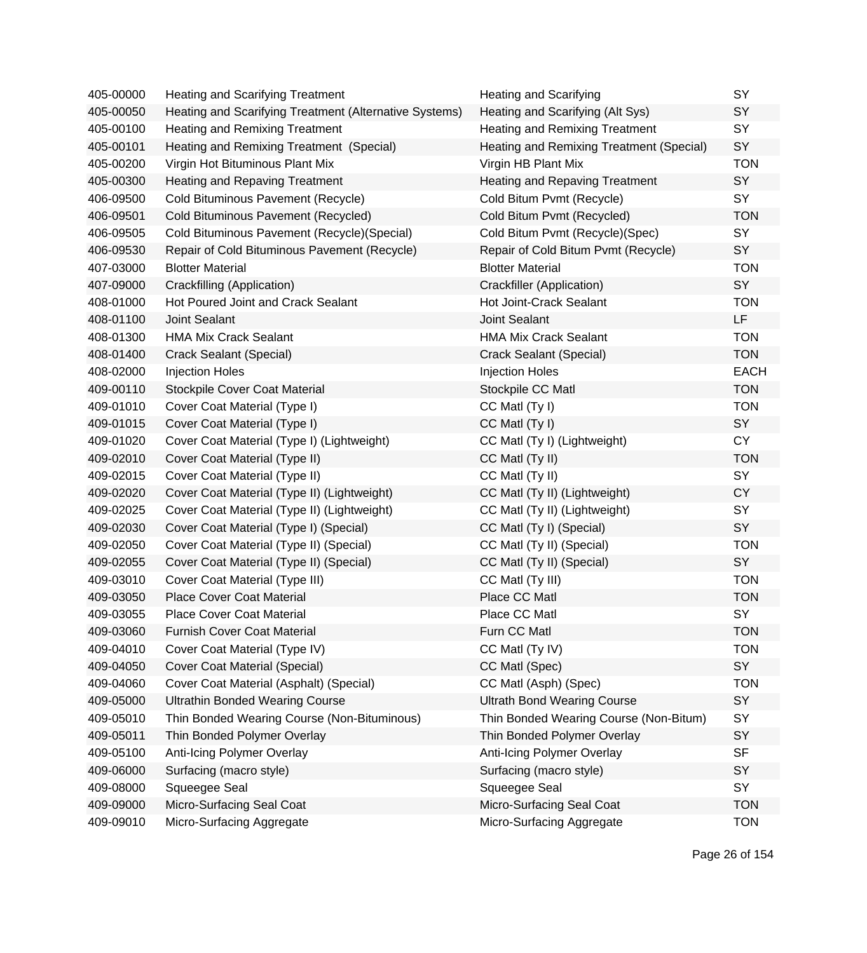| 405-00000 | <b>Heating and Scarifying Treatment</b>                | <b>Heating and Scarifying</b>            | SY          |
|-----------|--------------------------------------------------------|------------------------------------------|-------------|
| 405-00050 | Heating and Scarifying Treatment (Alternative Systems) | Heating and Scarifying (Alt Sys)         | SY          |
| 405-00100 | Heating and Remixing Treatment                         | Heating and Remixing Treatment           | SY          |
| 405-00101 | Heating and Remixing Treatment (Special)               | Heating and Remixing Treatment (Special) | SY          |
| 405-00200 | Virgin Hot Bituminous Plant Mix                        | Virgin HB Plant Mix                      | <b>TON</b>  |
| 405-00300 | <b>Heating and Repaving Treatment</b>                  | <b>Heating and Repaving Treatment</b>    | <b>SY</b>   |
| 406-09500 | Cold Bituminous Pavement (Recycle)                     | Cold Bitum Pvmt (Recycle)                | SY          |
| 406-09501 | Cold Bituminous Pavement (Recycled)                    | Cold Bitum Pvmt (Recycled)               | <b>TON</b>  |
| 406-09505 | Cold Bituminous Pavement (Recycle) (Special)           | Cold Bitum Pvmt (Recycle)(Spec)          | <b>SY</b>   |
| 406-09530 | Repair of Cold Bituminous Pavement (Recycle)           | Repair of Cold Bitum Pvmt (Recycle)      | SY          |
| 407-03000 | <b>Blotter Material</b>                                | <b>Blotter Material</b>                  | <b>TON</b>  |
| 407-09000 | Crackfilling (Application)                             | Crackfiller (Application)                | SY          |
| 408-01000 | Hot Poured Joint and Crack Sealant                     | Hot Joint-Crack Sealant                  | <b>TON</b>  |
| 408-01100 | <b>Joint Sealant</b>                                   | <b>Joint Sealant</b>                     | LF          |
| 408-01300 | <b>HMA Mix Crack Sealant</b>                           | <b>HMA Mix Crack Sealant</b>             | <b>TON</b>  |
| 408-01400 | Crack Sealant (Special)                                | Crack Sealant (Special)                  | <b>TON</b>  |
| 408-02000 | <b>Injection Holes</b>                                 | <b>Injection Holes</b>                   | <b>EACH</b> |
| 409-00110 | <b>Stockpile Cover Coat Material</b>                   | Stockpile CC Matl                        | <b>TON</b>  |
| 409-01010 | Cover Coat Material (Type I)                           | CC Matl (Ty I)                           | <b>TON</b>  |
| 409-01015 | Cover Coat Material (Type I)                           | CC Matl (Ty I)                           | SY          |
| 409-01020 | Cover Coat Material (Type I) (Lightweight)             | CC Matl (Ty I) (Lightweight)             | <b>CY</b>   |
| 409-02010 | Cover Coat Material (Type II)                          | CC Matl (Ty II)                          | <b>TON</b>  |
| 409-02015 | Cover Coat Material (Type II)                          | CC Matl (Ty II)                          | SY          |
| 409-02020 | Cover Coat Material (Type II) (Lightweight)            | CC Matl (Ty II) (Lightweight)            | <b>CY</b>   |
| 409-02025 | Cover Coat Material (Type II) (Lightweight)            | CC Matl (Ty II) (Lightweight)            | SY          |
| 409-02030 | Cover Coat Material (Type I) (Special)                 | CC Matl (Ty I) (Special)                 | SY          |
| 409-02050 | Cover Coat Material (Type II) (Special)                | CC Matl (Ty II) (Special)                | <b>TON</b>  |
| 409-02055 | Cover Coat Material (Type II) (Special)                | CC Matl (Ty II) (Special)                | SY          |
| 409-03010 | Cover Coat Material (Type III)                         | CC Matl (Ty III)                         | <b>TON</b>  |
| 409-03050 | <b>Place Cover Coat Material</b>                       | Place CC Matl                            | <b>TON</b>  |
| 409-03055 | <b>Place Cover Coat Material</b>                       | Place CC Matl                            | <b>SY</b>   |
| 409-03060 | <b>Furnish Cover Coat Material</b>                     | Furn CC Matl                             | <b>TON</b>  |
| 409-04010 | Cover Coat Material (Type IV)                          | CC Matl (Ty IV)                          | <b>TON</b>  |
| 409-04050 | <b>Cover Coat Material (Special)</b>                   | CC Matl (Spec)                           | SY          |
| 409-04060 | Cover Coat Material (Asphalt) (Special)                | CC Matl (Asph) (Spec)                    | <b>TON</b>  |
| 409-05000 | <b>Ultrathin Bonded Wearing Course</b>                 | <b>Ultrath Bond Wearing Course</b>       | SY          |
| 409-05010 | Thin Bonded Wearing Course (Non-Bituminous)            | Thin Bonded Wearing Course (Non-Bitum)   | SY          |
| 409-05011 | Thin Bonded Polymer Overlay                            | Thin Bonded Polymer Overlay              | SY          |
| 409-05100 | Anti-Icing Polymer Overlay                             | Anti-Icing Polymer Overlay               | <b>SF</b>   |
| 409-06000 | Surfacing (macro style)                                | Surfacing (macro style)                  | SY          |
| 409-08000 | Squeegee Seal                                          | Squeegee Seal                            | <b>SY</b>   |
| 409-09000 | Micro-Surfacing Seal Coat                              | Micro-Surfacing Seal Coat                | <b>TON</b>  |
| 409-09010 | Micro-Surfacing Aggregate                              | Micro-Surfacing Aggregate                | <b>TON</b>  |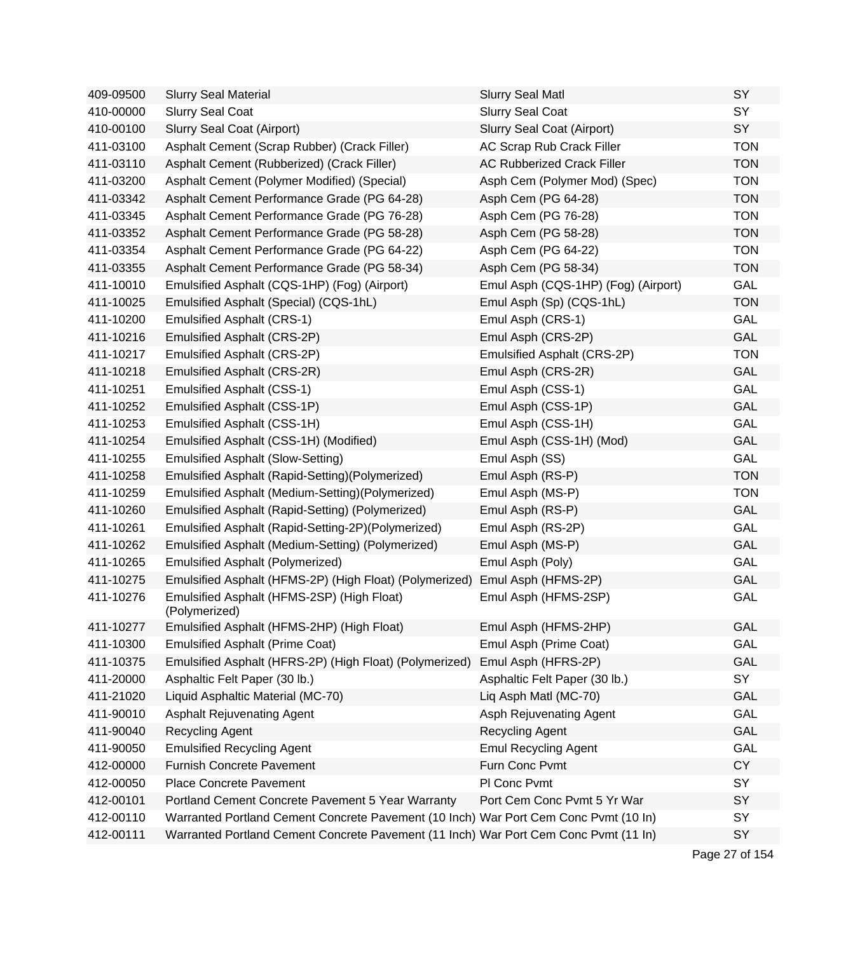| 409-09500 | <b>Slurry Seal Material</b>                                                          | <b>Slurry Seal Matl</b>             | SY         |
|-----------|--------------------------------------------------------------------------------------|-------------------------------------|------------|
| 410-00000 | <b>Slurry Seal Coat</b>                                                              | <b>Slurry Seal Coat</b>             | SY         |
| 410-00100 | Slurry Seal Coat (Airport)                                                           | Slurry Seal Coat (Airport)          | SY         |
| 411-03100 | Asphalt Cement (Scrap Rubber) (Crack Filler)                                         | AC Scrap Rub Crack Filler           | <b>TON</b> |
| 411-03110 | Asphalt Cement (Rubberized) (Crack Filler)                                           | <b>AC Rubberized Crack Filler</b>   | <b>TON</b> |
| 411-03200 | Asphalt Cement (Polymer Modified) (Special)                                          | Asph Cem (Polymer Mod) (Spec)       | <b>TON</b> |
| 411-03342 | Asphalt Cement Performance Grade (PG 64-28)                                          | Asph Cem (PG 64-28)                 | <b>TON</b> |
| 411-03345 | Asphalt Cement Performance Grade (PG 76-28)                                          | Asph Cem (PG 76-28)                 | <b>TON</b> |
| 411-03352 | Asphalt Cement Performance Grade (PG 58-28)                                          | Asph Cem (PG 58-28)                 | <b>TON</b> |
| 411-03354 | Asphalt Cement Performance Grade (PG 64-22)                                          | Asph Cem (PG 64-22)                 | <b>TON</b> |
| 411-03355 | Asphalt Cement Performance Grade (PG 58-34)                                          | Asph Cem (PG 58-34)                 | <b>TON</b> |
| 411-10010 | Emulsified Asphalt (CQS-1HP) (Fog) (Airport)                                         | Emul Asph (CQS-1HP) (Fog) (Airport) | GAL        |
| 411-10025 | Emulsified Asphalt (Special) (CQS-1hL)                                               | Emul Asph (Sp) (CQS-1hL)            | <b>TON</b> |
| 411-10200 | <b>Emulsified Asphalt (CRS-1)</b>                                                    | Emul Asph (CRS-1)                   | GAL        |
| 411-10216 | Emulsified Asphalt (CRS-2P)                                                          | Emul Asph (CRS-2P)                  | GAL        |
| 411-10217 | Emulsified Asphalt (CRS-2P)                                                          | Emulsified Asphalt (CRS-2P)         | <b>TON</b> |
| 411-10218 | Emulsified Asphalt (CRS-2R)                                                          | Emul Asph (CRS-2R)                  | GAL        |
| 411-10251 | <b>Emulsified Asphalt (CSS-1)</b>                                                    | Emul Asph (CSS-1)                   | GAL        |
| 411-10252 | Emulsified Asphalt (CSS-1P)                                                          | Emul Asph (CSS-1P)                  | GAL        |
| 411-10253 | Emulsified Asphalt (CSS-1H)                                                          | Emul Asph (CSS-1H)                  | GAL        |
| 411-10254 | Emulsified Asphalt (CSS-1H) (Modified)                                               | Emul Asph (CSS-1H) (Mod)            | GAL        |
| 411-10255 | <b>Emulsified Asphalt (Slow-Setting)</b>                                             | Emul Asph (SS)                      | GAL        |
| 411-10258 | Emulsified Asphalt (Rapid-Setting)(Polymerized)                                      | Emul Asph (RS-P)                    | <b>TON</b> |
| 411-10259 | Emulsified Asphalt (Medium-Setting) (Polymerized)                                    | Emul Asph (MS-P)                    | <b>TON</b> |
| 411-10260 | Emulsified Asphalt (Rapid-Setting) (Polymerized)                                     | Emul Asph (RS-P)                    | GAL        |
| 411-10261 | Emulsified Asphalt (Rapid-Setting-2P)(Polymerized)                                   | Emul Asph (RS-2P)                   | <b>GAL</b> |
| 411-10262 | Emulsified Asphalt (Medium-Setting) (Polymerized)                                    | Emul Asph (MS-P)                    | GAL        |
| 411-10265 | <b>Emulsified Asphalt (Polymerized)</b>                                              | Emul Asph (Poly)                    | <b>GAL</b> |
| 411-10275 | Emulsified Asphalt (HFMS-2P) (High Float) (Polymerized)                              | Emul Asph (HFMS-2P)                 | GAL        |
| 411-10276 | Emulsified Asphalt (HFMS-2SP) (High Float)<br>(Polymerized)                          | Emul Asph (HFMS-2SP)                | GAL        |
| 411-10277 | Emulsified Asphalt (HFMS-2HP) (High Float)                                           | Emul Asph (HFMS-2HP)                | GAL        |
| 411-10300 | <b>Emulsified Asphalt (Prime Coat)</b>                                               | Emul Asph (Prime Coat)              | GAL        |
| 411-10375 | Emulsified Asphalt (HFRS-2P) (High Float) (Polymerized)                              | Emul Asph (HFRS-2P)                 | GAL        |
| 411-20000 | Asphaltic Felt Paper (30 lb.)                                                        | Asphaltic Felt Paper (30 lb.)       | SY         |
| 411-21020 | Liquid Asphaltic Material (MC-70)                                                    | Liq Asph Matl (MC-70)               | GAL        |
| 411-90010 | <b>Asphalt Rejuvenating Agent</b>                                                    | Asph Rejuvenating Agent             | GAL        |
| 411-90040 | Recycling Agent                                                                      | <b>Recycling Agent</b>              | GAL        |
| 411-90050 | <b>Emulsified Recycling Agent</b>                                                    | <b>Emul Recycling Agent</b>         | GAL        |
| 412-00000 | <b>Furnish Concrete Pavement</b>                                                     | Furn Conc Pvmt                      | <b>CY</b>  |
| 412-00050 | <b>Place Concrete Pavement</b>                                                       | PI Conc Pvmt                        | SY         |
| 412-00101 | Portland Cement Concrete Pavement 5 Year Warranty                                    | Port Cem Conc Pvmt 5 Yr War         | SY         |
| 412-00110 | Warranted Portland Cement Concrete Pavement (10 Inch) War Port Cem Conc Pvmt (10 In) |                                     | SY         |
| 412-00111 | Warranted Portland Cement Concrete Pavement (11 Inch) War Port Cem Conc Pvmt (11 In) |                                     | SY         |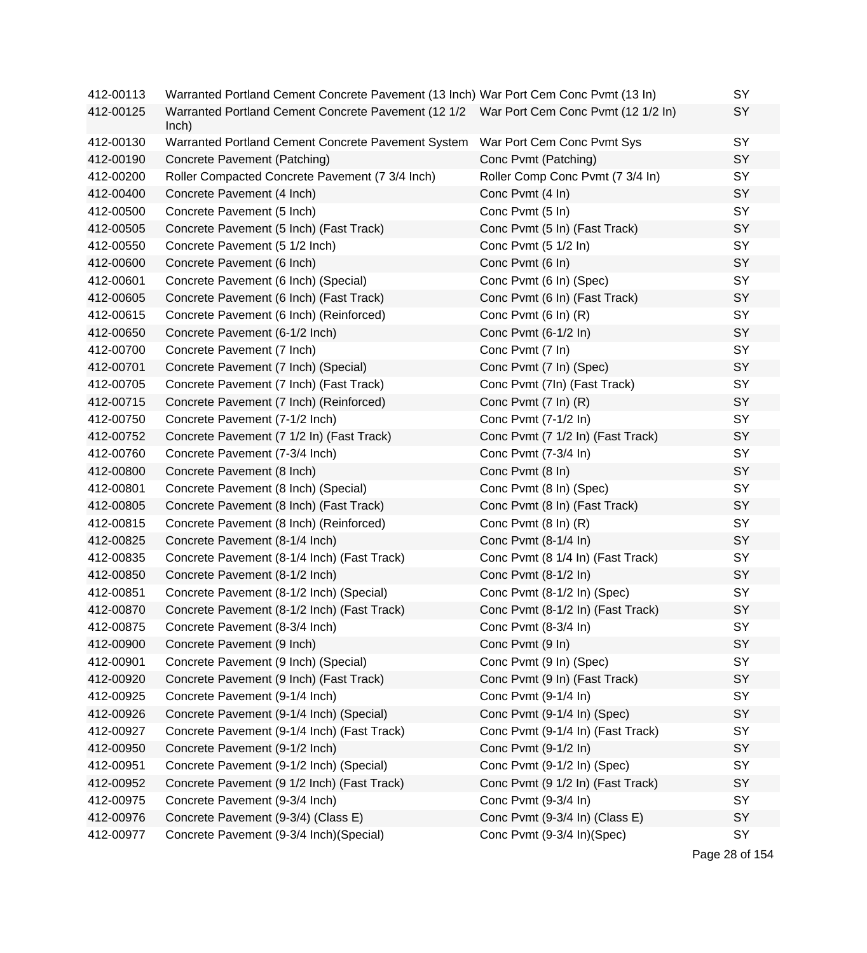| 412-00113 | Warranted Portland Cement Concrete Pavement (13 Inch) War Port Cem Conc Pvmt (13 In)            |                                   | SY |
|-----------|-------------------------------------------------------------------------------------------------|-----------------------------------|----|
| 412-00125 | Warranted Portland Cement Concrete Pavement (12 1/2 War Port Cem Conc Pvmt (12 1/2 In)<br>lnch) |                                   | SY |
| 412-00130 | Warranted Portland Cement Concrete Pavement System                                              | War Port Cem Conc Pvmt Sys        | SY |
| 412-00190 | Concrete Pavement (Patching)                                                                    | Conc Pvmt (Patching)              | SY |
| 412-00200 | Roller Compacted Concrete Pavement (7 3/4 Inch)                                                 | Roller Comp Conc Pvmt (7 3/4 In)  | SY |
| 412-00400 | Concrete Pavement (4 Inch)                                                                      | Conc Pvmt (4 In)                  | SY |
| 412-00500 | Concrete Pavement (5 Inch)                                                                      | Conc Pvmt (5 In)                  | SY |
| 412-00505 | Concrete Pavement (5 Inch) (Fast Track)                                                         | Conc Pvmt (5 In) (Fast Track)     | SY |
| 412-00550 | Concrete Pavement (5 1/2 Inch)                                                                  | Conc Pvmt (5 1/2 In)              | SY |
| 412-00600 | Concrete Pavement (6 Inch)                                                                      | Conc Pvmt (6 In)                  | SY |
| 412-00601 | Concrete Pavement (6 Inch) (Special)                                                            | Conc Pvmt (6 In) (Spec)           | SY |
| 412-00605 | Concrete Pavement (6 Inch) (Fast Track)                                                         | Conc Pvmt (6 In) (Fast Track)     | SY |
| 412-00615 | Concrete Pavement (6 Inch) (Reinforced)                                                         | Conc Pvmt (6 In) (R)              | SY |
| 412-00650 | Concrete Pavement (6-1/2 Inch)                                                                  | Conc Pvmt (6-1/2 In)              | SY |
| 412-00700 | Concrete Pavement (7 Inch)                                                                      | Conc Pvmt (7 In)                  | SY |
| 412-00701 | Concrete Pavement (7 Inch) (Special)                                                            | Conc Pvmt (7 In) (Spec)           | SY |
| 412-00705 | Concrete Pavement (7 Inch) (Fast Track)                                                         | Conc Pvmt (7In) (Fast Track)      | SY |
| 412-00715 | Concrete Pavement (7 Inch) (Reinforced)                                                         | Conc Pvmt (7 In) (R)              | SY |
| 412-00750 | Concrete Pavement (7-1/2 Inch)                                                                  | Conc Pvmt (7-1/2 In)              | SY |
| 412-00752 | Concrete Pavement (7 1/2 In) (Fast Track)                                                       | Conc Pvmt (7 1/2 In) (Fast Track) | SY |
| 412-00760 | Concrete Pavement (7-3/4 Inch)                                                                  | Conc Pvmt (7-3/4 In)              | SY |
| 412-00800 | Concrete Pavement (8 Inch)                                                                      | Conc Pvmt (8 In)                  | SY |
| 412-00801 | Concrete Pavement (8 Inch) (Special)                                                            | Conc Pvmt (8 In) (Spec)           | SY |
| 412-00805 | Concrete Pavement (8 Inch) (Fast Track)                                                         | Conc Pvmt (8 In) (Fast Track)     | SY |
| 412-00815 | Concrete Pavement (8 Inch) (Reinforced)                                                         | Conc Pvmt (8 In) (R)              | SY |
| 412-00825 | Concrete Pavement (8-1/4 Inch)                                                                  | Conc Pvmt (8-1/4 In)              | SY |
| 412-00835 | Concrete Pavement (8-1/4 Inch) (Fast Track)                                                     | Conc Pvmt (8 1/4 In) (Fast Track) | SY |
| 412-00850 | Concrete Pavement (8-1/2 Inch)                                                                  | Conc Pvmt (8-1/2 In)              | SY |
| 412-00851 | Concrete Pavement (8-1/2 Inch) (Special)                                                        | Conc Pvmt (8-1/2 In) (Spec)       | SY |
| 412-00870 | Concrete Pavement (8-1/2 Inch) (Fast Track)                                                     | Conc Pvmt (8-1/2 In) (Fast Track) | SY |
| 412-00875 | Concrete Pavement (8-3/4 Inch)                                                                  | Conc Pvmt (8-3/4 In)              | SY |
| 412-00900 | Concrete Pavement (9 Inch)                                                                      | Conc Pvmt (9 In)                  | SY |
| 412-00901 | Concrete Pavement (9 Inch) (Special)                                                            | Conc Pvmt (9 In) (Spec)           | SY |
| 412-00920 | Concrete Pavement (9 Inch) (Fast Track)                                                         | Conc Pvmt (9 In) (Fast Track)     | SY |
| 412-00925 | Concrete Pavement (9-1/4 Inch)                                                                  | Conc Pvmt (9-1/4 In)              | SY |
| 412-00926 | Concrete Pavement (9-1/4 Inch) (Special)                                                        | Conc Pvmt (9-1/4 In) (Spec)       | SY |
| 412-00927 | Concrete Pavement (9-1/4 Inch) (Fast Track)                                                     | Conc Pvmt (9-1/4 In) (Fast Track) | SY |
| 412-00950 | Concrete Pavement (9-1/2 Inch)                                                                  | Conc Pvmt (9-1/2 In)              | SY |
| 412-00951 | Concrete Pavement (9-1/2 Inch) (Special)                                                        | Conc Pvmt (9-1/2 In) (Spec)       | SY |
| 412-00952 | Concrete Pavement (9 1/2 Inch) (Fast Track)                                                     | Conc Pvmt (9 1/2 In) (Fast Track) | SY |
| 412-00975 | Concrete Pavement (9-3/4 Inch)                                                                  | Conc Pvmt (9-3/4 In)              | SY |
| 412-00976 | Concrete Pavement (9-3/4) (Class E)                                                             | Conc Pvmt (9-3/4 In) (Class E)    | SY |
| 412-00977 | Concrete Pavement (9-3/4 Inch)(Special)                                                         | Conc Pvmt (9-3/4 In)(Spec)        | SY |

Page 28 of 154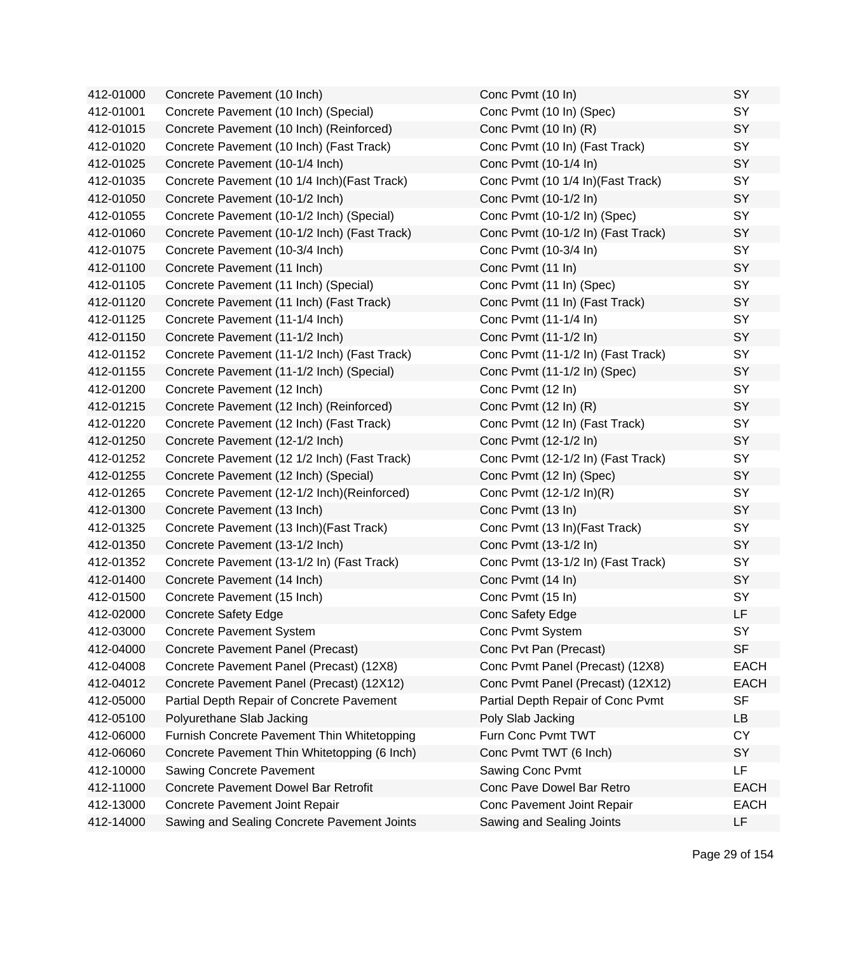| 412-01000 | Concrete Pavement (10 Inch)                  | Conc Pvmt (10 In)                  | SY          |
|-----------|----------------------------------------------|------------------------------------|-------------|
| 412-01001 | Concrete Pavement (10 Inch) (Special)        | Conc Pvmt (10 In) (Spec)           | SY          |
| 412-01015 | Concrete Pavement (10 Inch) (Reinforced)     | Conc Pvmt (10 In) (R)              | SY          |
| 412-01020 | Concrete Pavement (10 Inch) (Fast Track)     | Conc Pvmt (10 In) (Fast Track)     | SY          |
| 412-01025 | Concrete Pavement (10-1/4 Inch)              | Conc Pvmt (10-1/4 In)              | SY          |
| 412-01035 | Concrete Pavement (10 1/4 Inch) (Fast Track) | Conc Pvmt (10 1/4 In) (Fast Track) | SY          |
| 412-01050 | Concrete Pavement (10-1/2 Inch)              | Conc Pvmt (10-1/2 In)              | SY          |
| 412-01055 | Concrete Pavement (10-1/2 Inch) (Special)    | Conc Pvmt (10-1/2 In) (Spec)       | SY          |
| 412-01060 | Concrete Pavement (10-1/2 Inch) (Fast Track) | Conc Pvmt (10-1/2 In) (Fast Track) | SY          |
| 412-01075 | Concrete Pavement (10-3/4 Inch)              | Conc Pvmt (10-3/4 In)              | SY          |
| 412-01100 | Concrete Pavement (11 Inch)                  | Conc Pvmt (11 In)                  | SY          |
| 412-01105 | Concrete Pavement (11 Inch) (Special)        | Conc Pvmt (11 In) (Spec)           | SY          |
| 412-01120 | Concrete Pavement (11 Inch) (Fast Track)     | Conc Pvmt (11 In) (Fast Track)     | SY          |
| 412-01125 | Concrete Pavement (11-1/4 Inch)              | Conc Pvmt (11-1/4 In)              | SY          |
| 412-01150 | Concrete Pavement (11-1/2 Inch)              | Conc Pvmt (11-1/2 In)              | SY          |
| 412-01152 | Concrete Pavement (11-1/2 Inch) (Fast Track) | Conc Pvmt (11-1/2 In) (Fast Track) | SY          |
| 412-01155 | Concrete Pavement (11-1/2 Inch) (Special)    | Conc Pvmt (11-1/2 In) (Spec)       | SY          |
| 412-01200 | Concrete Pavement (12 Inch)                  | Conc Pvmt (12 In)                  | SY          |
| 412-01215 | Concrete Pavement (12 Inch) (Reinforced)     | Conc Pvmt (12 In) (R)              | SY          |
| 412-01220 | Concrete Pavement (12 Inch) (Fast Track)     | Conc Pvmt (12 In) (Fast Track)     | SY          |
| 412-01250 | Concrete Pavement (12-1/2 Inch)              | Conc Pvmt (12-1/2 In)              | SY          |
| 412-01252 | Concrete Pavement (12 1/2 Inch) (Fast Track) | Conc Pvmt (12-1/2 In) (Fast Track) | SY          |
| 412-01255 | Concrete Pavement (12 Inch) (Special)        | Conc Pvmt (12 In) (Spec)           | SY          |
| 412-01265 | Concrete Pavement (12-1/2 Inch) (Reinforced) | Conc Pvmt (12-1/2 ln)(R)           | SY          |
| 412-01300 | Concrete Pavement (13 Inch)                  | Conc Pvmt (13 In)                  | SY          |
| 412-01325 | Concrete Pavement (13 Inch) (Fast Track)     | Conc Pvmt (13 In)(Fast Track)      | SY          |
| 412-01350 | Concrete Pavement (13-1/2 Inch)              | Conc Pvmt (13-1/2 In)              | SY          |
| 412-01352 | Concrete Pavement (13-1/2 In) (Fast Track)   | Conc Pvmt (13-1/2 In) (Fast Track) | SY          |
| 412-01400 | Concrete Pavement (14 Inch)                  | Conc Pvmt (14 In)                  | SY          |
| 412-01500 | Concrete Pavement (15 Inch)                  | Conc Pvmt (15 In)                  | SY          |
| 412-02000 | <b>Concrete Safety Edge</b>                  | Conc Safety Edge                   | <b>LF</b>   |
| 412-03000 | <b>Concrete Pavement System</b>              | Conc Pvmt System                   | SY          |
| 412-04000 | Concrete Pavement Panel (Precast)            | Conc Pvt Pan (Precast)             | <b>SF</b>   |
| 412-04008 | Concrete Pavement Panel (Precast) (12X8)     | Conc Pvmt Panel (Precast) (12X8)   | <b>EACH</b> |
| 412-04012 | Concrete Pavement Panel (Precast) (12X12)    | Conc Pvmt Panel (Precast) (12X12)  | <b>EACH</b> |
| 412-05000 | Partial Depth Repair of Concrete Pavement    | Partial Depth Repair of Conc Pvmt  | <b>SF</b>   |
| 412-05100 | Polyurethane Slab Jacking                    | Poly Slab Jacking                  | LB          |
| 412-06000 | Furnish Concrete Pavement Thin Whitetopping  | Furn Conc Pvmt TWT                 | <b>CY</b>   |
| 412-06060 | Concrete Pavement Thin Whitetopping (6 Inch) | Conc Pvmt TWT (6 Inch)             | SY          |
| 412-10000 | Sawing Concrete Pavement                     | Sawing Conc Pvmt                   | <b>LF</b>   |
| 412-11000 | <b>Concrete Pavement Dowel Bar Retrofit</b>  | Conc Pave Dowel Bar Retro          | <b>EACH</b> |
| 412-13000 | Concrete Pavement Joint Repair               | Conc Pavement Joint Repair         | <b>EACH</b> |
| 412-14000 | Sawing and Sealing Concrete Pavement Joints  | Sawing and Sealing Joints          | LF          |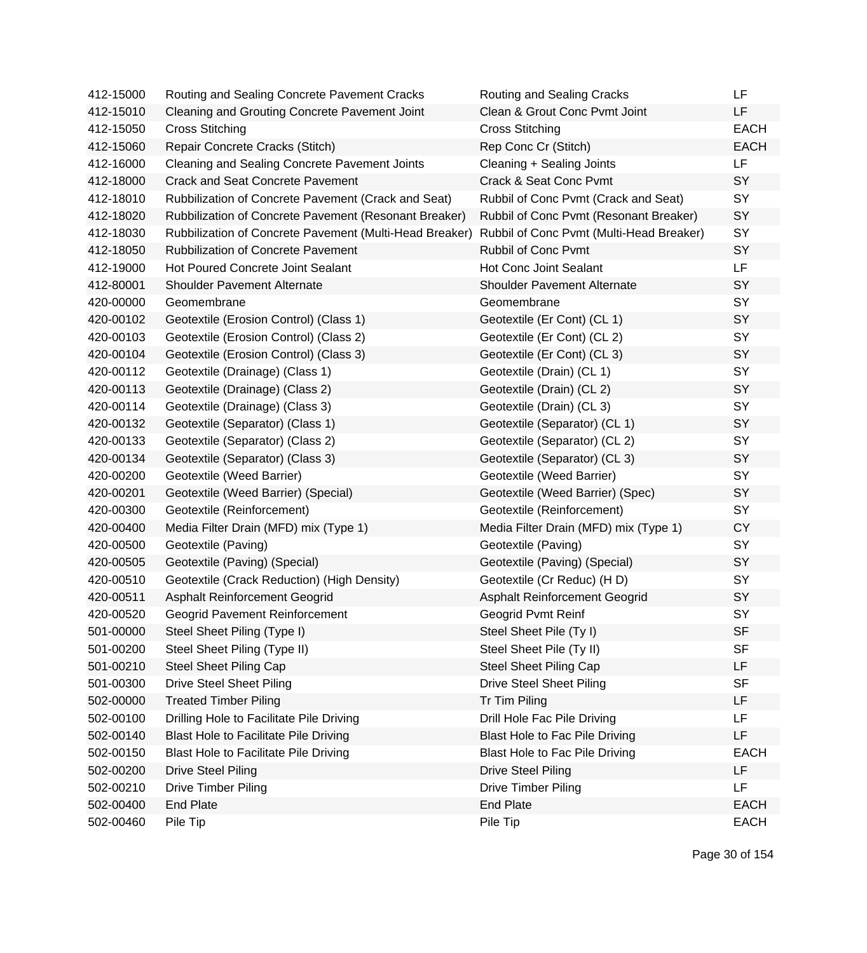| 412-15000 | Routing and Sealing Concrete Pavement Cracks            | Routing and Sealing Cracks               | LF          |
|-----------|---------------------------------------------------------|------------------------------------------|-------------|
| 412-15010 | <b>Cleaning and Grouting Concrete Pavement Joint</b>    | Clean & Grout Conc Pvmt Joint            | LF          |
| 412-15050 | <b>Cross Stitching</b>                                  | <b>Cross Stitching</b>                   | <b>EACH</b> |
| 412-15060 | Repair Concrete Cracks (Stitch)                         | Rep Conc Cr (Stitch)                     | <b>EACH</b> |
| 412-16000 | <b>Cleaning and Sealing Concrete Pavement Joints</b>    | Cleaning + Sealing Joints                | <b>LF</b>   |
| 412-18000 | <b>Crack and Seat Concrete Pavement</b>                 | Crack & Seat Conc Pvmt                   | SY          |
| 412-18010 | Rubbilization of Concrete Pavement (Crack and Seat)     | Rubbil of Conc Pvmt (Crack and Seat)     | SY          |
| 412-18020 | Rubbilization of Concrete Pavement (Resonant Breaker)   | Rubbil of Conc Pvmt (Resonant Breaker)   | SY          |
| 412-18030 | Rubbilization of Concrete Pavement (Multi-Head Breaker) | Rubbil of Conc Pvmt (Multi-Head Breaker) | SY          |
| 412-18050 | <b>Rubbilization of Concrete Pavement</b>               | Rubbil of Conc Pvmt                      | SY          |
| 412-19000 | <b>Hot Poured Concrete Joint Sealant</b>                | <b>Hot Conc Joint Sealant</b>            | <b>LF</b>   |
| 412-80001 | <b>Shoulder Pavement Alternate</b>                      | <b>Shoulder Pavement Alternate</b>       | SY          |
| 420-00000 | Geomembrane                                             | Geomembrane                              | SY          |
| 420-00102 | Geotextile (Erosion Control) (Class 1)                  | Geotextile (Er Cont) (CL 1)              | SY          |
| 420-00103 | Geotextile (Erosion Control) (Class 2)                  | Geotextile (Er Cont) (CL 2)              | SY          |
| 420-00104 | Geotextile (Erosion Control) (Class 3)                  | Geotextile (Er Cont) (CL 3)              | <b>SY</b>   |
| 420-00112 | Geotextile (Drainage) (Class 1)                         | Geotextile (Drain) (CL 1)                | SY          |
| 420-00113 | Geotextile (Drainage) (Class 2)                         | Geotextile (Drain) (CL 2)                | SY          |
| 420-00114 | Geotextile (Drainage) (Class 3)                         | Geotextile (Drain) (CL 3)                | <b>SY</b>   |
| 420-00132 | Geotextile (Separator) (Class 1)                        | Geotextile (Separator) (CL 1)            | SY          |
| 420-00133 | Geotextile (Separator) (Class 2)                        | Geotextile (Separator) (CL 2)            | SY          |
| 420-00134 | Geotextile (Separator) (Class 3)                        | Geotextile (Separator) (CL 3)            | SY          |
| 420-00200 | Geotextile (Weed Barrier)                               | Geotextile (Weed Barrier)                | SY          |
| 420-00201 | Geotextile (Weed Barrier) (Special)                     | Geotextile (Weed Barrier) (Spec)         | SY          |
| 420-00300 | Geotextile (Reinforcement)                              | Geotextile (Reinforcement)               | SY          |
| 420-00400 | Media Filter Drain (MFD) mix (Type 1)                   | Media Filter Drain (MFD) mix (Type 1)    | <b>CY</b>   |
| 420-00500 | Geotextile (Paving)                                     | Geotextile (Paving)                      | SY          |
| 420-00505 | Geotextile (Paving) (Special)                           | Geotextile (Paving) (Special)            | SY          |
| 420-00510 | Geotextile (Crack Reduction) (High Density)             | Geotextile (Cr Reduc) (HD)               | <b>SY</b>   |
| 420-00511 | Asphalt Reinforcement Geogrid                           | Asphalt Reinforcement Geogrid            | SY          |
| 420-00520 | <b>Geogrid Pavement Reinforcement</b>                   | Geogrid Pvmt Reinf                       | SY          |
| 501-00000 | Steel Sheet Piling (Type I)                             | Steel Sheet Pile (Ty I)                  | SF          |
| 501-00200 | Steel Sheet Piling (Type II)                            | Steel Sheet Pile (Ty II)                 | <b>SF</b>   |
| 501-00210 | <b>Steel Sheet Piling Cap</b>                           | <b>Steel Sheet Piling Cap</b>            | LF          |
| 501-00300 | <b>Drive Steel Sheet Piling</b>                         | <b>Drive Steel Sheet Piling</b>          | <b>SF</b>   |
| 502-00000 | <b>Treated Timber Piling</b>                            | Tr Tim Piling                            | LF          |
| 502-00100 | Drilling Hole to Facilitate Pile Driving                | Drill Hole Fac Pile Driving              | LF          |
| 502-00140 | <b>Blast Hole to Facilitate Pile Driving</b>            | <b>Blast Hole to Fac Pile Driving</b>    | LF          |
| 502-00150 | Blast Hole to Facilitate Pile Driving                   | Blast Hole to Fac Pile Driving           | <b>EACH</b> |
| 502-00200 | <b>Drive Steel Piling</b>                               | <b>Drive Steel Piling</b>                | <b>LF</b>   |
| 502-00210 | <b>Drive Timber Piling</b>                              | <b>Drive Timber Piling</b>               | <b>LF</b>   |
| 502-00400 | <b>End Plate</b>                                        | <b>End Plate</b>                         | <b>EACH</b> |
| 502-00460 | Pile Tip                                                | Pile Tip                                 | <b>EACH</b> |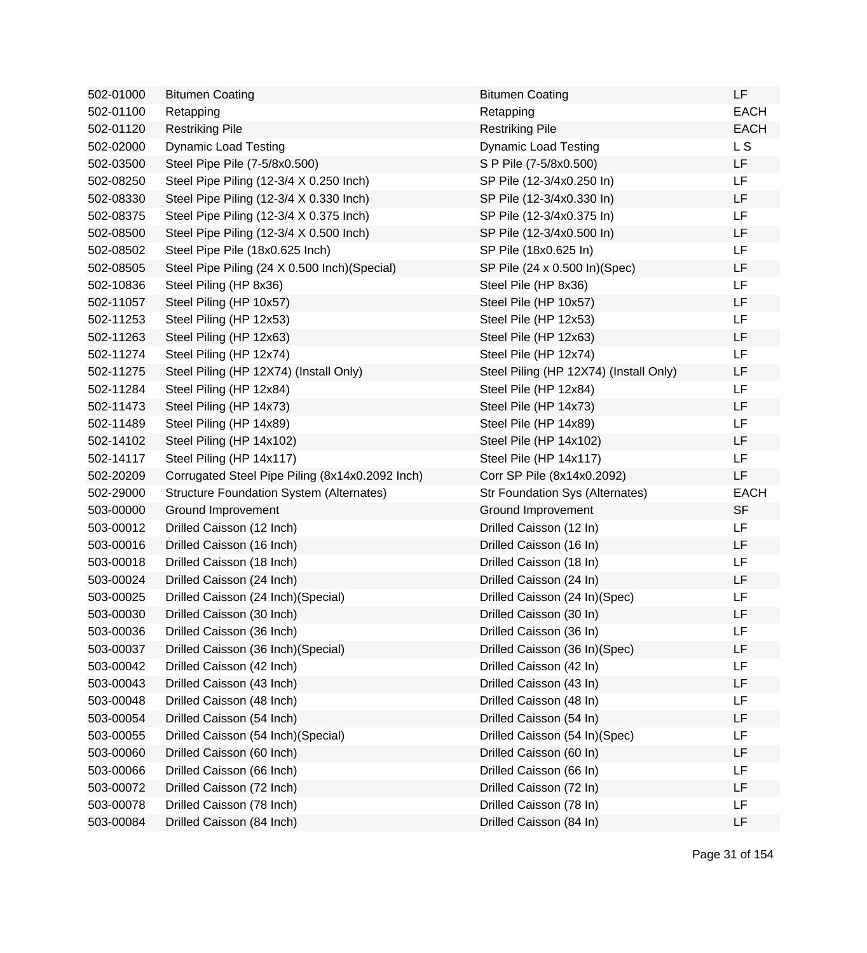| 502-01000 | <b>Bitumen Coating</b>                          | <b>Bitumen Coating</b>                 | LF          |
|-----------|-------------------------------------------------|----------------------------------------|-------------|
| 502-01100 | Retapping                                       | Retapping                              | <b>EACH</b> |
| 502-01120 | <b>Restriking Pile</b>                          | <b>Restriking Pile</b>                 | <b>EACH</b> |
| 502-02000 | <b>Dynamic Load Testing</b>                     | <b>Dynamic Load Testing</b>            | L S         |
| 502-03500 | Steel Pipe Pile (7-5/8x0.500)                   | S P Pile (7-5/8x0.500)                 | LF          |
| 502-08250 | Steel Pipe Piling (12-3/4 X 0.250 Inch)         | SP Pile (12-3/4x0.250 In)              | LF.         |
| 502-08330 | Steel Pipe Piling (12-3/4 X 0.330 Inch)         | SP Pile (12-3/4x0.330 In)              | LF          |
| 502-08375 | Steel Pipe Piling (12-3/4 X 0.375 Inch)         | SP Pile (12-3/4x0.375 In)              | LF          |
| 502-08500 | Steel Pipe Piling (12-3/4 X 0.500 Inch)         | SP Pile (12-3/4x0.500 In)              | LF          |
| 502-08502 | Steel Pipe Pile (18x0.625 Inch)                 | SP Pile (18x0.625 In)                  | LF          |
| 502-08505 | Steel Pipe Piling (24 X 0.500 Inch) (Special)   | SP Pile (24 x 0.500 ln)(Spec)          | LF          |
| 502-10836 | Steel Piling (HP 8x36)                          | Steel Pile (HP 8x36)                   | LF          |
| 502-11057 | Steel Piling (HP 10x57)                         | Steel Pile (HP 10x57)                  | <b>LF</b>   |
| 502-11253 | Steel Piling (HP 12x53)                         | Steel Pile (HP 12x53)                  | LF          |
| 502-11263 | Steel Piling (HP 12x63)                         | Steel Pile (HP 12x63)                  | LF          |
| 502-11274 | Steel Piling (HP 12x74)                         | Steel Pile (HP 12x74)                  | LF          |
| 502-11275 | Steel Piling (HP 12X74) (Install Only)          | Steel Piling (HP 12X74) (Install Only) | LF          |
| 502-11284 | Steel Piling (HP 12x84)                         | Steel Pile (HP 12x84)                  | LF          |
| 502-11473 | Steel Piling (HP 14x73)                         | Steel Pile (HP 14x73)                  | LF          |
| 502-11489 | Steel Piling (HP 14x89)                         | Steel Pile (HP 14x89)                  | LF          |
| 502-14102 | Steel Piling (HP 14x102)                        | Steel Pile (HP 14x102)                 | LF          |
| 502-14117 | Steel Piling (HP 14x117)                        | Steel Pile (HP 14x117)                 | LF          |
| 502-20209 | Corrugated Steel Pipe Piling (8x14x0.2092 Inch) | Corr SP Pile (8x14x0.2092)             | LF          |
| 502-29000 | <b>Structure Foundation System (Alternates)</b> | <b>Str Foundation Sys (Alternates)</b> | <b>EACH</b> |
| 503-00000 | Ground Improvement                              | Ground Improvement                     | <b>SF</b>   |
| 503-00012 | Drilled Caisson (12 Inch)                       | Drilled Caisson (12 In)                | LF.         |
| 503-00016 | Drilled Caisson (16 Inch)                       | Drilled Caisson (16 In)                | LF          |
| 503-00018 | Drilled Caisson (18 Inch)                       | Drilled Caisson (18 In)                | LF          |
| 503-00024 | Drilled Caisson (24 Inch)                       | Drilled Caisson (24 In)                | LF          |
| 503-00025 | Drilled Caisson (24 Inch) (Special)             | Drilled Caisson (24 In)(Spec)          | LF          |
| 503-00030 | Drilled Caisson (30 Inch)                       | Drilled Caisson (30 In)                | LF          |
| 503-00036 | Drilled Caisson (36 Inch)                       | Drilled Caisson (36 In)                | LF          |
| 503-00037 | Drilled Caisson (36 Inch) (Special)             | Drilled Caisson (36 In)(Spec)          | LF          |
| 503-00042 | Drilled Caisson (42 Inch)                       | Drilled Caisson (42 In)                | LF          |
| 503-00043 | Drilled Caisson (43 Inch)                       | Drilled Caisson (43 In)                | LF          |
| 503-00048 | Drilled Caisson (48 Inch)                       | Drilled Caisson (48 In)                | LF          |
| 503-00054 | Drilled Caisson (54 Inch)                       | Drilled Caisson (54 In)                | LF          |
| 503-00055 | Drilled Caisson (54 Inch) (Special)             | Drilled Caisson (54 In)(Spec)          | <b>LF</b>   |
| 503-00060 | Drilled Caisson (60 Inch)                       | Drilled Caisson (60 In)                | LF          |
| 503-00066 | Drilled Caisson (66 Inch)                       | Drilled Caisson (66 In)                | LF          |
| 503-00072 | Drilled Caisson (72 Inch)                       | Drilled Caisson (72 In)                | LF          |
| 503-00078 | Drilled Caisson (78 Inch)                       | Drilled Caisson (78 In)                | LF          |
| 503-00084 | Drilled Caisson (84 Inch)                       | Drilled Caisson (84 In)                | LF          |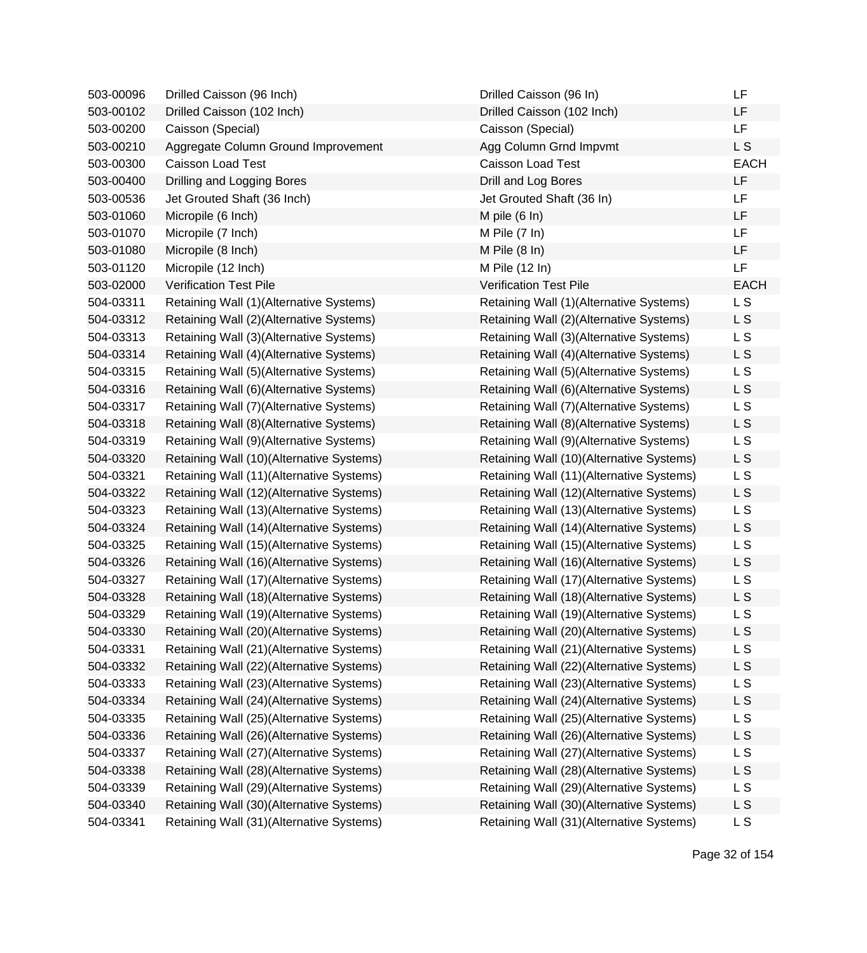| 503-00096 | Drilled Caisson (96 Inch)                | Drilled Caisson (96 In)                  | LF             |
|-----------|------------------------------------------|------------------------------------------|----------------|
| 503-00102 | Drilled Caisson (102 Inch)               | Drilled Caisson (102 Inch)               | LF             |
| 503-00200 | Caisson (Special)                        | Caisson (Special)                        | <b>LF</b>      |
| 503-00210 | Aggregate Column Ground Improvement      | Agg Column Grnd Impvmt                   | L S            |
| 503-00300 | Caisson Load Test                        | Caisson Load Test                        | <b>EACH</b>    |
| 503-00400 | Drilling and Logging Bores               | Drill and Log Bores                      | LF             |
| 503-00536 | Jet Grouted Shaft (36 Inch)              | Jet Grouted Shaft (36 In)                | LF             |
| 503-01060 | Micropile (6 Inch)                       | M pile $(6 \ln)$                         | LF             |
| 503-01070 | Micropile (7 Inch)                       | M Pile $(7 \ln)$                         | LF             |
| 503-01080 | Micropile (8 Inch)                       | M Pile $(8 \ln)$                         | LF             |
| 503-01120 | Micropile (12 Inch)                      | M Pile (12 In)                           | LF             |
| 503-02000 | <b>Verification Test Pile</b>            | <b>Verification Test Pile</b>            | <b>EACH</b>    |
| 504-03311 | Retaining Wall (1)(Alternative Systems)  | Retaining Wall (1)(Alternative Systems)  | L S            |
| 504-03312 | Retaining Wall (2)(Alternative Systems)  | Retaining Wall (2)(Alternative Systems)  | L S            |
| 504-03313 | Retaining Wall (3)(Alternative Systems)  | Retaining Wall (3)(Alternative Systems)  | L S            |
| 504-03314 | Retaining Wall (4)(Alternative Systems)  | Retaining Wall (4)(Alternative Systems)  | L S            |
| 504-03315 | Retaining Wall (5)(Alternative Systems)  | Retaining Wall (5)(Alternative Systems)  | L S            |
| 504-03316 | Retaining Wall (6)(Alternative Systems)  | Retaining Wall (6)(Alternative Systems)  | L S            |
| 504-03317 | Retaining Wall (7) (Alternative Systems) | Retaining Wall (7)(Alternative Systems)  | L S            |
| 504-03318 | Retaining Wall (8)(Alternative Systems)  | Retaining Wall (8)(Alternative Systems)  | L S            |
| 504-03319 | Retaining Wall (9)(Alternative Systems)  | Retaining Wall (9)(Alternative Systems)  | L S            |
| 504-03320 | Retaining Wall (10)(Alternative Systems) | Retaining Wall (10)(Alternative Systems) | L S            |
| 504-03321 | Retaining Wall (11)(Alternative Systems) | Retaining Wall (11)(Alternative Systems) | L S            |
| 504-03322 | Retaining Wall (12)(Alternative Systems) | Retaining Wall (12)(Alternative Systems) | L S            |
| 504-03323 | Retaining Wall (13)(Alternative Systems) | Retaining Wall (13)(Alternative Systems) | L S            |
| 504-03324 | Retaining Wall (14)(Alternative Systems) | Retaining Wall (14)(Alternative Systems) | L S            |
| 504-03325 | Retaining Wall (15)(Alternative Systems) | Retaining Wall (15)(Alternative Systems) | L S            |
| 504-03326 | Retaining Wall (16)(Alternative Systems) | Retaining Wall (16)(Alternative Systems) | L S            |
| 504-03327 | Retaining Wall (17)(Alternative Systems) | Retaining Wall (17)(Alternative Systems) | L S            |
| 504-03328 | Retaining Wall (18)(Alternative Systems) | Retaining Wall (18)(Alternative Systems) | L S            |
| 504-03329 | Retaining Wall (19)(Alternative Systems) | Retaining Wall (19)(Alternative Systems) | L S            |
| 504-03330 | Retaining Wall (20)(Alternative Systems) | Retaining Wall (20)(Alternative Systems) | L <sub>S</sub> |
| 504-03331 | Retaining Wall (21)(Alternative Systems) | Retaining Wall (21)(Alternative Systems) | L S            |
| 504-03332 | Retaining Wall (22)(Alternative Systems) | Retaining Wall (22)(Alternative Systems) | L S            |
| 504-03333 | Retaining Wall (23)(Alternative Systems) | Retaining Wall (23)(Alternative Systems) | L <sub>S</sub> |
| 504-03334 | Retaining Wall (24)(Alternative Systems) | Retaining Wall (24)(Alternative Systems) | L <sub>S</sub> |
| 504-03335 | Retaining Wall (25)(Alternative Systems) | Retaining Wall (25)(Alternative Systems) | L S            |
| 504-03336 | Retaining Wall (26)(Alternative Systems) | Retaining Wall (26)(Alternative Systems) | L S            |
| 504-03337 | Retaining Wall (27)(Alternative Systems) | Retaining Wall (27)(Alternative Systems) | <b>LS</b>      |
| 504-03338 | Retaining Wall (28)(Alternative Systems) | Retaining Wall (28)(Alternative Systems) | L S            |
| 504-03339 | Retaining Wall (29)(Alternative Systems) | Retaining Wall (29)(Alternative Systems) | L <sub>S</sub> |
| 504-03340 | Retaining Wall (30)(Alternative Systems) | Retaining Wall (30)(Alternative Systems) | L S            |
| 504-03341 | Retaining Wall (31)(Alternative Systems) | Retaining Wall (31)(Alternative Systems) | <b>LS</b>      |
|           |                                          |                                          |                |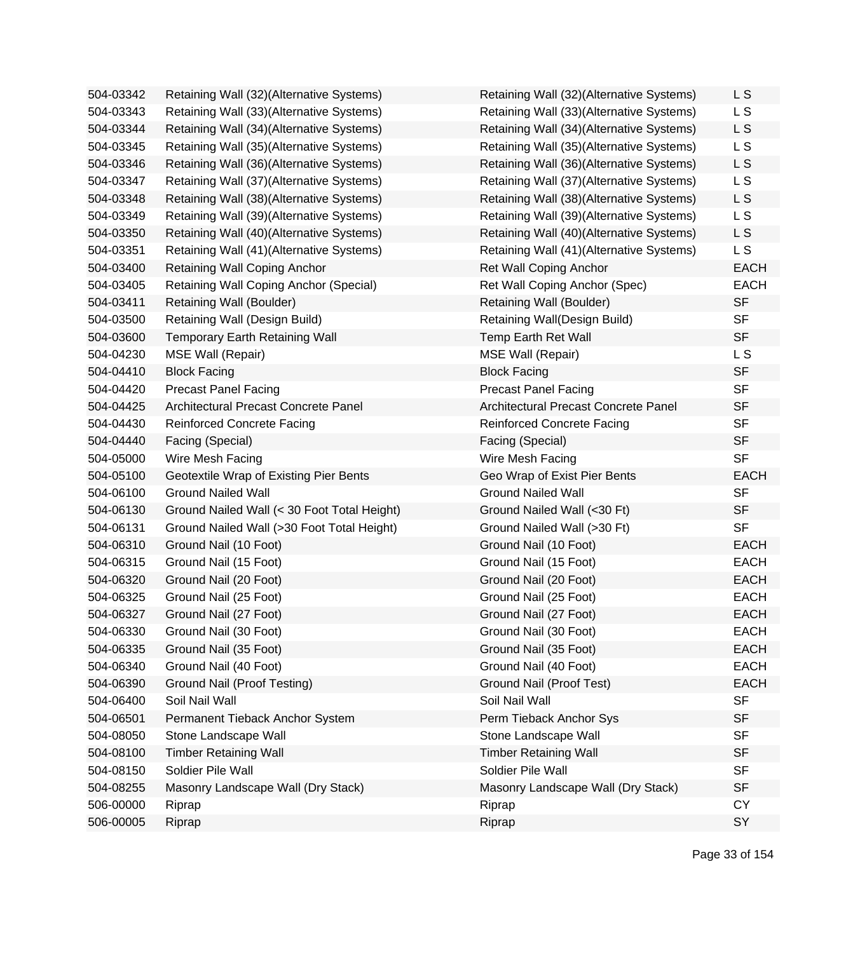| 504-03342 | Retaining Wall (32)(Alternative Systems)    | Retaining Wall (32)(Alternative Systems) | L S            |
|-----------|---------------------------------------------|------------------------------------------|----------------|
| 504-03343 | Retaining Wall (33)(Alternative Systems)    | Retaining Wall (33)(Alternative Systems) | L S            |
| 504-03344 | Retaining Wall (34)(Alternative Systems)    | Retaining Wall (34)(Alternative Systems) | L <sub>S</sub> |
| 504-03345 | Retaining Wall (35)(Alternative Systems)    | Retaining Wall (35)(Alternative Systems) | L S            |
| 504-03346 | Retaining Wall (36)(Alternative Systems)    | Retaining Wall (36)(Alternative Systems) | L <sub>S</sub> |
| 504-03347 | Retaining Wall (37)(Alternative Systems)    | Retaining Wall (37)(Alternative Systems) | L S            |
| 504-03348 | Retaining Wall (38)(Alternative Systems)    | Retaining Wall (38)(Alternative Systems) | L S            |
| 504-03349 | Retaining Wall (39)(Alternative Systems)    | Retaining Wall (39)(Alternative Systems) | L S            |
| 504-03350 | Retaining Wall (40)(Alternative Systems)    | Retaining Wall (40)(Alternative Systems) | L S            |
| 504-03351 | Retaining Wall (41)(Alternative Systems)    | Retaining Wall (41)(Alternative Systems) | L S            |
| 504-03400 | Retaining Wall Coping Anchor                | <b>Ret Wall Coping Anchor</b>            | <b>EACH</b>    |
| 504-03405 | Retaining Wall Coping Anchor (Special)      | Ret Wall Coping Anchor (Spec)            | <b>EACH</b>    |
| 504-03411 | Retaining Wall (Boulder)                    | Retaining Wall (Boulder)                 | <b>SF</b>      |
| 504-03500 | Retaining Wall (Design Build)               | Retaining Wall(Design Build)             | <b>SF</b>      |
| 504-03600 | <b>Temporary Earth Retaining Wall</b>       | Temp Earth Ret Wall                      | <b>SF</b>      |
| 504-04230 | MSE Wall (Repair)                           | <b>MSE Wall (Repair)</b>                 | L S            |
| 504-04410 | <b>Block Facing</b>                         | <b>Block Facing</b>                      | <b>SF</b>      |
| 504-04420 | <b>Precast Panel Facing</b>                 | <b>Precast Panel Facing</b>              | <b>SF</b>      |
| 504-04425 | Architectural Precast Concrete Panel        | Architectural Precast Concrete Panel     | <b>SF</b>      |
| 504-04430 | <b>Reinforced Concrete Facing</b>           | <b>Reinforced Concrete Facing</b>        | <b>SF</b>      |
| 504-04440 | Facing (Special)                            | Facing (Special)                         | <b>SF</b>      |
| 504-05000 | Wire Mesh Facing                            | Wire Mesh Facing                         | <b>SF</b>      |
| 504-05100 | Geotextile Wrap of Existing Pier Bents      | Geo Wrap of Exist Pier Bents             | <b>EACH</b>    |
| 504-06100 | <b>Ground Nailed Wall</b>                   | <b>Ground Nailed Wall</b>                | <b>SF</b>      |
| 504-06130 | Ground Nailed Wall (< 30 Foot Total Height) | Ground Nailed Wall (<30 Ft)              | <b>SF</b>      |
| 504-06131 | Ground Nailed Wall (>30 Foot Total Height)  | Ground Nailed Wall (>30 Ft)              | <b>SF</b>      |
| 504-06310 | Ground Nail (10 Foot)                       | Ground Nail (10 Foot)                    | <b>EACH</b>    |
| 504-06315 | Ground Nail (15 Foot)                       | Ground Nail (15 Foot)                    | <b>EACH</b>    |
| 504-06320 | Ground Nail (20 Foot)                       | Ground Nail (20 Foot)                    | <b>EACH</b>    |
| 504-06325 | Ground Nail (25 Foot)                       | Ground Nail (25 Foot)                    | <b>EACH</b>    |
| 504-06327 | Ground Nail (27 Foot)                       | Ground Nail (27 Foot)                    | <b>EACH</b>    |
| 504-06330 | Ground Nail (30 Foot)                       | Ground Nail (30 Foot)                    | <b>EACH</b>    |
| 504-06335 | Ground Nail (35 Foot)                       | Ground Nail (35 Foot)                    | <b>EACH</b>    |
| 504-06340 | Ground Nail (40 Foot)                       | Ground Nail (40 Foot)                    | <b>EACH</b>    |
| 504-06390 | <b>Ground Nail (Proof Testing)</b>          | Ground Nail (Proof Test)                 | <b>EACH</b>    |
| 504-06400 | Soil Nail Wall                              | Soil Nail Wall                           | <b>SF</b>      |
| 504-06501 | Permanent Tieback Anchor System             | Perm Tieback Anchor Sys                  | <b>SF</b>      |
| 504-08050 | Stone Landscape Wall                        | Stone Landscape Wall                     | <b>SF</b>      |
| 504-08100 | <b>Timber Retaining Wall</b>                | <b>Timber Retaining Wall</b>             | <b>SF</b>      |
| 504-08150 | Soldier Pile Wall                           | Soldier Pile Wall                        | <b>SF</b>      |
| 504-08255 | Masonry Landscape Wall (Dry Stack)          | Masonry Landscape Wall (Dry Stack)       | <b>SF</b>      |
| 506-00000 | Riprap                                      | Riprap                                   | <b>CY</b>      |
| 506-00005 | Riprap                                      | Riprap                                   | SY             |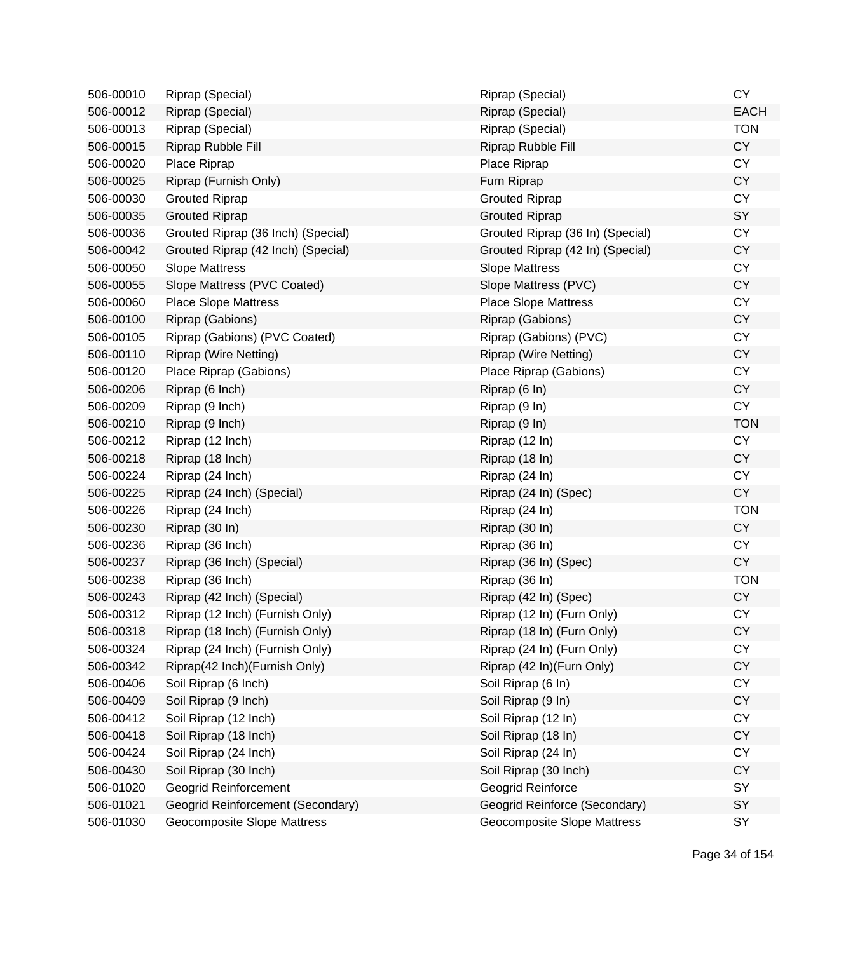| 506-00010 | Riprap (Special)                   | Riprap (Special)                 | <b>CY</b>   |
|-----------|------------------------------------|----------------------------------|-------------|
| 506-00012 | Riprap (Special)                   | Riprap (Special)                 | <b>EACH</b> |
| 506-00013 | Riprap (Special)                   | Riprap (Special)                 | <b>TON</b>  |
| 506-00015 | Riprap Rubble Fill                 | Riprap Rubble Fill               | <b>CY</b>   |
| 506-00020 | Place Riprap                       | Place Riprap                     | <b>CY</b>   |
| 506-00025 | Riprap (Furnish Only)              | Furn Riprap                      | <b>CY</b>   |
| 506-00030 | <b>Grouted Riprap</b>              | <b>Grouted Riprap</b>            | <b>CY</b>   |
| 506-00035 | <b>Grouted Riprap</b>              | <b>Grouted Riprap</b>            | SY          |
| 506-00036 | Grouted Riprap (36 Inch) (Special) | Grouted Riprap (36 In) (Special) | <b>CY</b>   |
| 506-00042 | Grouted Riprap (42 Inch) (Special) | Grouted Riprap (42 In) (Special) | <b>CY</b>   |
| 506-00050 | <b>Slope Mattress</b>              | <b>Slope Mattress</b>            | <b>CY</b>   |
| 506-00055 | Slope Mattress (PVC Coated)        | Slope Mattress (PVC)             | <b>CY</b>   |
| 506-00060 | <b>Place Slope Mattress</b>        | <b>Place Slope Mattress</b>      | <b>CY</b>   |
| 506-00100 | Riprap (Gabions)                   | Riprap (Gabions)                 | <b>CY</b>   |
| 506-00105 | Riprap (Gabions) (PVC Coated)      | Riprap (Gabions) (PVC)           | <b>CY</b>   |
| 506-00110 | <b>Riprap (Wire Netting)</b>       | <b>Riprap (Wire Netting)</b>     | <b>CY</b>   |
| 506-00120 | Place Riprap (Gabions)             | Place Riprap (Gabions)           | <b>CY</b>   |
| 506-00206 | Riprap (6 Inch)                    | Riprap (6 In)                    | <b>CY</b>   |
| 506-00209 | Riprap (9 Inch)                    | Riprap (9 In)                    | <b>CY</b>   |
| 506-00210 | Riprap (9 Inch)                    | Riprap (9 In)                    | <b>TON</b>  |
| 506-00212 | Riprap (12 Inch)                   | Riprap (12 In)                   | <b>CY</b>   |
| 506-00218 | Riprap (18 Inch)                   | Riprap (18 In)                   | <b>CY</b>   |
| 506-00224 | Riprap (24 Inch)                   | Riprap (24 In)                   | CY          |
| 506-00225 | Riprap (24 Inch) (Special)         | Riprap (24 In) (Spec)            | <b>CY</b>   |
| 506-00226 | Riprap (24 Inch)                   | Riprap (24 In)                   | <b>TON</b>  |
| 506-00230 | Riprap (30 In)                     | Riprap (30 In)                   | <b>CY</b>   |
| 506-00236 | Riprap (36 Inch)                   | Riprap (36 In)                   | <b>CY</b>   |
| 506-00237 | Riprap (36 Inch) (Special)         | Riprap (36 In) (Spec)            | <b>CY</b>   |
| 506-00238 | Riprap (36 Inch)                   | Riprap (36 In)                   | <b>TON</b>  |
| 506-00243 | Riprap (42 Inch) (Special)         | Riprap (42 In) (Spec)            | CY          |
| 506-00312 | Riprap (12 Inch) (Furnish Only)    | Riprap (12 In) (Furn Only)       | <b>CY</b>   |
| 506-00318 | Riprap (18 Inch) (Furnish Only)    | Riprap (18 In) (Furn Only)       | CΥ          |
| 506-00324 | Riprap (24 Inch) (Furnish Only)    | Riprap (24 In) (Furn Only)       | <b>CY</b>   |
| 506-00342 | Riprap(42 Inch)(Furnish Only)      | Riprap (42 In)(Furn Only)        | <b>CY</b>   |
| 506-00406 | Soil Riprap (6 Inch)               | Soil Riprap (6 In)               | <b>CY</b>   |
| 506-00409 | Soil Riprap (9 Inch)               | Soil Riprap (9 In)               | <b>CY</b>   |
| 506-00412 | Soil Riprap (12 Inch)              | Soil Riprap (12 In)              | <b>CY</b>   |
| 506-00418 | Soil Riprap (18 Inch)              | Soil Riprap (18 In)              | <b>CY</b>   |
| 506-00424 | Soil Riprap (24 Inch)              | Soil Riprap (24 In)              | <b>CY</b>   |
| 506-00430 | Soil Riprap (30 Inch)              | Soil Riprap (30 Inch)            | <b>CY</b>   |
| 506-01020 | <b>Geogrid Reinforcement</b>       | Geogrid Reinforce                | SY          |
| 506-01021 | Geogrid Reinforcement (Secondary)  | Geogrid Reinforce (Secondary)    | SY          |
| 506-01030 | Geocomposite Slope Mattress        | Geocomposite Slope Mattress      | SY          |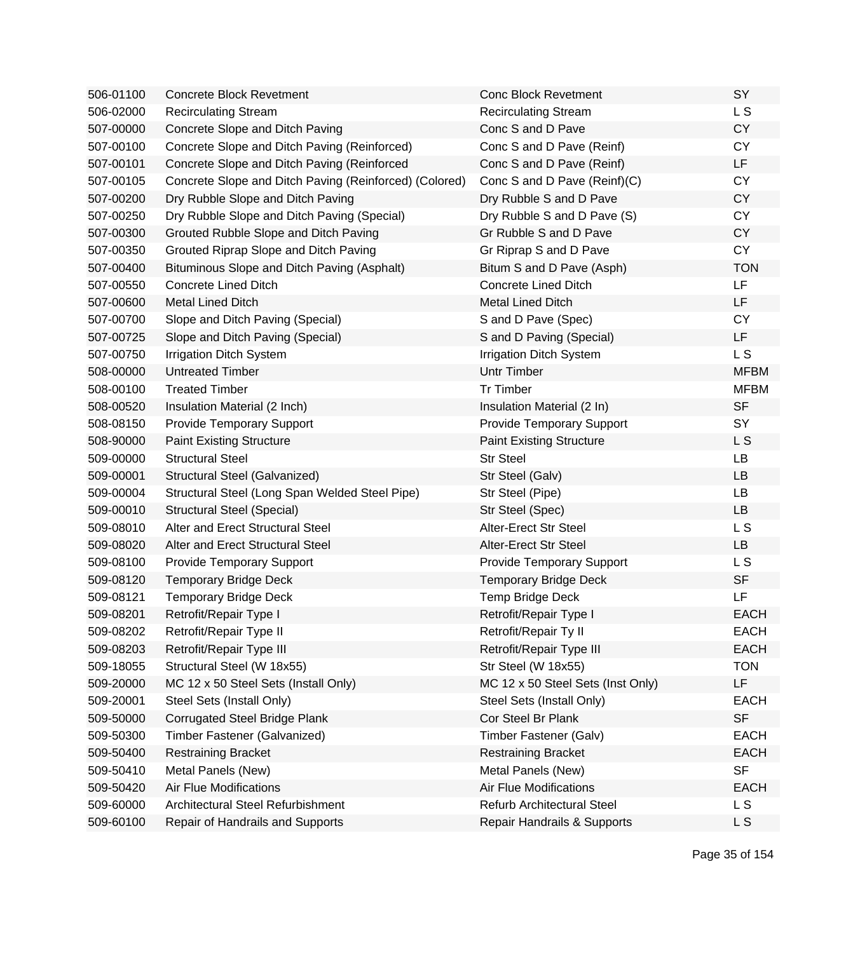| 506-01100 | <b>Concrete Block Revetment</b>                        | <b>Conc Block Revetment</b>       | SY          |
|-----------|--------------------------------------------------------|-----------------------------------|-------------|
| 506-02000 | <b>Recirculating Stream</b>                            | <b>Recirculating Stream</b>       | L S         |
| 507-00000 | Concrete Slope and Ditch Paving                        | Conc S and D Pave                 | <b>CY</b>   |
| 507-00100 | Concrete Slope and Ditch Paving (Reinforced)           | Conc S and D Pave (Reinf)         | <b>CY</b>   |
| 507-00101 | Concrete Slope and Ditch Paving (Reinforced            | Conc S and D Pave (Reinf)         | LF          |
| 507-00105 | Concrete Slope and Ditch Paving (Reinforced) (Colored) | Conc S and D Pave (Reinf)(C)      | <b>CY</b>   |
| 507-00200 | Dry Rubble Slope and Ditch Paving                      | Dry Rubble S and D Pave           | <b>CY</b>   |
| 507-00250 | Dry Rubble Slope and Ditch Paving (Special)            | Dry Rubble S and D Pave (S)       | <b>CY</b>   |
| 507-00300 | Grouted Rubble Slope and Ditch Paving                  | Gr Rubble S and D Pave            | <b>CY</b>   |
| 507-00350 | Grouted Riprap Slope and Ditch Paving                  | Gr Riprap S and D Pave            | <b>CY</b>   |
| 507-00400 | Bituminous Slope and Ditch Paving (Asphalt)            | Bitum S and D Pave (Asph)         | <b>TON</b>  |
| 507-00550 | Concrete Lined Ditch                                   | <b>Concrete Lined Ditch</b>       | LF          |
| 507-00600 | <b>Metal Lined Ditch</b>                               | <b>Metal Lined Ditch</b>          | <b>LF</b>   |
| 507-00700 | Slope and Ditch Paving (Special)                       | S and D Pave (Spec)               | <b>CY</b>   |
| 507-00725 | Slope and Ditch Paving (Special)                       | S and D Paving (Special)          | LF          |
| 507-00750 | <b>Irrigation Ditch System</b>                         | <b>Irrigation Ditch System</b>    | L S         |
| 508-00000 | <b>Untreated Timber</b>                                | <b>Untr Timber</b>                | <b>MFBM</b> |
| 508-00100 | <b>Treated Timber</b>                                  | <b>Tr Timber</b>                  | <b>MFBM</b> |
| 508-00520 | Insulation Material (2 Inch)                           | Insulation Material (2 In)        | <b>SF</b>   |
| 508-08150 | <b>Provide Temporary Support</b>                       | <b>Provide Temporary Support</b>  | SY          |
| 508-90000 | <b>Paint Existing Structure</b>                        | <b>Paint Existing Structure</b>   | L S         |
| 509-00000 | <b>Structural Steel</b>                                | <b>Str Steel</b>                  | <b>LB</b>   |
| 509-00001 | Structural Steel (Galvanized)                          | Str Steel (Galv)                  | <b>LB</b>   |
| 509-00004 | Structural Steel (Long Span Welded Steel Pipe)         | Str Steel (Pipe)                  | LB          |
| 509-00010 | <b>Structural Steel (Special)</b>                      | Str Steel (Spec)                  | <b>LB</b>   |
| 509-08010 | Alter and Erect Structural Steel                       | Alter-Erect Str Steel             | L S         |
| 509-08020 | Alter and Erect Structural Steel                       | <b>Alter-Erect Str Steel</b>      | <b>LB</b>   |
| 509-08100 | <b>Provide Temporary Support</b>                       | <b>Provide Temporary Support</b>  | L S         |
| 509-08120 | <b>Temporary Bridge Deck</b>                           | <b>Temporary Bridge Deck</b>      | <b>SF</b>   |
| 509-08121 | <b>Temporary Bridge Deck</b>                           | Temp Bridge Deck                  | LF          |
| 509-08201 | Retrofit/Repair Type I                                 | Retrofit/Repair Type I            | <b>EACH</b> |
| 509-08202 | Retrofit/Repair Type II                                | Retrofit/Repair Ty II             | EACH        |
| 509-08203 | Retrofit/Repair Type III                               | Retrofit/Repair Type III          | <b>EACH</b> |
| 509-18055 | Structural Steel (W 18x55)                             | Str Steel (W 18x55)               | <b>TON</b>  |
| 509-20000 | MC 12 x 50 Steel Sets (Install Only)                   | MC 12 x 50 Steel Sets (Inst Only) | LF.         |
| 509-20001 | Steel Sets (Install Only)                              | Steel Sets (Install Only)         | <b>EACH</b> |
| 509-50000 | <b>Corrugated Steel Bridge Plank</b>                   | Cor Steel Br Plank                | <b>SF</b>   |
| 509-50300 | Timber Fastener (Galvanized)                           | Timber Fastener (Galv)            | <b>EACH</b> |
| 509-50400 | <b>Restraining Bracket</b>                             | <b>Restraining Bracket</b>        | <b>EACH</b> |
| 509-50410 | Metal Panels (New)                                     | Metal Panels (New)                | <b>SF</b>   |
| 509-50420 | <b>Air Flue Modifications</b>                          | <b>Air Flue Modifications</b>     | <b>EACH</b> |
| 509-60000 | Architectural Steel Refurbishment                      | <b>Refurb Architectural Steel</b> | L S         |
| 509-60100 | Repair of Handrails and Supports                       | Repair Handrails & Supports       | L S         |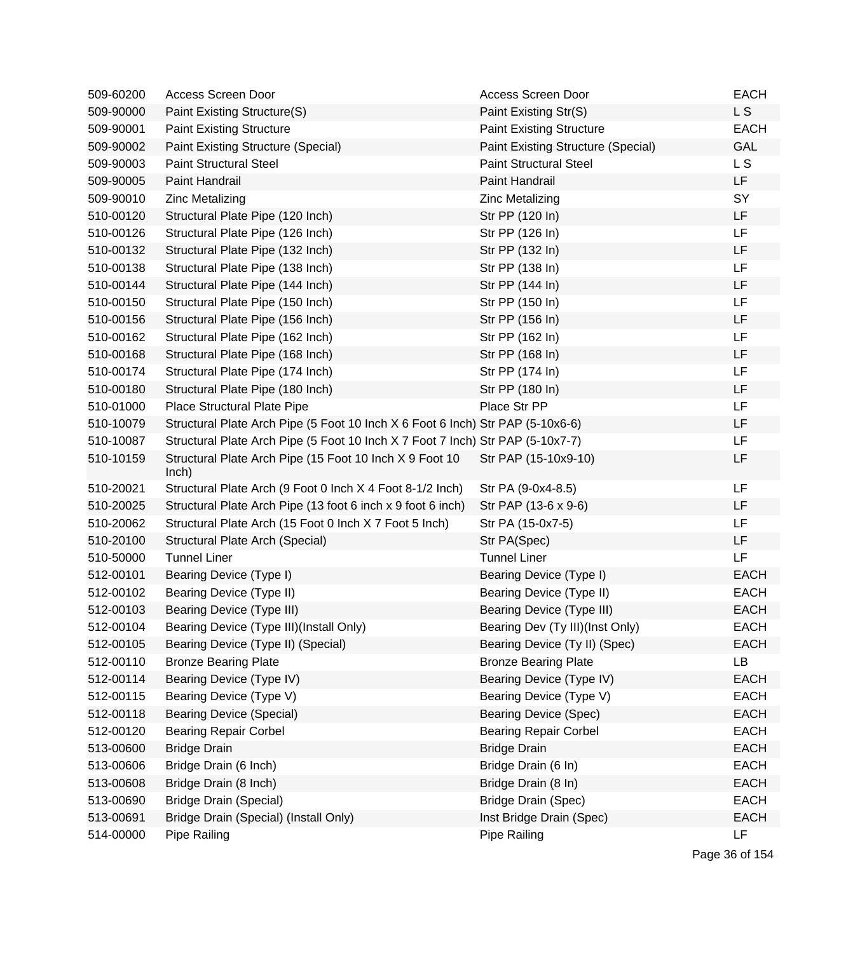| 509-60200 | Access Screen Door                                                             | Access Screen Door                 | <b>EACH</b> |
|-----------|--------------------------------------------------------------------------------|------------------------------------|-------------|
| 509-90000 | Paint Existing Structure(S)                                                    | Paint Existing Str(S)              | L S         |
| 509-90001 | <b>Paint Existing Structure</b>                                                | <b>Paint Existing Structure</b>    | <b>EACH</b> |
| 509-90002 | Paint Existing Structure (Special)                                             | Paint Existing Structure (Special) | GAL         |
| 509-90003 | <b>Paint Structural Steel</b>                                                  | <b>Paint Structural Steel</b>      | L S         |
| 509-90005 | Paint Handrail                                                                 | Paint Handrail                     | LF          |
| 509-90010 | <b>Zinc Metalizing</b>                                                         | <b>Zinc Metalizing</b>             | SY          |
| 510-00120 | Structural Plate Pipe (120 Inch)                                               | Str PP (120 In)                    | LF          |
| 510-00126 | Structural Plate Pipe (126 Inch)                                               | Str PP (126 In)                    | LF          |
| 510-00132 | Structural Plate Pipe (132 Inch)                                               | Str PP (132 In)                    | LF          |
| 510-00138 | Structural Plate Pipe (138 Inch)                                               | Str PP (138 In)                    | LF          |
| 510-00144 | Structural Plate Pipe (144 Inch)                                               | Str PP (144 In)                    | LF          |
| 510-00150 | Structural Plate Pipe (150 Inch)                                               | Str PP (150 In)                    | LF          |
| 510-00156 | Structural Plate Pipe (156 Inch)                                               | Str PP (156 In)                    | LF          |
| 510-00162 | Structural Plate Pipe (162 Inch)                                               | Str PP (162 In)                    | LF          |
| 510-00168 | Structural Plate Pipe (168 Inch)                                               | Str PP (168 In)                    | LF          |
| 510-00174 | Structural Plate Pipe (174 Inch)                                               | Str PP (174 In)                    | LF          |
| 510-00180 | Structural Plate Pipe (180 Inch)                                               | Str PP (180 In)                    | LF          |
| 510-01000 | Place Structural Plate Pipe                                                    | Place Str PP                       | LF          |
| 510-10079 | Structural Plate Arch Pipe (5 Foot 10 Inch X 6 Foot 6 Inch) Str PAP (5-10x6-6) |                                    | LF          |
| 510-10087 | Structural Plate Arch Pipe (5 Foot 10 Inch X 7 Foot 7 Inch) Str PAP (5-10x7-7) |                                    | LF          |
| 510-10159 | Structural Plate Arch Pipe (15 Foot 10 Inch X 9 Foot 10<br>lnch)               | Str PAP (15-10x9-10)               | LF          |
| 510-20021 | Structural Plate Arch (9 Foot 0 Inch X 4 Foot 8-1/2 Inch)                      | Str PA (9-0x4-8.5)                 | LF          |
| 510-20025 | Structural Plate Arch Pipe (13 foot 6 inch x 9 foot 6 inch)                    | Str PAP (13-6 x 9-6)               | LF          |
| 510-20062 | Structural Plate Arch (15 Foot 0 lnch X 7 Foot 5 lnch)                         | Str PA (15-0x7-5)                  | LF          |
| 510-20100 | Structural Plate Arch (Special)                                                | Str PA(Spec)                       | LF          |
| 510-50000 | <b>Tunnel Liner</b>                                                            | <b>Tunnel Liner</b>                | LF          |
| 512-00101 | Bearing Device (Type I)                                                        | Bearing Device (Type I)            | <b>EACH</b> |
| 512-00102 | Bearing Device (Type II)                                                       | Bearing Device (Type II)           | <b>EACH</b> |
| 512-00103 | <b>Bearing Device (Type III)</b>                                               | Bearing Device (Type III)          | <b>EACH</b> |
| 512-00104 | Bearing Device (Type III)(Install Only)                                        | Bearing Dev (Ty III)(Inst Only)    | <b>EACH</b> |
| 512-00105 | Bearing Device (Type II) (Special)                                             | Bearing Device (Ty II) (Spec)      | <b>EACH</b> |
| 512-00110 | <b>Bronze Bearing Plate</b>                                                    | <b>Bronze Bearing Plate</b>        | LB          |
| 512-00114 | Bearing Device (Type IV)                                                       | Bearing Device (Type IV)           | <b>EACH</b> |
| 512-00115 | Bearing Device (Type V)                                                        | Bearing Device (Type V)            | <b>EACH</b> |
| 512-00118 | <b>Bearing Device (Special)</b>                                                | <b>Bearing Device (Spec)</b>       | <b>EACH</b> |
| 512-00120 | <b>Bearing Repair Corbel</b>                                                   | <b>Bearing Repair Corbel</b>       | <b>EACH</b> |
| 513-00600 | <b>Bridge Drain</b>                                                            | <b>Bridge Drain</b>                | <b>EACH</b> |
| 513-00606 | Bridge Drain (6 Inch)                                                          | Bridge Drain (6 In)                | <b>EACH</b> |
| 513-00608 | Bridge Drain (8 Inch)                                                          | Bridge Drain (8 In)                | <b>EACH</b> |
| 513-00690 | <b>Bridge Drain (Special)</b>                                                  | <b>Bridge Drain (Spec)</b>         | <b>EACH</b> |
| 513-00691 | Bridge Drain (Special) (Install Only)                                          | Inst Bridge Drain (Spec)           | <b>EACH</b> |
| 514-00000 | Pipe Railing                                                                   | Pipe Railing                       | LF          |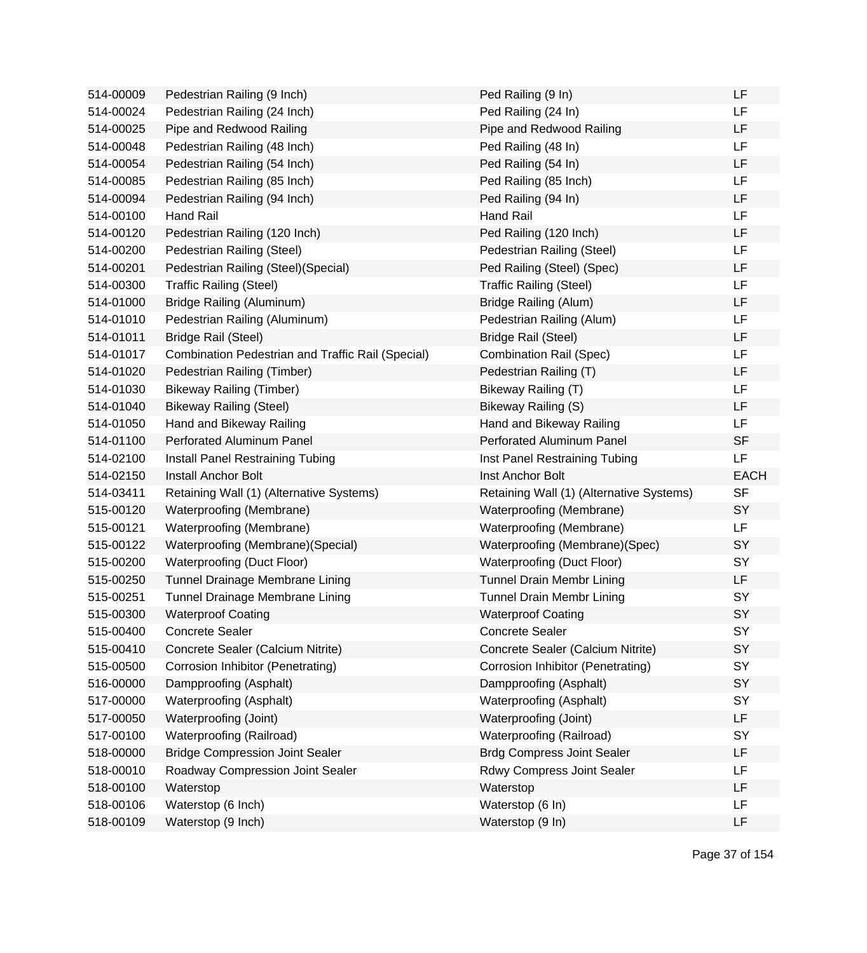| 514-00009              | Pedestrian Railing (9 Inch)                       | Ped Railing (9 In)                       | LF          |
|------------------------|---------------------------------------------------|------------------------------------------|-------------|
| 514-00024              | Pedestrian Railing (24 Inch)                      | Ped Railing (24 In)                      | <b>LF</b>   |
| 514-00025              | Pipe and Redwood Railing                          | Pipe and Redwood Railing                 | <b>LF</b>   |
| 514-00048              | Pedestrian Railing (48 Inch)                      | Ped Railing (48 In)                      | <b>LF</b>   |
| 514-00054              | Pedestrian Railing (54 Inch)                      | Ped Railing (54 In)                      | <b>LF</b>   |
| 514-00085              | Pedestrian Railing (85 Inch)                      | Ped Railing (85 Inch)                    | LF          |
| 514-00094              | Pedestrian Railing (94 Inch)                      | Ped Railing (94 In)                      | LF          |
| 514-00100              | Hand Rail                                         | Hand Rail                                | LF          |
| 514-00120              | Pedestrian Railing (120 Inch)                     | Ped Railing (120 Inch)                   | LF          |
| 514-00200              | Pedestrian Railing (Steel)                        | Pedestrian Railing (Steel)               | LF          |
| 514-00201              | Pedestrian Railing (Steel) (Special)              | Ped Railing (Steel) (Spec)               | LF          |
| 514-00300              | <b>Traffic Railing (Steel)</b>                    | <b>Traffic Railing (Steel)</b>           | LF          |
| 514-01000              | <b>Bridge Railing (Aluminum)</b>                  | <b>Bridge Railing (Alum)</b>             | <b>LF</b>   |
| 514-01010              | Pedestrian Railing (Aluminum)                     | Pedestrian Railing (Alum)                | LF          |
| 514-01011              | <b>Bridge Rail (Steel)</b>                        | <b>Bridge Rail (Steel)</b>               | <b>LF</b>   |
| 514-01017              | Combination Pedestrian and Traffic Rail (Special) | <b>Combination Rail (Spec)</b>           | <b>LF</b>   |
| 514-01020              | Pedestrian Railing (Timber)                       | Pedestrian Railing (T)                   | LF          |
| 514-01030              | <b>Bikeway Railing (Timber)</b>                   | Bikeway Railing (T)                      | LF          |
| 514-01040              | <b>Bikeway Railing (Steel)</b>                    | Bikeway Railing (S)                      | LF          |
| 514-01050              | Hand and Bikeway Railing                          | Hand and Bikeway Railing                 | LF          |
| 514-01100              | <b>Perforated Aluminum Panel</b>                  | Perforated Aluminum Panel                | <b>SF</b>   |
|                        |                                                   |                                          |             |
| 514-02100              | Install Panel Restraining Tubing                  | Inst Panel Restraining Tubing            | <b>LF</b>   |
| 514-02150              | <b>Install Anchor Bolt</b>                        | Inst Anchor Bolt                         | <b>EACH</b> |
| 514-03411              | Retaining Wall (1) (Alternative Systems)          | Retaining Wall (1) (Alternative Systems) | <b>SF</b>   |
| 515-00120              | Waterproofing (Membrane)                          | Waterproofing (Membrane)                 | SY          |
| 515-00121              | Waterproofing (Membrane)                          | Waterproofing (Membrane)                 | LF          |
| 515-00122              | Waterproofing (Membrane) (Special)                | Waterproofing (Membrane)(Spec)           | SY          |
| 515-00200              | Waterproofing (Duct Floor)                        | Waterproofing (Duct Floor)               | SY          |
| 515-00250              | Tunnel Drainage Membrane Lining                   | <b>Tunnel Drain Membr Lining</b>         | LF          |
| 515-00251              | Tunnel Drainage Membrane Lining                   | <b>Tunnel Drain Membr Lining</b>         | SY          |
| 515-00300              | <b>Waterproof Coating</b>                         | <b>Waterproof Coating</b>                | SY          |
| 515-00400              | <b>Concrete Sealer</b>                            | <b>Concrete Sealer</b>                   | SY          |
| 515-00410              | Concrete Sealer (Calcium Nitrite)                 | Concrete Sealer (Calcium Nitrite)        | SY          |
| 515-00500              | Corrosion Inhibitor (Penetrating)                 | Corrosion Inhibitor (Penetrating)        | SY          |
| 516-00000              | Dampproofing (Asphalt)                            | Dampproofing (Asphalt)                   | SY          |
| 517-00000              | Waterproofing (Asphalt)                           | Waterproofing (Asphalt)                  | <b>SY</b>   |
| 517-00050              | Waterproofing (Joint)                             | Waterproofing (Joint)                    | LF          |
| 517-00100              | Waterproofing (Railroad)                          | Waterproofing (Railroad)                 | SY          |
| 518-00000              | <b>Bridge Compression Joint Sealer</b>            | <b>Brdg Compress Joint Sealer</b>        | LF          |
| 518-00010              | Roadway Compression Joint Sealer                  | Rdwy Compress Joint Sealer               | LF          |
| 518-00100              | Waterstop                                         | Waterstop                                | LF          |
| 518-00106<br>518-00109 | Waterstop (6 Inch)<br>Waterstop (9 Inch)          | Waterstop (6 In)<br>Waterstop (9 In)     | LF<br>LF    |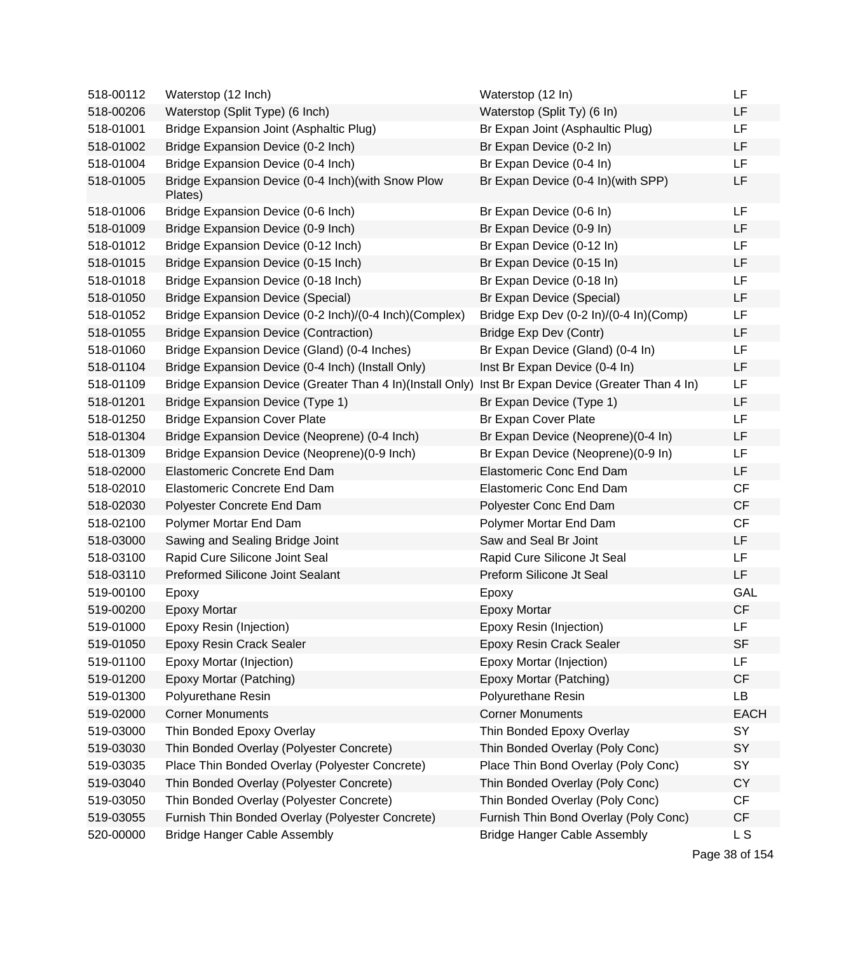| 518-00112 | Waterstop (12 Inch)                                                                                | Waterstop (12 In)                      | LF          |
|-----------|----------------------------------------------------------------------------------------------------|----------------------------------------|-------------|
| 518-00206 | Waterstop (Split Type) (6 Inch)                                                                    | Waterstop (Split Ty) (6 In)            | LF          |
| 518-01001 | Bridge Expansion Joint (Asphaltic Plug)                                                            | Br Expan Joint (Asphaultic Plug)       | LF          |
| 518-01002 | Bridge Expansion Device (0-2 Inch)                                                                 | Br Expan Device (0-2 In)               | LF          |
| 518-01004 | Bridge Expansion Device (0-4 Inch)                                                                 | Br Expan Device (0-4 In)               | LF          |
| 518-01005 | Bridge Expansion Device (0-4 Inch) (with Snow Plow<br>Plates)                                      | Br Expan Device (0-4 In)(with SPP)     | LF          |
| 518-01006 | Bridge Expansion Device (0-6 Inch)                                                                 | Br Expan Device (0-6 In)               | LF          |
| 518-01009 | Bridge Expansion Device (0-9 Inch)                                                                 | Br Expan Device (0-9 In)               | <b>LF</b>   |
| 518-01012 | Bridge Expansion Device (0-12 Inch)                                                                | Br Expan Device (0-12 In)              | LF          |
| 518-01015 | Bridge Expansion Device (0-15 Inch)                                                                | Br Expan Device (0-15 In)              | <b>LF</b>   |
| 518-01018 | Bridge Expansion Device (0-18 Inch)                                                                | Br Expan Device (0-18 In)              | LF          |
| 518-01050 | <b>Bridge Expansion Device (Special)</b>                                                           | Br Expan Device (Special)              | LF          |
| 518-01052 | Bridge Expansion Device (0-2 Inch)/(0-4 Inch)(Complex)                                             | Bridge Exp Dev (0-2 In)/(0-4 In)(Comp) | LF          |
| 518-01055 | <b>Bridge Expansion Device (Contraction)</b>                                                       | Bridge Exp Dev (Contr)                 | LF          |
| 518-01060 | Bridge Expansion Device (Gland) (0-4 Inches)                                                       | Br Expan Device (Gland) (0-4 In)       | LF          |
| 518-01104 | Bridge Expansion Device (0-4 Inch) (Install Only)                                                  | Inst Br Expan Device (0-4 In)          | LF          |
| 518-01109 | Bridge Expansion Device (Greater Than 4 In)(Install Only) Inst Br Expan Device (Greater Than 4 In) |                                        | LF          |
| 518-01201 | <b>Bridge Expansion Device (Type 1)</b>                                                            | Br Expan Device (Type 1)               | <b>LF</b>   |
| 518-01250 | <b>Bridge Expansion Cover Plate</b>                                                                | Br Expan Cover Plate                   | LF          |
| 518-01304 | Bridge Expansion Device (Neoprene) (0-4 Inch)                                                      | Br Expan Device (Neoprene)(0-4 In)     | LF          |
| 518-01309 | Bridge Expansion Device (Neoprene) (0-9 Inch)                                                      | Br Expan Device (Neoprene)(0-9 In)     | LF          |
| 518-02000 | Elastomeric Concrete End Dam                                                                       | <b>Elastomeric Conc End Dam</b>        | LF          |
| 518-02010 | Elastomeric Concrete End Dam                                                                       | Elastomeric Conc End Dam               | CF          |
| 518-02030 | Polyester Concrete End Dam                                                                         | Polyester Conc End Dam                 | <b>CF</b>   |
| 518-02100 | Polymer Mortar End Dam                                                                             | Polymer Mortar End Dam                 | CF          |
| 518-03000 | Sawing and Sealing Bridge Joint                                                                    | Saw and Seal Br Joint                  | LF          |
| 518-03100 | Rapid Cure Silicone Joint Seal                                                                     | Rapid Cure Silicone Jt Seal            | <b>LF</b>   |
| 518-03110 | <b>Preformed Silicone Joint Sealant</b>                                                            | Preform Silicone Jt Seal               | <b>LF</b>   |
| 519-00100 | Epoxy                                                                                              | Epoxy                                  | GAL         |
| 519-00200 | <b>Epoxy Mortar</b>                                                                                | <b>Epoxy Mortar</b>                    | CF          |
| 519-01000 | Epoxy Resin (Injection)                                                                            | Epoxy Resin (Injection)                | LF          |
| 519-01050 | Epoxy Resin Crack Sealer                                                                           | Epoxy Resin Crack Sealer               | <b>SF</b>   |
| 519-01100 | Epoxy Mortar (Injection)                                                                           | Epoxy Mortar (Injection)               | LF          |
| 519-01200 | Epoxy Mortar (Patching)                                                                            | Epoxy Mortar (Patching)                | <b>CF</b>   |
| 519-01300 | Polyurethane Resin                                                                                 | Polyurethane Resin                     | LB          |
| 519-02000 | <b>Corner Monuments</b>                                                                            | <b>Corner Monuments</b>                | <b>EACH</b> |
| 519-03000 | Thin Bonded Epoxy Overlay                                                                          | Thin Bonded Epoxy Overlay              | SY          |
| 519-03030 | Thin Bonded Overlay (Polyester Concrete)                                                           | Thin Bonded Overlay (Poly Conc)        | SY          |
| 519-03035 | Place Thin Bonded Overlay (Polyester Concrete)                                                     | Place Thin Bond Overlay (Poly Conc)    | SY          |
| 519-03040 | Thin Bonded Overlay (Polyester Concrete)                                                           | Thin Bonded Overlay (Poly Conc)        | <b>CY</b>   |
| 519-03050 | Thin Bonded Overlay (Polyester Concrete)                                                           | Thin Bonded Overlay (Poly Conc)        | CF          |
| 519-03055 | Furnish Thin Bonded Overlay (Polyester Concrete)                                                   | Furnish Thin Bond Overlay (Poly Conc)  | CF          |
| 520-00000 | <b>Bridge Hanger Cable Assembly</b>                                                                | <b>Bridge Hanger Cable Assembly</b>    | L S         |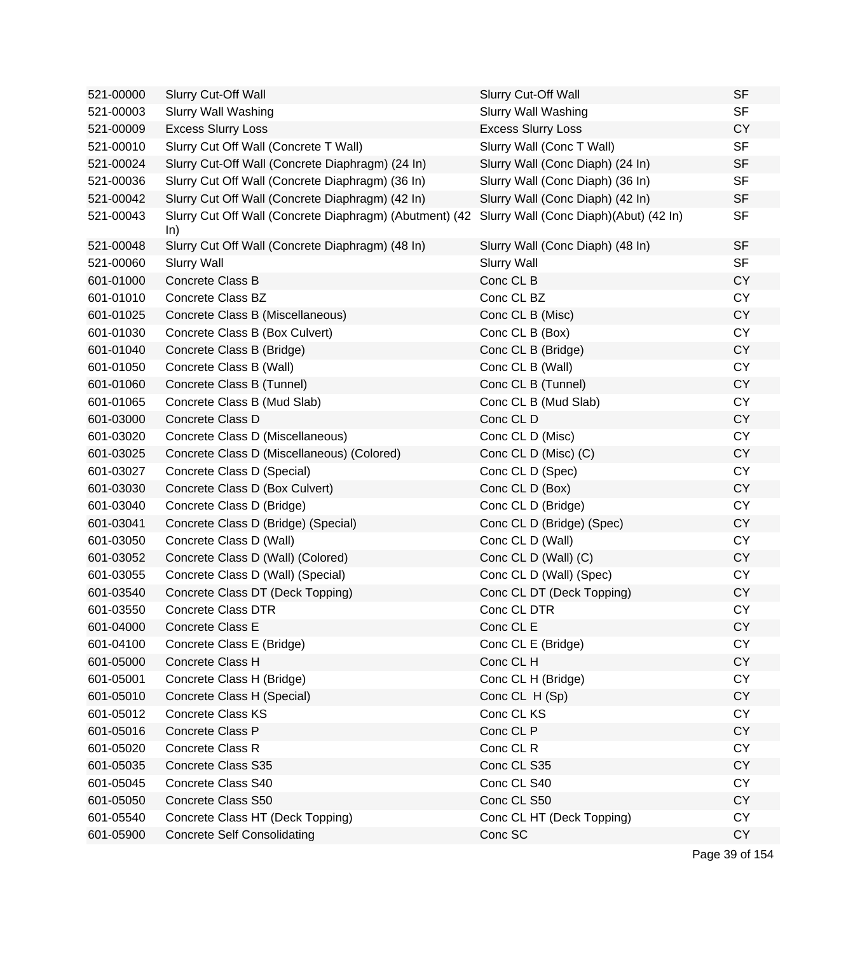| 521-00000 | <b>Slurry Cut-Off Wall</b>                                                                            | Slurry Cut-Off Wall              | <b>SF</b> |
|-----------|-------------------------------------------------------------------------------------------------------|----------------------------------|-----------|
| 521-00003 | <b>Slurry Wall Washing</b>                                                                            | <b>Slurry Wall Washing</b>       | <b>SF</b> |
| 521-00009 | <b>Excess Slurry Loss</b>                                                                             | <b>Excess Slurry Loss</b>        | <b>CY</b> |
| 521-00010 | Slurry Cut Off Wall (Concrete T Wall)                                                                 | Slurry Wall (Conc T Wall)        | <b>SF</b> |
| 521-00024 | Slurry Cut-Off Wall (Concrete Diaphragm) (24 In)                                                      | Slurry Wall (Conc Diaph) (24 In) | <b>SF</b> |
| 521-00036 | Slurry Cut Off Wall (Concrete Diaphragm) (36 In)                                                      | Slurry Wall (Conc Diaph) (36 In) | <b>SF</b> |
| 521-00042 | Slurry Cut Off Wall (Concrete Diaphragm) (42 In)                                                      | Slurry Wall (Conc Diaph) (42 In) | <b>SF</b> |
| 521-00043 | Slurry Cut Off Wall (Concrete Diaphragm) (Abutment) (42 Slurry Wall (Conc Diaph)(Abut) (42 In)<br>ln) |                                  | <b>SF</b> |
| 521-00048 | Slurry Cut Off Wall (Concrete Diaphragm) (48 In)                                                      | Slurry Wall (Conc Diaph) (48 In) | <b>SF</b> |
| 521-00060 | <b>Slurry Wall</b>                                                                                    | <b>Slurry Wall</b>               | <b>SF</b> |
| 601-01000 | Concrete Class B                                                                                      | Conc CL B                        | <b>CY</b> |
| 601-01010 | <b>Concrete Class BZ</b>                                                                              | Conc CL BZ                       | <b>CY</b> |
| 601-01025 | Concrete Class B (Miscellaneous)                                                                      | Conc CL B (Misc)                 | <b>CY</b> |
| 601-01030 | Concrete Class B (Box Culvert)                                                                        | Conc CL B (Box)                  | <b>CY</b> |
| 601-01040 | Concrete Class B (Bridge)                                                                             | Conc CL B (Bridge)               | <b>CY</b> |
| 601-01050 | Concrete Class B (Wall)                                                                               | Conc CL B (Wall)                 | <b>CY</b> |
| 601-01060 | Concrete Class B (Tunnel)                                                                             | Conc CL B (Tunnel)               | <b>CY</b> |
| 601-01065 | Concrete Class B (Mud Slab)                                                                           | Conc CL B (Mud Slab)             | <b>CY</b> |
| 601-03000 | Concrete Class D                                                                                      | Conc CL D                        | <b>CY</b> |
| 601-03020 | Concrete Class D (Miscellaneous)                                                                      | Conc CL D (Misc)                 | <b>CY</b> |
| 601-03025 | Concrete Class D (Miscellaneous) (Colored)                                                            | Conc CL D (Misc) (C)             | <b>CY</b> |
| 601-03027 | Concrete Class D (Special)                                                                            | Conc CL D (Spec)                 | <b>CY</b> |
| 601-03030 | Concrete Class D (Box Culvert)                                                                        | Conc CL D (Box)                  | <b>CY</b> |
| 601-03040 | Concrete Class D (Bridge)                                                                             | Conc CL D (Bridge)               | <b>CY</b> |
| 601-03041 | Concrete Class D (Bridge) (Special)                                                                   | Conc CL D (Bridge) (Spec)        | CY        |
| 601-03050 | Concrete Class D (Wall)                                                                               | Conc CL D (Wall)                 | <b>CY</b> |
| 601-03052 | Concrete Class D (Wall) (Colored)                                                                     | Conc CL D (Wall) (C)             | <b>CY</b> |
| 601-03055 | Concrete Class D (Wall) (Special)                                                                     | Conc CL D (Wall) (Spec)          | <b>CY</b> |
| 601-03540 | Concrete Class DT (Deck Topping)                                                                      | Conc CL DT (Deck Topping)        | <b>CY</b> |
| 601-03550 | <b>Concrete Class DTR</b>                                                                             | Conc CL DTR                      | <b>CY</b> |
| 601-04000 | Concrete Class E                                                                                      | Conc CL E                        | CY        |
| 601-04100 | Concrete Class E (Bridge)                                                                             | Conc CL E (Bridge)               | <b>CY</b> |
| 601-05000 | Concrete Class H                                                                                      | Conc CL H                        | <b>CY</b> |
| 601-05001 | Concrete Class H (Bridge)                                                                             | Conc CL H (Bridge)               | <b>CY</b> |
| 601-05010 | Concrete Class H (Special)                                                                            | Conc CL H (Sp)                   | <b>CY</b> |
| 601-05012 | <b>Concrete Class KS</b>                                                                              | Conc CL KS                       | <b>CY</b> |
| 601-05016 | Concrete Class P                                                                                      | Conc CL P                        | <b>CY</b> |
| 601-05020 | Concrete Class R                                                                                      | Conc CL R                        | <b>CY</b> |
| 601-05035 | Concrete Class S35                                                                                    | Conc CL S35                      | <b>CY</b> |
| 601-05045 | Concrete Class S40                                                                                    | Conc CL S40                      | <b>CY</b> |
| 601-05050 | Concrete Class S50                                                                                    | Conc CL S50                      | <b>CY</b> |
| 601-05540 | Concrete Class HT (Deck Topping)                                                                      | Conc CL HT (Deck Topping)        | <b>CY</b> |
| 601-05900 | <b>Concrete Self Consolidating</b>                                                                    | Conc SC                          | <b>CY</b> |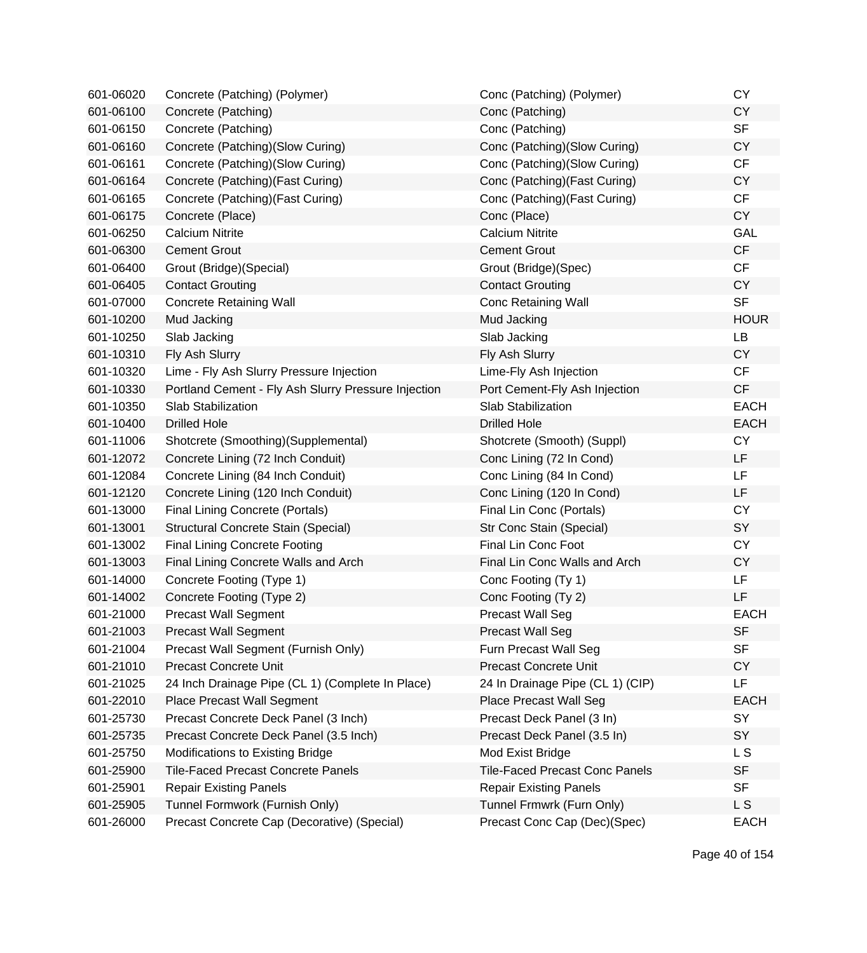| 601-06020 | Concrete (Patching) (Polymer)                       | Conc (Patching) (Polymer)             | <b>CY</b>   |
|-----------|-----------------------------------------------------|---------------------------------------|-------------|
| 601-06100 | Concrete (Patching)                                 | Conc (Patching)                       | <b>CY</b>   |
| 601-06150 | Concrete (Patching)                                 | Conc (Patching)                       | <b>SF</b>   |
| 601-06160 | Concrete (Patching) (Slow Curing)                   | Conc (Patching)(Slow Curing)          | <b>CY</b>   |
| 601-06161 | Concrete (Patching) (Slow Curing)                   | Conc (Patching)(Slow Curing)          | <b>CF</b>   |
| 601-06164 | Concrete (Patching) (Fast Curing)                   | Conc (Patching) (Fast Curing)         | <b>CY</b>   |
| 601-06165 | Concrete (Patching) (Fast Curing)                   | Conc (Patching) (Fast Curing)         | CF          |
| 601-06175 | Concrete (Place)                                    | Conc (Place)                          | <b>CY</b>   |
| 601-06250 | <b>Calcium Nitrite</b>                              | <b>Calcium Nitrite</b>                | GAL         |
| 601-06300 | <b>Cement Grout</b>                                 | <b>Cement Grout</b>                   | CF          |
| 601-06400 | Grout (Bridge) (Special)                            | Grout (Bridge) (Spec)                 | CF          |
| 601-06405 | <b>Contact Grouting</b>                             | <b>Contact Grouting</b>               | <b>CY</b>   |
| 601-07000 | <b>Concrete Retaining Wall</b>                      | <b>Conc Retaining Wall</b>            | <b>SF</b>   |
| 601-10200 | Mud Jacking                                         | Mud Jacking                           | <b>HOUR</b> |
| 601-10250 | Slab Jacking                                        | Slab Jacking                          | LB          |
| 601-10310 | Fly Ash Slurry                                      | Fly Ash Slurry                        | <b>CY</b>   |
| 601-10320 | Lime - Fly Ash Slurry Pressure Injection            | Lime-Fly Ash Injection                | CF          |
| 601-10330 | Portland Cement - Fly Ash Slurry Pressure Injection | Port Cement-Fly Ash Injection         | CF          |
| 601-10350 | <b>Slab Stabilization</b>                           | Slab Stabilization                    | <b>EACH</b> |
| 601-10400 | <b>Drilled Hole</b>                                 | <b>Drilled Hole</b>                   | <b>EACH</b> |
| 601-11006 | Shotcrete (Smoothing)(Supplemental)                 | Shotcrete (Smooth) (Suppl)            | <b>CY</b>   |
| 601-12072 | Concrete Lining (72 Inch Conduit)                   | Conc Lining (72 In Cond)              | LF          |
| 601-12084 | Concrete Lining (84 Inch Conduit)                   | Conc Lining (84 In Cond)              | LF          |
| 601-12120 | Concrete Lining (120 Inch Conduit)                  | Conc Lining (120 In Cond)             | LF          |
| 601-13000 | <b>Final Lining Concrete (Portals)</b>              | Final Lin Conc (Portals)              | <b>CY</b>   |
| 601-13001 | Structural Concrete Stain (Special)                 | Str Conc Stain (Special)              | SY          |
| 601-13002 | <b>Final Lining Concrete Footing</b>                | <b>Final Lin Conc Foot</b>            | <b>CY</b>   |
| 601-13003 | Final Lining Concrete Walls and Arch                | Final Lin Conc Walls and Arch         | <b>CY</b>   |
| 601-14000 | Concrete Footing (Type 1)                           | Conc Footing (Ty 1)                   | LF          |
| 601-14002 | Concrete Footing (Type 2)                           | Conc Footing (Ty 2)                   | LF          |
| 601-21000 | <b>Precast Wall Segment</b>                         | <b>Precast Wall Seg</b>               | <b>EACH</b> |
| 601-21003 | <b>Precast Wall Segment</b>                         | <b>Precast Wall Seg</b>               | <b>SF</b>   |
| 601-21004 | Precast Wall Segment (Furnish Only)                 | Furn Precast Wall Seg                 | <b>SF</b>   |
| 601-21010 | <b>Precast Concrete Unit</b>                        | <b>Precast Concrete Unit</b>          | <b>CY</b>   |
| 601-21025 | 24 Inch Drainage Pipe (CL 1) (Complete In Place)    | 24 In Drainage Pipe (CL 1) (CIP)      | LF          |
| 601-22010 | Place Precast Wall Segment                          | <b>Place Precast Wall Seg</b>         | <b>EACH</b> |
| 601-25730 | Precast Concrete Deck Panel (3 Inch)                | Precast Deck Panel (3 In)             | SY          |
| 601-25735 | Precast Concrete Deck Panel (3.5 Inch)              | Precast Deck Panel (3.5 In)           | <b>SY</b>   |
| 601-25750 | Modifications to Existing Bridge                    | Mod Exist Bridge                      | L S         |
| 601-25900 | <b>Tile-Faced Precast Concrete Panels</b>           | <b>Tile-Faced Precast Conc Panels</b> | <b>SF</b>   |
| 601-25901 | <b>Repair Existing Panels</b>                       | <b>Repair Existing Panels</b>         | <b>SF</b>   |
| 601-25905 | Tunnel Formwork (Furnish Only)                      | Tunnel Frmwrk (Furn Only)             | L S         |
| 601-26000 | Precast Concrete Cap (Decorative) (Special)         | Precast Conc Cap (Dec)(Spec)          | <b>EACH</b> |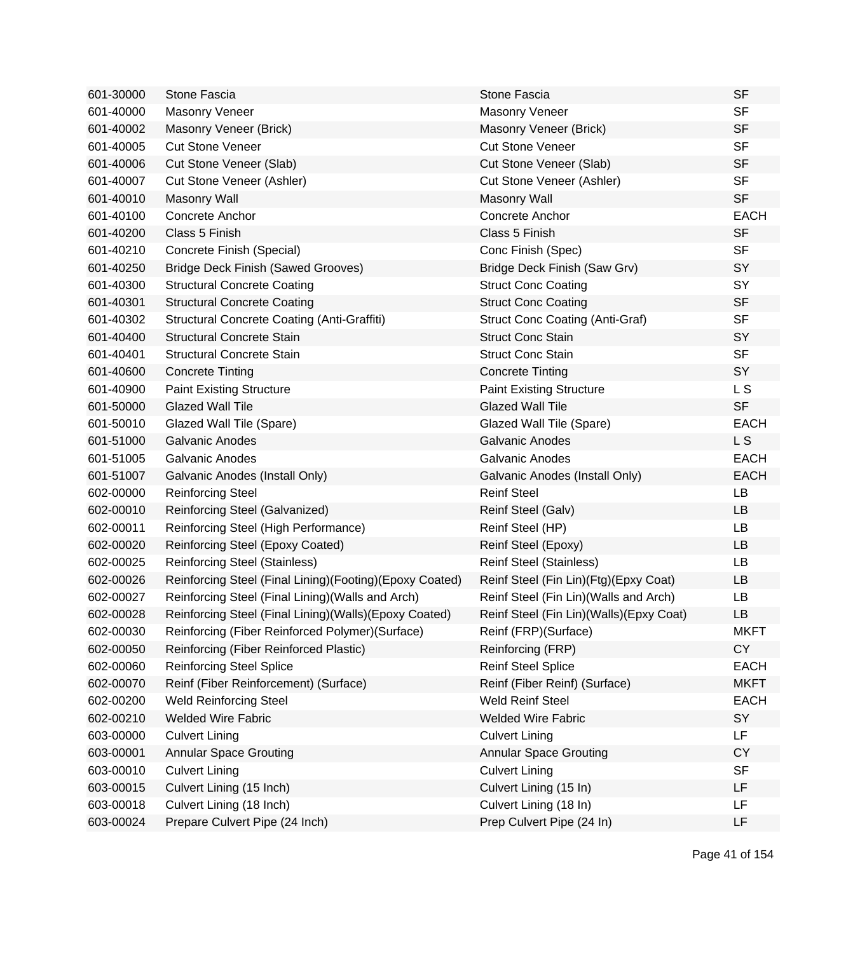| 601-30000 | <b>Stone Fascia</b>                                     | <b>Stone Fascia</b>                     | <b>SF</b>   |
|-----------|---------------------------------------------------------|-----------------------------------------|-------------|
| 601-40000 | Masonry Veneer                                          | <b>Masonry Veneer</b>                   | <b>SF</b>   |
| 601-40002 | Masonry Veneer (Brick)                                  | Masonry Veneer (Brick)                  | <b>SF</b>   |
| 601-40005 | <b>Cut Stone Veneer</b>                                 | <b>Cut Stone Veneer</b>                 | <b>SF</b>   |
| 601-40006 | Cut Stone Veneer (Slab)                                 | Cut Stone Veneer (Slab)                 | <b>SF</b>   |
| 601-40007 | Cut Stone Veneer (Ashler)                               | Cut Stone Veneer (Ashler)               | <b>SF</b>   |
| 601-40010 | <b>Masonry Wall</b>                                     | <b>Masonry Wall</b>                     | <b>SF</b>   |
| 601-40100 | Concrete Anchor                                         | Concrete Anchor                         | <b>EACH</b> |
| 601-40200 | Class 5 Finish                                          | Class 5 Finish                          | <b>SF</b>   |
| 601-40210 | Concrete Finish (Special)                               | Conc Finish (Spec)                      | <b>SF</b>   |
| 601-40250 | <b>Bridge Deck Finish (Sawed Grooves)</b>               | Bridge Deck Finish (Saw Grv)            | SY          |
| 601-40300 | <b>Structural Concrete Coating</b>                      | <b>Struct Conc Coating</b>              | SY          |
| 601-40301 | <b>Structural Concrete Coating</b>                      | <b>Struct Conc Coating</b>              | <b>SF</b>   |
| 601-40302 | Structural Concrete Coating (Anti-Graffiti)             | <b>Struct Conc Coating (Anti-Graf)</b>  | <b>SF</b>   |
| 601-40400 | <b>Structural Concrete Stain</b>                        | <b>Struct Conc Stain</b>                | SY          |
| 601-40401 | <b>Structural Concrete Stain</b>                        | <b>Struct Conc Stain</b>                | <b>SF</b>   |
| 601-40600 | <b>Concrete Tinting</b>                                 | <b>Concrete Tinting</b>                 | SY          |
| 601-40900 | <b>Paint Existing Structure</b>                         | <b>Paint Existing Structure</b>         | L S         |
| 601-50000 | <b>Glazed Wall Tile</b>                                 | <b>Glazed Wall Tile</b>                 | <b>SF</b>   |
| 601-50010 | Glazed Wall Tile (Spare)                                | Glazed Wall Tile (Spare)                | <b>EACH</b> |
| 601-51000 | <b>Galvanic Anodes</b>                                  | <b>Galvanic Anodes</b>                  | L S         |
| 601-51005 | <b>Galvanic Anodes</b>                                  | <b>Galvanic Anodes</b>                  | <b>EACH</b> |
| 601-51007 | Galvanic Anodes (Install Only)                          | Galvanic Anodes (Install Only)          | <b>EACH</b> |
| 602-00000 | <b>Reinforcing Steel</b>                                | <b>Reinf Steel</b>                      | LB          |
| 602-00010 | Reinforcing Steel (Galvanized)                          | Reinf Steel (Galv)                      | <b>LB</b>   |
| 602-00011 | Reinforcing Steel (High Performance)                    | Reinf Steel (HP)                        | LB          |
| 602-00020 | Reinforcing Steel (Epoxy Coated)                        | Reinf Steel (Epoxy)                     | LB          |
| 602-00025 | <b>Reinforcing Steel (Stainless)</b>                    | <b>Reinf Steel (Stainless)</b>          | LB          |
| 602-00026 | Reinforcing Steel (Final Lining)(Footing)(Epoxy Coated) | Reinf Steel (Fin Lin)(Ftg)(Epxy Coat)   | LB          |
| 602-00027 | Reinforcing Steel (Final Lining) (Walls and Arch)       | Reinf Steel (Fin Lin) (Walls and Arch)  | LB          |
| 602-00028 | Reinforcing Steel (Final Lining)(Walls)(Epoxy Coated)   | Reinf Steel (Fin Lin)(Walls)(Epxy Coat) | LB          |
| 602-00030 | Reinforcing (Fiber Reinforced Polymer)(Surface)         | Reinf (FRP) (Surface)                   | <b>MKFT</b> |
| 602-00050 | Reinforcing (Fiber Reinforced Plastic)                  | Reinforcing (FRP)                       | <b>CY</b>   |
| 602-00060 | <b>Reinforcing Steel Splice</b>                         | <b>Reinf Steel Splice</b>               | <b>EACH</b> |
| 602-00070 | Reinf (Fiber Reinforcement) (Surface)                   | Reinf (Fiber Reinf) (Surface)           | <b>MKFT</b> |
| 602-00200 | <b>Weld Reinforcing Steel</b>                           | <b>Weld Reinf Steel</b>                 | <b>EACH</b> |
| 602-00210 | <b>Welded Wire Fabric</b>                               | <b>Welded Wire Fabric</b>               | SY          |
| 603-00000 | <b>Culvert Lining</b>                                   | <b>Culvert Lining</b>                   | LF          |
| 603-00001 | <b>Annular Space Grouting</b>                           | <b>Annular Space Grouting</b>           | <b>CY</b>   |
| 603-00010 | <b>Culvert Lining</b>                                   | <b>Culvert Lining</b>                   | <b>SF</b>   |
| 603-00015 | Culvert Lining (15 Inch)                                | Culvert Lining (15 In)                  | LF          |
| 603-00018 | Culvert Lining (18 Inch)                                | Culvert Lining (18 In)                  | LF          |
| 603-00024 | Prepare Culvert Pipe (24 Inch)                          | Prep Culvert Pipe (24 In)               | LF          |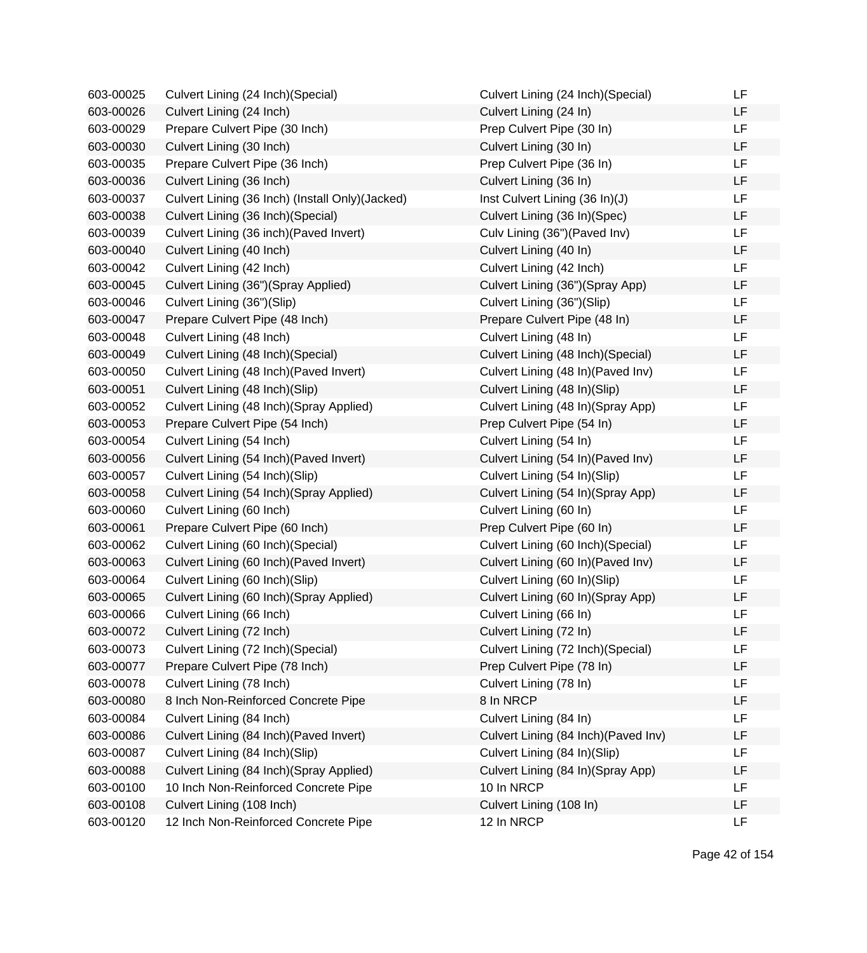| 603-00025 | Culvert Lining (24 Inch) (Special)               | Culvert Lining (24 Inch) (Special)   | LF        |
|-----------|--------------------------------------------------|--------------------------------------|-----------|
| 603-00026 | Culvert Lining (24 Inch)                         | Culvert Lining (24 In)               | LF        |
| 603-00029 | Prepare Culvert Pipe (30 Inch)                   | Prep Culvert Pipe (30 In)            | LF        |
| 603-00030 | Culvert Lining (30 Inch)                         | Culvert Lining (30 In)               | LF        |
| 603-00035 | Prepare Culvert Pipe (36 Inch)                   | Prep Culvert Pipe (36 In)            | <b>LF</b> |
| 603-00036 | Culvert Lining (36 Inch)                         | Culvert Lining (36 In)               | LF        |
| 603-00037 | Culvert Lining (36 Inch) (Install Only) (Jacked) | Inst Culvert Lining (36 In)(J)       | <b>LF</b> |
| 603-00038 | Culvert Lining (36 Inch) (Special)               | Culvert Lining (36 In)(Spec)         | <b>LF</b> |
| 603-00039 | Culvert Lining (36 inch) (Paved Invert)          | Culv Lining (36") (Paved Inv)        | LF        |
| 603-00040 | Culvert Lining (40 Inch)                         | Culvert Lining (40 In)               | LF        |
| 603-00042 | Culvert Lining (42 Inch)                         | Culvert Lining (42 Inch)             | LF        |
| 603-00045 | Culvert Lining (36")(Spray Applied)              | Culvert Lining (36")(Spray App)      | LF        |
| 603-00046 | Culvert Lining (36")(Slip)                       | Culvert Lining (36")(Slip)           | LF        |
| 603-00047 | Prepare Culvert Pipe (48 Inch)                   | Prepare Culvert Pipe (48 In)         | LF        |
| 603-00048 | Culvert Lining (48 Inch)                         | Culvert Lining (48 In)               | <b>LF</b> |
| 603-00049 | Culvert Lining (48 Inch) (Special)               | Culvert Lining (48 Inch) (Special)   | LF        |
| 603-00050 | Culvert Lining (48 Inch) (Paved Invert)          | Culvert Lining (48 In) (Paved Inv)   | <b>LF</b> |
| 603-00051 | Culvert Lining (48 Inch)(Slip)                   | Culvert Lining (48 In)(Slip)         | <b>LF</b> |
| 603-00052 | Culvert Lining (48 Inch)(Spray Applied)          | Culvert Lining (48 In)(Spray App)    | <b>LF</b> |
| 603-00053 | Prepare Culvert Pipe (54 Inch)                   | Prep Culvert Pipe (54 In)            | <b>LF</b> |
| 603-00054 | Culvert Lining (54 Inch)                         | Culvert Lining (54 In)               | <b>LF</b> |
| 603-00056 | Culvert Lining (54 Inch) (Paved Invert)          | Culvert Lining (54 In)(Paved Inv)    | LF        |
| 603-00057 | Culvert Lining (54 Inch)(Slip)                   | Culvert Lining (54 In)(Slip)         | <b>LF</b> |
| 603-00058 | Culvert Lining (54 Inch) (Spray Applied)         | Culvert Lining (54 In)(Spray App)    | LF        |
| 603-00060 | Culvert Lining (60 Inch)                         | Culvert Lining (60 In)               | <b>LF</b> |
| 603-00061 | Prepare Culvert Pipe (60 Inch)                   | Prep Culvert Pipe (60 In)            | LF        |
| 603-00062 | Culvert Lining (60 Inch) (Special)               | Culvert Lining (60 Inch) (Special)   | LF        |
| 603-00063 | Culvert Lining (60 Inch) (Paved Invert)          | Culvert Lining (60 In) (Paved Inv)   | <b>LF</b> |
| 603-00064 | Culvert Lining (60 Inch)(Slip)                   | Culvert Lining (60 In)(Slip)         | LF        |
| 603-00065 | Culvert Lining (60 Inch) (Spray Applied)         | Culvert Lining (60 In) (Spray App)   | LF        |
| 603-00066 | Culvert Lining (66 Inch)                         | Culvert Lining (66 In)               | <b>LF</b> |
| 603-00072 | Culvert Lining (72 Inch)                         | Culvert Lining (72 In)               | LF        |
| 603-00073 | Culvert Lining (72 Inch) (Special)               | Culvert Lining (72 Inch)(Special)    | LF        |
| 603-00077 | Prepare Culvert Pipe (78 Inch)                   | Prep Culvert Pipe (78 In)            | LF        |
| 603-00078 | Culvert Lining (78 Inch)                         | Culvert Lining (78 In)               | LF        |
| 603-00080 | 8 Inch Non-Reinforced Concrete Pipe              | 8 In NRCP                            | LF        |
| 603-00084 | Culvert Lining (84 Inch)                         | Culvert Lining (84 In)               | LF        |
| 603-00086 | Culvert Lining (84 Inch) (Paved Invert)          | Culvert Lining (84 Inch) (Paved Inv) | LF        |
| 603-00087 | Culvert Lining (84 Inch)(Slip)                   | Culvert Lining (84 In)(Slip)         | LF        |
| 603-00088 | Culvert Lining (84 Inch) (Spray Applied)         | Culvert Lining (84 In) (Spray App)   | LF        |
| 603-00100 | 10 Inch Non-Reinforced Concrete Pipe             | 10 In NRCP                           | LF        |
| 603-00108 | Culvert Lining (108 Inch)                        | Culvert Lining (108 In)              | LF        |
| 603-00120 | 12 Inch Non-Reinforced Concrete Pipe             | 12 In NRCP                           | LF        |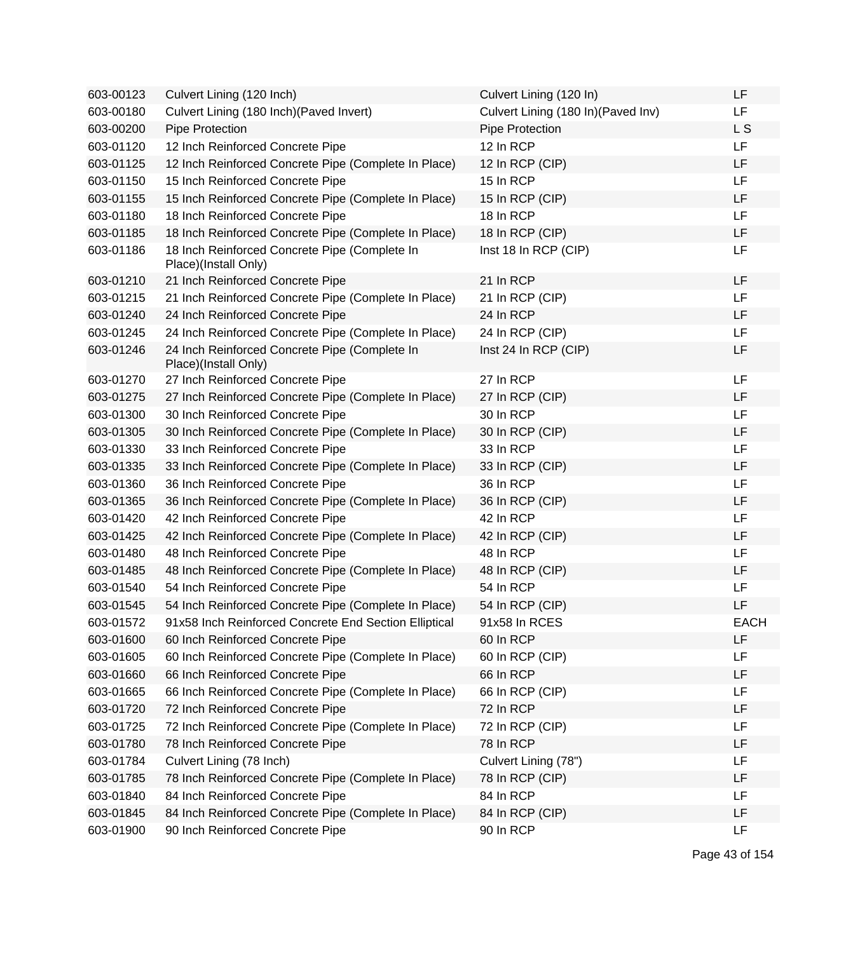| 603-00123 | Culvert Lining (120 Inch)                                             | Culvert Lining (120 In)             | LF          |
|-----------|-----------------------------------------------------------------------|-------------------------------------|-------------|
| 603-00180 | Culvert Lining (180 Inch) (Paved Invert)                              | Culvert Lining (180 In) (Paved Inv) | LF          |
| 603-00200 | Pipe Protection                                                       | Pipe Protection                     | L S         |
| 603-01120 | 12 Inch Reinforced Concrete Pipe                                      | 12 In RCP                           | LF          |
| 603-01125 | 12 Inch Reinforced Concrete Pipe (Complete In Place)                  | 12 In RCP (CIP)                     | LF          |
| 603-01150 | 15 Inch Reinforced Concrete Pipe                                      | 15 In RCP                           | LF          |
| 603-01155 | 15 Inch Reinforced Concrete Pipe (Complete In Place)                  | 15 In RCP (CIP)                     | LF          |
| 603-01180 | 18 Inch Reinforced Concrete Pipe                                      | 18 In RCP                           | LF          |
| 603-01185 | 18 Inch Reinforced Concrete Pipe (Complete In Place)                  | 18 In RCP (CIP)                     | LF          |
| 603-01186 | 18 Inch Reinforced Concrete Pipe (Complete In<br>Place)(Install Only) | Inst 18 In RCP (CIP)                | LF          |
| 603-01210 | 21 Inch Reinforced Concrete Pipe                                      | 21 In RCP                           | LF          |
| 603-01215 | 21 Inch Reinforced Concrete Pipe (Complete In Place)                  | 21 In RCP (CIP)                     | LF          |
| 603-01240 | 24 Inch Reinforced Concrete Pipe                                      | 24 In RCP                           | LF          |
| 603-01245 | 24 Inch Reinforced Concrete Pipe (Complete In Place)                  | 24 In RCP (CIP)                     | LF          |
| 603-01246 | 24 Inch Reinforced Concrete Pipe (Complete In<br>Place)(Install Only) | Inst 24 In RCP (CIP)                | LF          |
| 603-01270 | 27 Inch Reinforced Concrete Pipe                                      | 27 In RCP                           | LF          |
| 603-01275 | 27 Inch Reinforced Concrete Pipe (Complete In Place)                  | 27 In RCP (CIP)                     | LF          |
| 603-01300 | 30 Inch Reinforced Concrete Pipe                                      | 30 In RCP                           | LF          |
| 603-01305 | 30 Inch Reinforced Concrete Pipe (Complete In Place)                  | 30 In RCP (CIP)                     | LF          |
| 603-01330 | 33 Inch Reinforced Concrete Pipe                                      | 33 In RCP                           | LF          |
| 603-01335 | 33 Inch Reinforced Concrete Pipe (Complete In Place)                  | 33 In RCP (CIP)                     | LF          |
| 603-01360 | 36 Inch Reinforced Concrete Pipe                                      | 36 In RCP                           | LF          |
| 603-01365 | 36 Inch Reinforced Concrete Pipe (Complete In Place)                  | 36 In RCP (CIP)                     | LF          |
| 603-01420 | 42 Inch Reinforced Concrete Pipe                                      | 42 In RCP                           | LF          |
| 603-01425 | 42 Inch Reinforced Concrete Pipe (Complete In Place)                  | 42 In RCP (CIP)                     | LF          |
| 603-01480 | 48 Inch Reinforced Concrete Pipe                                      | 48 In RCP                           | LF          |
| 603-01485 | 48 Inch Reinforced Concrete Pipe (Complete In Place)                  | 48 In RCP (CIP)                     | LF          |
| 603-01540 | 54 Inch Reinforced Concrete Pipe                                      | 54 In RCP                           | LF          |
| 603-01545 | 54 Inch Reinforced Concrete Pipe (Complete In Place)                  | 54 In RCP (CIP)                     | LF          |
| 603-01572 | 91x58 Inch Reinforced Concrete End Section Elliptical                 | 91x58 In RCES                       | <b>EACH</b> |
| 603-01600 | 60 Inch Reinforced Concrete Pipe                                      | 60 In RCP                           | LF          |
| 603-01605 | 60 Inch Reinforced Concrete Pipe (Complete In Place)                  | 60 In RCP (CIP)                     | LF          |
| 603-01660 | 66 Inch Reinforced Concrete Pipe                                      | 66 In RCP                           | LF          |
| 603-01665 | 66 Inch Reinforced Concrete Pipe (Complete In Place)                  | 66 In RCP (CIP)                     | LF          |
| 603-01720 | 72 Inch Reinforced Concrete Pipe                                      | 72 In RCP                           | LF          |
| 603-01725 | 72 Inch Reinforced Concrete Pipe (Complete In Place)                  | 72 In RCP (CIP)                     | LF          |
| 603-01780 | 78 Inch Reinforced Concrete Pipe                                      | 78 In RCP                           | LF          |
| 603-01784 | Culvert Lining (78 Inch)                                              | Culvert Lining (78")                | LF          |
| 603-01785 | 78 Inch Reinforced Concrete Pipe (Complete In Place)                  | 78 In RCP (CIP)                     | LF          |
| 603-01840 | 84 Inch Reinforced Concrete Pipe                                      | 84 In RCP                           | LF          |
| 603-01845 | 84 Inch Reinforced Concrete Pipe (Complete In Place)                  | 84 In RCP (CIP)                     | LF          |
| 603-01900 | 90 Inch Reinforced Concrete Pipe                                      | 90 In RCP                           | LF          |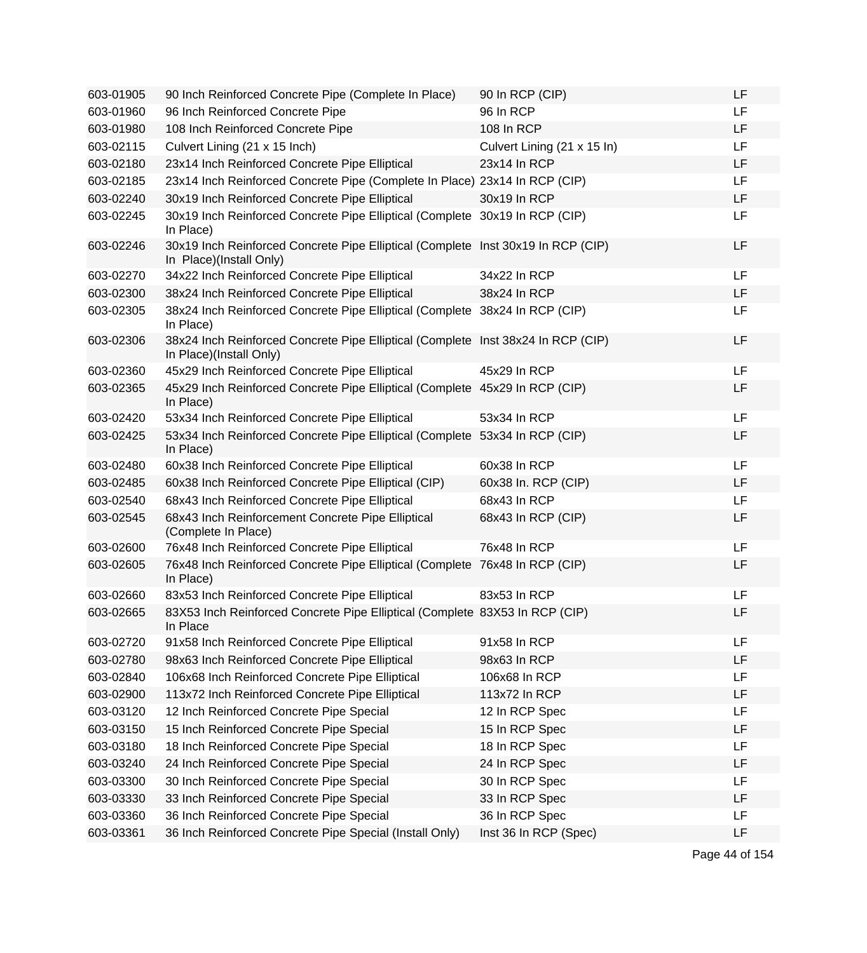| 603-01905 | 90 Inch Reinforced Concrete Pipe (Complete In Place)                                                        | 90 In RCP (CIP)             | <b>LF</b> |
|-----------|-------------------------------------------------------------------------------------------------------------|-----------------------------|-----------|
| 603-01960 | 96 Inch Reinforced Concrete Pipe                                                                            | 96 In RCP                   | <b>LF</b> |
| 603-01980 | 108 Inch Reinforced Concrete Pipe                                                                           | 108 In RCP                  | <b>LF</b> |
| 603-02115 | Culvert Lining (21 x 15 Inch)                                                                               | Culvert Lining (21 x 15 ln) | LF        |
| 603-02180 | 23x14 Inch Reinforced Concrete Pipe Elliptical                                                              | 23x14 In RCP                | <b>LF</b> |
| 603-02185 | 23x14 Inch Reinforced Concrete Pipe (Complete In Place) 23x14 In RCP (CIP)                                  |                             | LF        |
| 603-02240 | 30x19 Inch Reinforced Concrete Pipe Elliptical                                                              | 30x19 In RCP                | LF        |
| 603-02245 | 30x19 Inch Reinforced Concrete Pipe Elliptical (Complete 30x19 In RCP (CIP)<br>In Place)                    |                             | LF        |
| 603-02246 | 30x19 Inch Reinforced Concrete Pipe Elliptical (Complete Inst 30x19 In RCP (CIP)<br>In Place)(Install Only) |                             | LF        |
| 603-02270 | 34x22 Inch Reinforced Concrete Pipe Elliptical                                                              | 34x22 In RCP                | LF        |
| 603-02300 | 38x24 Inch Reinforced Concrete Pipe Elliptical                                                              | 38x24 In RCP                | <b>LF</b> |
| 603-02305 | 38x24 Inch Reinforced Concrete Pipe Elliptical (Complete 38x24 In RCP (CIP)<br>In Place)                    |                             | <b>LF</b> |
| 603-02306 | 38x24 Inch Reinforced Concrete Pipe Elliptical (Complete Inst 38x24 In RCP (CIP)<br>In Place)(Install Only) |                             | LF        |
| 603-02360 | 45x29 Inch Reinforced Concrete Pipe Elliptical                                                              | 45x29 In RCP                | <b>LF</b> |
| 603-02365 | 45x29 Inch Reinforced Concrete Pipe Elliptical (Complete 45x29 In RCP (CIP)<br>In Place)                    |                             | LF        |
| 603-02420 | 53x34 Inch Reinforced Concrete Pipe Elliptical                                                              | 53x34 In RCP                | <b>LF</b> |
| 603-02425 | 53x34 Inch Reinforced Concrete Pipe Elliptical (Complete<br>In Place)                                       | 53x34 In RCP (CIP)          | LF        |
| 603-02480 | 60x38 Inch Reinforced Concrete Pipe Elliptical                                                              | 60x38 In RCP                | LF        |
| 603-02485 | 60x38 Inch Reinforced Concrete Pipe Elliptical (CIP)                                                        | 60x38 In. RCP (CIP)         | <b>LF</b> |
| 603-02540 | 68x43 Inch Reinforced Concrete Pipe Elliptical                                                              | 68x43 In RCP                | <b>LF</b> |
| 603-02545 | 68x43 Inch Reinforcement Concrete Pipe Elliptical<br>(Complete In Place)                                    | 68x43 In RCP (CIP)          | LF        |
| 603-02600 | 76x48 Inch Reinforced Concrete Pipe Elliptical                                                              | 76x48 In RCP                | <b>LF</b> |
| 603-02605 | 76x48 Inch Reinforced Concrete Pipe Elliptical (Complete 76x48 In RCP (CIP)<br>In Place)                    |                             | LF        |
| 603-02660 | 83x53 Inch Reinforced Concrete Pipe Elliptical                                                              | 83x53 In RCP                | LF        |
| 603-02665 | 83X53 Inch Reinforced Concrete Pipe Elliptical (Complete 83X53 In RCP (CIP)<br>In Place                     |                             | LF        |
| 603-02720 | 91x58 Inch Reinforced Concrete Pipe Elliptical                                                              | 91x58 In RCP                | LF        |
| 603-02780 | 98x63 Inch Reinforced Concrete Pipe Elliptical                                                              | 98x63 In RCP                | LF        |
| 603-02840 | 106x68 Inch Reinforced Concrete Pipe Elliptical                                                             | 106x68 In RCP               | LF        |
| 603-02900 | 113x72 Inch Reinforced Concrete Pipe Elliptical                                                             | 113x72 In RCP               | LF        |
| 603-03120 | 12 Inch Reinforced Concrete Pipe Special                                                                    | 12 In RCP Spec              | LF        |
| 603-03150 | 15 Inch Reinforced Concrete Pipe Special                                                                    | 15 In RCP Spec              | LF        |
| 603-03180 | 18 Inch Reinforced Concrete Pipe Special                                                                    | 18 In RCP Spec              | LF        |
| 603-03240 | 24 Inch Reinforced Concrete Pipe Special                                                                    | 24 In RCP Spec              | LF        |
| 603-03300 | 30 Inch Reinforced Concrete Pipe Special                                                                    | 30 In RCP Spec              | LF        |
| 603-03330 | 33 Inch Reinforced Concrete Pipe Special                                                                    | 33 In RCP Spec              | LF        |
| 603-03360 | 36 Inch Reinforced Concrete Pipe Special                                                                    | 36 In RCP Spec              | <b>LF</b> |
| 603-03361 | 36 Inch Reinforced Concrete Pipe Special (Install Only)                                                     | Inst 36 In RCP (Spec)       | LF        |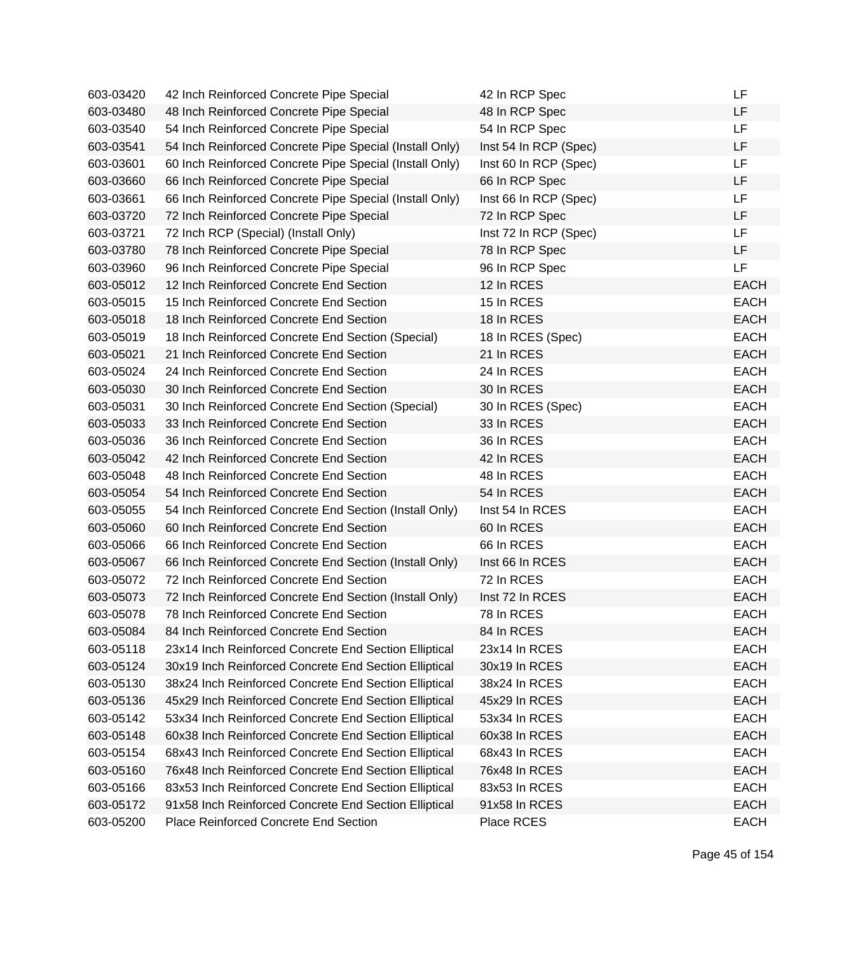| 603-03420 | 42 Inch Reinforced Concrete Pipe Special                | 42 In RCP Spec        | LF          |
|-----------|---------------------------------------------------------|-----------------------|-------------|
| 603-03480 | 48 Inch Reinforced Concrete Pipe Special                | 48 In RCP Spec        | LF          |
| 603-03540 | 54 Inch Reinforced Concrete Pipe Special                | 54 In RCP Spec        | LF          |
| 603-03541 | 54 Inch Reinforced Concrete Pipe Special (Install Only) | Inst 54 In RCP (Spec) | LF          |
| 603-03601 | 60 Inch Reinforced Concrete Pipe Special (Install Only) | Inst 60 In RCP (Spec) | LF          |
| 603-03660 | 66 Inch Reinforced Concrete Pipe Special                | 66 In RCP Spec        | LF          |
| 603-03661 | 66 Inch Reinforced Concrete Pipe Special (Install Only) | Inst 66 In RCP (Spec) | LF          |
| 603-03720 | 72 Inch Reinforced Concrete Pipe Special                | 72 In RCP Spec        | LF          |
| 603-03721 | 72 Inch RCP (Special) (Install Only)                    | Inst 72 In RCP (Spec) | <b>LF</b>   |
| 603-03780 | 78 Inch Reinforced Concrete Pipe Special                | 78 In RCP Spec        | LF          |
| 603-03960 | 96 Inch Reinforced Concrete Pipe Special                | 96 In RCP Spec        | <b>LF</b>   |
| 603-05012 | 12 Inch Reinforced Concrete End Section                 | 12 In RCES            | <b>EACH</b> |
| 603-05015 | 15 Inch Reinforced Concrete End Section                 | 15 In RCES            | <b>EACH</b> |
| 603-05018 | 18 Inch Reinforced Concrete End Section                 | 18 In RCES            | <b>EACH</b> |
| 603-05019 | 18 Inch Reinforced Concrete End Section (Special)       | 18 In RCES (Spec)     | <b>EACH</b> |
| 603-05021 | 21 Inch Reinforced Concrete End Section                 | 21 In RCES            | <b>EACH</b> |
| 603-05024 | 24 Inch Reinforced Concrete End Section                 | 24 In RCES            | <b>EACH</b> |
| 603-05030 | 30 Inch Reinforced Concrete End Section                 | 30 In RCES            | <b>EACH</b> |
| 603-05031 | 30 Inch Reinforced Concrete End Section (Special)       | 30 In RCES (Spec)     | <b>EACH</b> |
| 603-05033 | 33 Inch Reinforced Concrete End Section                 | 33 In RCES            | <b>EACH</b> |
| 603-05036 | 36 Inch Reinforced Concrete End Section                 | 36 In RCES            | <b>EACH</b> |
| 603-05042 | 42 Inch Reinforced Concrete End Section                 | 42 In RCES            | <b>EACH</b> |
| 603-05048 | 48 Inch Reinforced Concrete End Section                 | 48 In RCES            | <b>EACH</b> |
| 603-05054 | 54 Inch Reinforced Concrete End Section                 | 54 In RCES            | <b>EACH</b> |
| 603-05055 | 54 Inch Reinforced Concrete End Section (Install Only)  | Inst 54 In RCES       | <b>EACH</b> |
| 603-05060 | 60 Inch Reinforced Concrete End Section                 | 60 In RCES            | <b>EACH</b> |
| 603-05066 | 66 Inch Reinforced Concrete End Section                 | 66 In RCES            | <b>EACH</b> |
| 603-05067 | 66 Inch Reinforced Concrete End Section (Install Only)  | Inst 66 In RCES       | <b>EACH</b> |
| 603-05072 | 72 Inch Reinforced Concrete End Section                 | 72 In RCES            | <b>EACH</b> |
| 603-05073 | 72 Inch Reinforced Concrete End Section (Install Only)  | Inst 72 In RCES       | <b>EACH</b> |
| 603-05078 | 78 Inch Reinforced Concrete End Section                 | 78 In RCES            | <b>EACH</b> |
| 603-05084 | 84 Inch Reinforced Concrete End Section                 | 84 In RCES            | <b>EACH</b> |
| 603-05118 | 23x14 Inch Reinforced Concrete End Section Elliptical   | 23x14 In RCES         | <b>EACH</b> |
| 603-05124 | 30x19 Inch Reinforced Concrete End Section Elliptical   | 30x19 In RCES         | <b>EACH</b> |
| 603-05130 | 38x24 Inch Reinforced Concrete End Section Elliptical   | 38x24 In RCES         | <b>EACH</b> |
| 603-05136 | 45x29 Inch Reinforced Concrete End Section Elliptical   | 45x29 In RCES         | <b>EACH</b> |
| 603-05142 | 53x34 Inch Reinforced Concrete End Section Elliptical   | 53x34 In RCES         | <b>EACH</b> |
| 603-05148 | 60x38 Inch Reinforced Concrete End Section Elliptical   | 60x38 In RCES         | <b>EACH</b> |
| 603-05154 | 68x43 Inch Reinforced Concrete End Section Elliptical   | 68x43 In RCES         | <b>EACH</b> |
| 603-05160 | 76x48 Inch Reinforced Concrete End Section Elliptical   | 76x48 In RCES         | <b>EACH</b> |
| 603-05166 | 83x53 Inch Reinforced Concrete End Section Elliptical   | 83x53 In RCES         | <b>EACH</b> |
| 603-05172 | 91x58 Inch Reinforced Concrete End Section Elliptical   | 91x58 In RCES         | <b>EACH</b> |
| 603-05200 | Place Reinforced Concrete End Section                   | Place RCES            | <b>EACH</b> |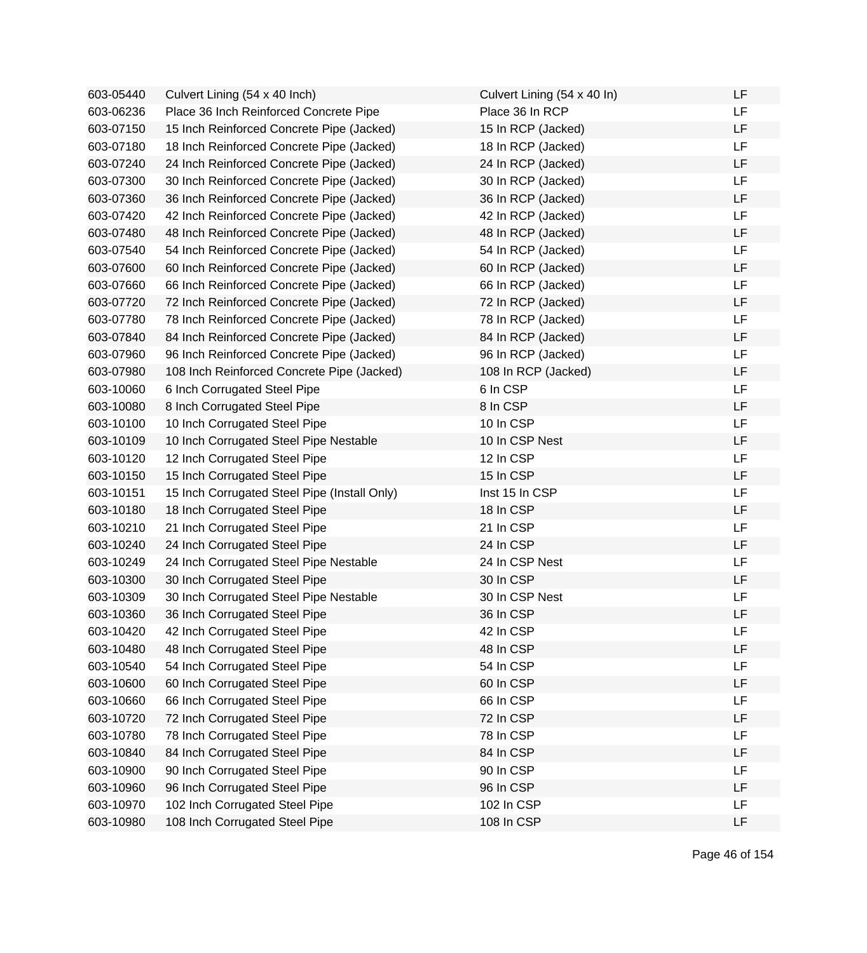| 603-05440 | Culvert Lining (54 x 40 Inch)                | Culvert Lining (54 x 40 ln) | LF |
|-----------|----------------------------------------------|-----------------------------|----|
| 603-06236 | Place 36 Inch Reinforced Concrete Pipe       | Place 36 In RCP             | LF |
| 603-07150 | 15 Inch Reinforced Concrete Pipe (Jacked)    | 15 In RCP (Jacked)          | LF |
| 603-07180 | 18 Inch Reinforced Concrete Pipe (Jacked)    | 18 In RCP (Jacked)          | LF |
| 603-07240 | 24 Inch Reinforced Concrete Pipe (Jacked)    | 24 In RCP (Jacked)          | LF |
| 603-07300 | 30 Inch Reinforced Concrete Pipe (Jacked)    | 30 In RCP (Jacked)          | LF |
| 603-07360 | 36 Inch Reinforced Concrete Pipe (Jacked)    | 36 In RCP (Jacked)          | LF |
| 603-07420 | 42 Inch Reinforced Concrete Pipe (Jacked)    | 42 In RCP (Jacked)          | LF |
| 603-07480 | 48 Inch Reinforced Concrete Pipe (Jacked)    | 48 In RCP (Jacked)          | LF |
| 603-07540 | 54 Inch Reinforced Concrete Pipe (Jacked)    | 54 In RCP (Jacked)          | LF |
| 603-07600 | 60 Inch Reinforced Concrete Pipe (Jacked)    | 60 In RCP (Jacked)          | LF |
| 603-07660 | 66 Inch Reinforced Concrete Pipe (Jacked)    | 66 In RCP (Jacked)          | LF |
| 603-07720 | 72 Inch Reinforced Concrete Pipe (Jacked)    | 72 In RCP (Jacked)          | LF |
| 603-07780 | 78 Inch Reinforced Concrete Pipe (Jacked)    | 78 In RCP (Jacked)          | LF |
| 603-07840 | 84 Inch Reinforced Concrete Pipe (Jacked)    | 84 In RCP (Jacked)          | LF |
| 603-07960 | 96 Inch Reinforced Concrete Pipe (Jacked)    | 96 In RCP (Jacked)          | LF |
| 603-07980 | 108 Inch Reinforced Concrete Pipe (Jacked)   | 108 In RCP (Jacked)         | LF |
| 603-10060 | 6 Inch Corrugated Steel Pipe                 | 6 In CSP                    | LF |
| 603-10080 | 8 Inch Corrugated Steel Pipe                 | 8 In CSP                    | LF |
| 603-10100 | 10 Inch Corrugated Steel Pipe                | 10 In CSP                   | LF |
| 603-10109 | 10 Inch Corrugated Steel Pipe Nestable       | 10 In CSP Nest              | LF |
| 603-10120 | 12 Inch Corrugated Steel Pipe                | 12 In CSP                   | LF |
| 603-10150 | 15 Inch Corrugated Steel Pipe                | 15 In CSP                   | LF |
| 603-10151 | 15 Inch Corrugated Steel Pipe (Install Only) | Inst 15 In CSP              | LF |
| 603-10180 | 18 Inch Corrugated Steel Pipe                | 18 In CSP                   | LF |
| 603-10210 | 21 Inch Corrugated Steel Pipe                | 21 In CSP                   | LF |
| 603-10240 | 24 Inch Corrugated Steel Pipe                | 24 In CSP                   | LF |
| 603-10249 | 24 Inch Corrugated Steel Pipe Nestable       | 24 In CSP Nest              | LF |
| 603-10300 | 30 Inch Corrugated Steel Pipe                | 30 In CSP                   | LF |
| 603-10309 | 30 Inch Corrugated Steel Pipe Nestable       | 30 In CSP Nest              | LF |
| 603-10360 | 36 Inch Corrugated Steel Pipe                | 36 In CSP                   | LF |
| 603-10420 | 42 Inch Corrugated Steel Pipe                | 42 In CSP                   | LF |
| 603-10480 | 48 Inch Corrugated Steel Pipe                | 48 In CSP                   | LF |
| 603-10540 | 54 Inch Corrugated Steel Pipe                | 54 In CSP                   | LF |
| 603-10600 | 60 Inch Corrugated Steel Pipe                | 60 In CSP                   | LF |
| 603-10660 | 66 Inch Corrugated Steel Pipe                | 66 In CSP                   | LF |
| 603-10720 | 72 Inch Corrugated Steel Pipe                | 72 In CSP                   | LF |
| 603-10780 | 78 Inch Corrugated Steel Pipe                | 78 In CSP                   | LF |
| 603-10840 | 84 Inch Corrugated Steel Pipe                | 84 In CSP                   | LF |
| 603-10900 | 90 Inch Corrugated Steel Pipe                | 90 In CSP                   | LF |
| 603-10960 | 96 Inch Corrugated Steel Pipe                | 96 In CSP                   | LF |
| 603-10970 | 102 Inch Corrugated Steel Pipe               | 102 In CSP                  | LF |
| 603-10980 | 108 Inch Corrugated Steel Pipe               | 108 In CSP                  | LF |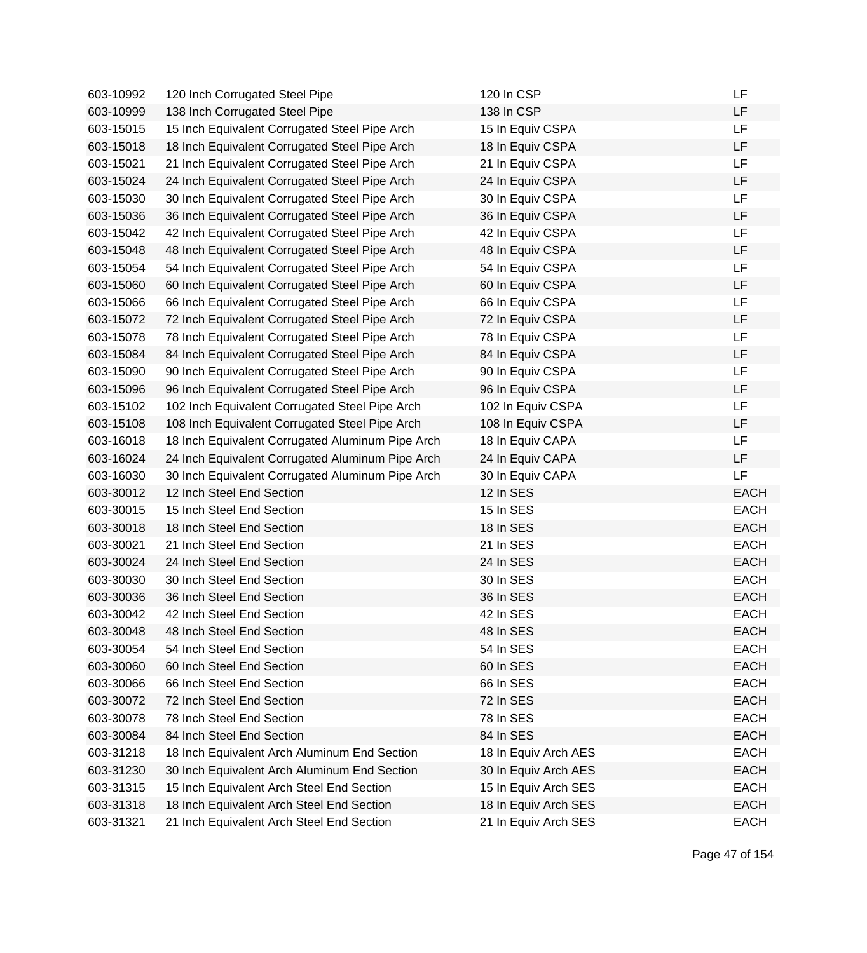| 603-10992 | 120 Inch Corrugated Steel Pipe                   | 120 In CSP           | LF          |
|-----------|--------------------------------------------------|----------------------|-------------|
| 603-10999 | 138 Inch Corrugated Steel Pipe                   | 138 In CSP           | LF          |
| 603-15015 | 15 Inch Equivalent Corrugated Steel Pipe Arch    | 15 In Equiv CSPA     | LF          |
| 603-15018 | 18 Inch Equivalent Corrugated Steel Pipe Arch    | 18 In Equiv CSPA     | LF          |
| 603-15021 | 21 Inch Equivalent Corrugated Steel Pipe Arch    | 21 In Equiv CSPA     | LF          |
| 603-15024 | 24 Inch Equivalent Corrugated Steel Pipe Arch    | 24 In Equiv CSPA     | LF          |
| 603-15030 | 30 Inch Equivalent Corrugated Steel Pipe Arch    | 30 In Equiv CSPA     | LF          |
| 603-15036 | 36 Inch Equivalent Corrugated Steel Pipe Arch    | 36 In Equiv CSPA     | LF          |
| 603-15042 | 42 Inch Equivalent Corrugated Steel Pipe Arch    | 42 In Equiv CSPA     | <b>LF</b>   |
| 603-15048 | 48 Inch Equivalent Corrugated Steel Pipe Arch    | 48 In Equiv CSPA     | LF          |
| 603-15054 | 54 Inch Equivalent Corrugated Steel Pipe Arch    | 54 In Equiv CSPA     | LF          |
| 603-15060 | 60 Inch Equivalent Corrugated Steel Pipe Arch    | 60 In Equiv CSPA     | LF          |
| 603-15066 | 66 Inch Equivalent Corrugated Steel Pipe Arch    | 66 In Equiv CSPA     | LF          |
| 603-15072 | 72 Inch Equivalent Corrugated Steel Pipe Arch    | 72 In Equiv CSPA     | LF          |
| 603-15078 | 78 Inch Equivalent Corrugated Steel Pipe Arch    | 78 In Equiv CSPA     | LF          |
| 603-15084 | 84 Inch Equivalent Corrugated Steel Pipe Arch    | 84 In Equiv CSPA     | LF          |
| 603-15090 | 90 Inch Equivalent Corrugated Steel Pipe Arch    | 90 In Equiv CSPA     | LF          |
| 603-15096 | 96 Inch Equivalent Corrugated Steel Pipe Arch    | 96 In Equiv CSPA     | LF          |
| 603-15102 | 102 Inch Equivalent Corrugated Steel Pipe Arch   | 102 In Equiv CSPA    | <b>LF</b>   |
| 603-15108 | 108 Inch Equivalent Corrugated Steel Pipe Arch   | 108 In Equiv CSPA    | LF          |
| 603-16018 | 18 Inch Equivalent Corrugated Aluminum Pipe Arch | 18 In Equiv CAPA     | LF          |
| 603-16024 | 24 Inch Equivalent Corrugated Aluminum Pipe Arch | 24 In Equiv CAPA     | LF          |
| 603-16030 | 30 Inch Equivalent Corrugated Aluminum Pipe Arch | 30 In Equiv CAPA     | LF          |
| 603-30012 | 12 Inch Steel End Section                        | 12 In SES            | <b>EACH</b> |
| 603-30015 | 15 Inch Steel End Section                        | 15 In SES            | <b>EACH</b> |
| 603-30018 | 18 Inch Steel End Section                        | 18 In SES            | <b>EACH</b> |
| 603-30021 | 21 Inch Steel End Section                        | 21 In SES            | <b>EACH</b> |
| 603-30024 | 24 Inch Steel End Section                        | 24 In SES            | <b>EACH</b> |
| 603-30030 | 30 Inch Steel End Section                        | 30 In SES            | <b>EACH</b> |
| 603-30036 | 36 Inch Steel End Section                        | 36 In SES            | <b>EACH</b> |
| 603-30042 | 42 Inch Steel End Section                        | 42 In SES            | <b>EACH</b> |
| 603-30048 | 48 Inch Steel End Section                        | 48 In SES            | <b>EACH</b> |
| 603-30054 | 54 Inch Steel End Section                        | 54 In SES            | <b>EACH</b> |
| 603-30060 | 60 Inch Steel End Section                        | 60 In SES            | <b>EACH</b> |
| 603-30066 | 66 Inch Steel End Section                        | 66 In SES            | <b>EACH</b> |
| 603-30072 | 72 Inch Steel End Section                        | 72 In SES            | <b>EACH</b> |
| 603-30078 | 78 Inch Steel End Section                        | 78 In SES            | <b>EACH</b> |
| 603-30084 | 84 Inch Steel End Section                        | 84 In SES            | <b>EACH</b> |
| 603-31218 | 18 Inch Equivalent Arch Aluminum End Section     | 18 In Equiv Arch AES | <b>EACH</b> |
| 603-31230 | 30 Inch Equivalent Arch Aluminum End Section     | 30 In Equiv Arch AES | <b>EACH</b> |
| 603-31315 | 15 Inch Equivalent Arch Steel End Section        | 15 In Equiv Arch SES | <b>EACH</b> |
| 603-31318 | 18 Inch Equivalent Arch Steel End Section        | 18 In Equiv Arch SES | <b>EACH</b> |
| 603-31321 | 21 Inch Equivalent Arch Steel End Section        | 21 In Equiv Arch SES | <b>EACH</b> |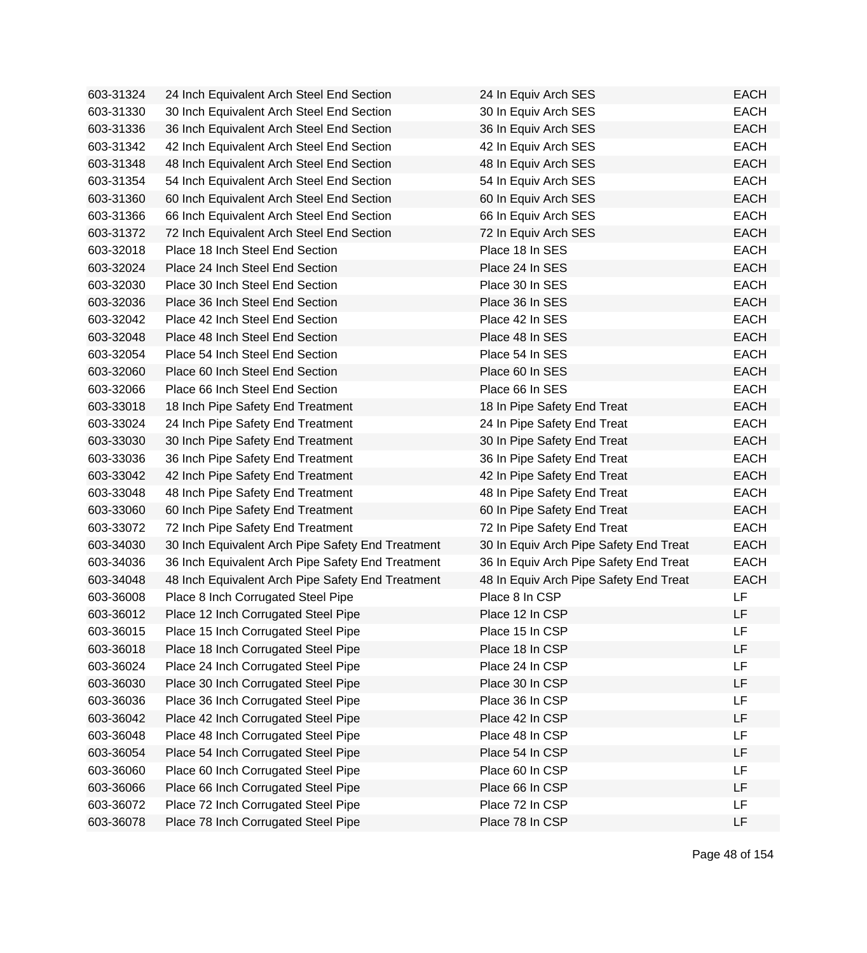| 603-31324 | 24 Inch Equivalent Arch Steel End Section         | 24 In Equiv Arch SES                   | <b>EACH</b> |
|-----------|---------------------------------------------------|----------------------------------------|-------------|
| 603-31330 | 30 Inch Equivalent Arch Steel End Section         | 30 In Equiv Arch SES                   | <b>EACH</b> |
| 603-31336 | 36 Inch Equivalent Arch Steel End Section         | 36 In Equiv Arch SES                   | <b>EACH</b> |
| 603-31342 | 42 Inch Equivalent Arch Steel End Section         | 42 In Equiv Arch SES                   | <b>EACH</b> |
| 603-31348 | 48 Inch Equivalent Arch Steel End Section         | 48 In Equiv Arch SES                   | <b>EACH</b> |
| 603-31354 | 54 Inch Equivalent Arch Steel End Section         | 54 In Equiv Arch SES                   | <b>EACH</b> |
| 603-31360 | 60 Inch Equivalent Arch Steel End Section         | 60 In Equiv Arch SES                   | <b>EACH</b> |
| 603-31366 | 66 Inch Equivalent Arch Steel End Section         | 66 In Equiv Arch SES                   | <b>EACH</b> |
| 603-31372 | 72 Inch Equivalent Arch Steel End Section         | 72 In Equiv Arch SES                   | <b>EACH</b> |
| 603-32018 | Place 18 Inch Steel End Section                   | Place 18 In SES                        | <b>EACH</b> |
| 603-32024 | Place 24 Inch Steel End Section                   | Place 24 In SES                        | <b>EACH</b> |
| 603-32030 | Place 30 Inch Steel End Section                   | Place 30 In SES                        | <b>EACH</b> |
| 603-32036 | Place 36 Inch Steel End Section                   | Place 36 In SES                        | <b>EACH</b> |
| 603-32042 | Place 42 Inch Steel End Section                   | Place 42 In SES                        | <b>EACH</b> |
| 603-32048 | Place 48 Inch Steel End Section                   | Place 48 In SES                        | <b>EACH</b> |
| 603-32054 | Place 54 Inch Steel End Section                   | Place 54 In SES                        | <b>EACH</b> |
| 603-32060 | Place 60 Inch Steel End Section                   | Place 60 In SES                        | <b>EACH</b> |
| 603-32066 | Place 66 Inch Steel End Section                   | Place 66 In SES                        | <b>EACH</b> |
| 603-33018 | 18 Inch Pipe Safety End Treatment                 | 18 In Pipe Safety End Treat            | <b>EACH</b> |
| 603-33024 | 24 Inch Pipe Safety End Treatment                 | 24 In Pipe Safety End Treat            | <b>EACH</b> |
| 603-33030 | 30 Inch Pipe Safety End Treatment                 | 30 In Pipe Safety End Treat            | <b>EACH</b> |
| 603-33036 | 36 Inch Pipe Safety End Treatment                 | 36 In Pipe Safety End Treat            | <b>EACH</b> |
| 603-33042 | 42 Inch Pipe Safety End Treatment                 | 42 In Pipe Safety End Treat            | <b>EACH</b> |
| 603-33048 | 48 Inch Pipe Safety End Treatment                 | 48 In Pipe Safety End Treat            | <b>EACH</b> |
| 603-33060 | 60 Inch Pipe Safety End Treatment                 | 60 In Pipe Safety End Treat            | <b>EACH</b> |
| 603-33072 | 72 Inch Pipe Safety End Treatment                 | 72 In Pipe Safety End Treat            | <b>EACH</b> |
| 603-34030 | 30 Inch Equivalent Arch Pipe Safety End Treatment | 30 In Equiv Arch Pipe Safety End Treat | <b>EACH</b> |
| 603-34036 | 36 Inch Equivalent Arch Pipe Safety End Treatment | 36 In Equiv Arch Pipe Safety End Treat | <b>EACH</b> |
| 603-34048 | 48 Inch Equivalent Arch Pipe Safety End Treatment | 48 In Equiv Arch Pipe Safety End Treat | <b>EACH</b> |
| 603-36008 | Place 8 Inch Corrugated Steel Pipe                | Place 8 In CSP                         | LF          |
| 603-36012 | Place 12 Inch Corrugated Steel Pipe               | Place 12 In CSP                        | LF          |
| 603-36015 | Place 15 Inch Corrugated Steel Pipe               | Place 15 In CSP                        | LF          |
| 603-36018 | Place 18 Inch Corrugated Steel Pipe               | Place 18 In CSP                        | LF          |
| 603-36024 | Place 24 Inch Corrugated Steel Pipe               | Place 24 In CSP                        | LF          |
| 603-36030 | Place 30 Inch Corrugated Steel Pipe               | Place 30 In CSP                        | <b>LF</b>   |
| 603-36036 | Place 36 Inch Corrugated Steel Pipe               | Place 36 In CSP                        | <b>LF</b>   |
| 603-36042 | Place 42 Inch Corrugated Steel Pipe               | Place 42 In CSP                        | LF          |
| 603-36048 | Place 48 Inch Corrugated Steel Pipe               | Place 48 In CSP                        | LF          |
| 603-36054 | Place 54 Inch Corrugated Steel Pipe               | Place 54 In CSP                        | LF          |
| 603-36060 | Place 60 Inch Corrugated Steel Pipe               | Place 60 In CSP                        | LF          |
| 603-36066 | Place 66 Inch Corrugated Steel Pipe               | Place 66 In CSP                        | LF          |
| 603-36072 | Place 72 Inch Corrugated Steel Pipe               | Place 72 In CSP                        | LF          |
| 603-36078 | Place 78 Inch Corrugated Steel Pipe               | Place 78 In CSP                        | LF          |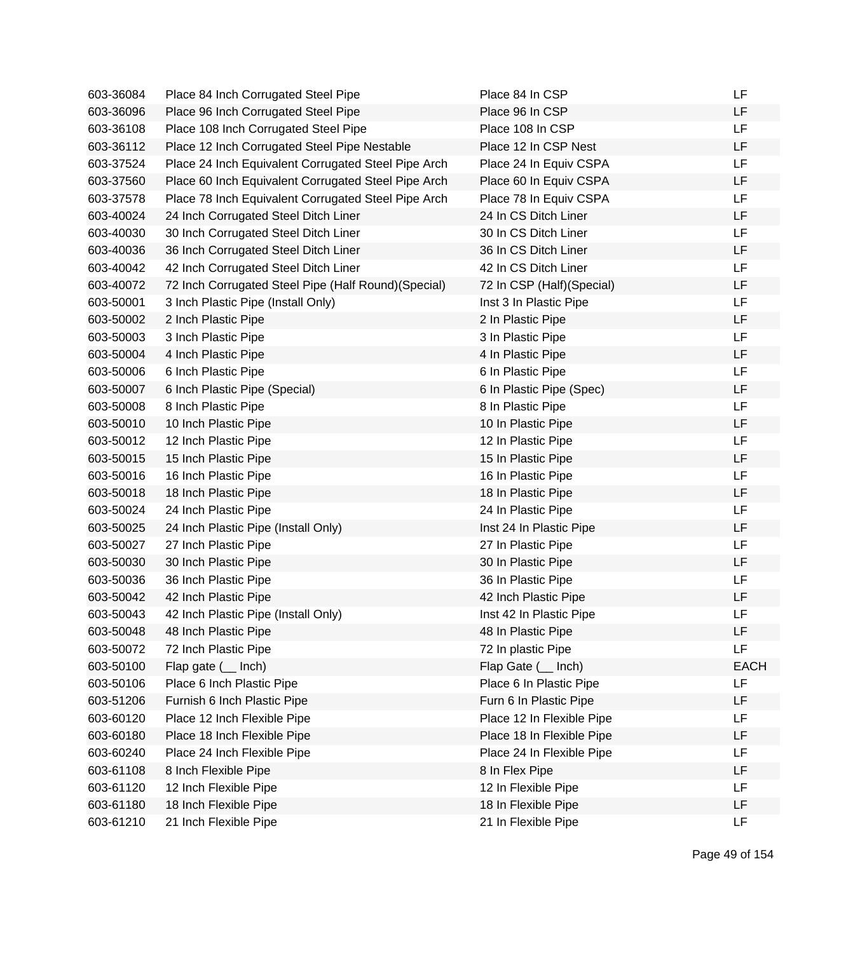| 603-36084 | Place 84 Inch Corrugated Steel Pipe                  | Place 84 In CSP           | LF          |
|-----------|------------------------------------------------------|---------------------------|-------------|
| 603-36096 | Place 96 Inch Corrugated Steel Pipe                  | Place 96 In CSP           | LF          |
| 603-36108 | Place 108 Inch Corrugated Steel Pipe                 | Place 108 In CSP          | <b>LF</b>   |
| 603-36112 | Place 12 Inch Corrugated Steel Pipe Nestable         | Place 12 In CSP Nest      | LF          |
| 603-37524 | Place 24 Inch Equivalent Corrugated Steel Pipe Arch  | Place 24 In Equiv CSPA    | LF          |
| 603-37560 | Place 60 Inch Equivalent Corrugated Steel Pipe Arch  | Place 60 In Equiv CSPA    | LF          |
| 603-37578 | Place 78 Inch Equivalent Corrugated Steel Pipe Arch  | Place 78 In Equiv CSPA    | <b>LF</b>   |
| 603-40024 | 24 Inch Corrugated Steel Ditch Liner                 | 24 In CS Ditch Liner      | LF          |
| 603-40030 | 30 Inch Corrugated Steel Ditch Liner                 | 30 In CS Ditch Liner      | LF          |
| 603-40036 | 36 Inch Corrugated Steel Ditch Liner                 | 36 In CS Ditch Liner      | LF          |
| 603-40042 | 42 Inch Corrugated Steel Ditch Liner                 | 42 In CS Ditch Liner      | <b>LF</b>   |
| 603-40072 | 72 Inch Corrugated Steel Pipe (Half Round) (Special) | 72 In CSP (Half)(Special) | LF          |
| 603-50001 | 3 Inch Plastic Pipe (Install Only)                   | Inst 3 In Plastic Pipe    | <b>LF</b>   |
| 603-50002 | 2 Inch Plastic Pipe                                  | 2 In Plastic Pipe         | LF          |
| 603-50003 | 3 Inch Plastic Pipe                                  | 3 In Plastic Pipe         | LF          |
| 603-50004 | 4 Inch Plastic Pipe                                  | 4 In Plastic Pipe         | LF          |
| 603-50006 | 6 Inch Plastic Pipe                                  | 6 In Plastic Pipe         | LF          |
| 603-50007 | 6 Inch Plastic Pipe (Special)                        | 6 In Plastic Pipe (Spec)  | <b>LF</b>   |
| 603-50008 | 8 Inch Plastic Pipe                                  | 8 In Plastic Pipe         | LF          |
| 603-50010 | 10 Inch Plastic Pipe                                 | 10 In Plastic Pipe        | LF          |
| 603-50012 | 12 Inch Plastic Pipe                                 | 12 In Plastic Pipe        | <b>LF</b>   |
| 603-50015 | 15 Inch Plastic Pipe                                 | 15 In Plastic Pipe        | LF          |
| 603-50016 | 16 Inch Plastic Pipe                                 | 16 In Plastic Pipe        | <b>LF</b>   |
| 603-50018 | 18 Inch Plastic Pipe                                 | 18 In Plastic Pipe        | LF          |
| 603-50024 | 24 Inch Plastic Pipe                                 | 24 In Plastic Pipe        | LF          |
| 603-50025 | 24 Inch Plastic Pipe (Install Only)                  | Inst 24 In Plastic Pipe   | LF          |
| 603-50027 | 27 Inch Plastic Pipe                                 | 27 In Plastic Pipe        | LF          |
| 603-50030 | 30 Inch Plastic Pipe                                 | 30 In Plastic Pipe        | <b>LF</b>   |
| 603-50036 | 36 Inch Plastic Pipe                                 | 36 In Plastic Pipe        | LF          |
| 603-50042 | 42 Inch Plastic Pipe                                 | 42 Inch Plastic Pipe      | LF          |
| 603-50043 | 42 Inch Plastic Pipe (Install Only)                  | Inst 42 In Plastic Pipe   | LF          |
| 603-50048 | 48 Inch Plastic Pipe                                 | 48 In Plastic Pipe        | LF          |
| 603-50072 | 72 Inch Plastic Pipe                                 | 72 In plastic Pipe        | <b>LF</b>   |
| 603-50100 | Flap gate $($ Inch)                                  | Flap Gate ( __ Inch)      | <b>EACH</b> |
| 603-50106 | Place 6 Inch Plastic Pipe                            | Place 6 In Plastic Pipe   | <b>LF</b>   |
| 603-51206 | Furnish 6 Inch Plastic Pipe                          | Furn 6 In Plastic Pipe    | LF          |
| 603-60120 | Place 12 Inch Flexible Pipe                          | Place 12 In Flexible Pipe | LF          |
| 603-60180 | Place 18 Inch Flexible Pipe                          | Place 18 In Flexible Pipe | LF          |
| 603-60240 | Place 24 Inch Flexible Pipe                          | Place 24 In Flexible Pipe | LF          |
| 603-61108 | 8 Inch Flexible Pipe                                 | 8 In Flex Pipe            | LF          |
| 603-61120 | 12 Inch Flexible Pipe                                | 12 In Flexible Pipe       | <b>LF</b>   |
| 603-61180 | 18 Inch Flexible Pipe                                | 18 In Flexible Pipe       | LF          |
| 603-61210 | 21 Inch Flexible Pipe                                | 21 In Flexible Pipe       | <b>LF</b>   |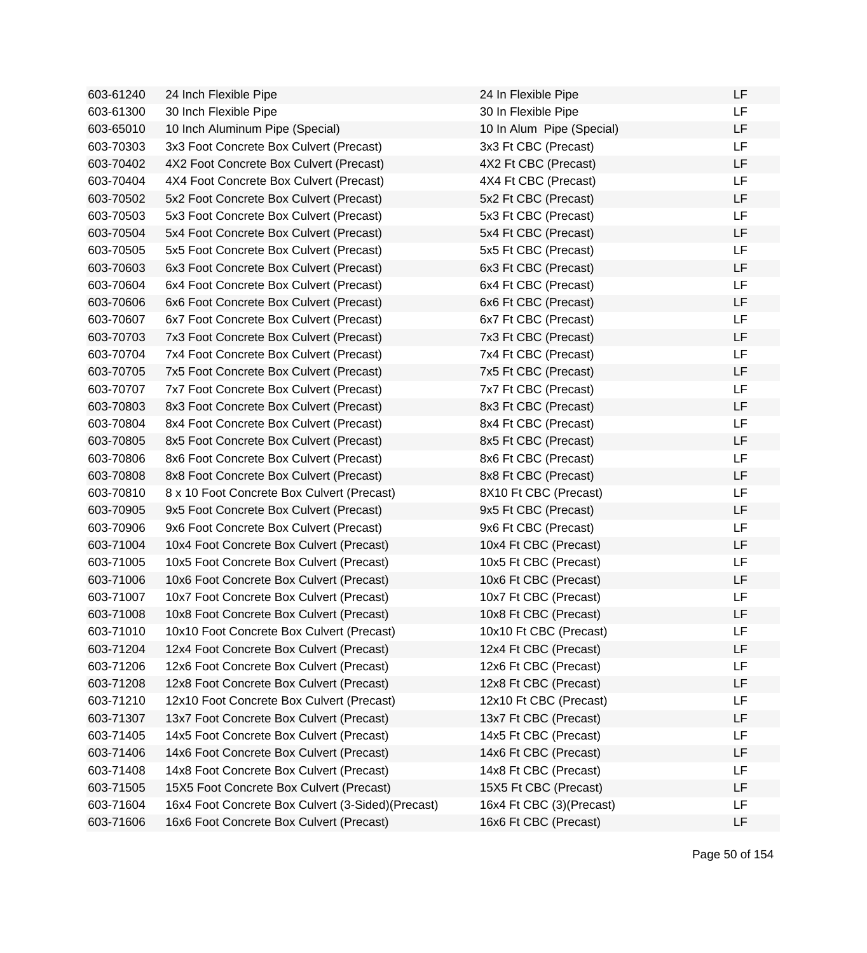| 603-61240 | 24 Inch Flexible Pipe                             | 24 In Flexible Pipe       | LF |
|-----------|---------------------------------------------------|---------------------------|----|
| 603-61300 | 30 Inch Flexible Pipe                             | 30 In Flexible Pipe       | LF |
| 603-65010 | 10 Inch Aluminum Pipe (Special)                   | 10 In Alum Pipe (Special) | LF |
| 603-70303 | 3x3 Foot Concrete Box Culvert (Precast)           | 3x3 Ft CBC (Precast)      | LF |
| 603-70402 | 4X2 Foot Concrete Box Culvert (Precast)           | 4X2 Ft CBC (Precast)      | LF |
| 603-70404 | 4X4 Foot Concrete Box Culvert (Precast)           | 4X4 Ft CBC (Precast)      | LF |
| 603-70502 | 5x2 Foot Concrete Box Culvert (Precast)           | 5x2 Ft CBC (Precast)      | LF |
| 603-70503 | 5x3 Foot Concrete Box Culvert (Precast)           | 5x3 Ft CBC (Precast)      | LF |
| 603-70504 | 5x4 Foot Concrete Box Culvert (Precast)           | 5x4 Ft CBC (Precast)      | LF |
| 603-70505 | 5x5 Foot Concrete Box Culvert (Precast)           | 5x5 Ft CBC (Precast)      | LF |
| 603-70603 | 6x3 Foot Concrete Box Culvert (Precast)           | 6x3 Ft CBC (Precast)      | LF |
| 603-70604 | 6x4 Foot Concrete Box Culvert (Precast)           | 6x4 Ft CBC (Precast)      | LF |
| 603-70606 | 6x6 Foot Concrete Box Culvert (Precast)           | 6x6 Ft CBC (Precast)      | LF |
| 603-70607 | 6x7 Foot Concrete Box Culvert (Precast)           | 6x7 Ft CBC (Precast)      | LF |
| 603-70703 | 7x3 Foot Concrete Box Culvert (Precast)           | 7x3 Ft CBC (Precast)      | LF |
| 603-70704 | 7x4 Foot Concrete Box Culvert (Precast)           | 7x4 Ft CBC (Precast)      | LF |
| 603-70705 | 7x5 Foot Concrete Box Culvert (Precast)           | 7x5 Ft CBC (Precast)      | LF |
| 603-70707 | 7x7 Foot Concrete Box Culvert (Precast)           | 7x7 Ft CBC (Precast)      | LF |
| 603-70803 | 8x3 Foot Concrete Box Culvert (Precast)           | 8x3 Ft CBC (Precast)      | LF |
| 603-70804 | 8x4 Foot Concrete Box Culvert (Precast)           | 8x4 Ft CBC (Precast)      | LF |
| 603-70805 | 8x5 Foot Concrete Box Culvert (Precast)           | 8x5 Ft CBC (Precast)      | LF |
| 603-70806 | 8x6 Foot Concrete Box Culvert (Precast)           | 8x6 Ft CBC (Precast)      | LF |
| 603-70808 | 8x8 Foot Concrete Box Culvert (Precast)           | 8x8 Ft CBC (Precast)      | LF |
| 603-70810 | 8 x 10 Foot Concrete Box Culvert (Precast)        | 8X10 Ft CBC (Precast)     | LF |
| 603-70905 | 9x5 Foot Concrete Box Culvert (Precast)           | 9x5 Ft CBC (Precast)      | LF |
| 603-70906 | 9x6 Foot Concrete Box Culvert (Precast)           | 9x6 Ft CBC (Precast)      | LF |
| 603-71004 | 10x4 Foot Concrete Box Culvert (Precast)          | 10x4 Ft CBC (Precast)     | LF |
| 603-71005 | 10x5 Foot Concrete Box Culvert (Precast)          | 10x5 Ft CBC (Precast)     | LF |
| 603-71006 | 10x6 Foot Concrete Box Culvert (Precast)          | 10x6 Ft CBC (Precast)     | LF |
| 603-71007 | 10x7 Foot Concrete Box Culvert (Precast)          | 10x7 Ft CBC (Precast)     | LF |
| 603-71008 | 10x8 Foot Concrete Box Culvert (Precast)          | 10x8 Ft CBC (Precast)     | LF |
| 603-71010 | 10x10 Foot Concrete Box Culvert (Precast)         | 10x10 Ft CBC (Precast)    | LF |
| 603-71204 | 12x4 Foot Concrete Box Culvert (Precast)          | 12x4 Ft CBC (Precast)     | LF |
| 603-71206 | 12x6 Foot Concrete Box Culvert (Precast)          | 12x6 Ft CBC (Precast)     | LF |
| 603-71208 | 12x8 Foot Concrete Box Culvert (Precast)          | 12x8 Ft CBC (Precast)     | LF |
| 603-71210 | 12x10 Foot Concrete Box Culvert (Precast)         | 12x10 Ft CBC (Precast)    | LF |
| 603-71307 | 13x7 Foot Concrete Box Culvert (Precast)          | 13x7 Ft CBC (Precast)     | LF |
| 603-71405 | 14x5 Foot Concrete Box Culvert (Precast)          | 14x5 Ft CBC (Precast)     | LF |
| 603-71406 | 14x6 Foot Concrete Box Culvert (Precast)          | 14x6 Ft CBC (Precast)     | LF |
| 603-71408 | 14x8 Foot Concrete Box Culvert (Precast)          | 14x8 Ft CBC (Precast)     | LF |
| 603-71505 | 15X5 Foot Concrete Box Culvert (Precast)          | 15X5 Ft CBC (Precast)     | LF |
| 603-71604 | 16x4 Foot Concrete Box Culvert (3-Sided)(Precast) | 16x4 Ft CBC (3)(Precast)  | LF |
| 603-71606 | 16x6 Foot Concrete Box Culvert (Precast)          | 16x6 Ft CBC (Precast)     | LF |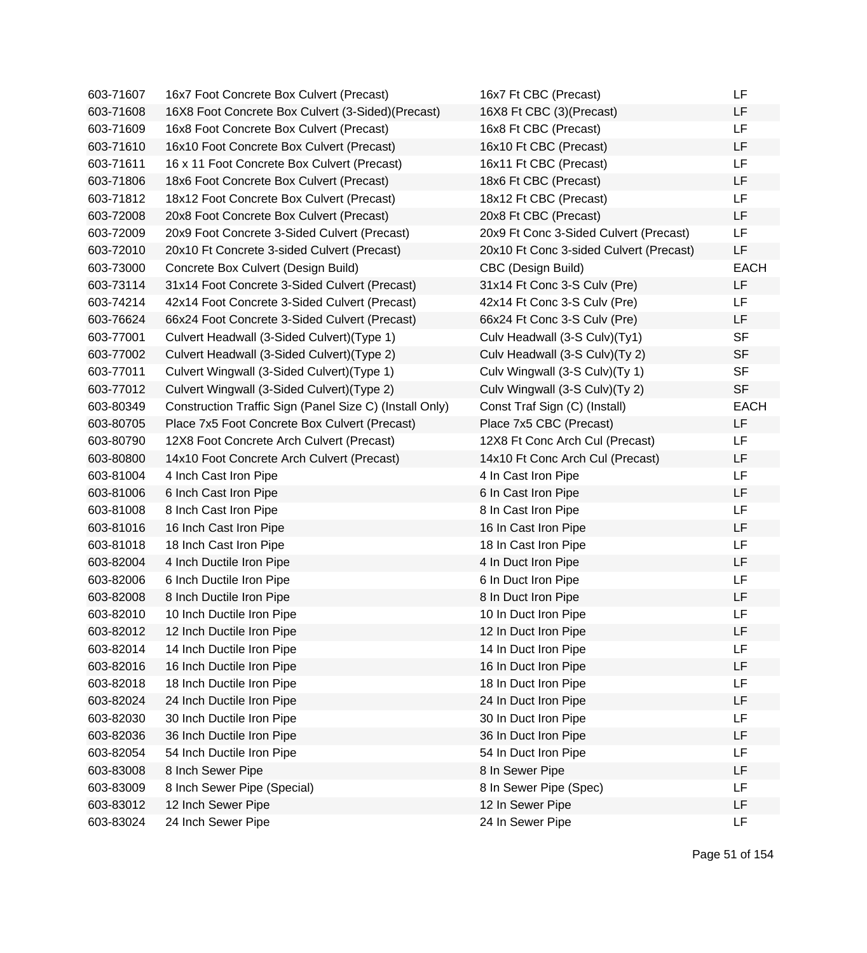| 603-71607 | 16x7 Foot Concrete Box Culvert (Precast)                | 16x7 Ft CBC (Precast)                   | LF          |
|-----------|---------------------------------------------------------|-----------------------------------------|-------------|
| 603-71608 | 16X8 Foot Concrete Box Culvert (3-Sided)(Precast)       | 16X8 Ft CBC (3)(Precast)                | LF          |
| 603-71609 | 16x8 Foot Concrete Box Culvert (Precast)                | 16x8 Ft CBC (Precast)                   | LF          |
| 603-71610 | 16x10 Foot Concrete Box Culvert (Precast)               | 16x10 Ft CBC (Precast)                  | LF          |
| 603-71611 | 16 x 11 Foot Concrete Box Culvert (Precast)             | 16x11 Ft CBC (Precast)                  | LF          |
| 603-71806 | 18x6 Foot Concrete Box Culvert (Precast)                | 18x6 Ft CBC (Precast)                   | LF          |
| 603-71812 | 18x12 Foot Concrete Box Culvert (Precast)               | 18x12 Ft CBC (Precast)                  | LF          |
| 603-72008 | 20x8 Foot Concrete Box Culvert (Precast)                | 20x8 Ft CBC (Precast)                   | LF          |
| 603-72009 | 20x9 Foot Concrete 3-Sided Culvert (Precast)            | 20x9 Ft Conc 3-Sided Culvert (Precast)  | LF          |
| 603-72010 | 20x10 Ft Concrete 3-sided Culvert (Precast)             | 20x10 Ft Conc 3-sided Culvert (Precast) | LF          |
| 603-73000 | Concrete Box Culvert (Design Build)                     | CBC (Design Build)                      | <b>EACH</b> |
| 603-73114 | 31x14 Foot Concrete 3-Sided Culvert (Precast)           | 31x14 Ft Conc 3-S Culv (Pre)            | LF          |
| 603-74214 | 42x14 Foot Concrete 3-Sided Culvert (Precast)           | 42x14 Ft Conc 3-S Culv (Pre)            | LF          |
| 603-76624 | 66x24 Foot Concrete 3-Sided Culvert (Precast)           | 66x24 Ft Conc 3-S Culv (Pre)            | LF          |
| 603-77001 | Culvert Headwall (3-Sided Culvert) (Type 1)             | Culv Headwall (3-S Culv)(Ty1)           | <b>SF</b>   |
| 603-77002 | Culvert Headwall (3-Sided Culvert) (Type 2)             | Culv Headwall (3-S Culv)(Ty 2)          | <b>SF</b>   |
| 603-77011 | Culvert Wingwall (3-Sided Culvert) (Type 1)             | Culv Wingwall (3-S Culv)(Ty 1)          | <b>SF</b>   |
| 603-77012 | Culvert Wingwall (3-Sided Culvert) (Type 2)             | Culv Wingwall (3-S Culv)(Ty 2)          | <b>SF</b>   |
| 603-80349 | Construction Traffic Sign (Panel Size C) (Install Only) | Const Traf Sign (C) (Install)           | <b>EACH</b> |
| 603-80705 | Place 7x5 Foot Concrete Box Culvert (Precast)           | Place 7x5 CBC (Precast)                 | LF          |
| 603-80790 | 12X8 Foot Concrete Arch Culvert (Precast)               | 12X8 Ft Conc Arch Cul (Precast)         | LF          |
| 603-80800 | 14x10 Foot Concrete Arch Culvert (Precast)              | 14x10 Ft Conc Arch Cul (Precast)        | LF          |
| 603-81004 | 4 Inch Cast Iron Pipe                                   | 4 In Cast Iron Pipe                     | LF          |
| 603-81006 | 6 Inch Cast Iron Pipe                                   | 6 In Cast Iron Pipe                     | LF          |
| 603-81008 | 8 Inch Cast Iron Pipe                                   | 8 In Cast Iron Pipe                     | LF          |
| 603-81016 | 16 Inch Cast Iron Pipe                                  | 16 In Cast Iron Pipe                    | LF          |
| 603-81018 | 18 Inch Cast Iron Pipe                                  | 18 In Cast Iron Pipe                    | LF          |
| 603-82004 | 4 Inch Ductile Iron Pipe                                | 4 In Duct Iron Pipe                     | LF          |
| 603-82006 | 6 Inch Ductile Iron Pipe                                | 6 In Duct Iron Pipe                     | LF          |
| 603-82008 | 8 Inch Ductile Iron Pipe                                | 8 In Duct Iron Pipe                     | LF          |
| 603-82010 | 10 Inch Ductile Iron Pipe                               | 10 In Duct Iron Pipe                    | LF          |
| 603-82012 | 12 Inch Ductile Iron Pipe                               | 12 In Duct Iron Pipe                    | LF          |
| 603-82014 | 14 Inch Ductile Iron Pipe                               | 14 In Duct Iron Pipe                    | LF          |
| 603-82016 | 16 Inch Ductile Iron Pipe                               | 16 In Duct Iron Pipe                    | LF          |
| 603-82018 | 18 Inch Ductile Iron Pipe                               | 18 In Duct Iron Pipe                    | LF          |
| 603-82024 | 24 Inch Ductile Iron Pipe                               | 24 In Duct Iron Pipe                    | LF          |
| 603-82030 | 30 Inch Ductile Iron Pipe                               | 30 In Duct Iron Pipe                    | LF          |
| 603-82036 | 36 Inch Ductile Iron Pipe                               | 36 In Duct Iron Pipe                    | LF          |
| 603-82054 | 54 Inch Ductile Iron Pipe                               | 54 In Duct Iron Pipe                    | LF          |
| 603-83008 | 8 Inch Sewer Pipe                                       | 8 In Sewer Pipe                         | LF          |
| 603-83009 | 8 Inch Sewer Pipe (Special)                             | 8 In Sewer Pipe (Spec)                  | LF          |
| 603-83012 | 12 Inch Sewer Pipe                                      | 12 In Sewer Pipe                        | LF          |
| 603-83024 | 24 Inch Sewer Pipe                                      | 24 In Sewer Pipe                        | LF          |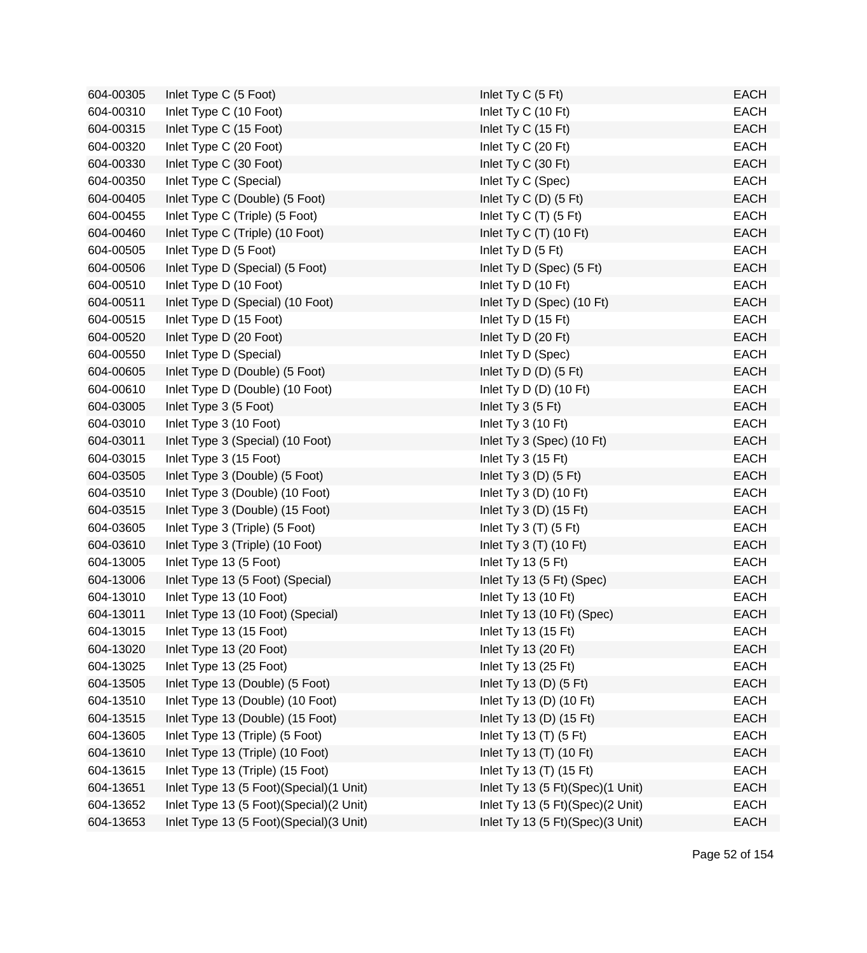| 604-00305 | Inlet Type C (5 Foot)                     | Inlet Ty C (5 Ft)                | <b>EACH</b> |
|-----------|-------------------------------------------|----------------------------------|-------------|
| 604-00310 | Inlet Type C (10 Foot)                    | Inlet Ty C (10 Ft)               | <b>EACH</b> |
| 604-00315 | Inlet Type C (15 Foot)                    | Inlet Ty C (15 Ft)               | <b>EACH</b> |
| 604-00320 | Inlet Type C (20 Foot)                    | Inlet Ty C (20 Ft)               | <b>EACH</b> |
| 604-00330 | Inlet Type C (30 Foot)                    | Inlet Ty C (30 Ft)               | <b>EACH</b> |
| 604-00350 | Inlet Type C (Special)                    | Inlet Ty C (Spec)                | <b>EACH</b> |
| 604-00405 | Inlet Type C (Double) (5 Foot)            | Inlet Ty C (D) (5 Ft)            | <b>EACH</b> |
| 604-00455 | Inlet Type C (Triple) (5 Foot)            | Inlet Ty C $(T)$ (5 Ft)          | <b>EACH</b> |
| 604-00460 | Inlet Type C (Triple) (10 Foot)           | Inlet Ty C $(T)$ (10 Ft)         | <b>EACH</b> |
| 604-00505 | Inlet Type D (5 Foot)                     | Inlet Ty D (5 Ft)                | <b>EACH</b> |
| 604-00506 | Inlet Type D (Special) (5 Foot)           | Inlet Ty D (Spec) (5 Ft)         | <b>EACH</b> |
| 604-00510 | Inlet Type D (10 Foot)                    | Inlet Ty D (10 Ft)               | <b>EACH</b> |
| 604-00511 | Inlet Type D (Special) (10 Foot)          | Inlet Ty D (Spec) (10 Ft)        | <b>EACH</b> |
| 604-00515 | Inlet Type D (15 Foot)                    | Inlet Ty D (15 Ft)               | <b>EACH</b> |
| 604-00520 | Inlet Type D (20 Foot)                    | Inlet Ty D (20 Ft)               | <b>EACH</b> |
| 604-00550 | Inlet Type D (Special)                    | Inlet Ty D (Spec)                | <b>EACH</b> |
| 604-00605 | Inlet Type D (Double) (5 Foot)            | Inlet Ty D $(D)$ (5 Ft)          | <b>EACH</b> |
| 604-00610 | Inlet Type D (Double) (10 Foot)           | Inlet Ty D $(D)$ (10 Ft)         | <b>EACH</b> |
| 604-03005 | Inlet Type 3 (5 Foot)                     | Inlet Ty $3(5 \text{ Ft})$       | <b>EACH</b> |
| 604-03010 | Inlet Type 3 (10 Foot)                    | Inlet Ty $3(10 \text{ Ft})$      | <b>EACH</b> |
| 604-03011 | Inlet Type 3 (Special) (10 Foot)          | Inlet Ty 3 (Spec) (10 Ft)        | <b>EACH</b> |
| 604-03015 | Inlet Type 3 (15 Foot)                    | Inlet Ty $3(15 \text{ Ft})$      | <b>EACH</b> |
| 604-03505 | Inlet Type 3 (Double) (5 Foot)            | Inlet Ty $3(D)$ (5 Ft)           | <b>EACH</b> |
| 604-03510 | Inlet Type 3 (Double) (10 Foot)           | Inlet Ty 3 (D) $(10 \text{ Ft})$ | <b>EACH</b> |
| 604-03515 | Inlet Type 3 (Double) (15 Foot)           | Inlet Ty 3 $(D)$ (15 Ft)         | <b>EACH</b> |
| 604-03605 | Inlet Type 3 (Triple) (5 Foot)            | Inlet Ty $3(T)$ (5 Ft)           | <b>EACH</b> |
| 604-03610 | Inlet Type 3 (Triple) (10 Foot)           | Inlet Ty $3(T)$ (10 Ft)          | <b>EACH</b> |
| 604-13005 | Inlet Type 13 (5 Foot)                    | Inlet Ty 13 (5 Ft)               | <b>EACH</b> |
| 604-13006 | Inlet Type 13 (5 Foot) (Special)          | Inlet Ty 13 (5 Ft) (Spec)        | <b>EACH</b> |
| 604-13010 | Inlet Type 13 (10 Foot)                   | Inlet Ty 13 (10 Ft)              | <b>EACH</b> |
| 604-13011 | Inlet Type 13 (10 Foot) (Special)         | Inlet Ty 13 (10 Ft) (Spec)       | <b>EACH</b> |
| 604-13015 | Inlet Type 13 (15 Foot)                   | Inlet Ty 13 (15 Ft)              | EACH        |
| 604-13020 | Inlet Type 13 (20 Foot)                   | Inlet Ty 13 (20 Ft)              | <b>EACH</b> |
| 604-13025 | Inlet Type 13 (25 Foot)                   | Inlet Ty 13 (25 Ft)              | <b>EACH</b> |
| 604-13505 | Inlet Type 13 (Double) (5 Foot)           | Inlet Ty 13 (D) $(5 \text{ Ft})$ | <b>EACH</b> |
| 604-13510 | Inlet Type 13 (Double) (10 Foot)          | Inlet Ty 13 (D) (10 Ft)          | <b>EACH</b> |
| 604-13515 | Inlet Type 13 (Double) (15 Foot)          | Inlet Ty 13 (D) (15 Ft)          | <b>EACH</b> |
| 604-13605 | Inlet Type 13 (Triple) (5 Foot)           | Inlet Ty 13 (T) (5 Ft)           | <b>EACH</b> |
| 604-13610 | Inlet Type 13 (Triple) (10 Foot)          | Inlet Ty 13 (T) (10 Ft)          | <b>EACH</b> |
| 604-13615 | Inlet Type 13 (Triple) (15 Foot)          | Inlet Ty 13 (T) (15 Ft)          | <b>EACH</b> |
| 604-13651 | Inlet Type 13 (5 Foot)(Special)(1 Unit)   | Inlet Ty 13 (5 Ft)(Spec)(1 Unit) | <b>EACH</b> |
| 604-13652 | Inlet Type 13 (5 Foot) (Special) (2 Unit) | Inlet Ty 13 (5 Ft)(Spec)(2 Unit) | <b>EACH</b> |
| 604-13653 | Inlet Type 13 (5 Foot) (Special) (3 Unit) | Inlet Ty 13 (5 Ft)(Spec)(3 Unit) | <b>EACH</b> |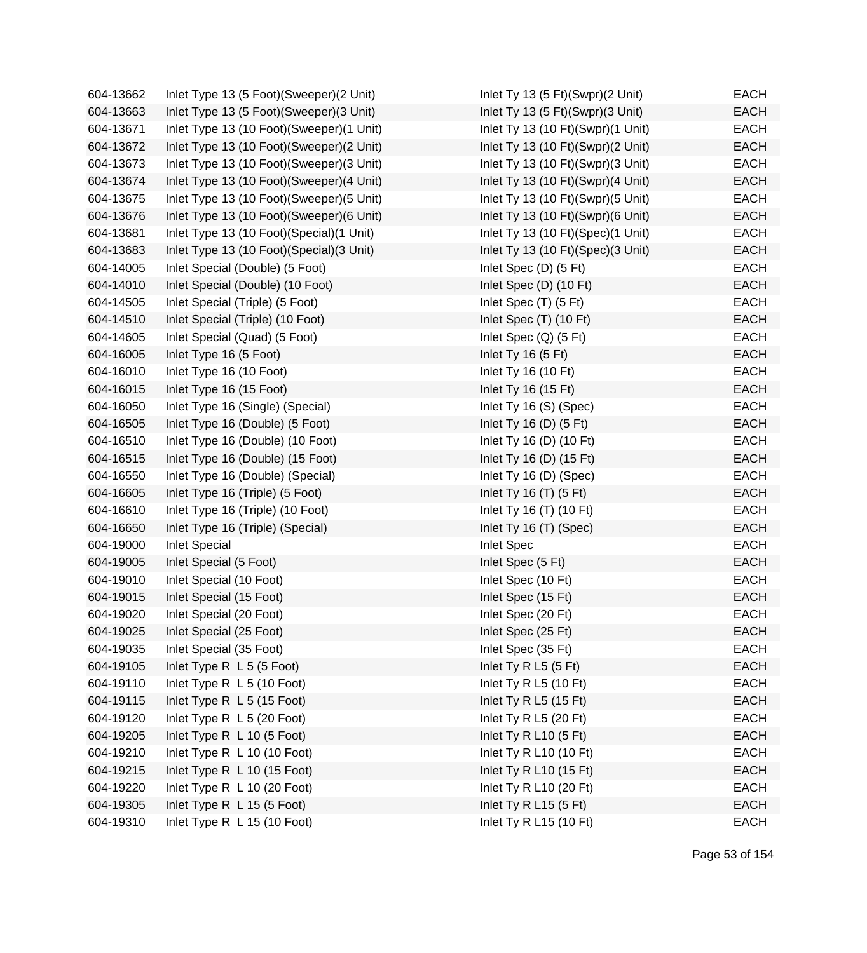| 604-13662 | Inlet Type 13 (5 Foot) (Sweeper) (2 Unit)  | Inlet Ty 13 (5 Ft)(Swpr)(2 Unit)  | <b>EACH</b> |
|-----------|--------------------------------------------|-----------------------------------|-------------|
| 604-13663 | Inlet Type 13 (5 Foot) (Sweeper) (3 Unit)  | Inlet Ty 13 (5 Ft)(Swpr)(3 Unit)  | <b>EACH</b> |
| 604-13671 | Inlet Type 13 (10 Foot)(Sweeper)(1 Unit)   | Inlet Ty 13 (10 Ft)(Swpr)(1 Unit) | EACH        |
| 604-13672 | Inlet Type 13 (10 Foot)(Sweeper)(2 Unit)   | Inlet Ty 13 (10 Ft)(Swpr)(2 Unit) | <b>EACH</b> |
| 604-13673 | Inlet Type 13 (10 Foot)(Sweeper)(3 Unit)   | Inlet Ty 13 (10 Ft)(Swpr)(3 Unit) | <b>EACH</b> |
| 604-13674 | Inlet Type 13 (10 Foot)(Sweeper)(4 Unit)   | Inlet Ty 13 (10 Ft)(Swpr)(4 Unit) | <b>EACH</b> |
| 604-13675 | Inlet Type 13 (10 Foot)(Sweeper)(5 Unit)   | Inlet Ty 13 (10 Ft)(Swpr)(5 Unit) | <b>EACH</b> |
| 604-13676 | Inlet Type 13 (10 Foot)(Sweeper)(6 Unit)   | Inlet Ty 13 (10 Ft)(Swpr)(6 Unit) | <b>EACH</b> |
| 604-13681 | Inlet Type 13 (10 Foot)(Special)(1 Unit)   | Inlet Ty 13 (10 Ft)(Spec)(1 Unit) | <b>EACH</b> |
| 604-13683 | Inlet Type 13 (10 Foot) (Special) (3 Unit) | Inlet Ty 13 (10 Ft)(Spec)(3 Unit) | <b>EACH</b> |
| 604-14005 | Inlet Special (Double) (5 Foot)            | Inlet Spec (D) (5 Ft)             | <b>EACH</b> |
| 604-14010 | Inlet Special (Double) (10 Foot)           | Inlet Spec (D) (10 Ft)            | <b>EACH</b> |
| 604-14505 | Inlet Special (Triple) (5 Foot)            | Inlet Spec $(T)$ (5 Ft)           | EACH        |
| 604-14510 | Inlet Special (Triple) (10 Foot)           | Inlet Spec (T) (10 Ft)            | <b>EACH</b> |
| 604-14605 | Inlet Special (Quad) (5 Foot)              | Inlet Spec $(Q)$ $(5 \text{ Ft})$ | <b>EACH</b> |
| 604-16005 | Inlet Type 16 (5 Foot)                     | Inlet Ty 16 $(5 Ft)$              | <b>EACH</b> |
| 604-16010 | Inlet Type 16 (10 Foot)                    | Inlet Ty 16 (10 Ft)               | <b>EACH</b> |
| 604-16015 | Inlet Type 16 (15 Foot)                    | Inlet Ty 16 (15 Ft)               | <b>EACH</b> |
| 604-16050 | Inlet Type 16 (Single) (Special)           | Inlet Ty 16 (S) (Spec)            | <b>EACH</b> |
| 604-16505 | Inlet Type 16 (Double) (5 Foot)            | Inlet Ty 16 (D) $(5 \text{ Ft})$  | <b>EACH</b> |
| 604-16510 | Inlet Type 16 (Double) (10 Foot)           | Inlet Ty 16 (D) (10 Ft)           | <b>EACH</b> |
| 604-16515 | Inlet Type 16 (Double) (15 Foot)           | Inlet Ty 16 (D) (15 Ft)           | <b>EACH</b> |
| 604-16550 | Inlet Type 16 (Double) (Special)           | Inlet Ty 16 (D) (Spec)            | <b>EACH</b> |
| 604-16605 | Inlet Type 16 (Triple) (5 Foot)            | Inlet Ty 16 (T) (5 Ft)            | <b>EACH</b> |
| 604-16610 | Inlet Type 16 (Triple) (10 Foot)           | Inlet Ty 16 (T) (10 Ft)           | <b>EACH</b> |
| 604-16650 | Inlet Type 16 (Triple) (Special)           | Inlet Ty 16 (T) (Spec)            | <b>EACH</b> |
| 604-19000 | <b>Inlet Special</b>                       | Inlet Spec                        | <b>EACH</b> |
| 604-19005 | Inlet Special (5 Foot)                     | Inlet Spec (5 Ft)                 | <b>EACH</b> |
| 604-19010 | Inlet Special (10 Foot)                    | Inlet Spec (10 Ft)                | <b>EACH</b> |
| 604-19015 | Inlet Special (15 Foot)                    | Inlet Spec (15 Ft)                | <b>EACH</b> |
| 604-19020 | Inlet Special (20 Foot)                    | Inlet Spec (20 Ft)                | <b>EACH</b> |
| 604-19025 | Inlet Special (25 Foot)                    | Inlet Spec (25 Ft)                | EACH        |
| 604-19035 | Inlet Special (35 Foot)                    | Inlet Spec (35 Ft)                | EACH        |
| 604-19105 | Inlet Type R L 5 (5 Foot)                  | Inlet Ty R L5 (5 Ft)              | <b>EACH</b> |
| 604-19110 | Inlet Type R L 5 (10 Foot)                 | Inlet Ty R L5 (10 Ft)             | <b>EACH</b> |
| 604-19115 | Inlet Type R L 5 (15 Foot)                 | Inlet Ty R L5 (15 Ft)             | <b>EACH</b> |
| 604-19120 | Inlet Type R L 5 (20 Foot)                 | Inlet Ty R L5 (20 Ft)             | <b>EACH</b> |
| 604-19205 | Inlet Type R L 10 (5 Foot)                 | Inlet Ty R L10 (5 Ft)             | <b>EACH</b> |
| 604-19210 | Inlet Type R L 10 (10 Foot)                | Inlet Ty R L10 (10 Ft)            | <b>EACH</b> |
| 604-19215 | Inlet Type R L 10 (15 Foot)                | Inlet Ty R L10 (15 Ft)            | <b>EACH</b> |
| 604-19220 | Inlet Type R L 10 (20 Foot)                | Inlet Ty R L10 (20 Ft)            | <b>EACH</b> |
| 604-19305 | Inlet Type R L 15 (5 Foot)                 | Inlet Ty R L15 (5 Ft)             | <b>EACH</b> |
| 604-19310 | Inlet Type R L 15 (10 Foot)                | Inlet Ty R L15 (10 Ft)            | EACH        |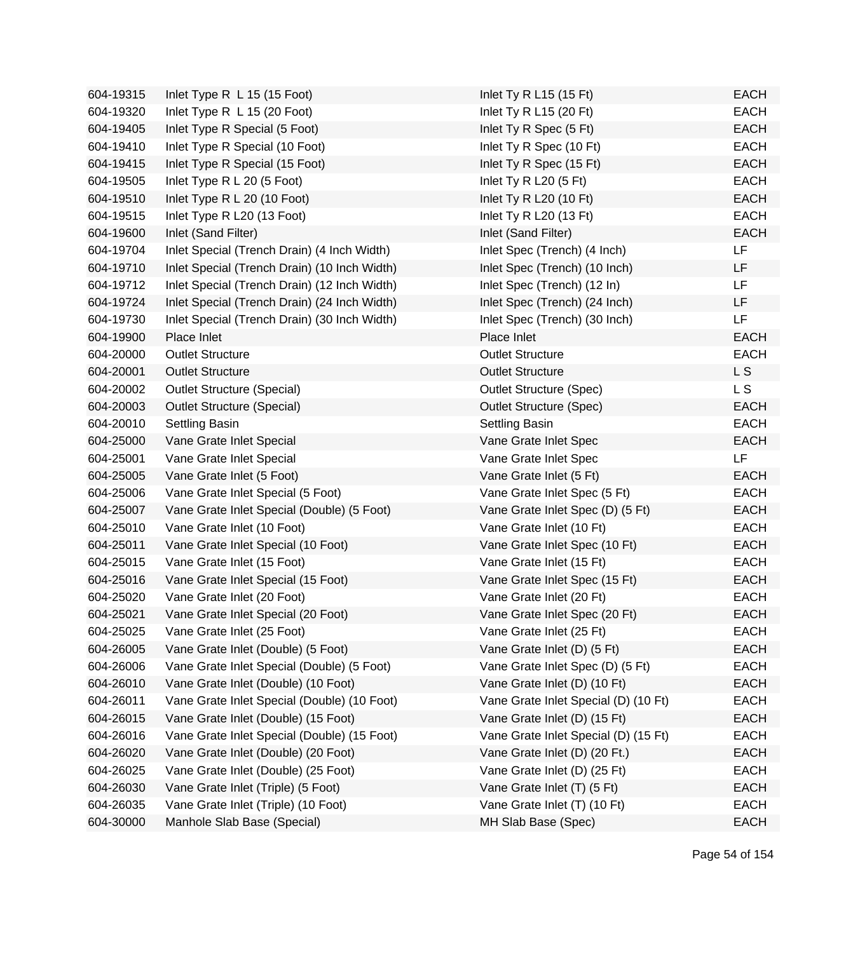| 604-19315 | Inlet Type R L 15 (15 Foot)                  | Inlet Ty R L15 (15 Ft)               | <b>EACH</b> |
|-----------|----------------------------------------------|--------------------------------------|-------------|
| 604-19320 | Inlet Type R L 15 (20 Foot)                  | Inlet Ty R L15 $(20$ Ft)             | <b>EACH</b> |
| 604-19405 | Inlet Type R Special (5 Foot)                | Inlet Ty R Spec (5 Ft)               | <b>EACH</b> |
| 604-19410 | Inlet Type R Special (10 Foot)               | Inlet Ty R Spec (10 Ft)              | <b>EACH</b> |
| 604-19415 | Inlet Type R Special (15 Foot)               | Inlet Ty R Spec (15 Ft)              | <b>EACH</b> |
| 604-19505 | Inlet Type R L 20 (5 Foot)                   | Inlet Ty R L20 $(5 \text{ Ft})$      | <b>EACH</b> |
| 604-19510 | Inlet Type R L 20 (10 Foot)                  | Inlet Ty R L20 (10 Ft)               | <b>EACH</b> |
| 604-19515 | Inlet Type R L20 (13 Foot)                   | Inlet Ty R $L20$ (13 Ft)             | <b>EACH</b> |
| 604-19600 | Inlet (Sand Filter)                          | Inlet (Sand Filter)                  | <b>EACH</b> |
| 604-19704 | Inlet Special (Trench Drain) (4 Inch Width)  | Inlet Spec (Trench) (4 Inch)         | LF          |
| 604-19710 | Inlet Special (Trench Drain) (10 Inch Width) | Inlet Spec (Trench) (10 Inch)        | LF          |
| 604-19712 | Inlet Special (Trench Drain) (12 Inch Width) | Inlet Spec (Trench) (12 In)          | LF          |
| 604-19724 | Inlet Special (Trench Drain) (24 Inch Width) | Inlet Spec (Trench) (24 Inch)        | LF          |
| 604-19730 | Inlet Special (Trench Drain) (30 Inch Width) | Inlet Spec (Trench) (30 Inch)        | LF          |
| 604-19900 | Place Inlet                                  | Place Inlet                          | <b>EACH</b> |
| 604-20000 | <b>Outlet Structure</b>                      | <b>Outlet Structure</b>              | <b>EACH</b> |
| 604-20001 | <b>Outlet Structure</b>                      | <b>Outlet Structure</b>              | L S         |
| 604-20002 | <b>Outlet Structure (Special)</b>            | <b>Outlet Structure (Spec)</b>       | L S         |
| 604-20003 | <b>Outlet Structure (Special)</b>            | <b>Outlet Structure (Spec)</b>       | <b>EACH</b> |
| 604-20010 | Settling Basin                               | Settling Basin                       | <b>EACH</b> |
| 604-25000 | Vane Grate Inlet Special                     | Vane Grate Inlet Spec                | <b>EACH</b> |
| 604-25001 | Vane Grate Inlet Special                     | Vane Grate Inlet Spec                | LF          |
| 604-25005 | Vane Grate Inlet (5 Foot)                    | Vane Grate Inlet (5 Ft)              | <b>EACH</b> |
| 604-25006 | Vane Grate Inlet Special (5 Foot)            | Vane Grate Inlet Spec (5 Ft)         | <b>EACH</b> |
| 604-25007 | Vane Grate Inlet Special (Double) (5 Foot)   | Vane Grate Inlet Spec (D) (5 Ft)     | <b>EACH</b> |
| 604-25010 | Vane Grate Inlet (10 Foot)                   | Vane Grate Inlet (10 Ft)             | <b>EACH</b> |
| 604-25011 | Vane Grate Inlet Special (10 Foot)           | Vane Grate Inlet Spec (10 Ft)        | <b>EACH</b> |
| 604-25015 | Vane Grate Inlet (15 Foot)                   | Vane Grate Inlet (15 Ft)             | <b>EACH</b> |
| 604-25016 | Vane Grate Inlet Special (15 Foot)           | Vane Grate Inlet Spec (15 Ft)        | <b>EACH</b> |
| 604-25020 | Vane Grate Inlet (20 Foot)                   | Vane Grate Inlet (20 Ft)             | <b>EACH</b> |
| 604-25021 | Vane Grate Inlet Special (20 Foot)           | Vane Grate Inlet Spec (20 Ft)        | <b>EACH</b> |
| 604-25025 | Vane Grate Inlet (25 Foot)                   | Vane Grate Inlet (25 Ft)             | <b>EACH</b> |
| 604-26005 | Vane Grate Inlet (Double) (5 Foot)           | Vane Grate Inlet (D) (5 Ft)          | <b>EACH</b> |
| 604-26006 | Vane Grate Inlet Special (Double) (5 Foot)   | Vane Grate Inlet Spec (D) (5 Ft)     | <b>EACH</b> |
| 604-26010 | Vane Grate Inlet (Double) (10 Foot)          | Vane Grate Inlet (D) (10 Ft)         | <b>EACH</b> |
| 604-26011 | Vane Grate Inlet Special (Double) (10 Foot)  | Vane Grate Inlet Special (D) (10 Ft) | <b>EACH</b> |
| 604-26015 | Vane Grate Inlet (Double) (15 Foot)          | Vane Grate Inlet (D) (15 Ft)         | <b>EACH</b> |
| 604-26016 | Vane Grate Inlet Special (Double) (15 Foot)  | Vane Grate Inlet Special (D) (15 Ft) | <b>EACH</b> |
| 604-26020 | Vane Grate Inlet (Double) (20 Foot)          | Vane Grate Inlet (D) (20 Ft.)        | <b>EACH</b> |
| 604-26025 | Vane Grate Inlet (Double) (25 Foot)          | Vane Grate Inlet (D) (25 Ft)         | <b>EACH</b> |
| 604-26030 | Vane Grate Inlet (Triple) (5 Foot)           | Vane Grate Inlet (T) (5 Ft)          | <b>EACH</b> |
| 604-26035 | Vane Grate Inlet (Triple) (10 Foot)          | Vane Grate Inlet (T) (10 Ft)         | <b>EACH</b> |
| 604-30000 | Manhole Slab Base (Special)                  | MH Slab Base (Spec)                  | <b>EACH</b> |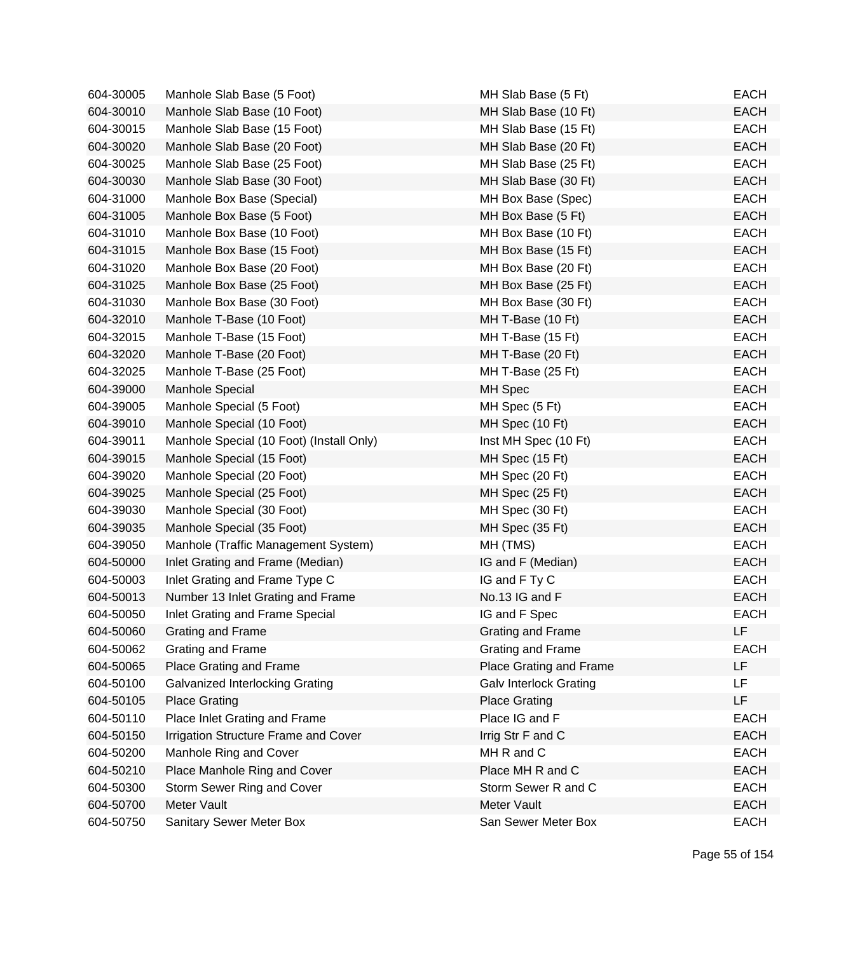| 604-30005 | Manhole Slab Base (5 Foot)               | MH Slab Base (5 Ft)           | <b>EACH</b> |
|-----------|------------------------------------------|-------------------------------|-------------|
| 604-30010 | Manhole Slab Base (10 Foot)              | MH Slab Base (10 Ft)          | <b>EACH</b> |
| 604-30015 | Manhole Slab Base (15 Foot)              | MH Slab Base (15 Ft)          | <b>EACH</b> |
| 604-30020 | Manhole Slab Base (20 Foot)              | MH Slab Base (20 Ft)          | <b>EACH</b> |
| 604-30025 | Manhole Slab Base (25 Foot)              | MH Slab Base (25 Ft)          | <b>EACH</b> |
| 604-30030 | Manhole Slab Base (30 Foot)              | MH Slab Base (30 Ft)          | <b>EACH</b> |
| 604-31000 | Manhole Box Base (Special)               | MH Box Base (Spec)            | <b>EACH</b> |
| 604-31005 | Manhole Box Base (5 Foot)                | MH Box Base (5 Ft)            | <b>EACH</b> |
| 604-31010 | Manhole Box Base (10 Foot)               | MH Box Base (10 Ft)           | <b>EACH</b> |
| 604-31015 | Manhole Box Base (15 Foot)               | MH Box Base (15 Ft)           | <b>EACH</b> |
| 604-31020 | Manhole Box Base (20 Foot)               | MH Box Base (20 Ft)           | <b>EACH</b> |
| 604-31025 | Manhole Box Base (25 Foot)               | MH Box Base (25 Ft)           | <b>EACH</b> |
| 604-31030 | Manhole Box Base (30 Foot)               | MH Box Base (30 Ft)           | <b>EACH</b> |
| 604-32010 | Manhole T-Base (10 Foot)                 | MH T-Base (10 Ft)             | <b>EACH</b> |
| 604-32015 | Manhole T-Base (15 Foot)                 | MH T-Base (15 Ft)             | <b>EACH</b> |
| 604-32020 | Manhole T-Base (20 Foot)                 | MH T-Base (20 Ft)             | <b>EACH</b> |
| 604-32025 | Manhole T-Base (25 Foot)                 | MH T-Base (25 Ft)             | <b>EACH</b> |
| 604-39000 | <b>Manhole Special</b>                   | MH Spec                       | <b>EACH</b> |
| 604-39005 | Manhole Special (5 Foot)                 | MH Spec (5 Ft)                | <b>EACH</b> |
| 604-39010 | Manhole Special (10 Foot)                | MH Spec (10 Ft)               | <b>EACH</b> |
| 604-39011 | Manhole Special (10 Foot) (Install Only) | Inst MH Spec (10 Ft)          | <b>EACH</b> |
| 604-39015 | Manhole Special (15 Foot)                | MH Spec (15 Ft)               | <b>EACH</b> |
| 604-39020 | Manhole Special (20 Foot)                | MH Spec (20 Ft)               | <b>EACH</b> |
| 604-39025 | Manhole Special (25 Foot)                | MH Spec (25 Ft)               | <b>EACH</b> |
| 604-39030 | Manhole Special (30 Foot)                | MH Spec (30 Ft)               | <b>EACH</b> |
| 604-39035 | Manhole Special (35 Foot)                | MH Spec (35 Ft)               | <b>EACH</b> |
| 604-39050 | Manhole (Traffic Management System)      | MH (TMS)                      | <b>EACH</b> |
| 604-50000 | Inlet Grating and Frame (Median)         | IG and F (Median)             | <b>EACH</b> |
| 604-50003 | Inlet Grating and Frame Type C           | IG and F Ty C                 | <b>EACH</b> |
| 604-50013 | Number 13 Inlet Grating and Frame        | No.13 IG and F                | <b>EACH</b> |
| 604-50050 | Inlet Grating and Frame Special          | IG and F Spec                 | <b>EACH</b> |
| 604-50060 | <b>Grating and Frame</b>                 | Grating and Frame             | LF          |
| 604-50062 | Grating and Frame                        | Grating and Frame             | <b>EACH</b> |
| 604-50065 | Place Grating and Frame                  | Place Grating and Frame       | LF          |
| 604-50100 | Galvanized Interlocking Grating          | <b>Galv Interlock Grating</b> | LF          |
| 604-50105 | <b>Place Grating</b>                     | <b>Place Grating</b>          | LF          |
| 604-50110 | Place Inlet Grating and Frame            | Place IG and F                | <b>EACH</b> |
| 604-50150 | Irrigation Structure Frame and Cover     | Irrig Str F and C             | <b>EACH</b> |
| 604-50200 | Manhole Ring and Cover                   | MH R and C                    | <b>EACH</b> |
| 604-50210 | Place Manhole Ring and Cover             | Place MH R and C              | <b>EACH</b> |
| 604-50300 | Storm Sewer Ring and Cover               | Storm Sewer R and C           | <b>EACH</b> |
| 604-50700 | Meter Vault                              | Meter Vault                   | <b>EACH</b> |
| 604-50750 | Sanitary Sewer Meter Box                 | San Sewer Meter Box           | <b>EACH</b> |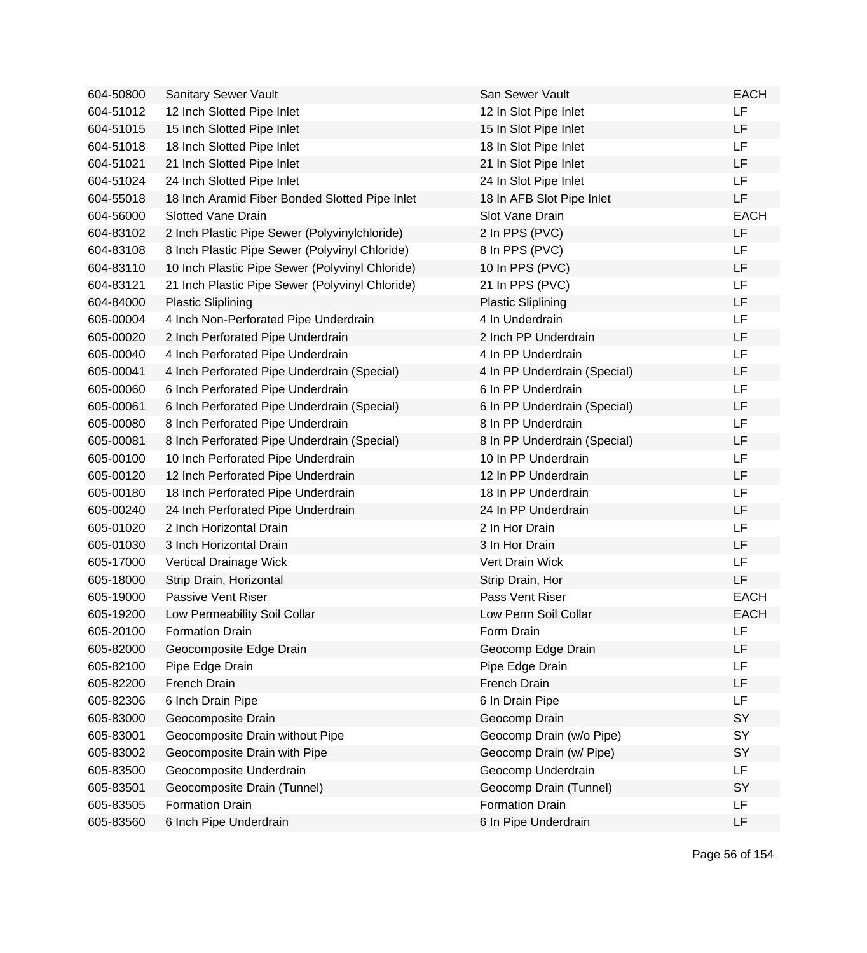| 604-50800 | Sanitary Sewer Vault                            | San Sewer Vault              | <b>EACH</b> |
|-----------|-------------------------------------------------|------------------------------|-------------|
| 604-51012 | 12 Inch Slotted Pipe Inlet                      | 12 In Slot Pipe Inlet        | LF          |
| 604-51015 | 15 Inch Slotted Pipe Inlet                      | 15 In Slot Pipe Inlet        | LF          |
| 604-51018 | 18 Inch Slotted Pipe Inlet                      | 18 In Slot Pipe Inlet        | LF          |
| 604-51021 | 21 Inch Slotted Pipe Inlet                      | 21 In Slot Pipe Inlet        | LF          |
| 604-51024 | 24 Inch Slotted Pipe Inlet                      | 24 In Slot Pipe Inlet        | <b>LF</b>   |
| 604-55018 | 18 Inch Aramid Fiber Bonded Slotted Pipe Inlet  | 18 In AFB Slot Pipe Inlet    | LF          |
| 604-56000 | <b>Slotted Vane Drain</b>                       | Slot Vane Drain              | <b>EACH</b> |
| 604-83102 | 2 Inch Plastic Pipe Sewer (Polyvinylchloride)   | 2 In PPS (PVC)               | LF          |
| 604-83108 | 8 Inch Plastic Pipe Sewer (Polyvinyl Chloride)  | 8 In PPS (PVC)               | LF          |
| 604-83110 | 10 Inch Plastic Pipe Sewer (Polyvinyl Chloride) | 10 In PPS (PVC)              | LF          |
| 604-83121 | 21 Inch Plastic Pipe Sewer (Polyvinyl Chloride) | 21 In PPS (PVC)              | LF          |
| 604-84000 | <b>Plastic Sliplining</b>                       | <b>Plastic Sliplining</b>    | LF          |
| 605-00004 | 4 Inch Non-Perforated Pipe Underdrain           | 4 In Underdrain              | LF          |
| 605-00020 | 2 Inch Perforated Pipe Underdrain               | 2 Inch PP Underdrain         | LF          |
| 605-00040 | 4 Inch Perforated Pipe Underdrain               | 4 In PP Underdrain           | LF          |
| 605-00041 | 4 Inch Perforated Pipe Underdrain (Special)     | 4 In PP Underdrain (Special) | LF          |
| 605-00060 | 6 Inch Perforated Pipe Underdrain               | 6 In PP Underdrain           | LF          |
| 605-00061 | 6 Inch Perforated Pipe Underdrain (Special)     | 6 In PP Underdrain (Special) | LF          |
| 605-00080 | 8 Inch Perforated Pipe Underdrain               | 8 In PP Underdrain           | LF          |
| 605-00081 | 8 Inch Perforated Pipe Underdrain (Special)     | 8 In PP Underdrain (Special) | LF          |
| 605-00100 | 10 Inch Perforated Pipe Underdrain              | 10 In PP Underdrain          | LF          |
| 605-00120 | 12 Inch Perforated Pipe Underdrain              | 12 In PP Underdrain          | LF          |
| 605-00180 | 18 Inch Perforated Pipe Underdrain              | 18 In PP Underdrain          | LF          |
| 605-00240 | 24 Inch Perforated Pipe Underdrain              | 24 In PP Underdrain          | LF          |
| 605-01020 | 2 Inch Horizontal Drain                         | 2 In Hor Drain               | LF          |
| 605-01030 | 3 Inch Horizontal Drain                         | 3 In Hor Drain               | LF          |
| 605-17000 | Vertical Drainage Wick                          | Vert Drain Wick              | LF          |
| 605-18000 | Strip Drain, Horizontal                         | Strip Drain, Hor             | LF          |
| 605-19000 | Passive Vent Riser                              | Pass Vent Riser              | <b>EACH</b> |
| 605-19200 | Low Permeability Soil Collar                    | Low Perm Soil Collar         | <b>EACH</b> |
| 605-20100 | <b>Formation Drain</b>                          | Form Drain                   | LF          |
| 605-82000 | Geocomposite Edge Drain                         | Geocomp Edge Drain           | LF          |
| 605-82100 | Pipe Edge Drain                                 | Pipe Edge Drain              | LF          |
| 605-82200 | French Drain                                    | French Drain                 | LF          |
| 605-82306 | 6 Inch Drain Pipe                               | 6 In Drain Pipe              | LF          |
| 605-83000 | Geocomposite Drain                              | Geocomp Drain                | SY          |
| 605-83001 | Geocomposite Drain without Pipe                 | Geocomp Drain (w/o Pipe)     | SY          |
| 605-83002 | Geocomposite Drain with Pipe                    | Geocomp Drain (w/ Pipe)      | SY          |
| 605-83500 | Geocomposite Underdrain                         | Geocomp Underdrain           | LF          |
| 605-83501 | Geocomposite Drain (Tunnel)                     | Geocomp Drain (Tunnel)       | SY          |
| 605-83505 | <b>Formation Drain</b>                          | <b>Formation Drain</b>       | LF          |
| 605-83560 | 6 Inch Pipe Underdrain                          | 6 In Pipe Underdrain         | LF          |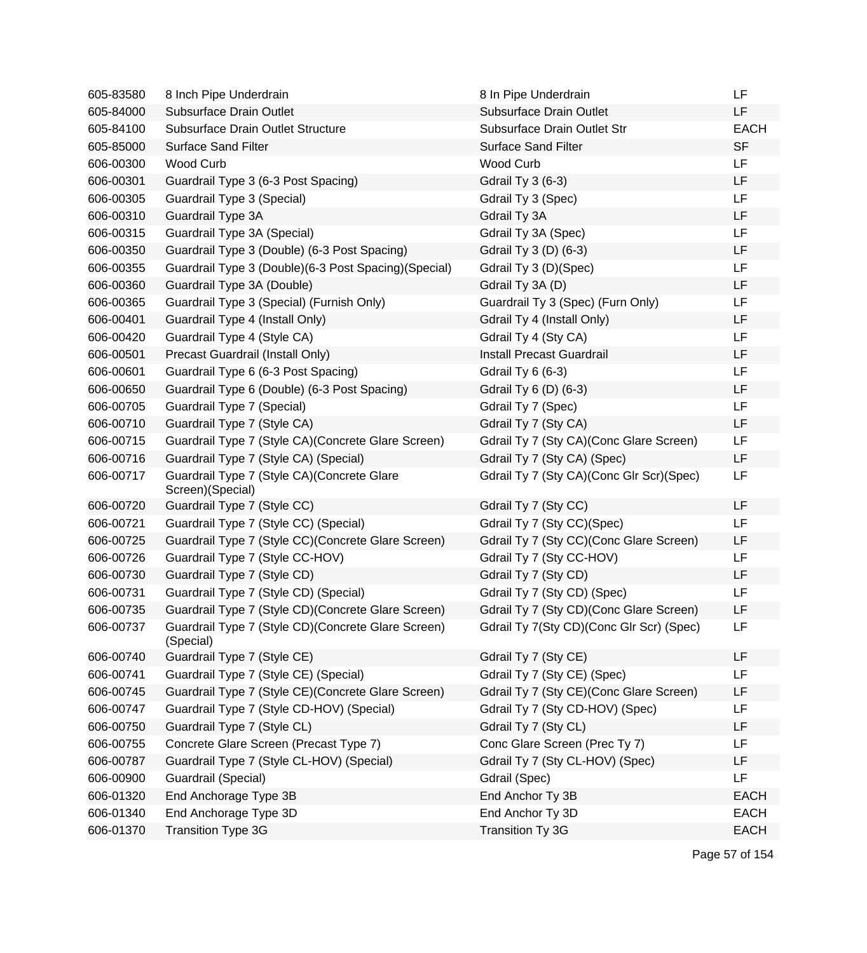| 605-83580 | 8 Inch Pipe Underdrain                                           | 8 In Pipe Underdrain                     | LF          |
|-----------|------------------------------------------------------------------|------------------------------------------|-------------|
| 605-84000 | <b>Subsurface Drain Outlet</b>                                   | Subsurface Drain Outlet                  | LF          |
| 605-84100 | Subsurface Drain Outlet Structure                                | Subsurface Drain Outlet Str              | <b>EACH</b> |
| 605-85000 | <b>Surface Sand Filter</b>                                       | <b>Surface Sand Filter</b>               | <b>SF</b>   |
| 606-00300 | <b>Wood Curb</b>                                                 | Wood Curb                                | LF          |
| 606-00301 | Guardrail Type 3 (6-3 Post Spacing)                              | <b>Gdrail Ty 3 (6-3)</b>                 | LF          |
| 606-00305 | Guardrail Type 3 (Special)                                       | Gdrail Ty 3 (Spec)                       | LF          |
| 606-00310 | Guardrail Type 3A                                                | Gdrail Ty 3A                             | LF          |
| 606-00315 | Guardrail Type 3A (Special)                                      | Gdrail Ty 3A (Spec)                      | LF          |
| 606-00350 | Guardrail Type 3 (Double) (6-3 Post Spacing)                     | Gdrail Ty 3 (D) (6-3)                    | LF          |
| 606-00355 | Guardrail Type 3 (Double) (6-3 Post Spacing) (Special)           | Gdrail Ty 3 (D)(Spec)                    | LF          |
| 606-00360 | Guardrail Type 3A (Double)                                       | Gdrail Ty 3A (D)                         | LF          |
| 606-00365 | Guardrail Type 3 (Special) (Furnish Only)                        | Guardrail Ty 3 (Spec) (Furn Only)        | LF          |
| 606-00401 | Guardrail Type 4 (Install Only)                                  | Gdrail Ty 4 (Install Only)               | LF          |
| 606-00420 | Guardrail Type 4 (Style CA)                                      | Gdrail Ty 4 (Sty CA)                     | LF          |
| 606-00501 | Precast Guardrail (Install Only)                                 | Install Precast Guardrail                | LF          |
| 606-00601 | Guardrail Type 6 (6-3 Post Spacing)                              | Gdrail Ty 6 (6-3)                        | LF          |
| 606-00650 | Guardrail Type 6 (Double) (6-3 Post Spacing)                     | Gdrail Ty 6 (D) (6-3)                    | LF          |
| 606-00705 | Guardrail Type 7 (Special)                                       | Gdrail Ty 7 (Spec)                       | LF          |
| 606-00710 | Guardrail Type 7 (Style CA)                                      | Gdrail Ty 7 (Sty CA)                     | LF          |
| 606-00715 | Guardrail Type 7 (Style CA) (Concrete Glare Screen)              | Gdrail Ty 7 (Sty CA) (Conc Glare Screen) | LF          |
| 606-00716 | Guardrail Type 7 (Style CA) (Special)                            | Gdrail Ty 7 (Sty CA) (Spec)              | LF          |
| 606-00717 | Guardrail Type 7 (Style CA) (Concrete Glare<br>Screen)(Special)  | Gdrail Ty 7 (Sty CA)(Conc Glr Scr)(Spec) | LF          |
| 606-00720 | Guardrail Type 7 (Style CC)                                      | Gdrail Ty 7 (Sty CC)                     | LF          |
| 606-00721 | Guardrail Type 7 (Style CC) (Special)                            | Gdrail Ty 7 (Sty CC)(Spec)               | LF          |
| 606-00725 | Guardrail Type 7 (Style CC) (Concrete Glare Screen)              | Gdrail Ty 7 (Sty CC) (Conc Glare Screen) | LF          |
| 606-00726 | Guardrail Type 7 (Style CC-HOV)                                  | Gdrail Ty 7 (Sty CC-HOV)                 | LF          |
| 606-00730 | Guardrail Type 7 (Style CD)                                      | Gdrail Ty 7 (Sty CD)                     | LF          |
| 606-00731 | Guardrail Type 7 (Style CD) (Special)                            | Gdrail Ty 7 (Sty CD) (Spec)              | LF          |
| 606-00735 | Guardrail Type 7 (Style CD) (Concrete Glare Screen)              | Gdrail Ty 7 (Sty CD) (Conc Glare Screen) | LF          |
| 606-00737 | Guardrail Type 7 (Style CD) (Concrete Glare Screen)<br>(Special) | Gdrail Ty 7(Sty CD)(Conc Glr Scr) (Spec) | LF          |
| 606-00740 | Guardrail Type 7 (Style CE)                                      | Gdrail Ty 7 (Sty CE)                     | LF          |
| 606-00741 | Guardrail Type 7 (Style CE) (Special)                            | Gdrail Ty 7 (Sty CE) (Spec)              | LF          |
| 606-00745 | Guardrail Type 7 (Style CE) (Concrete Glare Screen)              | Gdrail Ty 7 (Sty CE)(Conc Glare Screen)  | LF          |
| 606-00747 | Guardrail Type 7 (Style CD-HOV) (Special)                        | Gdrail Ty 7 (Sty CD-HOV) (Spec)          | LF          |
| 606-00750 | Guardrail Type 7 (Style CL)                                      | Gdrail Ty 7 (Sty CL)                     | LF          |
| 606-00755 | Concrete Glare Screen (Precast Type 7)                           | Conc Glare Screen (Prec Ty 7)            | LF          |
| 606-00787 | Guardrail Type 7 (Style CL-HOV) (Special)                        | Gdrail Ty 7 (Sty CL-HOV) (Spec)          | LF          |
| 606-00900 | Guardrail (Special)                                              | Gdrail (Spec)                            | LF          |
| 606-01320 | End Anchorage Type 3B                                            | End Anchor Ty 3B                         | <b>EACH</b> |
| 606-01340 | End Anchorage Type 3D                                            | End Anchor Ty 3D                         | <b>EACH</b> |
| 606-01370 | <b>Transition Type 3G</b>                                        | Transition Ty 3G                         | <b>EACH</b> |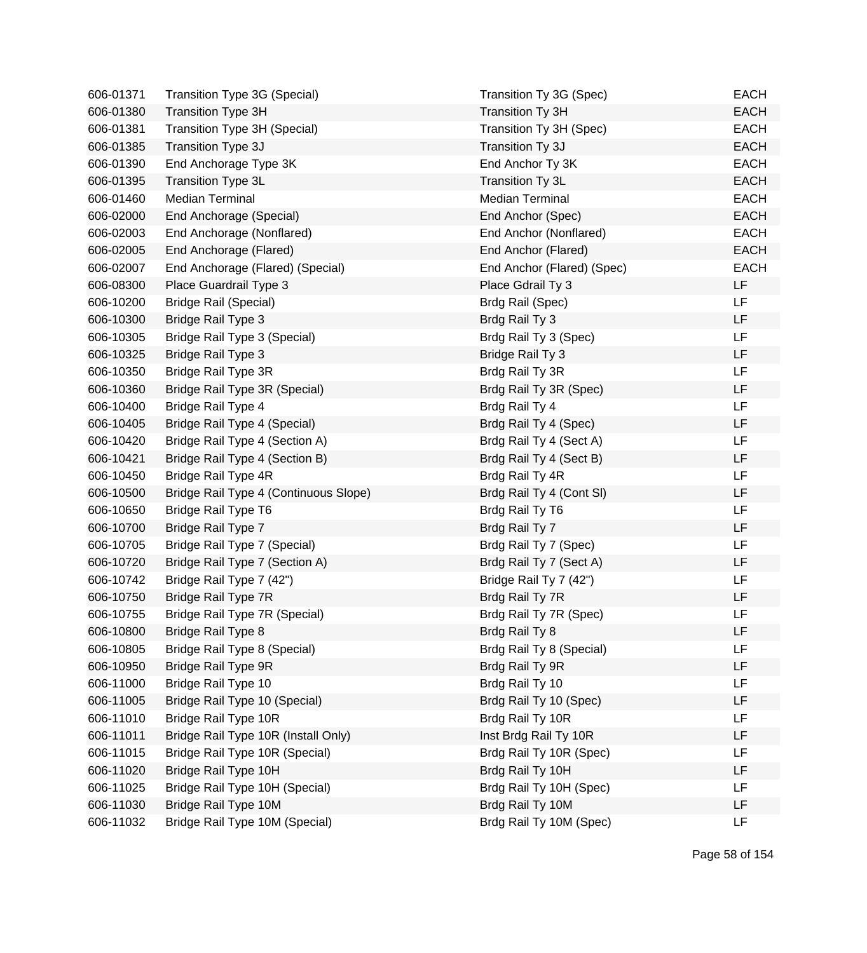| 606-01371 | Transition Type 3G (Special)          | Transition Ty 3G (Spec)    | <b>EACH</b> |
|-----------|---------------------------------------|----------------------------|-------------|
| 606-01380 | <b>Transition Type 3H</b>             | <b>Transition Ty 3H</b>    | <b>EACH</b> |
| 606-01381 | Transition Type 3H (Special)          | Transition Ty 3H (Spec)    | <b>EACH</b> |
| 606-01385 | Transition Type 3J                    | Transition Ty 3J           | <b>EACH</b> |
| 606-01390 | End Anchorage Type 3K                 | End Anchor Ty 3K           | <b>EACH</b> |
| 606-01395 | Transition Type 3L                    | Transition Ty 3L           | <b>EACH</b> |
| 606-01460 | <b>Median Terminal</b>                | <b>Median Terminal</b>     | <b>EACH</b> |
| 606-02000 | End Anchorage (Special)               | End Anchor (Spec)          | <b>EACH</b> |
| 606-02003 | End Anchorage (Nonflared)             | End Anchor (Nonflared)     | <b>EACH</b> |
| 606-02005 | End Anchorage (Flared)                | End Anchor (Flared)        | <b>EACH</b> |
| 606-02007 | End Anchorage (Flared) (Special)      | End Anchor (Flared) (Spec) | <b>EACH</b> |
| 606-08300 | Place Guardrail Type 3                | Place Gdrail Ty 3          | LF          |
| 606-10200 | <b>Bridge Rail (Special)</b>          | Brdg Rail (Spec)           | LF          |
| 606-10300 | <b>Bridge Rail Type 3</b>             | Brdg Rail Ty 3             | LF          |
| 606-10305 | Bridge Rail Type 3 (Special)          | Brdg Rail Ty 3 (Spec)      | LF          |
| 606-10325 | <b>Bridge Rail Type 3</b>             | Bridge Rail Ty 3           | LF          |
| 606-10350 | Bridge Rail Type 3R                   | Brdg Rail Ty 3R            | <b>LF</b>   |
| 606-10360 | Bridge Rail Type 3R (Special)         | Brdg Rail Ty 3R (Spec)     | LF          |
| 606-10400 | Bridge Rail Type 4                    | Brdg Rail Ty 4             | LF          |
| 606-10405 | Bridge Rail Type 4 (Special)          | Brdg Rail Ty 4 (Spec)      | LF          |
| 606-10420 | Bridge Rail Type 4 (Section A)        | Brdg Rail Ty 4 (Sect A)    | LF          |
| 606-10421 | Bridge Rail Type 4 (Section B)        | Brdg Rail Ty 4 (Sect B)    | LF          |
| 606-10450 | Bridge Rail Type 4R                   | Brdg Rail Ty 4R            | LF          |
| 606-10500 | Bridge Rail Type 4 (Continuous Slope) | Brdg Rail Ty 4 (Cont SI)   | LF          |
| 606-10650 | Bridge Rail Type T6                   | Brdg Rail Ty T6            | LF          |
| 606-10700 | Bridge Rail Type 7                    | Brdg Rail Ty 7             | LF          |
| 606-10705 | Bridge Rail Type 7 (Special)          | Brdg Rail Ty 7 (Spec)      | LF          |
| 606-10720 | Bridge Rail Type 7 (Section A)        | Brdg Rail Ty 7 (Sect A)    | <b>LF</b>   |
| 606-10742 | Bridge Rail Type 7 (42")              | Bridge Rail Ty 7 (42")     | LF          |
| 606-10750 | Bridge Rail Type 7R                   | Brdg Rail Ty 7R            | LF          |
| 606-10755 | Bridge Rail Type 7R (Special)         | Brdg Rail Ty 7R (Spec)     | LF          |
| 606-10800 | <b>Bridge Rail Type 8</b>             | Brdg Rail Ty 8             | LF          |
| 606-10805 | Bridge Rail Type 8 (Special)          | Brdg Rail Ty 8 (Special)   | <b>LF</b>   |
| 606-10950 | Bridge Rail Type 9R                   | Brdg Rail Ty 9R            | LF          |
| 606-11000 | Bridge Rail Type 10                   | Brdg Rail Ty 10            | LF          |
| 606-11005 | Bridge Rail Type 10 (Special)         | Brdg Rail Ty 10 (Spec)     | LF          |
| 606-11010 | Bridge Rail Type 10R                  | Brdg Rail Ty 10R           | <b>LF</b>   |
| 606-11011 | Bridge Rail Type 10R (Install Only)   | Inst Brdg Rail Ty 10R      | <b>LF</b>   |
| 606-11015 | Bridge Rail Type 10R (Special)        | Brdg Rail Ty 10R (Spec)    | LF          |
| 606-11020 | Bridge Rail Type 10H                  | Brdg Rail Ty 10H           | LF          |
| 606-11025 | Bridge Rail Type 10H (Special)        | Brdg Rail Ty 10H (Spec)    | LF          |
| 606-11030 | Bridge Rail Type 10M                  | Brdg Rail Ty 10M           | LF          |
| 606-11032 | Bridge Rail Type 10M (Special)        | Brdg Rail Ty 10M (Spec)    | LF          |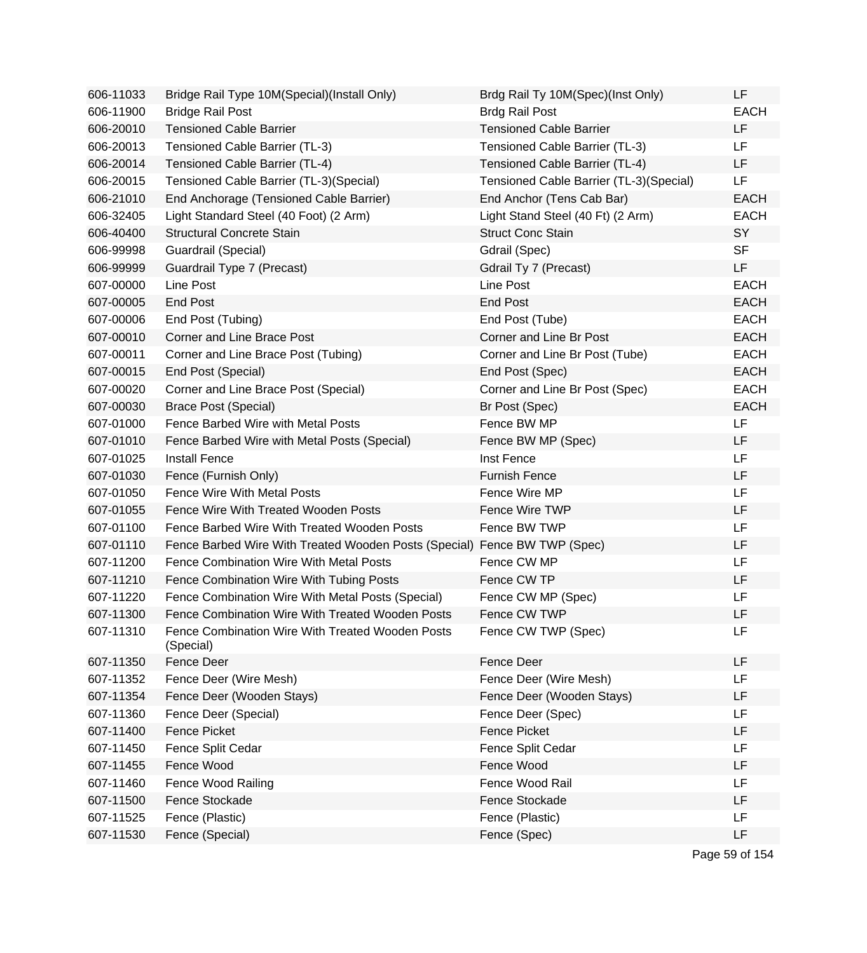| 606-11033 | Bridge Rail Type 10M(Special)(Install Only)                   | Brdg Rail Ty 10M(Spec)(Inst Only)       | LF          |
|-----------|---------------------------------------------------------------|-----------------------------------------|-------------|
| 606-11900 | <b>Bridge Rail Post</b>                                       | <b>Brdg Rail Post</b>                   | <b>EACH</b> |
| 606-20010 | <b>Tensioned Cable Barrier</b>                                | <b>Tensioned Cable Barrier</b>          | <b>LF</b>   |
| 606-20013 | Tensioned Cable Barrier (TL-3)                                | Tensioned Cable Barrier (TL-3)          | LF.         |
| 606-20014 | Tensioned Cable Barrier (TL-4)                                | Tensioned Cable Barrier (TL-4)          | LF.         |
| 606-20015 | Tensioned Cable Barrier (TL-3)(Special)                       | Tensioned Cable Barrier (TL-3)(Special) | <b>LF</b>   |
| 606-21010 | End Anchorage (Tensioned Cable Barrier)                       | End Anchor (Tens Cab Bar)               | <b>EACH</b> |
| 606-32405 | Light Standard Steel (40 Foot) (2 Arm)                        | Light Stand Steel (40 Ft) (2 Arm)       | <b>EACH</b> |
| 606-40400 | <b>Structural Concrete Stain</b>                              | <b>Struct Conc Stain</b>                | SY          |
| 606-99998 | Guardrail (Special)                                           | Gdrail (Spec)                           | <b>SF</b>   |
| 606-99999 | Guardrail Type 7 (Precast)                                    | Gdrail Ty 7 (Precast)                   | LF.         |
| 607-00000 | Line Post                                                     | Line Post                               | <b>EACH</b> |
| 607-00005 | End Post                                                      | <b>End Post</b>                         | <b>EACH</b> |
| 607-00006 | End Post (Tubing)                                             | End Post (Tube)                         | <b>EACH</b> |
| 607-00010 | Corner and Line Brace Post                                    | Corner and Line Br Post                 | <b>EACH</b> |
| 607-00011 | Corner and Line Brace Post (Tubing)                           | Corner and Line Br Post (Tube)          | <b>EACH</b> |
| 607-00015 | End Post (Special)                                            | End Post (Spec)                         | <b>EACH</b> |
| 607-00020 | Corner and Line Brace Post (Special)                          | Corner and Line Br Post (Spec)          | <b>EACH</b> |
| 607-00030 | <b>Brace Post (Special)</b>                                   | Br Post (Spec)                          | <b>EACH</b> |
| 607-01000 | Fence Barbed Wire with Metal Posts                            | Fence BW MP                             | <b>LF</b>   |
| 607-01010 | Fence Barbed Wire with Metal Posts (Special)                  | Fence BW MP (Spec)                      | LF          |
| 607-01025 | <b>Install Fence</b>                                          | Inst Fence                              | <b>LF</b>   |
| 607-01030 | Fence (Furnish Only)                                          | <b>Furnish Fence</b>                    | LF          |
| 607-01050 | <b>Fence Wire With Metal Posts</b>                            | Fence Wire MP                           | LF          |
| 607-01055 | Fence Wire With Treated Wooden Posts                          | Fence Wire TWP                          | LF          |
| 607-01100 | Fence Barbed Wire With Treated Wooden Posts                   | Fence BW TWP                            | LF          |
| 607-01110 | Fence Barbed Wire With Treated Wooden Posts (Special)         | Fence BW TWP (Spec)                     | LF          |
| 607-11200 | Fence Combination Wire With Metal Posts                       | Fence CW MP                             | LF          |
| 607-11210 | Fence Combination Wire With Tubing Posts                      | Fence CW TP                             | LF          |
| 607-11220 | Fence Combination Wire With Metal Posts (Special)             | Fence CW MP (Spec)                      | LF          |
| 607-11300 | Fence Combination Wire With Treated Wooden Posts              | Fence CW TWP                            | LF          |
| 607-11310 | Fence Combination Wire With Treated Wooden Posts<br>(Special) | Fence CW TWP (Spec)                     | LF          |
| 607-11350 | Fence Deer                                                    | Fence Deer                              | LF          |
| 607-11352 | Fence Deer (Wire Mesh)                                        | Fence Deer (Wire Mesh)                  | LF          |
| 607-11354 | Fence Deer (Wooden Stays)                                     | Fence Deer (Wooden Stays)               | LF          |
| 607-11360 | Fence Deer (Special)                                          | Fence Deer (Spec)                       | LF          |
| 607-11400 | Fence Picket                                                  | <b>Fence Picket</b>                     | LF          |
| 607-11450 | Fence Split Cedar                                             | Fence Split Cedar                       | LF          |
| 607-11455 | Fence Wood                                                    | Fence Wood                              | LF          |
| 607-11460 | <b>Fence Wood Railing</b>                                     | Fence Wood Rail                         | LF          |
| 607-11500 | Fence Stockade                                                | Fence Stockade                          | LF          |
| 607-11525 | Fence (Plastic)                                               | Fence (Plastic)                         | LF          |
| 607-11530 | Fence (Special)                                               | Fence (Spec)                            | LF          |
|           |                                                               |                                         |             |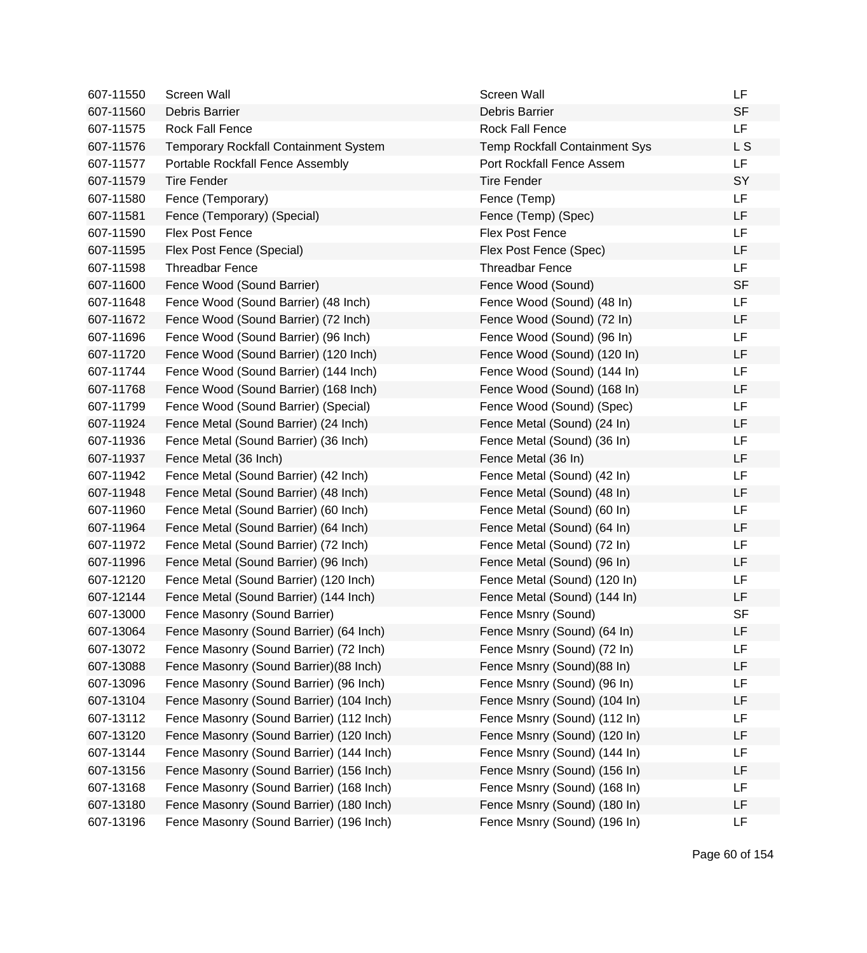| 607-11550 | Screen Wall                              | Screen Wall                          | LF        |
|-----------|------------------------------------------|--------------------------------------|-----------|
| 607-11560 | Debris Barrier                           | Debris Barrier                       | <b>SF</b> |
| 607-11575 | Rock Fall Fence                          | <b>Rock Fall Fence</b>               | <b>LF</b> |
| 607-11576 | Temporary Rockfall Containment System    | <b>Temp Rockfall Containment Sys</b> | L S       |
| 607-11577 | Portable Rockfall Fence Assembly         | Port Rockfall Fence Assem            | <b>LF</b> |
| 607-11579 | <b>Tire Fender</b>                       | <b>Tire Fender</b>                   | SY        |
| 607-11580 | Fence (Temporary)                        | Fence (Temp)                         | LF        |
| 607-11581 | Fence (Temporary) (Special)              | Fence (Temp) (Spec)                  | <b>LF</b> |
| 607-11590 | <b>Flex Post Fence</b>                   | <b>Flex Post Fence</b>               | LF        |
| 607-11595 | Flex Post Fence (Special)                | Flex Post Fence (Spec)               | <b>LF</b> |
| 607-11598 | <b>Threadbar Fence</b>                   | <b>Threadbar Fence</b>               | <b>LF</b> |
| 607-11600 | Fence Wood (Sound Barrier)               | Fence Wood (Sound)                   | <b>SF</b> |
| 607-11648 | Fence Wood (Sound Barrier) (48 Inch)     | Fence Wood (Sound) (48 In)           | <b>LF</b> |
| 607-11672 | Fence Wood (Sound Barrier) (72 Inch)     | Fence Wood (Sound) (72 In)           | LF        |
| 607-11696 | Fence Wood (Sound Barrier) (96 Inch)     | Fence Wood (Sound) (96 In)           | LF        |
| 607-11720 | Fence Wood (Sound Barrier) (120 Inch)    | Fence Wood (Sound) (120 In)          | LF        |
| 607-11744 | Fence Wood (Sound Barrier) (144 Inch)    | Fence Wood (Sound) (144 In)          | <b>LF</b> |
| 607-11768 | Fence Wood (Sound Barrier) (168 Inch)    | Fence Wood (Sound) (168 In)          | <b>LF</b> |
| 607-11799 | Fence Wood (Sound Barrier) (Special)     | Fence Wood (Sound) (Spec)            | LF        |
| 607-11924 | Fence Metal (Sound Barrier) (24 Inch)    | Fence Metal (Sound) (24 In)          | LF        |
| 607-11936 | Fence Metal (Sound Barrier) (36 Inch)    | Fence Metal (Sound) (36 In)          | LF        |
| 607-11937 | Fence Metal (36 Inch)                    | Fence Metal (36 In)                  | LF        |
| 607-11942 | Fence Metal (Sound Barrier) (42 Inch)    | Fence Metal (Sound) (42 In)          | <b>LF</b> |
| 607-11948 | Fence Metal (Sound Barrier) (48 Inch)    | Fence Metal (Sound) (48 In)          | LF        |
| 607-11960 | Fence Metal (Sound Barrier) (60 Inch)    | Fence Metal (Sound) (60 In)          | LF        |
| 607-11964 | Fence Metal (Sound Barrier) (64 Inch)    | Fence Metal (Sound) (64 In)          | LF        |
| 607-11972 | Fence Metal (Sound Barrier) (72 Inch)    | Fence Metal (Sound) (72 In)          | <b>LF</b> |
| 607-11996 | Fence Metal (Sound Barrier) (96 Inch)    | Fence Metal (Sound) (96 In)          | LF        |
| 607-12120 | Fence Metal (Sound Barrier) (120 Inch)   | Fence Metal (Sound) (120 In)         | LF        |
| 607-12144 | Fence Metal (Sound Barrier) (144 Inch)   | Fence Metal (Sound) (144 In)         | LF        |
| 607-13000 | Fence Masonry (Sound Barrier)            | Fence Msnry (Sound)                  | <b>SF</b> |
| 607-13064 | Fence Masonry (Sound Barrier) (64 Inch)  | Fence Msnry (Sound) (64 In)          | LF        |
| 607-13072 | Fence Masonry (Sound Barrier) (72 Inch)  | Fence Msnry (Sound) (72 In)          | LF        |
| 607-13088 | Fence Masonry (Sound Barrier) (88 Inch)  | Fence Msnry (Sound)(88 In)           | LF        |
| 607-13096 | Fence Masonry (Sound Barrier) (96 Inch)  | Fence Msnry (Sound) (96 In)          | LF        |
| 607-13104 | Fence Masonry (Sound Barrier) (104 Inch) | Fence Msnry (Sound) (104 In)         | LF        |
| 607-13112 | Fence Masonry (Sound Barrier) (112 Inch) | Fence Msnry (Sound) (112 In)         | LF        |
| 607-13120 | Fence Masonry (Sound Barrier) (120 Inch) | Fence Msnry (Sound) (120 In)         | LF        |
| 607-13144 | Fence Masonry (Sound Barrier) (144 Inch) | Fence Msnry (Sound) (144 In)         | LF        |
| 607-13156 | Fence Masonry (Sound Barrier) (156 Inch) | Fence Msnry (Sound) (156 In)         | LF        |
| 607-13168 | Fence Masonry (Sound Barrier) (168 Inch) | Fence Msnry (Sound) (168 In)         | LF        |
| 607-13180 | Fence Masonry (Sound Barrier) (180 Inch) | Fence Msnry (Sound) (180 In)         | LF        |
| 607-13196 | Fence Masonry (Sound Barrier) (196 Inch) | Fence Msnry (Sound) (196 In)         | LF        |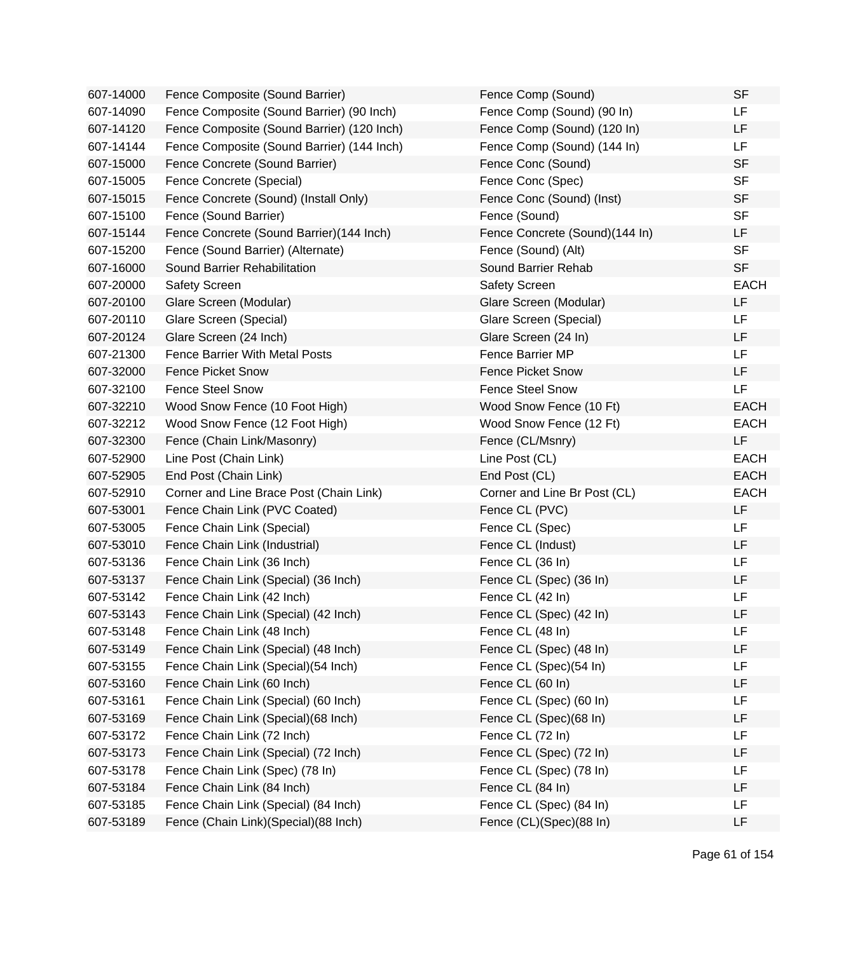| 607-14000 | Fence Composite (Sound Barrier)            | Fence Comp (Sound)             | <b>SF</b>   |
|-----------|--------------------------------------------|--------------------------------|-------------|
| 607-14090 | Fence Composite (Sound Barrier) (90 Inch)  | Fence Comp (Sound) (90 In)     | LF          |
| 607-14120 | Fence Composite (Sound Barrier) (120 Inch) | Fence Comp (Sound) (120 In)    | <b>LF</b>   |
| 607-14144 | Fence Composite (Sound Barrier) (144 Inch) | Fence Comp (Sound) (144 In)    | <b>LF</b>   |
| 607-15000 | Fence Concrete (Sound Barrier)             | Fence Conc (Sound)             | <b>SF</b>   |
| 607-15005 | Fence Concrete (Special)                   | Fence Conc (Spec)              | <b>SF</b>   |
| 607-15015 | Fence Concrete (Sound) (Install Only)      | Fence Conc (Sound) (Inst)      | <b>SF</b>   |
| 607-15100 | Fence (Sound Barrier)                      | Fence (Sound)                  | <b>SF</b>   |
| 607-15144 | Fence Concrete (Sound Barrier)(144 Inch)   | Fence Concrete (Sound)(144 In) | LF          |
| 607-15200 | Fence (Sound Barrier) (Alternate)          | Fence (Sound) (Alt)            | <b>SF</b>   |
| 607-16000 | Sound Barrier Rehabilitation               | Sound Barrier Rehab            | <b>SF</b>   |
| 607-20000 | <b>Safety Screen</b>                       | Safety Screen                  | <b>EACH</b> |
| 607-20100 | Glare Screen (Modular)                     | Glare Screen (Modular)         | LF          |
| 607-20110 | Glare Screen (Special)                     | Glare Screen (Special)         | <b>LF</b>   |
| 607-20124 | Glare Screen (24 Inch)                     | Glare Screen (24 In)           | <b>LF</b>   |
| 607-21300 | <b>Fence Barrier With Metal Posts</b>      | Fence Barrier MP               | <b>LF</b>   |
| 607-32000 | <b>Fence Picket Snow</b>                   | <b>Fence Picket Snow</b>       | <b>LF</b>   |
| 607-32100 | <b>Fence Steel Snow</b>                    | <b>Fence Steel Snow</b>        | LF          |
| 607-32210 | Wood Snow Fence (10 Foot High)             | Wood Snow Fence (10 Ft)        | <b>EACH</b> |
| 607-32212 | Wood Snow Fence (12 Foot High)             | Wood Snow Fence (12 Ft)        | <b>EACH</b> |
| 607-32300 | Fence (Chain Link/Masonry)                 | Fence (CL/Msnry)               | <b>LF</b>   |
| 607-52900 | Line Post (Chain Link)                     | Line Post (CL)                 | <b>EACH</b> |
| 607-52905 | End Post (Chain Link)                      | End Post (CL)                  | <b>EACH</b> |
| 607-52910 | Corner and Line Brace Post (Chain Link)    | Corner and Line Br Post (CL)   | <b>EACH</b> |
| 607-53001 | Fence Chain Link (PVC Coated)              | Fence CL (PVC)                 | <b>LF</b>   |
| 607-53005 | Fence Chain Link (Special)                 | Fence CL (Spec)                | LF          |
| 607-53010 | Fence Chain Link (Industrial)              | Fence CL (Indust)              | <b>LF</b>   |
| 607-53136 | Fence Chain Link (36 Inch)                 | Fence CL (36 In)               | LF          |
| 607-53137 | Fence Chain Link (Special) (36 Inch)       | Fence CL (Spec) (36 In)        | LF          |
| 607-53142 | Fence Chain Link (42 Inch)                 | Fence CL (42 In)               | LF          |
| 607-53143 | Fence Chain Link (Special) (42 Inch)       | Fence CL (Spec) (42 In)        | LF          |
| 607-53148 | Fence Chain Link (48 Inch)                 | Fence CL (48 In)               | LF          |
| 607-53149 | Fence Chain Link (Special) (48 Inch)       | Fence CL (Spec) (48 In)        | LF          |
| 607-53155 | Fence Chain Link (Special) (54 Inch)       | Fence CL (Spec)(54 In)         | LF          |
| 607-53160 | Fence Chain Link (60 Inch)                 | Fence CL (60 In)               | LF          |
| 607-53161 | Fence Chain Link (Special) (60 Inch)       | Fence CL (Spec) (60 In)        | LF          |
| 607-53169 | Fence Chain Link (Special) (68 Inch)       | Fence CL (Spec)(68 In)         | LF          |
| 607-53172 | Fence Chain Link (72 Inch)                 | Fence CL (72 In)               | LF          |
| 607-53173 | Fence Chain Link (Special) (72 Inch)       | Fence CL (Spec) (72 In)        | LF          |
| 607-53178 | Fence Chain Link (Spec) (78 In)            | Fence CL (Spec) (78 In)        | LF          |
| 607-53184 | Fence Chain Link (84 Inch)                 | Fence CL (84 In)               | LF          |
| 607-53185 | Fence Chain Link (Special) (84 Inch)       | Fence CL (Spec) (84 In)        | LF          |
| 607-53189 | Fence (Chain Link)(Special)(88 Inch)       | Fence (CL)(Spec)(88 In)        | LF          |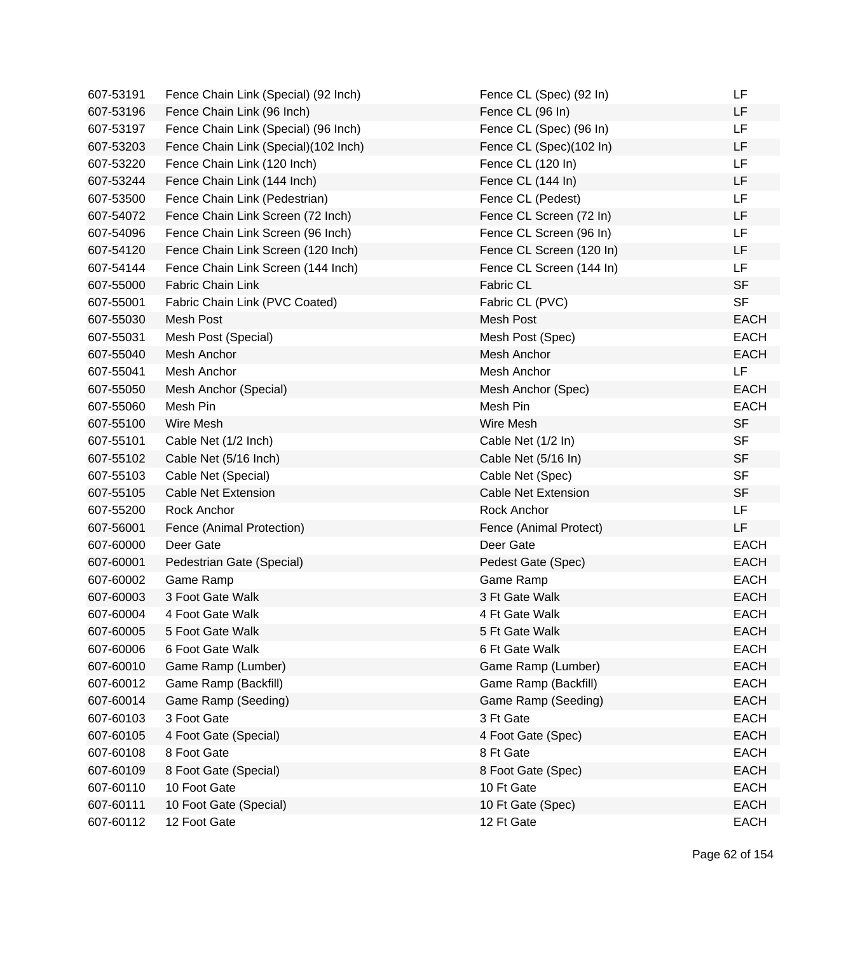| 607-53191 | Fence Chain Link (Special) (92 Inch) | Fence CL (Spec) (92 In)    | LF          |
|-----------|--------------------------------------|----------------------------|-------------|
| 607-53196 | Fence Chain Link (96 Inch)           | Fence CL (96 In)           | LF          |
| 607-53197 | Fence Chain Link (Special) (96 Inch) | Fence CL (Spec) (96 In)    | <b>LF</b>   |
| 607-53203 | Fence Chain Link (Special)(102 Inch) | Fence CL (Spec)(102 In)    | LF          |
| 607-53220 | Fence Chain Link (120 Inch)          | Fence CL (120 In)          | <b>LF</b>   |
| 607-53244 | Fence Chain Link (144 Inch)          | Fence CL (144 In)          | LF          |
| 607-53500 | Fence Chain Link (Pedestrian)        | Fence CL (Pedest)          | LF          |
| 607-54072 | Fence Chain Link Screen (72 Inch)    | Fence CL Screen (72 In)    | <b>LF</b>   |
| 607-54096 | Fence Chain Link Screen (96 Inch)    | Fence CL Screen (96 In)    | LF          |
| 607-54120 | Fence Chain Link Screen (120 Inch)   | Fence CL Screen (120 In)   | <b>LF</b>   |
| 607-54144 | Fence Chain Link Screen (144 Inch)   | Fence CL Screen (144 In)   | <b>LF</b>   |
| 607-55000 | <b>Fabric Chain Link</b>             | Fabric CL                  | <b>SF</b>   |
| 607-55001 | Fabric Chain Link (PVC Coated)       | Fabric CL (PVC)            | <b>SF</b>   |
| 607-55030 | Mesh Post                            | Mesh Post                  | <b>EACH</b> |
| 607-55031 | Mesh Post (Special)                  | Mesh Post (Spec)           | <b>EACH</b> |
| 607-55040 | Mesh Anchor                          | Mesh Anchor                | <b>EACH</b> |
| 607-55041 | Mesh Anchor                          | Mesh Anchor                | LF          |
| 607-55050 | Mesh Anchor (Special)                | Mesh Anchor (Spec)         | <b>EACH</b> |
| 607-55060 | Mesh Pin                             | Mesh Pin                   | <b>EACH</b> |
| 607-55100 | Wire Mesh                            | Wire Mesh                  | <b>SF</b>   |
| 607-55101 | Cable Net (1/2 Inch)                 | Cable Net (1/2 In)         | <b>SF</b>   |
| 607-55102 | Cable Net (5/16 Inch)                | Cable Net (5/16 In)        | <b>SF</b>   |
| 607-55103 | Cable Net (Special)                  | Cable Net (Spec)           | <b>SF</b>   |
| 607-55105 | <b>Cable Net Extension</b>           | <b>Cable Net Extension</b> | <b>SF</b>   |
| 607-55200 | Rock Anchor                          | Rock Anchor                | LF.         |
| 607-56001 | Fence (Animal Protection)            | Fence (Animal Protect)     | LF          |
| 607-60000 | Deer Gate                            | Deer Gate                  | <b>EACH</b> |
| 607-60001 | Pedestrian Gate (Special)            | Pedest Gate (Spec)         | <b>EACH</b> |
| 607-60002 | Game Ramp                            | Game Ramp                  | <b>EACH</b> |
| 607-60003 | 3 Foot Gate Walk                     | 3 Ft Gate Walk             | <b>EACH</b> |
| 607-60004 | 4 Foot Gate Walk                     | 4 Ft Gate Walk             | <b>EACH</b> |
| 607-60005 | 5 Foot Gate Walk                     | 5 Ft Gate Walk             | <b>EACH</b> |
| 607-60006 | 6 Foot Gate Walk                     | 6 Ft Gate Walk             | <b>EACH</b> |
| 607-60010 | Game Ramp (Lumber)                   | Game Ramp (Lumber)         | <b>EACH</b> |
| 607-60012 | Game Ramp (Backfill)                 | Game Ramp (Backfill)       | <b>EACH</b> |
| 607-60014 | Game Ramp (Seeding)                  | Game Ramp (Seeding)        | <b>EACH</b> |
| 607-60103 | 3 Foot Gate                          | 3 Ft Gate                  | <b>EACH</b> |
| 607-60105 | 4 Foot Gate (Special)                | 4 Foot Gate (Spec)         | <b>EACH</b> |
| 607-60108 | 8 Foot Gate                          | 8 Ft Gate                  | <b>EACH</b> |
| 607-60109 | 8 Foot Gate (Special)                | 8 Foot Gate (Spec)         | <b>EACH</b> |
| 607-60110 | 10 Foot Gate                         | 10 Ft Gate                 | <b>EACH</b> |
| 607-60111 | 10 Foot Gate (Special)               | 10 Ft Gate (Spec)          | <b>EACH</b> |
| 607-60112 | 12 Foot Gate                         | 12 Ft Gate                 | <b>EACH</b> |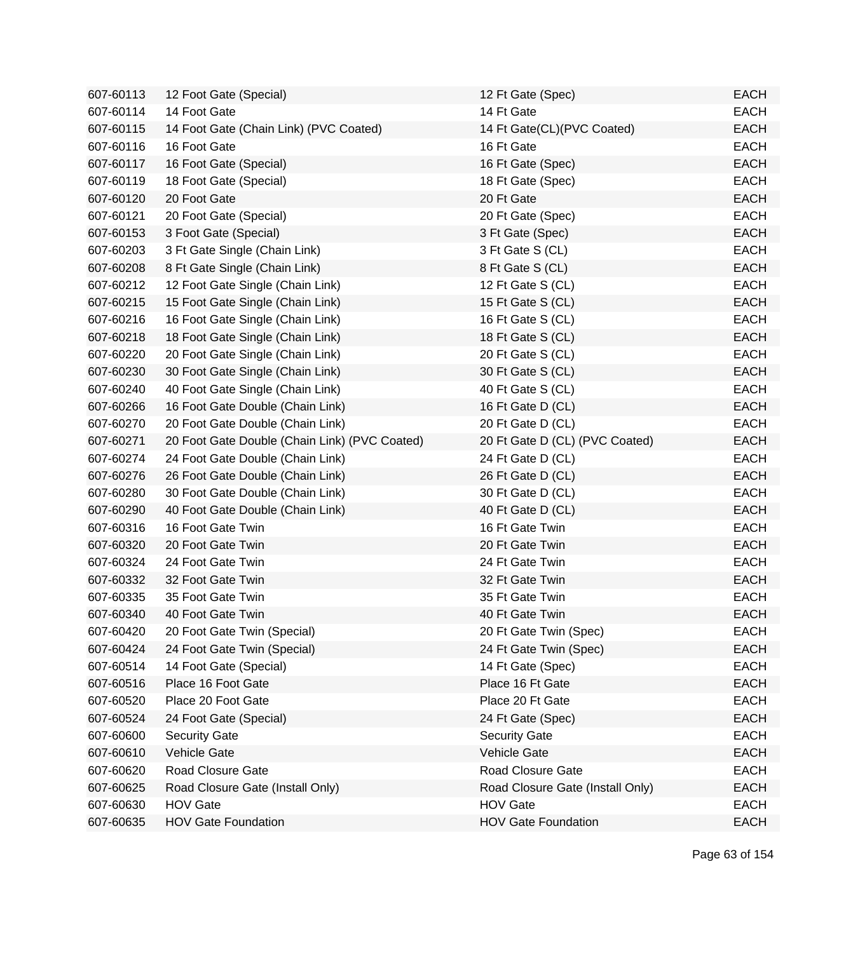| 607-60113 | 12 Foot Gate (Special)                        | 12 Ft Gate (Spec)                | <b>EACH</b> |
|-----------|-----------------------------------------------|----------------------------------|-------------|
| 607-60114 | 14 Foot Gate                                  | 14 Ft Gate                       | <b>EACH</b> |
| 607-60115 | 14 Foot Gate (Chain Link) (PVC Coated)        | 14 Ft Gate(CL)(PVC Coated)       | <b>EACH</b> |
| 607-60116 | 16 Foot Gate                                  | 16 Ft Gate                       | <b>EACH</b> |
| 607-60117 | 16 Foot Gate (Special)                        | 16 Ft Gate (Spec)                | <b>EACH</b> |
| 607-60119 | 18 Foot Gate (Special)                        | 18 Ft Gate (Spec)                | <b>EACH</b> |
| 607-60120 | 20 Foot Gate                                  | 20 Ft Gate                       | <b>EACH</b> |
| 607-60121 | 20 Foot Gate (Special)                        | 20 Ft Gate (Spec)                | <b>EACH</b> |
| 607-60153 | 3 Foot Gate (Special)                         | 3 Ft Gate (Spec)                 | <b>EACH</b> |
| 607-60203 | 3 Ft Gate Single (Chain Link)                 | 3 Ft Gate S (CL)                 | <b>EACH</b> |
| 607-60208 | 8 Ft Gate Single (Chain Link)                 | 8 Ft Gate S (CL)                 | <b>EACH</b> |
| 607-60212 | 12 Foot Gate Single (Chain Link)              | 12 Ft Gate S (CL)                | <b>EACH</b> |
| 607-60215 | 15 Foot Gate Single (Chain Link)              | 15 Ft Gate S (CL)                | <b>EACH</b> |
| 607-60216 | 16 Foot Gate Single (Chain Link)              | 16 Ft Gate S (CL)                | <b>EACH</b> |
| 607-60218 | 18 Foot Gate Single (Chain Link)              | 18 Ft Gate S (CL)                | <b>EACH</b> |
| 607-60220 | 20 Foot Gate Single (Chain Link)              | 20 Ft Gate S (CL)                | <b>EACH</b> |
| 607-60230 | 30 Foot Gate Single (Chain Link)              | 30 Ft Gate S (CL)                | <b>EACH</b> |
| 607-60240 | 40 Foot Gate Single (Chain Link)              | 40 Ft Gate S (CL)                | <b>EACH</b> |
| 607-60266 | 16 Foot Gate Double (Chain Link)              | 16 Ft Gate D (CL)                | <b>EACH</b> |
| 607-60270 | 20 Foot Gate Double (Chain Link)              | 20 Ft Gate D (CL)                | <b>EACH</b> |
| 607-60271 | 20 Foot Gate Double (Chain Link) (PVC Coated) | 20 Ft Gate D (CL) (PVC Coated)   | <b>EACH</b> |
| 607-60274 | 24 Foot Gate Double (Chain Link)              | 24 Ft Gate D (CL)                | <b>EACH</b> |
| 607-60276 | 26 Foot Gate Double (Chain Link)              | 26 Ft Gate D (CL)                | <b>EACH</b> |
| 607-60280 | 30 Foot Gate Double (Chain Link)              | 30 Ft Gate D (CL)                | <b>EACH</b> |
| 607-60290 | 40 Foot Gate Double (Chain Link)              | 40 Ft Gate D (CL)                | <b>EACH</b> |
| 607-60316 | 16 Foot Gate Twin                             | 16 Ft Gate Twin                  | <b>EACH</b> |
| 607-60320 | 20 Foot Gate Twin                             | 20 Ft Gate Twin                  | <b>EACH</b> |
| 607-60324 | 24 Foot Gate Twin                             | 24 Ft Gate Twin                  | <b>EACH</b> |
| 607-60332 | 32 Foot Gate Twin                             | 32 Ft Gate Twin                  | <b>EACH</b> |
| 607-60335 | 35 Foot Gate Twin                             | 35 Ft Gate Twin                  | <b>EACH</b> |
| 607-60340 | 40 Foot Gate Twin                             | 40 Ft Gate Twin                  | <b>EACH</b> |
| 607-60420 | 20 Foot Gate Twin (Special)                   | 20 Ft Gate Twin (Spec)           | EACH        |
| 607-60424 | 24 Foot Gate Twin (Special)                   | 24 Ft Gate Twin (Spec)           | <b>EACH</b> |
| 607-60514 | 14 Foot Gate (Special)                        | 14 Ft Gate (Spec)                | <b>EACH</b> |
| 607-60516 | Place 16 Foot Gate                            | Place 16 Ft Gate                 | <b>EACH</b> |
| 607-60520 | Place 20 Foot Gate                            | Place 20 Ft Gate                 | <b>EACH</b> |
| 607-60524 | 24 Foot Gate (Special)                        | 24 Ft Gate (Spec)                | <b>EACH</b> |
| 607-60600 | <b>Security Gate</b>                          | <b>Security Gate</b>             | <b>EACH</b> |
| 607-60610 | Vehicle Gate                                  | Vehicle Gate                     | <b>EACH</b> |
| 607-60620 | Road Closure Gate                             | Road Closure Gate                | <b>EACH</b> |
| 607-60625 | Road Closure Gate (Install Only)              | Road Closure Gate (Install Only) | <b>EACH</b> |
| 607-60630 | <b>HOV Gate</b>                               | <b>HOV Gate</b>                  | <b>EACH</b> |
| 607-60635 | <b>HOV Gate Foundation</b>                    | <b>HOV Gate Foundation</b>       | <b>EACH</b> |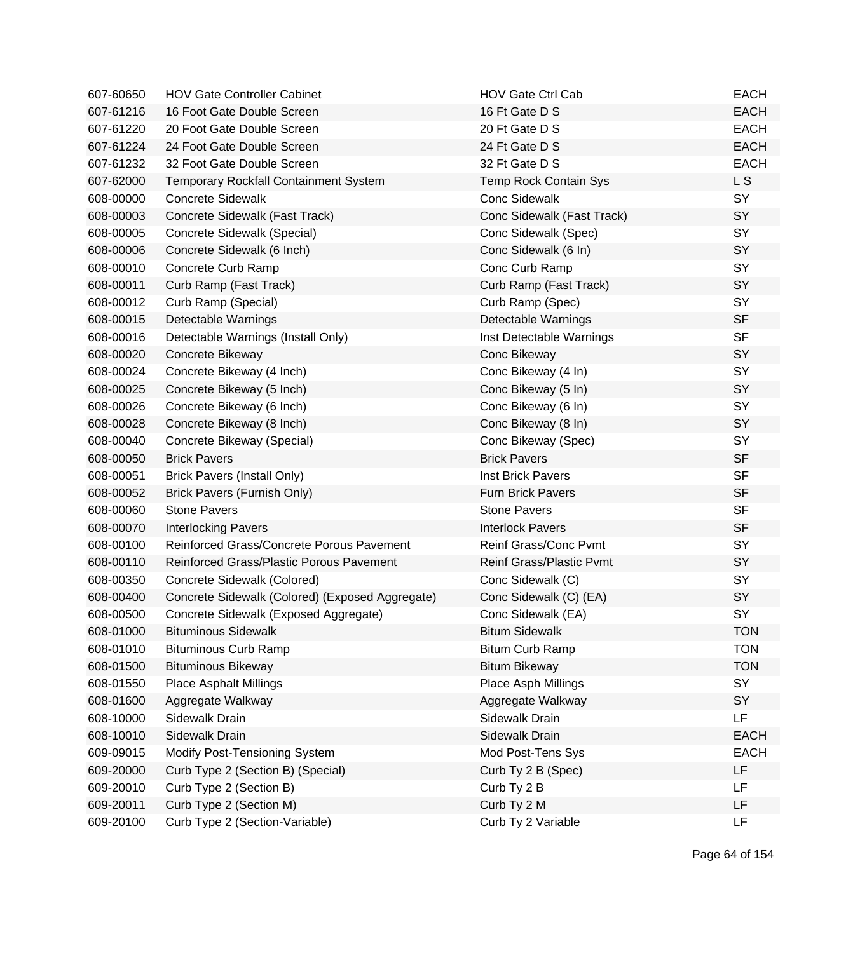| 607-60650 | <b>HOV Gate Controller Cabinet</b>              | <b>HOV Gate Ctrl Cab</b>        | <b>EACH</b>    |
|-----------|-------------------------------------------------|---------------------------------|----------------|
| 607-61216 | 16 Foot Gate Double Screen                      | 16 Ft Gate D S                  | <b>EACH</b>    |
| 607-61220 | 20 Foot Gate Double Screen                      | 20 Ft Gate D S                  | <b>EACH</b>    |
| 607-61224 | 24 Foot Gate Double Screen                      | 24 Ft Gate D S                  | <b>EACH</b>    |
| 607-61232 | 32 Foot Gate Double Screen                      | 32 Ft Gate D S                  | <b>EACH</b>    |
| 607-62000 | <b>Temporary Rockfall Containment System</b>    | <b>Temp Rock Contain Sys</b>    | L <sub>S</sub> |
| 608-00000 | <b>Concrete Sidewalk</b>                        | <b>Conc Sidewalk</b>            | SY             |
| 608-00003 | Concrete Sidewalk (Fast Track)                  | Conc Sidewalk (Fast Track)      | SY             |
| 608-00005 | Concrete Sidewalk (Special)                     | Conc Sidewalk (Spec)            | SY             |
| 608-00006 | Concrete Sidewalk (6 Inch)                      | Conc Sidewalk (6 In)            | SY             |
| 608-00010 | Concrete Curb Ramp                              | Conc Curb Ramp                  | SY             |
| 608-00011 | Curb Ramp (Fast Track)                          | Curb Ramp (Fast Track)          | SY             |
| 608-00012 | Curb Ramp (Special)                             | Curb Ramp (Spec)                | SY             |
| 608-00015 | Detectable Warnings                             | Detectable Warnings             | <b>SF</b>      |
| 608-00016 | Detectable Warnings (Install Only)              | Inst Detectable Warnings        | <b>SF</b>      |
| 608-00020 | Concrete Bikeway                                | Conc Bikeway                    | SY             |
| 608-00024 | Concrete Bikeway (4 Inch)                       | Conc Bikeway (4 In)             | SY             |
| 608-00025 | Concrete Bikeway (5 Inch)                       | Conc Bikeway (5 In)             | SY             |
| 608-00026 | Concrete Bikeway (6 Inch)                       | Conc Bikeway (6 In)             | SY             |
| 608-00028 | Concrete Bikeway (8 Inch)                       | Conc Bikeway (8 In)             | SY             |
| 608-00040 | Concrete Bikeway (Special)                      | Conc Bikeway (Spec)             | SY             |
| 608-00050 | <b>Brick Pavers</b>                             | <b>Brick Pavers</b>             | <b>SF</b>      |
| 608-00051 | <b>Brick Pavers (Install Only)</b>              | Inst Brick Pavers               | <b>SF</b>      |
| 608-00052 | Brick Pavers (Furnish Only)                     | <b>Furn Brick Pavers</b>        | <b>SF</b>      |
| 608-00060 | <b>Stone Pavers</b>                             | <b>Stone Pavers</b>             | <b>SF</b>      |
| 608-00070 | <b>Interlocking Pavers</b>                      | <b>Interlock Pavers</b>         | <b>SF</b>      |
| 608-00100 | Reinforced Grass/Concrete Porous Pavement       | Reinf Grass/Conc Pvmt           | SY             |
| 608-00110 | Reinforced Grass/Plastic Porous Pavement        | <b>Reinf Grass/Plastic Pymt</b> | SY             |
| 608-00350 | Concrete Sidewalk (Colored)                     | Conc Sidewalk (C)               | SY             |
| 608-00400 | Concrete Sidewalk (Colored) (Exposed Aggregate) | Conc Sidewalk (C) (EA)          | SY             |
| 608-00500 | Concrete Sidewalk (Exposed Aggregate)           | Conc Sidewalk (EA)              | SY             |
| 608-01000 | <b>Bituminous Sidewalk</b>                      | <b>Bitum Sidewalk</b>           | TON            |
| 608-01010 | <b>Bituminous Curb Ramp</b>                     | <b>Bitum Curb Ramp</b>          | <b>TON</b>     |
| 608-01500 | <b>Bituminous Bikeway</b>                       | <b>Bitum Bikeway</b>            | <b>TON</b>     |
| 608-01550 | <b>Place Asphalt Millings</b>                   | Place Asph Millings             | SY             |
| 608-01600 | Aggregate Walkway                               | Aggregate Walkway               | SY             |
| 608-10000 | Sidewalk Drain                                  | Sidewalk Drain                  | LF             |
| 608-10010 | Sidewalk Drain                                  | Sidewalk Drain                  | <b>EACH</b>    |
| 609-09015 | <b>Modify Post-Tensioning System</b>            | Mod Post-Tens Sys               | <b>EACH</b>    |
| 609-20000 | Curb Type 2 (Section B) (Special)               | Curb Ty 2 B (Spec)              | LF             |
| 609-20010 | Curb Type 2 (Section B)                         | Curb Ty 2 B                     | LF             |
| 609-20011 | Curb Type 2 (Section M)                         | Curb Ty 2 M                     | LF             |
| 609-20100 | Curb Type 2 (Section-Variable)                  | Curb Ty 2 Variable              | LF             |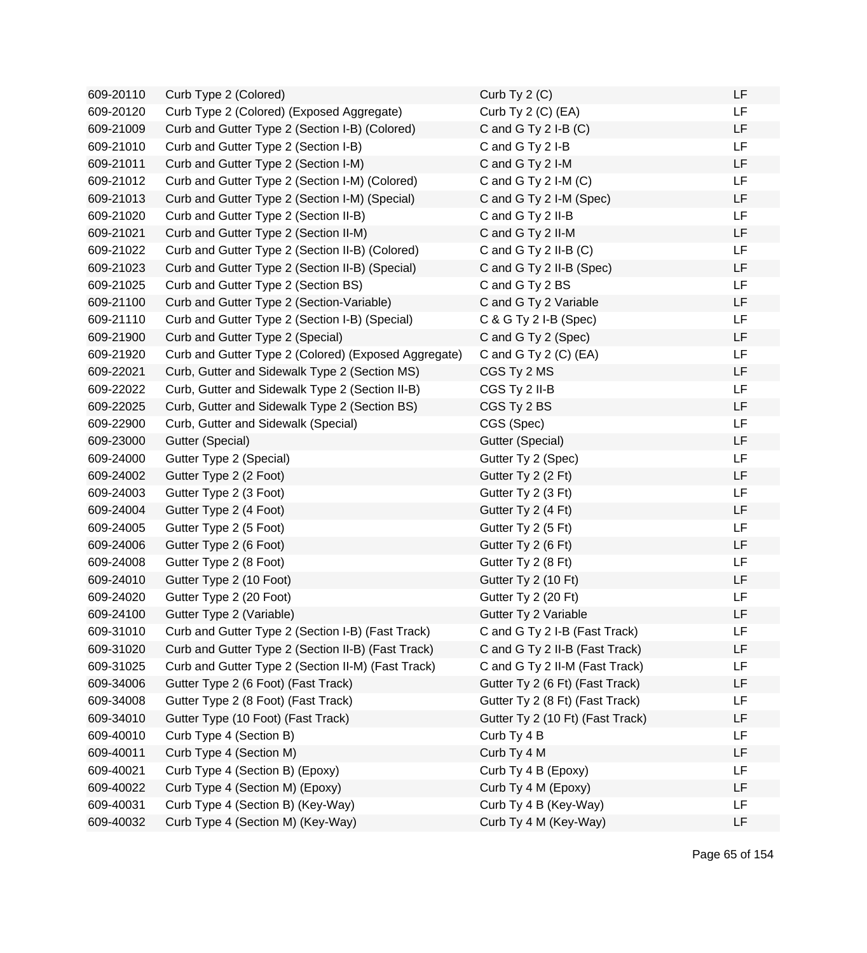| 609-20110 | Curb Type 2 (Colored)                                | Curb Ty $2(C)$                   | LF        |
|-----------|------------------------------------------------------|----------------------------------|-----------|
| 609-20120 | Curb Type 2 (Colored) (Exposed Aggregate)            | Curb Ty 2 (C) (EA)               | <b>LF</b> |
| 609-21009 | Curb and Gutter Type 2 (Section I-B) (Colored)       | C and G Ty $2$ I-B $(C)$         | <b>LF</b> |
| 609-21010 | Curb and Gutter Type 2 (Section I-B)                 | C and G Ty 2 I-B                 | <b>LF</b> |
| 609-21011 | Curb and Gutter Type 2 (Section I-M)                 | C and G Ty 2 I-M                 | <b>LF</b> |
| 609-21012 | Curb and Gutter Type 2 (Section I-M) (Colored)       | C and G Ty $2$ I-M $(C)$         | <b>LF</b> |
| 609-21013 | Curb and Gutter Type 2 (Section I-M) (Special)       | C and G Ty 2 I-M (Spec)          | LF        |
| 609-21020 | Curb and Gutter Type 2 (Section II-B)                | C and G Ty 2 II-B                | LF        |
| 609-21021 | Curb and Gutter Type 2 (Section II-M)                | C and G Ty 2 II-M                | LF        |
| 609-21022 | Curb and Gutter Type 2 (Section II-B) (Colored)      | C and G Ty 2 II-B $(C)$          | LF        |
| 609-21023 | Curb and Gutter Type 2 (Section II-B) (Special)      | C and G Ty 2 II-B (Spec)         | LF        |
| 609-21025 | Curb and Gutter Type 2 (Section BS)                  | C and G Ty 2 BS                  | LF        |
| 609-21100 | Curb and Gutter Type 2 (Section-Variable)            | C and G Ty 2 Variable            | <b>LF</b> |
| 609-21110 | Curb and Gutter Type 2 (Section I-B) (Special)       | C & G Ty 2 I-B (Spec)            | LF        |
| 609-21900 | Curb and Gutter Type 2 (Special)                     | C and G Ty 2 (Spec)              | LF        |
| 609-21920 | Curb and Gutter Type 2 (Colored) (Exposed Aggregate) | C and G Ty $2$ (C) (EA)          | <b>LF</b> |
| 609-22021 | Curb, Gutter and Sidewalk Type 2 (Section MS)        | CGS Ty 2 MS                      | LF        |
| 609-22022 | Curb, Gutter and Sidewalk Type 2 (Section II-B)      | CGS Ty 2 II-B                    | LF        |
| 609-22025 | Curb, Gutter and Sidewalk Type 2 (Section BS)        | CGS Ty 2 BS                      | LF        |
| 609-22900 | Curb, Gutter and Sidewalk (Special)                  | CGS (Spec)                       | <b>LF</b> |
| 609-23000 | Gutter (Special)                                     | Gutter (Special)                 | LF        |
| 609-24000 | Gutter Type 2 (Special)                              | Gutter Ty 2 (Spec)               | LF        |
| 609-24002 | Gutter Type 2 (2 Foot)                               | Gutter Ty 2 (2 Ft)               | <b>LF</b> |
| 609-24003 | Gutter Type 2 (3 Foot)                               | Gutter Ty 2 (3 Ft)               | LF        |
| 609-24004 | Gutter Type 2 (4 Foot)                               | Gutter Ty 2 (4 Ft)               | <b>LF</b> |
| 609-24005 | Gutter Type 2 (5 Foot)                               | Gutter Ty 2 (5 Ft)               | LF        |
| 609-24006 | Gutter Type 2 (6 Foot)                               | Gutter Ty 2 (6 Ft)               | LF        |
| 609-24008 | Gutter Type 2 (8 Foot)                               | Gutter Ty 2 (8 Ft)               | LF        |
| 609-24010 | Gutter Type 2 (10 Foot)                              | Gutter Ty 2 (10 Ft)              | LF        |
| 609-24020 | Gutter Type 2 (20 Foot)                              | Gutter Ty 2 (20 Ft)              | LF        |
| 609-24100 | Gutter Type 2 (Variable)                             | Gutter Ty 2 Variable             | LF        |
| 609-31010 | Curb and Gutter Type 2 (Section I-B) (Fast Track)    | C and G Ty 2 I-B (Fast Track)    | LF        |
| 609-31020 | Curb and Gutter Type 2 (Section II-B) (Fast Track)   | C and G Ty 2 II-B (Fast Track)   | LF        |
| 609-31025 | Curb and Gutter Type 2 (Section II-M) (Fast Track)   | C and G Ty 2 II-M (Fast Track)   | LF        |
| 609-34006 | Gutter Type 2 (6 Foot) (Fast Track)                  | Gutter Ty 2 (6 Ft) (Fast Track)  | LF        |
| 609-34008 | Gutter Type 2 (8 Foot) (Fast Track)                  | Gutter Ty 2 (8 Ft) (Fast Track)  | LF        |
| 609-34010 | Gutter Type (10 Foot) (Fast Track)                   | Gutter Ty 2 (10 Ft) (Fast Track) | LF        |
| 609-40010 | Curb Type 4 (Section B)                              | Curb Ty 4 B                      | <b>LF</b> |
| 609-40011 | Curb Type 4 (Section M)                              | Curb Ty 4 M                      | LF        |
| 609-40021 | Curb Type 4 (Section B) (Epoxy)                      | Curb Ty 4 B (Epoxy)              | LF        |
| 609-40022 | Curb Type 4 (Section M) (Epoxy)                      | Curb Ty 4 M (Epoxy)              | LF        |
| 609-40031 | Curb Type 4 (Section B) (Key-Way)                    | Curb Ty 4 B (Key-Way)            | LF        |
| 609-40032 | Curb Type 4 (Section M) (Key-Way)                    | Curb Ty 4 M (Key-Way)            | LF        |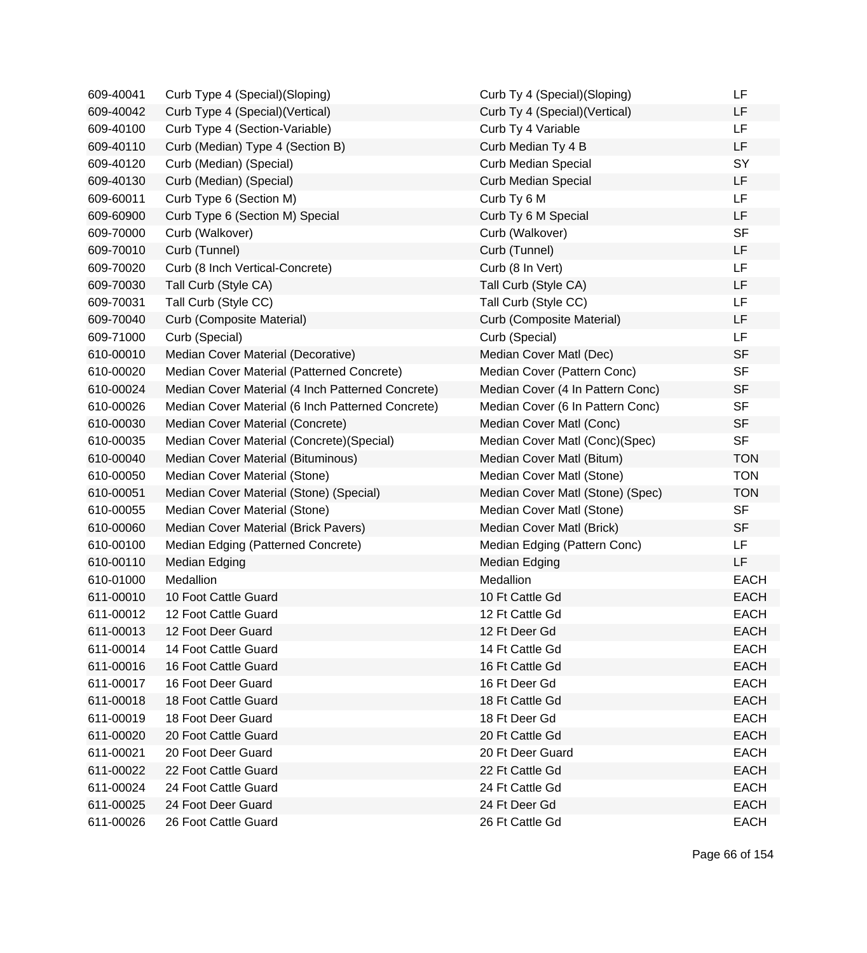| 609-40041 | Curb Type 4 (Special) (Sloping)                   | Curb Ty 4 (Special)(Sloping)     | LF          |
|-----------|---------------------------------------------------|----------------------------------|-------------|
| 609-40042 | Curb Type 4 (Special) (Vertical)                  | Curb Ty 4 (Special) (Vertical)   | LF          |
| 609-40100 | Curb Type 4 (Section-Variable)                    | Curb Ty 4 Variable               | LF          |
| 609-40110 | Curb (Median) Type 4 (Section B)                  | Curb Median Ty 4 B               | LF          |
| 609-40120 | Curb (Median) (Special)                           | Curb Median Special              | SY          |
| 609-40130 | Curb (Median) (Special)                           | <b>Curb Median Special</b>       | <b>LF</b>   |
| 609-60011 | Curb Type 6 (Section M)                           | Curb Ty 6 M                      | <b>LF</b>   |
| 609-60900 | Curb Type 6 (Section M) Special                   | Curb Ty 6 M Special              | <b>LF</b>   |
| 609-70000 | Curb (Walkover)                                   | Curb (Walkover)                  | <b>SF</b>   |
| 609-70010 | Curb (Tunnel)                                     | Curb (Tunnel)                    | LF          |
| 609-70020 | Curb (8 Inch Vertical-Concrete)                   | Curb (8 In Vert)                 | <b>LF</b>   |
| 609-70030 | Tall Curb (Style CA)                              | Tall Curb (Style CA)             | LF          |
| 609-70031 | Tall Curb (Style CC)                              | Tall Curb (Style CC)             | LF          |
| 609-70040 | Curb (Composite Material)                         | Curb (Composite Material)        | LF          |
| 609-71000 | Curb (Special)                                    | Curb (Special)                   | <b>LF</b>   |
| 610-00010 | Median Cover Material (Decorative)                | Median Cover Matl (Dec)          | <b>SF</b>   |
| 610-00020 | Median Cover Material (Patterned Concrete)        | Median Cover (Pattern Conc)      | <b>SF</b>   |
| 610-00024 | Median Cover Material (4 Inch Patterned Concrete) | Median Cover (4 In Pattern Conc) | <b>SF</b>   |
| 610-00026 | Median Cover Material (6 Inch Patterned Concrete) | Median Cover (6 In Pattern Conc) | <b>SF</b>   |
| 610-00030 | Median Cover Material (Concrete)                  | Median Cover Matl (Conc)         | <b>SF</b>   |
| 610-00035 | Median Cover Material (Concrete) (Special)        | Median Cover Matl (Conc)(Spec)   | <b>SF</b>   |
| 610-00040 | Median Cover Material (Bituminous)                | Median Cover Matl (Bitum)        | <b>TON</b>  |
| 610-00050 | Median Cover Material (Stone)                     | Median Cover Matl (Stone)        | <b>TON</b>  |
| 610-00051 | Median Cover Material (Stone) (Special)           | Median Cover Matl (Stone) (Spec) | <b>TON</b>  |
| 610-00055 | Median Cover Material (Stone)                     | Median Cover Matl (Stone)        | <b>SF</b>   |
| 610-00060 | Median Cover Material (Brick Pavers)              | Median Cover Matl (Brick)        | <b>SF</b>   |
| 610-00100 | Median Edging (Patterned Concrete)                | Median Edging (Pattern Conc)     | LF.         |
| 610-00110 | Median Edging                                     | <b>Median Edging</b>             | <b>LF</b>   |
| 610-01000 | Medallion                                         | Medallion                        | <b>EACH</b> |
| 611-00010 | 10 Foot Cattle Guard                              | 10 Ft Cattle Gd                  | <b>EACH</b> |
| 611-00012 | 12 Foot Cattle Guard                              | 12 Ft Cattle Gd                  | <b>EACH</b> |
| 611-00013 | 12 Foot Deer Guard                                | 12 Ft Deer Gd                    | <b>EACH</b> |
| 611-00014 | 14 Foot Cattle Guard                              | 14 Ft Cattle Gd                  | <b>EACH</b> |
| 611-00016 | 16 Foot Cattle Guard                              | 16 Ft Cattle Gd                  | <b>EACH</b> |
| 611-00017 | 16 Foot Deer Guard                                | 16 Ft Deer Gd                    | <b>EACH</b> |
| 611-00018 | 18 Foot Cattle Guard                              | 18 Ft Cattle Gd                  | <b>EACH</b> |
| 611-00019 | 18 Foot Deer Guard                                | 18 Ft Deer Gd                    | <b>EACH</b> |
| 611-00020 | 20 Foot Cattle Guard                              | 20 Ft Cattle Gd                  | <b>EACH</b> |
| 611-00021 | 20 Foot Deer Guard                                | 20 Ft Deer Guard                 | <b>EACH</b> |
| 611-00022 | 22 Foot Cattle Guard                              | 22 Ft Cattle Gd                  | <b>EACH</b> |
| 611-00024 | 24 Foot Cattle Guard                              | 24 Ft Cattle Gd                  | <b>EACH</b> |
| 611-00025 | 24 Foot Deer Guard                                | 24 Ft Deer Gd                    | <b>EACH</b> |
| 611-00026 | 26 Foot Cattle Guard                              | 26 Ft Cattle Gd                  | <b>EACH</b> |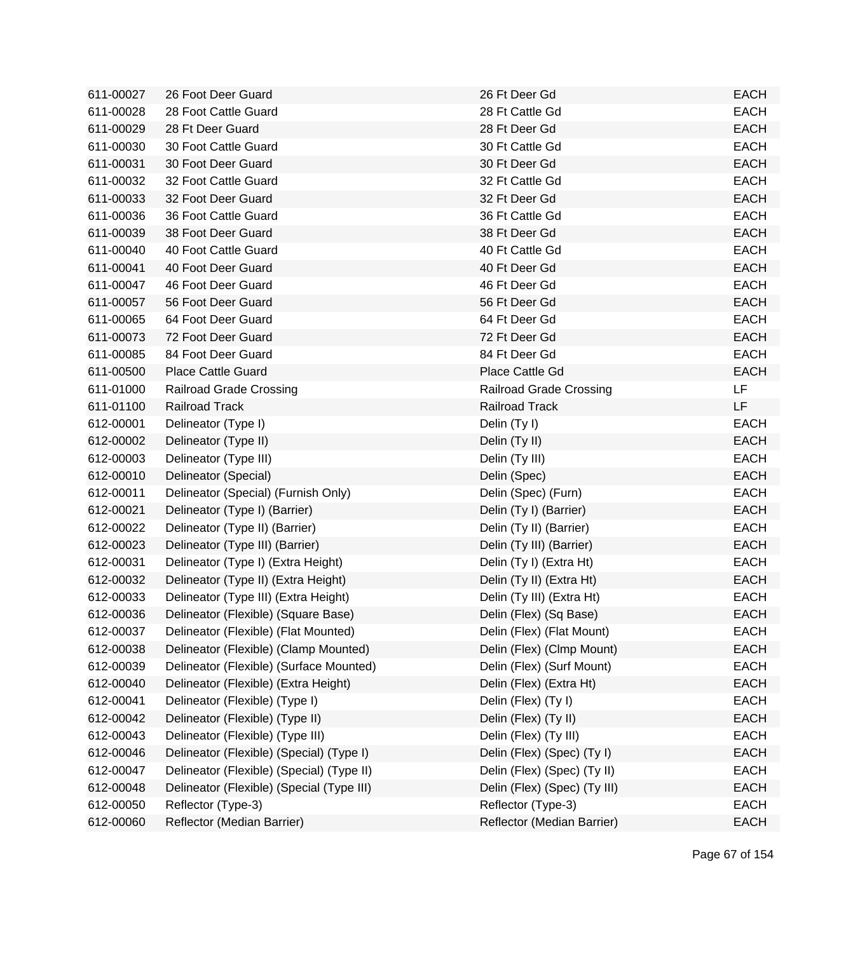| 611-00027 | 26 Foot Deer Guard                        | 26 Ft Deer Gd                  | <b>EACH</b> |
|-----------|-------------------------------------------|--------------------------------|-------------|
| 611-00028 | 28 Foot Cattle Guard                      | 28 Ft Cattle Gd                | <b>EACH</b> |
| 611-00029 | 28 Ft Deer Guard                          | 28 Ft Deer Gd                  | <b>EACH</b> |
| 611-00030 | 30 Foot Cattle Guard                      | 30 Ft Cattle Gd                | <b>EACH</b> |
| 611-00031 | 30 Foot Deer Guard                        | 30 Ft Deer Gd                  | <b>EACH</b> |
| 611-00032 | 32 Foot Cattle Guard                      | 32 Ft Cattle Gd                | <b>EACH</b> |
| 611-00033 | 32 Foot Deer Guard                        | 32 Ft Deer Gd                  | <b>EACH</b> |
| 611-00036 | 36 Foot Cattle Guard                      | 36 Ft Cattle Gd                | <b>EACH</b> |
| 611-00039 | 38 Foot Deer Guard                        | 38 Ft Deer Gd                  | <b>EACH</b> |
| 611-00040 | 40 Foot Cattle Guard                      | 40 Ft Cattle Gd                | <b>EACH</b> |
| 611-00041 | 40 Foot Deer Guard                        | 40 Ft Deer Gd                  | <b>EACH</b> |
| 611-00047 | 46 Foot Deer Guard                        | 46 Ft Deer Gd                  | <b>EACH</b> |
| 611-00057 | 56 Foot Deer Guard                        | 56 Ft Deer Gd                  | <b>EACH</b> |
| 611-00065 | 64 Foot Deer Guard                        | 64 Ft Deer Gd                  | <b>EACH</b> |
| 611-00073 | 72 Foot Deer Guard                        | 72 Ft Deer Gd                  | <b>EACH</b> |
| 611-00085 | 84 Foot Deer Guard                        | 84 Ft Deer Gd                  | <b>EACH</b> |
| 611-00500 | <b>Place Cattle Guard</b>                 | Place Cattle Gd                | <b>EACH</b> |
| 611-01000 | Railroad Grade Crossing                   | <b>Railroad Grade Crossing</b> | LF          |
| 611-01100 | <b>Railroad Track</b>                     | <b>Railroad Track</b>          | LF          |
| 612-00001 | Delineator (Type I)                       | Delin (Ty I)                   | <b>EACH</b> |
| 612-00002 | Delineator (Type II)                      | Delin (Ty II)                  | <b>EACH</b> |
| 612-00003 | Delineator (Type III)                     | Delin (Ty III)                 | <b>EACH</b> |
| 612-00010 | Delineator (Special)                      | Delin (Spec)                   | <b>EACH</b> |
| 612-00011 | Delineator (Special) (Furnish Only)       | Delin (Spec) (Furn)            | <b>EACH</b> |
| 612-00021 | Delineator (Type I) (Barrier)             | Delin (Ty I) (Barrier)         | <b>EACH</b> |
| 612-00022 | Delineator (Type II) (Barrier)            | Delin (Ty II) (Barrier)        | <b>EACH</b> |
| 612-00023 | Delineator (Type III) (Barrier)           | Delin (Ty III) (Barrier)       | <b>EACH</b> |
| 612-00031 | Delineator (Type I) (Extra Height)        | Delin (Ty I) (Extra Ht)        | <b>EACH</b> |
| 612-00032 | Delineator (Type II) (Extra Height)       | Delin (Ty II) (Extra Ht)       | <b>EACH</b> |
| 612-00033 | Delineator (Type III) (Extra Height)      | Delin (Ty III) (Extra Ht)      | <b>EACH</b> |
| 612-00036 | Delineator (Flexible) (Square Base)       | Delin (Flex) (Sq Base)         | <b>EACH</b> |
| 612-00037 | Delineator (Flexible) (Flat Mounted)      | Delin (Flex) (Flat Mount)      | <b>EACH</b> |
| 612-00038 | Delineator (Flexible) (Clamp Mounted)     | Delin (Flex) (Clmp Mount)      | <b>EACH</b> |
| 612-00039 | Delineator (Flexible) (Surface Mounted)   | Delin (Flex) (Surf Mount)      | <b>EACH</b> |
| 612-00040 | Delineator (Flexible) (Extra Height)      | Delin (Flex) (Extra Ht)        | <b>EACH</b> |
| 612-00041 | Delineator (Flexible) (Type I)            | Delin (Flex) (Ty I)            | <b>EACH</b> |
| 612-00042 | Delineator (Flexible) (Type II)           | Delin (Flex) (Ty II)           | <b>EACH</b> |
| 612-00043 | Delineator (Flexible) (Type III)          | Delin (Flex) (Ty III)          | <b>EACH</b> |
| 612-00046 | Delineator (Flexible) (Special) (Type I)  | Delin (Flex) (Spec) (Ty I)     | <b>EACH</b> |
| 612-00047 | Delineator (Flexible) (Special) (Type II) | Delin (Flex) (Spec) (Ty II)    | <b>EACH</b> |
| 612-00048 | Delineator (Flexible) (Special (Type III) | Delin (Flex) (Spec) (Ty III)   | <b>EACH</b> |
| 612-00050 | Reflector (Type-3)                        | Reflector (Type-3)             | <b>EACH</b> |
| 612-00060 | Reflector (Median Barrier)                | Reflector (Median Barrier)     | <b>EACH</b> |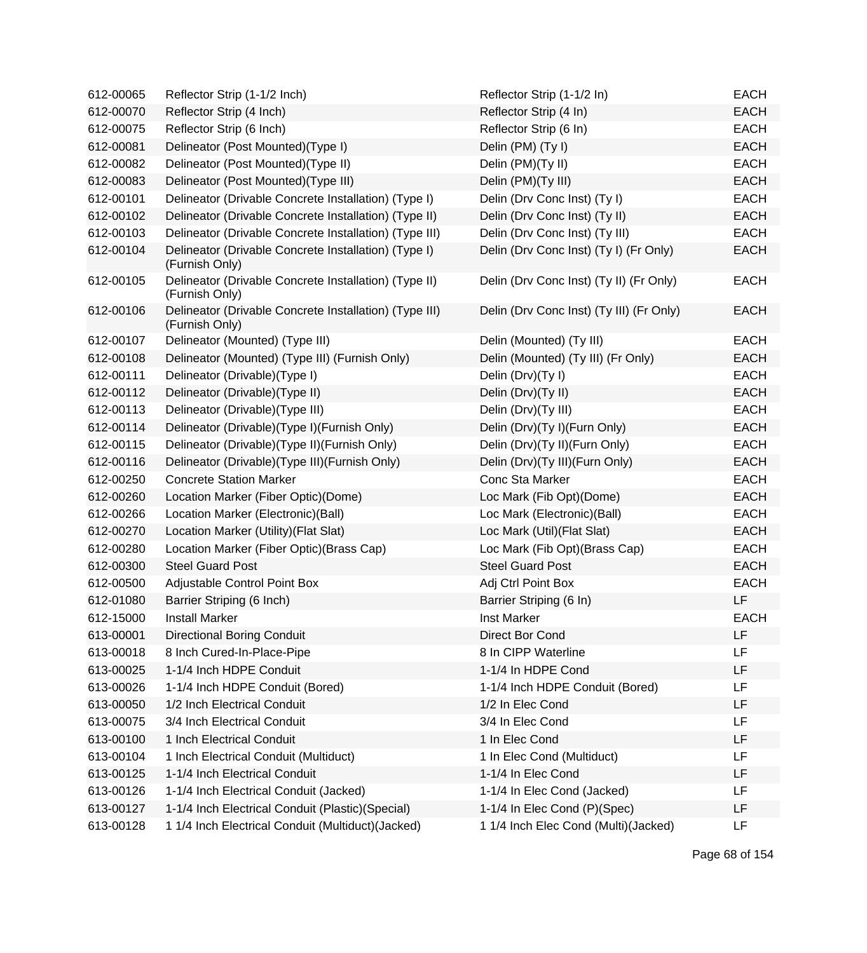| 612-00065 | Reflector Strip (1-1/2 Inch)                                             | Reflector Strip (1-1/2 In)               | <b>EACH</b> |
|-----------|--------------------------------------------------------------------------|------------------------------------------|-------------|
| 612-00070 | Reflector Strip (4 Inch)                                                 | Reflector Strip (4 In)                   | <b>EACH</b> |
| 612-00075 | Reflector Strip (6 Inch)                                                 | Reflector Strip (6 In)                   | <b>EACH</b> |
| 612-00081 | Delineator (Post Mounted)(Type I)                                        | Delin (PM) (Ty I)                        | <b>EACH</b> |
| 612-00082 | Delineator (Post Mounted)(Type II)                                       | Delin (PM)(Ty II)                        | <b>EACH</b> |
| 612-00083 | Delineator (Post Mounted)(Type III)                                      | Delin (PM)(Ty III)                       | <b>EACH</b> |
| 612-00101 | Delineator (Drivable Concrete Installation) (Type I)                     | Delin (Drv Conc Inst) (Ty I)             | <b>EACH</b> |
| 612-00102 | Delineator (Drivable Concrete Installation) (Type II)                    | Delin (Drv Conc Inst) (Ty II)            | <b>EACH</b> |
| 612-00103 | Delineator (Drivable Concrete Installation) (Type III)                   | Delin (Drv Conc Inst) (Ty III)           | <b>EACH</b> |
| 612-00104 | Delineator (Drivable Concrete Installation) (Type I)<br>(Furnish Only)   | Delin (Drv Conc Inst) (Ty I) (Fr Only)   | <b>EACH</b> |
| 612-00105 | Delineator (Drivable Concrete Installation) (Type II)<br>(Furnish Only)  | Delin (Drv Conc Inst) (Ty II) (Fr Only)  | <b>EACH</b> |
| 612-00106 | Delineator (Drivable Concrete Installation) (Type III)<br>(Furnish Only) | Delin (Drv Conc Inst) (Ty III) (Fr Only) | <b>EACH</b> |
| 612-00107 | Delineator (Mounted) (Type III)                                          | Delin (Mounted) (Ty III)                 | <b>EACH</b> |
| 612-00108 | Delineator (Mounted) (Type III) (Furnish Only)                           | Delin (Mounted) (Ty III) (Fr Only)       | <b>EACH</b> |
| 612-00111 | Delineator (Drivable) (Type I)                                           | Delin (Drv)(Ty I)                        | <b>EACH</b> |
| 612-00112 | Delineator (Drivable)(Type II)                                           | Delin (Drv)(Ty II)                       | <b>EACH</b> |
| 612-00113 | Delineator (Drivable) (Type III)                                         | Delin (Drv)(Ty III)                      | <b>EACH</b> |
| 612-00114 | Delineator (Drivable)(Type I)(Furnish Only)                              | Delin (Drv)(Ty I)(Furn Only)             | <b>EACH</b> |
| 612-00115 | Delineator (Drivable) (Type II) (Furnish Only)                           | Delin (Drv)(Ty II)(Furn Only)            | <b>EACH</b> |
| 612-00116 | Delineator (Drivable) (Type III) (Furnish Only)                          | Delin (Drv)(Ty III)(Furn Only)           | <b>EACH</b> |
| 612-00250 | <b>Concrete Station Marker</b>                                           | Conc Sta Marker                          | <b>EACH</b> |
| 612-00260 | Location Marker (Fiber Optic)(Dome)                                      | Loc Mark (Fib Opt)(Dome)                 | <b>EACH</b> |
| 612-00266 | Location Marker (Electronic)(Ball)                                       | Loc Mark (Electronic)(Ball)              | <b>EACH</b> |
| 612-00270 | Location Marker (Utility) (Flat Slat)                                    | Loc Mark (Util) (Flat Slat)              | <b>EACH</b> |
| 612-00280 | Location Marker (Fiber Optic)(Brass Cap)                                 | Loc Mark (Fib Opt)(Brass Cap)            | <b>EACH</b> |
| 612-00300 | <b>Steel Guard Post</b>                                                  | <b>Steel Guard Post</b>                  | <b>EACH</b> |
| 612-00500 | Adjustable Control Point Box                                             | Adj Ctrl Point Box                       | <b>EACH</b> |
| 612-01080 | Barrier Striping (6 Inch)                                                | Barrier Striping (6 In)                  | <b>LF</b>   |
| 612-15000 | <b>Install Marker</b>                                                    | <b>Inst Marker</b>                       | <b>EACH</b> |
| 613-00001 | <b>Directional Boring Conduit</b>                                        | Direct Bor Cond                          | LF          |
| 613-00018 | 8 Inch Cured-In-Place-Pipe                                               | 8 In CIPP Waterline                      | LF          |
| 613-00025 | 1-1/4 Inch HDPE Conduit                                                  | 1-1/4 In HDPE Cond                       | LF          |
| 613-00026 | 1-1/4 Inch HDPE Conduit (Bored)                                          | 1-1/4 Inch HDPE Conduit (Bored)          | LF          |
| 613-00050 | 1/2 Inch Electrical Conduit                                              | 1/2 In Elec Cond                         | LF          |
| 613-00075 | 3/4 Inch Electrical Conduit                                              | 3/4 In Elec Cond                         | LF          |
| 613-00100 | 1 Inch Electrical Conduit                                                | 1 In Elec Cond                           | LF          |
| 613-00104 | 1 Inch Electrical Conduit (Multiduct)                                    | 1 In Elec Cond (Multiduct)               | LF          |
| 613-00125 | 1-1/4 Inch Electrical Conduit                                            | 1-1/4 In Elec Cond                       | LF          |
| 613-00126 | 1-1/4 Inch Electrical Conduit (Jacked)                                   | 1-1/4 In Elec Cond (Jacked)              | LF          |
| 613-00127 | 1-1/4 Inch Electrical Conduit (Plastic) (Special)                        | 1-1/4 In Elec Cond (P)(Spec)             | LF          |
| 613-00128 | 1 1/4 Inch Electrical Conduit (Multiduct)(Jacked)                        | 1 1/4 Inch Elec Cond (Multi)(Jacked)     | LF          |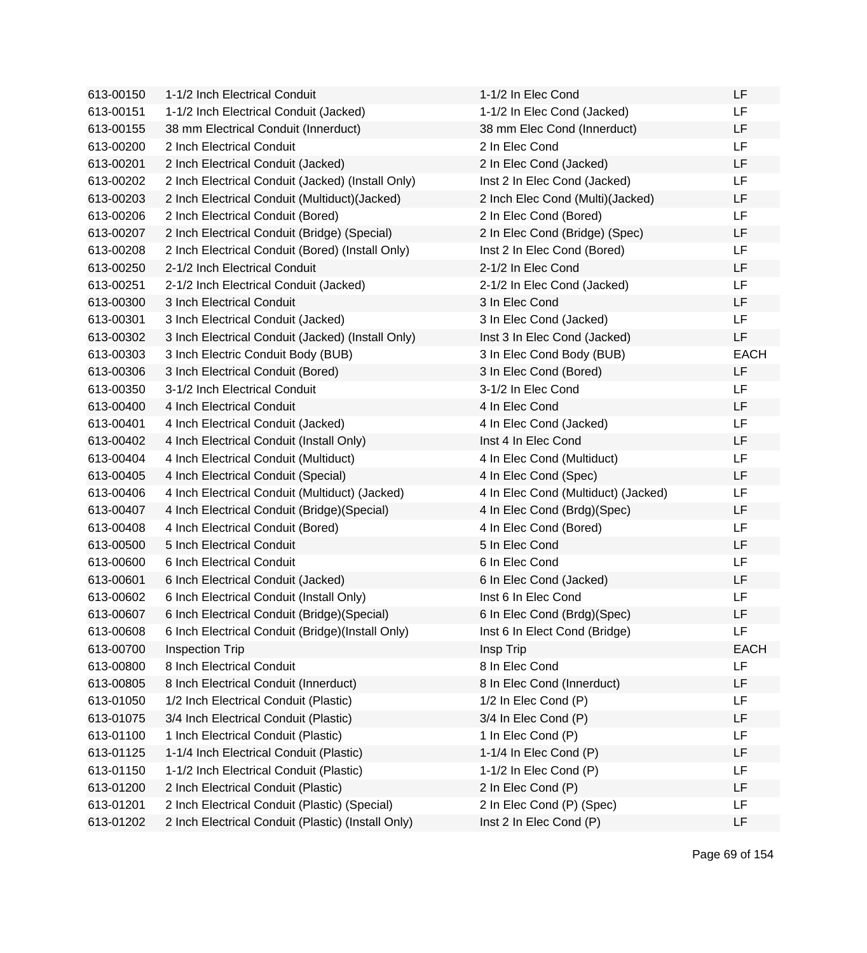| 613-00150 | 1-1/2 Inch Electrical Conduit                      | 1-1/2 In Elec Cond                  | LF          |
|-----------|----------------------------------------------------|-------------------------------------|-------------|
| 613-00151 | 1-1/2 Inch Electrical Conduit (Jacked)             | 1-1/2 In Elec Cond (Jacked)         | LF          |
| 613-00155 | 38 mm Electrical Conduit (Innerduct)               | 38 mm Elec Cond (Innerduct)         | LF          |
| 613-00200 | 2 Inch Electrical Conduit                          | 2 In Elec Cond                      | LF          |
| 613-00201 | 2 Inch Electrical Conduit (Jacked)                 | 2 In Elec Cond (Jacked)             | LF          |
| 613-00202 | 2 Inch Electrical Conduit (Jacked) (Install Only)  | Inst 2 In Elec Cond (Jacked)        | LF          |
| 613-00203 | 2 Inch Electrical Conduit (Multiduct) (Jacked)     | 2 Inch Elec Cond (Multi)(Jacked)    | LF          |
| 613-00206 | 2 Inch Electrical Conduit (Bored)                  | 2 In Elec Cond (Bored)              | LF          |
| 613-00207 | 2 Inch Electrical Conduit (Bridge) (Special)       | 2 In Elec Cond (Bridge) (Spec)      | LF          |
| 613-00208 | 2 Inch Electrical Conduit (Bored) (Install Only)   | Inst 2 In Elec Cond (Bored)         | LF          |
| 613-00250 | 2-1/2 Inch Electrical Conduit                      | 2-1/2 In Elec Cond                  | LF          |
| 613-00251 | 2-1/2 Inch Electrical Conduit (Jacked)             | 2-1/2 In Elec Cond (Jacked)         | LF          |
| 613-00300 | 3 Inch Electrical Conduit                          | 3 In Elec Cond                      | LF          |
| 613-00301 | 3 Inch Electrical Conduit (Jacked)                 | 3 In Elec Cond (Jacked)             | <b>LF</b>   |
| 613-00302 | 3 Inch Electrical Conduit (Jacked) (Install Only)  | Inst 3 In Elec Cond (Jacked)        | LF          |
| 613-00303 | 3 Inch Electric Conduit Body (BUB)                 | 3 In Elec Cond Body (BUB)           | <b>EACH</b> |
| 613-00306 | 3 Inch Electrical Conduit (Bored)                  | 3 In Elec Cond (Bored)              | LF          |
| 613-00350 | 3-1/2 Inch Electrical Conduit                      | 3-1/2 In Elec Cond                  | LF          |
| 613-00400 | 4 Inch Electrical Conduit                          | 4 In Elec Cond                      | LF          |
| 613-00401 | 4 Inch Electrical Conduit (Jacked)                 | 4 In Elec Cond (Jacked)             | LF          |
| 613-00402 | 4 Inch Electrical Conduit (Install Only)           | Inst 4 In Elec Cond                 | LF          |
| 613-00404 | 4 Inch Electrical Conduit (Multiduct)              | 4 In Elec Cond (Multiduct)          | LF          |
| 613-00405 | 4 Inch Electrical Conduit (Special)                | 4 In Elec Cond (Spec)               | LF          |
| 613-00406 | 4 Inch Electrical Conduit (Multiduct) (Jacked)     | 4 In Elec Cond (Multiduct) (Jacked) | LF          |
| 613-00407 | 4 Inch Electrical Conduit (Bridge) (Special)       | 4 In Elec Cond (Brdg)(Spec)         | LF          |
| 613-00408 | 4 Inch Electrical Conduit (Bored)                  | 4 In Elec Cond (Bored)              | LF          |
| 613-00500 | 5 Inch Electrical Conduit                          | 5 In Elec Cond                      | LF          |
| 613-00600 | 6 Inch Electrical Conduit                          | 6 In Elec Cond                      | LF          |
| 613-00601 | 6 Inch Electrical Conduit (Jacked)                 | 6 In Elec Cond (Jacked)             | LF          |
| 613-00602 | 6 Inch Electrical Conduit (Install Only)           | Inst 6 In Elec Cond                 | LF          |
| 613-00607 | 6 Inch Electrical Conduit (Bridge) (Special)       | 6 In Elec Cond (Brdg)(Spec)         | LF          |
| 613-00608 | 6 Inch Electrical Conduit (Bridge)(Install Only)   | Inst 6 In Elect Cond (Bridge)       | LF          |
| 613-00700 | <b>Inspection Trip</b>                             | Insp Trip                           | <b>EACH</b> |
| 613-00800 | 8 Inch Electrical Conduit                          | 8 In Elec Cond                      | LF          |
| 613-00805 | 8 Inch Electrical Conduit (Innerduct)              | 8 In Elec Cond (Innerduct)          | LF          |
| 613-01050 | 1/2 Inch Electrical Conduit (Plastic)              | 1/2 In Elec Cond (P)                | LF          |
| 613-01075 | 3/4 Inch Electrical Conduit (Plastic)              | 3/4 In Elec Cond (P)                | LF          |
| 613-01100 | 1 Inch Electrical Conduit (Plastic)                | 1 In Elec Cond (P)                  | LF          |
| 613-01125 | 1-1/4 Inch Electrical Conduit (Plastic)            | 1-1/4 In Elec Cond (P)              | LF          |
| 613-01150 | 1-1/2 Inch Electrical Conduit (Plastic)            | 1-1/2 In Elec Cond (P)              | LF          |
| 613-01200 | 2 Inch Electrical Conduit (Plastic)                | 2 In Elec Cond (P)                  | LF          |
| 613-01201 | 2 Inch Electrical Conduit (Plastic) (Special)      | 2 In Elec Cond (P) (Spec)           | LF          |
| 613-01202 | 2 Inch Electrical Conduit (Plastic) (Install Only) | Inst 2 In Elec Cond (P)             | LF          |
|           |                                                    |                                     |             |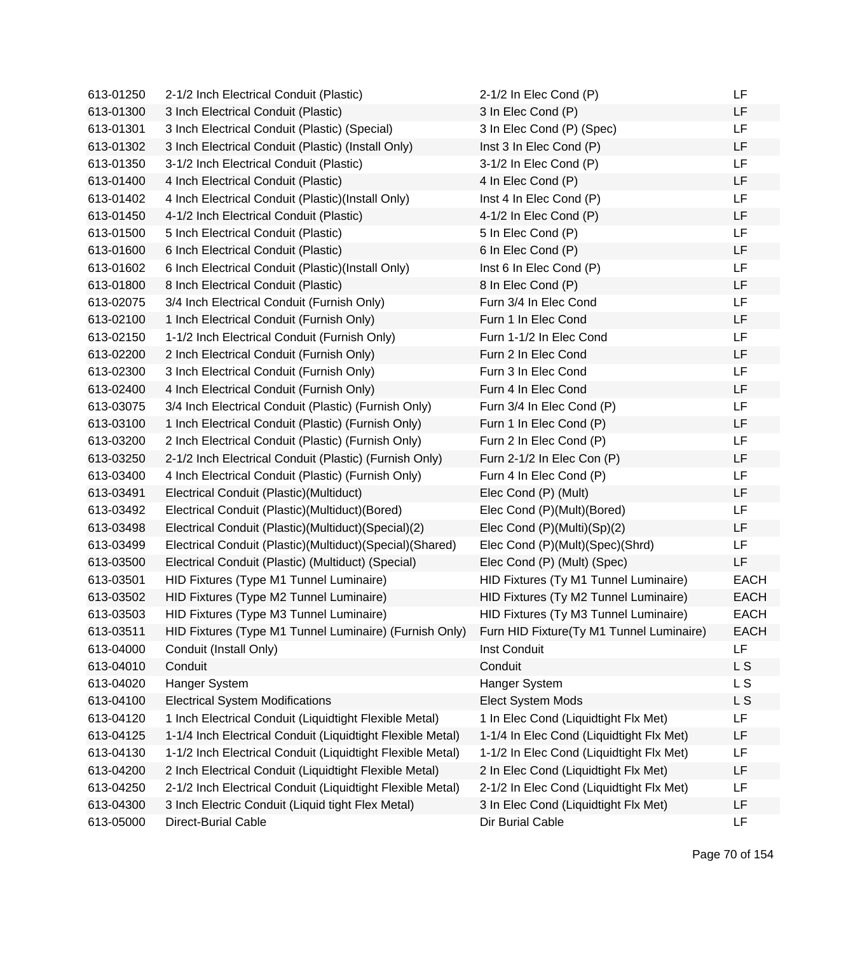| 613-01250 | 2-1/2 Inch Electrical Conduit (Plastic)                    | $2-1/2$ In Elec Cond (P)                 | LF          |
|-----------|------------------------------------------------------------|------------------------------------------|-------------|
| 613-01300 | 3 Inch Electrical Conduit (Plastic)                        | 3 In Elec Cond (P)                       | LF          |
| 613-01301 | 3 Inch Electrical Conduit (Plastic) (Special)              | 3 In Elec Cond (P) (Spec)                | LF          |
| 613-01302 | 3 Inch Electrical Conduit (Plastic) (Install Only)         | Inst 3 In Elec Cond (P)                  | LF          |
| 613-01350 | 3-1/2 Inch Electrical Conduit (Plastic)                    | 3-1/2 In Elec Cond (P)                   | LF          |
| 613-01400 | 4 Inch Electrical Conduit (Plastic)                        | 4 In Elec Cond (P)                       | LF          |
| 613-01402 | 4 Inch Electrical Conduit (Plastic)(Install Only)          | Inst 4 In Elec Cond (P)                  | LF          |
| 613-01450 | 4-1/2 Inch Electrical Conduit (Plastic)                    | 4-1/2 In Elec Cond (P)                   | LF          |
| 613-01500 | 5 Inch Electrical Conduit (Plastic)                        | 5 In Elec Cond (P)                       | <b>LF</b>   |
| 613-01600 | 6 Inch Electrical Conduit (Plastic)                        | 6 In Elec Cond (P)                       | LF          |
| 613-01602 | 6 Inch Electrical Conduit (Plastic)(Install Only)          | Inst 6 In Elec Cond (P)                  | LF          |
| 613-01800 | 8 Inch Electrical Conduit (Plastic)                        | 8 In Elec Cond (P)                       | LF          |
| 613-02075 | 3/4 Inch Electrical Conduit (Furnish Only)                 | Furn 3/4 In Elec Cond                    | LF          |
| 613-02100 | 1 Inch Electrical Conduit (Furnish Only)                   | Furn 1 In Elec Cond                      | LF          |
| 613-02150 | 1-1/2 Inch Electrical Conduit (Furnish Only)               | Furn 1-1/2 In Elec Cond                  | LF          |
| 613-02200 | 2 Inch Electrical Conduit (Furnish Only)                   | Furn 2 In Elec Cond                      | LF          |
| 613-02300 | 3 Inch Electrical Conduit (Furnish Only)                   | Furn 3 In Elec Cond                      | LF          |
| 613-02400 | 4 Inch Electrical Conduit (Furnish Only)                   | Furn 4 In Elec Cond                      | LF          |
| 613-03075 | 3/4 Inch Electrical Conduit (Plastic) (Furnish Only)       | Furn 3/4 In Elec Cond (P)                | LF          |
| 613-03100 | 1 Inch Electrical Conduit (Plastic) (Furnish Only)         | Furn 1 In Elec Cond (P)                  | LF          |
| 613-03200 | 2 Inch Electrical Conduit (Plastic) (Furnish Only)         | Furn 2 In Elec Cond (P)                  | LF          |
| 613-03250 | 2-1/2 Inch Electrical Conduit (Plastic) (Furnish Only)     | Furn 2-1/2 In Elec Con (P)               | LF          |
| 613-03400 | 4 Inch Electrical Conduit (Plastic) (Furnish Only)         | Furn 4 In Elec Cond (P)                  | LF          |
| 613-03491 | Electrical Conduit (Plastic) (Multiduct)                   | Elec Cond (P) (Mult)                     | LF          |
| 613-03492 | Electrical Conduit (Plastic)(Multiduct)(Bored)             | Elec Cond (P)(Mult)(Bored)               | LF          |
| 613-03498 | Electrical Conduit (Plastic)(Multiduct)(Special)(2)        | Elec Cond (P)(Multi)(Sp)(2)              | LF          |
| 613-03499 | Electrical Conduit (Plastic)(Multiduct)(Special)(Shared)   | Elec Cond (P)(Mult)(Spec)(Shrd)          | LF          |
| 613-03500 | Electrical Conduit (Plastic) (Multiduct) (Special)         | Elec Cond (P) (Mult) (Spec)              | LF          |
| 613-03501 | HID Fixtures (Type M1 Tunnel Luminaire)                    | HID Fixtures (Ty M1 Tunnel Luminaire)    | <b>EACH</b> |
| 613-03502 | HID Fixtures (Type M2 Tunnel Luminaire)                    | HID Fixtures (Ty M2 Tunnel Luminaire)    | <b>EACH</b> |
| 613-03503 | HID Fixtures (Type M3 Tunnel Luminaire)                    | HID Fixtures (Ty M3 Tunnel Luminaire)    | <b>EACH</b> |
| 613-03511 | HID Fixtures (Type M1 Tunnel Luminaire) (Furnish Only)     | Furn HID Fixture(Ty M1 Tunnel Luminaire) | <b>EACH</b> |
| 613-04000 | Conduit (Install Only)                                     | Inst Conduit                             | <b>LF</b>   |
| 613-04010 | Conduit                                                    | Conduit                                  | L S         |
| 613-04020 | Hanger System                                              | Hanger System                            | L S         |
| 613-04100 | <b>Electrical System Modifications</b>                     | Elect System Mods                        | L S         |
| 613-04120 | 1 Inch Electrical Conduit (Liquidtight Flexible Metal)     | 1 In Elec Cond (Liquidtight Flx Met)     | LF          |
| 613-04125 | 1-1/4 Inch Electrical Conduit (Liquidtight Flexible Metal) | 1-1/4 In Elec Cond (Liquidtight Flx Met) | LF          |
| 613-04130 | 1-1/2 Inch Electrical Conduit (Liquidtight Flexible Metal) | 1-1/2 In Elec Cond (Liquidtight Flx Met) | LF          |
| 613-04200 | 2 Inch Electrical Conduit (Liquidtight Flexible Metal)     | 2 In Elec Cond (Liquidtight Flx Met)     | LF          |
| 613-04250 | 2-1/2 Inch Electrical Conduit (Liquidtight Flexible Metal) | 2-1/2 In Elec Cond (Liquidtight Flx Met) | LF          |
| 613-04300 | 3 Inch Electric Conduit (Liquid tight Flex Metal)          | 3 In Elec Cond (Liquidtight Flx Met)     | LF          |
| 613-05000 | Direct-Burial Cable                                        | Dir Burial Cable                         | LF          |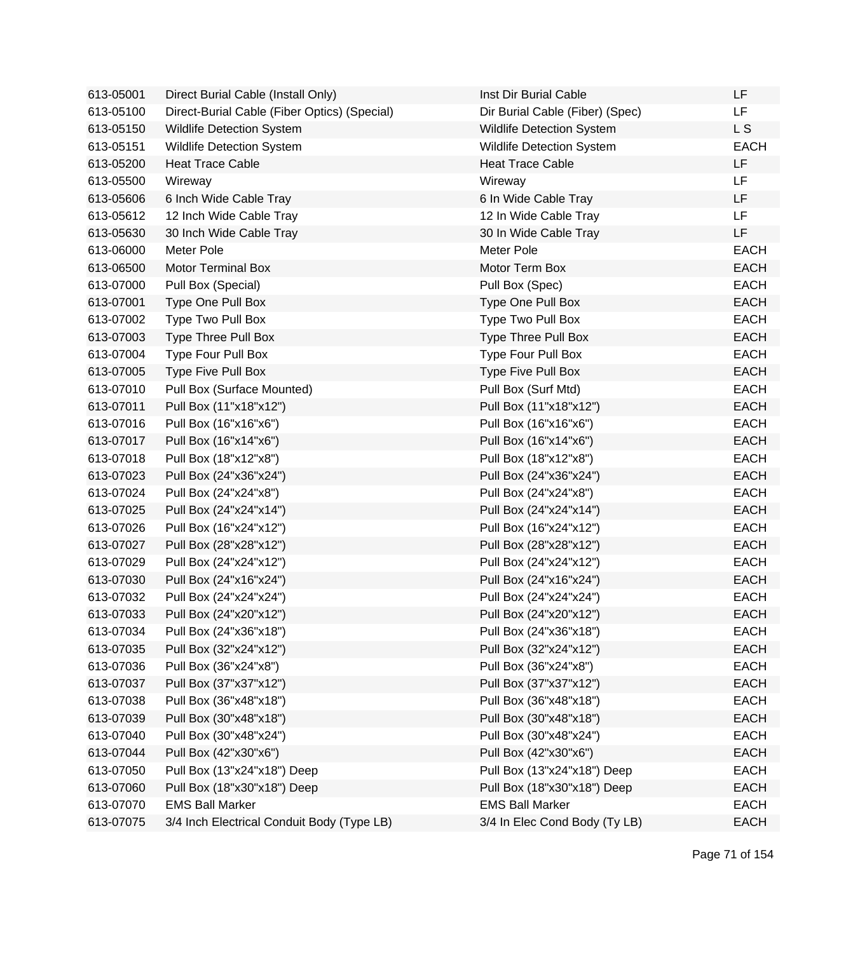| 613-05001 | Direct Burial Cable (Install Only)           | Inst Dir Burial Cable            | LF             |
|-----------|----------------------------------------------|----------------------------------|----------------|
| 613-05100 | Direct-Burial Cable (Fiber Optics) (Special) | Dir Burial Cable (Fiber) (Spec)  | LF.            |
| 613-05150 | <b>Wildlife Detection System</b>             | Wildlife Detection System        | L <sub>S</sub> |
| 613-05151 | <b>Wildlife Detection System</b>             | <b>Wildlife Detection System</b> | <b>EACH</b>    |
| 613-05200 | <b>Heat Trace Cable</b>                      | <b>Heat Trace Cable</b>          | LF             |
| 613-05500 | Wireway                                      | Wireway                          | <b>LF</b>      |
| 613-05606 | 6 Inch Wide Cable Tray                       | 6 In Wide Cable Tray             | LF             |
| 613-05612 | 12 Inch Wide Cable Tray                      | 12 In Wide Cable Tray            | <b>LF</b>      |
| 613-05630 | 30 Inch Wide Cable Tray                      | 30 In Wide Cable Tray            | LF             |
| 613-06000 | Meter Pole                                   | Meter Pole                       | <b>EACH</b>    |
| 613-06500 | <b>Motor Terminal Box</b>                    | Motor Term Box                   | <b>EACH</b>    |
| 613-07000 | Pull Box (Special)                           | Pull Box (Spec)                  | <b>EACH</b>    |
| 613-07001 | Type One Pull Box                            | Type One Pull Box                | <b>EACH</b>    |
| 613-07002 | Type Two Pull Box                            | Type Two Pull Box                | <b>EACH</b>    |
| 613-07003 | Type Three Pull Box                          | Type Three Pull Box              | <b>EACH</b>    |
| 613-07004 | Type Four Pull Box                           | Type Four Pull Box               | <b>EACH</b>    |
| 613-07005 | Type Five Pull Box                           | Type Five Pull Box               | <b>EACH</b>    |
| 613-07010 | Pull Box (Surface Mounted)                   | Pull Box (Surf Mtd)              | <b>EACH</b>    |
| 613-07011 | Pull Box (11"x18"x12")                       | Pull Box (11"x18"x12")           | <b>EACH</b>    |
| 613-07016 | Pull Box (16"x16"x6")                        | Pull Box (16"x16"x6")            | <b>EACH</b>    |
| 613-07017 | Pull Box (16"x14"x6")                        | Pull Box (16"x14"x6")            | <b>EACH</b>    |
| 613-07018 | Pull Box (18"x12"x8")                        | Pull Box (18"x12"x8")            | <b>EACH</b>    |
| 613-07023 | Pull Box (24"x36"x24")                       | Pull Box (24"x36"x24")           | <b>EACH</b>    |
| 613-07024 | Pull Box (24"x24"x8")                        | Pull Box (24"x24"x8")            | <b>EACH</b>    |
| 613-07025 | Pull Box (24"x24"x14")                       | Pull Box (24"x24"x14")           | <b>EACH</b>    |
| 613-07026 | Pull Box (16"x24"x12")                       | Pull Box (16"x24"x12")           | <b>EACH</b>    |
| 613-07027 | Pull Box (28"x28"x12")                       | Pull Box (28"x28"x12")           | <b>EACH</b>    |
| 613-07029 | Pull Box (24"x24"x12")                       | Pull Box (24"x24"x12")           | <b>EACH</b>    |
| 613-07030 | Pull Box (24"x16"x24")                       | Pull Box (24"x16"x24")           | <b>EACH</b>    |
| 613-07032 | Pull Box (24"x24"x24")                       | Pull Box (24"x24"x24")           | <b>EACH</b>    |
| 613-07033 | Pull Box (24"x20"x12")                       | Pull Box (24"x20"x12")           | <b>EACH</b>    |
| 613-07034 | Pull Box (24"x36"x18")                       | Pull Box (24"x36"x18")           | <b>EACH</b>    |
| 613-07035 | Pull Box (32"x24"x12")                       | Pull Box (32"x24"x12")           | <b>EACH</b>    |
| 613-07036 | Pull Box (36"x24"x8")                        | Pull Box (36"x24"x8")            | <b>EACH</b>    |
| 613-07037 | Pull Box (37"x37"x12")                       | Pull Box (37"x37"x12")           | <b>EACH</b>    |
| 613-07038 | Pull Box (36"x48"x18")                       | Pull Box (36"x48"x18")           | <b>EACH</b>    |
| 613-07039 | Pull Box (30"x48"x18")                       | Pull Box (30"x48"x18")           | <b>EACH</b>    |
| 613-07040 | Pull Box (30"x48"x24")                       | Pull Box (30"x48"x24")           | <b>EACH</b>    |
| 613-07044 | Pull Box (42"x30"x6")                        | Pull Box (42"x30"x6")            | <b>EACH</b>    |
| 613-07050 | Pull Box (13"x24"x18") Deep                  | Pull Box (13"x24"x18") Deep      | <b>EACH</b>    |
| 613-07060 | Pull Box (18"x30"x18") Deep                  | Pull Box (18"x30"x18") Deep      | <b>EACH</b>    |
| 613-07070 | <b>EMS Ball Marker</b>                       | <b>EMS Ball Marker</b>           | <b>EACH</b>    |
| 613-07075 | 3/4 Inch Electrical Conduit Body (Type LB)   | 3/4 In Elec Cond Body (Ty LB)    | <b>EACH</b>    |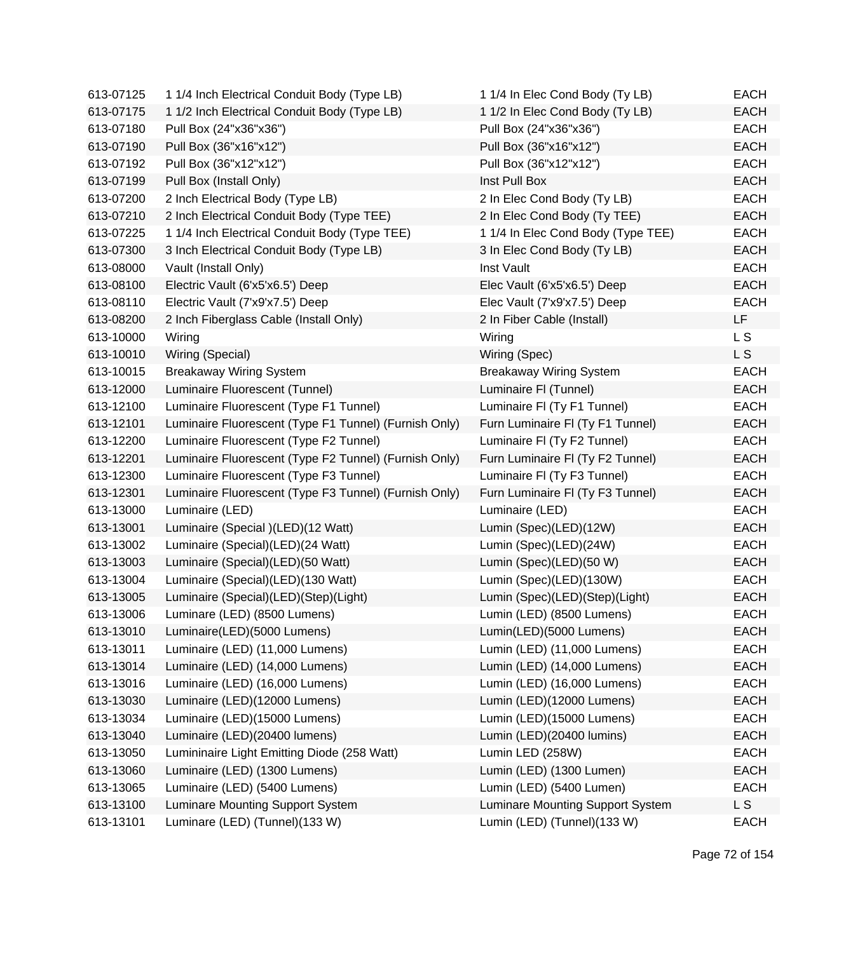| 613-07125 | 1 1/4 Inch Electrical Conduit Body (Type LB)          | 1 1/4 In Elec Cond Body (Ty LB)    | <b>EACH</b> |
|-----------|-------------------------------------------------------|------------------------------------|-------------|
| 613-07175 | 1 1/2 Inch Electrical Conduit Body (Type LB)          | 1 1/2 In Elec Cond Body (Ty LB)    | <b>EACH</b> |
| 613-07180 | Pull Box (24"x36"x36")                                | Pull Box (24"x36"x36")             | <b>EACH</b> |
| 613-07190 | Pull Box (36"x16"x12")                                | Pull Box (36"x16"x12")             | <b>EACH</b> |
| 613-07192 | Pull Box (36"x12"x12")                                | Pull Box (36"x12"x12")             | <b>EACH</b> |
| 613-07199 | Pull Box (Install Only)                               | Inst Pull Box                      | <b>EACH</b> |
| 613-07200 | 2 Inch Electrical Body (Type LB)                      | 2 In Elec Cond Body (Ty LB)        | <b>EACH</b> |
| 613-07210 | 2 Inch Electrical Conduit Body (Type TEE)             | 2 In Elec Cond Body (Ty TEE)       | <b>EACH</b> |
| 613-07225 | 1 1/4 Inch Electrical Conduit Body (Type TEE)         | 1 1/4 In Elec Cond Body (Type TEE) | <b>EACH</b> |
| 613-07300 | 3 Inch Electrical Conduit Body (Type LB)              | 3 In Elec Cond Body (Ty LB)        | <b>EACH</b> |
| 613-08000 | Vault (Install Only)                                  | Inst Vault                         | <b>EACH</b> |
| 613-08100 | Electric Vault (6'x5'x6.5') Deep                      | Elec Vault (6'x5'x6.5') Deep       | <b>EACH</b> |
| 613-08110 | Electric Vault (7'x9'x7.5') Deep                      | Elec Vault (7'x9'x7.5') Deep       | <b>EACH</b> |
| 613-08200 | 2 Inch Fiberglass Cable (Install Only)                | 2 In Fiber Cable (Install)         | LF          |
| 613-10000 | Wiring                                                | Wiring                             | L S         |
| 613-10010 | Wiring (Special)                                      | Wiring (Spec)                      | L S         |
| 613-10015 | <b>Breakaway Wiring System</b>                        | <b>Breakaway Wiring System</b>     | <b>EACH</b> |
| 613-12000 | Luminaire Fluorescent (Tunnel)                        | Luminaire FI (Tunnel)              | <b>EACH</b> |
| 613-12100 | Luminaire Fluorescent (Type F1 Tunnel)                | Luminaire FI (Ty F1 Tunnel)        | <b>EACH</b> |
| 613-12101 | Luminaire Fluorescent (Type F1 Tunnel) (Furnish Only) | Furn Luminaire FI (Ty F1 Tunnel)   | <b>EACH</b> |
| 613-12200 | Luminaire Fluorescent (Type F2 Tunnel)                | Luminaire FI (Ty F2 Tunnel)        | <b>EACH</b> |
| 613-12201 | Luminaire Fluorescent (Type F2 Tunnel) (Furnish Only) | Furn Luminaire FI (Ty F2 Tunnel)   | <b>EACH</b> |
| 613-12300 | Luminaire Fluorescent (Type F3 Tunnel)                | Luminaire FI (Ty F3 Tunnel)        | <b>EACH</b> |
| 613-12301 | Luminaire Fluorescent (Type F3 Tunnel) (Furnish Only) | Furn Luminaire FI (Ty F3 Tunnel)   | <b>EACH</b> |
| 613-13000 | Luminaire (LED)                                       | Luminaire (LED)                    | <b>EACH</b> |
| 613-13001 | Luminaire (Special )(LED)(12 Watt)                    | Lumin (Spec)(LED)(12W)             | <b>EACH</b> |
| 613-13002 | Luminaire (Special)(LED)(24 Watt)                     | Lumin (Spec)(LED)(24W)             | <b>EACH</b> |
| 613-13003 | Luminaire (Special)(LED)(50 Watt)                     | Lumin (Spec)(LED)(50 W)            | <b>EACH</b> |
| 613-13004 | Luminaire (Special)(LED)(130 Watt)                    | Lumin (Spec)(LED)(130W)            | EACH        |
| 613-13005 | Luminaire (Special)(LED)(Step)(Light)                 | Lumin (Spec)(LED)(Step)(Light)     | <b>EACH</b> |
| 613-13006 | Luminare (LED) (8500 Lumens)                          | Lumin (LED) (8500 Lumens)          | <b>EACH</b> |
| 613-13010 | Luminaire(LED)(5000 Lumens)                           | Lumin(LED)(5000 Lumens)            | EACH        |
| 613-13011 | Luminaire (LED) (11,000 Lumens)                       | Lumin (LED) (11,000 Lumens)        | <b>EACH</b> |
| 613-13014 | Luminaire (LED) (14,000 Lumens)                       | Lumin (LED) (14,000 Lumens)        | <b>EACH</b> |
| 613-13016 | Luminaire (LED) (16,000 Lumens)                       | Lumin (LED) (16,000 Lumens)        | <b>EACH</b> |
| 613-13030 | Luminaire (LED)(12000 Lumens)                         | Lumin (LED)(12000 Lumens)          | <b>EACH</b> |
| 613-13034 | Luminaire (LED)(15000 Lumens)                         | Lumin (LED)(15000 Lumens)          | <b>EACH</b> |
| 613-13040 | Luminaire (LED)(20400 lumens)                         | Lumin (LED)(20400 lumins)          | <b>EACH</b> |
| 613-13050 | Lumininaire Light Emitting Diode (258 Watt)           | Lumin LED (258W)                   | <b>EACH</b> |
| 613-13060 | Luminaire (LED) (1300 Lumens)                         | Lumin (LED) (1300 Lumen)           | <b>EACH</b> |
| 613-13065 | Luminaire (LED) (5400 Lumens)                         | Lumin (LED) (5400 Lumen)           | <b>EACH</b> |
| 613-13100 | Luminare Mounting Support System                      | Luminare Mounting Support System   | L S         |
| 613-13101 | Luminare (LED) (Tunnel)(133 W)                        | Lumin (LED) (Tunnel)(133 W)        | EACH        |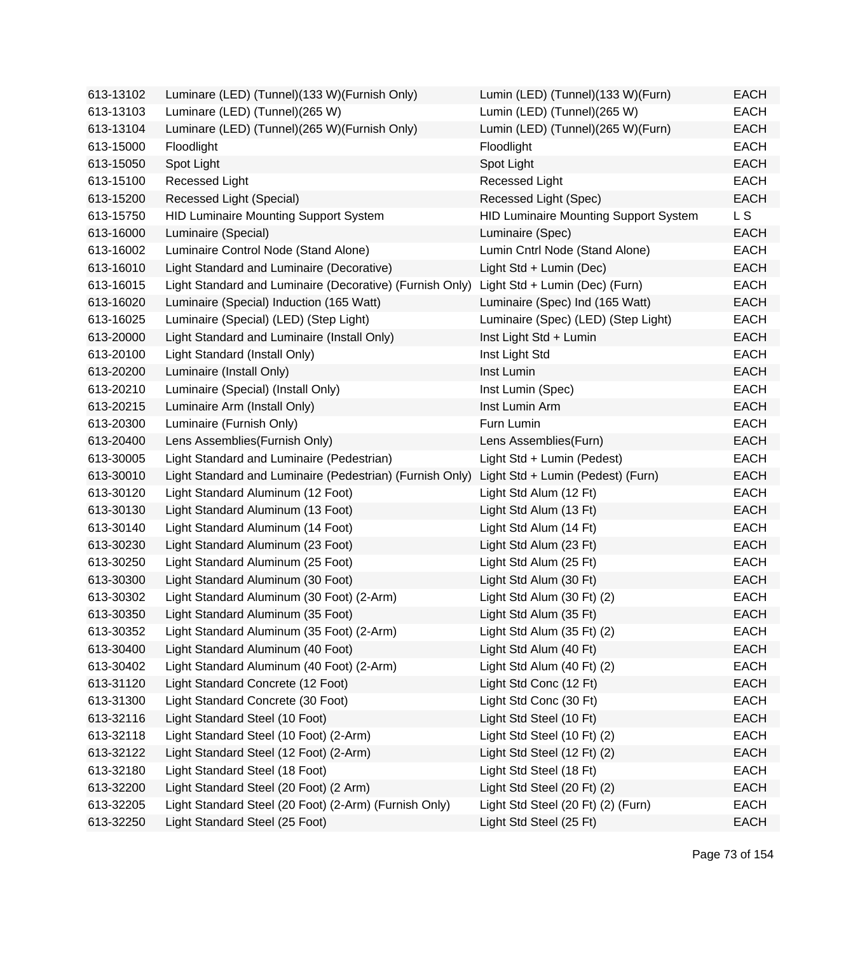| 613-13102 | Luminare (LED) (Tunnel) (133 W) (Furnish Only)           | Lumin (LED) (Tunnel)(133 W)(Furn)            | <b>EACH</b> |
|-----------|----------------------------------------------------------|----------------------------------------------|-------------|
| 613-13103 | Luminare (LED) (Tunnel)(265 W)                           | Lumin (LED) (Tunnel)(265 W)                  | <b>EACH</b> |
| 613-13104 | Luminare (LED) (Tunnel)(265 W)(Furnish Only)             | Lumin (LED) (Tunnel)(265 W)(Furn)            | <b>EACH</b> |
| 613-15000 | Floodlight                                               | Floodlight                                   | <b>EACH</b> |
| 613-15050 | Spot Light                                               | Spot Light                                   | <b>EACH</b> |
| 613-15100 | Recessed Light                                           | Recessed Light                               | <b>EACH</b> |
| 613-15200 | Recessed Light (Special)                                 | Recessed Light (Spec)                        | <b>EACH</b> |
| 613-15750 | <b>HID Luminaire Mounting Support System</b>             | <b>HID Luminaire Mounting Support System</b> | L S         |
| 613-16000 | Luminaire (Special)                                      | Luminaire (Spec)                             | <b>EACH</b> |
| 613-16002 | Luminaire Control Node (Stand Alone)                     | Lumin Cntrl Node (Stand Alone)               | <b>EACH</b> |
| 613-16010 | Light Standard and Luminaire (Decorative)                | Light Std + Lumin (Dec)                      | <b>EACH</b> |
| 613-16015 | Light Standard and Luminaire (Decorative) (Furnish Only) | Light Std + Lumin (Dec) (Furn)               | <b>EACH</b> |
| 613-16020 | Luminaire (Special) Induction (165 Watt)                 | Luminaire (Spec) Ind (165 Watt)              | <b>EACH</b> |
| 613-16025 | Luminaire (Special) (LED) (Step Light)                   | Luminaire (Spec) (LED) (Step Light)          | <b>EACH</b> |
| 613-20000 | Light Standard and Luminaire (Install Only)              | Inst Light Std + Lumin                       | <b>EACH</b> |
| 613-20100 | Light Standard (Install Only)                            | Inst Light Std                               | <b>EACH</b> |
| 613-20200 | Luminaire (Install Only)                                 | Inst Lumin                                   | <b>EACH</b> |
| 613-20210 | Luminaire (Special) (Install Only)                       | Inst Lumin (Spec)                            | <b>EACH</b> |
| 613-20215 | Luminaire Arm (Install Only)                             | Inst Lumin Arm                               | <b>EACH</b> |
| 613-20300 | Luminaire (Furnish Only)                                 | Furn Lumin                                   | <b>EACH</b> |
| 613-20400 | Lens Assemblies (Furnish Only)                           | Lens Assemblies(Furn)                        | <b>EACH</b> |
| 613-30005 | Light Standard and Luminaire (Pedestrian)                | Light Std + Lumin (Pedest)                   | <b>EACH</b> |
| 613-30010 | Light Standard and Luminaire (Pedestrian) (Furnish Only) | Light Std + Lumin (Pedest) (Furn)            | <b>EACH</b> |
| 613-30120 | Light Standard Aluminum (12 Foot)                        | Light Std Alum (12 Ft)                       | <b>EACH</b> |
| 613-30130 | Light Standard Aluminum (13 Foot)                        | Light Std Alum (13 Ft)                       | <b>EACH</b> |
| 613-30140 | Light Standard Aluminum (14 Foot)                        | Light Std Alum (14 Ft)                       | <b>EACH</b> |
| 613-30230 | Light Standard Aluminum (23 Foot)                        | Light Std Alum (23 Ft)                       | <b>EACH</b> |
| 613-30250 | Light Standard Aluminum (25 Foot)                        | Light Std Alum (25 Ft)                       | <b>EACH</b> |
| 613-30300 | Light Standard Aluminum (30 Foot)                        | Light Std Alum (30 Ft)                       | <b>EACH</b> |
| 613-30302 | Light Standard Aluminum (30 Foot) (2-Arm)                | Light Std Alum (30 Ft) (2)                   | <b>EACH</b> |
| 613-30350 | Light Standard Aluminum (35 Foot)                        | Light Std Alum (35 Ft)                       | <b>EACH</b> |
| 613-30352 | Light Standard Aluminum (35 Foot) (2-Arm)                | Light Std Alum (35 Ft) (2)                   | EACH        |
| 613-30400 | Light Standard Aluminum (40 Foot)                        | Light Std Alum (40 Ft)                       | <b>EACH</b> |
| 613-30402 | Light Standard Aluminum (40 Foot) (2-Arm)                | Light Std Alum (40 Ft) (2)                   | <b>EACH</b> |
| 613-31120 | Light Standard Concrete (12 Foot)                        | Light Std Conc (12 Ft)                       | <b>EACH</b> |
| 613-31300 | Light Standard Concrete (30 Foot)                        | Light Std Conc (30 Ft)                       | <b>EACH</b> |
| 613-32116 | Light Standard Steel (10 Foot)                           | Light Std Steel (10 Ft)                      | <b>EACH</b> |
| 613-32118 | Light Standard Steel (10 Foot) (2-Arm)                   | Light Std Steel (10 Ft) (2)                  | <b>EACH</b> |
| 613-32122 | Light Standard Steel (12 Foot) (2-Arm)                   | Light Std Steel (12 Ft) (2)                  | <b>EACH</b> |
| 613-32180 | Light Standard Steel (18 Foot)                           | Light Std Steel (18 Ft)                      | EACH        |
| 613-32200 | Light Standard Steel (20 Foot) (2 Arm)                   | Light Std Steel (20 Ft) (2)                  | <b>EACH</b> |
| 613-32205 | Light Standard Steel (20 Foot) (2-Arm) (Furnish Only)    | Light Std Steel (20 Ft) (2) (Furn)           | <b>EACH</b> |
| 613-32250 | Light Standard Steel (25 Foot)                           | Light Std Steel (25 Ft)                      | <b>EACH</b> |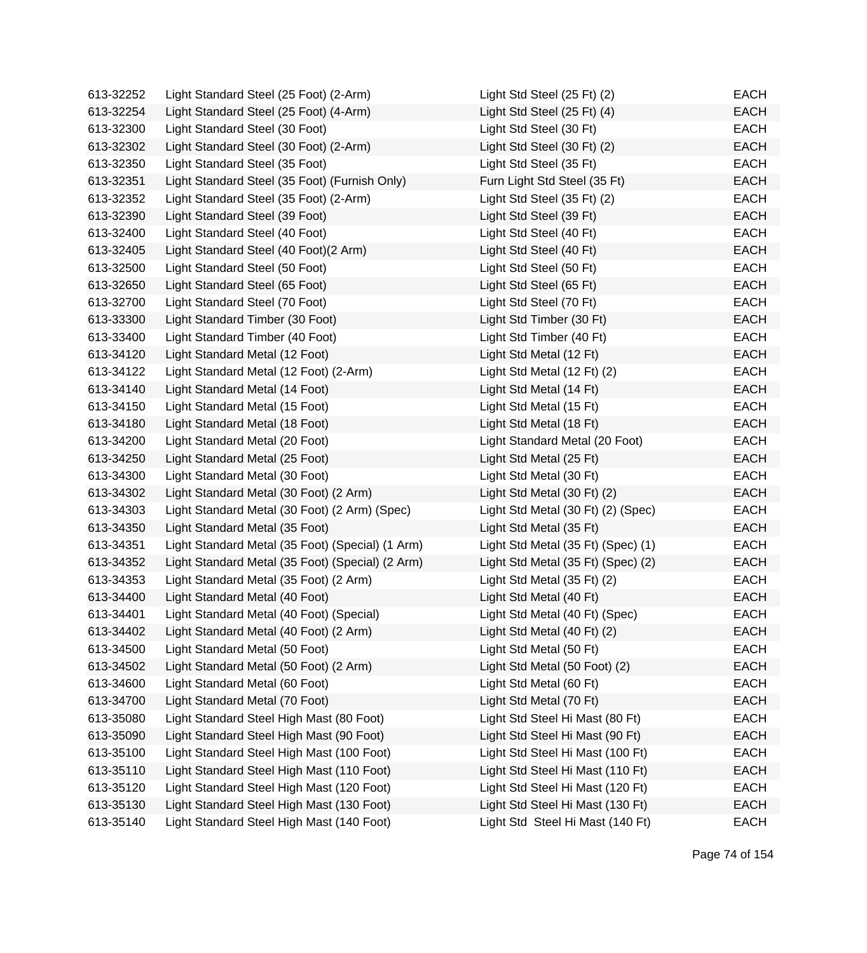| 613-32252 | Light Standard Steel (25 Foot) (2-Arm)           | Light Std Steel (25 Ft) (2)        | EACH        |
|-----------|--------------------------------------------------|------------------------------------|-------------|
| 613-32254 | Light Standard Steel (25 Foot) (4-Arm)           | Light Std Steel (25 Ft) (4)        | <b>EACH</b> |
| 613-32300 | Light Standard Steel (30 Foot)                   | Light Std Steel (30 Ft)            | <b>EACH</b> |
| 613-32302 | Light Standard Steel (30 Foot) (2-Arm)           | Light Std Steel (30 Ft) (2)        | <b>EACH</b> |
| 613-32350 | Light Standard Steel (35 Foot)                   | Light Std Steel (35 Ft)            | EACH        |
| 613-32351 | Light Standard Steel (35 Foot) (Furnish Only)    | Furn Light Std Steel (35 Ft)       | <b>EACH</b> |
| 613-32352 | Light Standard Steel (35 Foot) (2-Arm)           | Light Std Steel (35 Ft) (2)        | EACH        |
| 613-32390 | Light Standard Steel (39 Foot)                   | Light Std Steel (39 Ft)            | <b>EACH</b> |
| 613-32400 | Light Standard Steel (40 Foot)                   | Light Std Steel (40 Ft)            | <b>EACH</b> |
| 613-32405 | Light Standard Steel (40 Foot)(2 Arm)            | Light Std Steel (40 Ft)            | <b>EACH</b> |
| 613-32500 | Light Standard Steel (50 Foot)                   | Light Std Steel (50 Ft)            | <b>EACH</b> |
| 613-32650 | Light Standard Steel (65 Foot)                   | Light Std Steel (65 Ft)            | <b>EACH</b> |
| 613-32700 | Light Standard Steel (70 Foot)                   | Light Std Steel (70 Ft)            | <b>EACH</b> |
| 613-33300 | Light Standard Timber (30 Foot)                  | Light Std Timber (30 Ft)           | <b>EACH</b> |
| 613-33400 | Light Standard Timber (40 Foot)                  | Light Std Timber (40 Ft)           | EACH        |
| 613-34120 | Light Standard Metal (12 Foot)                   | Light Std Metal (12 Ft)            | <b>EACH</b> |
| 613-34122 | Light Standard Metal (12 Foot) (2-Arm)           | Light Std Metal (12 Ft) (2)        | EACH        |
| 613-34140 | Light Standard Metal (14 Foot)                   | Light Std Metal (14 Ft)            | <b>EACH</b> |
| 613-34150 | Light Standard Metal (15 Foot)                   | Light Std Metal (15 Ft)            | <b>EACH</b> |
| 613-34180 | Light Standard Metal (18 Foot)                   | Light Std Metal (18 Ft)            | <b>EACH</b> |
| 613-34200 | Light Standard Metal (20 Foot)                   | Light Standard Metal (20 Foot)     | <b>EACH</b> |
| 613-34250 | Light Standard Metal (25 Foot)                   | Light Std Metal (25 Ft)            | <b>EACH</b> |
| 613-34300 | Light Standard Metal (30 Foot)                   | Light Std Metal (30 Ft)            | <b>EACH</b> |
| 613-34302 | Light Standard Metal (30 Foot) (2 Arm)           | Light Std Metal (30 Ft) (2)        | <b>EACH</b> |
| 613-34303 | Light Standard Metal (30 Foot) (2 Arm) (Spec)    | Light Std Metal (30 Ft) (2) (Spec) | <b>EACH</b> |
| 613-34350 | Light Standard Metal (35 Foot)                   | Light Std Metal (35 Ft)            | <b>EACH</b> |
| 613-34351 | Light Standard Metal (35 Foot) (Special) (1 Arm) | Light Std Metal (35 Ft) (Spec) (1) | EACH        |
| 613-34352 | Light Standard Metal (35 Foot) (Special) (2 Arm) | Light Std Metal (35 Ft) (Spec) (2) | <b>EACH</b> |
| 613-34353 | Light Standard Metal (35 Foot) (2 Arm)           | Light Std Metal (35 Ft) (2)        | EACH        |
| 613-34400 | Light Standard Metal (40 Foot)                   | Light Std Metal (40 Ft)            | <b>EACH</b> |
| 613-34401 | Light Standard Metal (40 Foot) (Special)         | Light Std Metal (40 Ft) (Spec)     | <b>EACH</b> |
| 613-34402 | Light Standard Metal (40 Foot) (2 Arm)           | Light Std Metal (40 Ft) (2)        | <b>EACH</b> |
| 613-34500 | Light Standard Metal (50 Foot)                   | Light Std Metal (50 Ft)            | <b>EACH</b> |
| 613-34502 | Light Standard Metal (50 Foot) (2 Arm)           | Light Std Metal (50 Foot) (2)      | <b>EACH</b> |
| 613-34600 | Light Standard Metal (60 Foot)                   | Light Std Metal (60 Ft)            | EACH        |
| 613-34700 | Light Standard Metal (70 Foot)                   | Light Std Metal (70 Ft)            | <b>EACH</b> |
| 613-35080 | Light Standard Steel High Mast (80 Foot)         | Light Std Steel Hi Mast (80 Ft)    | <b>EACH</b> |
| 613-35090 | Light Standard Steel High Mast (90 Foot)         | Light Std Steel Hi Mast (90 Ft)    | <b>EACH</b> |
| 613-35100 | Light Standard Steel High Mast (100 Foot)        | Light Std Steel Hi Mast (100 Ft)   | <b>EACH</b> |
| 613-35110 | Light Standard Steel High Mast (110 Foot)        | Light Std Steel Hi Mast (110 Ft)   | <b>EACH</b> |
| 613-35120 | Light Standard Steel High Mast (120 Foot)        | Light Std Steel Hi Mast (120 Ft)   | <b>EACH</b> |
| 613-35130 | Light Standard Steel High Mast (130 Foot)        | Light Std Steel Hi Mast (130 Ft)   | <b>EACH</b> |
| 613-35140 | Light Standard Steel High Mast (140 Foot)        | Light Std Steel Hi Mast (140 Ft)   | <b>EACH</b> |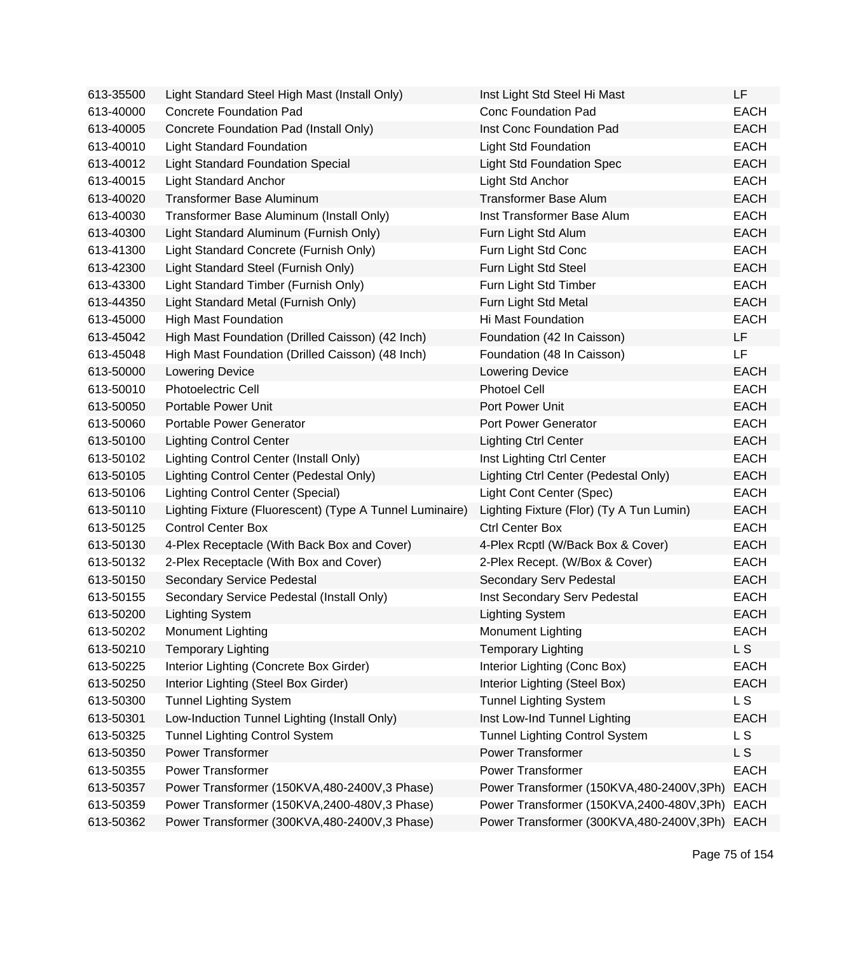| 613-35500 | Light Standard Steel High Mast (Install Only)            | Inst Light Std Steel Hi Mast             | LF             |
|-----------|----------------------------------------------------------|------------------------------------------|----------------|
| 613-40000 | <b>Concrete Foundation Pad</b>                           | <b>Conc Foundation Pad</b>               | <b>EACH</b>    |
| 613-40005 | Concrete Foundation Pad (Install Only)                   | Inst Conc Foundation Pad                 | <b>EACH</b>    |
| 613-40010 | <b>Light Standard Foundation</b>                         | <b>Light Std Foundation</b>              | <b>EACH</b>    |
| 613-40012 | <b>Light Standard Foundation Special</b>                 | <b>Light Std Foundation Spec</b>         | <b>EACH</b>    |
| 613-40015 | <b>Light Standard Anchor</b>                             | Light Std Anchor                         | <b>EACH</b>    |
| 613-40020 | Transformer Base Aluminum                                | <b>Transformer Base Alum</b>             | <b>EACH</b>    |
| 613-40030 | Transformer Base Aluminum (Install Only)                 | Inst Transformer Base Alum               | <b>EACH</b>    |
| 613-40300 | Light Standard Aluminum (Furnish Only)                   | Furn Light Std Alum                      | <b>EACH</b>    |
| 613-41300 | Light Standard Concrete (Furnish Only)                   | Furn Light Std Conc                      | <b>EACH</b>    |
| 613-42300 | Light Standard Steel (Furnish Only)                      | Furn Light Std Steel                     | <b>EACH</b>    |
| 613-43300 | Light Standard Timber (Furnish Only)                     | Furn Light Std Timber                    | <b>EACH</b>    |
| 613-44350 | Light Standard Metal (Furnish Only)                      | Furn Light Std Metal                     | <b>EACH</b>    |
| 613-45000 | <b>High Mast Foundation</b>                              | Hi Mast Foundation                       | <b>EACH</b>    |
| 613-45042 | High Mast Foundation (Drilled Caisson) (42 Inch)         | Foundation (42 In Caisson)               | LF             |
| 613-45048 | High Mast Foundation (Drilled Caisson) (48 Inch)         | Foundation (48 In Caisson)               | LF             |
| 613-50000 | <b>Lowering Device</b>                                   | <b>Lowering Device</b>                   | <b>EACH</b>    |
| 613-50010 | <b>Photoelectric Cell</b>                                | <b>Photoel Cell</b>                      | <b>EACH</b>    |
| 613-50050 | Portable Power Unit                                      | Port Power Unit                          | <b>EACH</b>    |
| 613-50060 | Portable Power Generator                                 | Port Power Generator                     | <b>EACH</b>    |
| 613-50100 | <b>Lighting Control Center</b>                           | <b>Lighting Ctrl Center</b>              | <b>EACH</b>    |
| 613-50102 | Lighting Control Center (Install Only)                   | Inst Lighting Ctrl Center                | <b>EACH</b>    |
| 613-50105 | Lighting Control Center (Pedestal Only)                  | Lighting Ctrl Center (Pedestal Only)     | <b>EACH</b>    |
| 613-50106 | <b>Lighting Control Center (Special)</b>                 | Light Cont Center (Spec)                 | <b>EACH</b>    |
| 613-50110 | Lighting Fixture (Fluorescent) (Type A Tunnel Luminaire) | Lighting Fixture (Flor) (Ty A Tun Lumin) | <b>EACH</b>    |
| 613-50125 | <b>Control Center Box</b>                                | <b>Ctrl Center Box</b>                   | <b>EACH</b>    |
| 613-50130 | 4-Plex Receptacle (With Back Box and Cover)              | 4-Plex Rcptl (W/Back Box & Cover)        | <b>EACH</b>    |
| 613-50132 | 2-Plex Receptacle (With Box and Cover)                   | 2-Plex Recept. (W/Box & Cover)           | <b>EACH</b>    |
| 613-50150 | Secondary Service Pedestal                               | Secondary Serv Pedestal                  | <b>EACH</b>    |
| 613-50155 | Secondary Service Pedestal (Install Only)                | Inst Secondary Serv Pedestal             | <b>EACH</b>    |
| 613-50200 | <b>Lighting System</b>                                   | <b>Lighting System</b>                   | <b>EACH</b>    |
| 613-50202 | <b>Monument Lighting</b>                                 | <b>Monument Lighting</b>                 | EACH           |
| 613-50210 | <b>Temporary Lighting</b>                                | <b>Temporary Lighting</b>                | <b>LS</b>      |
| 613-50225 | Interior Lighting (Concrete Box Girder)                  | Interior Lighting (Conc Box)             | <b>EACH</b>    |
| 613-50250 | Interior Lighting (Steel Box Girder)                     | Interior Lighting (Steel Box)            | <b>EACH</b>    |
| 613-50300 | <b>Tunnel Lighting System</b>                            | <b>Tunnel Lighting System</b>            | L <sub>S</sub> |
| 613-50301 | Low-Induction Tunnel Lighting (Install Only)             | Inst Low-Ind Tunnel Lighting             | <b>EACH</b>    |
| 613-50325 | <b>Tunnel Lighting Control System</b>                    | <b>Tunnel Lighting Control System</b>    | L <sub>S</sub> |
| 613-50350 | <b>Power Transformer</b>                                 | <b>Power Transformer</b>                 | L S            |
| 613-50355 | <b>Power Transformer</b>                                 | <b>Power Transformer</b>                 | <b>EACH</b>    |
| 613-50357 | Power Transformer (150KVA,480-2400V,3 Phase)             | Power Transformer (150KVA,480-2400V,3Ph) | <b>EACH</b>    |
| 613-50359 | Power Transformer (150KVA,2400-480V,3 Phase)             | Power Transformer (150KVA,2400-480V,3Ph) | <b>EACH</b>    |
| 613-50362 | Power Transformer (300KVA,480-2400V,3 Phase)             | Power Transformer (300KVA,480-2400V,3Ph) | <b>EACH</b>    |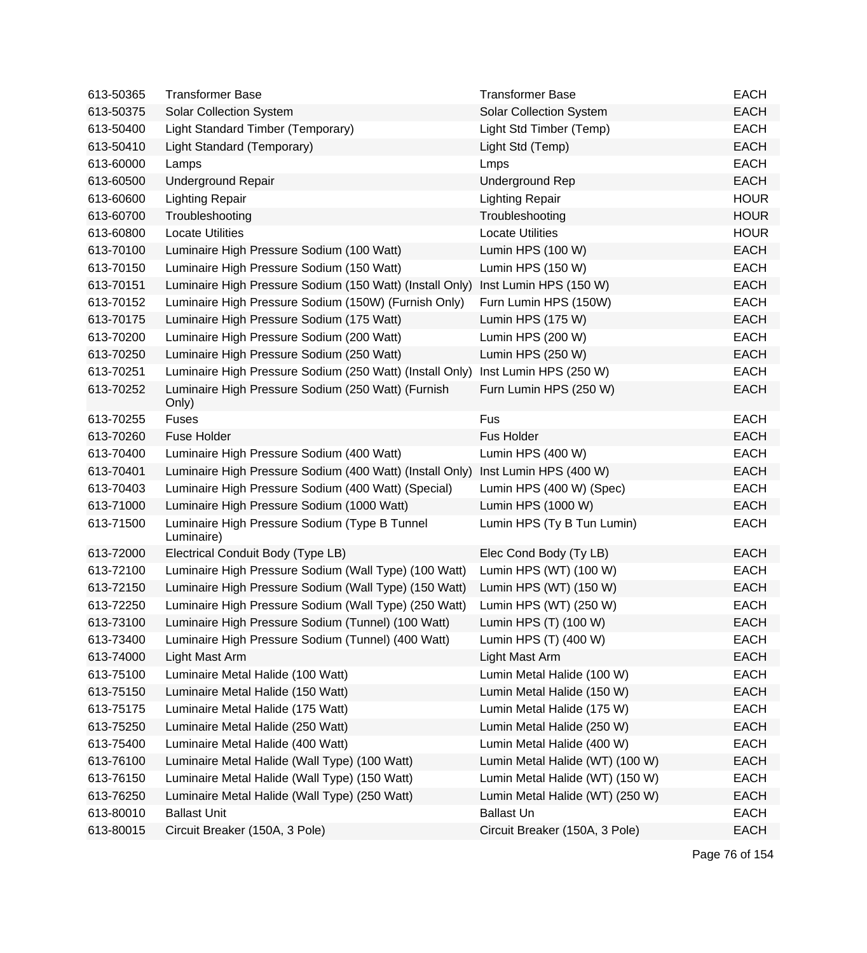| 613-50365 | <b>Transformer Base</b>                                     | <b>Transformer Base</b>         | <b>EACH</b> |
|-----------|-------------------------------------------------------------|---------------------------------|-------------|
| 613-50375 | <b>Solar Collection System</b>                              | <b>Solar Collection System</b>  | <b>EACH</b> |
| 613-50400 | Light Standard Timber (Temporary)                           | Light Std Timber (Temp)         | <b>EACH</b> |
| 613-50410 | Light Standard (Temporary)                                  | Light Std (Temp)                | <b>EACH</b> |
| 613-60000 | Lamps                                                       | Lmps                            | <b>EACH</b> |
| 613-60500 | <b>Underground Repair</b>                                   | <b>Underground Rep</b>          | <b>EACH</b> |
| 613-60600 | <b>Lighting Repair</b>                                      | <b>Lighting Repair</b>          | <b>HOUR</b> |
| 613-60700 | Troubleshooting                                             | Troubleshooting                 | <b>HOUR</b> |
| 613-60800 | <b>Locate Utilities</b>                                     | <b>Locate Utilities</b>         | <b>HOUR</b> |
| 613-70100 | Luminaire High Pressure Sodium (100 Watt)                   | Lumin HPS (100 W)               | <b>EACH</b> |
| 613-70150 | Luminaire High Pressure Sodium (150 Watt)                   | Lumin HPS (150 W)               | <b>EACH</b> |
| 613-70151 | Luminaire High Pressure Sodium (150 Watt) (Install Only)    | Inst Lumin HPS (150 W)          | <b>EACH</b> |
| 613-70152 | Luminaire High Pressure Sodium (150W) (Furnish Only)        | Furn Lumin HPS (150W)           | <b>EACH</b> |
| 613-70175 | Luminaire High Pressure Sodium (175 Watt)                   | Lumin HPS (175 W)               | <b>EACH</b> |
| 613-70200 | Luminaire High Pressure Sodium (200 Watt)                   | Lumin HPS (200 W)               | <b>EACH</b> |
| 613-70250 | Luminaire High Pressure Sodium (250 Watt)                   | Lumin HPS (250 W)               | <b>EACH</b> |
| 613-70251 | Luminaire High Pressure Sodium (250 Watt) (Install Only)    | Inst Lumin HPS (250 W)          | <b>EACH</b> |
| 613-70252 | Luminaire High Pressure Sodium (250 Watt) (Furnish<br>Only) | Furn Lumin HPS (250 W)          | <b>EACH</b> |
| 613-70255 | <b>Fuses</b>                                                | Fus                             | <b>EACH</b> |
| 613-70260 | <b>Fuse Holder</b>                                          | Fus Holder                      | <b>EACH</b> |
| 613-70400 | Luminaire High Pressure Sodium (400 Watt)                   | Lumin HPS (400 W)               | <b>EACH</b> |
| 613-70401 | Luminaire High Pressure Sodium (400 Watt) (Install Only)    | Inst Lumin HPS (400 W)          | <b>EACH</b> |
| 613-70403 | Luminaire High Pressure Sodium (400 Watt) (Special)         | Lumin HPS (400 W) (Spec)        | <b>EACH</b> |
| 613-71000 | Luminaire High Pressure Sodium (1000 Watt)                  | Lumin HPS (1000 W)              | <b>EACH</b> |
| 613-71500 | Luminaire High Pressure Sodium (Type B Tunnel<br>Luminaire) | Lumin HPS (Ty B Tun Lumin)      | <b>EACH</b> |
| 613-72000 | Electrical Conduit Body (Type LB)                           | Elec Cond Body (Ty LB)          | <b>EACH</b> |
| 613-72100 | Luminaire High Pressure Sodium (Wall Type) (100 Watt)       | Lumin HPS (WT) (100 W)          | <b>EACH</b> |
| 613-72150 | Luminaire High Pressure Sodium (Wall Type) (150 Watt)       | Lumin HPS (WT) (150 W)          | <b>EACH</b> |
| 613-72250 | Luminaire High Pressure Sodium (Wall Type) (250 Watt)       | Lumin HPS (WT) (250 W)          | <b>EACH</b> |
| 613-73100 | Luminaire High Pressure Sodium (Tunnel) (100 Watt)          | Lumin HPS (T) (100 W)           | <b>EACH</b> |
| 613-73400 | Luminaire High Pressure Sodium (Tunnel) (400 Watt)          | Lumin HPS (T) (400 W)           | <b>EACH</b> |
| 613-74000 | Light Mast Arm                                              | Light Mast Arm                  | <b>EACH</b> |
| 613-75100 | Luminaire Metal Halide (100 Watt)                           | Lumin Metal Halide (100 W)      | <b>EACH</b> |
| 613-75150 | Luminaire Metal Halide (150 Watt)                           | Lumin Metal Halide (150 W)      | <b>EACH</b> |
| 613-75175 | Luminaire Metal Halide (175 Watt)                           | Lumin Metal Halide (175 W)      | <b>EACH</b> |
| 613-75250 | Luminaire Metal Halide (250 Watt)                           | Lumin Metal Halide (250 W)      | <b>EACH</b> |
| 613-75400 | Luminaire Metal Halide (400 Watt)                           | Lumin Metal Halide (400 W)      | <b>EACH</b> |
| 613-76100 | Luminaire Metal Halide (Wall Type) (100 Watt)               | Lumin Metal Halide (WT) (100 W) | <b>EACH</b> |
| 613-76150 | Luminaire Metal Halide (Wall Type) (150 Watt)               | Lumin Metal Halide (WT) (150 W) | <b>EACH</b> |
| 613-76250 | Luminaire Metal Halide (Wall Type) (250 Watt)               | Lumin Metal Halide (WT) (250 W) | <b>EACH</b> |
| 613-80010 | <b>Ballast Unit</b>                                         | <b>Ballast Un</b>               | <b>EACH</b> |
| 613-80015 | Circuit Breaker (150A, 3 Pole)                              | Circuit Breaker (150A, 3 Pole)  | <b>EACH</b> |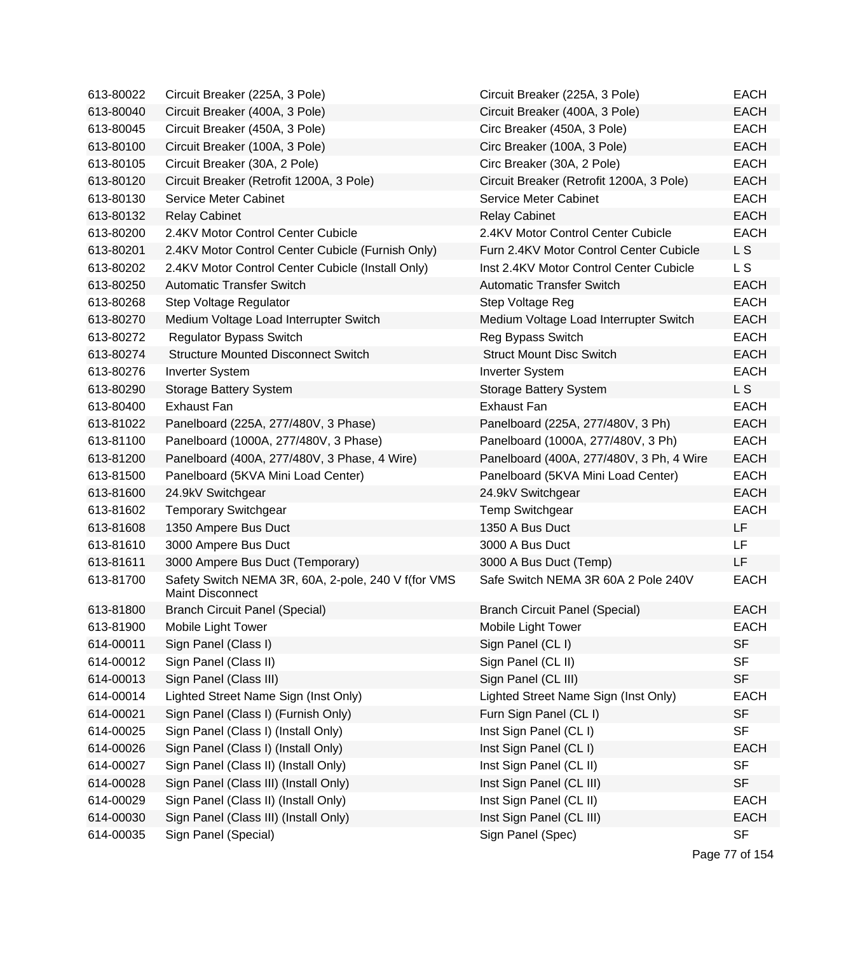| 613-80022 | Circuit Breaker (225A, 3 Pole)                                                 | Circuit Breaker (225A, 3 Pole)           | <b>EACH</b>    |
|-----------|--------------------------------------------------------------------------------|------------------------------------------|----------------|
| 613-80040 | Circuit Breaker (400A, 3 Pole)                                                 | Circuit Breaker (400A, 3 Pole)           | <b>EACH</b>    |
| 613-80045 | Circuit Breaker (450A, 3 Pole)                                                 | Circ Breaker (450A, 3 Pole)              | <b>EACH</b>    |
| 613-80100 | Circuit Breaker (100A, 3 Pole)                                                 | Circ Breaker (100A, 3 Pole)              | <b>EACH</b>    |
| 613-80105 | Circuit Breaker (30A, 2 Pole)                                                  | Circ Breaker (30A, 2 Pole)               | <b>EACH</b>    |
| 613-80120 | Circuit Breaker (Retrofit 1200A, 3 Pole)                                       | Circuit Breaker (Retrofit 1200A, 3 Pole) | <b>EACH</b>    |
| 613-80130 | <b>Service Meter Cabinet</b>                                                   | <b>Service Meter Cabinet</b>             | <b>EACH</b>    |
| 613-80132 | <b>Relay Cabinet</b>                                                           | <b>Relay Cabinet</b>                     | <b>EACH</b>    |
| 613-80200 | 2.4KV Motor Control Center Cubicle                                             | 2.4KV Motor Control Center Cubicle       | <b>EACH</b>    |
| 613-80201 | 2.4KV Motor Control Center Cubicle (Furnish Only)                              | Furn 2.4KV Motor Control Center Cubicle  | L S            |
| 613-80202 | 2.4KV Motor Control Center Cubicle (Install Only)                              | Inst 2.4KV Motor Control Center Cubicle  | L S            |
| 613-80250 | <b>Automatic Transfer Switch</b>                                               | <b>Automatic Transfer Switch</b>         | <b>EACH</b>    |
| 613-80268 | Step Voltage Regulator                                                         | Step Voltage Reg                         | <b>EACH</b>    |
| 613-80270 | Medium Voltage Load Interrupter Switch                                         | Medium Voltage Load Interrupter Switch   | <b>EACH</b>    |
| 613-80272 | <b>Regulator Bypass Switch</b>                                                 | Reg Bypass Switch                        | <b>EACH</b>    |
| 613-80274 | <b>Structure Mounted Disconnect Switch</b>                                     | <b>Struct Mount Disc Switch</b>          | <b>EACH</b>    |
| 613-80276 | <b>Inverter System</b>                                                         | <b>Inverter System</b>                   | <b>EACH</b>    |
| 613-80290 | <b>Storage Battery System</b>                                                  | <b>Storage Battery System</b>            | L <sub>S</sub> |
| 613-80400 | <b>Exhaust Fan</b>                                                             | <b>Exhaust Fan</b>                       | <b>EACH</b>    |
| 613-81022 | Panelboard (225A, 277/480V, 3 Phase)                                           | Panelboard (225A, 277/480V, 3 Ph)        | <b>EACH</b>    |
| 613-81100 | Panelboard (1000A, 277/480V, 3 Phase)                                          | Panelboard (1000A, 277/480V, 3 Ph)       | <b>EACH</b>    |
| 613-81200 | Panelboard (400A, 277/480V, 3 Phase, 4 Wire)                                   | Panelboard (400A, 277/480V, 3 Ph, 4 Wire | <b>EACH</b>    |
| 613-81500 | Panelboard (5KVA Mini Load Center)                                             | Panelboard (5KVA Mini Load Center)       | <b>EACH</b>    |
| 613-81600 | 24.9kV Switchgear                                                              | 24.9kV Switchgear                        | <b>EACH</b>    |
| 613-81602 | <b>Temporary Switchgear</b>                                                    | <b>Temp Switchgear</b>                   | <b>EACH</b>    |
| 613-81608 | 1350 Ampere Bus Duct                                                           | 1350 A Bus Duct                          | <b>LF</b>      |
| 613-81610 | 3000 Ampere Bus Duct                                                           | 3000 A Bus Duct                          | LF             |
| 613-81611 | 3000 Ampere Bus Duct (Temporary)                                               | 3000 A Bus Duct (Temp)                   | LF             |
| 613-81700 | Safety Switch NEMA 3R, 60A, 2-pole, 240 V f(for VMS<br><b>Maint Disconnect</b> | Safe Switch NEMA 3R 60A 2 Pole 240V      | <b>EACH</b>    |
| 613-81800 | <b>Branch Circuit Panel (Special)</b>                                          | <b>Branch Circuit Panel (Special)</b>    | <b>EACH</b>    |
| 613-81900 | Mobile Light Tower                                                             | Mobile Light Tower                       | <b>EACH</b>    |
| 614-00011 | Sign Panel (Class I)                                                           | Sign Panel (CL I)                        | <b>SF</b>      |
| 614-00012 | Sign Panel (Class II)                                                          | Sign Panel (CL II)                       | <b>SF</b>      |
| 614-00013 | Sign Panel (Class III)                                                         | Sign Panel (CL III)                      | <b>SF</b>      |
| 614-00014 | Lighted Street Name Sign (Inst Only)                                           | Lighted Street Name Sign (Inst Only)     | <b>EACH</b>    |
| 614-00021 | Sign Panel (Class I) (Furnish Only)                                            | Furn Sign Panel (CL I)                   | <b>SF</b>      |
| 614-00025 | Sign Panel (Class I) (Install Only)                                            | Inst Sign Panel (CL I)                   | <b>SF</b>      |
| 614-00026 | Sign Panel (Class I) (Install Only)                                            | Inst Sign Panel (CL I)                   | <b>EACH</b>    |
| 614-00027 | Sign Panel (Class II) (Install Only)                                           | Inst Sign Panel (CL II)                  | <b>SF</b>      |
| 614-00028 | Sign Panel (Class III) (Install Only)                                          | Inst Sign Panel (CL III)                 | <b>SF</b>      |
| 614-00029 | Sign Panel (Class II) (Install Only)                                           | Inst Sign Panel (CL II)                  | <b>EACH</b>    |
| 614-00030 | Sign Panel (Class III) (Install Only)                                          | Inst Sign Panel (CL III)                 | <b>EACH</b>    |
| 614-00035 | Sign Panel (Special)                                                           | Sign Panel (Spec)                        | <b>SF</b>      |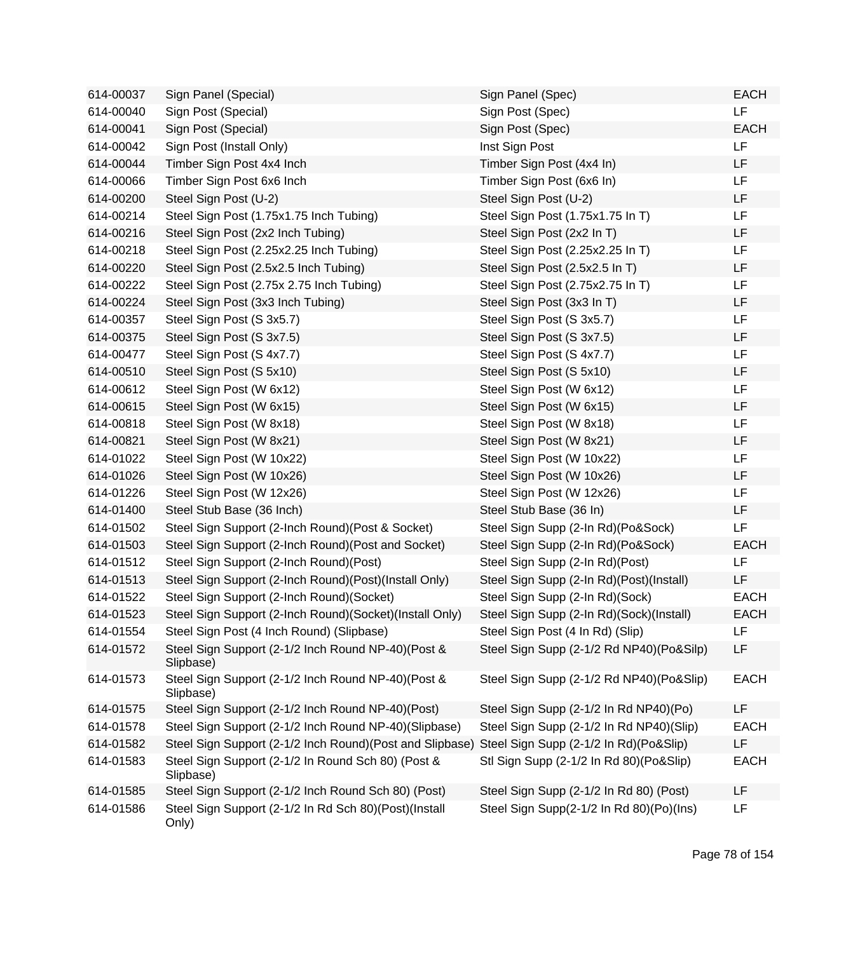| 614-00037 | Sign Panel (Special)                                             | Sign Panel (Spec)                        | <b>EACH</b> |
|-----------|------------------------------------------------------------------|------------------------------------------|-------------|
| 614-00040 | Sign Post (Special)                                              | Sign Post (Spec)                         | LF          |
| 614-00041 | Sign Post (Special)                                              | Sign Post (Spec)                         | <b>EACH</b> |
| 614-00042 | Sign Post (Install Only)                                         | Inst Sign Post                           | LF          |
| 614-00044 | Timber Sign Post 4x4 Inch                                        | Timber Sign Post (4x4 In)                | LF          |
| 614-00066 | Timber Sign Post 6x6 Inch                                        | Timber Sign Post (6x6 In)                | <b>LF</b>   |
| 614-00200 | Steel Sign Post (U-2)                                            | Steel Sign Post (U-2)                    | LF          |
| 614-00214 | Steel Sign Post (1.75x1.75 Inch Tubing)                          | Steel Sign Post (1.75x1.75 In T)         | LF          |
| 614-00216 | Steel Sign Post (2x2 Inch Tubing)                                | Steel Sign Post (2x2 In T)               | LF          |
| 614-00218 | Steel Sign Post (2.25x2.25 Inch Tubing)                          | Steel Sign Post (2.25x2.25 In T)         | LF          |
| 614-00220 | Steel Sign Post (2.5x2.5 Inch Tubing)                            | Steel Sign Post (2.5x2.5 In T)           | LF          |
| 614-00222 | Steel Sign Post (2.75x 2.75 Inch Tubing)                         | Steel Sign Post (2.75x2.75 In T)         | LF          |
| 614-00224 | Steel Sign Post (3x3 Inch Tubing)                                | Steel Sign Post (3x3 In T)               | LF          |
| 614-00357 | Steel Sign Post (S 3x5.7)                                        | Steel Sign Post (S 3x5.7)                | LF          |
| 614-00375 | Steel Sign Post (S 3x7.5)                                        | Steel Sign Post (S 3x7.5)                | LF          |
| 614-00477 | Steel Sign Post (S 4x7.7)                                        | Steel Sign Post (S 4x7.7)                | LF          |
| 614-00510 | Steel Sign Post (S 5x10)                                         | Steel Sign Post (S 5x10)                 | LF          |
| 614-00612 | Steel Sign Post (W 6x12)                                         | Steel Sign Post (W 6x12)                 | LF          |
| 614-00615 | Steel Sign Post (W 6x15)                                         | Steel Sign Post (W 6x15)                 | LF          |
| 614-00818 | Steel Sign Post (W 8x18)                                         | Steel Sign Post (W 8x18)                 | LF          |
| 614-00821 | Steel Sign Post (W 8x21)                                         | Steel Sign Post (W 8x21)                 | LF          |
| 614-01022 | Steel Sign Post (W 10x22)                                        | Steel Sign Post (W 10x22)                | LF          |
| 614-01026 | Steel Sign Post (W 10x26)                                        | Steel Sign Post (W 10x26)                | <b>LF</b>   |
| 614-01226 | Steel Sign Post (W 12x26)                                        | Steel Sign Post (W 12x26)                | <b>LF</b>   |
| 614-01400 | Steel Stub Base (36 Inch)                                        | Steel Stub Base (36 In)                  | LF          |
| 614-01502 | Steel Sign Support (2-Inch Round) (Post & Socket)                | Steel Sign Supp (2-In Rd)(Po&Sock)       | LF          |
| 614-01503 | Steel Sign Support (2-Inch Round) (Post and Socket)              | Steel Sign Supp (2-In Rd)(Po&Sock)       | <b>EACH</b> |
| 614-01512 | Steel Sign Support (2-Inch Round)(Post)                          | Steel Sign Supp (2-In Rd)(Post)          | LF          |
| 614-01513 | Steel Sign Support (2-Inch Round)(Post)(Install Only)            | Steel Sign Supp (2-In Rd)(Post)(Install) | LF          |
| 614-01522 | Steel Sign Support (2-Inch Round)(Socket)                        | Steel Sign Supp (2-In Rd)(Sock)          | <b>EACH</b> |
| 614-01523 | Steel Sign Support (2-Inch Round)(Socket)(Install Only)          | Steel Sign Supp (2-In Rd)(Sock)(Install) | <b>EACH</b> |
| 614-01554 | Steel Sign Post (4 Inch Round) (Slipbase)                        | Steel Sign Post (4 In Rd) (Slip)         | LF          |
| 614-01572 | Steel Sign Support (2-1/2 Inch Round NP-40)(Post &<br>Slipbase)  | Steel Sign Supp (2-1/2 Rd NP40)(Po&Silp) | LF          |
| 614-01573 | Steel Sign Support (2-1/2 Inch Round NP-40) (Post &<br>Slipbase) | Steel Sign Supp (2-1/2 Rd NP40)(Po&Slip) | <b>EACH</b> |
| 614-01575 | Steel Sign Support (2-1/2 Inch Round NP-40)(Post)                | Steel Sign Supp (2-1/2 In Rd NP40)(Po)   | LF          |
| 614-01578 | Steel Sign Support (2-1/2 Inch Round NP-40)(Slipbase)            | Steel Sign Supp (2-1/2 In Rd NP40)(Slip) | <b>EACH</b> |
| 614-01582 | Steel Sign Support (2-1/2 Inch Round) (Post and Slipbase)        | Steel Sign Supp (2-1/2 In Rd)(Po&Slip)   | LF          |
| 614-01583 | Steel Sign Support (2-1/2 In Round Sch 80) (Post &<br>Slipbase)  | Stl Sign Supp (2-1/2 In Rd 80)(Po&Slip)  | <b>EACH</b> |
| 614-01585 | Steel Sign Support (2-1/2 Inch Round Sch 80) (Post)              | Steel Sign Supp (2-1/2 In Rd 80) (Post)  | LF          |
| 614-01586 | Steel Sign Support (2-1/2 In Rd Sch 80)(Post)(Install<br>Only)   | Steel Sign Supp(2-1/2 In Rd 80)(Po)(Ins) | LF          |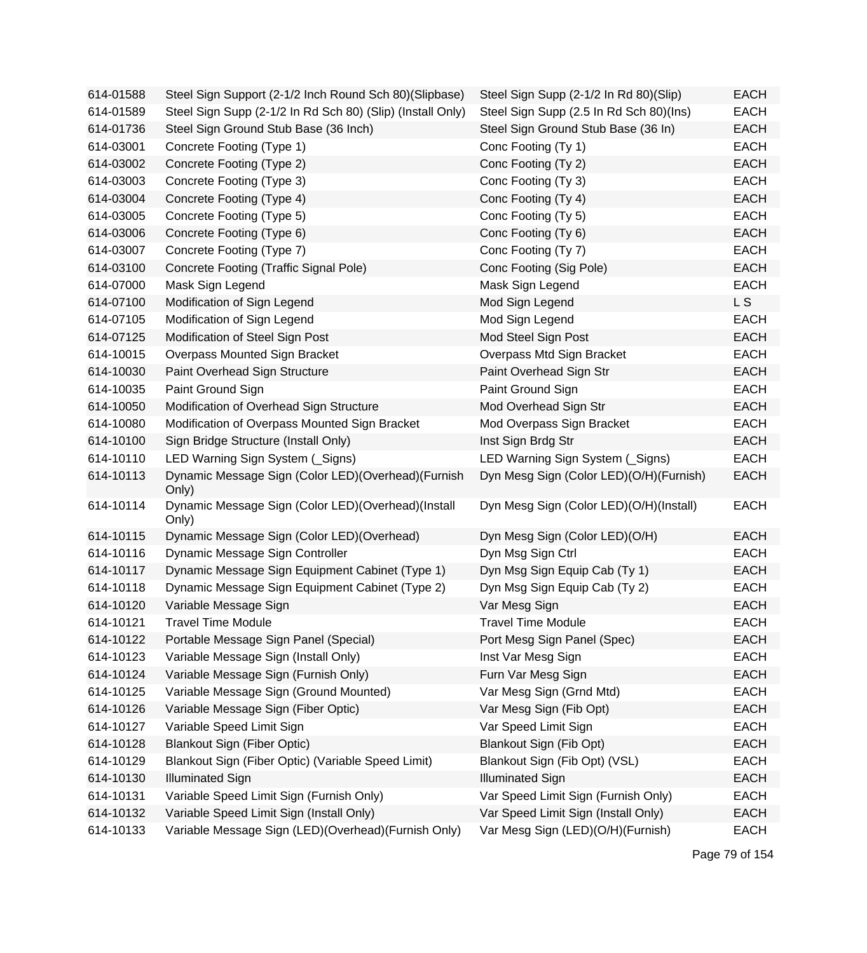| 614-01588 | Steel Sign Support (2-1/2 Inch Round Sch 80)(Slipbase)      | Steel Sign Supp (2-1/2 In Rd 80)(Slip)  | <b>EACH</b> |
|-----------|-------------------------------------------------------------|-----------------------------------------|-------------|
| 614-01589 | Steel Sign Supp (2-1/2 In Rd Sch 80) (Slip) (Install Only)  | Steel Sign Supp (2.5 In Rd Sch 80)(Ins) | <b>EACH</b> |
| 614-01736 | Steel Sign Ground Stub Base (36 Inch)                       | Steel Sign Ground Stub Base (36 In)     | <b>EACH</b> |
| 614-03001 | Concrete Footing (Type 1)                                   | Conc Footing (Ty 1)                     | <b>EACH</b> |
| 614-03002 | Concrete Footing (Type 2)                                   | Conc Footing (Ty 2)                     | <b>EACH</b> |
| 614-03003 | Concrete Footing (Type 3)                                   | Conc Footing (Ty 3)                     | <b>EACH</b> |
| 614-03004 | Concrete Footing (Type 4)                                   | Conc Footing (Ty 4)                     | <b>EACH</b> |
| 614-03005 | Concrete Footing (Type 5)                                   | Conc Footing (Ty 5)                     | <b>EACH</b> |
| 614-03006 | Concrete Footing (Type 6)                                   | Conc Footing (Ty 6)                     | <b>EACH</b> |
| 614-03007 | Concrete Footing (Type 7)                                   | Conc Footing (Ty 7)                     | <b>EACH</b> |
| 614-03100 | Concrete Footing (Traffic Signal Pole)                      | Conc Footing (Sig Pole)                 | <b>EACH</b> |
| 614-07000 | Mask Sign Legend                                            | Mask Sign Legend                        | <b>EACH</b> |
| 614-07100 | Modification of Sign Legend                                 | Mod Sign Legend                         | LS          |
| 614-07105 | Modification of Sign Legend                                 | Mod Sign Legend                         | <b>EACH</b> |
| 614-07125 | Modification of Steel Sign Post                             | Mod Steel Sign Post                     | <b>EACH</b> |
| 614-10015 | Overpass Mounted Sign Bracket                               | Overpass Mtd Sign Bracket               | <b>EACH</b> |
| 614-10030 | Paint Overhead Sign Structure                               | Paint Overhead Sign Str                 | <b>EACH</b> |
| 614-10035 | Paint Ground Sign                                           | Paint Ground Sign                       | <b>EACH</b> |
| 614-10050 | Modification of Overhead Sign Structure                     | Mod Overhead Sign Str                   | <b>EACH</b> |
| 614-10080 | Modification of Overpass Mounted Sign Bracket               | Mod Overpass Sign Bracket               | <b>EACH</b> |
| 614-10100 | Sign Bridge Structure (Install Only)                        | Inst Sign Brdg Str                      | <b>EACH</b> |
| 614-10110 | LED Warning Sign System (Signs)                             | LED Warning Sign System (Signs)         | <b>EACH</b> |
| 614-10113 | Dynamic Message Sign (Color LED)(Overhead)(Furnish<br>Only) | Dyn Mesg Sign (Color LED)(O/H)(Furnish) | <b>EACH</b> |
| 614-10114 | Dynamic Message Sign (Color LED)(Overhead)(Install<br>Only) | Dyn Mesg Sign (Color LED)(O/H)(Install) | <b>EACH</b> |
| 614-10115 | Dynamic Message Sign (Color LED)(Overhead)                  | Dyn Mesg Sign (Color LED)(O/H)          | <b>EACH</b> |
| 614-10116 | Dynamic Message Sign Controller                             | Dyn Msg Sign Ctrl                       | <b>EACH</b> |
| 614-10117 | Dynamic Message Sign Equipment Cabinet (Type 1)             | Dyn Msg Sign Equip Cab (Ty 1)           | <b>EACH</b> |
| 614-10118 | Dynamic Message Sign Equipment Cabinet (Type 2)             | Dyn Msg Sign Equip Cab (Ty 2)           | <b>EACH</b> |
| 614-10120 | Variable Message Sign                                       | Var Mesg Sign                           | <b>EACH</b> |
| 614-10121 | <b>Travel Time Module</b>                                   | <b>Travel Time Module</b>               | <b>EACH</b> |
| 614-10122 | Portable Message Sign Panel (Special)                       | Port Mesg Sign Panel (Spec)             | <b>EACH</b> |
| 614-10123 | Variable Message Sign (Install Only)                        | Inst Var Mesg Sign                      | <b>EACH</b> |
| 614-10124 | Variable Message Sign (Furnish Only)                        | Furn Var Mesg Sign                      | <b>EACH</b> |
| 614-10125 | Variable Message Sign (Ground Mounted)                      | Var Mesg Sign (Grnd Mtd)                | <b>EACH</b> |
| 614-10126 | Variable Message Sign (Fiber Optic)                         | Var Mesg Sign (Fib Opt)                 | <b>EACH</b> |
| 614-10127 | Variable Speed Limit Sign                                   | Var Speed Limit Sign                    | <b>EACH</b> |
| 614-10128 | <b>Blankout Sign (Fiber Optic)</b>                          | Blankout Sign (Fib Opt)                 | <b>EACH</b> |
| 614-10129 | Blankout Sign (Fiber Optic) (Variable Speed Limit)          | Blankout Sign (Fib Opt) (VSL)           | <b>EACH</b> |
| 614-10130 | <b>Illuminated Sign</b>                                     | <b>Illuminated Sign</b>                 | <b>EACH</b> |
| 614-10131 | Variable Speed Limit Sign (Furnish Only)                    | Var Speed Limit Sign (Furnish Only)     | <b>EACH</b> |
| 614-10132 | Variable Speed Limit Sign (Install Only)                    | Var Speed Limit Sign (Install Only)     | <b>EACH</b> |
| 614-10133 | Variable Message Sign (LED)(Overhead)(Furnish Only)         | Var Mesg Sign (LED)(O/H)(Furnish)       | <b>EACH</b> |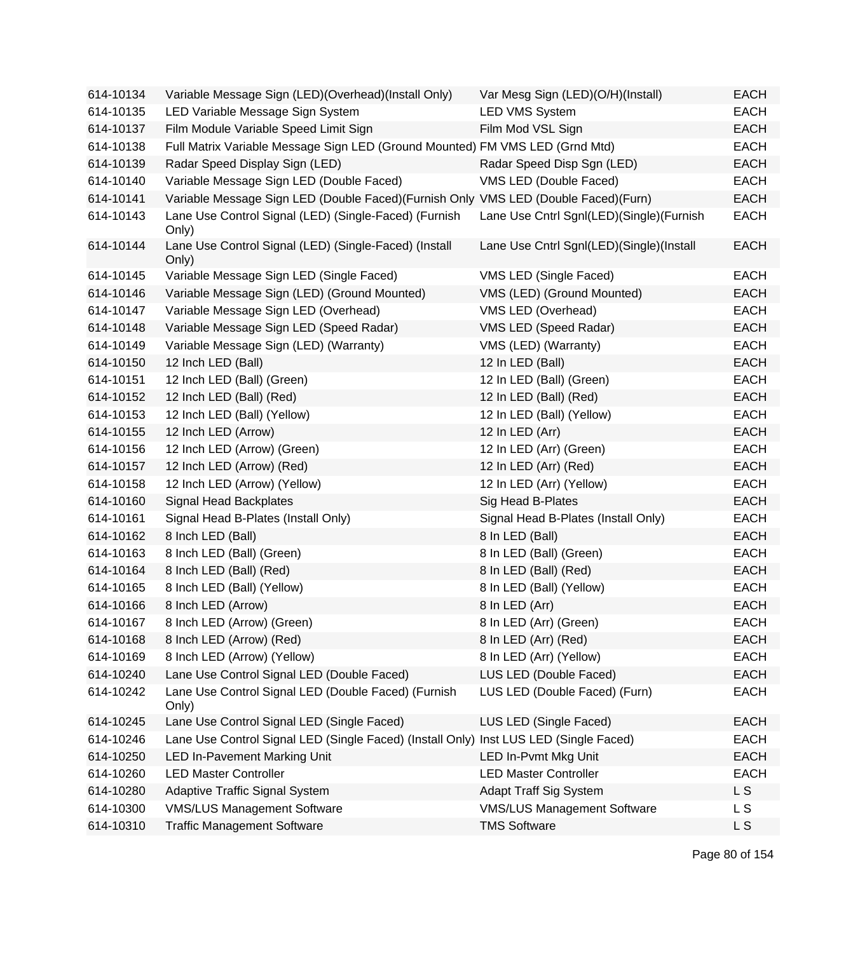| 614-10134 | Variable Message Sign (LED)(Overhead)(Install Only)                                   | Var Mesg Sign (LED)(O/H)(Install)        | <b>EACH</b> |
|-----------|---------------------------------------------------------------------------------------|------------------------------------------|-------------|
| 614-10135 | LED Variable Message Sign System                                                      | <b>LED VMS System</b>                    | <b>EACH</b> |
| 614-10137 | Film Module Variable Speed Limit Sign                                                 | Film Mod VSL Sign                        | <b>EACH</b> |
| 614-10138 | Full Matrix Variable Message Sign LED (Ground Mounted) FM VMS LED (Grnd Mtd)          |                                          | <b>EACH</b> |
| 614-10139 | Radar Speed Display Sign (LED)                                                        | Radar Speed Disp Sgn (LED)               | <b>EACH</b> |
| 614-10140 | Variable Message Sign LED (Double Faced)                                              | VMS LED (Double Faced)                   | <b>EACH</b> |
| 614-10141 | Variable Message Sign LED (Double Faced)(Furnish Only VMS LED (Double Faced)(Furn)    |                                          | <b>EACH</b> |
| 614-10143 | Lane Use Control Signal (LED) (Single-Faced) (Furnish<br>Only)                        | Lane Use Cntrl Sgnl(LED)(Single)(Furnish | <b>EACH</b> |
| 614-10144 | Lane Use Control Signal (LED) (Single-Faced) (Install<br>Only)                        | Lane Use Cntrl Sgnl(LED)(Single)(Install | <b>EACH</b> |
| 614-10145 | Variable Message Sign LED (Single Faced)                                              | VMS LED (Single Faced)                   | <b>EACH</b> |
| 614-10146 | Variable Message Sign (LED) (Ground Mounted)                                          | VMS (LED) (Ground Mounted)               | <b>EACH</b> |
| 614-10147 | Variable Message Sign LED (Overhead)                                                  | VMS LED (Overhead)                       | <b>EACH</b> |
| 614-10148 | Variable Message Sign LED (Speed Radar)                                               | VMS LED (Speed Radar)                    | <b>EACH</b> |
| 614-10149 | Variable Message Sign (LED) (Warranty)                                                | VMS (LED) (Warranty)                     | <b>EACH</b> |
| 614-10150 | 12 Inch LED (Ball)                                                                    | 12 In LED (Ball)                         | <b>EACH</b> |
| 614-10151 | 12 Inch LED (Ball) (Green)                                                            | 12 In LED (Ball) (Green)                 | <b>EACH</b> |
| 614-10152 | 12 Inch LED (Ball) (Red)                                                              | 12 In LED (Ball) (Red)                   | <b>EACH</b> |
| 614-10153 | 12 Inch LED (Ball) (Yellow)                                                           | 12 In LED (Ball) (Yellow)                | <b>EACH</b> |
| 614-10155 | 12 Inch LED (Arrow)                                                                   | 12 In LED (Arr)                          | <b>EACH</b> |
| 614-10156 | 12 Inch LED (Arrow) (Green)                                                           | 12 In LED (Arr) (Green)                  | <b>EACH</b> |
| 614-10157 | 12 Inch LED (Arrow) (Red)                                                             | 12 In LED (Arr) (Red)                    | <b>EACH</b> |
| 614-10158 | 12 Inch LED (Arrow) (Yellow)                                                          | 12 In LED (Arr) (Yellow)                 | <b>EACH</b> |
| 614-10160 | Signal Head Backplates                                                                | Sig Head B-Plates                        | <b>EACH</b> |
| 614-10161 | Signal Head B-Plates (Install Only)                                                   | Signal Head B-Plates (Install Only)      | <b>EACH</b> |
| 614-10162 | 8 Inch LED (Ball)                                                                     | 8 In LED (Ball)                          | <b>EACH</b> |
| 614-10163 | 8 Inch LED (Ball) (Green)                                                             | 8 In LED (Ball) (Green)                  | <b>EACH</b> |
| 614-10164 | 8 Inch LED (Ball) (Red)                                                               | 8 In LED (Ball) (Red)                    | <b>EACH</b> |
| 614-10165 | 8 Inch LED (Ball) (Yellow)                                                            | 8 In LED (Ball) (Yellow)                 | <b>EACH</b> |
| 614-10166 | 8 Inch LED (Arrow)                                                                    | 8 In LED (Arr)                           | <b>EACH</b> |
| 614-10167 | 8 Inch LED (Arrow) (Green)                                                            | 8 In LED (Arr) (Green)                   | <b>EACH</b> |
| 614-10168 | 8 Inch LED (Arrow) (Red)                                                              | 8 In LED (Arr) (Red)                     | <b>EACH</b> |
| 614-10169 | 8 Inch LED (Arrow) (Yellow)                                                           | 8 In LED (Arr) (Yellow)                  | <b>EACH</b> |
| 614-10240 | Lane Use Control Signal LED (Double Faced)                                            | LUS LED (Double Faced)                   | <b>EACH</b> |
| 614-10242 | Lane Use Control Signal LED (Double Faced) (Furnish<br>Only)                          | LUS LED (Double Faced) (Furn)            | <b>EACH</b> |
| 614-10245 | Lane Use Control Signal LED (Single Faced)                                            | LUS LED (Single Faced)                   | <b>EACH</b> |
| 614-10246 | Lane Use Control Signal LED (Single Faced) (Install Only) Inst LUS LED (Single Faced) |                                          | <b>EACH</b> |
| 614-10250 | <b>LED In-Pavement Marking Unit</b>                                                   | LED In-Pvmt Mkg Unit                     | <b>EACH</b> |
| 614-10260 | <b>LED Master Controller</b>                                                          | <b>LED Master Controller</b>             | <b>EACH</b> |
| 614-10280 | <b>Adaptive Traffic Signal System</b>                                                 | Adapt Traff Sig System                   | L S         |
| 614-10300 | <b>VMS/LUS Management Software</b>                                                    | <b>VMS/LUS Management Software</b>       | L S         |
| 614-10310 | <b>Traffic Management Software</b>                                                    | <b>TMS Software</b>                      | L S         |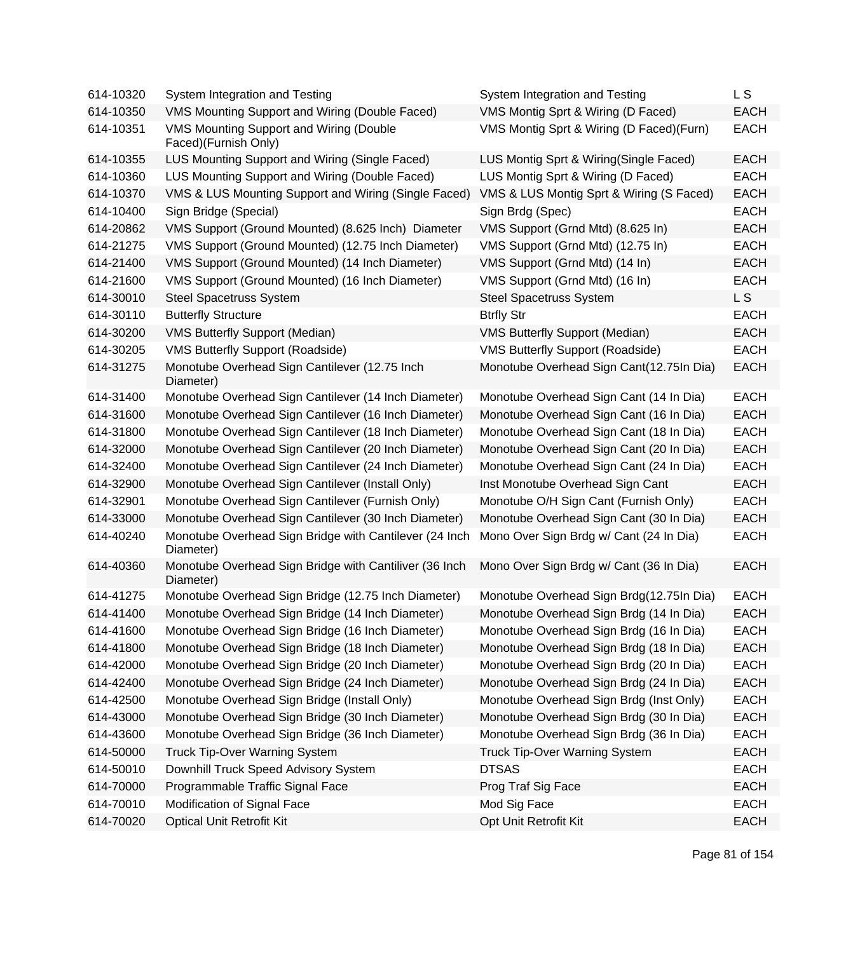| 614-10320 | System Integration and Testing                                      | System Integration and Testing           | L S         |
|-----------|---------------------------------------------------------------------|------------------------------------------|-------------|
| 614-10350 | VMS Mounting Support and Wiring (Double Faced)                      | VMS Montig Sprt & Wiring (D Faced)       | <b>EACH</b> |
| 614-10351 | VMS Mounting Support and Wiring (Double<br>Faced)(Furnish Only)     | VMS Montig Sprt & Wiring (D Faced)(Furn) | <b>EACH</b> |
| 614-10355 | LUS Mounting Support and Wiring (Single Faced)                      | LUS Montig Sprt & Wiring(Single Faced)   | <b>EACH</b> |
| 614-10360 | LUS Mounting Support and Wiring (Double Faced)                      | LUS Montig Sprt & Wiring (D Faced)       | <b>EACH</b> |
| 614-10370 | VMS & LUS Mounting Support and Wiring (Single Faced)                | VMS & LUS Montig Sprt & Wiring (S Faced) | <b>EACH</b> |
| 614-10400 | Sign Bridge (Special)                                               | Sign Brdg (Spec)                         | <b>EACH</b> |
| 614-20862 | VMS Support (Ground Mounted) (8.625 Inch) Diameter                  | VMS Support (Grnd Mtd) (8.625 In)        | <b>EACH</b> |
| 614-21275 | VMS Support (Ground Mounted) (12.75 Inch Diameter)                  | VMS Support (Grnd Mtd) (12.75 In)        | <b>EACH</b> |
| 614-21400 | VMS Support (Ground Mounted) (14 Inch Diameter)                     | VMS Support (Grnd Mtd) (14 In)           | <b>EACH</b> |
| 614-21600 | VMS Support (Ground Mounted) (16 Inch Diameter)                     | VMS Support (Grnd Mtd) (16 In)           | <b>EACH</b> |
| 614-30010 | <b>Steel Spacetruss System</b>                                      | <b>Steel Spacetruss System</b>           | L S         |
| 614-30110 | <b>Butterfly Structure</b>                                          | <b>Btrfly Str</b>                        | <b>EACH</b> |
| 614-30200 | <b>VMS Butterfly Support (Median)</b>                               | <b>VMS Butterfly Support (Median)</b>    | <b>EACH</b> |
| 614-30205 | <b>VMS Butterfly Support (Roadside)</b>                             | <b>VMS Butterfly Support (Roadside)</b>  | <b>EACH</b> |
| 614-31275 | Monotube Overhead Sign Cantilever (12.75 Inch<br>Diameter)          | Monotube Overhead Sign Cant(12.75In Dia) | <b>EACH</b> |
| 614-31400 | Monotube Overhead Sign Cantilever (14 Inch Diameter)                | Monotube Overhead Sign Cant (14 In Dia)  | <b>EACH</b> |
| 614-31600 | Monotube Overhead Sign Cantilever (16 Inch Diameter)                | Monotube Overhead Sign Cant (16 In Dia)  | <b>EACH</b> |
| 614-31800 | Monotube Overhead Sign Cantilever (18 Inch Diameter)                | Monotube Overhead Sign Cant (18 In Dia)  | <b>EACH</b> |
| 614-32000 | Monotube Overhead Sign Cantilever (20 Inch Diameter)                | Monotube Overhead Sign Cant (20 In Dia)  | <b>EACH</b> |
| 614-32400 | Monotube Overhead Sign Cantilever (24 Inch Diameter)                | Monotube Overhead Sign Cant (24 In Dia)  | <b>EACH</b> |
| 614-32900 | Monotube Overhead Sign Cantilever (Install Only)                    | Inst Monotube Overhead Sign Cant         | <b>EACH</b> |
| 614-32901 | Monotube Overhead Sign Cantilever (Furnish Only)                    | Monotube O/H Sign Cant (Furnish Only)    | <b>EACH</b> |
| 614-33000 | Monotube Overhead Sign Cantilever (30 Inch Diameter)                | Monotube Overhead Sign Cant (30 In Dia)  | <b>EACH</b> |
| 614-40240 | Monotube Overhead Sign Bridge with Cantilever (24 Inch<br>Diameter) | Mono Over Sign Brdg w/ Cant (24 In Dia)  | <b>EACH</b> |
| 614-40360 | Monotube Overhead Sign Bridge with Cantiliver (36 Inch<br>Diameter) | Mono Over Sign Brdg w/ Cant (36 In Dia)  | <b>EACH</b> |
| 614-41275 | Monotube Overhead Sign Bridge (12.75 Inch Diameter)                 | Monotube Overhead Sign Brdg(12.75In Dia) | <b>EACH</b> |
| 614-41400 | Monotube Overhead Sign Bridge (14 Inch Diameter)                    | Monotube Overhead Sign Brdg (14 In Dia)  | <b>EACH</b> |
| 614-41600 | Monotube Overhead Sign Bridge (16 Inch Diameter)                    | Monotube Overhead Sign Brdg (16 In Dia)  | <b>EACH</b> |
| 614-41800 | Monotube Overhead Sign Bridge (18 Inch Diameter)                    | Monotube Overhead Sign Brdg (18 In Dia)  | <b>EACH</b> |
| 614-42000 | Monotube Overhead Sign Bridge (20 Inch Diameter)                    | Monotube Overhead Sign Brdg (20 In Dia)  | <b>EACH</b> |
| 614-42400 | Monotube Overhead Sign Bridge (24 Inch Diameter)                    | Monotube Overhead Sign Brdg (24 In Dia)  | <b>EACH</b> |
| 614-42500 | Monotube Overhead Sign Bridge (Install Only)                        | Monotube Overhead Sign Brdg (Inst Only)  | <b>EACH</b> |
| 614-43000 | Monotube Overhead Sign Bridge (30 Inch Diameter)                    | Monotube Overhead Sign Brdg (30 In Dia)  | <b>EACH</b> |
| 614-43600 | Monotube Overhead Sign Bridge (36 Inch Diameter)                    | Monotube Overhead Sign Brdg (36 In Dia)  | <b>EACH</b> |
| 614-50000 | <b>Truck Tip-Over Warning System</b>                                | <b>Truck Tip-Over Warning System</b>     | <b>EACH</b> |
| 614-50010 | Downhill Truck Speed Advisory System                                | <b>DTSAS</b>                             | <b>EACH</b> |
| 614-70000 | Programmable Traffic Signal Face                                    | Prog Traf Sig Face                       | <b>EACH</b> |
| 614-70010 | Modification of Signal Face                                         | Mod Sig Face                             | <b>EACH</b> |
| 614-70020 | <b>Optical Unit Retrofit Kit</b>                                    | Opt Unit Retrofit Kit                    | <b>EACH</b> |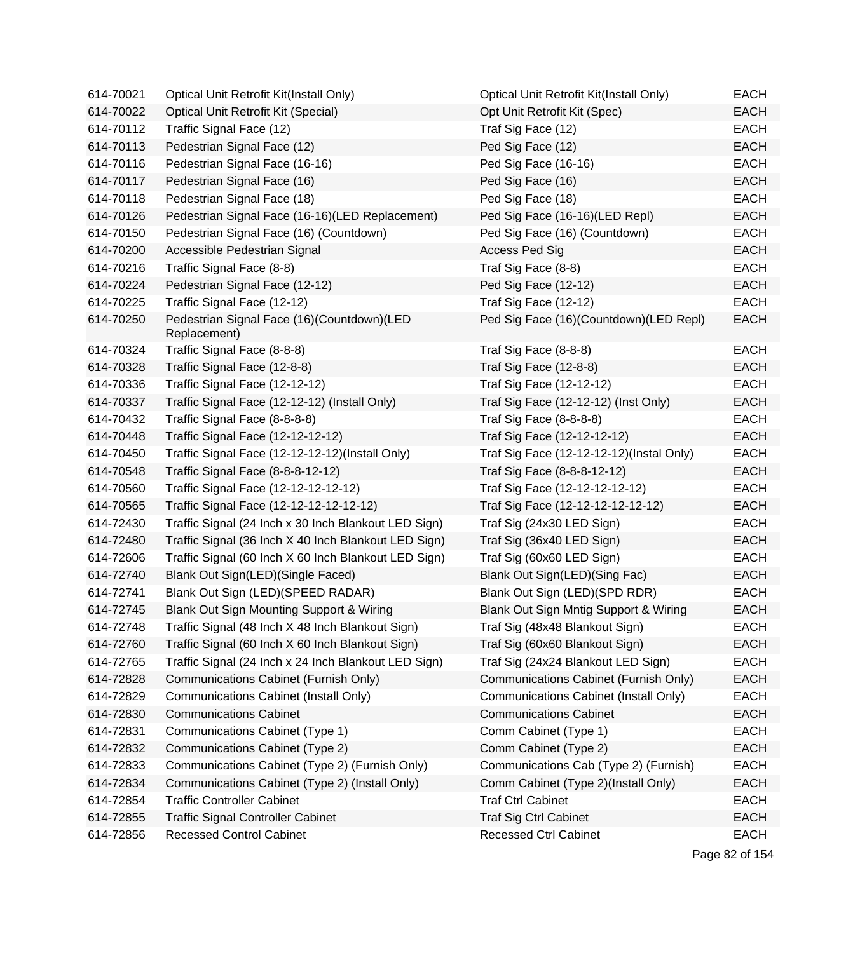| 614-70021 | Optical Unit Retrofit Kit(Install Only)                    | Optical Unit Retrofit Kit(Install Only)  | EACH        |
|-----------|------------------------------------------------------------|------------------------------------------|-------------|
| 614-70022 | <b>Optical Unit Retrofit Kit (Special)</b>                 | Opt Unit Retrofit Kit (Spec)             | <b>EACH</b> |
| 614-70112 | Traffic Signal Face (12)                                   | Traf Sig Face (12)                       | <b>EACH</b> |
| 614-70113 | Pedestrian Signal Face (12)                                | Ped Sig Face (12)                        | <b>EACH</b> |
| 614-70116 | Pedestrian Signal Face (16-16)                             | Ped Sig Face (16-16)                     | <b>EACH</b> |
| 614-70117 | Pedestrian Signal Face (16)                                | Ped Sig Face (16)                        | <b>EACH</b> |
| 614-70118 | Pedestrian Signal Face (18)                                | Ped Sig Face (18)                        | <b>EACH</b> |
| 614-70126 | Pedestrian Signal Face (16-16)(LED Replacement)            | Ped Sig Face (16-16)(LED Repl)           | <b>EACH</b> |
| 614-70150 | Pedestrian Signal Face (16) (Countdown)                    | Ped Sig Face (16) (Countdown)            | <b>EACH</b> |
| 614-70200 | Accessible Pedestrian Signal                               | Access Ped Sig                           | <b>EACH</b> |
| 614-70216 | Traffic Signal Face (8-8)                                  | Traf Sig Face (8-8)                      | <b>EACH</b> |
| 614-70224 | Pedestrian Signal Face (12-12)                             | Ped Sig Face (12-12)                     | <b>EACH</b> |
| 614-70225 | Traffic Signal Face (12-12)                                | Traf Sig Face (12-12)                    | <b>EACH</b> |
| 614-70250 | Pedestrian Signal Face (16)(Countdown)(LED<br>Replacement) | Ped Sig Face (16)(Countdown)(LED Repl)   | <b>EACH</b> |
| 614-70324 | Traffic Signal Face (8-8-8)                                | Traf Sig Face (8-8-8)                    | <b>EACH</b> |
| 614-70328 | Traffic Signal Face (12-8-8)                               | Traf Sig Face (12-8-8)                   | <b>EACH</b> |
| 614-70336 | Traffic Signal Face (12-12-12)                             | Traf Sig Face (12-12-12)                 | <b>EACH</b> |
| 614-70337 | Traffic Signal Face (12-12-12) (Install Only)              | Traf Sig Face (12-12-12) (Inst Only)     | <b>EACH</b> |
| 614-70432 | Traffic Signal Face (8-8-8-8)                              | Traf Sig Face (8-8-8-8)                  | <b>EACH</b> |
| 614-70448 | Traffic Signal Face (12-12-12-12)                          | Traf Sig Face (12-12-12-12)              | <b>EACH</b> |
| 614-70450 | Traffic Signal Face (12-12-12-12)(Install Only)            | Traf Sig Face (12-12-12-12)(Instal Only) | <b>EACH</b> |
| 614-70548 | Traffic Signal Face (8-8-8-12-12)                          | Traf Sig Face (8-8-8-12-12)              | <b>EACH</b> |
| 614-70560 | Traffic Signal Face (12-12-12-12-12)                       | Traf Sig Face (12-12-12-12-12)           | <b>EACH</b> |
| 614-70565 | Traffic Signal Face (12-12-12-12-12-12)                    | Traf Sig Face (12-12-12-12-12-12)        | <b>EACH</b> |
| 614-72430 | Traffic Signal (24 Inch x 30 Inch Blankout LED Sign)       | Traf Sig (24x30 LED Sign)                | <b>EACH</b> |
| 614-72480 | Traffic Signal (36 Inch X 40 Inch Blankout LED Sign)       | Traf Sig (36x40 LED Sign)                | <b>EACH</b> |
| 614-72606 | Traffic Signal (60 Inch X 60 Inch Blankout LED Sign)       | Traf Sig (60x60 LED Sign)                | <b>EACH</b> |
| 614-72740 | Blank Out Sign(LED)(Single Faced)                          | Blank Out Sign(LED)(Sing Fac)            | <b>EACH</b> |
| 614-72741 | Blank Out Sign (LED)(SPEED RADAR)                          | Blank Out Sign (LED)(SPD RDR)            | EACH        |
| 614-72745 | Blank Out Sign Mounting Support & Wiring                   | Blank Out Sign Mntig Support & Wiring    | <b>EACH</b> |
| 614-72748 | Traffic Signal (48 Inch X 48 Inch Blankout Sign)           | Traf Sig (48x48 Blankout Sign)           | <b>EACH</b> |
| 614-72760 | Traffic Signal (60 Inch X 60 Inch Blankout Sign)           | Traf Sig (60x60 Blankout Sign)           | EACH        |
| 614-72765 | Traffic Signal (24 Inch x 24 Inch Blankout LED Sign)       | Traf Sig (24x24 Blankout LED Sign)       | <b>EACH</b> |
| 614-72828 | Communications Cabinet (Furnish Only)                      | Communications Cabinet (Furnish Only)    | <b>EACH</b> |
| 614-72829 | <b>Communications Cabinet (Install Only)</b>               | Communications Cabinet (Install Only)    | <b>EACH</b> |
| 614-72830 | <b>Communications Cabinet</b>                              | <b>Communications Cabinet</b>            | <b>EACH</b> |
| 614-72831 | Communications Cabinet (Type 1)                            | Comm Cabinet (Type 1)                    | <b>EACH</b> |
| 614-72832 | Communications Cabinet (Type 2)                            | Comm Cabinet (Type 2)                    | <b>EACH</b> |
| 614-72833 | Communications Cabinet (Type 2) (Furnish Only)             | Communications Cab (Type 2) (Furnish)    | <b>EACH</b> |
| 614-72834 | Communications Cabinet (Type 2) (Install Only)             | Comm Cabinet (Type 2)(Install Only)      | <b>EACH</b> |
| 614-72854 | <b>Traffic Controller Cabinet</b>                          | <b>Traf Ctrl Cabinet</b>                 | <b>EACH</b> |
| 614-72855 | <b>Traffic Signal Controller Cabinet</b>                   | <b>Traf Sig Ctrl Cabinet</b>             | <b>EACH</b> |
| 614-72856 | <b>Recessed Control Cabinet</b>                            | <b>Recessed Ctrl Cabinet</b>             | <b>EACH</b> |

Page 82 of 154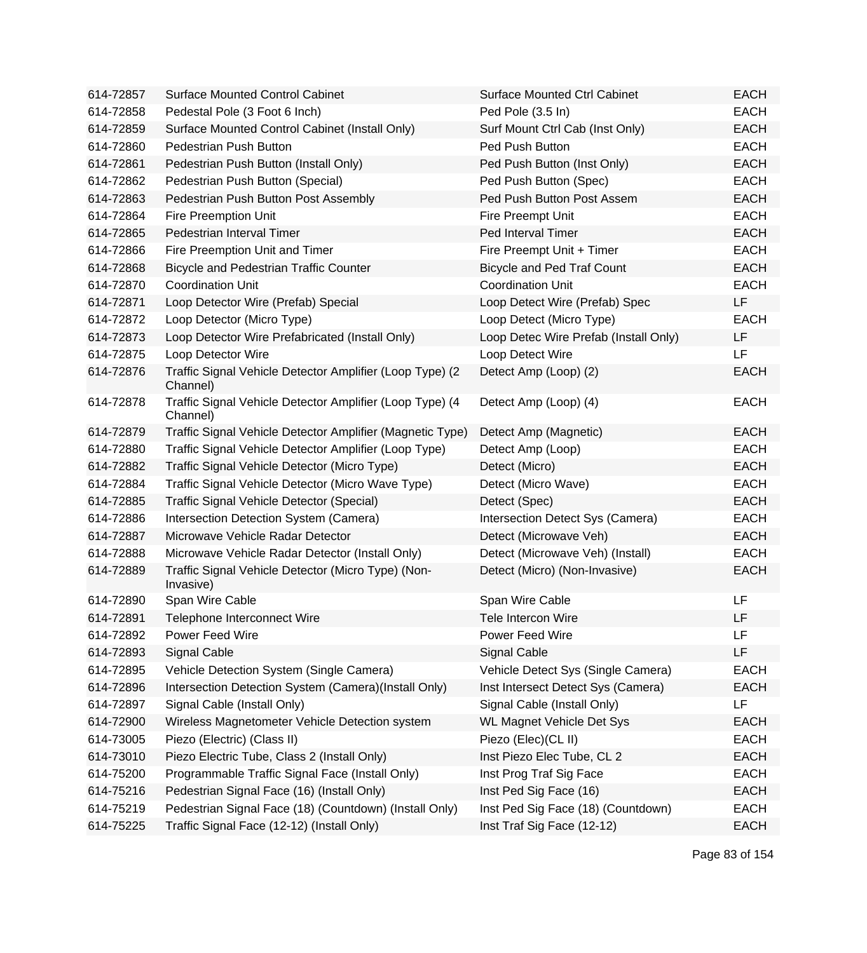| 614-72857 | <b>Surface Mounted Control Cabinet</b>                               | <b>Surface Mounted Ctrl Cabinet</b>   | <b>EACH</b> |
|-----------|----------------------------------------------------------------------|---------------------------------------|-------------|
| 614-72858 | Pedestal Pole (3 Foot 6 Inch)                                        | Ped Pole (3.5 In)                     | <b>EACH</b> |
| 614-72859 | Surface Mounted Control Cabinet (Install Only)                       | Surf Mount Ctrl Cab (Inst Only)       | <b>EACH</b> |
| 614-72860 | Pedestrian Push Button                                               | Ped Push Button                       | <b>EACH</b> |
| 614-72861 | Pedestrian Push Button (Install Only)                                | Ped Push Button (Inst Only)           | <b>EACH</b> |
| 614-72862 | Pedestrian Push Button (Special)                                     | Ped Push Button (Spec)                | <b>EACH</b> |
| 614-72863 | Pedestrian Push Button Post Assembly                                 | Ped Push Button Post Assem            | <b>EACH</b> |
| 614-72864 | Fire Preemption Unit                                                 | Fire Preempt Unit                     | <b>EACH</b> |
| 614-72865 | Pedestrian Interval Timer                                            | Ped Interval Timer                    | <b>EACH</b> |
| 614-72866 | Fire Preemption Unit and Timer                                       | Fire Preempt Unit + Timer             | <b>EACH</b> |
| 614-72868 | <b>Bicycle and Pedestrian Traffic Counter</b>                        | <b>Bicycle and Ped Traf Count</b>     | <b>EACH</b> |
| 614-72870 | <b>Coordination Unit</b>                                             | <b>Coordination Unit</b>              | <b>EACH</b> |
| 614-72871 | Loop Detector Wire (Prefab) Special                                  | Loop Detect Wire (Prefab) Spec        | LF          |
| 614-72872 | Loop Detector (Micro Type)                                           | Loop Detect (Micro Type)              | <b>EACH</b> |
| 614-72873 | Loop Detector Wire Prefabricated (Install Only)                      | Loop Detec Wire Prefab (Install Only) | LF          |
| 614-72875 | Loop Detector Wire                                                   | Loop Detect Wire                      | LF          |
| 614-72876 | Traffic Signal Vehicle Detector Amplifier (Loop Type) (2<br>Channel) | Detect Amp (Loop) (2)                 | <b>EACH</b> |
| 614-72878 | Traffic Signal Vehicle Detector Amplifier (Loop Type) (4<br>Channel) | Detect Amp (Loop) (4)                 | <b>EACH</b> |
| 614-72879 | Traffic Signal Vehicle Detector Amplifier (Magnetic Type)            | Detect Amp (Magnetic)                 | <b>EACH</b> |
| 614-72880 | Traffic Signal Vehicle Detector Amplifier (Loop Type)                | Detect Amp (Loop)                     | <b>EACH</b> |
| 614-72882 | Traffic Signal Vehicle Detector (Micro Type)                         | Detect (Micro)                        | <b>EACH</b> |
| 614-72884 | Traffic Signal Vehicle Detector (Micro Wave Type)                    | Detect (Micro Wave)                   | <b>EACH</b> |
| 614-72885 | Traffic Signal Vehicle Detector (Special)                            | Detect (Spec)                         | <b>EACH</b> |
| 614-72886 | Intersection Detection System (Camera)                               | Intersection Detect Sys (Camera)      | <b>EACH</b> |
| 614-72887 | Microwave Vehicle Radar Detector                                     | Detect (Microwave Veh)                | <b>EACH</b> |
| 614-72888 | Microwave Vehicle Radar Detector (Install Only)                      | Detect (Microwave Veh) (Install)      | <b>EACH</b> |
| 614-72889 | Traffic Signal Vehicle Detector (Micro Type) (Non-<br>Invasive)      | Detect (Micro) (Non-Invasive)         | <b>EACH</b> |
| 614-72890 | Span Wire Cable                                                      | Span Wire Cable                       | LF          |
| 614-72891 | Telephone Interconnect Wire                                          | Tele Intercon Wire                    | LF          |
| 614-72892 | Power Feed Wire                                                      | Power Feed Wire                       | LF          |
| 614-72893 | <b>Signal Cable</b>                                                  | <b>Signal Cable</b>                   | LF          |
| 614-72895 | Vehicle Detection System (Single Camera)                             | Vehicle Detect Sys (Single Camera)    | <b>EACH</b> |
| 614-72896 | Intersection Detection System (Camera)(Install Only)                 | Inst Intersect Detect Sys (Camera)    | <b>EACH</b> |
| 614-72897 | Signal Cable (Install Only)                                          | Signal Cable (Install Only)           | LF          |
| 614-72900 | Wireless Magnetometer Vehicle Detection system                       | <b>WL Magnet Vehicle Det Sys</b>      | <b>EACH</b> |
| 614-73005 | Piezo (Electric) (Class II)                                          | Piezo (Elec)(CL II)                   | <b>EACH</b> |
| 614-73010 | Piezo Electric Tube, Class 2 (Install Only)                          | Inst Piezo Elec Tube, CL 2            | <b>EACH</b> |
| 614-75200 | Programmable Traffic Signal Face (Install Only)                      | Inst Prog Traf Sig Face               | <b>EACH</b> |
| 614-75216 | Pedestrian Signal Face (16) (Install Only)                           | Inst Ped Sig Face (16)                | <b>EACH</b> |
| 614-75219 | Pedestrian Signal Face (18) (Countdown) (Install Only)               | Inst Ped Sig Face (18) (Countdown)    | <b>EACH</b> |
| 614-75225 | Traffic Signal Face (12-12) (Install Only)                           | Inst Traf Sig Face (12-12)            | <b>EACH</b> |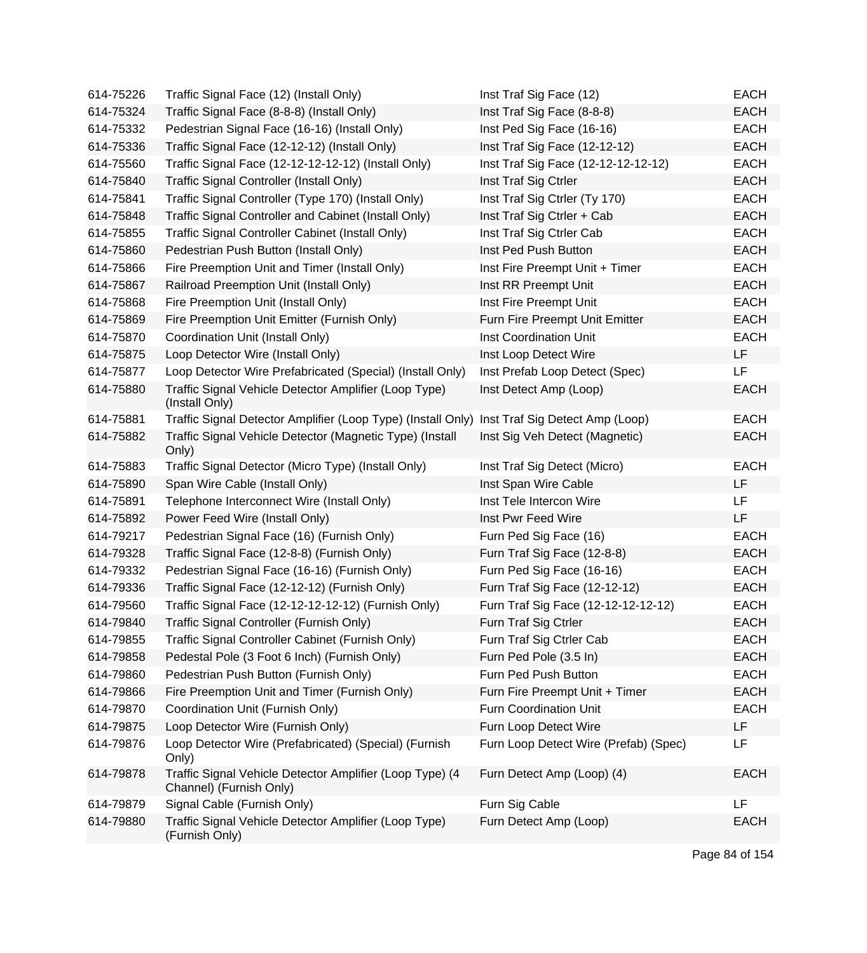| 614-75226 | Traffic Signal Face (12) (Install Only)                                                      | Inst Traf Sig Face (12)               | <b>EACH</b> |
|-----------|----------------------------------------------------------------------------------------------|---------------------------------------|-------------|
| 614-75324 | Traffic Signal Face (8-8-8) (Install Only)                                                   | Inst Traf Sig Face (8-8-8)            | <b>EACH</b> |
| 614-75332 | Pedestrian Signal Face (16-16) (Install Only)                                                | Inst Ped Sig Face (16-16)             | <b>EACH</b> |
| 614-75336 | Traffic Signal Face (12-12-12) (Install Only)                                                | Inst Traf Sig Face (12-12-12)         | <b>EACH</b> |
| 614-75560 | Traffic Signal Face (12-12-12-12-12) (Install Only)                                          | Inst Traf Sig Face (12-12-12-12-12)   | <b>EACH</b> |
| 614-75840 | Traffic Signal Controller (Install Only)                                                     | Inst Traf Sig Ctrler                  | <b>EACH</b> |
| 614-75841 | Traffic Signal Controller (Type 170) (Install Only)                                          | Inst Traf Sig Ctrler (Ty 170)         | <b>EACH</b> |
| 614-75848 | Traffic Signal Controller and Cabinet (Install Only)                                         | Inst Traf Sig Ctrler + Cab            | <b>EACH</b> |
| 614-75855 | Traffic Signal Controller Cabinet (Install Only)                                             | Inst Traf Sig Ctrler Cab              | <b>EACH</b> |
| 614-75860 | Pedestrian Push Button (Install Only)                                                        | Inst Ped Push Button                  | <b>EACH</b> |
| 614-75866 | Fire Preemption Unit and Timer (Install Only)                                                | Inst Fire Preempt Unit + Timer        | <b>EACH</b> |
| 614-75867 | Railroad Preemption Unit (Install Only)                                                      | Inst RR Preempt Unit                  | <b>EACH</b> |
| 614-75868 | Fire Preemption Unit (Install Only)                                                          | Inst Fire Preempt Unit                | <b>EACH</b> |
| 614-75869 | Fire Preemption Unit Emitter (Furnish Only)                                                  | Furn Fire Preempt Unit Emitter        | <b>EACH</b> |
| 614-75870 | Coordination Unit (Install Only)                                                             | Inst Coordination Unit                | <b>EACH</b> |
| 614-75875 | Loop Detector Wire (Install Only)                                                            | Inst Loop Detect Wire                 | LF          |
| 614-75877 | Loop Detector Wire Prefabricated (Special) (Install Only)                                    | Inst Prefab Loop Detect (Spec)        | LF          |
| 614-75880 | Traffic Signal Vehicle Detector Amplifier (Loop Type)<br>(Install Only)                      | Inst Detect Amp (Loop)                | <b>EACH</b> |
| 614-75881 | Traffic Signal Detector Amplifier (Loop Type) (Install Only) Inst Traf Sig Detect Amp (Loop) |                                       | <b>EACH</b> |
| 614-75882 | Traffic Signal Vehicle Detector (Magnetic Type) (Install<br>Only)                            | Inst Sig Veh Detect (Magnetic)        | <b>EACH</b> |
| 614-75883 | Traffic Signal Detector (Micro Type) (Install Only)                                          | Inst Traf Sig Detect (Micro)          | <b>EACH</b> |
| 614-75890 | Span Wire Cable (Install Only)                                                               | Inst Span Wire Cable                  | LF          |
| 614-75891 | Telephone Interconnect Wire (Install Only)                                                   | Inst Tele Intercon Wire               | LF          |
| 614-75892 | Power Feed Wire (Install Only)                                                               | Inst Pwr Feed Wire                    | LF          |
| 614-79217 | Pedestrian Signal Face (16) (Furnish Only)                                                   | Furn Ped Sig Face (16)                | <b>EACH</b> |
| 614-79328 | Traffic Signal Face (12-8-8) (Furnish Only)                                                  | Furn Traf Sig Face (12-8-8)           | <b>EACH</b> |
| 614-79332 | Pedestrian Signal Face (16-16) (Furnish Only)                                                | Furn Ped Sig Face (16-16)             | <b>EACH</b> |
| 614-79336 | Traffic Signal Face (12-12-12) (Furnish Only)                                                | Furn Traf Sig Face (12-12-12)         | <b>EACH</b> |
| 614-79560 | Traffic Signal Face (12-12-12-12-12) (Furnish Only)                                          | Furn Traf Sig Face (12-12-12-12-12)   | <b>EACH</b> |
| 614-79840 | Traffic Signal Controller (Furnish Only)                                                     | Furn Traf Sig Ctrler                  | <b>EACH</b> |
| 614-79855 | Traffic Signal Controller Cabinet (Furnish Only)                                             | Furn Traf Sig Ctrler Cab              | <b>EACH</b> |
| 614-79858 | Pedestal Pole (3 Foot 6 Inch) (Furnish Only)                                                 | Furn Ped Pole (3.5 In)                | <b>EACH</b> |
| 614-79860 | Pedestrian Push Button (Furnish Only)                                                        | Furn Ped Push Button                  | <b>EACH</b> |
| 614-79866 | Fire Preemption Unit and Timer (Furnish Only)                                                | Furn Fire Preempt Unit + Timer        | <b>EACH</b> |
| 614-79870 | Coordination Unit (Furnish Only)                                                             | Furn Coordination Unit                | <b>EACH</b> |
| 614-79875 | Loop Detector Wire (Furnish Only)                                                            | Furn Loop Detect Wire                 | LF          |
| 614-79876 | Loop Detector Wire (Prefabricated) (Special) (Furnish<br>Only)                               | Furn Loop Detect Wire (Prefab) (Spec) | LF          |
| 614-79878 | Traffic Signal Vehicle Detector Amplifier (Loop Type) (4<br>Channel) (Furnish Only)          | Furn Detect Amp (Loop) (4)            | <b>EACH</b> |
| 614-79879 | Signal Cable (Furnish Only)                                                                  | Furn Sig Cable                        | LF          |
| 614-79880 | Traffic Signal Vehicle Detector Amplifier (Loop Type)<br>(Furnish Only)                      | Furn Detect Amp (Loop)                | <b>EACH</b> |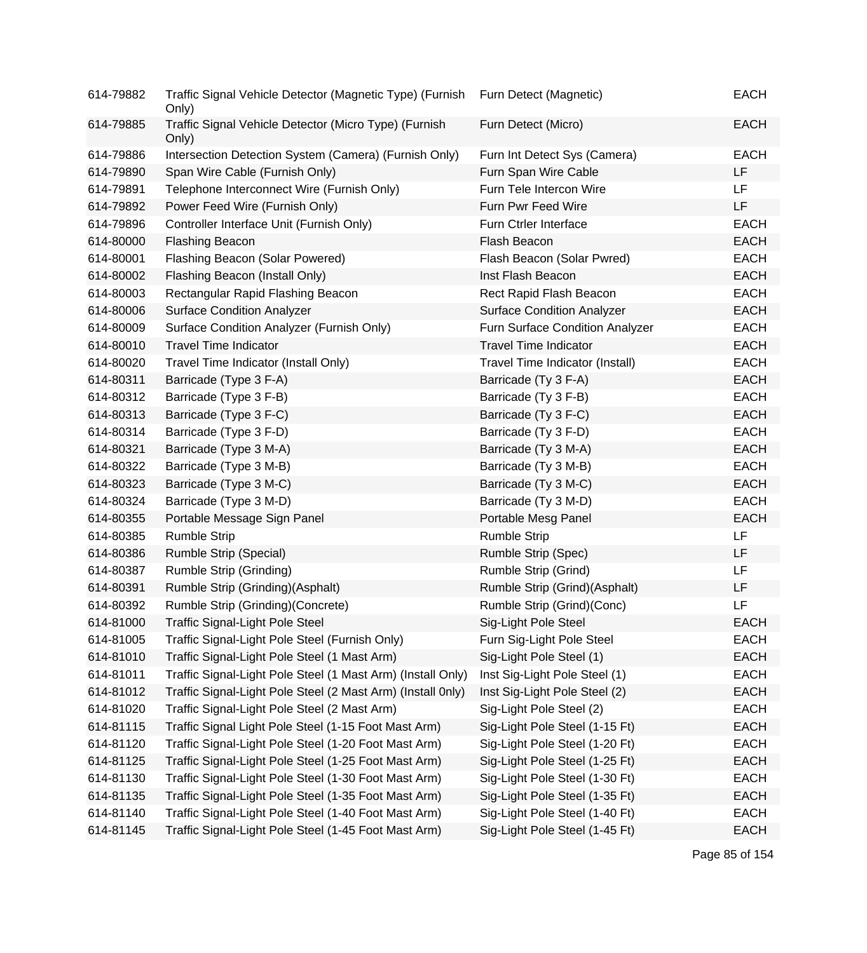| 614-79882 | Traffic Signal Vehicle Detector (Magnetic Type) (Furnish<br>Only) | Furn Detect (Magnetic)            | <b>EACH</b> |
|-----------|-------------------------------------------------------------------|-----------------------------------|-------------|
| 614-79885 | Traffic Signal Vehicle Detector (Micro Type) (Furnish<br>Only)    | Furn Detect (Micro)               | <b>EACH</b> |
| 614-79886 | Intersection Detection System (Camera) (Furnish Only)             | Furn Int Detect Sys (Camera)      | <b>EACH</b> |
| 614-79890 | Span Wire Cable (Furnish Only)                                    | Furn Span Wire Cable              | LF          |
| 614-79891 | Telephone Interconnect Wire (Furnish Only)                        | Furn Tele Intercon Wire           | LF.         |
| 614-79892 | Power Feed Wire (Furnish Only)                                    | Furn Pwr Feed Wire                | LF          |
| 614-79896 | Controller Interface Unit (Furnish Only)                          | Furn Ctrler Interface             | <b>EACH</b> |
| 614-80000 | <b>Flashing Beacon</b>                                            | Flash Beacon                      | <b>EACH</b> |
| 614-80001 | Flashing Beacon (Solar Powered)                                   | Flash Beacon (Solar Pwred)        | <b>EACH</b> |
| 614-80002 | Flashing Beacon (Install Only)                                    | Inst Flash Beacon                 | <b>EACH</b> |
| 614-80003 | Rectangular Rapid Flashing Beacon                                 | Rect Rapid Flash Beacon           | <b>EACH</b> |
| 614-80006 | <b>Surface Condition Analyzer</b>                                 | <b>Surface Condition Analyzer</b> | <b>EACH</b> |
| 614-80009 | Surface Condition Analyzer (Furnish Only)                         | Furn Surface Condition Analyzer   | <b>EACH</b> |
| 614-80010 | <b>Travel Time Indicator</b>                                      | <b>Travel Time Indicator</b>      | <b>EACH</b> |
| 614-80020 | Travel Time Indicator (Install Only)                              | Travel Time Indicator (Install)   | <b>EACH</b> |
| 614-80311 | Barricade (Type 3 F-A)                                            | Barricade (Ty 3 F-A)              | <b>EACH</b> |
| 614-80312 | Barricade (Type 3 F-B)                                            | Barricade (Ty 3 F-B)              | <b>EACH</b> |
| 614-80313 | Barricade (Type 3 F-C)                                            | Barricade (Ty 3 F-C)              | <b>EACH</b> |
| 614-80314 | Barricade (Type 3 F-D)                                            | Barricade (Ty 3 F-D)              | <b>EACH</b> |
| 614-80321 | Barricade (Type 3 M-A)                                            | Barricade (Ty 3 M-A)              | <b>EACH</b> |
| 614-80322 | Barricade (Type 3 M-B)                                            | Barricade (Ty 3 M-B)              | <b>EACH</b> |
| 614-80323 | Barricade (Type 3 M-C)                                            | Barricade (Ty 3 M-C)              | <b>EACH</b> |
| 614-80324 | Barricade (Type 3 M-D)                                            | Barricade (Ty 3 M-D)              | <b>EACH</b> |
| 614-80355 | Portable Message Sign Panel                                       | Portable Mesg Panel               | <b>EACH</b> |
| 614-80385 | <b>Rumble Strip</b>                                               | <b>Rumble Strip</b>               | <b>LF</b>   |
| 614-80386 | Rumble Strip (Special)                                            | Rumble Strip (Spec)               | LF          |
| 614-80387 | <b>Rumble Strip (Grinding)</b>                                    | Rumble Strip (Grind)              | LF          |
| 614-80391 | Rumble Strip (Grinding)(Asphalt)                                  | Rumble Strip (Grind)(Asphalt)     | LF          |
| 614-80392 | Rumble Strip (Grinding)(Concrete)                                 | Rumble Strip (Grind)(Conc)        | <b>LF</b>   |
| 614-81000 | <b>Traffic Signal-Light Pole Steel</b>                            | Sig-Light Pole Steel              | <b>EACH</b> |
| 614-81005 | Traffic Signal-Light Pole Steel (Furnish Only)                    | Furn Sig-Light Pole Steel         | <b>EACH</b> |
| 614-81010 | Traffic Signal-Light Pole Steel (1 Mast Arm)                      | Sig-Light Pole Steel (1)          | <b>EACH</b> |
| 614-81011 | Traffic Signal-Light Pole Steel (1 Mast Arm) (Install Only)       | Inst Sig-Light Pole Steel (1)     | <b>EACH</b> |
| 614-81012 | Traffic Signal-Light Pole Steel (2 Mast Arm) (Install 0nly)       | Inst Sig-Light Pole Steel (2)     | <b>EACH</b> |
| 614-81020 | Traffic Signal-Light Pole Steel (2 Mast Arm)                      | Sig-Light Pole Steel (2)          | <b>EACH</b> |
| 614-81115 | Traffic Signal Light Pole Steel (1-15 Foot Mast Arm)              | Sig-Light Pole Steel (1-15 Ft)    | <b>EACH</b> |
| 614-81120 | Traffic Signal-Light Pole Steel (1-20 Foot Mast Arm)              | Sig-Light Pole Steel (1-20 Ft)    | <b>EACH</b> |
| 614-81125 | Traffic Signal-Light Pole Steel (1-25 Foot Mast Arm)              | Sig-Light Pole Steel (1-25 Ft)    | <b>EACH</b> |
| 614-81130 | Traffic Signal-Light Pole Steel (1-30 Foot Mast Arm)              | Sig-Light Pole Steel (1-30 Ft)    | <b>EACH</b> |
| 614-81135 | Traffic Signal-Light Pole Steel (1-35 Foot Mast Arm)              | Sig-Light Pole Steel (1-35 Ft)    | <b>EACH</b> |
| 614-81140 | Traffic Signal-Light Pole Steel (1-40 Foot Mast Arm)              | Sig-Light Pole Steel (1-40 Ft)    | <b>EACH</b> |
| 614-81145 | Traffic Signal-Light Pole Steel (1-45 Foot Mast Arm)              | Sig-Light Pole Steel (1-45 Ft)    | <b>EACH</b> |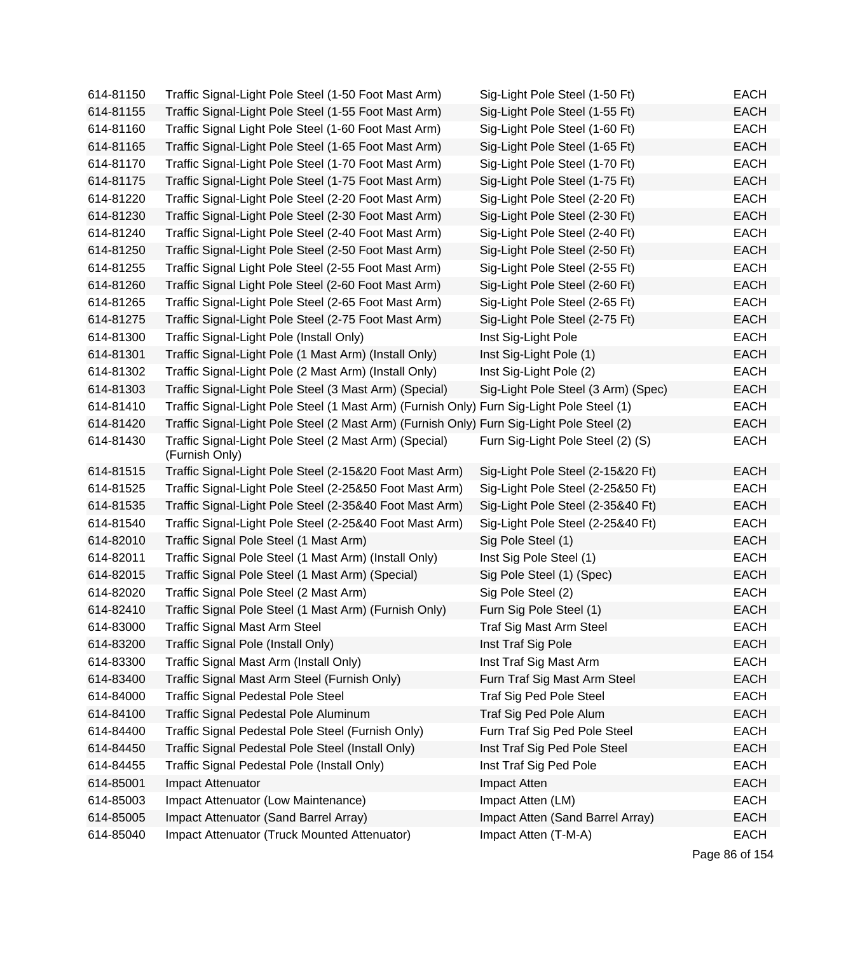| 614-81150 | Traffic Signal-Light Pole Steel (1-50 Foot Mast Arm)                                      | Sig-Light Pole Steel (1-50 Ft)      | <b>EACH</b> |
|-----------|-------------------------------------------------------------------------------------------|-------------------------------------|-------------|
| 614-81155 | Traffic Signal-Light Pole Steel (1-55 Foot Mast Arm)                                      | Sig-Light Pole Steel (1-55 Ft)      | <b>EACH</b> |
| 614-81160 | Traffic Signal Light Pole Steel (1-60 Foot Mast Arm)                                      | Sig-Light Pole Steel (1-60 Ft)      | <b>EACH</b> |
| 614-81165 | Traffic Signal-Light Pole Steel (1-65 Foot Mast Arm)                                      | Sig-Light Pole Steel (1-65 Ft)      | <b>EACH</b> |
| 614-81170 | Traffic Signal-Light Pole Steel (1-70 Foot Mast Arm)                                      | Sig-Light Pole Steel (1-70 Ft)      | <b>EACH</b> |
| 614-81175 | Traffic Signal-Light Pole Steel (1-75 Foot Mast Arm)                                      | Sig-Light Pole Steel (1-75 Ft)      | <b>EACH</b> |
| 614-81220 | Traffic Signal-Light Pole Steel (2-20 Foot Mast Arm)                                      | Sig-Light Pole Steel (2-20 Ft)      | <b>EACH</b> |
| 614-81230 | Traffic Signal-Light Pole Steel (2-30 Foot Mast Arm)                                      | Sig-Light Pole Steel (2-30 Ft)      | <b>EACH</b> |
| 614-81240 | Traffic Signal-Light Pole Steel (2-40 Foot Mast Arm)                                      | Sig-Light Pole Steel (2-40 Ft)      | <b>EACH</b> |
| 614-81250 | Traffic Signal-Light Pole Steel (2-50 Foot Mast Arm)                                      | Sig-Light Pole Steel (2-50 Ft)      | <b>EACH</b> |
| 614-81255 | Traffic Signal Light Pole Steel (2-55 Foot Mast Arm)                                      | Sig-Light Pole Steel (2-55 Ft)      | <b>EACH</b> |
| 614-81260 | Traffic Signal Light Pole Steel (2-60 Foot Mast Arm)                                      | Sig-Light Pole Steel (2-60 Ft)      | <b>EACH</b> |
| 614-81265 | Traffic Signal-Light Pole Steel (2-65 Foot Mast Arm)                                      | Sig-Light Pole Steel (2-65 Ft)      | <b>EACH</b> |
| 614-81275 | Traffic Signal-Light Pole Steel (2-75 Foot Mast Arm)                                      | Sig-Light Pole Steel (2-75 Ft)      | <b>EACH</b> |
| 614-81300 | Traffic Signal-Light Pole (Install Only)                                                  | Inst Sig-Light Pole                 | <b>EACH</b> |
| 614-81301 | Traffic Signal-Light Pole (1 Mast Arm) (Install Only)                                     | Inst Sig-Light Pole (1)             | <b>EACH</b> |
| 614-81302 | Traffic Signal-Light Pole (2 Mast Arm) (Install Only)                                     | Inst Sig-Light Pole (2)             | <b>EACH</b> |
| 614-81303 | Traffic Signal-Light Pole Steel (3 Mast Arm) (Special)                                    | Sig-Light Pole Steel (3 Arm) (Spec) | <b>EACH</b> |
| 614-81410 | Traffic Signal-Light Pole Steel (1 Mast Arm) (Furnish Only) Furn Sig-Light Pole Steel (1) |                                     | <b>EACH</b> |
| 614-81420 | Traffic Signal-Light Pole Steel (2 Mast Arm) (Furnish Only) Furn Sig-Light Pole Steel (2) |                                     | <b>EACH</b> |
| 614-81430 | Traffic Signal-Light Pole Steel (2 Mast Arm) (Special)<br>(Furnish Only)                  | Furn Sig-Light Pole Steel (2) (S)   | <b>EACH</b> |
| 614-81515 | Traffic Signal-Light Pole Steel (2-15&20 Foot Mast Arm)                                   | Sig-Light Pole Steel (2-15&20 Ft)   | <b>EACH</b> |
| 614-81525 | Traffic Signal-Light Pole Steel (2-25&50 Foot Mast Arm)                                   | Sig-Light Pole Steel (2-25&50 Ft)   | EACH        |
| 614-81535 | Traffic Signal-Light Pole Steel (2-35&40 Foot Mast Arm)                                   | Sig-Light Pole Steel (2-35&40 Ft)   | <b>EACH</b> |
| 614-81540 | Traffic Signal-Light Pole Steel (2-25&40 Foot Mast Arm)                                   | Sig-Light Pole Steel (2-25&40 Ft)   | <b>EACH</b> |
| 614-82010 | Traffic Signal Pole Steel (1 Mast Arm)                                                    | Sig Pole Steel (1)                  | <b>EACH</b> |
| 614-82011 | Traffic Signal Pole Steel (1 Mast Arm) (Install Only)                                     | Inst Sig Pole Steel (1)             | <b>EACH</b> |
| 614-82015 | Traffic Signal Pole Steel (1 Mast Arm) (Special)                                          | Sig Pole Steel (1) (Spec)           | <b>EACH</b> |
| 614-82020 | Traffic Signal Pole Steel (2 Mast Arm)                                                    | Sig Pole Steel (2)                  | <b>EACH</b> |
| 614-82410 | Traffic Signal Pole Steel (1 Mast Arm) (Furnish Only)                                     | Furn Sig Pole Steel (1)             | <b>EACH</b> |
| 614-83000 | <b>Traffic Signal Mast Arm Steel</b>                                                      | Traf Sig Mast Arm Steel             | <b>EACH</b> |
| 614-83200 | Traffic Signal Pole (Install Only)                                                        | Inst Traf Sig Pole                  | <b>EACH</b> |
| 614-83300 | Traffic Signal Mast Arm (Install Only)                                                    | Inst Traf Sig Mast Arm              | <b>EACH</b> |
| 614-83400 | Traffic Signal Mast Arm Steel (Furnish Only)                                              | Furn Traf Sig Mast Arm Steel        | <b>EACH</b> |
| 614-84000 | <b>Traffic Signal Pedestal Pole Steel</b>                                                 | <b>Traf Sig Ped Pole Steel</b>      | <b>EACH</b> |
| 614-84100 | Traffic Signal Pedestal Pole Aluminum                                                     | Traf Sig Ped Pole Alum              | <b>EACH</b> |
| 614-84400 | Traffic Signal Pedestal Pole Steel (Furnish Only)                                         | Furn Traf Sig Ped Pole Steel        | <b>EACH</b> |
| 614-84450 | Traffic Signal Pedestal Pole Steel (Install Only)                                         | Inst Traf Sig Ped Pole Steel        | <b>EACH</b> |
| 614-84455 | Traffic Signal Pedestal Pole (Install Only)                                               | Inst Traf Sig Ped Pole              | <b>EACH</b> |
| 614-85001 | Impact Attenuator                                                                         | Impact Atten                        | <b>EACH</b> |
| 614-85003 | Impact Attenuator (Low Maintenance)                                                       | Impact Atten (LM)                   | <b>EACH</b> |
| 614-85005 | Impact Attenuator (Sand Barrel Array)                                                     | Impact Atten (Sand Barrel Array)    | <b>EACH</b> |
| 614-85040 | Impact Attenuator (Truck Mounted Attenuator)                                              | Impact Atten (T-M-A)                | <b>EACH</b> |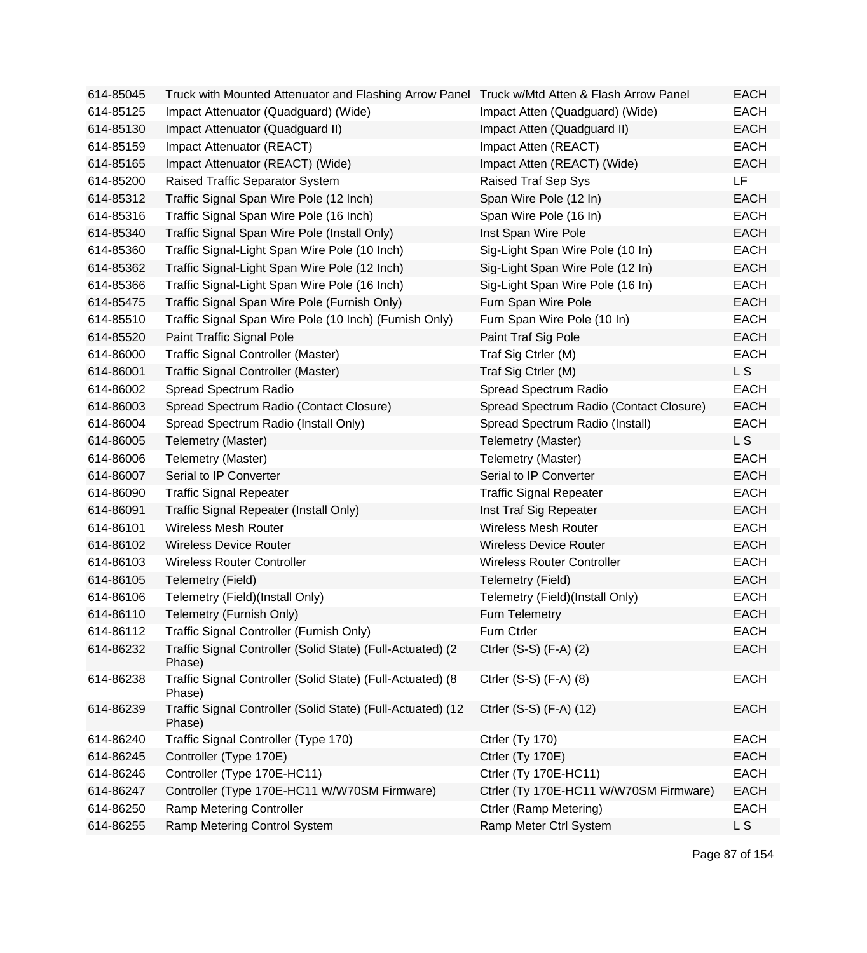| 614-85045 | Truck with Mounted Attenuator and Flashing Arrow Panel Truck w/Mtd Atten & Flash Arrow Panel |                                         | <b>EACH</b> |
|-----------|----------------------------------------------------------------------------------------------|-----------------------------------------|-------------|
| 614-85125 | Impact Attenuator (Quadguard) (Wide)                                                         | Impact Atten (Quadguard) (Wide)         | <b>EACH</b> |
| 614-85130 | Impact Attenuator (Quadguard II)                                                             | Impact Atten (Quadguard II)             | <b>EACH</b> |
| 614-85159 | Impact Attenuator (REACT)                                                                    | Impact Atten (REACT)                    | <b>EACH</b> |
| 614-85165 | Impact Attenuator (REACT) (Wide)                                                             | Impact Atten (REACT) (Wide)             | <b>EACH</b> |
| 614-85200 | Raised Traffic Separator System                                                              | Raised Traf Sep Sys                     | LF          |
| 614-85312 | Traffic Signal Span Wire Pole (12 Inch)                                                      | Span Wire Pole (12 In)                  | <b>EACH</b> |
| 614-85316 | Traffic Signal Span Wire Pole (16 Inch)                                                      | Span Wire Pole (16 In)                  | <b>EACH</b> |
| 614-85340 | Traffic Signal Span Wire Pole (Install Only)                                                 | Inst Span Wire Pole                     | <b>EACH</b> |
| 614-85360 | Traffic Signal-Light Span Wire Pole (10 Inch)                                                | Sig-Light Span Wire Pole (10 In)        | <b>EACH</b> |
| 614-85362 | Traffic Signal-Light Span Wire Pole (12 Inch)                                                | Sig-Light Span Wire Pole (12 In)        | <b>EACH</b> |
| 614-85366 | Traffic Signal-Light Span Wire Pole (16 Inch)                                                | Sig-Light Span Wire Pole (16 In)        | <b>EACH</b> |
| 614-85475 | Traffic Signal Span Wire Pole (Furnish Only)                                                 | Furn Span Wire Pole                     | <b>EACH</b> |
| 614-85510 | Traffic Signal Span Wire Pole (10 Inch) (Furnish Only)                                       | Furn Span Wire Pole (10 In)             | <b>EACH</b> |
| 614-85520 | Paint Traffic Signal Pole                                                                    | Paint Traf Sig Pole                     | <b>EACH</b> |
| 614-86000 | <b>Traffic Signal Controller (Master)</b>                                                    | Traf Sig Ctrler (M)                     | <b>EACH</b> |
| 614-86001 | Traffic Signal Controller (Master)                                                           | Traf Sig Ctrler (M)                     | L S         |
| 614-86002 | Spread Spectrum Radio                                                                        | Spread Spectrum Radio                   | <b>EACH</b> |
| 614-86003 | Spread Spectrum Radio (Contact Closure)                                                      | Spread Spectrum Radio (Contact Closure) | <b>EACH</b> |
| 614-86004 | Spread Spectrum Radio (Install Only)                                                         | Spread Spectrum Radio (Install)         | <b>EACH</b> |
| 614-86005 | Telemetry (Master)                                                                           | Telemetry (Master)                      | L S         |
| 614-86006 | Telemetry (Master)                                                                           | Telemetry (Master)                      | <b>EACH</b> |
| 614-86007 | Serial to IP Converter                                                                       | Serial to IP Converter                  | <b>EACH</b> |
| 614-86090 | <b>Traffic Signal Repeater</b>                                                               | <b>Traffic Signal Repeater</b>          | <b>EACH</b> |
| 614-86091 | Traffic Signal Repeater (Install Only)                                                       | Inst Traf Sig Repeater                  | <b>EACH</b> |
| 614-86101 | <b>Wireless Mesh Router</b>                                                                  | <b>Wireless Mesh Router</b>             | <b>EACH</b> |
| 614-86102 | <b>Wireless Device Router</b>                                                                | <b>Wireless Device Router</b>           | <b>EACH</b> |
| 614-86103 | <b>Wireless Router Controller</b>                                                            | <b>Wireless Router Controller</b>       | <b>EACH</b> |
| 614-86105 | Telemetry (Field)                                                                            | Telemetry (Field)                       | <b>EACH</b> |
| 614-86106 | Telemetry (Field)(Install Only)                                                              | Telemetry (Field)(Install Only)         | <b>EACH</b> |
| 614-86110 | Telemetry (Furnish Only)                                                                     | Furn Telemetry                          | <b>EACH</b> |
| 614-86112 | Traffic Signal Controller (Furnish Only)                                                     | <b>Furn Ctrler</b>                      | EACH        |
| 614-86232 | Traffic Signal Controller (Solid State) (Full-Actuated) (2<br>Phase)                         | Ctrler (S-S) (F-A) (2)                  | <b>EACH</b> |
| 614-86238 | Traffic Signal Controller (Solid State) (Full-Actuated) (8<br>Phase)                         | Ctrler (S-S) (F-A) (8)                  | <b>EACH</b> |
| 614-86239 | Traffic Signal Controller (Solid State) (Full-Actuated) (12<br>Phase)                        | Ctrler (S-S) (F-A) (12)                 | <b>EACH</b> |
| 614-86240 | Traffic Signal Controller (Type 170)                                                         | Ctrler (Ty 170)                         | <b>EACH</b> |
| 614-86245 | Controller (Type 170E)                                                                       | Ctrler (Ty 170E)                        | <b>EACH</b> |
| 614-86246 | Controller (Type 170E-HC11)                                                                  | Ctrler (Ty 170E-HC11)                   | <b>EACH</b> |
| 614-86247 | Controller (Type 170E-HC11 W/W70SM Firmware)                                                 | Ctrler (Ty 170E-HC11 W/W70SM Firmware)  | <b>EACH</b> |
| 614-86250 | Ramp Metering Controller                                                                     | Ctrler (Ramp Metering)                  | <b>EACH</b> |
| 614-86255 | Ramp Metering Control System                                                                 | Ramp Meter Ctrl System                  | L S         |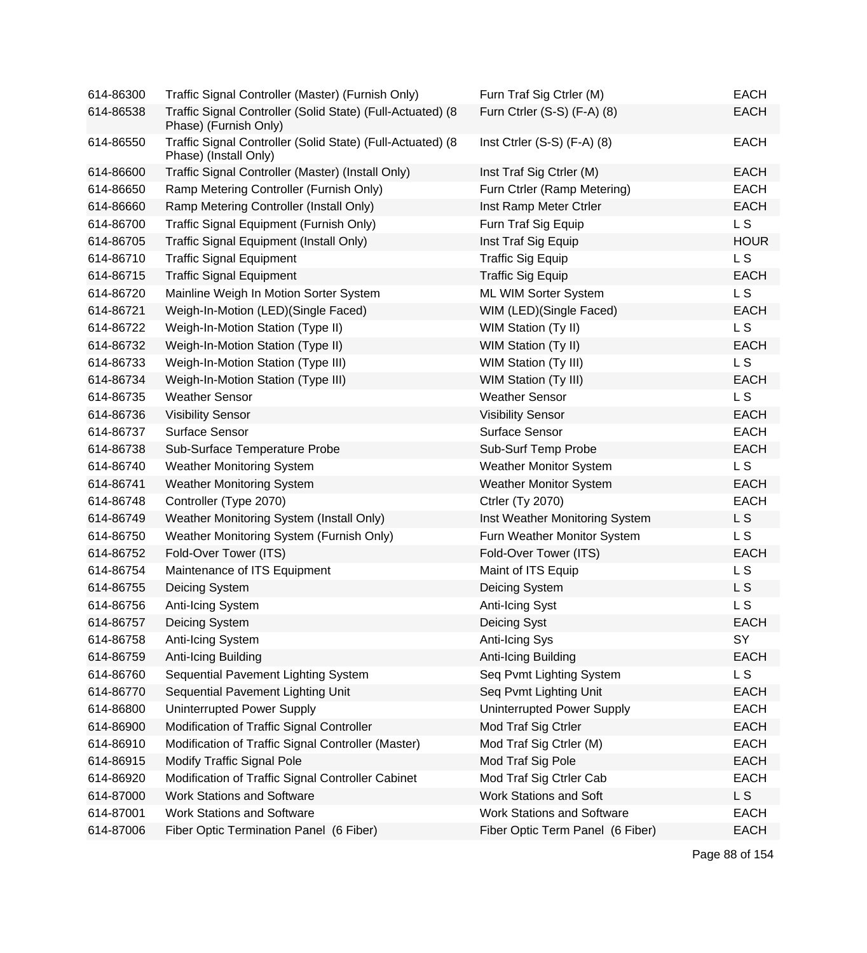| 614-86300 | Traffic Signal Controller (Master) (Furnish Only)                                   | Furn Traf Sig Ctrler (M)          | <b>EACH</b> |
|-----------|-------------------------------------------------------------------------------------|-----------------------------------|-------------|
| 614-86538 | Traffic Signal Controller (Solid State) (Full-Actuated) (8<br>Phase) (Furnish Only) | Furn Ctrler (S-S) (F-A) (8)       | <b>EACH</b> |
| 614-86550 | Traffic Signal Controller (Solid State) (Full-Actuated) (8<br>Phase) (Install Only) | Inst Ctrler $(S-S)$ $(F-A)$ $(8)$ | <b>EACH</b> |
| 614-86600 | Traffic Signal Controller (Master) (Install Only)                                   | Inst Traf Sig Ctrler (M)          | <b>EACH</b> |
| 614-86650 | Ramp Metering Controller (Furnish Only)                                             | Furn Ctrler (Ramp Metering)       | <b>EACH</b> |
| 614-86660 | Ramp Metering Controller (Install Only)                                             | Inst Ramp Meter Ctrler            | <b>EACH</b> |
| 614-86700 | Traffic Signal Equipment (Furnish Only)                                             | Furn Traf Sig Equip               | L S         |
| 614-86705 | Traffic Signal Equipment (Install Only)                                             | Inst Traf Sig Equip               | <b>HOUR</b> |
| 614-86710 | <b>Traffic Signal Equipment</b>                                                     | <b>Traffic Sig Equip</b>          | LS.         |
| 614-86715 | <b>Traffic Signal Equipment</b>                                                     | <b>Traffic Sig Equip</b>          | <b>EACH</b> |
| 614-86720 | Mainline Weigh In Motion Sorter System                                              | ML WIM Sorter System              | <b>LS</b>   |
| 614-86721 | Weigh-In-Motion (LED)(Single Faced)                                                 | WIM (LED) (Single Faced)          | <b>EACH</b> |
| 614-86722 | Weigh-In-Motion Station (Type II)                                                   | WIM Station (Ty II)               | L S         |
| 614-86732 | Weigh-In-Motion Station (Type II)                                                   | WIM Station (Ty II)               | <b>EACH</b> |
| 614-86733 | Weigh-In-Motion Station (Type III)                                                  | <b>WIM Station (Ty III)</b>       | <b>LS</b>   |
| 614-86734 | Weigh-In-Motion Station (Type III)                                                  | <b>WIM Station (Ty III)</b>       | <b>EACH</b> |
| 614-86735 | <b>Weather Sensor</b>                                                               | <b>Weather Sensor</b>             | L S         |
| 614-86736 | <b>Visibility Sensor</b>                                                            | <b>Visibility Sensor</b>          | <b>EACH</b> |
| 614-86737 | <b>Surface Sensor</b>                                                               | <b>Surface Sensor</b>             | <b>EACH</b> |
| 614-86738 | Sub-Surface Temperature Probe                                                       | Sub-Surf Temp Probe               | <b>EACH</b> |
| 614-86740 | <b>Weather Monitoring System</b>                                                    | <b>Weather Monitor System</b>     | L S         |
| 614-86741 | <b>Weather Monitoring System</b>                                                    | <b>Weather Monitor System</b>     | <b>EACH</b> |
| 614-86748 | Controller (Type 2070)                                                              | <b>Ctrler (Ty 2070)</b>           | <b>EACH</b> |
| 614-86749 | Weather Monitoring System (Install Only)                                            | Inst Weather Monitoring System    | L S         |
| 614-86750 | Weather Monitoring System (Furnish Only)                                            | Furn Weather Monitor System       | L S         |
| 614-86752 | Fold-Over Tower (ITS)                                                               | Fold-Over Tower (ITS)             | <b>EACH</b> |
| 614-86754 | Maintenance of ITS Equipment                                                        | Maint of ITS Equip                | L S         |
| 614-86755 | Deicing System                                                                      | Deicing System                    | L S         |
| 614-86756 | Anti-Icing System                                                                   | Anti-Icing Syst                   | <b>LS</b>   |
| 614-86757 | Deicing System                                                                      | Deicing Syst                      | <b>EACH</b> |
| 614-86758 | Anti-Icing System                                                                   | Anti-Icing Sys                    | SY          |
| 614-86759 | Anti-Icing Building                                                                 | Anti-Icing Building               | <b>EACH</b> |
| 614-86760 | Sequential Pavement Lighting System                                                 | Seq Pvmt Lighting System          | L S         |
| 614-86770 | Sequential Pavement Lighting Unit                                                   | Seq Pvmt Lighting Unit            | <b>EACH</b> |
| 614-86800 | Uninterrupted Power Supply                                                          | <b>Uninterrupted Power Supply</b> | <b>EACH</b> |
| 614-86900 | Modification of Traffic Signal Controller                                           | Mod Traf Sig Ctrler               | <b>EACH</b> |
| 614-86910 | Modification of Traffic Signal Controller (Master)                                  | Mod Traf Sig Ctrler (M)           | <b>EACH</b> |
| 614-86915 | <b>Modify Traffic Signal Pole</b>                                                   | Mod Traf Sig Pole                 | <b>EACH</b> |
| 614-86920 | Modification of Traffic Signal Controller Cabinet                                   | Mod Traf Sig Ctrler Cab           | <b>EACH</b> |
| 614-87000 | <b>Work Stations and Software</b>                                                   | Work Stations and Soft            | L S         |
| 614-87001 | <b>Work Stations and Software</b>                                                   | <b>Work Stations and Software</b> | <b>EACH</b> |
| 614-87006 | Fiber Optic Termination Panel (6 Fiber)                                             | Fiber Optic Term Panel (6 Fiber)  | <b>EACH</b> |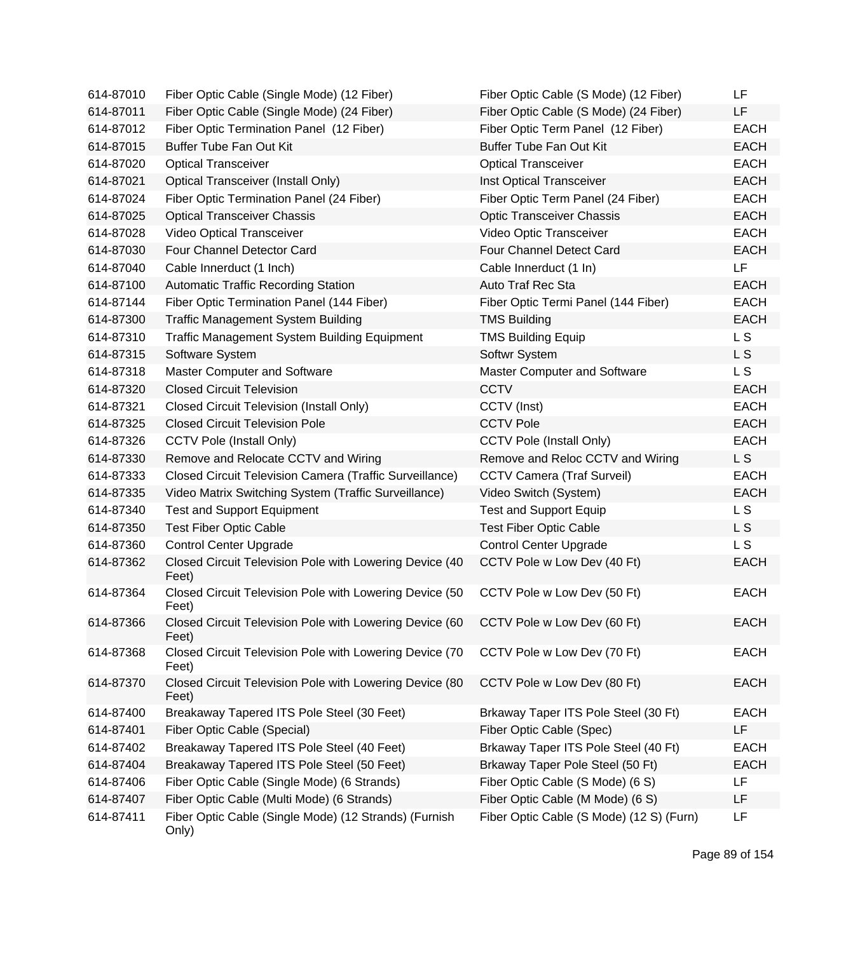| 614-87010 | Fiber Optic Cable (Single Mode) (12 Fiber)                       | Fiber Optic Cable (S Mode) (12 Fiber)    | LF             |
|-----------|------------------------------------------------------------------|------------------------------------------|----------------|
| 614-87011 | Fiber Optic Cable (Single Mode) (24 Fiber)                       | Fiber Optic Cable (S Mode) (24 Fiber)    | LF.            |
| 614-87012 | Fiber Optic Termination Panel (12 Fiber)                         | Fiber Optic Term Panel (12 Fiber)        | <b>EACH</b>    |
| 614-87015 | <b>Buffer Tube Fan Out Kit</b>                                   | <b>Buffer Tube Fan Out Kit</b>           | <b>EACH</b>    |
| 614-87020 | <b>Optical Transceiver</b>                                       | <b>Optical Transceiver</b>               | <b>EACH</b>    |
| 614-87021 | <b>Optical Transceiver (Install Only)</b>                        | Inst Optical Transceiver                 | <b>EACH</b>    |
| 614-87024 | Fiber Optic Termination Panel (24 Fiber)                         | Fiber Optic Term Panel (24 Fiber)        | <b>EACH</b>    |
| 614-87025 | <b>Optical Transceiver Chassis</b>                               | <b>Optic Transceiver Chassis</b>         | <b>EACH</b>    |
| 614-87028 | Video Optical Transceiver                                        | Video Optic Transceiver                  | <b>EACH</b>    |
| 614-87030 | Four Channel Detector Card                                       | Four Channel Detect Card                 | <b>EACH</b>    |
| 614-87040 | Cable Innerduct (1 Inch)                                         | Cable Innerduct (1 In)                   | LF             |
| 614-87100 | <b>Automatic Traffic Recording Station</b>                       | Auto Traf Rec Sta                        | <b>EACH</b>    |
| 614-87144 | Fiber Optic Termination Panel (144 Fiber)                        | Fiber Optic Termi Panel (144 Fiber)      | <b>EACH</b>    |
| 614-87300 | <b>Traffic Management System Building</b>                        | <b>TMS Building</b>                      | <b>EACH</b>    |
| 614-87310 | <b>Traffic Management System Building Equipment</b>              | <b>TMS Building Equip</b>                | L <sub>S</sub> |
| 614-87315 | Software System                                                  | Softwr System                            | L S            |
| 614-87318 | Master Computer and Software                                     | Master Computer and Software             | L S            |
| 614-87320 | <b>Closed Circuit Television</b>                                 | <b>CCTV</b>                              | <b>EACH</b>    |
| 614-87321 | <b>Closed Circuit Television (Install Only)</b>                  | CCTV (Inst)                              | <b>EACH</b>    |
| 614-87325 | <b>Closed Circuit Television Pole</b>                            | <b>CCTV Pole</b>                         | <b>EACH</b>    |
| 614-87326 | <b>CCTV Pole (Install Only)</b>                                  | <b>CCTV Pole (Install Only)</b>          | <b>EACH</b>    |
| 614-87330 | Remove and Relocate CCTV and Wiring                              | Remove and Reloc CCTV and Wiring         | L S            |
| 614-87333 | Closed Circuit Television Camera (Traffic Surveillance)          | <b>CCTV Camera (Traf Surveil)</b>        | <b>EACH</b>    |
| 614-87335 | Video Matrix Switching System (Traffic Surveillance)             | Video Switch (System)                    | <b>EACH</b>    |
| 614-87340 | <b>Test and Support Equipment</b>                                | <b>Test and Support Equip</b>            | L S            |
| 614-87350 | <b>Test Fiber Optic Cable</b>                                    | <b>Test Fiber Optic Cable</b>            | L S            |
| 614-87360 | <b>Control Center Upgrade</b>                                    | <b>Control Center Upgrade</b>            | L S            |
| 614-87362 | Closed Circuit Television Pole with Lowering Device (40<br>Feet) | CCTV Pole w Low Dev (40 Ft)              | <b>EACH</b>    |
| 614-87364 | Closed Circuit Television Pole with Lowering Device (50<br>Feet) | CCTV Pole w Low Dev (50 Ft)              | <b>EACH</b>    |
| 614-87366 | Closed Circuit Television Pole with Lowering Device (60<br>Feet) | CCTV Pole w Low Dev (60 Ft)              | <b>EACH</b>    |
| 614-87368 | Closed Circuit Television Pole with Lowering Device (70<br>Feet) | CCTV Pole w Low Dev (70 Ft)              | <b>EACH</b>    |
| 614-87370 | Closed Circuit Television Pole with Lowering Device (80<br>Feet) | CCTV Pole w Low Dev (80 Ft)              | <b>EACH</b>    |
| 614-87400 | Breakaway Tapered ITS Pole Steel (30 Feet)                       | Brkaway Taper ITS Pole Steel (30 Ft)     | <b>EACH</b>    |
| 614-87401 | Fiber Optic Cable (Special)                                      | Fiber Optic Cable (Spec)                 | LF             |
| 614-87402 | Breakaway Tapered ITS Pole Steel (40 Feet)                       | Brkaway Taper ITS Pole Steel (40 Ft)     | <b>EACH</b>    |
| 614-87404 | Breakaway Tapered ITS Pole Steel (50 Feet)                       | Brkaway Taper Pole Steel (50 Ft)         | <b>EACH</b>    |
| 614-87406 | Fiber Optic Cable (Single Mode) (6 Strands)                      | Fiber Optic Cable (S Mode) (6 S)         | LF             |
| 614-87407 | Fiber Optic Cable (Multi Mode) (6 Strands)                       | Fiber Optic Cable (M Mode) (6 S)         | LF             |
| 614-87411 | Fiber Optic Cable (Single Mode) (12 Strands) (Furnish<br>Only)   | Fiber Optic Cable (S Mode) (12 S) (Furn) | LF             |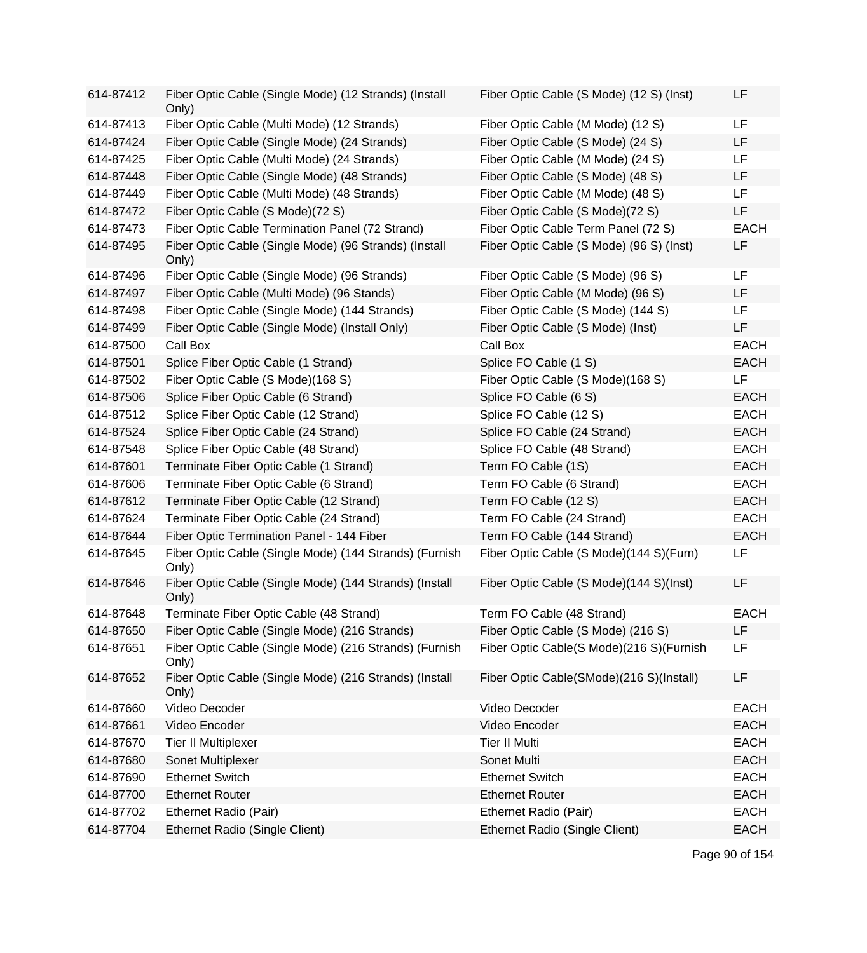| 614-87412 | Fiber Optic Cable (Single Mode) (12 Strands) (Install<br>Only)  | Fiber Optic Cable (S Mode) (12 S) (Inst) | LF          |
|-----------|-----------------------------------------------------------------|------------------------------------------|-------------|
| 614-87413 | Fiber Optic Cable (Multi Mode) (12 Strands)                     | Fiber Optic Cable (M Mode) (12 S)        | LF          |
| 614-87424 | Fiber Optic Cable (Single Mode) (24 Strands)                    | Fiber Optic Cable (S Mode) (24 S)        | LF          |
| 614-87425 | Fiber Optic Cable (Multi Mode) (24 Strands)                     | Fiber Optic Cable (M Mode) (24 S)        | LF          |
| 614-87448 | Fiber Optic Cable (Single Mode) (48 Strands)                    | Fiber Optic Cable (S Mode) (48 S)        | LF          |
| 614-87449 | Fiber Optic Cable (Multi Mode) (48 Strands)                     | Fiber Optic Cable (M Mode) (48 S)        | LF          |
| 614-87472 | Fiber Optic Cable (S Mode)(72 S)                                | Fiber Optic Cable (S Mode)(72 S)         | LF          |
| 614-87473 | Fiber Optic Cable Termination Panel (72 Strand)                 | Fiber Optic Cable Term Panel (72 S)      | <b>EACH</b> |
| 614-87495 | Fiber Optic Cable (Single Mode) (96 Strands) (Install<br>Only)  | Fiber Optic Cable (S Mode) (96 S) (Inst) | LF          |
| 614-87496 | Fiber Optic Cable (Single Mode) (96 Strands)                    | Fiber Optic Cable (S Mode) (96 S)        | LF.         |
| 614-87497 | Fiber Optic Cable (Multi Mode) (96 Stands)                      | Fiber Optic Cable (M Mode) (96 S)        | LF          |
| 614-87498 | Fiber Optic Cable (Single Mode) (144 Strands)                   | Fiber Optic Cable (S Mode) (144 S)       | LF.         |
| 614-87499 | Fiber Optic Cable (Single Mode) (Install Only)                  | Fiber Optic Cable (S Mode) (Inst)        | LF          |
| 614-87500 | Call Box                                                        | Call Box                                 | <b>EACH</b> |
| 614-87501 | Splice Fiber Optic Cable (1 Strand)                             | Splice FO Cable (1 S)                    | <b>EACH</b> |
| 614-87502 | Fiber Optic Cable (S Mode)(168 S)                               | Fiber Optic Cable (S Mode)(168 S)        | LF          |
| 614-87506 | Splice Fiber Optic Cable (6 Strand)                             | Splice FO Cable (6 S)                    | <b>EACH</b> |
| 614-87512 | Splice Fiber Optic Cable (12 Strand)                            | Splice FO Cable (12 S)                   | <b>EACH</b> |
| 614-87524 | Splice Fiber Optic Cable (24 Strand)                            | Splice FO Cable (24 Strand)              | <b>EACH</b> |
| 614-87548 | Splice Fiber Optic Cable (48 Strand)                            | Splice FO Cable (48 Strand)              | <b>EACH</b> |
| 614-87601 | Terminate Fiber Optic Cable (1 Strand)                          | Term FO Cable (1S)                       | <b>EACH</b> |
| 614-87606 | Terminate Fiber Optic Cable (6 Strand)                          | Term FO Cable (6 Strand)                 | <b>EACH</b> |
| 614-87612 | Terminate Fiber Optic Cable (12 Strand)                         | Term FO Cable (12 S)                     | <b>EACH</b> |
| 614-87624 | Terminate Fiber Optic Cable (24 Strand)                         | Term FO Cable (24 Strand)                | <b>EACH</b> |
| 614-87644 | Fiber Optic Termination Panel - 144 Fiber                       | Term FO Cable (144 Strand)               | <b>EACH</b> |
| 614-87645 | Fiber Optic Cable (Single Mode) (144 Strands) (Furnish<br>Only) | Fiber Optic Cable (S Mode)(144 S)(Furn)  | LF          |
| 614-87646 | Fiber Optic Cable (Single Mode) (144 Strands) (Install<br>Only) | Fiber Optic Cable (S Mode)(144 S)(Inst)  | LF          |
| 614-87648 | Terminate Fiber Optic Cable (48 Strand)                         | Term FO Cable (48 Strand)                | <b>EACH</b> |
| 614-87650 | Fiber Optic Cable (Single Mode) (216 Strands)                   | Fiber Optic Cable (S Mode) (216 S)       | LF          |
| 614-87651 | Fiber Optic Cable (Single Mode) (216 Strands) (Furnish<br>Only) | Fiber Optic Cable(S Mode)(216 S)(Furnish | LF          |
| 614-87652 | Fiber Optic Cable (Single Mode) (216 Strands) (Install<br>Only) | Fiber Optic Cable(SMode)(216 S)(Install) | LF          |
| 614-87660 | Video Decoder                                                   | Video Decoder                            | <b>EACH</b> |
| 614-87661 | Video Encoder                                                   | Video Encoder                            | <b>EACH</b> |
| 614-87670 | <b>Tier II Multiplexer</b>                                      | <b>Tier II Multi</b>                     | <b>EACH</b> |
| 614-87680 | Sonet Multiplexer                                               | Sonet Multi                              | <b>EACH</b> |
| 614-87690 | <b>Ethernet Switch</b>                                          | <b>Ethernet Switch</b>                   | <b>EACH</b> |
| 614-87700 | <b>Ethernet Router</b>                                          | <b>Ethernet Router</b>                   | <b>EACH</b> |
| 614-87702 | Ethernet Radio (Pair)                                           | Ethernet Radio (Pair)                    | <b>EACH</b> |
| 614-87704 | Ethernet Radio (Single Client)                                  | Ethernet Radio (Single Client)           | <b>EACH</b> |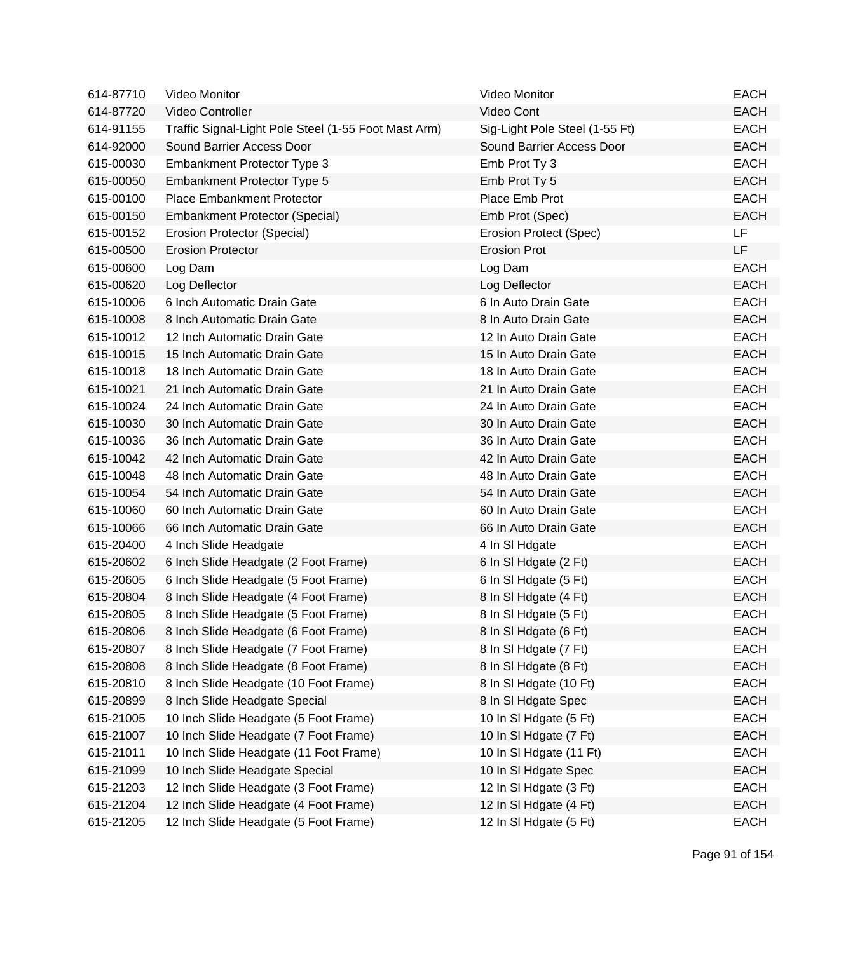| 614-87710 | Video Monitor                                        | Video Monitor                  | <b>EACH</b> |
|-----------|------------------------------------------------------|--------------------------------|-------------|
| 614-87720 | Video Controller                                     | Video Cont                     | <b>EACH</b> |
| 614-91155 | Traffic Signal-Light Pole Steel (1-55 Foot Mast Arm) | Sig-Light Pole Steel (1-55 Ft) | <b>EACH</b> |
| 614-92000 | Sound Barrier Access Door                            | Sound Barrier Access Door      | <b>EACH</b> |
| 615-00030 | Embankment Protector Type 3                          | Emb Prot Ty 3                  | <b>EACH</b> |
| 615-00050 | Embankment Protector Type 5                          | Emb Prot Ty 5                  | <b>EACH</b> |
| 615-00100 | <b>Place Embankment Protector</b>                    | Place Emb Prot                 | <b>EACH</b> |
| 615-00150 | <b>Embankment Protector (Special)</b>                | Emb Prot (Spec)                | <b>EACH</b> |
| 615-00152 | Erosion Protector (Special)                          | Erosion Protect (Spec)         | LF          |
| 615-00500 | <b>Erosion Protector</b>                             | <b>Erosion Prot</b>            | LF          |
| 615-00600 | Log Dam                                              | Log Dam                        | <b>EACH</b> |
| 615-00620 | Log Deflector                                        | Log Deflector                  | <b>EACH</b> |
| 615-10006 | 6 Inch Automatic Drain Gate                          | 6 In Auto Drain Gate           | <b>EACH</b> |
| 615-10008 | 8 Inch Automatic Drain Gate                          | 8 In Auto Drain Gate           | <b>EACH</b> |
| 615-10012 | 12 Inch Automatic Drain Gate                         | 12 In Auto Drain Gate          | <b>EACH</b> |
| 615-10015 | 15 Inch Automatic Drain Gate                         | 15 In Auto Drain Gate          | <b>EACH</b> |
| 615-10018 | 18 Inch Automatic Drain Gate                         | 18 In Auto Drain Gate          | <b>EACH</b> |
| 615-10021 | 21 Inch Automatic Drain Gate                         | 21 In Auto Drain Gate          | <b>EACH</b> |
| 615-10024 | 24 Inch Automatic Drain Gate                         | 24 In Auto Drain Gate          | <b>EACH</b> |
| 615-10030 | 30 Inch Automatic Drain Gate                         | 30 In Auto Drain Gate          | <b>EACH</b> |
| 615-10036 | 36 Inch Automatic Drain Gate                         | 36 In Auto Drain Gate          | <b>EACH</b> |
| 615-10042 | 42 Inch Automatic Drain Gate                         | 42 In Auto Drain Gate          | <b>EACH</b> |
| 615-10048 | 48 Inch Automatic Drain Gate                         | 48 In Auto Drain Gate          | <b>EACH</b> |
| 615-10054 | 54 Inch Automatic Drain Gate                         | 54 In Auto Drain Gate          | <b>EACH</b> |
| 615-10060 | 60 Inch Automatic Drain Gate                         | 60 In Auto Drain Gate          | <b>EACH</b> |
| 615-10066 | 66 Inch Automatic Drain Gate                         | 66 In Auto Drain Gate          | <b>EACH</b> |
| 615-20400 | 4 Inch Slide Headgate                                | 4 In SI Hdgate                 | <b>EACH</b> |
| 615-20602 | 6 Inch Slide Headgate (2 Foot Frame)                 | 6 In SI Hdgate (2 Ft)          | <b>EACH</b> |
| 615-20605 | 6 Inch Slide Headgate (5 Foot Frame)                 | 6 In SI Hdgate (5 Ft)          | <b>EACH</b> |
| 615-20804 | 8 Inch Slide Headgate (4 Foot Frame)                 | 8 In SI Hdgate (4 Ft)          | <b>EACH</b> |
| 615-20805 | 8 Inch Slide Headgate (5 Foot Frame)                 | 8 In SI Hdgate (5 Ft)          | <b>EACH</b> |
| 615-20806 | 8 Inch Slide Headgate (6 Foot Frame)                 | 8 In SI Hdgate (6 Ft)          | <b>EACH</b> |
| 615-20807 | 8 Inch Slide Headgate (7 Foot Frame)                 | 8 In SI Hdgate (7 Ft)          | <b>EACH</b> |
| 615-20808 | 8 Inch Slide Headgate (8 Foot Frame)                 | 8 In SI Hdgate (8 Ft)          | <b>EACH</b> |
| 615-20810 | 8 Inch Slide Headgate (10 Foot Frame)                | 8 In SI Hdgate (10 Ft)         | <b>EACH</b> |
| 615-20899 | 8 Inch Slide Headgate Special                        | 8 In SI Hdgate Spec            | <b>EACH</b> |
| 615-21005 | 10 Inch Slide Headgate (5 Foot Frame)                | 10 In SI Hdgate (5 Ft)         | <b>EACH</b> |
| 615-21007 | 10 Inch Slide Headgate (7 Foot Frame)                | 10 In SI Hdgate (7 Ft)         | <b>EACH</b> |
| 615-21011 | 10 Inch Slide Headgate (11 Foot Frame)               | 10 In SI Hdgate (11 Ft)        | <b>EACH</b> |
| 615-21099 | 10 Inch Slide Headgate Special                       | 10 In SI Hdgate Spec           | <b>EACH</b> |
| 615-21203 | 12 Inch Slide Headgate (3 Foot Frame)                | 12 In SI Hdgate (3 Ft)         | <b>EACH</b> |
| 615-21204 | 12 Inch Slide Headgate (4 Foot Frame)                | 12 In SI Hdgate (4 Ft)         | <b>EACH</b> |
| 615-21205 | 12 Inch Slide Headgate (5 Foot Frame)                | 12 In SI Hdgate (5 Ft)         | <b>EACH</b> |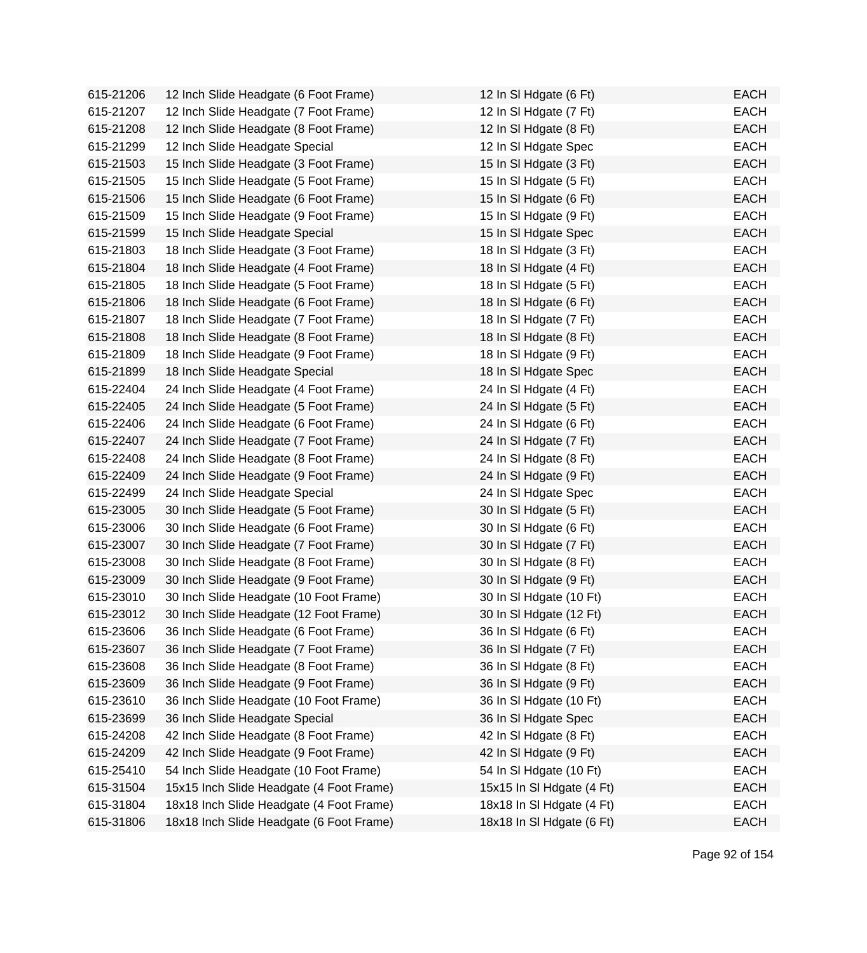| 615-21206 | 12 Inch Slide Headgate (6 Foot Frame)    | 12 In SI Hdgate (6 Ft)    | <b>EACH</b> |
|-----------|------------------------------------------|---------------------------|-------------|
| 615-21207 | 12 Inch Slide Headgate (7 Foot Frame)    | 12 In SI Hdgate (7 Ft)    | <b>EACH</b> |
| 615-21208 | 12 Inch Slide Headgate (8 Foot Frame)    | 12 In SI Hdgate (8 Ft)    | <b>EACH</b> |
| 615-21299 | 12 Inch Slide Headgate Special           | 12 In SI Hdgate Spec      | <b>EACH</b> |
| 615-21503 | 15 Inch Slide Headgate (3 Foot Frame)    | 15 In SI Hdgate (3 Ft)    | <b>EACH</b> |
| 615-21505 | 15 Inch Slide Headgate (5 Foot Frame)    | 15 In SI Hdgate (5 Ft)    | <b>EACH</b> |
| 615-21506 | 15 Inch Slide Headgate (6 Foot Frame)    | 15 In SI Hdgate (6 Ft)    | <b>EACH</b> |
| 615-21509 | 15 Inch Slide Headgate (9 Foot Frame)    | 15 In SI Hdgate (9 Ft)    | <b>EACH</b> |
| 615-21599 | 15 Inch Slide Headgate Special           | 15 In SI Hdgate Spec      | <b>EACH</b> |
| 615-21803 | 18 Inch Slide Headgate (3 Foot Frame)    | 18 In SI Hdgate (3 Ft)    | <b>EACH</b> |
| 615-21804 | 18 Inch Slide Headgate (4 Foot Frame)    | 18 In SI Hdgate (4 Ft)    | <b>EACH</b> |
| 615-21805 | 18 Inch Slide Headgate (5 Foot Frame)    | 18 In SI Hdgate (5 Ft)    | <b>EACH</b> |
| 615-21806 | 18 Inch Slide Headgate (6 Foot Frame)    | 18 In SI Hdgate (6 Ft)    | <b>EACH</b> |
| 615-21807 | 18 Inch Slide Headgate (7 Foot Frame)    | 18 In SI Hdgate (7 Ft)    | <b>EACH</b> |
| 615-21808 | 18 Inch Slide Headgate (8 Foot Frame)    | 18 In SI Hdgate (8 Ft)    | <b>EACH</b> |
| 615-21809 | 18 Inch Slide Headgate (9 Foot Frame)    | 18 In SI Hdgate (9 Ft)    | <b>EACH</b> |
| 615-21899 | 18 Inch Slide Headgate Special           | 18 In SI Hdgate Spec      | <b>EACH</b> |
| 615-22404 | 24 Inch Slide Headgate (4 Foot Frame)    | 24 In SI Hdgate (4 Ft)    | <b>EACH</b> |
| 615-22405 | 24 Inch Slide Headgate (5 Foot Frame)    | 24 In SI Hdgate (5 Ft)    | <b>EACH</b> |
| 615-22406 | 24 Inch Slide Headgate (6 Foot Frame)    | 24 In SI Hdgate (6 Ft)    | <b>EACH</b> |
| 615-22407 | 24 Inch Slide Headgate (7 Foot Frame)    | 24 In SI Hdgate (7 Ft)    | <b>EACH</b> |
| 615-22408 | 24 Inch Slide Headgate (8 Foot Frame)    | 24 In SI Hdgate (8 Ft)    | <b>EACH</b> |
| 615-22409 | 24 Inch Slide Headgate (9 Foot Frame)    | 24 In SI Hdgate (9 Ft)    | <b>EACH</b> |
| 615-22499 | 24 Inch Slide Headgate Special           | 24 In SI Hdgate Spec      | <b>EACH</b> |
| 615-23005 | 30 Inch Slide Headgate (5 Foot Frame)    | 30 In SI Hdgate (5 Ft)    | <b>EACH</b> |
| 615-23006 | 30 Inch Slide Headgate (6 Foot Frame)    | 30 In SI Hdgate (6 Ft)    | <b>EACH</b> |
| 615-23007 | 30 Inch Slide Headgate (7 Foot Frame)    | 30 In SI Hdgate (7 Ft)    | <b>EACH</b> |
| 615-23008 | 30 Inch Slide Headgate (8 Foot Frame)    | 30 In SI Hdgate (8 Ft)    | <b>EACH</b> |
| 615-23009 | 30 Inch Slide Headgate (9 Foot Frame)    | 30 In SI Hdgate (9 Ft)    | <b>EACH</b> |
| 615-23010 | 30 Inch Slide Headgate (10 Foot Frame)   | 30 In SI Hdgate (10 Ft)   | <b>EACH</b> |
| 615-23012 | 30 Inch Slide Headgate (12 Foot Frame)   | 30 In SI Hdgate (12 Ft)   | <b>EACH</b> |
| 615-23606 | 36 Inch Slide Headgate (6 Foot Frame)    | 36 In SI Hdgate (6 Ft)    | <b>EACH</b> |
| 615-23607 | 36 Inch Slide Headgate (7 Foot Frame)    | 36 In SI Hdgate (7 Ft)    | <b>EACH</b> |
| 615-23608 | 36 Inch Slide Headgate (8 Foot Frame)    | 36 In SI Hdgate (8 Ft)    | <b>EACH</b> |
| 615-23609 | 36 Inch Slide Headgate (9 Foot Frame)    | 36 In SI Hdgate (9 Ft)    | <b>EACH</b> |
| 615-23610 | 36 Inch Slide Headgate (10 Foot Frame)   | 36 In SI Hdgate (10 Ft)   | <b>EACH</b> |
| 615-23699 | 36 Inch Slide Headgate Special           | 36 In SI Hdgate Spec      | <b>EACH</b> |
| 615-24208 | 42 Inch Slide Headgate (8 Foot Frame)    | 42 In SI Hdgate (8 Ft)    | <b>EACH</b> |
| 615-24209 | 42 Inch Slide Headgate (9 Foot Frame)    | 42 In SI Hdgate (9 Ft)    | <b>EACH</b> |
| 615-25410 | 54 Inch Slide Headgate (10 Foot Frame)   | 54 In SI Hdgate (10 Ft)   | <b>EACH</b> |
| 615-31504 | 15x15 Inch Slide Headgate (4 Foot Frame) | 15x15 In SI Hdgate (4 Ft) | <b>EACH</b> |
| 615-31804 | 18x18 Inch Slide Headgate (4 Foot Frame) | 18x18 In SI Hdgate (4 Ft) | <b>EACH</b> |
| 615-31806 | 18x18 Inch Slide Headgate (6 Foot Frame) | 18x18 In SI Hdgate (6 Ft) | <b>EACH</b> |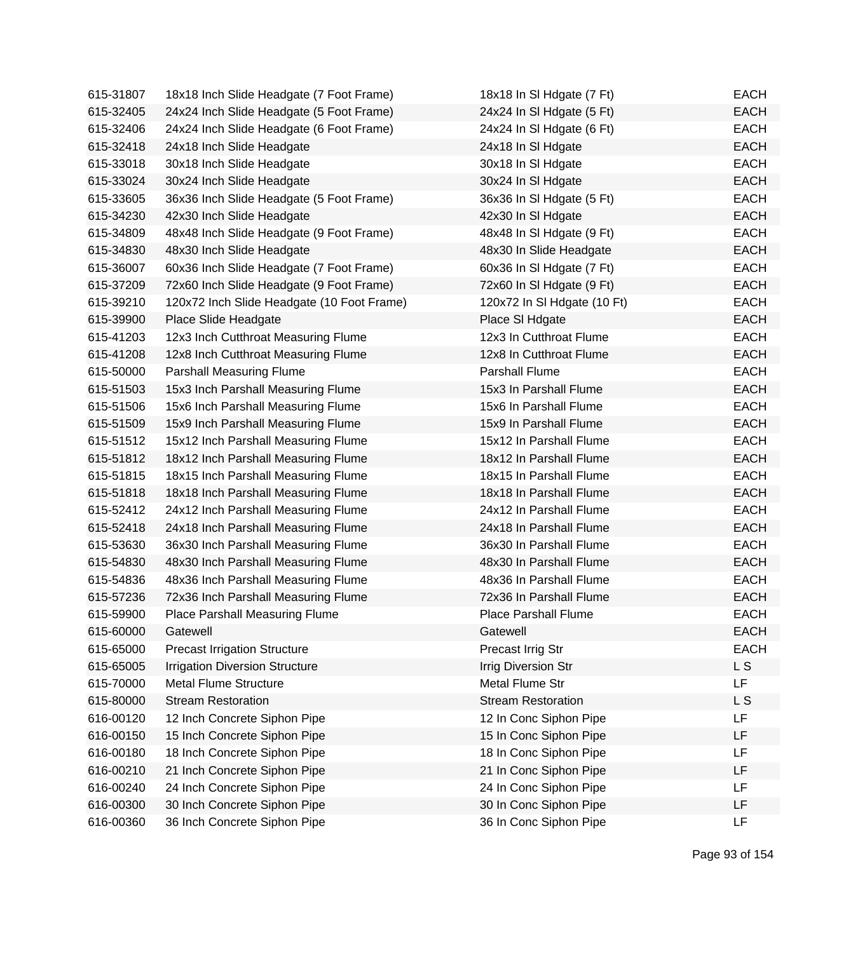| 615-31807 | 18x18 Inch Slide Headgate (7 Foot Frame)   | 18x18 In SI Hdgate (7 Ft)   | <b>EACH</b> |
|-----------|--------------------------------------------|-----------------------------|-------------|
| 615-32405 | 24x24 Inch Slide Headgate (5 Foot Frame)   | 24x24 In SI Hdgate (5 Ft)   | <b>EACH</b> |
| 615-32406 | 24x24 Inch Slide Headgate (6 Foot Frame)   | 24x24 In SI Hdgate (6 Ft)   | <b>EACH</b> |
| 615-32418 | 24x18 Inch Slide Headgate                  | 24x18 In SI Hdgate          | <b>EACH</b> |
| 615-33018 | 30x18 Inch Slide Headgate                  | 30x18 In SI Hdgate          | <b>EACH</b> |
| 615-33024 | 30x24 Inch Slide Headgate                  | 30x24 In SI Hdgate          | <b>EACH</b> |
| 615-33605 | 36x36 Inch Slide Headgate (5 Foot Frame)   | 36x36 In SI Hdgate (5 Ft)   | <b>EACH</b> |
| 615-34230 | 42x30 Inch Slide Headgate                  | 42x30 In SI Hdgate          | <b>EACH</b> |
| 615-34809 | 48x48 Inch Slide Headgate (9 Foot Frame)   | 48x48 In SI Hdgate (9 Ft)   | <b>EACH</b> |
| 615-34830 | 48x30 Inch Slide Headgate                  | 48x30 In Slide Headgate     | <b>EACH</b> |
| 615-36007 | 60x36 Inch Slide Headgate (7 Foot Frame)   | 60x36 In SI Hdgate (7 Ft)   | <b>EACH</b> |
| 615-37209 | 72x60 Inch Slide Headgate (9 Foot Frame)   | 72x60 In SI Hdgate (9 Ft)   | <b>EACH</b> |
| 615-39210 | 120x72 Inch Slide Headgate (10 Foot Frame) | 120x72 In SI Hdgate (10 Ft) | <b>EACH</b> |
| 615-39900 | Place Slide Headgate                       | Place SI Hdgate             | <b>EACH</b> |
| 615-41203 | 12x3 Inch Cutthroat Measuring Flume        | 12x3 In Cutthroat Flume     | <b>EACH</b> |
| 615-41208 | 12x8 Inch Cutthroat Measuring Flume        | 12x8 In Cutthroat Flume     | <b>EACH</b> |
| 615-50000 | Parshall Measuring Flume                   | <b>Parshall Flume</b>       | <b>EACH</b> |
| 615-51503 | 15x3 Inch Parshall Measuring Flume         | 15x3 In Parshall Flume      | <b>EACH</b> |
| 615-51506 | 15x6 Inch Parshall Measuring Flume         | 15x6 In Parshall Flume      | <b>EACH</b> |
| 615-51509 | 15x9 Inch Parshall Measuring Flume         | 15x9 In Parshall Flume      | <b>EACH</b> |
| 615-51512 | 15x12 Inch Parshall Measuring Flume        | 15x12 In Parshall Flume     | <b>EACH</b> |
| 615-51812 | 18x12 Inch Parshall Measuring Flume        | 18x12 In Parshall Flume     | <b>EACH</b> |
| 615-51815 | 18x15 Inch Parshall Measuring Flume        | 18x15 In Parshall Flume     | <b>EACH</b> |
| 615-51818 | 18x18 Inch Parshall Measuring Flume        | 18x18 In Parshall Flume     | <b>EACH</b> |
| 615-52412 | 24x12 Inch Parshall Measuring Flume        | 24x12 In Parshall Flume     | <b>EACH</b> |
| 615-52418 | 24x18 Inch Parshall Measuring Flume        | 24x18 In Parshall Flume     | <b>EACH</b> |
| 615-53630 | 36x30 Inch Parshall Measuring Flume        | 36x30 In Parshall Flume     | <b>EACH</b> |
| 615-54830 | 48x30 Inch Parshall Measuring Flume        | 48x30 In Parshall Flume     | <b>EACH</b> |
| 615-54836 | 48x36 Inch Parshall Measuring Flume        | 48x36 In Parshall Flume     | <b>EACH</b> |
| 615-57236 | 72x36 Inch Parshall Measuring Flume        | 72x36 In Parshall Flume     | <b>EACH</b> |
| 615-59900 | Place Parshall Measuring Flume             | <b>Place Parshall Flume</b> | <b>EACH</b> |
| 615-60000 | Gatewell                                   | Gatewell                    | EACH        |
| 615-65000 | <b>Precast Irrigation Structure</b>        | Precast Irrig Str           | <b>EACH</b> |
| 615-65005 | <b>Irrigation Diversion Structure</b>      | <b>Irrig Diversion Str</b>  | L S         |
| 615-70000 | <b>Metal Flume Structure</b>               | Metal Flume Str             | <b>LF</b>   |
| 615-80000 | <b>Stream Restoration</b>                  | <b>Stream Restoration</b>   | L S         |
| 616-00120 | 12 Inch Concrete Siphon Pipe               | 12 In Conc Siphon Pipe      | LF          |
| 616-00150 | 15 Inch Concrete Siphon Pipe               | 15 In Conc Siphon Pipe      | LF          |
| 616-00180 | 18 Inch Concrete Siphon Pipe               | 18 In Conc Siphon Pipe      | LF          |
| 616-00210 | 21 Inch Concrete Siphon Pipe               | 21 In Conc Siphon Pipe      | LF          |
| 616-00240 | 24 Inch Concrete Siphon Pipe               | 24 In Conc Siphon Pipe      | LF          |
| 616-00300 | 30 Inch Concrete Siphon Pipe               | 30 In Conc Siphon Pipe      | LF          |
| 616-00360 | 36 Inch Concrete Siphon Pipe               | 36 In Conc Siphon Pipe      | <b>LF</b>   |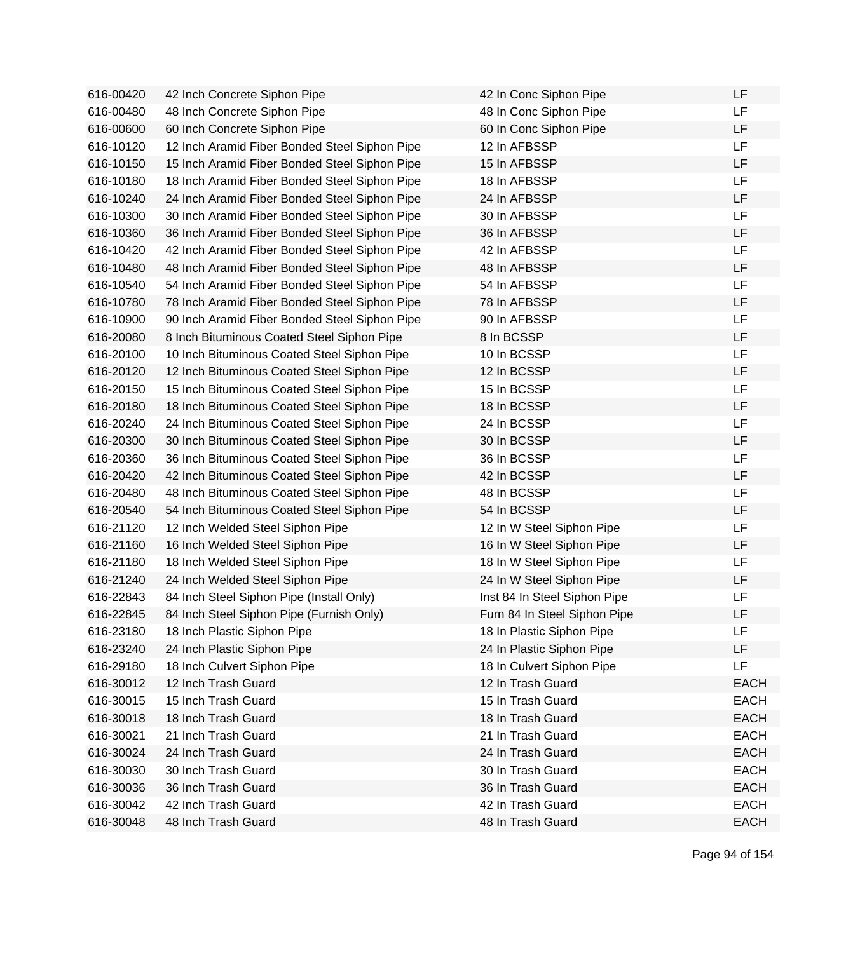| 616-00420 | 42 Inch Concrete Siphon Pipe                  | 42 In Conc Siphon Pipe       | LF          |
|-----------|-----------------------------------------------|------------------------------|-------------|
| 616-00480 | 48 Inch Concrete Siphon Pipe                  | 48 In Conc Siphon Pipe       | LF.         |
| 616-00600 | 60 Inch Concrete Siphon Pipe                  | 60 In Conc Siphon Pipe       | LF          |
| 616-10120 | 12 Inch Aramid Fiber Bonded Steel Siphon Pipe | 12 In AFBSSP                 | <b>LF</b>   |
| 616-10150 | 15 Inch Aramid Fiber Bonded Steel Siphon Pipe | 15 In AFBSSP                 | LF          |
| 616-10180 | 18 Inch Aramid Fiber Bonded Steel Siphon Pipe | 18 In AFBSSP                 | <b>LF</b>   |
| 616-10240 | 24 Inch Aramid Fiber Bonded Steel Siphon Pipe | 24 In AFBSSP                 | LF          |
| 616-10300 | 30 Inch Aramid Fiber Bonded Steel Siphon Pipe | 30 In AFBSSP                 | LF          |
| 616-10360 | 36 Inch Aramid Fiber Bonded Steel Siphon Pipe | 36 In AFBSSP                 | LF          |
| 616-10420 | 42 Inch Aramid Fiber Bonded Steel Siphon Pipe | 42 In AFBSSP                 | <b>LF</b>   |
| 616-10480 | 48 Inch Aramid Fiber Bonded Steel Siphon Pipe | 48 In AFBSSP                 | <b>LF</b>   |
| 616-10540 | 54 Inch Aramid Fiber Bonded Steel Siphon Pipe | 54 In AFBSSP                 | LF          |
| 616-10780 | 78 Inch Aramid Fiber Bonded Steel Siphon Pipe | 78 In AFBSSP                 | LF          |
| 616-10900 | 90 Inch Aramid Fiber Bonded Steel Siphon Pipe | 90 In AFBSSP                 | LF          |
| 616-20080 | 8 Inch Bituminous Coated Steel Siphon Pipe    | 8 In BCSSP                   | LF          |
| 616-20100 | 10 Inch Bituminous Coated Steel Siphon Pipe   | 10 In BCSSP                  | LF          |
| 616-20120 | 12 Inch Bituminous Coated Steel Siphon Pipe   | 12 In BCSSP                  | LF          |
| 616-20150 | 15 Inch Bituminous Coated Steel Siphon Pipe   | 15 In BCSSP                  | LF          |
| 616-20180 | 18 Inch Bituminous Coated Steel Siphon Pipe   | 18 In BCSSP                  | LF          |
| 616-20240 | 24 Inch Bituminous Coated Steel Siphon Pipe   | 24 In BCSSP                  | LF          |
| 616-20300 | 30 Inch Bituminous Coated Steel Siphon Pipe   | 30 In BCSSP                  | <b>LF</b>   |
| 616-20360 | 36 Inch Bituminous Coated Steel Siphon Pipe   | 36 In BCSSP                  | LF          |
| 616-20420 | 42 Inch Bituminous Coated Steel Siphon Pipe   | 42 In BCSSP                  | LF          |
| 616-20480 | 48 Inch Bituminous Coated Steel Siphon Pipe   | 48 In BCSSP                  | LF          |
| 616-20540 | 54 Inch Bituminous Coated Steel Siphon Pipe   | 54 In BCSSP                  | LF          |
| 616-21120 | 12 Inch Welded Steel Siphon Pipe              | 12 In W Steel Siphon Pipe    | LF          |
| 616-21160 | 16 Inch Welded Steel Siphon Pipe              | 16 In W Steel Siphon Pipe    | LF          |
| 616-21180 | 18 Inch Welded Steel Siphon Pipe              | 18 In W Steel Siphon Pipe    | LF          |
| 616-21240 | 24 Inch Welded Steel Siphon Pipe              | 24 In W Steel Siphon Pipe    | LF          |
| 616-22843 | 84 Inch Steel Siphon Pipe (Install Only)      | Inst 84 In Steel Siphon Pipe | LF          |
| 616-22845 | 84 Inch Steel Siphon Pipe (Furnish Only)      | Furn 84 In Steel Siphon Pipe | LF          |
| 616-23180 | 18 Inch Plastic Siphon Pipe                   | 18 In Plastic Siphon Pipe    | LF          |
| 616-23240 | 24 Inch Plastic Siphon Pipe                   | 24 In Plastic Siphon Pipe    | LF          |
| 616-29180 | 18 Inch Culvert Siphon Pipe                   | 18 In Culvert Siphon Pipe    | <b>LF</b>   |
| 616-30012 | 12 Inch Trash Guard                           | 12 In Trash Guard            | <b>EACH</b> |
| 616-30015 | 15 Inch Trash Guard                           | 15 In Trash Guard            | <b>EACH</b> |
| 616-30018 | 18 Inch Trash Guard                           | 18 In Trash Guard            | <b>EACH</b> |
| 616-30021 | 21 Inch Trash Guard                           | 21 In Trash Guard            | <b>EACH</b> |
| 616-30024 | 24 Inch Trash Guard                           | 24 In Trash Guard            | <b>EACH</b> |
| 616-30030 | 30 Inch Trash Guard                           | 30 In Trash Guard            | <b>EACH</b> |
| 616-30036 | 36 Inch Trash Guard                           | 36 In Trash Guard            | <b>EACH</b> |
| 616-30042 | 42 Inch Trash Guard                           | 42 In Trash Guard            | <b>EACH</b> |
| 616-30048 | 48 Inch Trash Guard                           | 48 In Trash Guard            | <b>EACH</b> |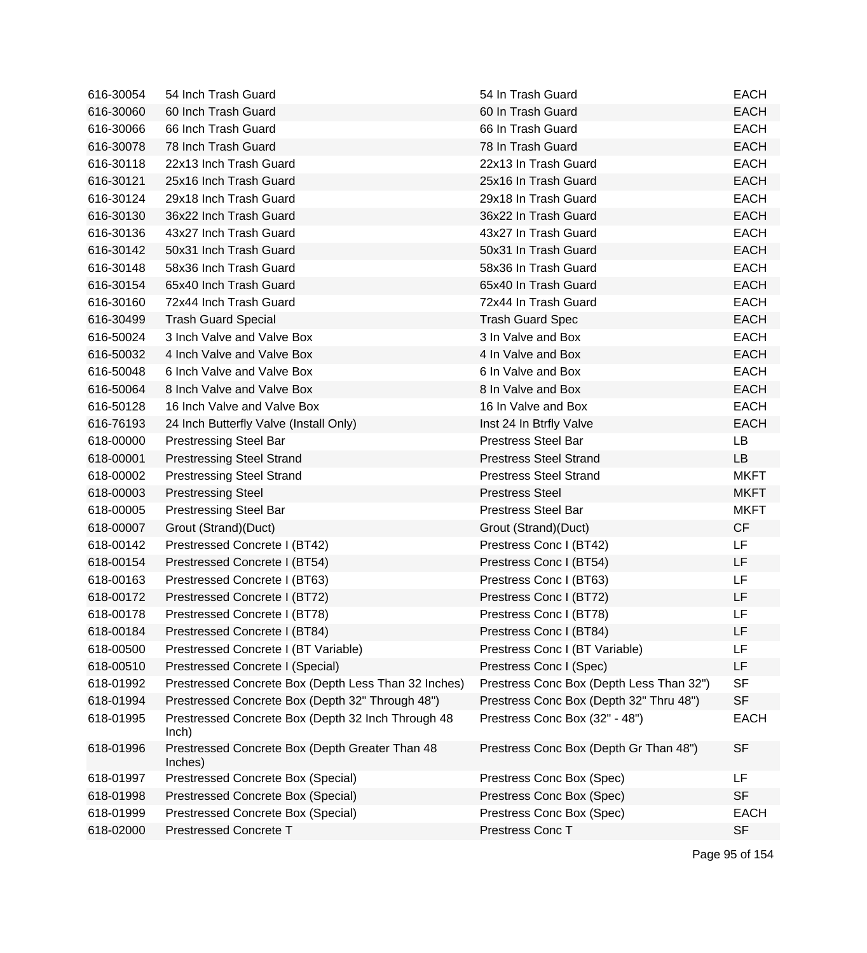| 616-30054 | 54 Inch Trash Guard                                         | 54 In Trash Guard                        | <b>EACH</b> |
|-----------|-------------------------------------------------------------|------------------------------------------|-------------|
| 616-30060 | 60 Inch Trash Guard                                         | 60 In Trash Guard                        | <b>EACH</b> |
| 616-30066 | 66 Inch Trash Guard                                         | 66 In Trash Guard                        | <b>EACH</b> |
| 616-30078 | 78 Inch Trash Guard                                         | 78 In Trash Guard                        | <b>EACH</b> |
| 616-30118 | 22x13 Inch Trash Guard                                      | 22x13 In Trash Guard                     | <b>EACH</b> |
| 616-30121 | 25x16 Inch Trash Guard                                      | 25x16 In Trash Guard                     | <b>EACH</b> |
| 616-30124 | 29x18 Inch Trash Guard                                      | 29x18 In Trash Guard                     | <b>EACH</b> |
| 616-30130 | 36x22 Inch Trash Guard                                      | 36x22 In Trash Guard                     | <b>EACH</b> |
| 616-30136 | 43x27 Inch Trash Guard                                      | 43x27 In Trash Guard                     | <b>EACH</b> |
| 616-30142 | 50x31 Inch Trash Guard                                      | 50x31 In Trash Guard                     | <b>EACH</b> |
| 616-30148 | 58x36 Inch Trash Guard                                      | 58x36 In Trash Guard                     | <b>EACH</b> |
| 616-30154 | 65x40 Inch Trash Guard                                      | 65x40 In Trash Guard                     | <b>EACH</b> |
| 616-30160 | 72x44 Inch Trash Guard                                      | 72x44 In Trash Guard                     | <b>EACH</b> |
| 616-30499 | <b>Trash Guard Special</b>                                  | <b>Trash Guard Spec</b>                  | <b>EACH</b> |
| 616-50024 | 3 Inch Valve and Valve Box                                  | 3 In Valve and Box                       | <b>EACH</b> |
| 616-50032 | 4 Inch Valve and Valve Box                                  | 4 In Valve and Box                       | <b>EACH</b> |
| 616-50048 | 6 Inch Valve and Valve Box                                  | 6 In Valve and Box                       | <b>EACH</b> |
| 616-50064 | 8 Inch Valve and Valve Box                                  | 8 In Valve and Box                       | <b>EACH</b> |
| 616-50128 | 16 Inch Valve and Valve Box                                 | 16 In Valve and Box                      | <b>EACH</b> |
| 616-76193 | 24 Inch Butterfly Valve (Install Only)                      | Inst 24 In Btrfly Valve                  | <b>EACH</b> |
| 618-00000 | <b>Prestressing Steel Bar</b>                               | <b>Prestress Steel Bar</b>               | LB          |
| 618-00001 | <b>Prestressing Steel Strand</b>                            | <b>Prestress Steel Strand</b>            | <b>LB</b>   |
| 618-00002 | <b>Prestressing Steel Strand</b>                            | <b>Prestress Steel Strand</b>            | <b>MKFT</b> |
| 618-00003 | <b>Prestressing Steel</b>                                   | <b>Prestress Steel</b>                   | <b>MKFT</b> |
| 618-00005 | <b>Prestressing Steel Bar</b>                               | <b>Prestress Steel Bar</b>               | <b>MKFT</b> |
| 618-00007 | Grout (Strand)(Duct)                                        | Grout (Strand)(Duct)                     | <b>CF</b>   |
| 618-00142 | Prestressed Concrete I (BT42)                               | Prestress Conc I (BT42)                  | LF          |
| 618-00154 | Prestressed Concrete I (BT54)                               | Prestress Conc I (BT54)                  | LF          |
| 618-00163 | Prestressed Concrete I (BT63)                               | Prestress Conc I (BT63)                  | LF          |
| 618-00172 | Prestressed Concrete I (BT72)                               | Prestress Conc I (BT72)                  | LF          |
| 618-00178 | Prestressed Concrete I (BT78)                               | Prestress Conc I (BT78)                  | LF          |
| 618-00184 | Prestressed Concrete I (BT84)                               | Prestress Conc I (BT84)                  | LF          |
| 618-00500 | Prestressed Concrete I (BT Variable)                        | Prestress Conc I (BT Variable)           | LF          |
| 618-00510 | Prestressed Concrete I (Special)                            | Prestress Conc I (Spec)                  | LF          |
| 618-01992 | Prestressed Concrete Box (Depth Less Than 32 Inches)        | Prestress Conc Box (Depth Less Than 32") | <b>SF</b>   |
| 618-01994 | Prestressed Concrete Box (Depth 32" Through 48")            | Prestress Conc Box (Depth 32" Thru 48")  | <b>SF</b>   |
| 618-01995 | Prestressed Concrete Box (Depth 32 Inch Through 48<br>lnch) | Prestress Conc Box (32" - 48")           | <b>EACH</b> |
| 618-01996 | Prestressed Concrete Box (Depth Greater Than 48<br>Inches)  | Prestress Conc Box (Depth Gr Than 48")   | <b>SF</b>   |
| 618-01997 | Prestressed Concrete Box (Special)                          | Prestress Conc Box (Spec)                | LF          |
| 618-01998 | Prestressed Concrete Box (Special)                          | Prestress Conc Box (Spec)                | <b>SF</b>   |
| 618-01999 | Prestressed Concrete Box (Special)                          | Prestress Conc Box (Spec)                | <b>EACH</b> |
| 618-02000 | <b>Prestressed Concrete T</b>                               | Prestress Conc T                         | <b>SF</b>   |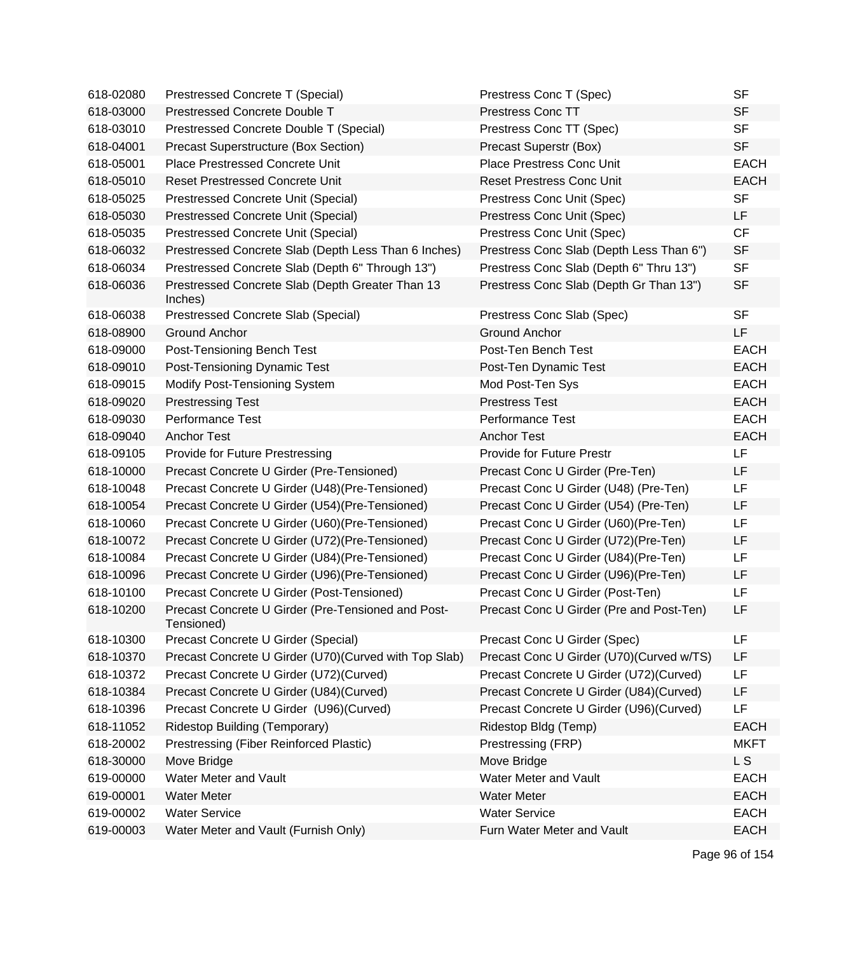| 618-02080 | Prestressed Concrete T (Special)                                 | Prestress Conc T (Spec)                  | <b>SF</b>   |
|-----------|------------------------------------------------------------------|------------------------------------------|-------------|
| 618-03000 | Prestressed Concrete Double T                                    | <b>Prestress Conc TT</b>                 | <b>SF</b>   |
| 618-03010 | Prestressed Concrete Double T (Special)                          | Prestress Conc TT (Spec)                 | <b>SF</b>   |
| 618-04001 | Precast Superstructure (Box Section)                             | Precast Superstr (Box)                   | <b>SF</b>   |
| 618-05001 | Place Prestressed Concrete Unit                                  | Place Prestress Conc Unit                | <b>EACH</b> |
| 618-05010 | <b>Reset Prestressed Concrete Unit</b>                           | <b>Reset Prestress Conc Unit</b>         | <b>EACH</b> |
| 618-05025 | Prestressed Concrete Unit (Special)                              | Prestress Conc Unit (Spec)               | <b>SF</b>   |
| 618-05030 | Prestressed Concrete Unit (Special)                              | Prestress Conc Unit (Spec)               | LF          |
| 618-05035 | Prestressed Concrete Unit (Special)                              | Prestress Conc Unit (Spec)               | CF          |
| 618-06032 | Prestressed Concrete Slab (Depth Less Than 6 Inches)             | Prestress Conc Slab (Depth Less Than 6") | <b>SF</b>   |
| 618-06034 | Prestressed Concrete Slab (Depth 6" Through 13")                 | Prestress Conc Slab (Depth 6" Thru 13")  | <b>SF</b>   |
| 618-06036 | Prestressed Concrete Slab (Depth Greater Than 13<br>Inches)      | Prestress Conc Slab (Depth Gr Than 13")  | <b>SF</b>   |
| 618-06038 | Prestressed Concrete Slab (Special)                              | Prestress Conc Slab (Spec)               | <b>SF</b>   |
| 618-08900 | <b>Ground Anchor</b>                                             | <b>Ground Anchor</b>                     | LF          |
| 618-09000 | Post-Tensioning Bench Test                                       | Post-Ten Bench Test                      | <b>EACH</b> |
| 618-09010 | Post-Tensioning Dynamic Test                                     | Post-Ten Dynamic Test                    | <b>EACH</b> |
| 618-09015 | Modify Post-Tensioning System                                    | Mod Post-Ten Sys                         | <b>EACH</b> |
| 618-09020 | <b>Prestressing Test</b>                                         | <b>Prestress Test</b>                    | <b>EACH</b> |
| 618-09030 | <b>Performance Test</b>                                          | Performance Test                         | <b>EACH</b> |
| 618-09040 | <b>Anchor Test</b>                                               | <b>Anchor Test</b>                       | <b>EACH</b> |
| 618-09105 | Provide for Future Prestressing                                  | <b>Provide for Future Prestr</b>         | LF          |
| 618-10000 | Precast Concrete U Girder (Pre-Tensioned)                        | Precast Conc U Girder (Pre-Ten)          | LF          |
| 618-10048 | Precast Concrete U Girder (U48) (Pre-Tensioned)                  | Precast Conc U Girder (U48) (Pre-Ten)    | LF          |
| 618-10054 | Precast Concrete U Girder (U54) (Pre-Tensioned)                  | Precast Conc U Girder (U54) (Pre-Ten)    | LF          |
| 618-10060 | Precast Concrete U Girder (U60) (Pre-Tensioned)                  | Precast Conc U Girder (U60) (Pre-Ten)    | LF          |
| 618-10072 | Precast Concrete U Girder (U72) (Pre-Tensioned)                  | Precast Conc U Girder (U72)(Pre-Ten)     | LF          |
| 618-10084 | Precast Concrete U Girder (U84) (Pre-Tensioned)                  | Precast Conc U Girder (U84) (Pre-Ten)    | LF          |
| 618-10096 | Precast Concrete U Girder (U96) (Pre-Tensioned)                  | Precast Conc U Girder (U96)(Pre-Ten)     | LF          |
| 618-10100 | Precast Concrete U Girder (Post-Tensioned)                       | Precast Conc U Girder (Post-Ten)         | LF          |
| 618-10200 | Precast Concrete U Girder (Pre-Tensioned and Post-<br>Tensioned) | Precast Conc U Girder (Pre and Post-Ten) | LF          |
| 618-10300 | Precast Concrete U Girder (Special)                              | Precast Conc U Girder (Spec)             | LF          |
| 618-10370 | Precast Concrete U Girder (U70) (Curved with Top Slab)           | Precast Conc U Girder (U70)(Curved w/TS) | LF          |
| 618-10372 | Precast Concrete U Girder (U72) (Curved)                         | Precast Concrete U Girder (U72)(Curved)  | LF          |
| 618-10384 | Precast Concrete U Girder (U84)(Curved)                          | Precast Concrete U Girder (U84)(Curved)  | LF          |
| 618-10396 | Precast Concrete U Girder (U96)(Curved)                          | Precast Concrete U Girder (U96)(Curved)  | LF          |
| 618-11052 | <b>Ridestop Building (Temporary)</b>                             | Ridestop Bldg (Temp)                     | <b>EACH</b> |
| 618-20002 | Prestressing (Fiber Reinforced Plastic)                          | Prestressing (FRP)                       | <b>MKFT</b> |
| 618-30000 | Move Bridge                                                      | Move Bridge                              | L S         |
| 619-00000 | Water Meter and Vault                                            | Water Meter and Vault                    | <b>EACH</b> |
| 619-00001 | <b>Water Meter</b>                                               | <b>Water Meter</b>                       | <b>EACH</b> |
| 619-00002 | <b>Water Service</b>                                             | <b>Water Service</b>                     | <b>EACH</b> |
| 619-00003 | Water Meter and Vault (Furnish Only)                             | Furn Water Meter and Vault               | <b>EACH</b> |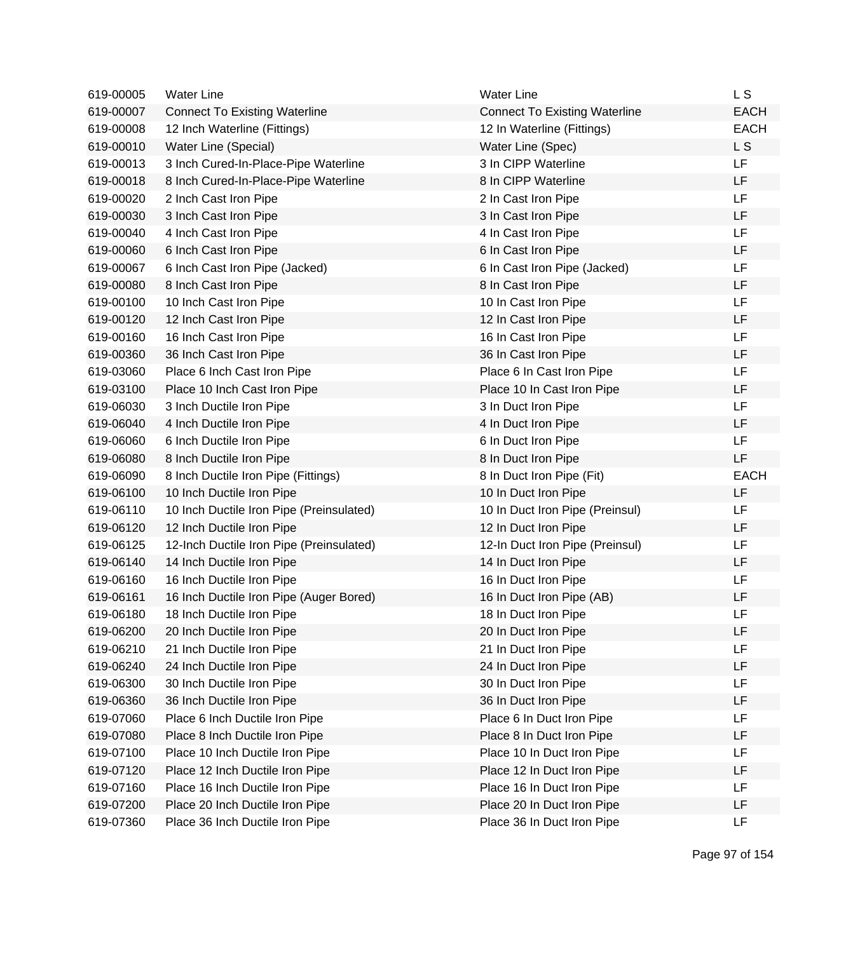| 619-00005 | <b>Water Line</b>                        | <b>Water Line</b>                    | L S            |
|-----------|------------------------------------------|--------------------------------------|----------------|
| 619-00007 | <b>Connect To Existing Waterline</b>     | <b>Connect To Existing Waterline</b> | <b>EACH</b>    |
| 619-00008 | 12 Inch Waterline (Fittings)             | 12 In Waterline (Fittings)           | <b>EACH</b>    |
| 619-00010 | Water Line (Special)                     | Water Line (Spec)                    | L <sub>S</sub> |
| 619-00013 | 3 Inch Cured-In-Place-Pipe Waterline     | 3 In CIPP Waterline                  | <b>LF</b>      |
| 619-00018 | 8 Inch Cured-In-Place-Pipe Waterline     | 8 In CIPP Waterline                  | <b>LF</b>      |
| 619-00020 | 2 Inch Cast Iron Pipe                    | 2 In Cast Iron Pipe                  | <b>LF</b>      |
| 619-00030 | 3 Inch Cast Iron Pipe                    | 3 In Cast Iron Pipe                  | <b>LF</b>      |
| 619-00040 | 4 Inch Cast Iron Pipe                    | 4 In Cast Iron Pipe                  | LF             |
| 619-00060 | 6 Inch Cast Iron Pipe                    | 6 In Cast Iron Pipe                  | LF             |
| 619-00067 | 6 Inch Cast Iron Pipe (Jacked)           | 6 In Cast Iron Pipe (Jacked)         | <b>LF</b>      |
| 619-00080 | 8 Inch Cast Iron Pipe                    | 8 In Cast Iron Pipe                  | LF             |
| 619-00100 | 10 Inch Cast Iron Pipe                   | 10 In Cast Iron Pipe                 | <b>LF</b>      |
| 619-00120 | 12 Inch Cast Iron Pipe                   | 12 In Cast Iron Pipe                 | LF             |
| 619-00160 | 16 Inch Cast Iron Pipe                   | 16 In Cast Iron Pipe                 | <b>LF</b>      |
| 619-00360 | 36 Inch Cast Iron Pipe                   | 36 In Cast Iron Pipe                 | LF             |
| 619-03060 | Place 6 Inch Cast Iron Pipe              | Place 6 In Cast Iron Pipe            | LF             |
| 619-03100 | Place 10 Inch Cast Iron Pipe             | Place 10 In Cast Iron Pipe           | <b>LF</b>      |
| 619-06030 | 3 Inch Ductile Iron Pipe                 | 3 In Duct Iron Pipe                  | LF             |
| 619-06040 | 4 Inch Ductile Iron Pipe                 | 4 In Duct Iron Pipe                  | LF             |
| 619-06060 | 6 Inch Ductile Iron Pipe                 | 6 In Duct Iron Pipe                  | <b>LF</b>      |
| 619-06080 | 8 Inch Ductile Iron Pipe                 | 8 In Duct Iron Pipe                  | LF             |
| 619-06090 | 8 Inch Ductile Iron Pipe (Fittings)      | 8 In Duct Iron Pipe (Fit)            | <b>EACH</b>    |
| 619-06100 | 10 Inch Ductile Iron Pipe                | 10 In Duct Iron Pipe                 | LF             |
| 619-06110 | 10 Inch Ductile Iron Pipe (Preinsulated) | 10 In Duct Iron Pipe (Preinsul)      | LF             |
| 619-06120 | 12 Inch Ductile Iron Pipe                | 12 In Duct Iron Pipe                 | LF             |
| 619-06125 | 12-Inch Ductile Iron Pipe (Preinsulated) | 12-In Duct Iron Pipe (Preinsul)      | LF             |
| 619-06140 | 14 Inch Ductile Iron Pipe                | 14 In Duct Iron Pipe                 | <b>LF</b>      |
| 619-06160 | 16 Inch Ductile Iron Pipe                | 16 In Duct Iron Pipe                 | LF             |
| 619-06161 | 16 Inch Ductile Iron Pipe (Auger Bored)  | 16 In Duct Iron Pipe (AB)            | LF             |
| 619-06180 | 18 Inch Ductile Iron Pipe                | 18 In Duct Iron Pipe                 | LF             |
| 619-06200 | 20 Inch Ductile Iron Pipe                | 20 In Duct Iron Pipe                 | LF             |
| 619-06210 | 21 Inch Ductile Iron Pipe                | 21 In Duct Iron Pipe                 | LF             |
| 619-06240 | 24 Inch Ductile Iron Pipe                | 24 In Duct Iron Pipe                 | LF             |
| 619-06300 | 30 Inch Ductile Iron Pipe                | 30 In Duct Iron Pipe                 | <b>LF</b>      |
| 619-06360 | 36 Inch Ductile Iron Pipe                | 36 In Duct Iron Pipe                 | LF             |
| 619-07060 | Place 6 Inch Ductile Iron Pipe           | Place 6 In Duct Iron Pipe            | LF             |
| 619-07080 | Place 8 Inch Ductile Iron Pipe           | Place 8 In Duct Iron Pipe            | LF             |
| 619-07100 | Place 10 Inch Ductile Iron Pipe          | Place 10 In Duct Iron Pipe           | LF             |
| 619-07120 | Place 12 Inch Ductile Iron Pipe          | Place 12 In Duct Iron Pipe           | LF             |
| 619-07160 | Place 16 Inch Ductile Iron Pipe          | Place 16 In Duct Iron Pipe           | LF             |
| 619-07200 | Place 20 Inch Ductile Iron Pipe          | Place 20 In Duct Iron Pipe           | LF             |
| 619-07360 | Place 36 Inch Ductile Iron Pipe          | Place 36 In Duct Iron Pipe           | LF             |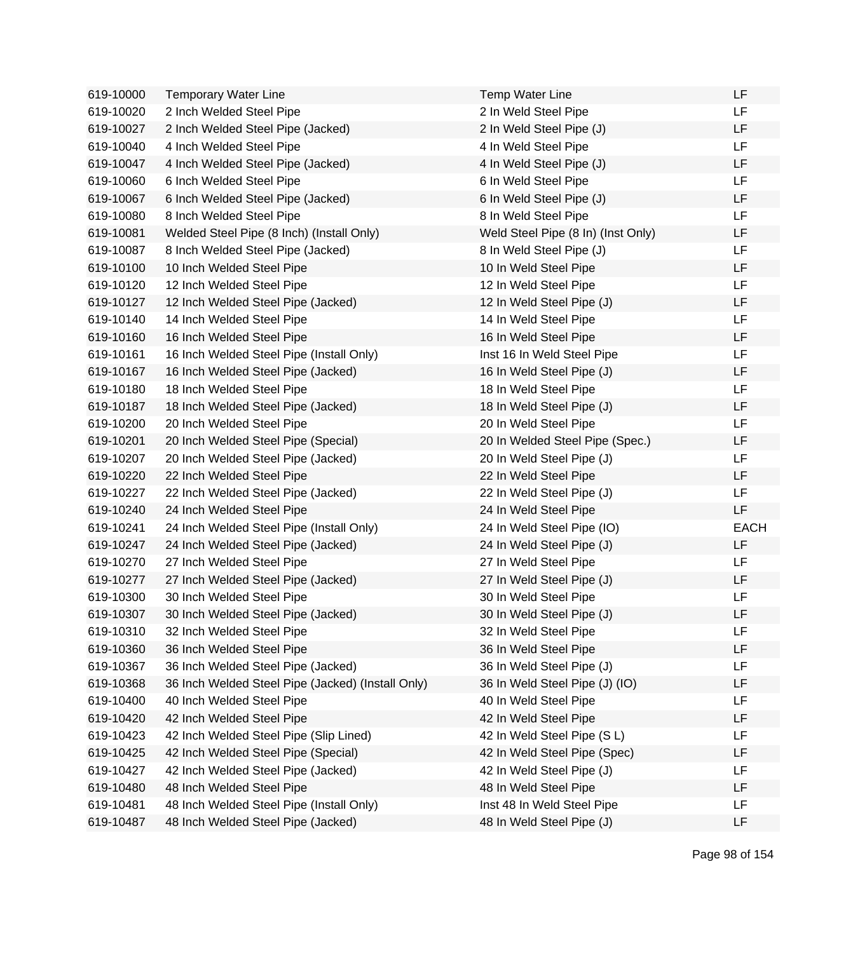| 619-10000 | <b>Temporary Water Line</b>                       | <b>Temp Water Line</b>             | LF          |
|-----------|---------------------------------------------------|------------------------------------|-------------|
| 619-10020 | 2 Inch Welded Steel Pipe                          | 2 In Weld Steel Pipe               | LF.         |
| 619-10027 | 2 Inch Welded Steel Pipe (Jacked)                 | 2 In Weld Steel Pipe (J)           | LF          |
| 619-10040 | 4 Inch Welded Steel Pipe                          | 4 In Weld Steel Pipe               | LF.         |
| 619-10047 | 4 Inch Welded Steel Pipe (Jacked)                 | 4 In Weld Steel Pipe (J)           | LF          |
| 619-10060 | 6 Inch Welded Steel Pipe                          | 6 In Weld Steel Pipe               | LF          |
| 619-10067 | 6 Inch Welded Steel Pipe (Jacked)                 | 6 In Weld Steel Pipe (J)           | LF          |
| 619-10080 | 8 Inch Welded Steel Pipe                          | 8 In Weld Steel Pipe               | <b>LF</b>   |
| 619-10081 | Welded Steel Pipe (8 Inch) (Install Only)         | Weld Steel Pipe (8 In) (Inst Only) | LF          |
| 619-10087 | 8 Inch Welded Steel Pipe (Jacked)                 | 8 In Weld Steel Pipe (J)           | LF          |
| 619-10100 | 10 Inch Welded Steel Pipe                         | 10 In Weld Steel Pipe              | LF          |
| 619-10120 | 12 Inch Welded Steel Pipe                         | 12 In Weld Steel Pipe              | LF.         |
| 619-10127 | 12 Inch Welded Steel Pipe (Jacked)                | 12 In Weld Steel Pipe (J)          | <b>LF</b>   |
| 619-10140 | 14 Inch Welded Steel Pipe                         | 14 In Weld Steel Pipe              | LF          |
| 619-10160 | 16 Inch Welded Steel Pipe                         | 16 In Weld Steel Pipe              | LF          |
| 619-10161 | 16 Inch Welded Steel Pipe (Install Only)          | Inst 16 In Weld Steel Pipe         | LF          |
| 619-10167 | 16 Inch Welded Steel Pipe (Jacked)                | 16 In Weld Steel Pipe (J)          | LF          |
| 619-10180 | 18 Inch Welded Steel Pipe                         | 18 In Weld Steel Pipe              | <b>LF</b>   |
| 619-10187 | 18 Inch Welded Steel Pipe (Jacked)                | 18 In Weld Steel Pipe (J)          | LF          |
| 619-10200 | 20 Inch Welded Steel Pipe                         | 20 In Weld Steel Pipe              | LF          |
| 619-10201 | 20 Inch Welded Steel Pipe (Special)               | 20 In Welded Steel Pipe (Spec.)    | LF          |
| 619-10207 | 20 Inch Welded Steel Pipe (Jacked)                | 20 In Weld Steel Pipe (J)          | LF.         |
| 619-10220 | 22 Inch Welded Steel Pipe                         | 22 In Weld Steel Pipe              | LF          |
| 619-10227 | 22 Inch Welded Steel Pipe (Jacked)                | 22 In Weld Steel Pipe (J)          | LF          |
| 619-10240 | 24 Inch Welded Steel Pipe                         | 24 In Weld Steel Pipe              | LF          |
| 619-10241 | 24 Inch Welded Steel Pipe (Install Only)          | 24 In Weld Steel Pipe (IO)         | <b>EACH</b> |
| 619-10247 | 24 Inch Welded Steel Pipe (Jacked)                | 24 In Weld Steel Pipe (J)          | LF          |
| 619-10270 | 27 Inch Welded Steel Pipe                         | 27 In Weld Steel Pipe              | LF          |
| 619-10277 | 27 Inch Welded Steel Pipe (Jacked)                | 27 In Weld Steel Pipe (J)          | LF.         |
| 619-10300 | 30 Inch Welded Steel Pipe                         | 30 In Weld Steel Pipe              | LF          |
| 619-10307 | 30 Inch Welded Steel Pipe (Jacked)                | 30 In Weld Steel Pipe (J)          | LF          |
| 619-10310 | 32 Inch Welded Steel Pipe                         | 32 In Weld Steel Pipe              | LF          |
| 619-10360 | 36 Inch Welded Steel Pipe                         | 36 In Weld Steel Pipe              | LF          |
| 619-10367 | 36 Inch Welded Steel Pipe (Jacked)                | 36 In Weld Steel Pipe (J)          | LF          |
| 619-10368 | 36 Inch Welded Steel Pipe (Jacked) (Install Only) | 36 In Weld Steel Pipe (J) (IO)     | LF          |
| 619-10400 | 40 Inch Welded Steel Pipe                         | 40 In Weld Steel Pipe              | LF          |
| 619-10420 | 42 Inch Welded Steel Pipe                         | 42 In Weld Steel Pipe              | LF          |
| 619-10423 | 42 Inch Welded Steel Pipe (Slip Lined)            | 42 In Weld Steel Pipe (S L)        | LF          |
| 619-10425 | 42 Inch Welded Steel Pipe (Special)               | 42 In Weld Steel Pipe (Spec)       | LF          |
| 619-10427 | 42 Inch Welded Steel Pipe (Jacked)                | 42 In Weld Steel Pipe (J)          | LF          |
| 619-10480 | 48 Inch Welded Steel Pipe                         | 48 In Weld Steel Pipe              | LF          |
| 619-10481 | 48 Inch Welded Steel Pipe (Install Only)          | Inst 48 In Weld Steel Pipe         | LF          |
| 619-10487 | 48 Inch Welded Steel Pipe (Jacked)                | 48 In Weld Steel Pipe (J)          | LF          |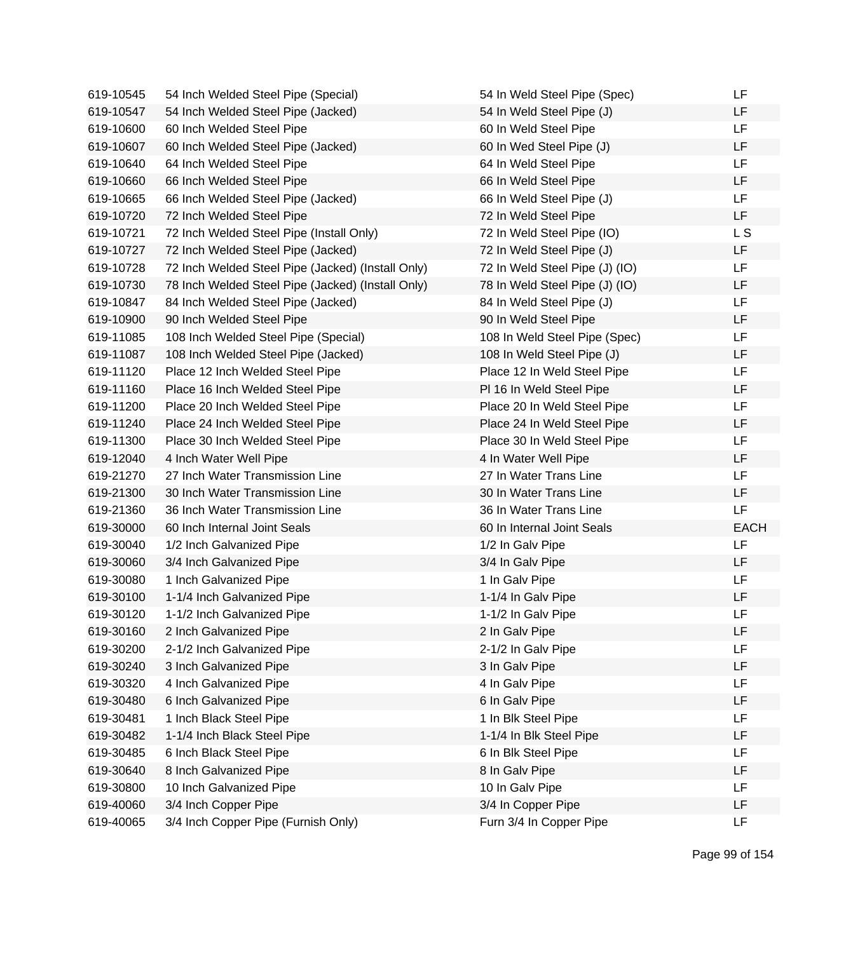| 619-10545 | 54 Inch Welded Steel Pipe (Special)               | 54 In Weld Steel Pipe (Spec)   | LF          |
|-----------|---------------------------------------------------|--------------------------------|-------------|
| 619-10547 | 54 Inch Welded Steel Pipe (Jacked)                | 54 In Weld Steel Pipe (J)      | LF          |
| 619-10600 | 60 Inch Welded Steel Pipe                         | 60 In Weld Steel Pipe          | <b>LF</b>   |
| 619-10607 | 60 Inch Welded Steel Pipe (Jacked)                | 60 In Wed Steel Pipe (J)       | LF          |
| 619-10640 | 64 Inch Welded Steel Pipe                         | 64 In Weld Steel Pipe          | LF          |
| 619-10660 | 66 Inch Welded Steel Pipe                         | 66 In Weld Steel Pipe          | LF          |
| 619-10665 | 66 Inch Welded Steel Pipe (Jacked)                | 66 In Weld Steel Pipe (J)      | LF          |
| 619-10720 | 72 Inch Welded Steel Pipe                         | 72 In Weld Steel Pipe          | LF.         |
| 619-10721 | 72 Inch Welded Steel Pipe (Install Only)          | 72 In Weld Steel Pipe (IO)     | L S         |
| 619-10727 | 72 Inch Welded Steel Pipe (Jacked)                | 72 In Weld Steel Pipe (J)      | LF          |
| 619-10728 | 72 Inch Welded Steel Pipe (Jacked) (Install Only) | 72 In Weld Steel Pipe (J) (IO) | LF          |
| 619-10730 | 78 Inch Welded Steel Pipe (Jacked) (Install Only) | 78 In Weld Steel Pipe (J) (IO) | LF          |
| 619-10847 | 84 Inch Welded Steel Pipe (Jacked)                | 84 In Weld Steel Pipe (J)      | LF          |
| 619-10900 | 90 Inch Welded Steel Pipe                         | 90 In Weld Steel Pipe          | LF          |
| 619-11085 | 108 Inch Welded Steel Pipe (Special)              | 108 In Weld Steel Pipe (Spec)  | LF          |
| 619-11087 | 108 Inch Welded Steel Pipe (Jacked)               | 108 In Weld Steel Pipe (J)     | LF          |
| 619-11120 | Place 12 Inch Welded Steel Pipe                   | Place 12 In Weld Steel Pipe    | LF          |
| 619-11160 | Place 16 Inch Welded Steel Pipe                   | PI 16 In Weld Steel Pipe       | LF          |
| 619-11200 | Place 20 Inch Welded Steel Pipe                   | Place 20 In Weld Steel Pipe    | LF          |
| 619-11240 | Place 24 Inch Welded Steel Pipe                   | Place 24 In Weld Steel Pipe    | LF          |
| 619-11300 | Place 30 Inch Welded Steel Pipe                   | Place 30 In Weld Steel Pipe    | LF          |
| 619-12040 | 4 Inch Water Well Pipe                            | 4 In Water Well Pipe           | LF          |
| 619-21270 | 27 Inch Water Transmission Line                   | 27 In Water Trans Line         | LF          |
| 619-21300 | 30 Inch Water Transmission Line                   | 30 In Water Trans Line         | LF          |
| 619-21360 | 36 Inch Water Transmission Line                   | 36 In Water Trans Line         | LF          |
| 619-30000 | 60 Inch Internal Joint Seals                      | 60 In Internal Joint Seals     | <b>EACH</b> |
| 619-30040 | 1/2 Inch Galvanized Pipe                          | 1/2 In Galv Pipe               | LF          |
| 619-30060 | 3/4 Inch Galvanized Pipe                          | 3/4 In Galv Pipe               | LF          |
| 619-30080 | 1 Inch Galvanized Pipe                            | 1 In Galv Pipe                 | LF          |
| 619-30100 | 1-1/4 Inch Galvanized Pipe                        | 1-1/4 In Galv Pipe             | LF          |
| 619-30120 | 1-1/2 Inch Galvanized Pipe                        | 1-1/2 In Galv Pipe             | LF          |
| 619-30160 | 2 Inch Galvanized Pipe                            | 2 In Galv Pipe                 | LF          |
| 619-30200 | 2-1/2 Inch Galvanized Pipe                        | 2-1/2 In Galv Pipe             | <b>LF</b>   |
| 619-30240 | 3 Inch Galvanized Pipe                            | 3 In Galv Pipe                 | LF          |
| 619-30320 | 4 Inch Galvanized Pipe                            | 4 In Galv Pipe                 | <b>LF</b>   |
| 619-30480 | 6 Inch Galvanized Pipe                            | 6 In Galv Pipe                 | LF          |
| 619-30481 | 1 Inch Black Steel Pipe                           | 1 In Blk Steel Pipe            | LF          |
| 619-30482 | 1-1/4 Inch Black Steel Pipe                       | 1-1/4 In Blk Steel Pipe        | LF          |
| 619-30485 | 6 Inch Black Steel Pipe                           | 6 In Blk Steel Pipe            | LF          |
| 619-30640 | 8 Inch Galvanized Pipe                            | 8 In Galv Pipe                 | LF          |
| 619-30800 | 10 Inch Galvanized Pipe                           | 10 In Galv Pipe                | LF          |
| 619-40060 | 3/4 Inch Copper Pipe                              | 3/4 In Copper Pipe             | LF          |
| 619-40065 | 3/4 Inch Copper Pipe (Furnish Only)               | Furn 3/4 In Copper Pipe        | LF          |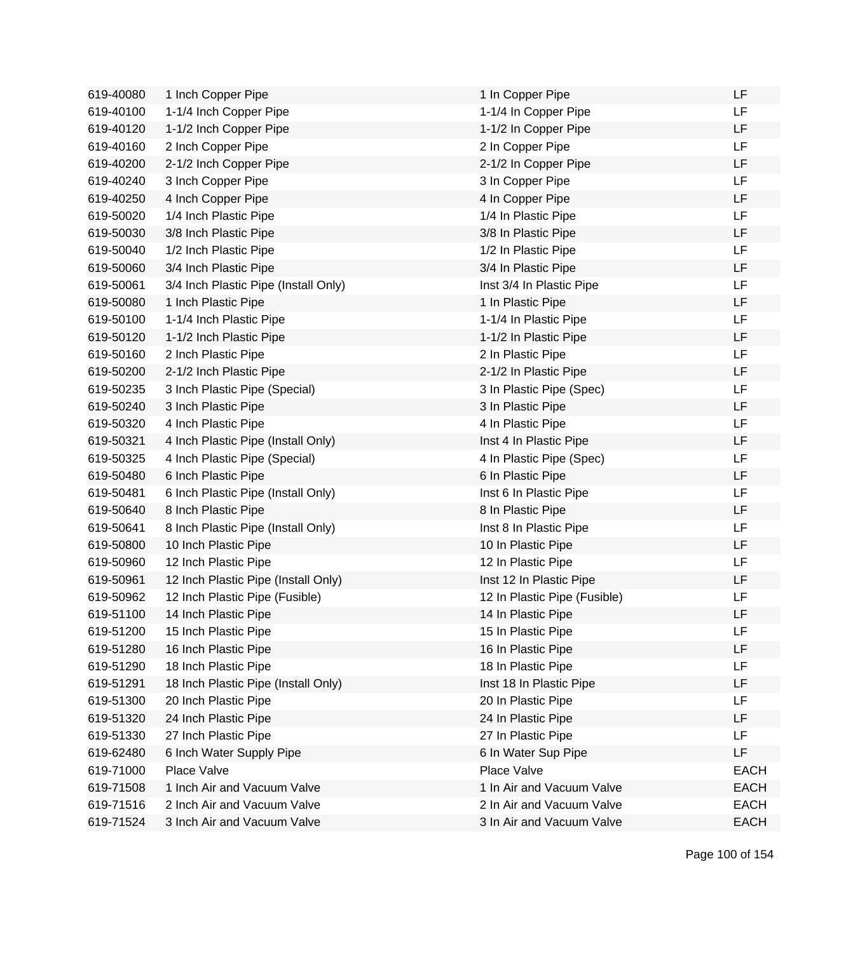| 619-40080 | 1 Inch Copper Pipe                   | 1 In Copper Pipe             | LF          |
|-----------|--------------------------------------|------------------------------|-------------|
| 619-40100 | 1-1/4 Inch Copper Pipe               | 1-1/4 In Copper Pipe         | LF          |
| 619-40120 | 1-1/2 Inch Copper Pipe               | 1-1/2 In Copper Pipe         | <b>LF</b>   |
| 619-40160 | 2 Inch Copper Pipe                   | 2 In Copper Pipe             | <b>LF</b>   |
| 619-40200 | 2-1/2 Inch Copper Pipe               | 2-1/2 In Copper Pipe         | <b>LF</b>   |
| 619-40240 | 3 Inch Copper Pipe                   | 3 In Copper Pipe             | LF          |
| 619-40250 | 4 Inch Copper Pipe                   | 4 In Copper Pipe             | LF          |
| 619-50020 | 1/4 Inch Plastic Pipe                | 1/4 In Plastic Pipe          | LF          |
| 619-50030 | 3/8 Inch Plastic Pipe                | 3/8 In Plastic Pipe          | LF          |
| 619-50040 | 1/2 Inch Plastic Pipe                | 1/2 In Plastic Pipe          | <b>LF</b>   |
| 619-50060 | 3/4 Inch Plastic Pipe                | 3/4 In Plastic Pipe          | LF          |
| 619-50061 | 3/4 Inch Plastic Pipe (Install Only) | Inst 3/4 In Plastic Pipe     | <b>LF</b>   |
| 619-50080 | 1 Inch Plastic Pipe                  | 1 In Plastic Pipe            | <b>LF</b>   |
| 619-50100 | 1-1/4 Inch Plastic Pipe              | 1-1/4 In Plastic Pipe        | <b>LF</b>   |
| 619-50120 | 1-1/2 Inch Plastic Pipe              | 1-1/2 In Plastic Pipe        | <b>LF</b>   |
| 619-50160 | 2 Inch Plastic Pipe                  | 2 In Plastic Pipe            | LF          |
| 619-50200 | 2-1/2 Inch Plastic Pipe              | 2-1/2 In Plastic Pipe        | LF          |
| 619-50235 | 3 Inch Plastic Pipe (Special)        | 3 In Plastic Pipe (Spec)     | LF          |
| 619-50240 | 3 Inch Plastic Pipe                  | 3 In Plastic Pipe            | LF          |
| 619-50320 | 4 Inch Plastic Pipe                  | 4 In Plastic Pipe            | <b>LF</b>   |
| 619-50321 | 4 Inch Plastic Pipe (Install Only)   | Inst 4 In Plastic Pipe       | LF          |
| 619-50325 | 4 Inch Plastic Pipe (Special)        | 4 In Plastic Pipe (Spec)     | <b>LF</b>   |
| 619-50480 | 6 Inch Plastic Pipe                  | 6 In Plastic Pipe            | <b>LF</b>   |
| 619-50481 | 6 Inch Plastic Pipe (Install Only)   | Inst 6 In Plastic Pipe       | <b>LF</b>   |
| 619-50640 | 8 Inch Plastic Pipe                  | 8 In Plastic Pipe            | LF          |
| 619-50641 | 8 Inch Plastic Pipe (Install Only)   | Inst 8 In Plastic Pipe       | LF          |
| 619-50800 | 10 Inch Plastic Pipe                 | 10 In Plastic Pipe           | LF          |
| 619-50960 | 12 Inch Plastic Pipe                 | 12 In Plastic Pipe           | LF          |
| 619-50961 | 12 Inch Plastic Pipe (Install Only)  | Inst 12 In Plastic Pipe      | LF          |
| 619-50962 | 12 Inch Plastic Pipe (Fusible)       | 12 In Plastic Pipe (Fusible) | LF          |
| 619-51100 | 14 Inch Plastic Pipe                 | 14 In Plastic Pipe           | LF          |
| 619-51200 | 15 Inch Plastic Pipe                 | 15 In Plastic Pipe           | LF          |
| 619-51280 | 16 Inch Plastic Pipe                 | 16 In Plastic Pipe           | LF          |
| 619-51290 | 18 Inch Plastic Pipe                 | 18 In Plastic Pipe           | LF          |
| 619-51291 | 18 Inch Plastic Pipe (Install Only)  | Inst 18 In Plastic Pipe      | LF          |
| 619-51300 | 20 Inch Plastic Pipe                 | 20 In Plastic Pipe           | LF          |
| 619-51320 | 24 Inch Plastic Pipe                 | 24 In Plastic Pipe           | LF          |
| 619-51330 | 27 Inch Plastic Pipe                 | 27 In Plastic Pipe           | <b>LF</b>   |
| 619-62480 | 6 Inch Water Supply Pipe             | 6 In Water Sup Pipe          | LF          |
| 619-71000 | Place Valve                          | Place Valve                  | <b>EACH</b> |
| 619-71508 | 1 Inch Air and Vacuum Valve          | 1 In Air and Vacuum Valve    | <b>EACH</b> |
| 619-71516 | 2 Inch Air and Vacuum Valve          | 2 In Air and Vacuum Valve    | <b>EACH</b> |
| 619-71524 | 3 Inch Air and Vacuum Valve          | 3 In Air and Vacuum Valve    | <b>EACH</b> |

Page 100 of 154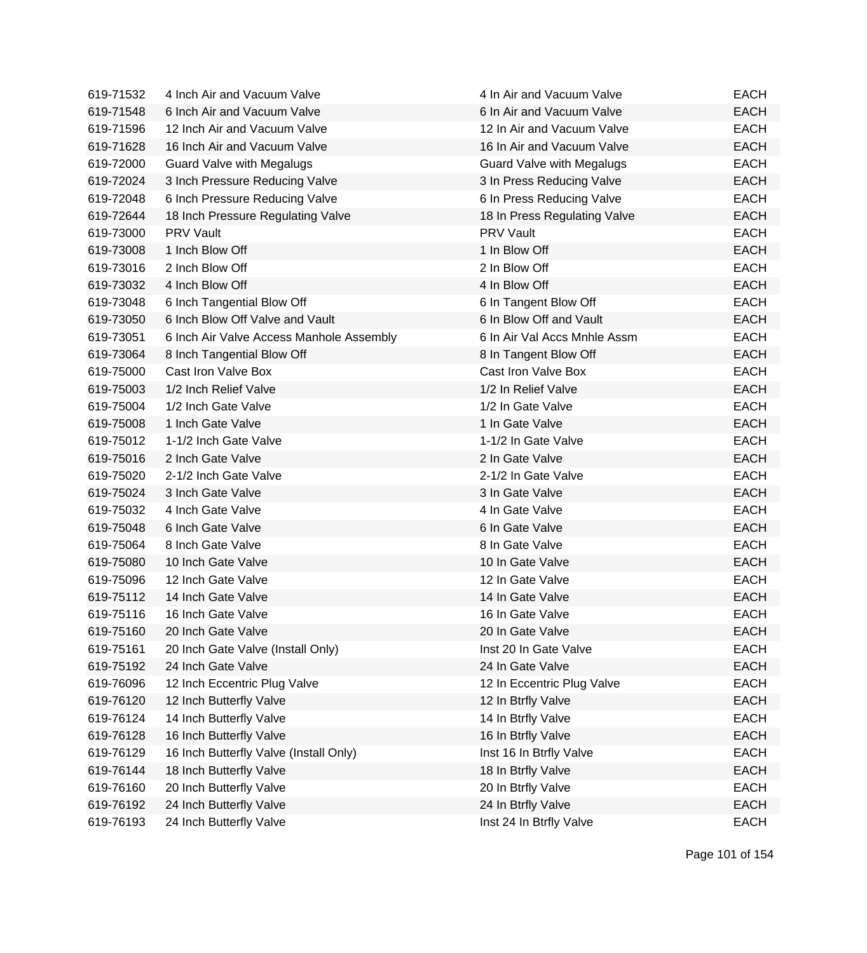| 619-71532 | 4 Inch Air and Vacuum Valve              | 4 In Air and Vacuum Valve        | EACH        |
|-----------|------------------------------------------|----------------------------------|-------------|
| 619-71548 | 6 Inch Air and Vacuum Valve              | 6 In Air and Vacuum Valve        | <b>EACH</b> |
| 619-71596 | 12 Inch Air and Vacuum Valve             | 12 In Air and Vacuum Valve       | <b>EACH</b> |
| 619-71628 | 16 Inch Air and Vacuum Valve             | 16 In Air and Vacuum Valve       | <b>EACH</b> |
| 619-72000 | <b>Guard Valve with Megalugs</b>         | <b>Guard Valve with Megalugs</b> | <b>EACH</b> |
| 619-72024 | 3 Inch Pressure Reducing Valve           | 3 In Press Reducing Valve        | <b>EACH</b> |
| 619-72048 | 6 Inch Pressure Reducing Valve           | 6 In Press Reducing Valve        | <b>EACH</b> |
| 619-72644 | 18 Inch Pressure Regulating Valve        | 18 In Press Regulating Valve     | <b>EACH</b> |
| 619-73000 | <b>PRV Vault</b>                         | <b>PRV Vault</b>                 | <b>EACH</b> |
| 619-73008 | 1 Inch Blow Off                          | 1 In Blow Off                    | <b>EACH</b> |
| 619-73016 | 2 Inch Blow Off                          | 2 In Blow Off                    | <b>EACH</b> |
| 619-73032 | 4 Inch Blow Off                          | 4 In Blow Off                    | <b>EACH</b> |
| 619-73048 | 6 Inch Tangential Blow Off               | 6 In Tangent Blow Off            | <b>EACH</b> |
| 619-73050 | 6 Inch Blow Off Valve and Vault          | 6 In Blow Off and Vault          | <b>EACH</b> |
| 619-73051 | 6 Inch Air Valve Access Manhole Assembly | 6 In Air Val Accs Mnhle Assm     | <b>EACH</b> |
| 619-73064 | 8 Inch Tangential Blow Off               | 8 In Tangent Blow Off            | <b>EACH</b> |
| 619-75000 | Cast Iron Valve Box                      | Cast Iron Valve Box              | <b>EACH</b> |
| 619-75003 | 1/2 Inch Relief Valve                    | 1/2 In Relief Valve              | <b>EACH</b> |
| 619-75004 | 1/2 Inch Gate Valve                      | 1/2 In Gate Valve                | <b>EACH</b> |
| 619-75008 | 1 Inch Gate Valve                        | 1 In Gate Valve                  | <b>EACH</b> |
| 619-75012 | 1-1/2 Inch Gate Valve                    | 1-1/2 In Gate Valve              | <b>EACH</b> |
| 619-75016 | 2 Inch Gate Valve                        | 2 In Gate Valve                  | <b>EACH</b> |
| 619-75020 | 2-1/2 Inch Gate Valve                    | 2-1/2 In Gate Valve              | <b>EACH</b> |
| 619-75024 | 3 Inch Gate Valve                        | 3 In Gate Valve                  | <b>EACH</b> |
| 619-75032 | 4 Inch Gate Valve                        | 4 In Gate Valve                  | <b>EACH</b> |
| 619-75048 | 6 Inch Gate Valve                        | 6 In Gate Valve                  | <b>EACH</b> |
| 619-75064 | 8 Inch Gate Valve                        | 8 In Gate Valve                  | <b>EACH</b> |
| 619-75080 | 10 Inch Gate Valve                       | 10 In Gate Valve                 | <b>EACH</b> |
| 619-75096 | 12 Inch Gate Valve                       | 12 In Gate Valve                 | <b>EACH</b> |
| 619-75112 | 14 Inch Gate Valve                       | 14 In Gate Valve                 | <b>EACH</b> |
| 619-75116 | 16 Inch Gate Valve                       | 16 In Gate Valve                 | <b>EACH</b> |
| 619-75160 | 20 Inch Gate Valve                       | 20 In Gate Valve                 | <b>EACH</b> |
| 619-75161 | 20 Inch Gate Valve (Install Only)        | Inst 20 In Gate Valve            | <b>EACH</b> |
| 619-75192 | 24 Inch Gate Valve                       | 24 In Gate Valve                 | <b>EACH</b> |
| 619-76096 | 12 Inch Eccentric Plug Valve             | 12 In Eccentric Plug Valve       | <b>EACH</b> |
| 619-76120 | 12 Inch Butterfly Valve                  | 12 In Btrfly Valve               | <b>EACH</b> |
| 619-76124 | 14 Inch Butterfly Valve                  | 14 In Btrfly Valve               | <b>EACH</b> |
| 619-76128 | 16 Inch Butterfly Valve                  | 16 In Btrfly Valve               | <b>EACH</b> |
| 619-76129 | 16 Inch Butterfly Valve (Install Only)   | Inst 16 In Btrfly Valve          | <b>EACH</b> |
| 619-76144 | 18 Inch Butterfly Valve                  | 18 In Btrfly Valve               | <b>EACH</b> |
| 619-76160 | 20 Inch Butterfly Valve                  | 20 In Btrfly Valve               | <b>EACH</b> |
| 619-76192 | 24 Inch Butterfly Valve                  | 24 In Btrfly Valve               | <b>EACH</b> |
| 619-76193 | 24 Inch Butterfly Valve                  | Inst 24 In Btrfly Valve          | <b>EACH</b> |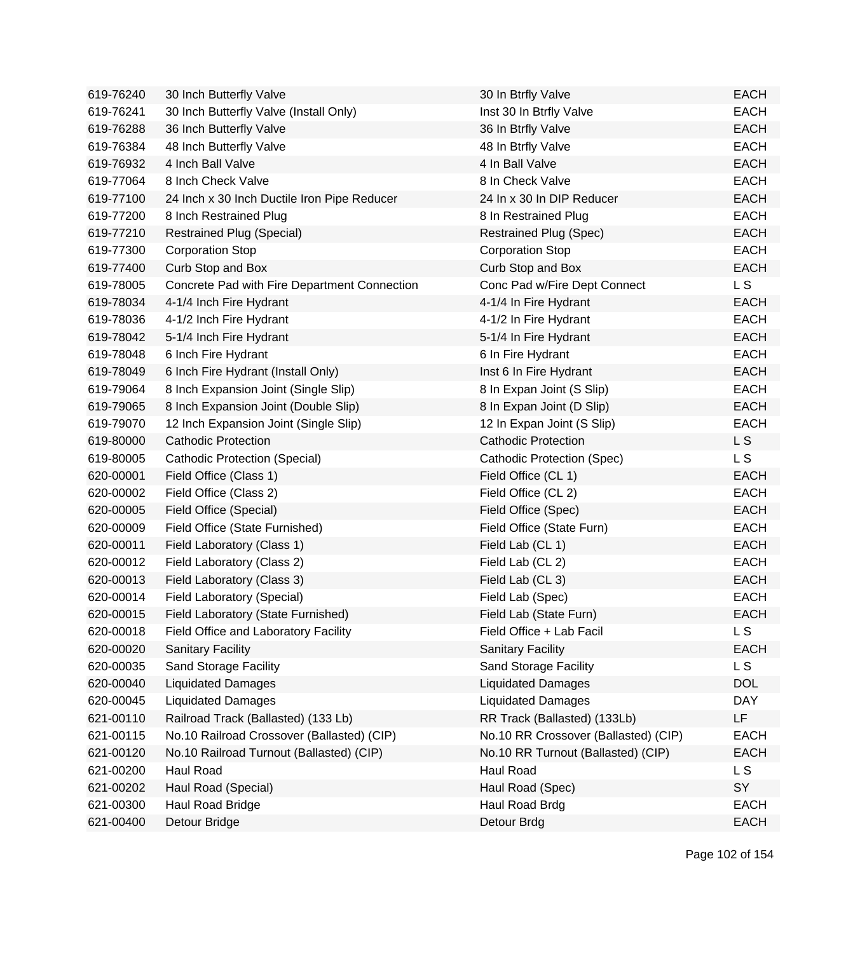| 619-76240 | 30 Inch Butterfly Valve                      | 30 In Btrfly Valve                   | <b>EACH</b> |
|-----------|----------------------------------------------|--------------------------------------|-------------|
| 619-76241 | 30 Inch Butterfly Valve (Install Only)       | Inst 30 In Btrfly Valve              | <b>EACH</b> |
| 619-76288 | 36 Inch Butterfly Valve                      | 36 In Btrfly Valve                   | <b>EACH</b> |
| 619-76384 | 48 Inch Butterfly Valve                      | 48 In Btrfly Valve                   | <b>EACH</b> |
| 619-76932 | 4 Inch Ball Valve                            | 4 In Ball Valve                      | <b>EACH</b> |
| 619-77064 | 8 Inch Check Valve                           | 8 In Check Valve                     | <b>EACH</b> |
| 619-77100 | 24 Inch x 30 Inch Ductile Iron Pipe Reducer  | 24 In x 30 In DIP Reducer            | <b>EACH</b> |
| 619-77200 | 8 Inch Restrained Plug                       | 8 In Restrained Plug                 | <b>EACH</b> |
| 619-77210 | <b>Restrained Plug (Special)</b>             | <b>Restrained Plug (Spec)</b>        | <b>EACH</b> |
| 619-77300 | <b>Corporation Stop</b>                      | Corporation Stop                     | <b>EACH</b> |
| 619-77400 | Curb Stop and Box                            | Curb Stop and Box                    | <b>EACH</b> |
| 619-78005 | Concrete Pad with Fire Department Connection | Conc Pad w/Fire Dept Connect         | L S         |
| 619-78034 | 4-1/4 Inch Fire Hydrant                      | 4-1/4 In Fire Hydrant                | <b>EACH</b> |
| 619-78036 | 4-1/2 Inch Fire Hydrant                      | 4-1/2 In Fire Hydrant                | <b>EACH</b> |
| 619-78042 | 5-1/4 Inch Fire Hydrant                      | 5-1/4 In Fire Hydrant                | <b>EACH</b> |
| 619-78048 | 6 Inch Fire Hydrant                          | 6 In Fire Hydrant                    | <b>EACH</b> |
| 619-78049 | 6 Inch Fire Hydrant (Install Only)           | Inst 6 In Fire Hydrant               | <b>EACH</b> |
| 619-79064 | 8 Inch Expansion Joint (Single Slip)         | 8 In Expan Joint (S Slip)            | <b>EACH</b> |
| 619-79065 | 8 Inch Expansion Joint (Double Slip)         | 8 In Expan Joint (D Slip)            | <b>EACH</b> |
| 619-79070 | 12 Inch Expansion Joint (Single Slip)        | 12 In Expan Joint (S Slip)           | <b>EACH</b> |
| 619-80000 | <b>Cathodic Protection</b>                   | <b>Cathodic Protection</b>           | L S         |
| 619-80005 | Cathodic Protection (Special)                | <b>Cathodic Protection (Spec)</b>    | L S         |
| 620-00001 | Field Office (Class 1)                       | Field Office (CL 1)                  | <b>EACH</b> |
| 620-00002 | Field Office (Class 2)                       | Field Office (CL 2)                  | <b>EACH</b> |
| 620-00005 | Field Office (Special)                       | Field Office (Spec)                  | <b>EACH</b> |
| 620-00009 | Field Office (State Furnished)               | Field Office (State Furn)            | <b>EACH</b> |
| 620-00011 | Field Laboratory (Class 1)                   | Field Lab (CL 1)                     | <b>EACH</b> |
| 620-00012 | Field Laboratory (Class 2)                   | Field Lab (CL 2)                     | <b>EACH</b> |
| 620-00013 | Field Laboratory (Class 3)                   | Field Lab (CL 3)                     | <b>EACH</b> |
| 620-00014 | Field Laboratory (Special)                   | Field Lab (Spec)                     | <b>EACH</b> |
| 620-00015 | Field Laboratory (State Furnished)           | Field Lab (State Furn)               | <b>EACH</b> |
| 620-00018 | Field Office and Laboratory Facility         | Field Office + Lab Facil             | L S         |
| 620-00020 | <b>Sanitary Facility</b>                     | <b>Sanitary Facility</b>             | <b>EACH</b> |
| 620-00035 | Sand Storage Facility                        | Sand Storage Facility                | L S         |
| 620-00040 | <b>Liquidated Damages</b>                    | <b>Liquidated Damages</b>            | <b>DOL</b>  |
| 620-00045 | <b>Liquidated Damages</b>                    | <b>Liquidated Damages</b>            | <b>DAY</b>  |
| 621-00110 | Railroad Track (Ballasted) (133 Lb)          | RR Track (Ballasted) (133Lb)         | LF          |
| 621-00115 | No.10 Railroad Crossover (Ballasted) (CIP)   | No.10 RR Crossover (Ballasted) (CIP) | <b>EACH</b> |
| 621-00120 | No.10 Railroad Turnout (Ballasted) (CIP)     | No.10 RR Turnout (Ballasted) (CIP)   | <b>EACH</b> |
| 621-00200 | Haul Road                                    | Haul Road                            | L S         |
| 621-00202 | Haul Road (Special)                          | Haul Road (Spec)                     | SY          |
| 621-00300 | Haul Road Bridge                             | Haul Road Brdg                       | <b>EACH</b> |
| 621-00400 | Detour Bridge                                | Detour Brdg                          | EACH        |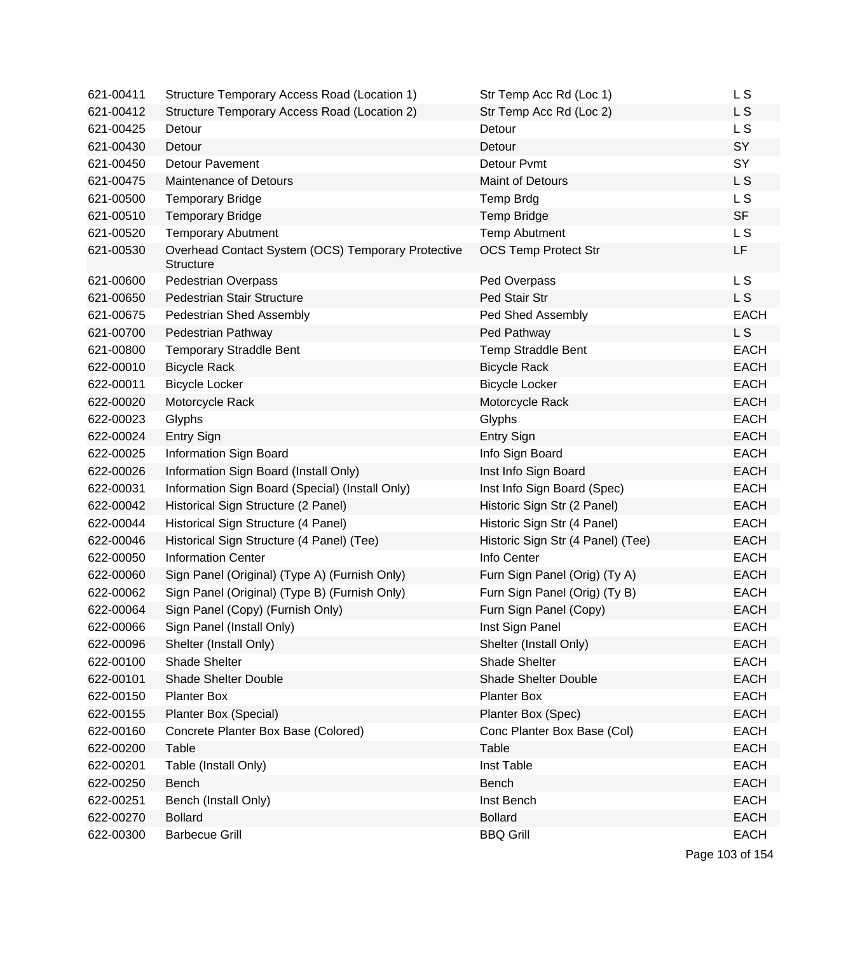| 621-00411 | Structure Temporary Access Road (Location 1)                           | Str Temp Acc Rd (Loc 1)           | L S            |
|-----------|------------------------------------------------------------------------|-----------------------------------|----------------|
| 621-00412 | Structure Temporary Access Road (Location 2)                           | Str Temp Acc Rd (Loc 2)           | L S            |
| 621-00425 | Detour                                                                 | Detour                            | L S            |
| 621-00430 | Detour                                                                 | Detour                            | SY             |
| 621-00450 | <b>Detour Pavement</b>                                                 | Detour Pvmt                       | SY             |
| 621-00475 | <b>Maintenance of Detours</b>                                          | <b>Maint of Detours</b>           | L S            |
| 621-00500 | <b>Temporary Bridge</b>                                                | <b>Temp Brdg</b>                  | L <sub>S</sub> |
| 621-00510 | <b>Temporary Bridge</b>                                                | <b>Temp Bridge</b>                | <b>SF</b>      |
| 621-00520 | <b>Temporary Abutment</b>                                              | <b>Temp Abutment</b>              | L S            |
| 621-00530 | Overhead Contact System (OCS) Temporary Protective<br><b>Structure</b> | <b>OCS Temp Protect Str</b>       | LF             |
| 621-00600 | <b>Pedestrian Overpass</b>                                             | Ped Overpass                      | L S            |
| 621-00650 | <b>Pedestrian Stair Structure</b>                                      | Ped Stair Str                     | L S            |
| 621-00675 | Pedestrian Shed Assembly                                               | Ped Shed Assembly                 | <b>EACH</b>    |
| 621-00700 | Pedestrian Pathway                                                     | Ped Pathway                       | L S            |
| 621-00800 | <b>Temporary Straddle Bent</b>                                         | <b>Temp Straddle Bent</b>         | <b>EACH</b>    |
| 622-00010 | <b>Bicycle Rack</b>                                                    | <b>Bicycle Rack</b>               | <b>EACH</b>    |
| 622-00011 | <b>Bicycle Locker</b>                                                  | <b>Bicycle Locker</b>             | <b>EACH</b>    |
| 622-00020 | Motorcycle Rack                                                        | Motorcycle Rack                   | <b>EACH</b>    |
| 622-00023 | Glyphs                                                                 | Glyphs                            | <b>EACH</b>    |
| 622-00024 | Entry Sign                                                             | Entry Sign                        | <b>EACH</b>    |
| 622-00025 | Information Sign Board                                                 | Info Sign Board                   | <b>EACH</b>    |
| 622-00026 | Information Sign Board (Install Only)                                  | Inst Info Sign Board              | <b>EACH</b>    |
| 622-00031 | Information Sign Board (Special) (Install Only)                        | Inst Info Sign Board (Spec)       | <b>EACH</b>    |
| 622-00042 | Historical Sign Structure (2 Panel)                                    | Historic Sign Str (2 Panel)       | <b>EACH</b>    |
| 622-00044 | Historical Sign Structure (4 Panel)                                    | Historic Sign Str (4 Panel)       | <b>EACH</b>    |
| 622-00046 | Historical Sign Structure (4 Panel) (Tee)                              | Historic Sign Str (4 Panel) (Tee) | <b>EACH</b>    |
| 622-00050 | <b>Information Center</b>                                              | Info Center                       | <b>EACH</b>    |
| 622-00060 | Sign Panel (Original) (Type A) (Furnish Only)                          | Furn Sign Panel (Orig) (Ty A)     | <b>EACH</b>    |
| 622-00062 | Sign Panel (Original) (Type B) (Furnish Only)                          | Furn Sign Panel (Orig) (Ty B)     | <b>EACH</b>    |
| 622-00064 | Sign Panel (Copy) (Furnish Only)                                       | Furn Sign Panel (Copy)            | <b>EACH</b>    |
| 622-00066 | Sign Panel (Install Only)                                              | Inst Sign Panel                   | <b>EACH</b>    |
| 622-00096 | Shelter (Install Only)                                                 | Shelter (Install Only)            | <b>EACH</b>    |
| 622-00100 | <b>Shade Shelter</b>                                                   | Shade Shelter                     | <b>EACH</b>    |
| 622-00101 | <b>Shade Shelter Double</b>                                            | <b>Shade Shelter Double</b>       | <b>EACH</b>    |
| 622-00150 | <b>Planter Box</b>                                                     | <b>Planter Box</b>                | <b>EACH</b>    |
| 622-00155 | Planter Box (Special)                                                  | Planter Box (Spec)                | <b>EACH</b>    |
| 622-00160 | Concrete Planter Box Base (Colored)                                    | Conc Planter Box Base (Col)       | <b>EACH</b>    |
| 622-00200 | Table                                                                  | Table                             | <b>EACH</b>    |
| 622-00201 | Table (Install Only)                                                   | Inst Table                        | <b>EACH</b>    |
| 622-00250 | Bench                                                                  | <b>Bench</b>                      | <b>EACH</b>    |
| 622-00251 | Bench (Install Only)                                                   | Inst Bench                        | <b>EACH</b>    |
| 622-00270 | <b>Bollard</b>                                                         | <b>Bollard</b>                    | <b>EACH</b>    |
| 622-00300 | <b>Barbecue Grill</b>                                                  | <b>BBQ Grill</b>                  | <b>EACH</b>    |

Page 103 of 154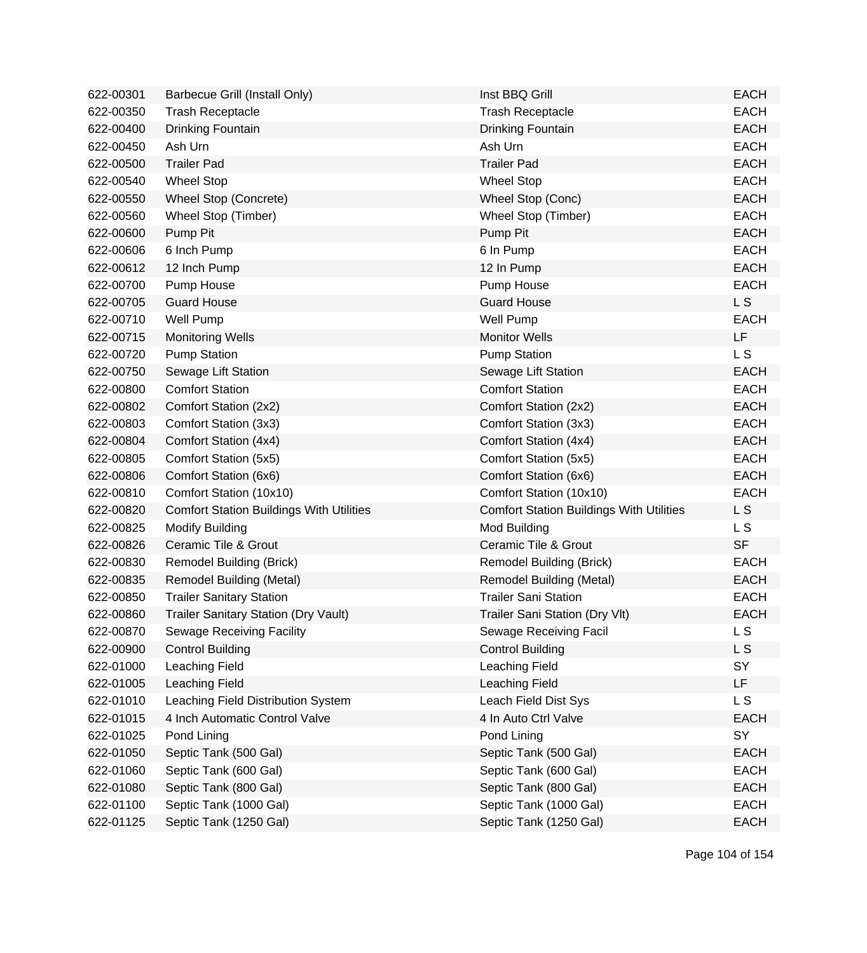| 622-00301 | Barbecue Grill (Install Only)                   | Inst BBQ Grill                                  | <b>EACH</b>    |
|-----------|-------------------------------------------------|-------------------------------------------------|----------------|
| 622-00350 | <b>Trash Receptacle</b>                         | <b>Trash Receptacle</b>                         | <b>EACH</b>    |
| 622-00400 | Drinking Fountain                               | Drinking Fountain                               | <b>EACH</b>    |
| 622-00450 | Ash Urn                                         | Ash Urn                                         | <b>EACH</b>    |
| 622-00500 | <b>Trailer Pad</b>                              | <b>Trailer Pad</b>                              | <b>EACH</b>    |
| 622-00540 | <b>Wheel Stop</b>                               | <b>Wheel Stop</b>                               | <b>EACH</b>    |
| 622-00550 | Wheel Stop (Concrete)                           | Wheel Stop (Conc)                               | <b>EACH</b>    |
| 622-00560 | Wheel Stop (Timber)                             | Wheel Stop (Timber)                             | <b>EACH</b>    |
| 622-00600 | Pump Pit                                        | Pump Pit                                        | <b>EACH</b>    |
| 622-00606 | 6 Inch Pump                                     | 6 In Pump                                       | <b>EACH</b>    |
| 622-00612 | 12 Inch Pump                                    | 12 In Pump                                      | <b>EACH</b>    |
| 622-00700 | Pump House                                      | Pump House                                      | <b>EACH</b>    |
| 622-00705 | <b>Guard House</b>                              | <b>Guard House</b>                              | <b>LS</b>      |
| 622-00710 | Well Pump                                       | <b>Well Pump</b>                                | <b>EACH</b>    |
| 622-00715 | <b>Monitoring Wells</b>                         | <b>Monitor Wells</b>                            | LF             |
| 622-00720 | <b>Pump Station</b>                             | <b>Pump Station</b>                             | L <sub>S</sub> |
| 622-00750 | Sewage Lift Station                             | Sewage Lift Station                             | <b>EACH</b>    |
| 622-00800 | <b>Comfort Station</b>                          | <b>Comfort Station</b>                          | <b>EACH</b>    |
| 622-00802 | Comfort Station (2x2)                           | Comfort Station (2x2)                           | <b>EACH</b>    |
| 622-00803 | Comfort Station (3x3)                           | Comfort Station (3x3)                           | <b>EACH</b>    |
| 622-00804 | Comfort Station (4x4)                           | Comfort Station (4x4)                           | <b>EACH</b>    |
| 622-00805 | Comfort Station (5x5)                           | Comfort Station (5x5)                           | <b>EACH</b>    |
| 622-00806 | Comfort Station (6x6)                           | Comfort Station (6x6)                           | <b>EACH</b>    |
| 622-00810 | Comfort Station (10x10)                         | Comfort Station (10x10)                         | <b>EACH</b>    |
| 622-00820 | <b>Comfort Station Buildings With Utilities</b> | <b>Comfort Station Buildings With Utilities</b> | L S            |
| 622-00825 | <b>Modify Building</b>                          | Mod Building                                    | L S            |
| 622-00826 | <b>Ceramic Tile &amp; Grout</b>                 | Ceramic Tile & Grout                            | <b>SF</b>      |
| 622-00830 | <b>Remodel Building (Brick)</b>                 | <b>Remodel Building (Brick)</b>                 | <b>EACH</b>    |
| 622-00835 | <b>Remodel Building (Metal)</b>                 | <b>Remodel Building (Metal)</b>                 | <b>EACH</b>    |
| 622-00850 | <b>Trailer Sanitary Station</b>                 | <b>Trailer Sani Station</b>                     | <b>EACH</b>    |
| 622-00860 | <b>Trailer Sanitary Station (Dry Vault)</b>     | Trailer Sani Station (Dry Vlt)                  | <b>EACH</b>    |
| 622-00870 | <b>Sewage Receiving Facility</b>                | Sewage Receiving Facil                          | L S            |
| 622-00900 | <b>Control Building</b>                         | <b>Control Building</b>                         | L <sub>S</sub> |
| 622-01000 | Leaching Field                                  | Leaching Field                                  | SY             |
| 622-01005 | Leaching Field                                  | <b>Leaching Field</b>                           | LF             |
| 622-01010 | Leaching Field Distribution System              | Leach Field Dist Sys                            | L S            |
| 622-01015 | 4 Inch Automatic Control Valve                  | 4 In Auto Ctrl Valve                            | <b>EACH</b>    |
| 622-01025 | Pond Lining                                     | Pond Lining                                     | SY             |
| 622-01050 | Septic Tank (500 Gal)                           | Septic Tank (500 Gal)                           | <b>EACH</b>    |
| 622-01060 | Septic Tank (600 Gal)                           | Septic Tank (600 Gal)                           | <b>EACH</b>    |
| 622-01080 | Septic Tank (800 Gal)                           | Septic Tank (800 Gal)                           | <b>EACH</b>    |
| 622-01100 | Septic Tank (1000 Gal)                          | Septic Tank (1000 Gal)                          | <b>EACH</b>    |
| 622-01125 | Septic Tank (1250 Gal)                          | Septic Tank (1250 Gal)                          | <b>EACH</b>    |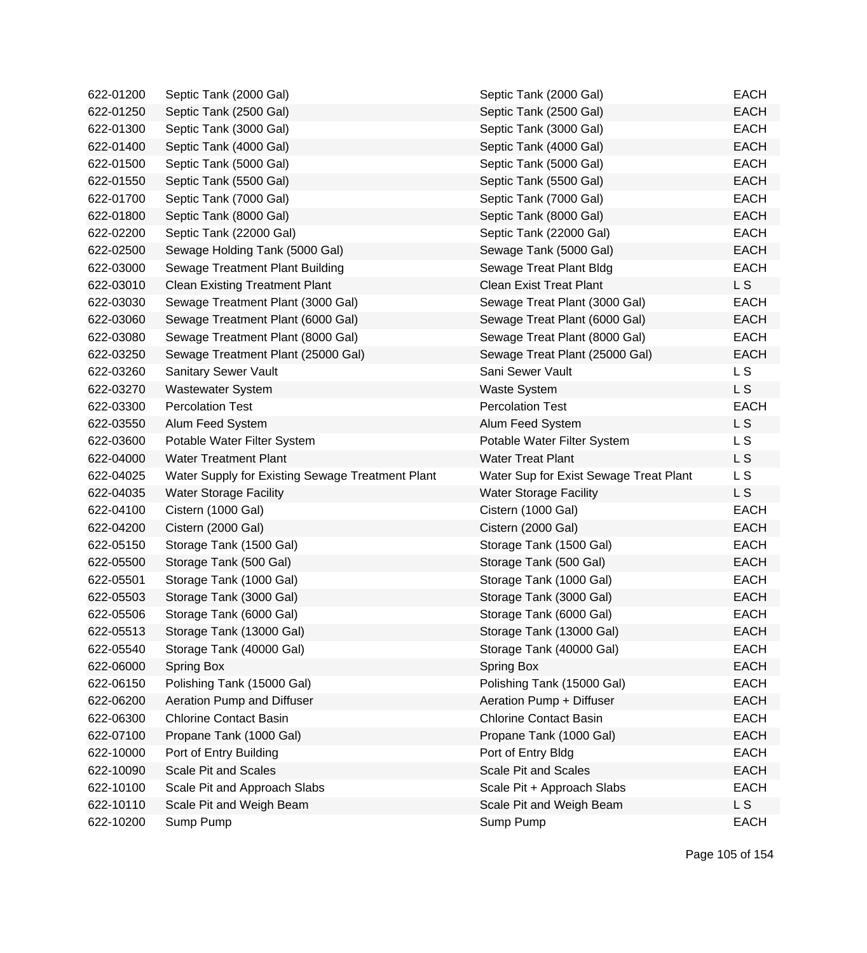| 622-01200 | Septic Tank (2000 Gal)                           | Septic Tank (2000 Gal)                 | <b>EACH</b>    |
|-----------|--------------------------------------------------|----------------------------------------|----------------|
| 622-01250 | Septic Tank (2500 Gal)                           | Septic Tank (2500 Gal)                 | <b>EACH</b>    |
| 622-01300 | Septic Tank (3000 Gal)                           | Septic Tank (3000 Gal)                 | <b>EACH</b>    |
| 622-01400 | Septic Tank (4000 Gal)                           | Septic Tank (4000 Gal)                 | <b>EACH</b>    |
| 622-01500 | Septic Tank (5000 Gal)                           | Septic Tank (5000 Gal)                 | <b>EACH</b>    |
| 622-01550 | Septic Tank (5500 Gal)                           | Septic Tank (5500 Gal)                 | <b>EACH</b>    |
| 622-01700 | Septic Tank (7000 Gal)                           | Septic Tank (7000 Gal)                 | <b>EACH</b>    |
| 622-01800 | Septic Tank (8000 Gal)                           | Septic Tank (8000 Gal)                 | <b>EACH</b>    |
| 622-02200 | Septic Tank (22000 Gal)                          | Septic Tank (22000 Gal)                | <b>EACH</b>    |
| 622-02500 | Sewage Holding Tank (5000 Gal)                   | Sewage Tank (5000 Gal)                 | <b>EACH</b>    |
| 622-03000 | Sewage Treatment Plant Building                  | Sewage Treat Plant Bldg                | <b>EACH</b>    |
| 622-03010 | <b>Clean Existing Treatment Plant</b>            | <b>Clean Exist Treat Plant</b>         | L S            |
| 622-03030 | Sewage Treatment Plant (3000 Gal)                | Sewage Treat Plant (3000 Gal)          | <b>EACH</b>    |
| 622-03060 | Sewage Treatment Plant (6000 Gal)                | Sewage Treat Plant (6000 Gal)          | <b>EACH</b>    |
| 622-03080 | Sewage Treatment Plant (8000 Gal)                | Sewage Treat Plant (8000 Gal)          | <b>EACH</b>    |
| 622-03250 | Sewage Treatment Plant (25000 Gal)               | Sewage Treat Plant (25000 Gal)         | <b>EACH</b>    |
| 622-03260 | <b>Sanitary Sewer Vault</b>                      | Sani Sewer Vault                       | L S            |
| 622-03270 | <b>Wastewater System</b>                         | <b>Waste System</b>                    | L <sub>S</sub> |
| 622-03300 | <b>Percolation Test</b>                          | <b>Percolation Test</b>                | <b>EACH</b>    |
| 622-03550 | Alum Feed System                                 | Alum Feed System                       | L <sub>S</sub> |
| 622-03600 | Potable Water Filter System                      | Potable Water Filter System            | L S            |
| 622-04000 | <b>Water Treatment Plant</b>                     | <b>Water Treat Plant</b>               | L S            |
| 622-04025 | Water Supply for Existing Sewage Treatment Plant | Water Sup for Exist Sewage Treat Plant | L S            |
| 622-04035 | <b>Water Storage Facility</b>                    | <b>Water Storage Facility</b>          | L S            |
| 622-04100 | Cistern (1000 Gal)                               | Cistern (1000 Gal)                     | <b>EACH</b>    |
| 622-04200 | Cistern (2000 Gal)                               | Cistern (2000 Gal)                     | <b>EACH</b>    |
| 622-05150 | Storage Tank (1500 Gal)                          | Storage Tank (1500 Gal)                | <b>EACH</b>    |
| 622-05500 | Storage Tank (500 Gal)                           | Storage Tank (500 Gal)                 | <b>EACH</b>    |
| 622-05501 | Storage Tank (1000 Gal)                          | Storage Tank (1000 Gal)                | <b>EACH</b>    |
| 622-05503 | Storage Tank (3000 Gal)                          | Storage Tank (3000 Gal)                | <b>EACH</b>    |
| 622-05506 | Storage Tank (6000 Gal)                          | Storage Tank (6000 Gal)                | <b>EACH</b>    |
| 622-05513 | Storage Tank (13000 Gal)                         | Storage Tank (13000 Gal)               | EACH           |
| 622-05540 | Storage Tank (40000 Gal)                         | Storage Tank (40000 Gal)               | <b>EACH</b>    |
| 622-06000 | Spring Box                                       | Spring Box                             | <b>EACH</b>    |
| 622-06150 | Polishing Tank (15000 Gal)                       | Polishing Tank (15000 Gal)             | <b>EACH</b>    |
| 622-06200 | Aeration Pump and Diffuser                       | Aeration Pump + Diffuser               | <b>EACH</b>    |
| 622-06300 | <b>Chlorine Contact Basin</b>                    | <b>Chlorine Contact Basin</b>          | <b>EACH</b>    |
| 622-07100 | Propane Tank (1000 Gal)                          | Propane Tank (1000 Gal)                | <b>EACH</b>    |
| 622-10000 | Port of Entry Building                           | Port of Entry Bldg                     | <b>EACH</b>    |
| 622-10090 | <b>Scale Pit and Scales</b>                      | <b>Scale Pit and Scales</b>            | <b>EACH</b>    |
| 622-10100 | Scale Pit and Approach Slabs                     | Scale Pit + Approach Slabs             | <b>EACH</b>    |
| 622-10110 | Scale Pit and Weigh Beam                         | Scale Pit and Weigh Beam               | L S            |
| 622-10200 | Sump Pump                                        | Sump Pump                              | <b>EACH</b>    |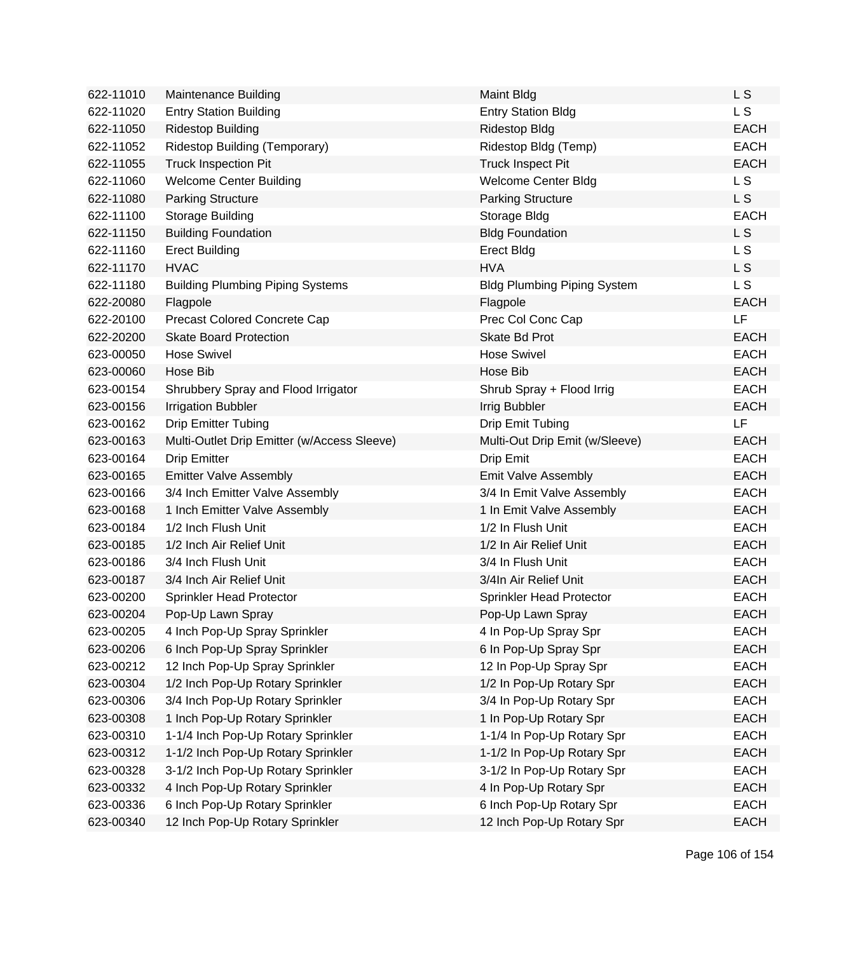| 622-11010 | Maintenance Building                        | <b>Maint Bldg</b>                  | L S            |
|-----------|---------------------------------------------|------------------------------------|----------------|
| 622-11020 | <b>Entry Station Building</b>               | <b>Entry Station Bldg</b>          | L S            |
| 622-11050 | <b>Ridestop Building</b>                    | <b>Ridestop Bldg</b>               | <b>EACH</b>    |
| 622-11052 | Ridestop Building (Temporary)               | Ridestop Bldg (Temp)               | <b>EACH</b>    |
| 622-11055 | <b>Truck Inspection Pit</b>                 | <b>Truck Inspect Pit</b>           | <b>EACH</b>    |
| 622-11060 | <b>Welcome Center Building</b>              | Welcome Center Bldg                | L <sub>S</sub> |
| 622-11080 | <b>Parking Structure</b>                    | <b>Parking Structure</b>           | L S            |
| 622-11100 | Storage Building                            | Storage Bldg                       | <b>EACH</b>    |
| 622-11150 | <b>Building Foundation</b>                  | <b>Bldg Foundation</b>             | L S            |
| 622-11160 | <b>Erect Building</b>                       | <b>Erect Bldg</b>                  | L S            |
| 622-11170 | <b>HVAC</b>                                 | <b>HVA</b>                         | L S            |
| 622-11180 | <b>Building Plumbing Piping Systems</b>     | <b>Bldg Plumbing Piping System</b> | L S            |
| 622-20080 | Flagpole                                    | Flagpole                           | <b>EACH</b>    |
| 622-20100 | Precast Colored Concrete Cap                | Prec Col Conc Cap                  | LF             |
| 622-20200 | <b>Skate Board Protection</b>               | Skate Bd Prot                      | <b>EACH</b>    |
| 623-00050 | <b>Hose Swivel</b>                          | <b>Hose Swivel</b>                 | <b>EACH</b>    |
| 623-00060 | Hose Bib                                    | Hose Bib                           | <b>EACH</b>    |
| 623-00154 | Shrubbery Spray and Flood Irrigator         | Shrub Spray + Flood Irrig          | <b>EACH</b>    |
| 623-00156 | <b>Irrigation Bubbler</b>                   | <b>Irrig Bubbler</b>               | <b>EACH</b>    |
| 623-00162 | <b>Drip Emitter Tubing</b>                  | Drip Emit Tubing                   | LF             |
| 623-00163 | Multi-Outlet Drip Emitter (w/Access Sleeve) | Multi-Out Drip Emit (w/Sleeve)     | <b>EACH</b>    |
| 623-00164 | <b>Drip Emitter</b>                         | Drip Emit                          | <b>EACH</b>    |
| 623-00165 | <b>Emitter Valve Assembly</b>               | Emit Valve Assembly                | <b>EACH</b>    |
| 623-00166 | 3/4 Inch Emitter Valve Assembly             | 3/4 In Emit Valve Assembly         | <b>EACH</b>    |
| 623-00168 | 1 Inch Emitter Valve Assembly               | 1 In Emit Valve Assembly           | <b>EACH</b>    |
| 623-00184 | 1/2 Inch Flush Unit                         | 1/2 In Flush Unit                  | <b>EACH</b>    |
| 623-00185 | 1/2 Inch Air Relief Unit                    | 1/2 In Air Relief Unit             | <b>EACH</b>    |
| 623-00186 | 3/4 Inch Flush Unit                         | 3/4 In Flush Unit                  | <b>EACH</b>    |
| 623-00187 | 3/4 Inch Air Relief Unit                    | 3/4In Air Relief Unit              | <b>EACH</b>    |
| 623-00200 | Sprinkler Head Protector                    | Sprinkler Head Protector           | <b>EACH</b>    |
| 623-00204 | Pop-Up Lawn Spray                           | Pop-Up Lawn Spray                  | <b>EACH</b>    |
| 623-00205 | 4 Inch Pop-Up Spray Sprinkler               | 4 In Pop-Up Spray Spr              | EACH           |
| 623-00206 | 6 Inch Pop-Up Spray Sprinkler               | 6 In Pop-Up Spray Spr              | <b>EACH</b>    |
| 623-00212 | 12 Inch Pop-Up Spray Sprinkler              | 12 In Pop-Up Spray Spr             | <b>EACH</b>    |
| 623-00304 | 1/2 Inch Pop-Up Rotary Sprinkler            | 1/2 In Pop-Up Rotary Spr           | <b>EACH</b>    |
| 623-00306 | 3/4 Inch Pop-Up Rotary Sprinkler            | 3/4 In Pop-Up Rotary Spr           | <b>EACH</b>    |
| 623-00308 | 1 Inch Pop-Up Rotary Sprinkler              | 1 In Pop-Up Rotary Spr             | <b>EACH</b>    |
| 623-00310 | 1-1/4 Inch Pop-Up Rotary Sprinkler          | 1-1/4 In Pop-Up Rotary Spr         | <b>EACH</b>    |
| 623-00312 | 1-1/2 Inch Pop-Up Rotary Sprinkler          | 1-1/2 In Pop-Up Rotary Spr         | <b>EACH</b>    |
| 623-00328 | 3-1/2 Inch Pop-Up Rotary Sprinkler          | 3-1/2 In Pop-Up Rotary Spr         | <b>EACH</b>    |
| 623-00332 | 4 Inch Pop-Up Rotary Sprinkler              | 4 In Pop-Up Rotary Spr             | <b>EACH</b>    |
| 623-00336 | 6 Inch Pop-Up Rotary Sprinkler              | 6 Inch Pop-Up Rotary Spr           | <b>EACH</b>    |
| 623-00340 | 12 Inch Pop-Up Rotary Sprinkler             | 12 Inch Pop-Up Rotary Spr          | <b>EACH</b>    |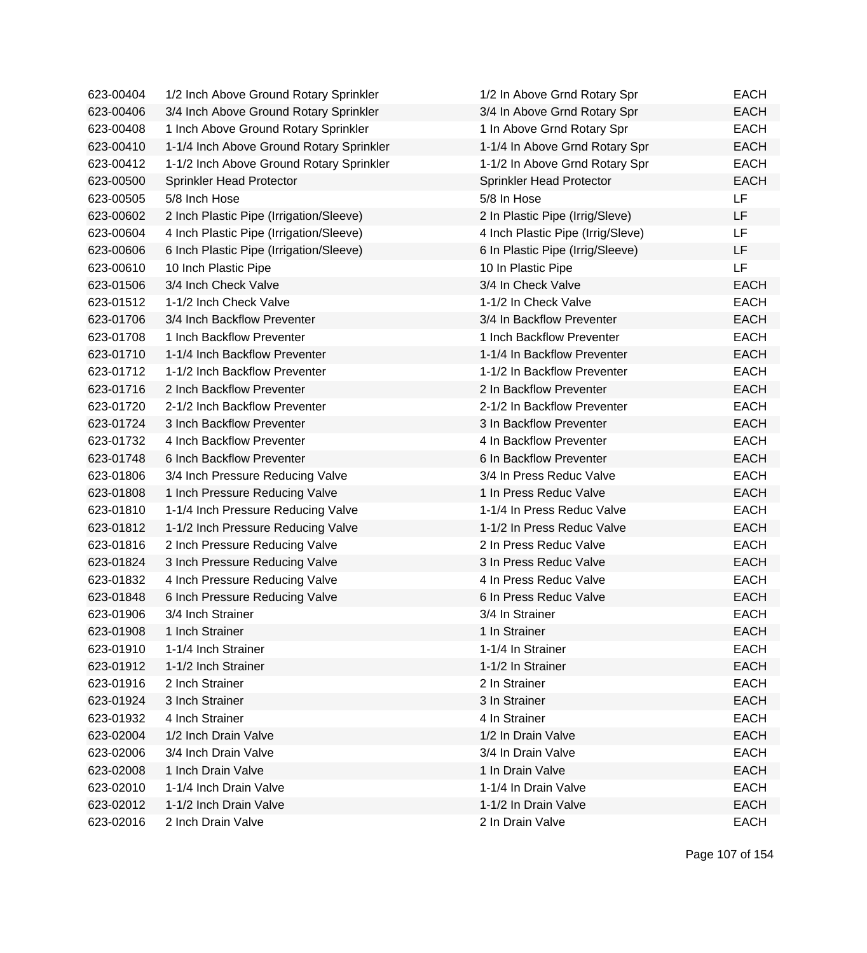| 623-00404 | 1/2 Inch Above Ground Rotary Sprinkler   | 1/2 In Above Grnd Rotary Spr      | <b>EACH</b> |
|-----------|------------------------------------------|-----------------------------------|-------------|
| 623-00406 | 3/4 Inch Above Ground Rotary Sprinkler   | 3/4 In Above Grnd Rotary Spr      | <b>EACH</b> |
| 623-00408 | 1 Inch Above Ground Rotary Sprinkler     | 1 In Above Grnd Rotary Spr        | <b>EACH</b> |
| 623-00410 | 1-1/4 Inch Above Ground Rotary Sprinkler | 1-1/4 In Above Grnd Rotary Spr    | <b>EACH</b> |
| 623-00412 | 1-1/2 Inch Above Ground Rotary Sprinkler | 1-1/2 In Above Grnd Rotary Spr    | <b>EACH</b> |
| 623-00500 | Sprinkler Head Protector                 | Sprinkler Head Protector          | <b>EACH</b> |
| 623-00505 | 5/8 Inch Hose                            | 5/8 In Hose                       | <b>LF</b>   |
| 623-00602 | 2 Inch Plastic Pipe (Irrigation/Sleeve)  | 2 In Plastic Pipe (Irrig/Sleve)   | LF          |
| 623-00604 | 4 Inch Plastic Pipe (Irrigation/Sleeve)  | 4 Inch Plastic Pipe (Irrig/Sleve) | LF          |
| 623-00606 | 6 Inch Plastic Pipe (Irrigation/Sleeve)  | 6 In Plastic Pipe (Irrig/Sleeve)  | LF          |
| 623-00610 | 10 Inch Plastic Pipe                     | 10 In Plastic Pipe                | LF          |
| 623-01506 | 3/4 Inch Check Valve                     | 3/4 In Check Valve                | <b>EACH</b> |
| 623-01512 | 1-1/2 Inch Check Valve                   | 1-1/2 In Check Valve              | <b>EACH</b> |
| 623-01706 | 3/4 Inch Backflow Preventer              | 3/4 In Backflow Preventer         | <b>EACH</b> |
| 623-01708 | 1 Inch Backflow Preventer                | 1 Inch Backflow Preventer         | <b>EACH</b> |
| 623-01710 | 1-1/4 Inch Backflow Preventer            | 1-1/4 In Backflow Preventer       | <b>EACH</b> |
| 623-01712 | 1-1/2 Inch Backflow Preventer            | 1-1/2 In Backflow Preventer       | <b>EACH</b> |
| 623-01716 | 2 Inch Backflow Preventer                | 2 In Backflow Preventer           | <b>EACH</b> |
| 623-01720 | 2-1/2 Inch Backflow Preventer            | 2-1/2 In Backflow Preventer       | <b>EACH</b> |
| 623-01724 | 3 Inch Backflow Preventer                | 3 In Backflow Preventer           | <b>EACH</b> |
| 623-01732 | 4 Inch Backflow Preventer                | 4 In Backflow Preventer           | <b>EACH</b> |
| 623-01748 | 6 Inch Backflow Preventer                | 6 In Backflow Preventer           | <b>EACH</b> |
| 623-01806 | 3/4 Inch Pressure Reducing Valve         | 3/4 In Press Reduc Valve          | <b>EACH</b> |
| 623-01808 | 1 Inch Pressure Reducing Valve           | 1 In Press Reduc Valve            | <b>EACH</b> |
| 623-01810 | 1-1/4 Inch Pressure Reducing Valve       | 1-1/4 In Press Reduc Valve        | <b>EACH</b> |
| 623-01812 | 1-1/2 Inch Pressure Reducing Valve       | 1-1/2 In Press Reduc Valve        | <b>EACH</b> |
| 623-01816 | 2 Inch Pressure Reducing Valve           | 2 In Press Reduc Valve            | <b>EACH</b> |
| 623-01824 | 3 Inch Pressure Reducing Valve           | 3 In Press Reduc Valve            | <b>EACH</b> |
| 623-01832 | 4 Inch Pressure Reducing Valve           | 4 In Press Reduc Valve            | <b>EACH</b> |
| 623-01848 | 6 Inch Pressure Reducing Valve           | 6 In Press Reduc Valve            | <b>EACH</b> |
| 623-01906 | 3/4 Inch Strainer                        | 3/4 In Strainer                   | <b>EACH</b> |
| 623-01908 | 1 Inch Strainer                          | 1 In Strainer                     | EACH        |
| 623-01910 | 1-1/4 Inch Strainer                      | 1-1/4 In Strainer                 | <b>EACH</b> |
| 623-01912 | 1-1/2 Inch Strainer                      | 1-1/2 In Strainer                 | <b>EACH</b> |
| 623-01916 | 2 Inch Strainer                          | 2 In Strainer                     | <b>EACH</b> |
| 623-01924 | 3 Inch Strainer                          | 3 In Strainer                     | <b>EACH</b> |
| 623-01932 | 4 Inch Strainer                          | 4 In Strainer                     | <b>EACH</b> |
| 623-02004 | 1/2 Inch Drain Valve                     | 1/2 In Drain Valve                | <b>EACH</b> |
| 623-02006 | 3/4 Inch Drain Valve                     | 3/4 In Drain Valve                | <b>EACH</b> |
| 623-02008 | 1 Inch Drain Valve                       | 1 In Drain Valve                  | <b>EACH</b> |
| 623-02010 | 1-1/4 Inch Drain Valve                   | 1-1/4 In Drain Valve              | <b>EACH</b> |
| 623-02012 | 1-1/2 Inch Drain Valve                   | 1-1/2 In Drain Valve              | <b>EACH</b> |
| 623-02016 | 2 Inch Drain Valve                       | 2 In Drain Valve                  | <b>EACH</b> |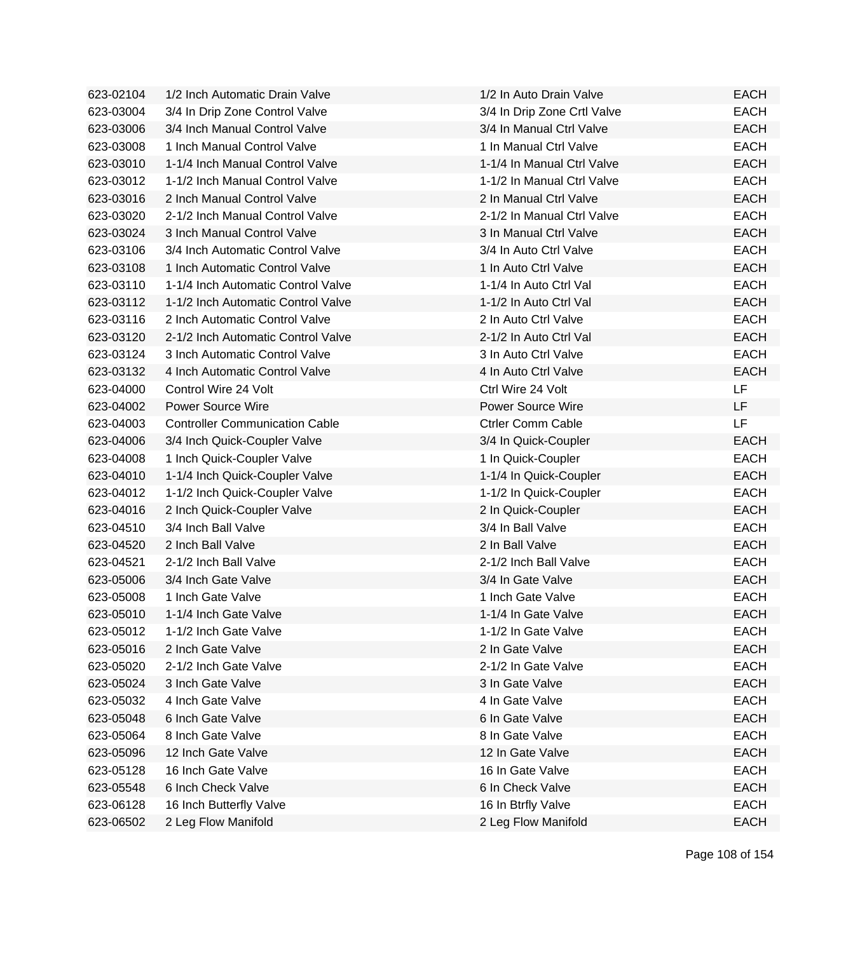| 623-02104 | 1/2 Inch Automatic Drain Valve        | 1/2 In Auto Drain Valve     | <b>EACH</b> |
|-----------|---------------------------------------|-----------------------------|-------------|
| 623-03004 | 3/4 In Drip Zone Control Valve        | 3/4 In Drip Zone Crtl Valve | <b>EACH</b> |
| 623-03006 | 3/4 Inch Manual Control Valve         | 3/4 In Manual Ctrl Valve    | <b>EACH</b> |
| 623-03008 | 1 Inch Manual Control Valve           | 1 In Manual Ctrl Valve      | <b>EACH</b> |
| 623-03010 | 1-1/4 Inch Manual Control Valve       | 1-1/4 In Manual Ctrl Valve  | <b>EACH</b> |
| 623-03012 | 1-1/2 Inch Manual Control Valve       | 1-1/2 In Manual Ctrl Valve  | <b>EACH</b> |
| 623-03016 | 2 Inch Manual Control Valve           | 2 In Manual Ctrl Valve      | <b>EACH</b> |
| 623-03020 | 2-1/2 Inch Manual Control Valve       | 2-1/2 In Manual Ctrl Valve  | <b>EACH</b> |
| 623-03024 | 3 Inch Manual Control Valve           | 3 In Manual Ctrl Valve      | <b>EACH</b> |
| 623-03106 | 3/4 Inch Automatic Control Valve      | 3/4 In Auto Ctrl Valve      | <b>EACH</b> |
| 623-03108 | 1 Inch Automatic Control Valve        | 1 In Auto Ctrl Valve        | <b>EACH</b> |
| 623-03110 | 1-1/4 Inch Automatic Control Valve    | 1-1/4 In Auto Ctrl Val      | <b>EACH</b> |
| 623-03112 | 1-1/2 Inch Automatic Control Valve    | 1-1/2 In Auto Ctrl Val      | <b>EACH</b> |
| 623-03116 | 2 Inch Automatic Control Valve        | 2 In Auto Ctrl Valve        | <b>EACH</b> |
| 623-03120 | 2-1/2 Inch Automatic Control Valve    | 2-1/2 In Auto Ctrl Val      | <b>EACH</b> |
| 623-03124 | 3 Inch Automatic Control Valve        | 3 In Auto Ctrl Valve        | <b>EACH</b> |
| 623-03132 | 4 Inch Automatic Control Valve        | 4 In Auto Ctrl Valve        | <b>EACH</b> |
| 623-04000 | Control Wire 24 Volt                  | Ctrl Wire 24 Volt           | <b>LF</b>   |
| 623-04002 | <b>Power Source Wire</b>              | <b>Power Source Wire</b>    | LF.         |
| 623-04003 | <b>Controller Communication Cable</b> | <b>Ctrler Comm Cable</b>    | LF          |
| 623-04006 | 3/4 Inch Quick-Coupler Valve          | 3/4 In Quick-Coupler        | <b>EACH</b> |
| 623-04008 | 1 Inch Quick-Coupler Valve            | 1 In Quick-Coupler          | <b>EACH</b> |
| 623-04010 | 1-1/4 Inch Quick-Coupler Valve        | 1-1/4 In Quick-Coupler      | <b>EACH</b> |
| 623-04012 | 1-1/2 Inch Quick-Coupler Valve        | 1-1/2 In Quick-Coupler      | <b>EACH</b> |
| 623-04016 | 2 Inch Quick-Coupler Valve            | 2 In Quick-Coupler          | <b>EACH</b> |
| 623-04510 | 3/4 Inch Ball Valve                   | 3/4 In Ball Valve           | <b>EACH</b> |
| 623-04520 | 2 Inch Ball Valve                     | 2 In Ball Valve             | <b>EACH</b> |
| 623-04521 | 2-1/2 Inch Ball Valve                 | 2-1/2 Inch Ball Valve       | <b>EACH</b> |
| 623-05006 | 3/4 Inch Gate Valve                   | 3/4 In Gate Valve           | <b>EACH</b> |
| 623-05008 | 1 Inch Gate Valve                     | 1 Inch Gate Valve           | <b>EACH</b> |
| 623-05010 | 1-1/4 Inch Gate Valve                 | 1-1/4 In Gate Valve         | <b>EACH</b> |
| 623-05012 | 1-1/2 Inch Gate Valve                 | 1-1/2 In Gate Valve         | EACH        |
| 623-05016 | 2 Inch Gate Valve                     | 2 In Gate Valve             | <b>EACH</b> |
| 623-05020 | 2-1/2 Inch Gate Valve                 | 2-1/2 In Gate Valve         | <b>EACH</b> |
| 623-05024 | 3 Inch Gate Valve                     | 3 In Gate Valve             | <b>EACH</b> |
| 623-05032 | 4 Inch Gate Valve                     | 4 In Gate Valve             | <b>EACH</b> |
| 623-05048 | 6 Inch Gate Valve                     | 6 In Gate Valve             | <b>EACH</b> |
| 623-05064 | 8 Inch Gate Valve                     | 8 In Gate Valve             | <b>EACH</b> |
| 623-05096 | 12 Inch Gate Valve                    | 12 In Gate Valve            | <b>EACH</b> |
| 623-05128 | 16 Inch Gate Valve                    | 16 In Gate Valve            | <b>EACH</b> |
| 623-05548 | 6 Inch Check Valve                    | 6 In Check Valve            | <b>EACH</b> |
| 623-06128 | 16 Inch Butterfly Valve               | 16 In Btrfly Valve          | <b>EACH</b> |
| 623-06502 | 2 Leg Flow Manifold                   | 2 Leg Flow Manifold         | <b>EACH</b> |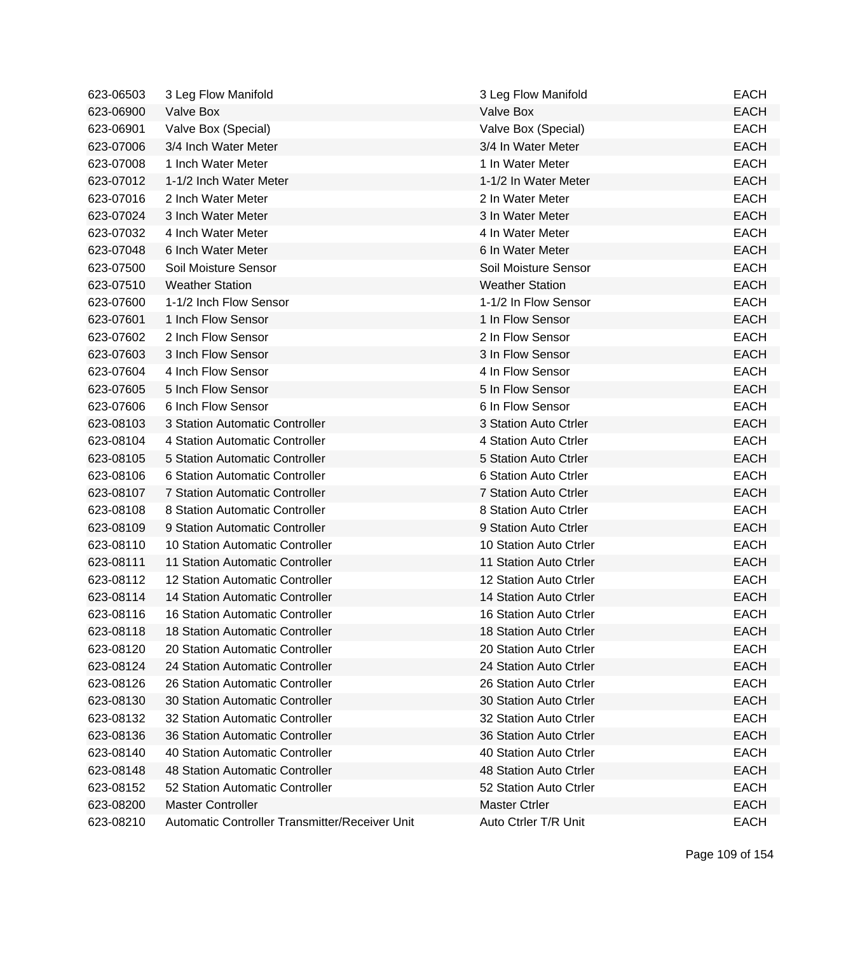| 623-06503 | 3 Leg Flow Manifold                            | 3 Leg Flow Manifold    | <b>EACH</b> |
|-----------|------------------------------------------------|------------------------|-------------|
| 623-06900 | Valve Box                                      | Valve Box              | <b>EACH</b> |
| 623-06901 | Valve Box (Special)                            | Valve Box (Special)    | <b>EACH</b> |
| 623-07006 | 3/4 Inch Water Meter                           | 3/4 In Water Meter     | <b>EACH</b> |
| 623-07008 | 1 Inch Water Meter                             | 1 In Water Meter       | <b>EACH</b> |
| 623-07012 | 1-1/2 Inch Water Meter                         | 1-1/2 In Water Meter   | <b>EACH</b> |
| 623-07016 | 2 Inch Water Meter                             | 2 In Water Meter       | <b>EACH</b> |
| 623-07024 | 3 Inch Water Meter                             | 3 In Water Meter       | <b>EACH</b> |
| 623-07032 | 4 Inch Water Meter                             | 4 In Water Meter       | <b>EACH</b> |
| 623-07048 | 6 Inch Water Meter                             | 6 In Water Meter       | <b>EACH</b> |
| 623-07500 | Soil Moisture Sensor                           | Soil Moisture Sensor   | <b>EACH</b> |
| 623-07510 | <b>Weather Station</b>                         | <b>Weather Station</b> | <b>EACH</b> |
| 623-07600 | 1-1/2 Inch Flow Sensor                         | 1-1/2 In Flow Sensor   | <b>EACH</b> |
| 623-07601 | 1 Inch Flow Sensor                             | 1 In Flow Sensor       | <b>EACH</b> |
| 623-07602 | 2 Inch Flow Sensor                             | 2 In Flow Sensor       | <b>EACH</b> |
| 623-07603 | 3 Inch Flow Sensor                             | 3 In Flow Sensor       | <b>EACH</b> |
| 623-07604 | 4 Inch Flow Sensor                             | 4 In Flow Sensor       | <b>EACH</b> |
| 623-07605 | 5 Inch Flow Sensor                             | 5 In Flow Sensor       | <b>EACH</b> |
| 623-07606 | 6 Inch Flow Sensor                             | 6 In Flow Sensor       | <b>EACH</b> |
| 623-08103 | 3 Station Automatic Controller                 | 3 Station Auto Ctrler  | <b>EACH</b> |
| 623-08104 | 4 Station Automatic Controller                 | 4 Station Auto Ctrler  | <b>EACH</b> |
| 623-08105 | 5 Station Automatic Controller                 | 5 Station Auto Ctrler  | <b>EACH</b> |
| 623-08106 | 6 Station Automatic Controller                 | 6 Station Auto Ctrler  | <b>EACH</b> |
| 623-08107 | 7 Station Automatic Controller                 | 7 Station Auto Ctrler  | <b>EACH</b> |
| 623-08108 | 8 Station Automatic Controller                 | 8 Station Auto Ctrler  | <b>EACH</b> |
| 623-08109 | 9 Station Automatic Controller                 | 9 Station Auto Ctrler  | <b>EACH</b> |
| 623-08110 | 10 Station Automatic Controller                | 10 Station Auto Ctrler | <b>EACH</b> |
| 623-08111 | 11 Station Automatic Controller                | 11 Station Auto Ctrler | <b>EACH</b> |
| 623-08112 | 12 Station Automatic Controller                | 12 Station Auto Ctrler | <b>EACH</b> |
| 623-08114 | 14 Station Automatic Controller                | 14 Station Auto Ctrler | <b>EACH</b> |
| 623-08116 | <b>16 Station Automatic Controller</b>         | 16 Station Auto Ctrler | <b>EACH</b> |
| 623-08118 | 18 Station Automatic Controller                | 18 Station Auto Ctrler | EACH        |
| 623-08120 | 20 Station Automatic Controller                | 20 Station Auto Ctrler | <b>EACH</b> |
| 623-08124 | 24 Station Automatic Controller                | 24 Station Auto Ctrler | <b>EACH</b> |
| 623-08126 | 26 Station Automatic Controller                | 26 Station Auto Ctrler | <b>EACH</b> |
| 623-08130 | 30 Station Automatic Controller                | 30 Station Auto Ctrler | <b>EACH</b> |
| 623-08132 | 32 Station Automatic Controller                | 32 Station Auto Ctrler | <b>EACH</b> |
| 623-08136 | 36 Station Automatic Controller                | 36 Station Auto Ctrler | <b>EACH</b> |
| 623-08140 | 40 Station Automatic Controller                | 40 Station Auto Ctrler | <b>EACH</b> |
| 623-08148 | 48 Station Automatic Controller                | 48 Station Auto Ctrler | <b>EACH</b> |
| 623-08152 | 52 Station Automatic Controller                | 52 Station Auto Ctrler | <b>EACH</b> |
| 623-08200 | <b>Master Controller</b>                       | <b>Master Ctrler</b>   | <b>EACH</b> |
| 623-08210 | Automatic Controller Transmitter/Receiver Unit | Auto Ctrler T/R Unit   | <b>EACH</b> |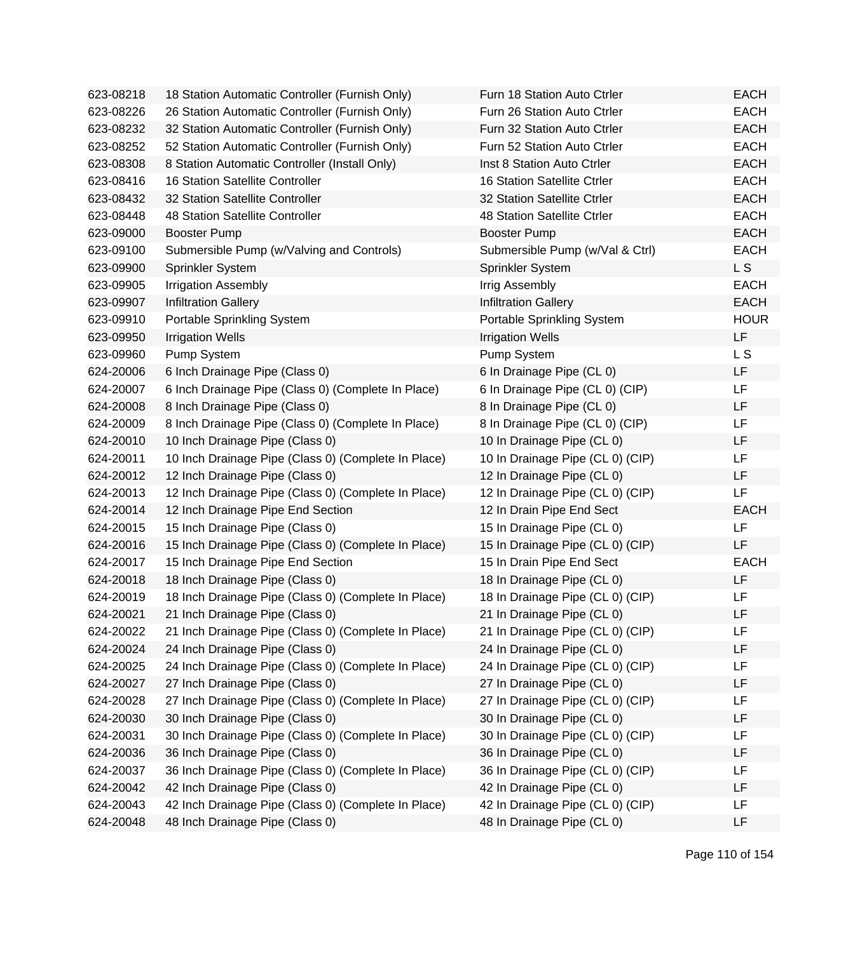| 623-08218 | 18 Station Automatic Controller (Furnish Only)      | Furn 18 Station Auto Ctrler      | EACH        |
|-----------|-----------------------------------------------------|----------------------------------|-------------|
| 623-08226 | 26 Station Automatic Controller (Furnish Only)      | Furn 26 Station Auto Ctrler      | <b>EACH</b> |
| 623-08232 | 32 Station Automatic Controller (Furnish Only)      | Furn 32 Station Auto Ctrler      | <b>EACH</b> |
| 623-08252 | 52 Station Automatic Controller (Furnish Only)      | Furn 52 Station Auto Ctrler      | <b>EACH</b> |
| 623-08308 | 8 Station Automatic Controller (Install Only)       | Inst 8 Station Auto Ctrler       | <b>EACH</b> |
| 623-08416 | 16 Station Satellite Controller                     | 16 Station Satellite Ctrler      | <b>EACH</b> |
| 623-08432 | 32 Station Satellite Controller                     | 32 Station Satellite Ctrler      | <b>EACH</b> |
| 623-08448 | 48 Station Satellite Controller                     | 48 Station Satellite Ctrler      | <b>EACH</b> |
| 623-09000 | <b>Booster Pump</b>                                 | <b>Booster Pump</b>              | <b>EACH</b> |
| 623-09100 | Submersible Pump (w/Valving and Controls)           | Submersible Pump (w/Val & Ctrl)  | <b>EACH</b> |
| 623-09900 | Sprinkler System                                    | Sprinkler System                 | L S         |
| 623-09905 | <b>Irrigation Assembly</b>                          | Irrig Assembly                   | <b>EACH</b> |
| 623-09907 | <b>Infiltration Gallery</b>                         | <b>Infiltration Gallery</b>      | <b>EACH</b> |
| 623-09910 | Portable Sprinkling System                          | Portable Sprinkling System       | <b>HOUR</b> |
| 623-09950 | <b>Irrigation Wells</b>                             | <b>Irrigation Wells</b>          | LF          |
| 623-09960 | Pump System                                         | Pump System                      | L S         |
| 624-20006 | 6 Inch Drainage Pipe (Class 0)                      | 6 In Drainage Pipe (CL 0)        | LF          |
| 624-20007 | 6 Inch Drainage Pipe (Class 0) (Complete In Place)  | 6 In Drainage Pipe (CL 0) (CIP)  | LF          |
| 624-20008 | 8 Inch Drainage Pipe (Class 0)                      | 8 In Drainage Pipe (CL 0)        | LF          |
| 624-20009 | 8 Inch Drainage Pipe (Class 0) (Complete In Place)  | 8 In Drainage Pipe (CL 0) (CIP)  | LF          |
| 624-20010 | 10 Inch Drainage Pipe (Class 0)                     | 10 In Drainage Pipe (CL 0)       | LF          |
| 624-20011 | 10 Inch Drainage Pipe (Class 0) (Complete In Place) | 10 In Drainage Pipe (CL 0) (CIP) | LF          |
| 624-20012 | 12 Inch Drainage Pipe (Class 0)                     | 12 In Drainage Pipe (CL 0)       | LF          |
| 624-20013 | 12 Inch Drainage Pipe (Class 0) (Complete In Place) | 12 In Drainage Pipe (CL 0) (CIP) | <b>LF</b>   |
| 624-20014 | 12 Inch Drainage Pipe End Section                   | 12 In Drain Pipe End Sect        | <b>EACH</b> |
| 624-20015 | 15 Inch Drainage Pipe (Class 0)                     | 15 In Drainage Pipe (CL 0)       | LF          |
| 624-20016 | 15 Inch Drainage Pipe (Class 0) (Complete In Place) | 15 In Drainage Pipe (CL 0) (CIP) | LF          |
| 624-20017 | 15 Inch Drainage Pipe End Section                   | 15 In Drain Pipe End Sect        | <b>EACH</b> |
| 624-20018 | 18 Inch Drainage Pipe (Class 0)                     | 18 In Drainage Pipe (CL 0)       | LF          |
| 624-20019 | 18 Inch Drainage Pipe (Class 0) (Complete In Place) | 18 In Drainage Pipe (CL 0) (CIP) | LF          |
| 624-20021 | 21 Inch Drainage Pipe (Class 0)                     | 21 In Drainage Pipe (CL 0)       | LF          |
| 624-20022 | 21 Inch Drainage Pipe (Class 0) (Complete In Place) | 21 In Drainage Pipe (CL 0) (CIP) | LF          |
| 624-20024 | 24 Inch Drainage Pipe (Class 0)                     | 24 In Drainage Pipe (CL 0)       | LF          |
| 624-20025 | 24 Inch Drainage Pipe (Class 0) (Complete In Place) | 24 In Drainage Pipe (CL 0) (CIP) | LF          |
| 624-20027 | 27 Inch Drainage Pipe (Class 0)                     | 27 In Drainage Pipe (CL 0)       | LF          |
| 624-20028 | 27 Inch Drainage Pipe (Class 0) (Complete In Place) | 27 In Drainage Pipe (CL 0) (CIP) | LF          |
| 624-20030 | 30 Inch Drainage Pipe (Class 0)                     | 30 In Drainage Pipe (CL 0)       | LF          |
| 624-20031 | 30 Inch Drainage Pipe (Class 0) (Complete In Place) | 30 In Drainage Pipe (CL 0) (CIP) | LF          |
| 624-20036 | 36 Inch Drainage Pipe (Class 0)                     | 36 In Drainage Pipe (CL 0)       | LF          |
| 624-20037 | 36 Inch Drainage Pipe (Class 0) (Complete In Place) | 36 In Drainage Pipe (CL 0) (CIP) | LF          |
| 624-20042 | 42 Inch Drainage Pipe (Class 0)                     | 42 In Drainage Pipe (CL 0)       | LF          |
| 624-20043 | 42 Inch Drainage Pipe (Class 0) (Complete In Place) | 42 In Drainage Pipe (CL 0) (CIP) | LF          |
| 624-20048 | 48 Inch Drainage Pipe (Class 0)                     | 48 In Drainage Pipe (CL 0)       | LF          |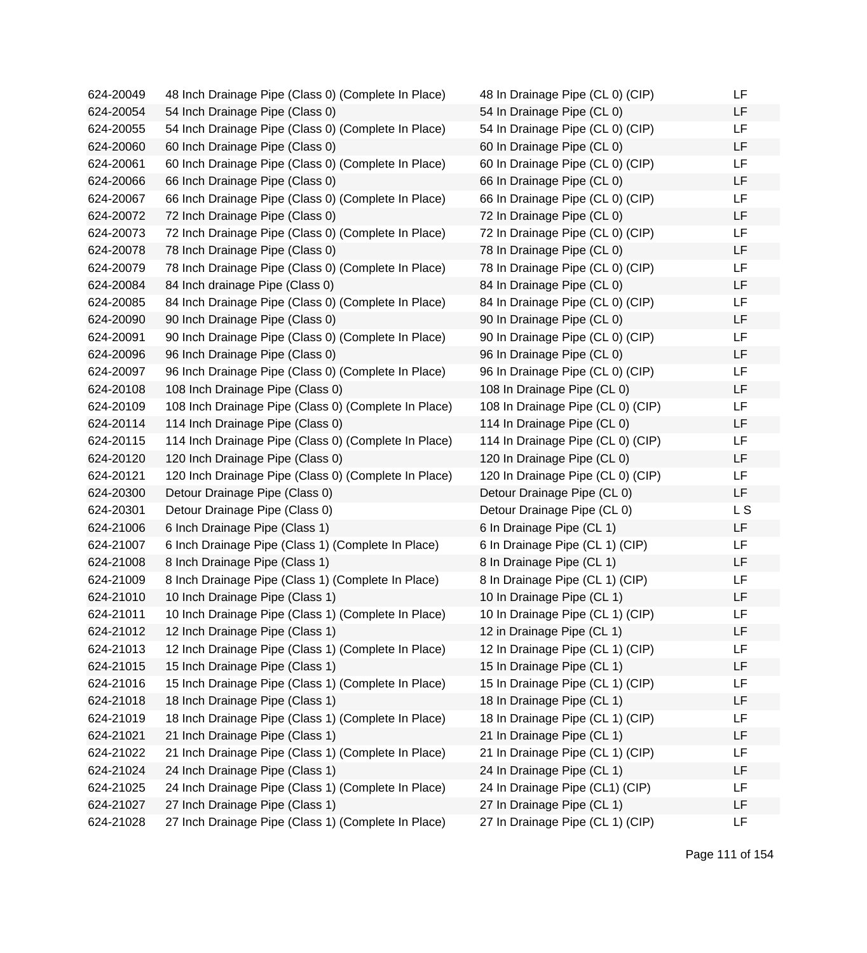| 624-20049 | 48 Inch Drainage Pipe (Class 0) (Complete In Place)  | 48 In Drainage Pipe (CL 0) (CIP)  | LF.       |
|-----------|------------------------------------------------------|-----------------------------------|-----------|
| 624-20054 | 54 Inch Drainage Pipe (Class 0)                      | 54 In Drainage Pipe (CL 0)        | LF.       |
| 624-20055 | 54 Inch Drainage Pipe (Class 0) (Complete In Place)  | 54 In Drainage Pipe (CL 0) (CIP)  | LF        |
| 624-20060 | 60 Inch Drainage Pipe (Class 0)                      | 60 In Drainage Pipe (CL 0)        | LF        |
| 624-20061 | 60 Inch Drainage Pipe (Class 0) (Complete In Place)  | 60 In Drainage Pipe (CL 0) (CIP)  | <b>LF</b> |
| 624-20066 | 66 Inch Drainage Pipe (Class 0)                      | 66 In Drainage Pipe (CL 0)        | LF        |
| 624-20067 | 66 Inch Drainage Pipe (Class 0) (Complete In Place)  | 66 In Drainage Pipe (CL 0) (CIP)  | LF.       |
| 624-20072 | 72 Inch Drainage Pipe (Class 0)                      | 72 In Drainage Pipe (CL 0)        | LF        |
| 624-20073 | 72 Inch Drainage Pipe (Class 0) (Complete In Place)  | 72 In Drainage Pipe (CL 0) (CIP)  | LF        |
| 624-20078 | 78 Inch Drainage Pipe (Class 0)                      | 78 In Drainage Pipe (CL 0)        | LF        |
| 624-20079 | 78 Inch Drainage Pipe (Class 0) (Complete In Place)  | 78 In Drainage Pipe (CL 0) (CIP)  | LF        |
| 624-20084 | 84 Inch drainage Pipe (Class 0)                      | 84 In Drainage Pipe (CL 0)        | LF.       |
| 624-20085 | 84 Inch Drainage Pipe (Class 0) (Complete In Place)  | 84 In Drainage Pipe (CL 0) (CIP)  | LF        |
| 624-20090 | 90 Inch Drainage Pipe (Class 0)                      | 90 In Drainage Pipe (CL 0)        | LF        |
| 624-20091 | 90 Inch Drainage Pipe (Class 0) (Complete In Place)  | 90 In Drainage Pipe (CL 0) (CIP)  | LF        |
| 624-20096 | 96 Inch Drainage Pipe (Class 0)                      | 96 In Drainage Pipe (CL 0)        | LF        |
| 624-20097 | 96 Inch Drainage Pipe (Class 0) (Complete In Place)  | 96 In Drainage Pipe (CL 0) (CIP)  | LF.       |
| 624-20108 | 108 Inch Drainage Pipe (Class 0)                     | 108 In Drainage Pipe (CL 0)       | LF.       |
| 624-20109 | 108 Inch Drainage Pipe (Class 0) (Complete In Place) | 108 In Drainage Pipe (CL 0) (CIP) | LF        |
| 624-20114 | 114 Inch Drainage Pipe (Class 0)                     | 114 In Drainage Pipe (CL 0)       | LF        |
| 624-20115 | 114 Inch Drainage Pipe (Class 0) (Complete In Place) | 114 In Drainage Pipe (CL 0) (CIP) | LF        |
| 624-20120 | 120 Inch Drainage Pipe (Class 0)                     | 120 In Drainage Pipe (CL 0)       | LF.       |
| 624-20121 | 120 Inch Drainage Pipe (Class 0) (Complete In Place) | 120 In Drainage Pipe (CL 0) (CIP) | LF        |
| 624-20300 | Detour Drainage Pipe (Class 0)                       | Detour Drainage Pipe (CL 0)       | LF.       |
| 624-20301 | Detour Drainage Pipe (Class 0)                       | Detour Drainage Pipe (CL 0)       | L S       |
| 624-21006 | 6 Inch Drainage Pipe (Class 1)                       | 6 In Drainage Pipe (CL 1)         | LF        |
| 624-21007 | 6 Inch Drainage Pipe (Class 1) (Complete In Place)   | 6 In Drainage Pipe (CL 1) (CIP)   | LF.       |
| 624-21008 | 8 Inch Drainage Pipe (Class 1)                       | 8 In Drainage Pipe (CL 1)         | LF.       |
| 624-21009 | 8 Inch Drainage Pipe (Class 1) (Complete In Place)   | 8 In Drainage Pipe (CL 1) (CIP)   | LF        |
| 624-21010 | 10 Inch Drainage Pipe (Class 1)                      | 10 In Drainage Pipe (CL 1)        | LF        |
| 624-21011 | 10 Inch Drainage Pipe (Class 1) (Complete In Place)  | 10 In Drainage Pipe (CL 1) (CIP)  | LF        |
| 624-21012 | 12 Inch Drainage Pipe (Class 1)                      | 12 in Drainage Pipe (CL 1)        | LF        |
| 624-21013 | 12 Inch Drainage Pipe (Class 1) (Complete In Place)  | 12 In Drainage Pipe (CL 1) (CIP)  | LF        |
| 624-21015 | 15 Inch Drainage Pipe (Class 1)                      | 15 In Drainage Pipe (CL 1)        | LF        |
| 624-21016 | 15 Inch Drainage Pipe (Class 1) (Complete In Place)  | 15 In Drainage Pipe (CL 1) (CIP)  | LF        |
| 624-21018 | 18 Inch Drainage Pipe (Class 1)                      | 18 In Drainage Pipe (CL 1)        | LF        |
| 624-21019 | 18 Inch Drainage Pipe (Class 1) (Complete In Place)  | 18 In Drainage Pipe (CL 1) (CIP)  | LF        |
| 624-21021 | 21 Inch Drainage Pipe (Class 1)                      | 21 In Drainage Pipe (CL 1)        | LF        |
| 624-21022 | 21 Inch Drainage Pipe (Class 1) (Complete In Place)  | 21 In Drainage Pipe (CL 1) (CIP)  | LF        |
| 624-21024 | 24 Inch Drainage Pipe (Class 1)                      | 24 In Drainage Pipe (CL 1)        | LF        |
| 624-21025 | 24 Inch Drainage Pipe (Class 1) (Complete In Place)  | 24 In Drainage Pipe (CL1) (CIP)   | LF        |
| 624-21027 | 27 Inch Drainage Pipe (Class 1)                      | 27 In Drainage Pipe (CL 1)        | LF        |
| 624-21028 | 27 Inch Drainage Pipe (Class 1) (Complete In Place)  | 27 In Drainage Pipe (CL 1) (CIP)  | LF        |
|           |                                                      |                                   |           |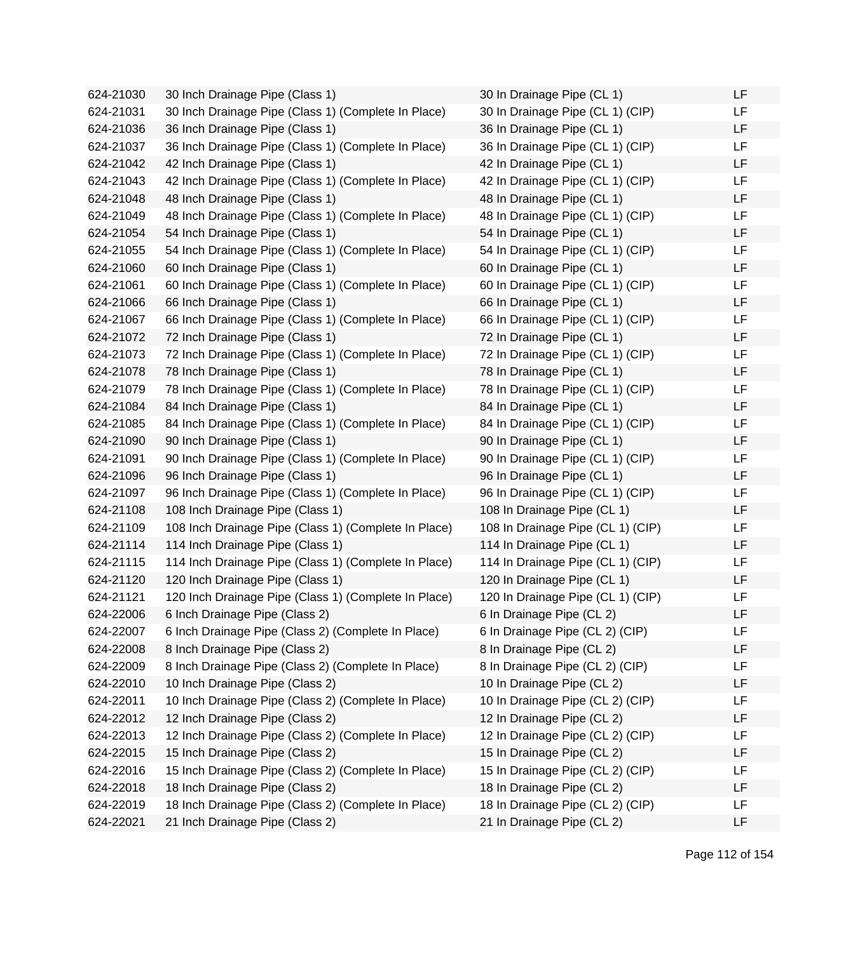624-21030 30 Inch Drainage Pipe (Class 1) 624-21031 30 Inch Drainage Pipe (Class 1) (Complete In Place) 624-21036 36 Inch Drainage Pipe (Class 1) 624-21037 36 Inch Drainage Pipe (Class 1) (Complete In Place) 624-21042 42 Inch Drainage Pipe (Class 1) 624-21043 42 Inch Drainage Pipe (Class 1) (Complete In Place) 624-21048 48 Inch Drainage Pipe (Class 1) 624-21049 48 Inch Drainage Pipe (Class 1) (Complete In Place) 624-21054 54 Inch Drainage Pipe (Class 1) 624-21055 54 Inch Drainage Pipe (Class 1) (Complete In Place) 624-21060 60 Inch Drainage Pipe (Class 1) 624-21061 60 Inch Drainage Pipe (Class 1) (Complete In Place) 624-21066 66 Inch Drainage Pipe (Class 1) 624-21067 66 Inch Drainage Pipe (Class 1) (Complete In Place) 624-21072 72 Inch Drainage Pipe (Class 1) 624-21073 72 Inch Drainage Pipe (Class 1) (Complete In Place) 624-21078 78 Inch Drainage Pipe (Class 1) 624-21079 78 Inch Drainage Pipe (Class 1) (Complete In Place) 624-21084 84 Inch Drainage Pipe (Class 1) 624-21085 84 Inch Drainage Pipe (Class 1) (Complete In Place) 624-21090 90 Inch Drainage Pipe (Class 1) 624-21091 90 Inch Drainage Pipe (Class 1) (Complete In Place) 624-21096 96 Inch Drainage Pipe (Class 1) 624-21097 96 Inch Drainage Pipe (Class 1) (Complete In Place) 624-21108 108 Inch Drainage Pipe (Class 1) 624-21109 108 Inch Drainage Pipe (Class 1) (Complete In Place) 624-21114 114 Inch Drainage Pipe (Class 1) 624-21115 114 Inch Drainage Pipe (Class 1) (Complete In Place) 624-21120 120 Inch Drainage Pipe (Class 1) 624-21121 120 Inch Drainage Pipe (Class 1) (Complete In Place) 624-22006 6 Inch Drainage Pipe (Class 2) 624-22007 6 Inch Drainage Pipe (Class 2) (Complete In Place) 624-22008 8 Inch Drainage Pipe (Class 2) 624-22009 8 Inch Drainage Pipe (Class 2) (Complete In Place) 624-22010 10 Inch Drainage Pipe (Class 2) 624-22011 10 Inch Drainage Pipe (Class 2) (Complete In Place) 624-22012 12 Inch Drainage Pipe (Class 2) 624-22013 12 Inch Drainage Pipe (Class 2) (Complete In Place) 624-22015 15 Inch Drainage Pipe (Class 2) 624-22016 15 Inch Drainage Pipe (Class 2) (Complete In Place) 624-22018 18 Inch Drainage Pipe (Class 2) 624-22019 18 Inch Drainage Pipe (Class 2) (Complete In Place) 624-22021 21 Inch Drainage Pipe (Class 2)

| 30 In Drainage Pipe (CL 1)        | LF |
|-----------------------------------|----|
| 30 In Drainage Pipe (CL 1) (CIP)  | LF |
| 36 In Drainage Pipe (CL 1)        | LF |
| 36 In Drainage Pipe (CL 1) (CIP)  | LF |
| 42 In Drainage Pipe (CL 1)        | LF |
| 42 In Drainage Pipe (CL 1) (CIP)  | LF |
| 48 In Drainage Pipe (CL 1)        | LF |
| 48 In Drainage Pipe (CL 1) (CIP)  | LF |
| 54 In Drainage Pipe (CL 1)        | LF |
| 54 In Drainage Pipe (CL 1) (CIP)  | LF |
| 60 In Drainage Pipe (CL 1)        | LF |
| 60 In Drainage Pipe (CL 1) (CIP)  | LF |
| 66 In Drainage Pipe (CL 1)        | LF |
| 66 In Drainage Pipe (CL 1) (CIP)  | LF |
| 72 In Drainage Pipe (CL 1)        | LF |
| 72 In Drainage Pipe (CL 1) (CIP)  | LF |
| 78 In Drainage Pipe (CL 1)        | LF |
| 78 In Drainage Pipe (CL 1) (CIP)  | LF |
| 84 In Drainage Pipe (CL 1)        | LF |
| 84 In Drainage Pipe (CL 1) (CIP)  | LF |
| 90 In Drainage Pipe (CL 1)        | LF |
| 90 In Drainage Pipe (CL 1) (CIP)  | LF |
| 96 In Drainage Pipe (CL 1)        | LF |
| 96 In Drainage Pipe (CL 1) (CIP)  | LF |
| 108 In Drainage Pipe (CL 1)       | LF |
| 108 In Drainage Pipe (CL 1) (CIP) | LF |
| 114 In Drainage Pipe (CL 1)       | LF |
| 114 In Drainage Pipe (CL 1) (CIP) | LF |
| 120 In Drainage Pipe (CL 1)       | LF |
| 120 In Drainage Pipe (CL 1) (CIP) | LF |
| 6 In Drainage Pipe (CL 2)         | LF |
| 6 In Drainage Pipe (CL 2) (CIP)   | LF |
| 8 In Drainage Pipe (CL 2)         | LF |
| 8 In Drainage Pipe (CL 2) (CIP)   | LF |
| 10 In Drainage Pipe (CL 2)        | LF |
| 10 In Drainage Pipe (CL 2) (CIP)  | LF |
| 12 In Drainage Pipe (CL 2)        | LF |
| 12 In Drainage Pipe (CL 2) (CIP)  | LF |
| 15 In Drainage Pipe (CL 2)        | LF |
| 15 In Drainage Pipe (CL 2) (CIP)  | LF |
| 18 In Drainage Pipe (CL 2)        | LF |
| 18 In Drainage Pipe (CL 2) (CIP)  | LF |
| 21 In Drainage Pipe (CL 2)        | LF |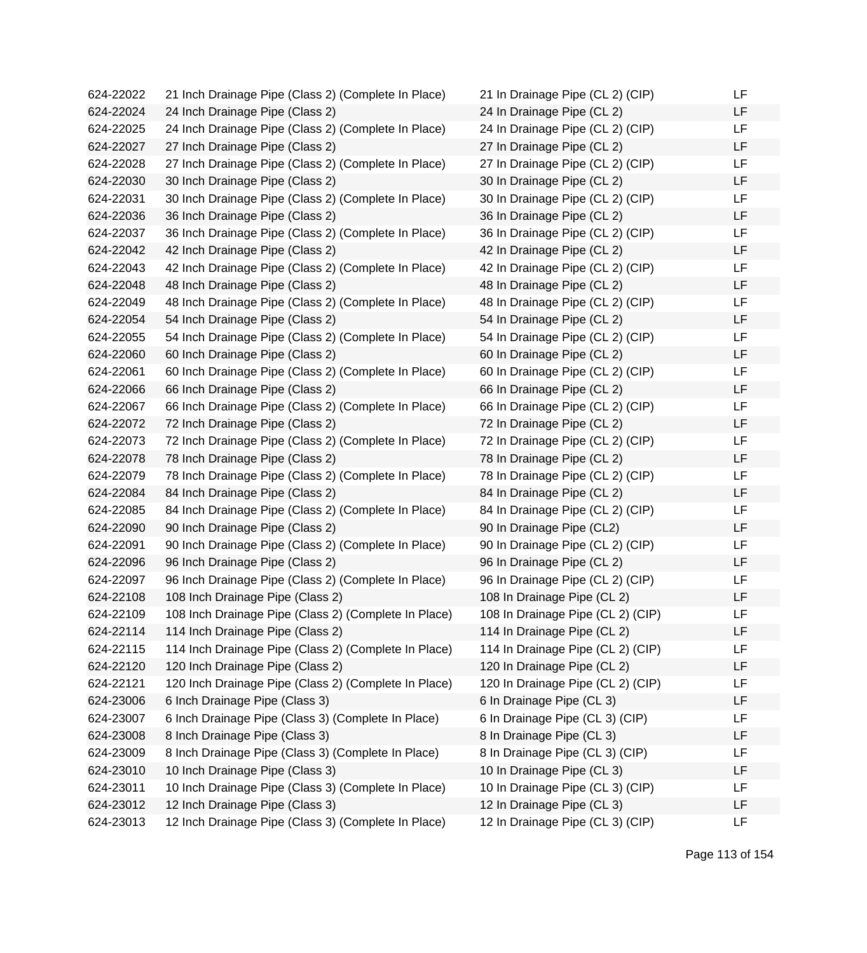624-22022 21 Inch Drainage Pipe (Class 2) (Complete In Place) 624-22024 24 Inch Drainage Pipe (Class 2) 624-22025 24 Inch Drainage Pipe (Class 2) (Complete In Place) 624-22027 27 Inch Drainage Pipe (Class 2) 624-22028 27 Inch Drainage Pipe (Class 2) (Complete In Place) 624-22030 30 Inch Drainage Pipe (Class 2) 624-22031 30 Inch Drainage Pipe (Class 2) (Complete In Place) 624-22036 36 Inch Drainage Pipe (Class 2) 624-22037 36 Inch Drainage Pipe (Class 2) (Complete In Place) 624-22042 42 Inch Drainage Pipe (Class 2) 624-22043 42 Inch Drainage Pipe (Class 2) (Complete In Place) 624-22048 48 Inch Drainage Pipe (Class 2) 624-22049 48 Inch Drainage Pipe (Class 2) (Complete In Place) 624-22054 54 Inch Drainage Pipe (Class 2) 624-22055 54 Inch Drainage Pipe (Class 2) (Complete In Place) 624-22060 60 Inch Drainage Pipe (Class 2) 624-22061 60 Inch Drainage Pipe (Class 2) (Complete In Place) 624-22066 66 Inch Drainage Pipe (Class 2) 624-22067 66 Inch Drainage Pipe (Class 2) (Complete In Place) 624-22072 72 Inch Drainage Pipe (Class 2) 624-22073 72 Inch Drainage Pipe (Class 2) (Complete In Place) 624-22078 78 Inch Drainage Pipe (Class 2) 624-22079 78 Inch Drainage Pipe (Class 2) (Complete In Place) 624-22084 84 Inch Drainage Pipe (Class 2) 624-22085 84 Inch Drainage Pipe (Class 2) (Complete In Place) 624-22090 90 Inch Drainage Pipe (Class 2) 624-22091 90 Inch Drainage Pipe (Class 2) (Complete In Place) 624-22096 96 Inch Drainage Pipe (Class 2) 624-22097 96 Inch Drainage Pipe (Class 2) (Complete In Place) 624-22108 108 Inch Drainage Pipe (Class 2) 624-22109 108 Inch Drainage Pipe (Class 2) (Complete In Place) 624-22114 114 Inch Drainage Pipe (Class 2) 624-22115 114 Inch Drainage Pipe (Class 2) (Complete In Place) 624-22120 120 Inch Drainage Pipe (Class 2) 624-22121 120 Inch Drainage Pipe (Class 2) (Complete In Place) 624-23006 6 Inch Drainage Pipe (Class 3) 624-23007 6 Inch Drainage Pipe (Class 3) (Complete In Place) 624-23008 8 Inch Drainage Pipe (Class 3) 624-23009 8 Inch Drainage Pipe (Class 3) (Complete In Place) 624-23010 10 Inch Drainage Pipe (Class 3) 624-23011 10 Inch Drainage Pipe (Class 3) (Complete In Place) 624-23012 12 Inch Drainage Pipe (Class 3) 624-23013 12 Inch Drainage Pipe (Class 3) (Complete In Place)

| 21 In Drainage Pipe (CL 2) (CIP)  | LF  |
|-----------------------------------|-----|
| 24 In Drainage Pipe (CL 2)        | LF  |
| 24 In Drainage Pipe (CL 2) (CIP)  | LF  |
| 27 In Drainage Pipe (CL 2)        | LF  |
| 27 In Drainage Pipe (CL 2) (CIP)  | LF  |
| 30 In Drainage Pipe (CL 2)        | LF  |
| 30 In Drainage Pipe (CL 2) (CIP)  | LF  |
| 36 In Drainage Pipe (CL 2)        | LF  |
| 36 In Drainage Pipe (CL 2) (CIP)  | LF  |
| 42 In Drainage Pipe (CL 2)        | LF  |
| 42 In Drainage Pipe (CL 2) (CIP)  | LF  |
| 48 In Drainage Pipe (CL 2)        | LF  |
| 48 In Drainage Pipe (CL 2) (CIP)  | LF  |
| 54 In Drainage Pipe (CL 2)        | LF  |
| 54 In Drainage Pipe (CL 2) (CIP)  | LF  |
| 60 In Drainage Pipe (CL 2)        | LF  |
| 60 In Drainage Pipe (CL 2) (CIP)  | LF  |
| 66 In Drainage Pipe (CL 2)        | LF  |
| 66 In Drainage Pipe (CL 2) (CIP)  | LF  |
| 72 In Drainage Pipe (CL 2)        | LF  |
| 72 In Drainage Pipe (CL 2) (CIP)  | LF  |
| 78 In Drainage Pipe (CL 2)        | LF  |
| 78 In Drainage Pipe (CL 2) (CIP)  | LF  |
| 84 In Drainage Pipe (CL 2)        | LF  |
| 84 In Drainage Pipe (CL 2) (CIP)  | LF  |
| 90 In Drainage Pipe (CL2)         | LF  |
| 90 In Drainage Pipe (CL 2) (CIP)  | LF  |
| 96 In Drainage Pipe (CL 2)        | LF  |
| 96 In Drainage Pipe (CL 2) (CIP)  | LF  |
| 108 In Drainage Pipe (CL 2)       | LF  |
| 108 In Drainage Pipe (CL 2) (CIP) | LF  |
| 114 In Drainage Pipe (CL 2)       | ᄔ   |
| 114 In Drainage Pipe (CL 2) (CIP) | LF  |
| 120 In Drainage Pipe (CL 2)       | LF  |
| 120 In Drainage Pipe (CL 2) (CIP) | LF  |
| 6 In Drainage Pipe (CL 3)         | LF  |
| 6 In Drainage Pipe (CL 3) (CIP)   | LF  |
| 8 In Drainage Pipe (CL 3)         | LF  |
| 8 In Drainage Pipe (CL 3) (CIP)   | LF  |
| 10 In Drainage Pipe (CL 3)        | LF  |
| 10 In Drainage Pipe (CL 3) (CIP)  | LF  |
| 12 In Drainage Pipe (CL 3)        | LF  |
| 12 In Drainage Pine (CL 3) (CIP)  | LE. |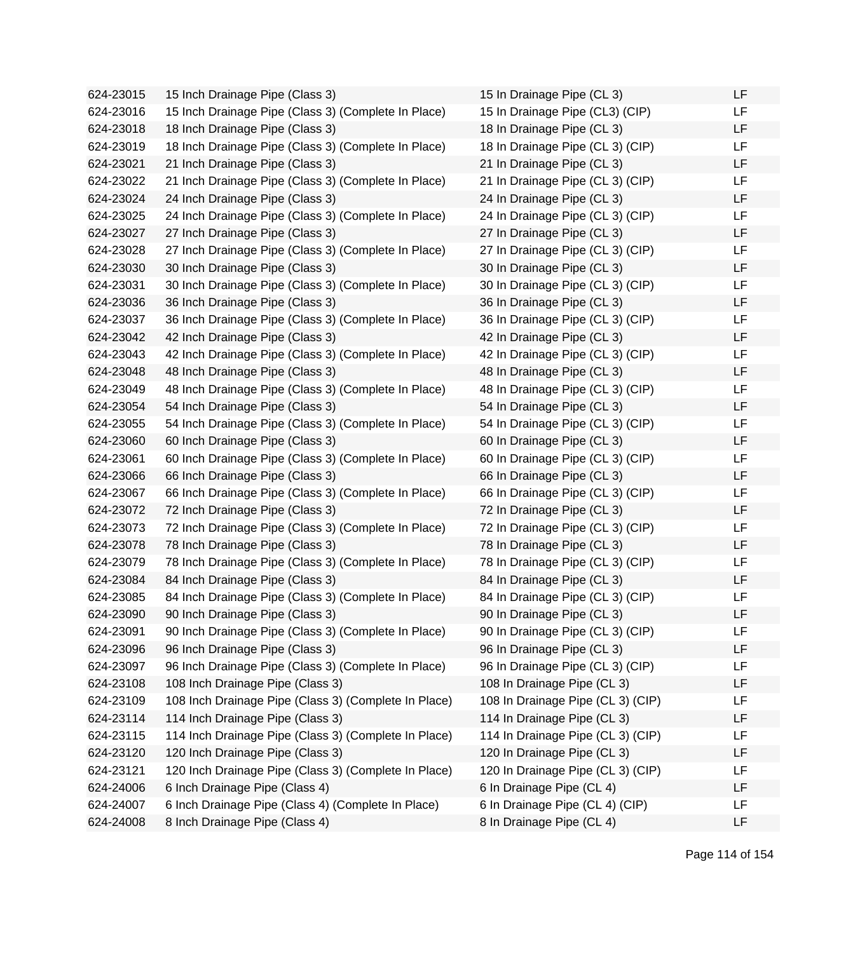624-23015 15 Inch Drainage Pipe (Class 3) 624-23016 15 Inch Drainage Pipe (Class 3) (Complete In Place) 624-23018 18 Inch Drainage Pipe (Class 3) 624-23019 18 Inch Drainage Pipe (Class 3) (Complete In Place) 624-23021 21 Inch Drainage Pipe (Class 3) 624-23022 21 Inch Drainage Pipe (Class 3) (Complete In Place) 624-23024 24 Inch Drainage Pipe (Class 3) 624-23025 24 Inch Drainage Pipe (Class 3) (Complete In Place) 624-23027 27 Inch Drainage Pipe (Class 3) 624-23028 27 Inch Drainage Pipe (Class 3) (Complete In Place) 624-23030 30 Inch Drainage Pipe (Class 3) 624-23031 30 Inch Drainage Pipe (Class 3) (Complete In Place) 624-23036 36 Inch Drainage Pipe (Class 3) 624-23037 36 Inch Drainage Pipe (Class 3) (Complete In Place) 624-23042 42 Inch Drainage Pipe (Class 3) 624-23043 42 Inch Drainage Pipe (Class 3) (Complete In Place) 624-23048 48 Inch Drainage Pipe (Class 3) 624-23049 48 Inch Drainage Pipe (Class 3) (Complete In Place) 624-23054 54 Inch Drainage Pipe (Class 3) 624-23055 54 Inch Drainage Pipe (Class 3) (Complete In Place) 624-23060 60 Inch Drainage Pipe (Class 3) 624-23061 60 Inch Drainage Pipe (Class 3) (Complete In Place) 624-23066 66 Inch Drainage Pipe (Class 3) 624-23067 66 Inch Drainage Pipe (Class 3) (Complete In Place) 624-23072 72 Inch Drainage Pipe (Class 3) 624-23073 72 Inch Drainage Pipe (Class 3) (Complete In Place) 624-23078 78 Inch Drainage Pipe (Class 3) 624-23079 78 Inch Drainage Pipe (Class 3) (Complete In Place) 624-23084 84 Inch Drainage Pipe (Class 3) 624-23085 84 Inch Drainage Pipe (Class 3) (Complete In Place) 624-23090 90 Inch Drainage Pipe (Class 3) 624-23091 90 Inch Drainage Pipe (Class 3) (Complete In Place) 624-23096 96 Inch Drainage Pipe (Class 3) 624-23097 96 Inch Drainage Pipe (Class 3) (Complete In Place) 624-23108 108 Inch Drainage Pipe (Class 3) 624-23109 108 Inch Drainage Pipe (Class 3) (Complete In Place) 624-23114 114 Inch Drainage Pipe (Class 3) 624-23115 114 Inch Drainage Pipe (Class 3) (Complete In Place) 624-23120 120 Inch Drainage Pipe (Class 3) 624-23121 120 Inch Drainage Pipe (Class 3) (Complete In Place) 624-24006 6 Inch Drainage Pipe (Class 4) 624-24007 6 Inch Drainage Pipe (Class 4) (Complete In Place)  $624-24008$  8 Inch Drainage Pipe (Class 4)

| 15 In Drainage Pipe (CL 3)        | LF |
|-----------------------------------|----|
| 15 In Drainage Pipe (CL3) (CIP)   | LF |
| 18 In Drainage Pipe (CL 3)        | LF |
| 18 In Drainage Pipe (CL 3) (CIP)  | LF |
| 21 In Drainage Pipe (CL 3)        | LF |
| 21 In Drainage Pipe (CL 3) (CIP)  | LF |
| 24 In Drainage Pipe (CL 3)        | LF |
| 24 In Drainage Pipe (CL 3) (CIP)  | LF |
| 27 In Drainage Pipe (CL 3)        | LF |
| 27 In Drainage Pipe (CL 3) (CIP)  | LF |
| 30 In Drainage Pipe (CL 3)        | LF |
| 30 In Drainage Pipe (CL 3) (CIP)  | LF |
| 36 In Drainage Pipe (CL 3)        | LF |
| 36 In Drainage Pipe (CL 3) (CIP)  | LF |
| 42 In Drainage Pipe (CL 3)        | LF |
| 42 In Drainage Pipe (CL 3) (CIP)  | LF |
| 48 In Drainage Pipe (CL 3)        | LF |
| 48 In Drainage Pipe (CL 3) (CIP)  | LF |
| 54 In Drainage Pipe (CL 3)        | LF |
| 54 In Drainage Pipe (CL 3) (CIP)  | LF |
| 60 In Drainage Pipe (CL 3)        | LF |
| 60 In Drainage Pipe (CL 3) (CIP)  | LF |
| 66 In Drainage Pipe (CL 3)        | LF |
| 66 In Drainage Pipe (CL 3) (CIP)  | LF |
| 72 In Drainage Pipe (CL 3)        | LF |
| 72 In Drainage Pipe (CL 3) (CIP)  | LF |
| 78 In Drainage Pipe (CL 3)        | LF |
| 78 In Drainage Pipe (CL 3) (CIP)  | LF |
| 84 In Drainage Pipe (CL 3)        | LF |
| 84 In Drainage Pipe (CL 3) (CIP)  | LF |
| 90 In Drainage Pipe (CL 3)        | LF |
| 90 In Drainage Pipe (CL 3) (CIP)  | ᄔ  |
| 96 In Drainage Pipe (CL 3)        | LF |
| 96 In Drainage Pipe (CL 3) (CIP)  | LF |
| 108 In Drainage Pipe (CL 3)       | LF |
| 108 In Drainage Pipe (CL 3) (CIP) | LF |
| 114 In Drainage Pipe (CL 3)       | LF |
| 114 In Drainage Pipe (CL 3) (CIP) | LF |
| 120 In Drainage Pipe (CL 3)       | LF |
| 120 In Drainage Pipe (CL 3) (CIP) | LF |
| 6 In Drainage Pipe (CL 4)         | LF |
| 6 In Drainage Pipe (CL 4) (CIP)   | LF |
| 8 In Drainage Pipe (CL 4)         | LF |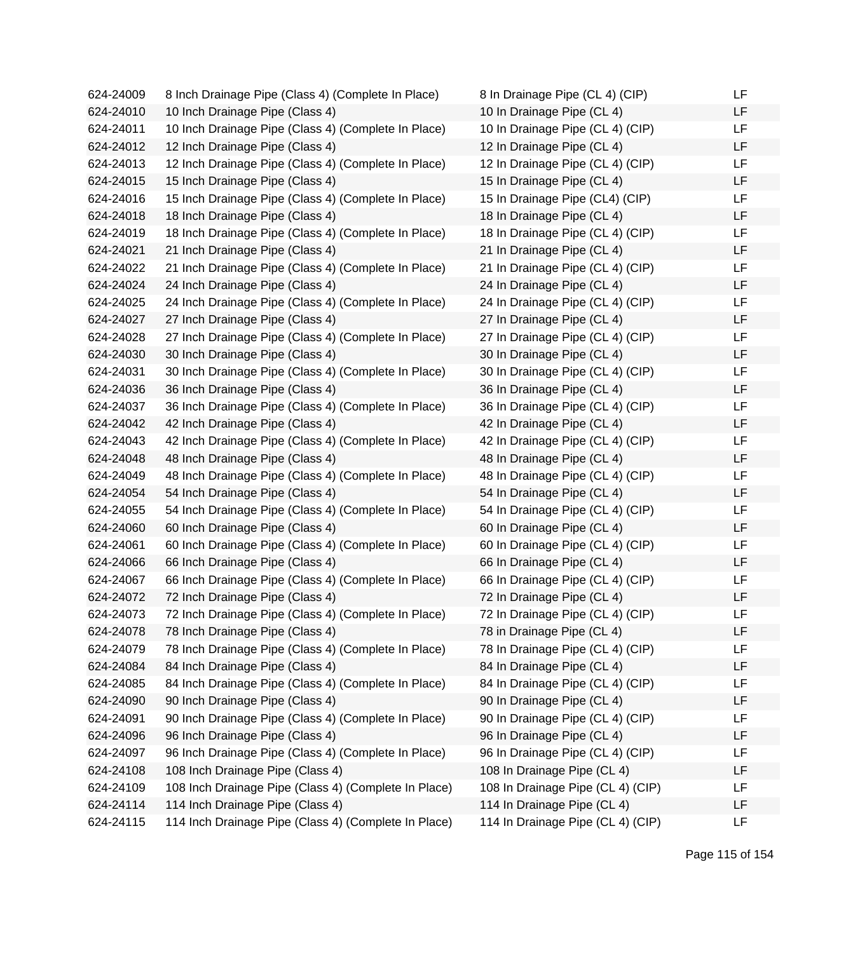| 624-24009 | 8 Inch Drainage Pipe (Class 4) (Complete In Place)   | 8 In Drainage Pipe (CL 4) (CIP)   | LF |
|-----------|------------------------------------------------------|-----------------------------------|----|
| 624-24010 | 10 Inch Drainage Pipe (Class 4)                      | 10 In Drainage Pipe (CL 4)        | LF |
| 624-24011 | 10 Inch Drainage Pipe (Class 4) (Complete In Place)  | 10 In Drainage Pipe (CL 4) (CIP)  | LF |
| 624-24012 | 12 Inch Drainage Pipe (Class 4)                      | 12 In Drainage Pipe (CL 4)        | LF |
| 624-24013 | 12 Inch Drainage Pipe (Class 4) (Complete In Place)  | 12 In Drainage Pipe (CL 4) (CIP)  | LF |
| 624-24015 | 15 Inch Drainage Pipe (Class 4)                      | 15 In Drainage Pipe (CL 4)        | LF |
| 624-24016 | 15 Inch Drainage Pipe (Class 4) (Complete In Place)  | 15 In Drainage Pipe (CL4) (CIP)   | LF |
| 624-24018 | 18 Inch Drainage Pipe (Class 4)                      | 18 In Drainage Pipe (CL 4)        | LF |
| 624-24019 | 18 Inch Drainage Pipe (Class 4) (Complete In Place)  | 18 In Drainage Pipe (CL 4) (CIP)  | LF |
| 624-24021 | 21 Inch Drainage Pipe (Class 4)                      | 21 In Drainage Pipe (CL 4)        | LF |
| 624-24022 | 21 Inch Drainage Pipe (Class 4) (Complete In Place)  | 21 In Drainage Pipe (CL 4) (CIP)  | LF |
| 624-24024 | 24 Inch Drainage Pipe (Class 4)                      | 24 In Drainage Pipe (CL 4)        | LF |
| 624-24025 | 24 Inch Drainage Pipe (Class 4) (Complete In Place)  | 24 In Drainage Pipe (CL 4) (CIP)  | LF |
| 624-24027 | 27 Inch Drainage Pipe (Class 4)                      | 27 In Drainage Pipe (CL 4)        | LF |
| 624-24028 | 27 Inch Drainage Pipe (Class 4) (Complete In Place)  | 27 In Drainage Pipe (CL 4) (CIP)  | LF |
| 624-24030 | 30 Inch Drainage Pipe (Class 4)                      | 30 In Drainage Pipe (CL 4)        | LF |
| 624-24031 | 30 Inch Drainage Pipe (Class 4) (Complete In Place)  | 30 In Drainage Pipe (CL 4) (CIP)  | LF |
| 624-24036 | 36 Inch Drainage Pipe (Class 4)                      | 36 In Drainage Pipe (CL 4)        | LF |
| 624-24037 | 36 Inch Drainage Pipe (Class 4) (Complete In Place)  | 36 In Drainage Pipe (CL 4) (CIP)  | LF |
| 624-24042 | 42 Inch Drainage Pipe (Class 4)                      | 42 In Drainage Pipe (CL 4)        | LF |
| 624-24043 | 42 Inch Drainage Pipe (Class 4) (Complete In Place)  | 42 In Drainage Pipe (CL 4) (CIP)  | LF |
| 624-24048 | 48 Inch Drainage Pipe (Class 4)                      | 48 In Drainage Pipe (CL 4)        | LF |
| 624-24049 | 48 Inch Drainage Pipe (Class 4) (Complete In Place)  | 48 In Drainage Pipe (CL 4) (CIP)  | LF |
| 624-24054 | 54 Inch Drainage Pipe (Class 4)                      | 54 In Drainage Pipe (CL 4)        | LF |
| 624-24055 | 54 Inch Drainage Pipe (Class 4) (Complete In Place)  | 54 In Drainage Pipe (CL 4) (CIP)  | LF |
| 624-24060 | 60 Inch Drainage Pipe (Class 4)                      | 60 In Drainage Pipe (CL 4)        | LF |
| 624-24061 | 60 Inch Drainage Pipe (Class 4) (Complete In Place)  | 60 In Drainage Pipe (CL 4) (CIP)  | LF |
| 624-24066 | 66 Inch Drainage Pipe (Class 4)                      | 66 In Drainage Pipe (CL 4)        | LF |
| 624-24067 | 66 Inch Drainage Pipe (Class 4) (Complete In Place)  | 66 In Drainage Pipe (CL 4) (CIP)  | LF |
| 624-24072 | 72 Inch Drainage Pipe (Class 4)                      | 72 In Drainage Pipe (CL 4)        | LF |
| 624-24073 | 72 Inch Drainage Pipe (Class 4) (Complete In Place)  | 72 In Drainage Pipe (CL 4) (CIP)  | LF |
| 624-24078 | 78 Inch Drainage Pipe (Class 4)                      | 78 in Drainage Pipe (CL 4)        | LF |
| 624-24079 | 78 Inch Drainage Pipe (Class 4) (Complete In Place)  | 78 In Drainage Pipe (CL 4) (CIP)  | LF |
| 624-24084 | 84 Inch Drainage Pipe (Class 4)                      | 84 In Drainage Pipe (CL 4)        | LF |
| 624-24085 | 84 Inch Drainage Pipe (Class 4) (Complete In Place)  | 84 In Drainage Pipe (CL 4) (CIP)  | LF |
| 624-24090 | 90 Inch Drainage Pipe (Class 4)                      | 90 In Drainage Pipe (CL 4)        | LF |
| 624-24091 | 90 Inch Drainage Pipe (Class 4) (Complete In Place)  | 90 In Drainage Pipe (CL 4) (CIP)  | LF |
| 624-24096 | 96 Inch Drainage Pipe (Class 4)                      | 96 In Drainage Pipe (CL 4)        | LF |
| 624-24097 | 96 Inch Drainage Pipe (Class 4) (Complete In Place)  | 96 In Drainage Pipe (CL 4) (CIP)  | LF |
| 624-24108 | 108 Inch Drainage Pipe (Class 4)                     | 108 In Drainage Pipe (CL 4)       | LF |
| 624-24109 | 108 Inch Drainage Pipe (Class 4) (Complete In Place) | 108 In Drainage Pipe (CL 4) (CIP) | LF |
| 624-24114 | 114 Inch Drainage Pipe (Class 4)                     | 114 In Drainage Pipe (CL 4)       | LF |
| 624-24115 | 114 Inch Drainage Pipe (Class 4) (Complete In Place) | 114 In Drainage Pipe (CL 4) (CIP) | LF |

| 8 In Drainage Pipe (CL 4) (CIP)   | LF |
|-----------------------------------|----|
| 10 In Drainage Pipe (CL 4)        | LF |
| 10 In Drainage Pipe (CL 4) (CIP)  | LF |
| 12 In Drainage Pipe (CL 4)        | LF |
| 12 In Drainage Pipe (CL 4) (CIP)  | LF |
| 15 In Drainage Pipe (CL 4)        | LF |
| 15 In Drainage Pipe (CL4) (CIP)   | LF |
| 18 In Drainage Pipe (CL 4)        | LF |
| 18 In Drainage Pipe (CL 4) (CIP)  | LF |
| 21 In Drainage Pipe (CL 4)        | LF |
| 21 In Drainage Pipe (CL 4) (CIP)  | LF |
| 24 In Drainage Pipe (CL 4)        | LF |
|                                   | LF |
| 24 In Drainage Pipe (CL 4) (CIP)  | LF |
| 27 In Drainage Pipe (CL 4)        | LF |
| 27 In Drainage Pipe (CL 4) (CIP)  | LF |
| 30 In Drainage Pipe (CL 4)        | LF |
| 30 In Drainage Pipe (CL 4) (CIP)  | LF |
| 36 In Drainage Pipe (CL 4)        | LF |
| 36 In Drainage Pipe (CL 4) (CIP)  | LF |
| 42 In Drainage Pipe (CL 4)        | LF |
| 42 In Drainage Pipe (CL 4) (CIP)  |    |
| 48 In Drainage Pipe (CL 4)        | LF |
| 48 In Drainage Pipe (CL 4) (CIP)  | LF |
| 54 In Drainage Pipe (CL 4)        | LF |
| 54 In Drainage Pipe (CL 4) (CIP)  | LF |
| 60 In Drainage Pipe (CL 4)        | LF |
| 60 In Drainage Pipe (CL 4) (CIP)  | LF |
| 66 In Drainage Pipe (CL 4)        | LF |
| 66 In Drainage Pipe (CL 4) (CIP)  | LF |
| 72 In Drainage Pipe (CL 4)        | LF |
| 72 In Drainage Pipe (CL 4) (CIP)  | LF |
| 78 in Drainage Pipe (CL 4)        | LF |
| 78 In Drainage Pipe (CL 4) (CIP)  | LF |
| 84 In Drainage Pipe (CL 4)        | LF |
| 84 In Drainage Pipe (CL 4) (CIP)  | LF |
| 90 In Drainage Pipe (CL 4)        | LF |
| 90 In Drainage Pipe (CL 4) (CIP)  | LF |
| 96 In Drainage Pipe (CL 4)        | LF |
| 96 In Drainage Pipe (CL 4) (CIP)  | LF |
| 108 In Drainage Pipe (CL 4)       | LF |
| 108 In Drainage Pipe (CL 4) (CIP) | LF |
| 114 In Drainage Pipe (CL 4)       | LF |
| 114 In Drainage Pipe (CL 4) (CIP) | LF |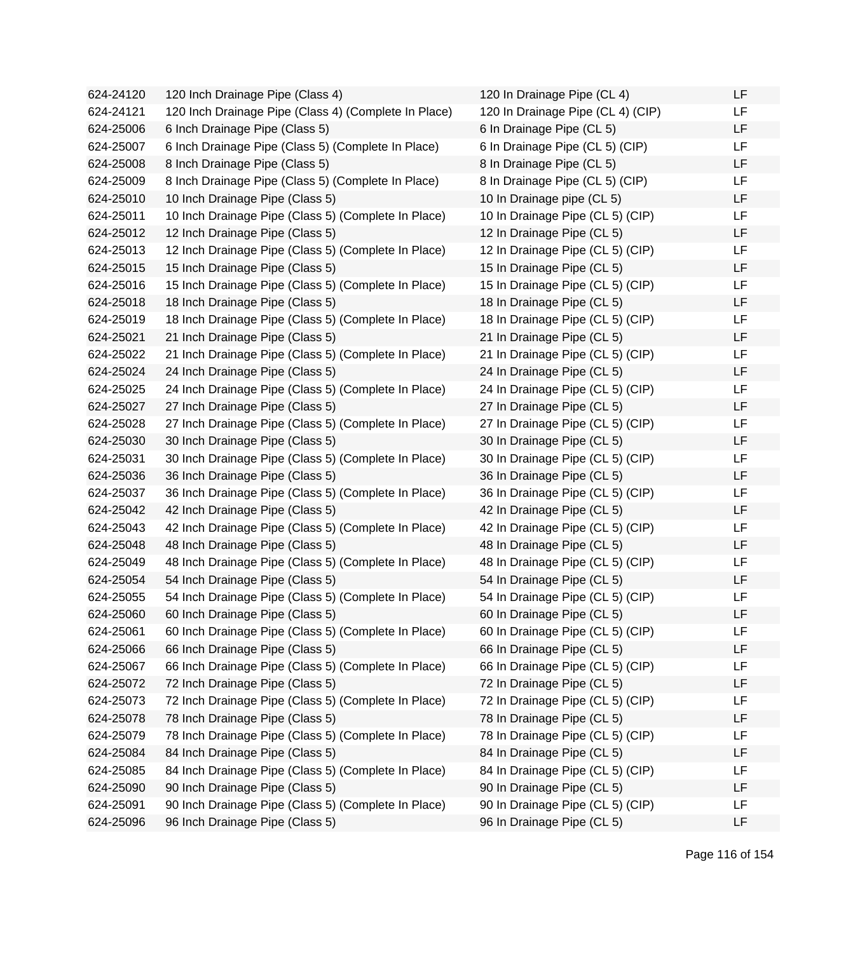624-24120 120 Inch Drainage Pipe (Class 4) 624-24121 120 Inch Drainage Pipe (Class 4) (Complete In Place)  $624-25006$  6 Inch Drainage Pipe (Class 5) 624-25007 6 Inch Drainage Pipe (Class 5) (Complete In Place) 624-25008 8 Inch Drainage Pipe (Class 5) 624-25009 8 Inch Drainage Pipe (Class 5) (Complete In Place) 624-25010 10 Inch Drainage Pipe (Class 5) 624-25011 10 Inch Drainage Pipe (Class 5) (Complete In Place) 624-25012 12 Inch Drainage Pipe (Class 5) 624-25013 12 Inch Drainage Pipe (Class 5) (Complete In Place) 624-25015 15 Inch Drainage Pipe (Class 5) 624-25016 15 Inch Drainage Pipe (Class 5) (Complete In Place) 624-25018 18 Inch Drainage Pipe (Class 5) 624-25019 18 Inch Drainage Pipe (Class 5) (Complete In Place) 624-25021 21 Inch Drainage Pipe (Class 5) 624-25022 21 Inch Drainage Pipe (Class 5) (Complete In Place) 624-25024 24 Inch Drainage Pipe (Class 5) 624-25025 24 Inch Drainage Pipe (Class 5) (Complete In Place) 624-25027 27 Inch Drainage Pipe (Class 5) 624-25028 27 Inch Drainage Pipe (Class 5) (Complete In Place) 624-25030 30 Inch Drainage Pipe (Class 5) 624-25031 30 Inch Drainage Pipe (Class 5) (Complete In Place) 624-25036 36 Inch Drainage Pipe (Class 5) 624-25037 36 Inch Drainage Pipe (Class 5) (Complete In Place) 624-25042 42 Inch Drainage Pipe (Class 5) 624-25043 42 Inch Drainage Pipe (Class 5) (Complete In Place) 624-25048 48 Inch Drainage Pipe (Class 5) 624-25049 48 Inch Drainage Pipe (Class 5) (Complete In Place) 624-25054 54 Inch Drainage Pipe (Class 5) 624-25055 54 Inch Drainage Pipe (Class 5) (Complete In Place) 624-25060 60 Inch Drainage Pipe (Class 5) 624-25061 60 Inch Drainage Pipe (Class 5) (Complete In Place) 624-25066 66 Inch Drainage Pipe (Class 5) 624-25067 66 Inch Drainage Pipe (Class 5) (Complete In Place) 624-25072 72 Inch Drainage Pipe (Class 5) 624-25073 72 Inch Drainage Pipe (Class 5) (Complete In Place) 624-25078 78 Inch Drainage Pipe (Class 5) 624-25079 78 Inch Drainage Pipe (Class 5) (Complete In Place) 624-25084 84 Inch Drainage Pipe (Class 5) 624-25085 84 Inch Drainage Pipe (Class 5) (Complete In Place) 624-25090 90 Inch Drainage Pipe (Class 5) 624-25091 90 Inch Drainage Pipe (Class 5) (Complete In Place) 624-25096 96 Inch Drainage Pipe (Class 5)

| 120 In Drainage Pipe (CL 4)       | LF |
|-----------------------------------|----|
| 120 In Drainage Pipe (CL 4) (CIP) | LF |
| 6 In Drainage Pipe (CL 5)         | LF |
| 6 In Drainage Pipe (CL 5) (CIP)   | LF |
| 8 In Drainage Pipe (CL 5)         | LF |
| 8 In Drainage Pipe (CL 5) (CIP)   | LF |
| 10 In Drainage pipe (CL 5)        | LF |
| 10 In Drainage Pipe (CL 5) (CIP)  | LF |
| 12 In Drainage Pipe (CL 5)        | LF |
| 12 In Drainage Pipe (CL 5) (CIP)  | LF |
| 15 In Drainage Pipe (CL 5)        | LF |
| 15 In Drainage Pipe (CL 5) (CIP)  | LF |
| 18 In Drainage Pipe (CL 5)        | LF |
| 18 In Drainage Pipe (CL 5) (CIP)  | LF |
| 21 In Drainage Pipe (CL 5)        | LF |
| 21 In Drainage Pipe (CL 5) (CIP)  | LF |
| 24 In Drainage Pipe (CL 5)        | LF |
| 24 In Drainage Pipe (CL 5) (CIP)  | LF |
| 27 In Drainage Pipe (CL 5)        | LF |
| 27 In Drainage Pipe (CL 5) (CIP)  | LF |
| 30 In Drainage Pipe (CL 5)        | LF |
| 30 In Drainage Pipe (CL 5) (CIP)  | LF |
| 36 In Drainage Pipe (CL 5)        | LF |
| 36 In Drainage Pipe (CL 5) (CIP)  | LF |
| 42 In Drainage Pipe (CL 5)        | LF |
| 42 In Drainage Pipe (CL 5) (CIP)  | LF |
| 48 In Drainage Pipe (CL 5)        | LF |
| 48 In Drainage Pipe (CL 5) (CIP)  | LF |
| 54 In Drainage Pipe (CL 5)        | LF |
| 54 In Drainage Pipe (CL 5) (CIP)  | LF |
| 60 In Drainage Pipe (CL 5)        | LF |
| 60 In Drainage Pipe (CL 5) (CIP)  | LF |
| 66 In Drainage Pipe (CL 5)        | LF |
| 66 In Drainage Pipe (CL 5) (CIP)  | LF |
| 72 In Drainage Pipe (CL 5)        | LF |
| 72 In Drainage Pipe (CL 5) (CIP)  | LF |
| 78 In Drainage Pipe (CL 5)        | LF |
| 78 In Drainage Pipe (CL 5) (CIP)  | LF |
| 84 In Drainage Pipe (CL 5)        | LF |
| 84 In Drainage Pipe (CL 5) (CIP)  | LF |
| 90 In Drainage Pipe (CL 5)        | LF |
| 90 In Drainage Pipe (CL 5) (CIP)  | LF |
| 96 In Drainage Pipe (CL 5)        | LF |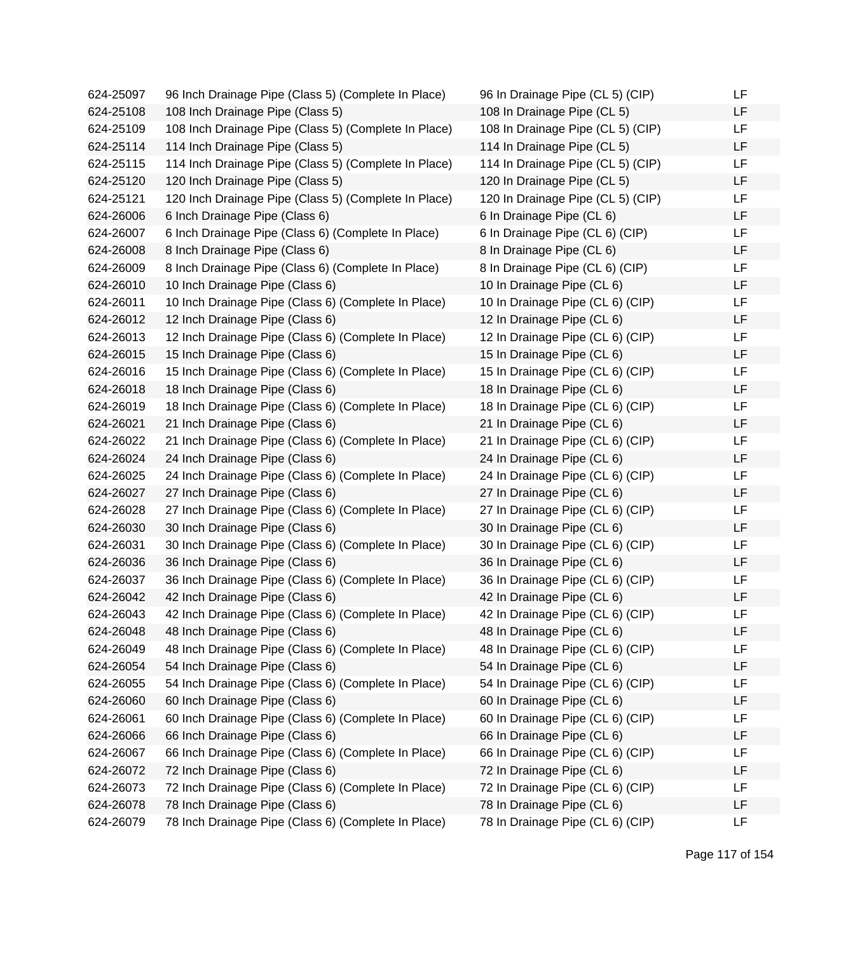| 624-25097 | 96 Inch Drainage Pipe (Class 5) (Complete In Place)  | 96 In Drainage Pipe (CL 5) (CIP)  | LF |
|-----------|------------------------------------------------------|-----------------------------------|----|
| 624-25108 | 108 Inch Drainage Pipe (Class 5)                     | 108 In Drainage Pipe (CL 5)       | LF |
| 624-25109 | 108 Inch Drainage Pipe (Class 5) (Complete In Place) | 108 In Drainage Pipe (CL 5) (CIP) | LF |
| 624-25114 | 114 Inch Drainage Pipe (Class 5)                     | 114 In Drainage Pipe (CL 5)       | LF |
| 624-25115 | 114 Inch Drainage Pipe (Class 5) (Complete In Place) | 114 In Drainage Pipe (CL 5) (CIP) | LF |
| 624-25120 | 120 Inch Drainage Pipe (Class 5)                     | 120 In Drainage Pipe (CL 5)       | LF |
| 624-25121 | 120 Inch Drainage Pipe (Class 5) (Complete In Place) | 120 In Drainage Pipe (CL 5) (CIP) | LF |
| 624-26006 | 6 Inch Drainage Pipe (Class 6)                       | 6 In Drainage Pipe (CL 6)         | LF |
| 624-26007 | 6 Inch Drainage Pipe (Class 6) (Complete In Place)   | 6 In Drainage Pipe (CL 6) (CIP)   | LF |
| 624-26008 | 8 Inch Drainage Pipe (Class 6)                       | 8 In Drainage Pipe (CL 6)         | LF |
| 624-26009 | 8 Inch Drainage Pipe (Class 6) (Complete In Place)   | 8 In Drainage Pipe (CL 6) (CIP)   | LF |
| 624-26010 | 10 Inch Drainage Pipe (Class 6)                      | 10 In Drainage Pipe (CL 6)        | LF |
| 624-26011 | 10 Inch Drainage Pipe (Class 6) (Complete In Place)  | 10 In Drainage Pipe (CL 6) (CIP)  | LF |
| 624-26012 | 12 Inch Drainage Pipe (Class 6)                      | 12 In Drainage Pipe (CL 6)        | LF |
| 624-26013 | 12 Inch Drainage Pipe (Class 6) (Complete In Place)  | 12 In Drainage Pipe (CL 6) (CIP)  | LF |
| 624-26015 | 15 Inch Drainage Pipe (Class 6)                      | 15 In Drainage Pipe (CL 6)        | LF |
| 624-26016 | 15 Inch Drainage Pipe (Class 6) (Complete In Place)  | 15 In Drainage Pipe (CL 6) (CIP)  | LF |
| 624-26018 | 18 Inch Drainage Pipe (Class 6)                      | 18 In Drainage Pipe (CL 6)        | LF |
| 624-26019 | 18 Inch Drainage Pipe (Class 6) (Complete In Place)  | 18 In Drainage Pipe (CL 6) (CIP)  | LF |
| 624-26021 | 21 Inch Drainage Pipe (Class 6)                      | 21 In Drainage Pipe (CL 6)        | LF |
| 624-26022 | 21 Inch Drainage Pipe (Class 6) (Complete In Place)  | 21 In Drainage Pipe (CL 6) (CIP)  | LF |
| 624-26024 | 24 Inch Drainage Pipe (Class 6)                      | 24 In Drainage Pipe (CL 6)        | LF |
| 624-26025 | 24 Inch Drainage Pipe (Class 6) (Complete In Place)  | 24 In Drainage Pipe (CL 6) (CIP)  | LF |
| 624-26027 | 27 Inch Drainage Pipe (Class 6)                      | 27 In Drainage Pipe (CL 6)        | LF |
| 624-26028 | 27 Inch Drainage Pipe (Class 6) (Complete In Place)  | 27 In Drainage Pipe (CL 6) (CIP)  | LF |
| 624-26030 | 30 Inch Drainage Pipe (Class 6)                      | 30 In Drainage Pipe (CL 6)        | LF |
| 624-26031 | 30 Inch Drainage Pipe (Class 6) (Complete In Place)  | 30 In Drainage Pipe (CL 6) (CIP)  | LF |
| 624-26036 | 36 Inch Drainage Pipe (Class 6)                      | 36 In Drainage Pipe (CL 6)        | LF |
| 624-26037 | 36 Inch Drainage Pipe (Class 6) (Complete In Place)  | 36 In Drainage Pipe (CL 6) (CIP)  | LF |
| 624-26042 | 42 Inch Drainage Pipe (Class 6)                      | 42 In Drainage Pipe (CL 6)        | LF |
| 624-26043 | 42 Inch Drainage Pipe (Class 6) (Complete In Place)  | 42 In Drainage Pipe (CL 6) (CIP)  | LF |
| 624-26048 | 48 Inch Drainage Pipe (Class 6)                      | 48 In Drainage Pipe (CL 6)        | LF |
| 624-26049 | 48 Inch Drainage Pipe (Class 6) (Complete In Place)  | 48 In Drainage Pipe (CL 6) (CIP)  | LF |
| 624-26054 | 54 Inch Drainage Pipe (Class 6)                      | 54 In Drainage Pipe (CL 6)        | LF |
| 624-26055 | 54 Inch Drainage Pipe (Class 6) (Complete In Place)  | 54 In Drainage Pipe (CL 6) (CIP)  | LF |
| 624-26060 | 60 Inch Drainage Pipe (Class 6)                      | 60 In Drainage Pipe (CL 6)        | LF |
| 624-26061 | 60 Inch Drainage Pipe (Class 6) (Complete In Place)  | 60 In Drainage Pipe (CL 6) (CIP)  | LF |
| 624-26066 | 66 Inch Drainage Pipe (Class 6)                      | 66 In Drainage Pipe (CL 6)        | LF |
| 624-26067 | 66 Inch Drainage Pipe (Class 6) (Complete In Place)  | 66 In Drainage Pipe (CL 6) (CIP)  | LF |
| 624-26072 | 72 Inch Drainage Pipe (Class 6)                      | 72 In Drainage Pipe (CL 6)        | LF |
| 624-26073 | 72 Inch Drainage Pipe (Class 6) (Complete In Place)  | 72 In Drainage Pipe (CL 6) (CIP)  | LF |
| 624-26078 | 78 Inch Drainage Pipe (Class 6)                      | 78 In Drainage Pipe (CL 6)        | LF |
| 624-26079 | 78 Inch Drainage Pipe (Class 6) (Complete In Place)  | 78 In Drainage Pipe (CL 6) (CIP)  | LF |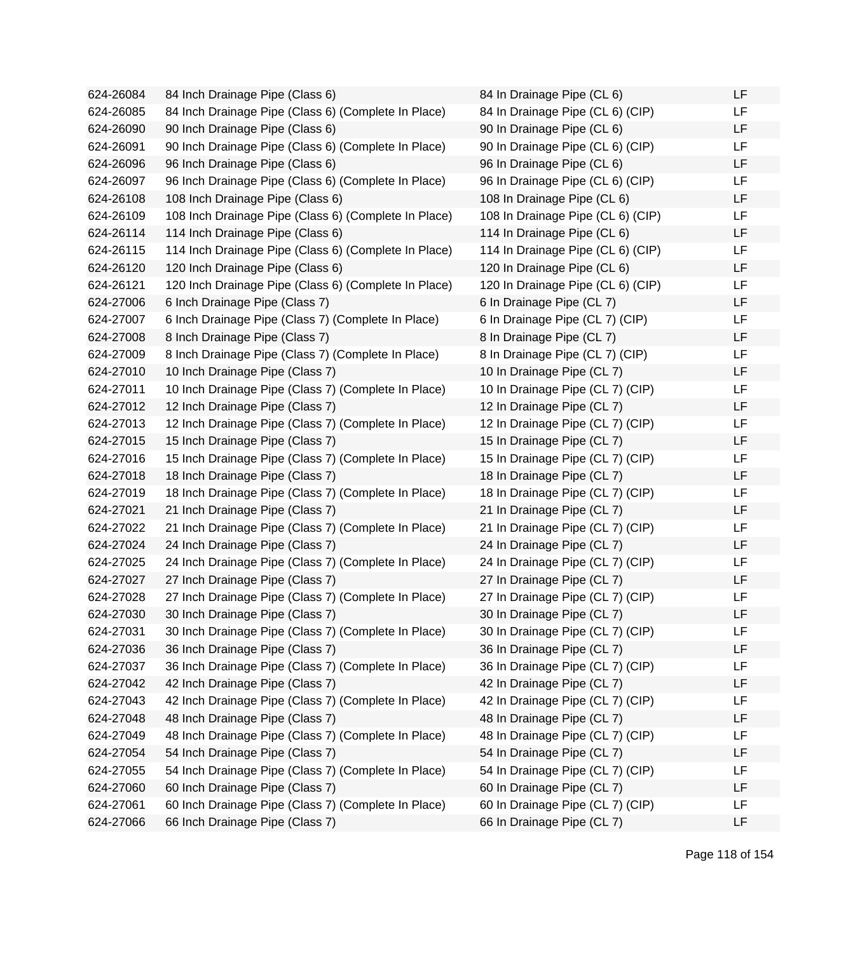624-26084 84 Inch Drainage Pipe (Class 6) 624-26085 84 Inch Drainage Pipe (Class 6) (Complete In Place) 624-26090 90 Inch Drainage Pipe (Class 6) 624-26091 90 Inch Drainage Pipe (Class 6) (Complete In Place) 624-26096 96 Inch Drainage Pipe (Class 6) 624-26097 96 Inch Drainage Pipe (Class 6) (Complete In Place) 624-26108 108 Inch Drainage Pipe (Class 6) 624-26109 108 Inch Drainage Pipe (Class 6) (Complete In Place) 624-26114 114 Inch Drainage Pipe (Class 6) 624-26115 114 Inch Drainage Pipe (Class 6) (Complete In Place) 624-26120 120 Inch Drainage Pipe (Class 6) 624-26121 120 Inch Drainage Pipe (Class 6) (Complete In Place) 624-27006 6 Inch Drainage Pipe (Class 7) 624-27007 6 Inch Drainage Pipe (Class 7) (Complete In Place) 624-27008 8 Inch Drainage Pipe (Class 7) 624-27009 8 Inch Drainage Pipe (Class 7) (Complete In Place) 624-27010 10 Inch Drainage Pipe (Class 7) 624-27011 10 Inch Drainage Pipe (Class 7) (Complete In Place) 624-27012 12 Inch Drainage Pipe (Class 7) 624-27013 12 Inch Drainage Pipe (Class 7) (Complete In Place) 624-27015 15 Inch Drainage Pipe (Class 7) 624-27016 15 Inch Drainage Pipe (Class 7) (Complete In Place) 624-27018 18 Inch Drainage Pipe (Class 7) 624-27019 18 Inch Drainage Pipe (Class 7) (Complete In Place) 624-27021 21 Inch Drainage Pipe (Class 7) 624-27022 21 Inch Drainage Pipe (Class 7) (Complete In Place) 624-27024 24 Inch Drainage Pipe (Class 7) 624-27025 24 Inch Drainage Pipe (Class 7) (Complete In Place) 624-27027 27 Inch Drainage Pipe (Class 7) 624-27028 27 Inch Drainage Pipe (Class 7) (Complete In Place) 624-27030 30 Inch Drainage Pipe (Class 7) 624-27031 30 Inch Drainage Pipe (Class 7) (Complete In Place) 624-27036 36 Inch Drainage Pipe (Class 7) 624-27037 36 Inch Drainage Pipe (Class 7) (Complete In Place) 624-27042 42 Inch Drainage Pipe (Class 7) 624-27043 42 Inch Drainage Pipe (Class 7) (Complete In Place) 624-27048 48 Inch Drainage Pipe (Class 7) 624-27049 48 Inch Drainage Pipe (Class 7) (Complete In Place) 624-27054 54 Inch Drainage Pipe (Class 7) 624-27055 54 Inch Drainage Pipe (Class 7) (Complete In Place) 624-27060 60 Inch Drainage Pipe (Class 7) 624-27061 60 Inch Drainage Pipe (Class 7) (Complete In Place) 624-27066 66 Inch Drainage Pipe (Class 7)

| 84 In Drainage Pipe (CL 6)        | LF |
|-----------------------------------|----|
| 84 In Drainage Pipe (CL 6) (CIP)  | LF |
| 90 In Drainage Pipe (CL 6)        | LF |
| 90 In Drainage Pipe (CL 6) (CIP)  | LF |
| 96 In Drainage Pipe (CL 6)        | LF |
| 96 In Drainage Pipe (CL 6) (CIP)  | LF |
| 108 In Drainage Pipe (CL 6)       | LF |
| 108 In Drainage Pipe (CL 6) (CIP) | LF |
| 114 In Drainage Pipe (CL 6)       | LF |
| 114 In Drainage Pipe (CL 6) (CIP) | LF |
| 120 In Drainage Pipe (CL 6)       | LF |
| 120 In Drainage Pipe (CL 6) (CIP) | LF |
| 6 In Drainage Pipe (CL 7)         | LF |
| 6 In Drainage Pipe (CL 7) (CIP)   | LF |
| 8 In Drainage Pipe (CL 7)         | LF |
| 8 In Drainage Pipe (CL 7) (CIP)   | LF |
| 10 In Drainage Pipe (CL 7)        | LF |
| 10 In Drainage Pipe (CL 7) (CIP)  | LF |
| 12 In Drainage Pipe (CL 7)        | LF |
| 12 In Drainage Pipe (CL 7) (CIP)  | LF |
| 15 In Drainage Pipe (CL 7)        | LF |
| 15 In Drainage Pipe (CL 7) (CIP)  | LF |
| 18 In Drainage Pipe (CL 7)        | LF |
| 18 In Drainage Pipe (CL 7) (CIP)  | LF |
| 21 In Drainage Pipe (CL 7)        | LF |
| 21 In Drainage Pipe (CL 7) (CIP)  | LF |
| 24 In Drainage Pipe (CL 7)        | LF |
| 24 In Drainage Pipe (CL 7) (CIP)  | LF |
| 27 In Drainage Pipe (CL 7)        | LF |
| 27 In Drainage Pipe (CL 7) (CIP)  | LF |
| 30 In Drainage Pipe (CL 7)        | LF |
| 30 In Drainage Pipe (CL 7) (CIP)  | LF |
| 36 In Drainage Pipe (CL 7)        | LF |
| 36 In Drainage Pipe (CL 7) (CIP)  | LF |
| 42 In Drainage Pipe (CL 7)        | LF |
| 42 In Drainage Pipe (CL 7) (CIP)  | LF |
| 48 In Drainage Pipe (CL 7)        | LF |
| 48 In Drainage Pipe (CL 7) (CIP)  | LF |
| 54 In Drainage Pipe (CL 7)        | LF |
| 54 In Drainage Pipe (CL 7) (CIP)  | LF |
| 60 In Drainage Pipe (CL 7)        | LF |
| 60 In Drainage Pipe (CL 7) (CIP)  | LF |
| 66 In Drainage Pipe (CL 7)        | LF |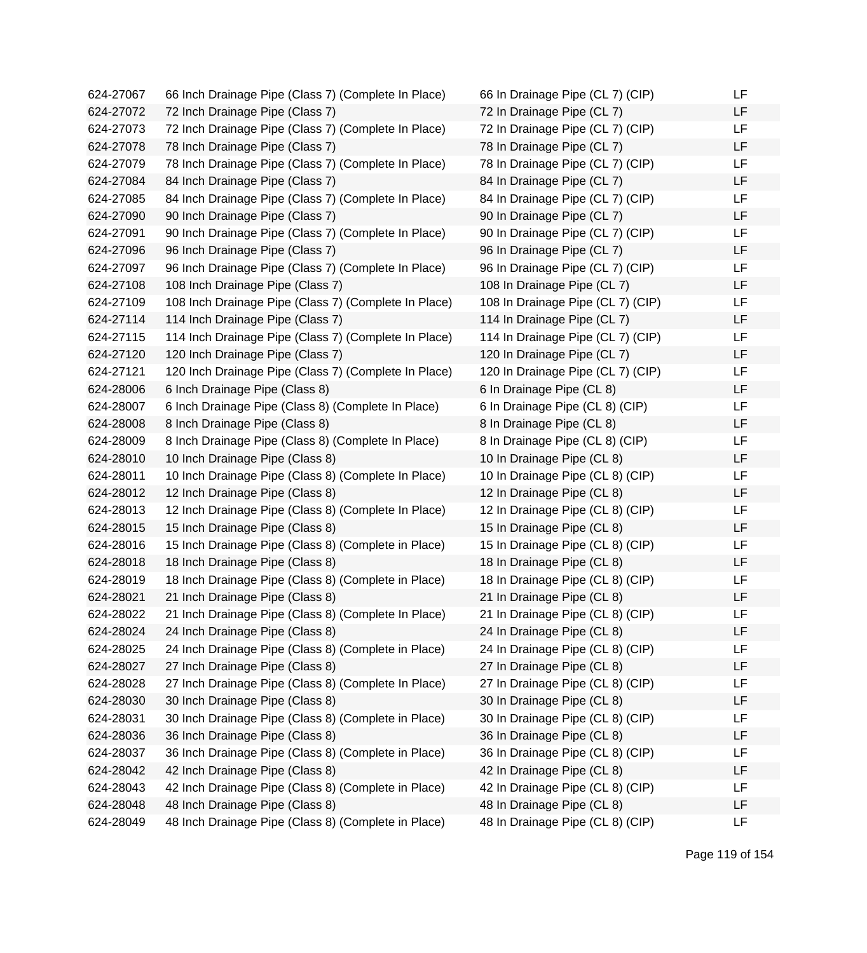| 624-27067 | 66 Inch Drainage Pipe (Class 7) (Complete In Place)  | 66 In Drainage Pipe (CL 7) (CIP)  | LF |
|-----------|------------------------------------------------------|-----------------------------------|----|
| 624-27072 | 72 Inch Drainage Pipe (Class 7)                      | 72 In Drainage Pipe (CL 7)        | LF |
| 624-27073 | 72 Inch Drainage Pipe (Class 7) (Complete In Place)  | 72 In Drainage Pipe (CL 7) (CIP)  | LF |
| 624-27078 | 78 Inch Drainage Pipe (Class 7)                      | 78 In Drainage Pipe (CL 7)        | LF |
| 624-27079 | 78 Inch Drainage Pipe (Class 7) (Complete In Place)  | 78 In Drainage Pipe (CL 7) (CIP)  | LF |
| 624-27084 | 84 Inch Drainage Pipe (Class 7)                      | 84 In Drainage Pipe (CL 7)        | LF |
| 624-27085 | 84 Inch Drainage Pipe (Class 7) (Complete In Place)  | 84 In Drainage Pipe (CL 7) (CIP)  | LF |
| 624-27090 | 90 Inch Drainage Pipe (Class 7)                      | 90 In Drainage Pipe (CL 7)        | LF |
| 624-27091 | 90 Inch Drainage Pipe (Class 7) (Complete In Place)  | 90 In Drainage Pipe (CL 7) (CIP)  | LF |
| 624-27096 | 96 Inch Drainage Pipe (Class 7)                      | 96 In Drainage Pipe (CL 7)        | LF |
| 624-27097 | 96 Inch Drainage Pipe (Class 7) (Complete In Place)  | 96 In Drainage Pipe (CL 7) (CIP)  | LF |
| 624-27108 | 108 Inch Drainage Pipe (Class 7)                     | 108 In Drainage Pipe (CL 7)       | LF |
| 624-27109 | 108 Inch Drainage Pipe (Class 7) (Complete In Place) | 108 In Drainage Pipe (CL 7) (CIP) | LF |
| 624-27114 | 114 Inch Drainage Pipe (Class 7)                     | 114 In Drainage Pipe (CL 7)       | LF |
| 624-27115 | 114 Inch Drainage Pipe (Class 7) (Complete In Place) | 114 In Drainage Pipe (CL 7) (CIP) | LF |
| 624-27120 | 120 Inch Drainage Pipe (Class 7)                     | 120 In Drainage Pipe (CL 7)       | LF |
| 624-27121 | 120 Inch Drainage Pipe (Class 7) (Complete In Place) | 120 In Drainage Pipe (CL 7) (CIP) | LF |
| 624-28006 | 6 Inch Drainage Pipe (Class 8)                       | 6 In Drainage Pipe (CL 8)         | LF |
| 624-28007 | 6 Inch Drainage Pipe (Class 8) (Complete In Place)   | 6 In Drainage Pipe (CL 8) (CIP)   | LF |
| 624-28008 | 8 Inch Drainage Pipe (Class 8)                       | 8 In Drainage Pipe (CL 8)         | LF |
| 624-28009 | 8 Inch Drainage Pipe (Class 8) (Complete In Place)   | 8 In Drainage Pipe (CL 8) (CIP)   | LF |
| 624-28010 | 10 Inch Drainage Pipe (Class 8)                      | 10 In Drainage Pipe (CL 8)        | LF |
| 624-28011 | 10 Inch Drainage Pipe (Class 8) (Complete In Place)  | 10 In Drainage Pipe (CL 8) (CIP)  | LF |
| 624-28012 | 12 Inch Drainage Pipe (Class 8)                      | 12 In Drainage Pipe (CL 8)        | LF |
| 624-28013 | 12 Inch Drainage Pipe (Class 8) (Complete In Place)  | 12 In Drainage Pipe (CL 8) (CIP)  | LF |
| 624-28015 | 15 Inch Drainage Pipe (Class 8)                      | 15 In Drainage Pipe (CL 8)        | LF |
| 624-28016 | 15 Inch Drainage Pipe (Class 8) (Complete in Place)  | 15 In Drainage Pipe (CL 8) (CIP)  | LF |
| 624-28018 | 18 Inch Drainage Pipe (Class 8)                      | 18 In Drainage Pipe (CL 8)        | LF |
| 624-28019 | 18 Inch Drainage Pipe (Class 8) (Complete in Place)  | 18 In Drainage Pipe (CL 8) (CIP)  | LF |
| 624-28021 | 21 Inch Drainage Pipe (Class 8)                      | 21 In Drainage Pipe (CL 8)        | LF |
| 624-28022 | 21 Inch Drainage Pipe (Class 8) (Complete In Place)  | 21 In Drainage Pipe (CL 8) (CIP)  | LF |
| 624-28024 | 24 Inch Drainage Pipe (Class 8)                      | 24 In Drainage Pipe (CL 8)        | LF |
| 624-28025 | 24 Inch Drainage Pipe (Class 8) (Complete in Place)  | 24 In Drainage Pipe (CL 8) (CIP)  | LF |
| 624-28027 | 27 Inch Drainage Pipe (Class 8)                      | 27 In Drainage Pipe (CL 8)        | LF |
| 624-28028 | 27 Inch Drainage Pipe (Class 8) (Complete In Place)  | 27 In Drainage Pipe (CL 8) (CIP)  | LF |
| 624-28030 | 30 Inch Drainage Pipe (Class 8)                      | 30 In Drainage Pipe (CL 8)        | LF |
| 624-28031 | 30 Inch Drainage Pipe (Class 8) (Complete in Place)  | 30 In Drainage Pipe (CL 8) (CIP)  | LF |
| 624-28036 | 36 Inch Drainage Pipe (Class 8)                      | 36 In Drainage Pipe (CL 8)        | LF |
| 624-28037 | 36 Inch Drainage Pipe (Class 8) (Complete in Place)  | 36 In Drainage Pipe (CL 8) (CIP)  | LF |
| 624-28042 | 42 Inch Drainage Pipe (Class 8)                      | 42 In Drainage Pipe (CL 8)        | LF |
| 624-28043 | 42 Inch Drainage Pipe (Class 8) (Complete in Place)  | 42 In Drainage Pipe (CL 8) (CIP)  | LF |
| 624-28048 | 48 Inch Drainage Pipe (Class 8)                      | 48 In Drainage Pipe (CL 8)        | LF |
| 624-28049 | 48 Inch Drainage Pipe (Class 8) (Complete in Place)  | 48 In Drainage Pipe (CL 8) (CIP)  | LF |

| 66 In Drainage Pipe (CL 7) (CIP)  | LF |
|-----------------------------------|----|
| 72 In Drainage Pipe (CL 7)        | LF |
| 72 In Drainage Pipe (CL 7) (CIP)  | LF |
| 78 In Drainage Pipe (CL 7)        | LF |
| 78 In Drainage Pipe (CL 7) (CIP)  | LF |
| 84 In Drainage Pipe (CL 7)        | LF |
| 84 In Drainage Pipe (CL 7) (CIP)  | LF |
| 90 In Drainage Pipe (CL 7)        | LF |
| 90 In Drainage Pipe (CL 7) (CIP)  | LF |
| 96 In Drainage Pipe (CL 7)        | LF |
| 96 In Drainage Pipe (CL 7) (CIP)  | LF |
| 108 In Drainage Pipe (CL 7)       | LF |
| 108 In Drainage Pipe (CL 7) (CIP) | LF |
| 114 In Drainage Pipe (CL 7)       | LF |
| 114 In Drainage Pipe (CL 7) (CIP) | LF |
| 120 In Drainage Pipe (CL 7)       | LF |
| 120 In Drainage Pipe (CL 7) (CIP) | LF |
| 6 In Drainage Pipe (CL 8)         | LF |
| 6 In Drainage Pipe (CL 8) (CIP)   | LF |
| 8 In Drainage Pipe (CL 8)         | LF |
| 8 In Drainage Pipe (CL 8) (CIP)   | LF |
| 10 In Drainage Pipe (CL 8)        | LF |
| 10 In Drainage Pipe (CL 8) (CIP)  | LF |
| 12 In Drainage Pipe (CL 8)        | LF |
| 12 In Drainage Pipe (CL 8) (CIP)  | LF |
| 15 In Drainage Pipe (CL 8)        | LF |
| 15 In Drainage Pipe (CL 8) (CIP)  | LF |
| 18 In Drainage Pipe (CL 8)        | LF |
| 18 In Drainage Pipe (CL 8) (CIP)  | LF |
| 21 In Drainage Pipe (CL 8)        | LF |
| 21 In Drainage Pipe (CL 8) (CIP)  | LF |
| 24 In Drainage Pipe (CL 8)        | LF |
| 24 In Drainage Pipe (CL 8) (CIP)  | LF |
| 27 In Drainage Pipe (CL 8)        | LF |
| 27 In Drainage Pipe (CL 8) (CIP)  | LF |
| 30 In Drainage Pipe (CL 8)        | LF |
| 30 In Drainage Pipe (CL 8) (CIP)  | LF |
| 36 In Drainage Pipe (CL 8)        | LF |
| 36 In Drainage Pipe (CL 8) (CIP)  | LF |
| 42 In Drainage Pipe (CL 8)        | LF |
| 42 In Drainage Pipe (CL 8) (CIP)  | LF |
| 48 In Drainage Pipe (CL 8)        | LF |
| 48 In Drainage Pipe (CL 8) (CIP)  | LF |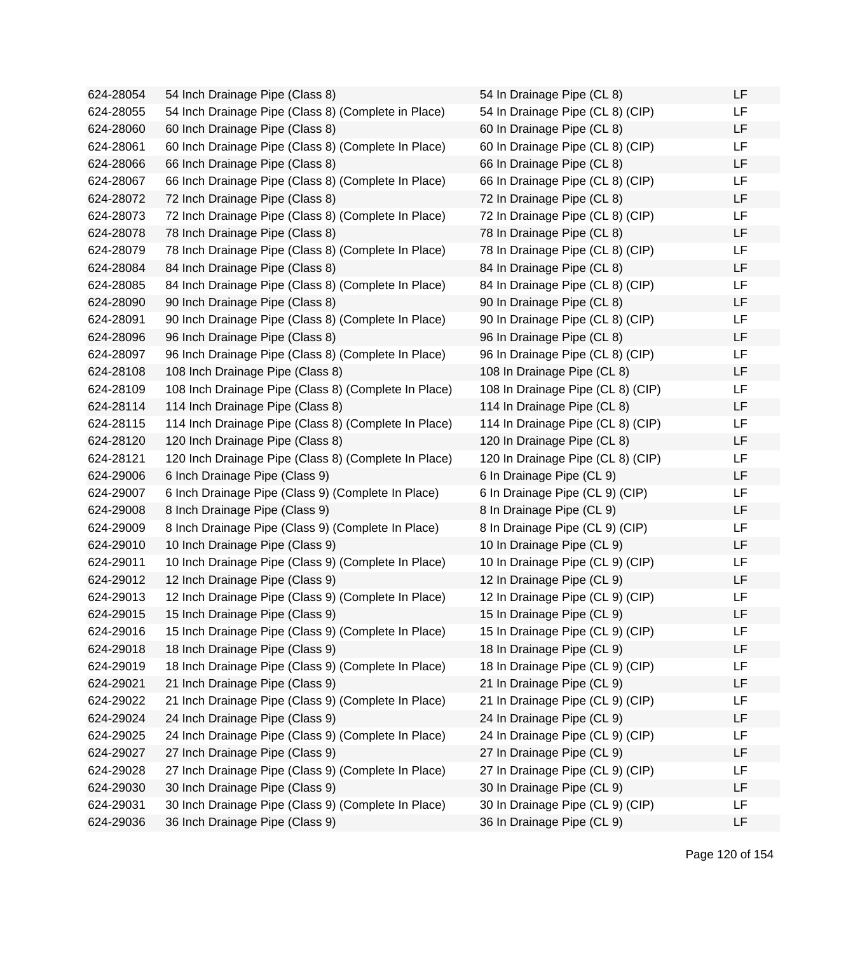624-28054 54 Inch Drainage Pipe (Class 8) 624-28055 54 Inch Drainage Pipe (Class 8) (Complete in Place) 624-28060 60 Inch Drainage Pipe (Class 8) 624-28061 60 Inch Drainage Pipe (Class 8) (Complete In Place) 624-28066 66 Inch Drainage Pipe (Class 8) 624-28067 66 Inch Drainage Pipe (Class 8) (Complete In Place) 624-28072 72 Inch Drainage Pipe (Class 8) 624-28073 72 Inch Drainage Pipe (Class 8) (Complete In Place) 624-28078 78 Inch Drainage Pipe (Class 8) 624-28079 78 Inch Drainage Pipe (Class 8) (Complete In Place) 624-28084 84 Inch Drainage Pipe (Class 8) 624-28085 84 Inch Drainage Pipe (Class 8) (Complete In Place) 624-28090 90 Inch Drainage Pipe (Class 8) 624-28091 90 Inch Drainage Pipe (Class 8) (Complete In Place) 624-28096 96 Inch Drainage Pipe (Class 8) 624-28097 96 Inch Drainage Pipe (Class 8) (Complete In Place) 624-28108 108 Inch Drainage Pipe (Class 8) 624-28109 108 Inch Drainage Pipe (Class 8) (Complete In Place) 624-28114 114 Inch Drainage Pipe (Class 8) 624-28115 114 Inch Drainage Pipe (Class 8) (Complete In Place) 624-28120 120 Inch Drainage Pipe (Class 8) 624-28121 120 Inch Drainage Pipe (Class 8) (Complete In Place) 624-29006 6 Inch Drainage Pipe (Class 9) 624-29007 6 Inch Drainage Pipe (Class 9) (Complete In Place) 624-29008 8 Inch Drainage Pipe (Class 9) 624-29009 8 Inch Drainage Pipe (Class 9) (Complete In Place) 624-29010 10 Inch Drainage Pipe (Class 9) 624-29011 10 Inch Drainage Pipe (Class 9) (Complete In Place) 624-29012 12 Inch Drainage Pipe (Class 9) 624-29013 12 Inch Drainage Pipe (Class 9) (Complete In Place) 624-29015 15 Inch Drainage Pipe (Class 9) 624-29016 15 Inch Drainage Pipe (Class 9) (Complete In Place) 624-29018 18 Inch Drainage Pipe (Class 9) 624-29019 18 Inch Drainage Pipe (Class 9) (Complete In Place) 624-29021 21 Inch Drainage Pipe (Class 9) 624-29022 21 Inch Drainage Pipe (Class 9) (Complete In Place) 624-29024 24 Inch Drainage Pipe (Class 9) 624-29025 24 Inch Drainage Pipe (Class 9) (Complete In Place) 624-29027 27 Inch Drainage Pipe (Class 9) 624-29028 27 Inch Drainage Pipe (Class 9) (Complete In Place) 624-29030 30 Inch Drainage Pipe (Class 9) 624-29031 30 Inch Drainage Pipe (Class 9) (Complete In Place) 624-29036 36 Inch Drainage Pipe (Class 9)

| 54 In Drainage Pipe (CL 8)        | LF |
|-----------------------------------|----|
| 54 In Drainage Pipe (CL 8) (CIP)  | LF |
| 60 In Drainage Pipe (CL 8)        | LF |
| 60 In Drainage Pipe (CL 8) (CIP)  | LF |
| 66 In Drainage Pipe (CL 8)        | LF |
| 66 In Drainage Pipe (CL 8) (CIP)  | LF |
| 72 In Drainage Pipe (CL 8)        | LF |
| 72 In Drainage Pipe (CL 8) (CIP)  | LF |
| 78 In Drainage Pipe (CL 8)        | LF |
| 78 In Drainage Pipe (CL 8) (CIP)  | LF |
| 84 In Drainage Pipe (CL 8)        | LF |
| 84 In Drainage Pipe (CL 8) (CIP)  | LF |
| 90 In Drainage Pipe (CL 8)        | LF |
| 90 In Drainage Pipe (CL 8) (CIP)  | LF |
| 96 In Drainage Pipe (CL 8)        | LF |
| 96 In Drainage Pipe (CL 8) (CIP)  | LF |
| 108 In Drainage Pipe (CL 8)       | LF |
| 108 In Drainage Pipe (CL 8) (CIP) | LF |
| 114 In Drainage Pipe (CL 8)       | LF |
| 114 In Drainage Pipe (CL 8) (CIP) | LF |
| 120 In Drainage Pipe (CL 8)       | LF |
| 120 In Drainage Pipe (CL 8) (CIP) | LF |
| 6 In Drainage Pipe (CL 9)         | LF |
| 6 In Drainage Pipe (CL 9) (CIP)   | LF |
| 8 In Drainage Pipe (CL 9)         | LF |
| 8 In Drainage Pipe (CL 9) (CIP)   | LF |
| 10 In Drainage Pipe (CL 9)        | LF |
| 10 In Drainage Pipe (CL 9) (CIP)  | LF |
| 12 In Drainage Pipe (CL 9)        | LF |
| 12 In Drainage Pipe (CL 9) (CIP)  | LF |
| 15 In Drainage Pipe (CL 9)        | LF |
| 15 In Drainage Pipe (CL 9) (CIP)  | LF |
| 18 In Drainage Pipe (CL 9)        | LF |
| 18 In Drainage Pipe (CL 9) (CIP)  | LF |
| 21 In Drainage Pipe (CL 9)        | LF |
| 21 In Drainage Pipe (CL 9) (CIP)  | LF |
| 24 In Drainage Pipe (CL 9)        | LF |
| 24 In Drainage Pipe (CL 9) (CIP)  | LF |
| 27 In Drainage Pipe (CL 9)        | LF |
| 27 In Drainage Pipe (CL 9) (CIP)  | LF |
| 30 In Drainage Pipe (CL 9)        | LF |
| 30 In Drainage Pipe (CL 9) (CIP)  | LF |
| 36 In Drainage Pipe (CL 9)        | LF |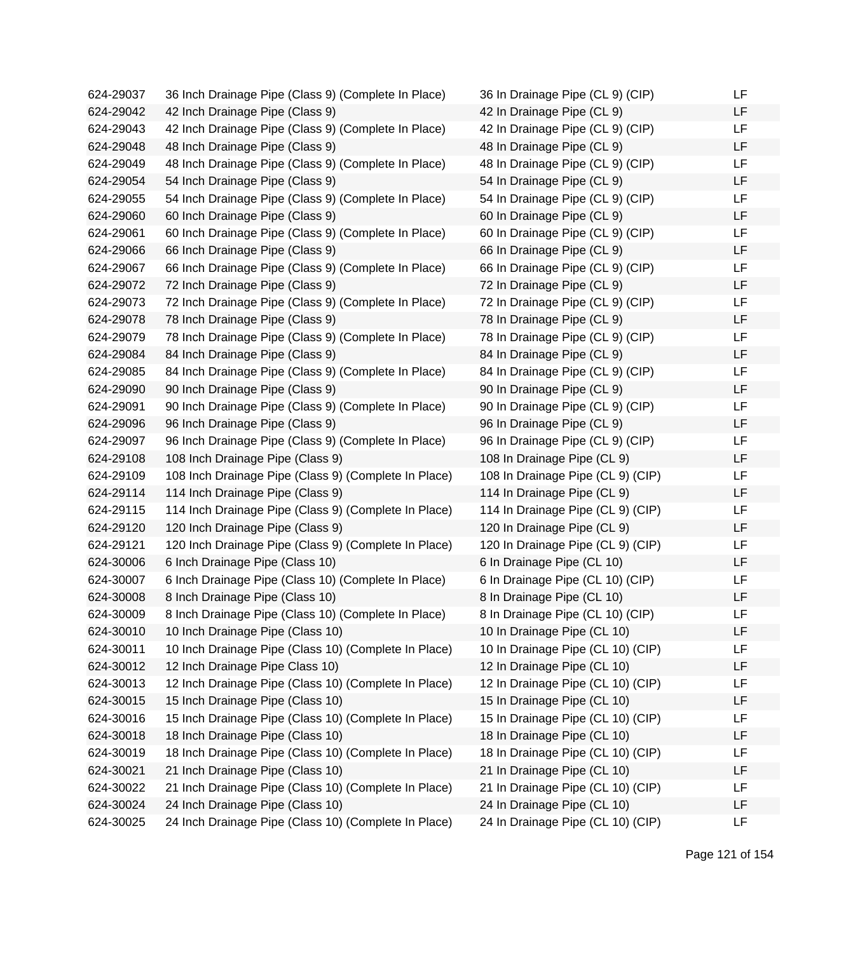624-29037 36 Inch Drainage Pipe (Class 9) (Complete In Place) 624-29042 42 Inch Drainage Pipe (Class 9) 624-29043 42 Inch Drainage Pipe (Class 9) (Complete In Place) 624-29048 48 Inch Drainage Pipe (Class 9) 624-29049 48 Inch Drainage Pipe (Class 9) (Complete In Place) 624-29054 54 Inch Drainage Pipe (Class 9) 624-29055 54 Inch Drainage Pipe (Class 9) (Complete In Place) 624-29060 60 Inch Drainage Pipe (Class 9) 624-29061 60 Inch Drainage Pipe (Class 9) (Complete In Place) 624-29066 66 Inch Drainage Pipe (Class 9) 624-29067 66 Inch Drainage Pipe (Class 9) (Complete In Place) 624-29072 72 Inch Drainage Pipe (Class 9) 624-29073 72 Inch Drainage Pipe (Class 9) (Complete In Place) 624-29078 78 Inch Drainage Pipe (Class 9) 624-29079 78 Inch Drainage Pipe (Class 9) (Complete In Place) 624-29084 84 Inch Drainage Pipe (Class 9) 624-29085 84 Inch Drainage Pipe (Class 9) (Complete In Place) 624-29090 90 Inch Drainage Pipe (Class 9) 624-29091 90 Inch Drainage Pipe (Class 9) (Complete In Place) 624-29096 96 Inch Drainage Pipe (Class 9) 624-29097 96 Inch Drainage Pipe (Class 9) (Complete In Place) 624-29108 108 Inch Drainage Pipe (Class 9) 624-29109 108 Inch Drainage Pipe (Class 9) (Complete In Place) 624-29114 114 Inch Drainage Pipe (Class 9) 624-29115 114 Inch Drainage Pipe (Class 9) (Complete In Place) 624-29120 120 Inch Drainage Pipe (Class 9) 624-29121 120 Inch Drainage Pipe (Class 9) (Complete In Place) 624-30006 6 Inch Drainage Pipe (Class 10) 624-30007 6 Inch Drainage Pipe (Class 10) (Complete In Place) 624-30008 8 Inch Drainage Pipe (Class 10) 624-30009 8 Inch Drainage Pipe (Class 10) (Complete In Place) 624-30010 10 Inch Drainage Pipe (Class 10) 624-30011 10 Inch Drainage Pipe (Class 10) (Complete In Place) 624-30012 12 Inch Drainage Pipe Class 10) 624-30013 12 Inch Drainage Pipe (Class 10) (Complete In Place) 624-30015 15 Inch Drainage Pipe (Class 10) 624-30016 15 Inch Drainage Pipe (Class 10) (Complete In Place) 624-30018 18 Inch Drainage Pipe (Class 10) 624-30019 18 Inch Drainage Pipe (Class 10) (Complete In Place) 624-30021 21 Inch Drainage Pipe (Class 10) 624-30022 21 Inch Drainage Pipe (Class 10) (Complete In Place) 624-30024 24 Inch Drainage Pipe (Class 10) 624-30025 24 Inch Drainage Pipe (Class 10) (Complete In Place)

| 36 In Drainage Pipe (CL 9) (CIP)  | LF |
|-----------------------------------|----|
| 42 In Drainage Pipe (CL 9)        | LF |
| 42 In Drainage Pipe (CL 9) (CIP)  | LF |
| 48 In Drainage Pipe (CL 9)        | LF |
| 48 In Drainage Pipe (CL 9) (CIP)  | LF |
| 54 In Drainage Pipe (CL 9)        | LF |
| 54 In Drainage Pipe (CL 9) (CIP)  | LF |
| 60 In Drainage Pipe (CL 9)        | LF |
| 60 In Drainage Pipe (CL 9) (CIP)  | LF |
| 66 In Drainage Pipe (CL 9)        | LF |
| 66 In Drainage Pipe (CL 9) (CIP)  | LF |
| 72 In Drainage Pipe (CL 9)        | LF |
| 72 In Drainage Pipe (CL 9) (CIP)  | LF |
| 78 In Drainage Pipe (CL 9)        | LF |
| 78 In Drainage Pipe (CL 9) (CIP)  | LF |
| 84 In Drainage Pipe (CL 9)        | LF |
| 84 In Drainage Pipe (CL 9) (CIP)  | LF |
| 90 In Drainage Pipe (CL 9)        | LF |
| 90 In Drainage Pipe (CL 9) (CIP)  | LF |
| 96 In Drainage Pipe (CL 9)        | LF |
| 96 In Drainage Pipe (CL 9) (CIP)  | LF |
| 108 In Drainage Pipe (CL 9)       | LF |
| 108 In Drainage Pipe (CL 9) (CIP) | LF |
| 114 In Drainage Pipe (CL 9)       | LF |
| 114 In Drainage Pipe (CL 9) (CIP) | LF |
| 120 In Drainage Pipe (CL 9)       | LF |
| 120 In Drainage Pipe (CL 9) (CIP) | LF |
| 6 In Drainage Pipe (CL 10)        | LF |
| 6 In Drainage Pipe (CL 10) (CIP)  | LF |
| 8 In Drainage Pipe (CL 10)        | LF |
| 8 In Drainage Pipe (CL 10) (CIP)  | LF |
| 10 In Drainage Pipe (CL 10)       | LF |
| 10 In Drainage Pipe (CL 10) (CIP) | LF |
| 12 In Drainage Pipe (CL 10)       | LF |
| 12 In Drainage Pipe (CL 10) (CIP) | LF |
| 15 In Drainage Pipe (CL 10)       | LF |
| 15 In Drainage Pipe (CL 10) (CIP) | LF |
| 18 In Drainage Pipe (CL 10)       | LF |
| 18 In Drainage Pipe (CL 10) (CIP) | LF |
| 21 In Drainage Pipe (CL 10)       | LF |
| 21 In Drainage Pipe (CL 10) (CIP) | LF |
| 24 In Drainage Pipe (CL 10)       | LF |
| 24 In Drainage Pipe (CL 10) (CIP) | LF |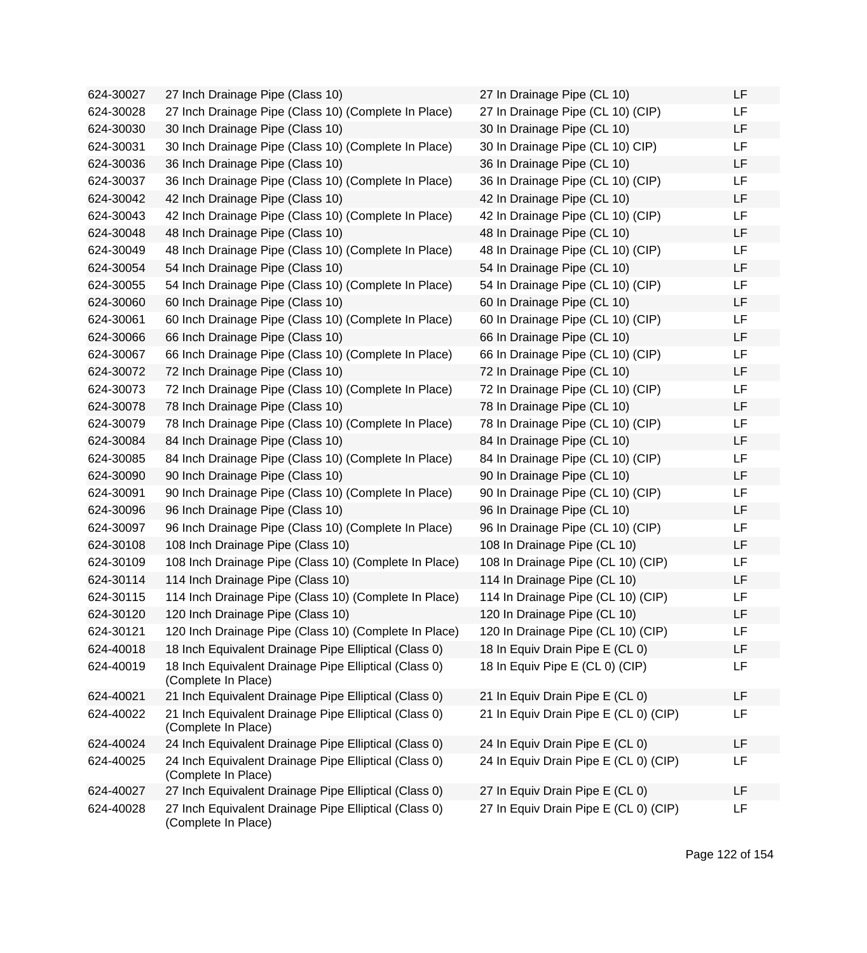624-30027 27 Inch Drainage Pipe (Class 10) 624-30028 27 Inch Drainage Pipe (Class 10) (Complete In Place) 624-30030 30 Inch Drainage Pipe (Class 10) 624-30031 30 Inch Drainage Pipe (Class 10) (Complete In Place) 624-30036 36 Inch Drainage Pipe (Class 10) 624-30037 36 Inch Drainage Pipe (Class 10) (Complete In Place) 624-30042 42 Inch Drainage Pipe (Class 10) 624-30043 42 Inch Drainage Pipe (Class 10) (Complete In Place) 624-30048 48 Inch Drainage Pipe (Class 10) 624-30049 48 Inch Drainage Pipe (Class 10) (Complete In Place) 624-30054 54 Inch Drainage Pipe (Class 10) 624-30055 54 Inch Drainage Pipe (Class 10) (Complete In Place) 624-30060 60 Inch Drainage Pipe (Class 10) 624-30061 60 Inch Drainage Pipe (Class 10) (Complete In Place) 624-30066 66 Inch Drainage Pipe (Class 10) 624-30067 66 Inch Drainage Pipe (Class 10) (Complete In Place) 624-30072 72 Inch Drainage Pipe (Class 10) 624-30073 72 Inch Drainage Pipe (Class 10) (Complete In Place) 624-30078 78 Inch Drainage Pipe (Class 10) 624-30079 78 Inch Drainage Pipe (Class 10) (Complete In Place) 624-30084 84 Inch Drainage Pipe (Class 10) 624-30085 84 Inch Drainage Pipe (Class 10) (Complete In Place) 624-30090 90 Inch Drainage Pipe (Class 10) 624-30091 90 Inch Drainage Pipe (Class 10) (Complete In Place) 624-30096 96 Inch Drainage Pipe (Class 10) 624-30097 96 Inch Drainage Pipe (Class 10) (Complete In Place) 624-30108 108 Inch Drainage Pipe (Class 10) 624-30109 108 Inch Drainage Pipe (Class 10) (Complete In Place) 624-30114 114 Inch Drainage Pipe (Class 10) 624-30115 114 Inch Drainage Pipe (Class 10) (Complete In Place) 624-30120 120 Inch Drainage Pipe (Class 10) 624-30121 120 Inch Drainage Pipe (Class 10) (Complete In Place) 624-40018 18 Inch Equivalent Drainage Pipe Elliptical (Class 0) 624-40019 18 Inch Equivalent Drainage Pipe Elliptical (Class 0) (Complete In Place) 624-40021 21 Inch Equivalent Drainage Pipe Elliptical (Class 0) 624-40022 21 Inch Equivalent Drainage Pipe Elliptical (Class 0) (Complete In Place) 624-40024 24 Inch Equivalent Drainage Pipe Elliptical (Class 0) 624-40025 24 Inch Equivalent Drainage Pipe Elliptical (Class 0) (Complete In Place) 624-40027 27 Inch Equivalent Drainage Pipe Elliptical (Class 0) 624-40028 27 Inch Equivalent Drainage Pipe Elliptical (Class 0) (Complete In Place)

| 27 In Drainage Pipe (CL 10)           | LF |
|---------------------------------------|----|
| 27 In Drainage Pipe (CL 10) (CIP)     | LF |
| 30 In Drainage Pipe (CL 10)           | LF |
| 30 In Drainage Pipe (CL 10) CIP)      | LF |
| 36 In Drainage Pipe (CL 10)           | LF |
| 36 In Drainage Pipe (CL 10) (CIP)     | LF |
| 42 In Drainage Pipe (CL 10)           | LF |
| 42 In Drainage Pipe (CL 10) (CIP)     | LF |
| 48 In Drainage Pipe (CL 10)           | LF |
| 48 In Drainage Pipe (CL 10) (CIP)     | LF |
| 54 In Drainage Pipe (CL 10)           | LF |
| 54 In Drainage Pipe (CL 10) (CIP)     | LF |
| 60 In Drainage Pipe (CL 10)           | LF |
| 60 In Drainage Pipe (CL 10) (CIP)     | LF |
| 66 In Drainage Pipe (CL 10)           | LF |
| 66 In Drainage Pipe (CL 10) (CIP)     | LF |
| 72 In Drainage Pipe (CL 10)           | LF |
| 72 In Drainage Pipe (CL 10) (CIP)     | LF |
| 78 In Drainage Pipe (CL 10)           | LF |
| 78 In Drainage Pipe (CL 10) (CIP)     | LF |
| 84 In Drainage Pipe (CL 10)           | LF |
| 84 In Drainage Pipe (CL 10) (CIP)     | LF |
| 90 In Drainage Pipe (CL 10)           | LF |
| 90 In Drainage Pipe (CL 10) (CIP)     | LF |
| 96 In Drainage Pipe (CL 10)           | LF |
| 96 In Drainage Pipe (CL 10) (CIP)     | LF |
| 108 In Drainage Pipe (CL 10)          | LF |
| 108 In Drainage Pipe (CL 10) (CIP)    | LF |
| 114 In Drainage Pipe (CL 10)          | LF |
| 114 In Drainage Pipe (CL 10) (CIP)    | LF |
| 120 In Drainage Pipe (CL 10)          | LF |
| 120 In Drainage Pipe (CL 10) (CIP)    | ᄔ  |
| 18 In Equiv Drain Pipe E (CL 0)       | LF |
| 18 In Equiv Pipe E (CL 0) (CIP)       | LF |
| 21 In Equiv Drain Pipe E (CL 0)       | LF |
| 21 In Equiv Drain Pipe E (CL 0) (CIP) | LF |
|                                       |    |
| 24 In Equiv Drain Pipe E (CL 0)       | LF |
| 24 In Equiv Drain Pipe E (CL 0) (CIP) | LF |
|                                       |    |
| 27 In Equiv Drain Pipe E (CL 0)       | LF |
| 27 In Equiv Drain Pipe E (CL 0) (CIP) | LF |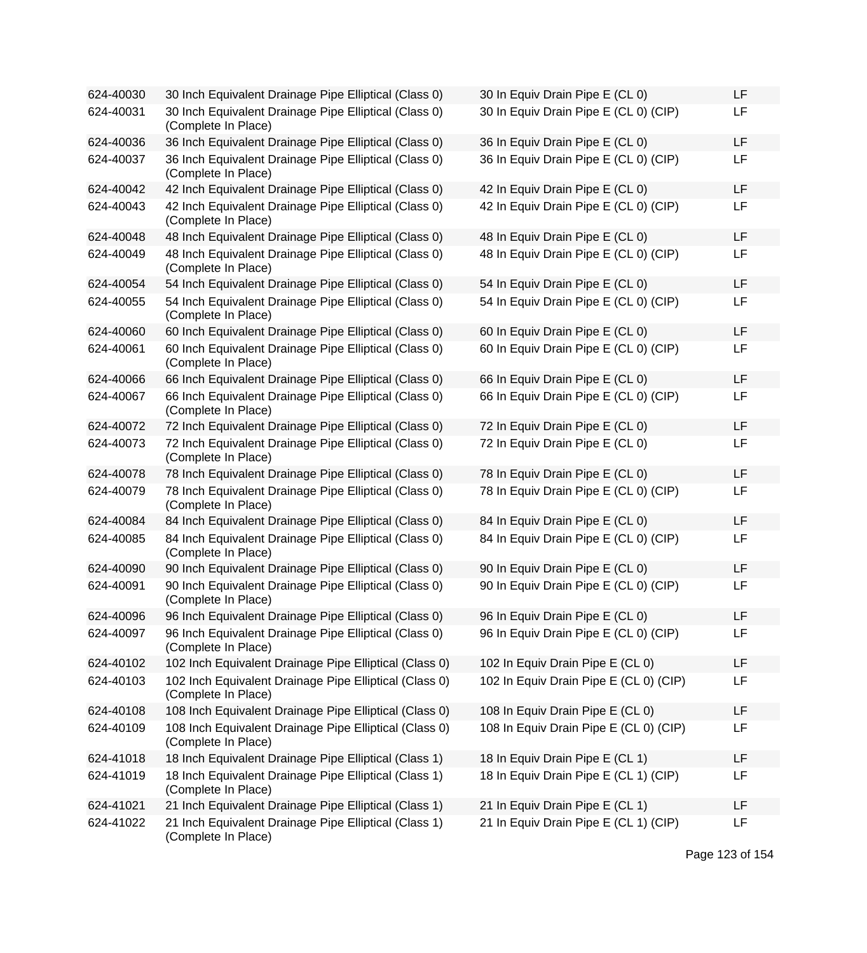| 624-40030 | 30 Inch Equivalent Drainage Pipe Elliptical (Class 0)                         | 30 In Equiv Drain Pipe E (CL 0)        | LF |
|-----------|-------------------------------------------------------------------------------|----------------------------------------|----|
| 624-40031 | 30 Inch Equivalent Drainage Pipe Elliptical (Class 0)<br>(Complete In Place)  | 30 In Equiv Drain Pipe E (CL 0) (CIP)  | LF |
| 624-40036 | 36 Inch Equivalent Drainage Pipe Elliptical (Class 0)                         | 36 In Equiv Drain Pipe E (CL 0)        | LF |
| 624-40037 | 36 Inch Equivalent Drainage Pipe Elliptical (Class 0)<br>(Complete In Place)  | 36 In Equiv Drain Pipe E (CL 0) (CIP)  | LF |
| 624-40042 | 42 Inch Equivalent Drainage Pipe Elliptical (Class 0)                         | 42 In Equiv Drain Pipe E (CL 0)        | LF |
| 624-40043 | 42 Inch Equivalent Drainage Pipe Elliptical (Class 0)<br>(Complete In Place)  | 42 In Equiv Drain Pipe E (CL 0) (CIP)  | LF |
| 624-40048 | 48 Inch Equivalent Drainage Pipe Elliptical (Class 0)                         | 48 In Equiv Drain Pipe E (CL 0)        | LF |
| 624-40049 | 48 Inch Equivalent Drainage Pipe Elliptical (Class 0)<br>(Complete In Place)  | 48 In Equiv Drain Pipe E (CL 0) (CIP)  | LF |
| 624-40054 | 54 Inch Equivalent Drainage Pipe Elliptical (Class 0)                         | 54 In Equiv Drain Pipe E (CL 0)        | LF |
| 624-40055 | 54 Inch Equivalent Drainage Pipe Elliptical (Class 0)<br>(Complete In Place)  | 54 In Equiv Drain Pipe E (CL 0) (CIP)  | LF |
| 624-40060 | 60 Inch Equivalent Drainage Pipe Elliptical (Class 0)                         | 60 In Equiv Drain Pipe E (CL 0)        | LF |
| 624-40061 | 60 Inch Equivalent Drainage Pipe Elliptical (Class 0)<br>(Complete In Place)  | 60 In Equiv Drain Pipe E (CL 0) (CIP)  | LF |
| 624-40066 | 66 Inch Equivalent Drainage Pipe Elliptical (Class 0)                         | 66 In Equiv Drain Pipe E (CL 0)        | LF |
| 624-40067 | 66 Inch Equivalent Drainage Pipe Elliptical (Class 0)<br>(Complete In Place)  | 66 In Equiv Drain Pipe E (CL 0) (CIP)  | LF |
| 624-40072 | 72 Inch Equivalent Drainage Pipe Elliptical (Class 0)                         | 72 In Equiv Drain Pipe E (CL 0)        | LF |
| 624-40073 | 72 Inch Equivalent Drainage Pipe Elliptical (Class 0)<br>(Complete In Place)  | 72 In Equiv Drain Pipe E (CL 0)        | LF |
| 624-40078 | 78 Inch Equivalent Drainage Pipe Elliptical (Class 0)                         | 78 In Equiv Drain Pipe E (CL 0)        | LF |
| 624-40079 | 78 Inch Equivalent Drainage Pipe Elliptical (Class 0)<br>(Complete In Place)  | 78 In Equiv Drain Pipe E (CL 0) (CIP)  | LF |
| 624-40084 | 84 Inch Equivalent Drainage Pipe Elliptical (Class 0)                         | 84 In Equiv Drain Pipe E (CL 0)        | LF |
| 624-40085 | 84 Inch Equivalent Drainage Pipe Elliptical (Class 0)<br>(Complete In Place)  | 84 In Equiv Drain Pipe E (CL 0) (CIP)  | LF |
| 624-40090 | 90 Inch Equivalent Drainage Pipe Elliptical (Class 0)                         | 90 In Equiv Drain Pipe E (CL 0)        | LF |
| 624-40091 | 90 Inch Equivalent Drainage Pipe Elliptical (Class 0)<br>(Complete In Place)  | 90 In Equiv Drain Pipe E (CL 0) (CIP)  | LF |
| 624-40096 | 96 Inch Equivalent Drainage Pipe Elliptical (Class 0)                         | 96 In Equiv Drain Pipe E (CL 0)        | LF |
| 624-40097 | 96 Inch Equivalent Drainage Pipe Elliptical (Class 0)<br>(Complete In Place)  | 96 In Equiv Drain Pipe E (CL 0) (CIP)  | LF |
| 624-40102 | 102 Inch Equivalent Drainage Pipe Elliptical (Class 0)                        | 102 In Equiv Drain Pipe E (CL 0)       | LF |
| 624-40103 | 102 Inch Equivalent Drainage Pipe Elliptical (Class 0)<br>(Complete In Place) | 102 In Equiv Drain Pipe E (CL 0) (CIP) | LF |
| 624-40108 | 108 Inch Equivalent Drainage Pipe Elliptical (Class 0)                        | 108 In Equiv Drain Pipe E (CL 0)       | LF |
| 624-40109 | 108 Inch Equivalent Drainage Pipe Elliptical (Class 0)<br>(Complete In Place) | 108 In Equiv Drain Pipe E (CL 0) (CIP) | LF |
| 624-41018 | 18 Inch Equivalent Drainage Pipe Elliptical (Class 1)                         | 18 In Equiv Drain Pipe E (CL 1)        | LF |
| 624-41019 | 18 Inch Equivalent Drainage Pipe Elliptical (Class 1)<br>(Complete In Place)  | 18 In Equiv Drain Pipe E (CL 1) (CIP)  | LF |
| 624-41021 | 21 Inch Equivalent Drainage Pipe Elliptical (Class 1)                         | 21 In Equiv Drain Pipe E (CL 1)        | LF |
| 624-41022 | 21 Inch Equivalent Drainage Pipe Elliptical (Class 1)<br>(Complete In Place)  | 21 In Equiv Drain Pipe E (CL 1) (CIP)  | LF |

| 30 In Equiv Drain Pipe E (CL 0)        | LF |
|----------------------------------------|----|
| 30 In Equiv Drain Pipe E (CL 0) (CIP)  | LF |
| 36 In Equiv Drain Pipe E (CL 0)        | LF |
| 36 In Equiv Drain Pipe E (CL 0) (CIP)  | LF |
| 42 In Equiv Drain Pipe E (CL 0)        | LF |
| 42 In Equiv Drain Pipe E (CL 0) (CIP)  | LF |
| 48 In Equiv Drain Pipe E (CL 0)        | LF |
| 48 In Equiv Drain Pipe E (CL 0) (CIP)  | LF |
| 54 In Equiv Drain Pipe E (CL 0)        | LF |
| 54 In Equiv Drain Pipe E (CL 0) (CIP)  | LF |
| 60 In Equiv Drain Pipe E (CL 0)        | LF |
| 60 In Equiv Drain Pipe E (CL 0) (CIP)  | LF |
| 66 In Equiv Drain Pipe E (CL 0)        | LF |
| 66 In Equiv Drain Pipe E (CL 0) (CIP)  | LF |
| 72 In Equiv Drain Pipe E (CL 0)        | LF |
| 72 In Equiv Drain Pipe E (CL 0)        | LF |
| 78 In Equiv Drain Pipe E (CL 0)        | LF |
| 78 In Equiv Drain Pipe E (CL 0) (CIP)  | LF |
| 84 In Equiv Drain Pipe E (CL 0)        | LF |
| 84 In Equiv Drain Pipe E (CL 0) (CIP)  | LF |
| 90 In Equiv Drain Pipe E (CL 0)        | LF |
| 90 In Equiv Drain Pipe E (CL 0) (CIP)  | LF |
| 96 In Equiv Drain Pipe E (CL 0)        | LF |
| 96 In Equiv Drain Pipe E (CL 0) (CIP)  | LF |
| 102 In Equiv Drain Pipe E (CL 0)       | LF |
| 102 In Equiv Drain Pipe E (CL 0) (CIP) | LF |
| 108 In Equiv Drain Pipe E (CL 0)       | LF |
| 108 In Equiv Drain Pipe E (CL 0) (CIP) | LF |
| 18 In Equiv Drain Pipe E (CL 1)        | LF |
| 18 In Equiv Drain Pipe E (CL 1) (CIP)  | LF |
| 21 In Equiv Drain Pipe E (CL 1)        | LF |
| 21 In Equiv Drain Pipe E (CL 1) (CIP)  | LF |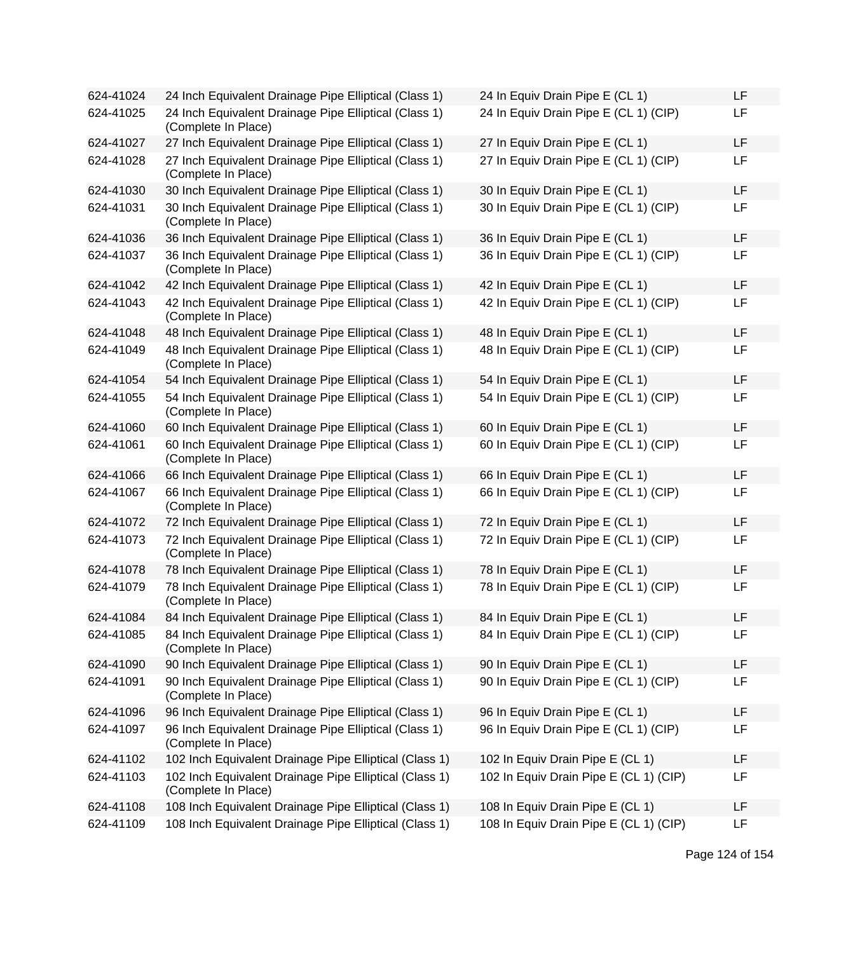| 624-41024 | 24 Inch Equivalent Drainage Pipe Elliptical (Class 1)                         | 24 In Equiv Drain Pipe E (CL 1)        | LF |
|-----------|-------------------------------------------------------------------------------|----------------------------------------|----|
| 624-41025 | 24 Inch Equivalent Drainage Pipe Elliptical (Class 1)<br>(Complete In Place)  | 24 In Equiv Drain Pipe E (CL 1) (CIP)  | LF |
| 624-41027 | 27 Inch Equivalent Drainage Pipe Elliptical (Class 1)                         | 27 In Equiv Drain Pipe E (CL 1)        | LF |
| 624-41028 | 27 Inch Equivalent Drainage Pipe Elliptical (Class 1)<br>(Complete In Place)  | 27 In Equiv Drain Pipe E (CL 1) (CIP)  | LF |
| 624-41030 | 30 Inch Equivalent Drainage Pipe Elliptical (Class 1)                         | 30 In Equiv Drain Pipe E (CL 1)        | LF |
| 624-41031 | 30 Inch Equivalent Drainage Pipe Elliptical (Class 1)<br>(Complete In Place)  | 30 In Equiv Drain Pipe E (CL 1) (CIP)  | LF |
| 624-41036 | 36 Inch Equivalent Drainage Pipe Elliptical (Class 1)                         | 36 In Equiv Drain Pipe E (CL 1)        | LF |
| 624-41037 | 36 Inch Equivalent Drainage Pipe Elliptical (Class 1)<br>(Complete In Place)  | 36 In Equiv Drain Pipe E (CL 1) (CIP)  | LF |
| 624-41042 | 42 Inch Equivalent Drainage Pipe Elliptical (Class 1)                         | 42 In Equiv Drain Pipe E (CL 1)        | LF |
| 624-41043 | 42 Inch Equivalent Drainage Pipe Elliptical (Class 1)<br>(Complete In Place)  | 42 In Equiv Drain Pipe E (CL 1) (CIP)  | LF |
| 624-41048 | 48 Inch Equivalent Drainage Pipe Elliptical (Class 1)                         | 48 In Equiv Drain Pipe E (CL 1)        | LF |
| 624-41049 | 48 Inch Equivalent Drainage Pipe Elliptical (Class 1)<br>(Complete In Place)  | 48 In Equiv Drain Pipe E (CL 1) (CIP)  | LF |
| 624-41054 | 54 Inch Equivalent Drainage Pipe Elliptical (Class 1)                         | 54 In Equiv Drain Pipe E (CL 1)        | LF |
| 624-41055 | 54 Inch Equivalent Drainage Pipe Elliptical (Class 1)<br>(Complete In Place)  | 54 In Equiv Drain Pipe E (CL 1) (CIP)  | LF |
| 624-41060 | 60 Inch Equivalent Drainage Pipe Elliptical (Class 1)                         | 60 In Equiv Drain Pipe E (CL 1)        | LF |
| 624-41061 | 60 Inch Equivalent Drainage Pipe Elliptical (Class 1)<br>(Complete In Place)  | 60 In Equiv Drain Pipe E (CL 1) (CIP)  | LF |
| 624-41066 | 66 Inch Equivalent Drainage Pipe Elliptical (Class 1)                         | 66 In Equiv Drain Pipe E (CL 1)        | LF |
| 624-41067 | 66 Inch Equivalent Drainage Pipe Elliptical (Class 1)<br>(Complete In Place)  | 66 In Equiv Drain Pipe E (CL 1) (CIP)  | LF |
| 624-41072 | 72 Inch Equivalent Drainage Pipe Elliptical (Class 1)                         | 72 In Equiv Drain Pipe E (CL 1)        | LF |
| 624-41073 | 72 Inch Equivalent Drainage Pipe Elliptical (Class 1)<br>(Complete In Place)  | 72 In Equiv Drain Pipe E (CL 1) (CIP)  | LF |
| 624-41078 | 78 Inch Equivalent Drainage Pipe Elliptical (Class 1)                         | 78 In Equiv Drain Pipe E (CL 1)        | LF |
| 624-41079 | 78 Inch Equivalent Drainage Pipe Elliptical (Class 1)<br>(Complete In Place)  | 78 In Equiv Drain Pipe E (CL 1) (CIP)  | LF |
| 624-41084 | 84 Inch Equivalent Drainage Pipe Elliptical (Class 1)                         | 84 In Equiv Drain Pipe E (CL 1)        | LF |
| 624-41085 | 84 Inch Equivalent Drainage Pipe Elliptical (Class 1)<br>(Complete In Place)  | 84 In Equiv Drain Pipe E (CL 1) (CIP)  | LF |
| 624-41090 | 90 Inch Equivalent Drainage Pipe Elliptical (Class 1)                         | 90 In Equiv Drain Pipe E (CL 1)        | LF |
| 624-41091 | 90 Inch Equivalent Drainage Pipe Elliptical (Class 1)<br>(Complete In Place)  | 90 In Equiv Drain Pipe E (CL 1) (CIP)  | LF |
| 624-41096 | 96 Inch Equivalent Drainage Pipe Elliptical (Class 1)                         | 96 In Equiv Drain Pipe E (CL 1)        | LF |
| 624-41097 | 96 Inch Equivalent Drainage Pipe Elliptical (Class 1)<br>(Complete In Place)  | 96 In Equiv Drain Pipe E (CL 1) (CIP)  | LF |
| 624-41102 | 102 Inch Equivalent Drainage Pipe Elliptical (Class 1)                        | 102 In Equiv Drain Pipe E (CL 1)       | LF |
| 624-41103 | 102 Inch Equivalent Drainage Pipe Elliptical (Class 1)<br>(Complete In Place) | 102 In Equiv Drain Pipe E (CL 1) (CIP) | LF |
| 624-41108 | 108 Inch Equivalent Drainage Pipe Elliptical (Class 1)                        | 108 In Equiv Drain Pipe E (CL 1)       | LF |
| 624-41109 | 108 Inch Equivalent Drainage Pipe Elliptical (Class 1)                        | 108 In Equiv Drain Pipe E (CL 1) (CIP) | LF |

| 24 In Equiv Drain Pipe E (CL 1)        | LF |
|----------------------------------------|----|
| 24 In Equiv Drain Pipe E (CL 1) (CIP)  | LF |
| 27 In Equiv Drain Pipe E (CL 1)        | LF |
| 27 In Equiv Drain Pipe E (CL 1) (CIP)  | LF |
| 30 In Equiv Drain Pipe E (CL 1)        | LF |
| 30 In Equiv Drain Pipe E (CL 1) (CIP)  | LF |
| 36 In Equiv Drain Pipe E (CL 1)        | LF |
| 36 In Equiv Drain Pipe E (CL 1) (CIP)  | LF |
| 42 In Equiv Drain Pipe E (CL 1)        | LF |
| 42 In Equiv Drain Pipe E (CL 1) (CIP)  | LF |
| 48 In Equiv Drain Pipe E (CL 1)        | LF |
| 48 In Equiv Drain Pipe E (CL 1) (CIP)  | LF |
| 54 In Equiv Drain Pipe E (CL 1)        | LF |
| 54 In Equiv Drain Pipe E (CL 1) (CIP)  | LF |
| 60 In Equiv Drain Pipe E (CL 1)        | LF |
| 60 In Equiv Drain Pipe E (CL 1) (CIP)  | LF |
| 66 In Equiv Drain Pipe E (CL 1)        | LF |
| 66 In Equiv Drain Pipe E (CL 1) (CIP)  | LF |
| 72 In Equiv Drain Pipe E (CL 1)        | LF |
| 72 In Equiv Drain Pipe E (CL 1) (CIP)  | LF |
| 78 In Equiv Drain Pipe E (CL 1)        | LF |
| 78 In Equiv Drain Pipe E (CL 1) (CIP)  | LF |
| 84 In Equiv Drain Pipe E (CL 1)        | LF |
| 84 In Equiv Drain Pipe E (CL 1) (CIP)  | LF |
| 90 In Equiv Drain Pipe E (CL 1)        | LF |
| 90 In Equiv Drain Pipe E (CL 1) (CIP)  | LF |
| 96 In Equiv Drain Pipe E (CL 1)        | LF |
| 96 In Equiv Drain Pipe E (CL 1) (CIP)  | LF |
| 102 In Equiv Drain Pipe E (CL 1)       | LF |
| 102 In Equiv Drain Pipe E (CL 1) (CIP) | LF |
| 108 In Equiv Drain Pipe E (CL 1)       | LF |
| 108 In Equiv Drain Pipe E (CL 1) (CIP) | LF |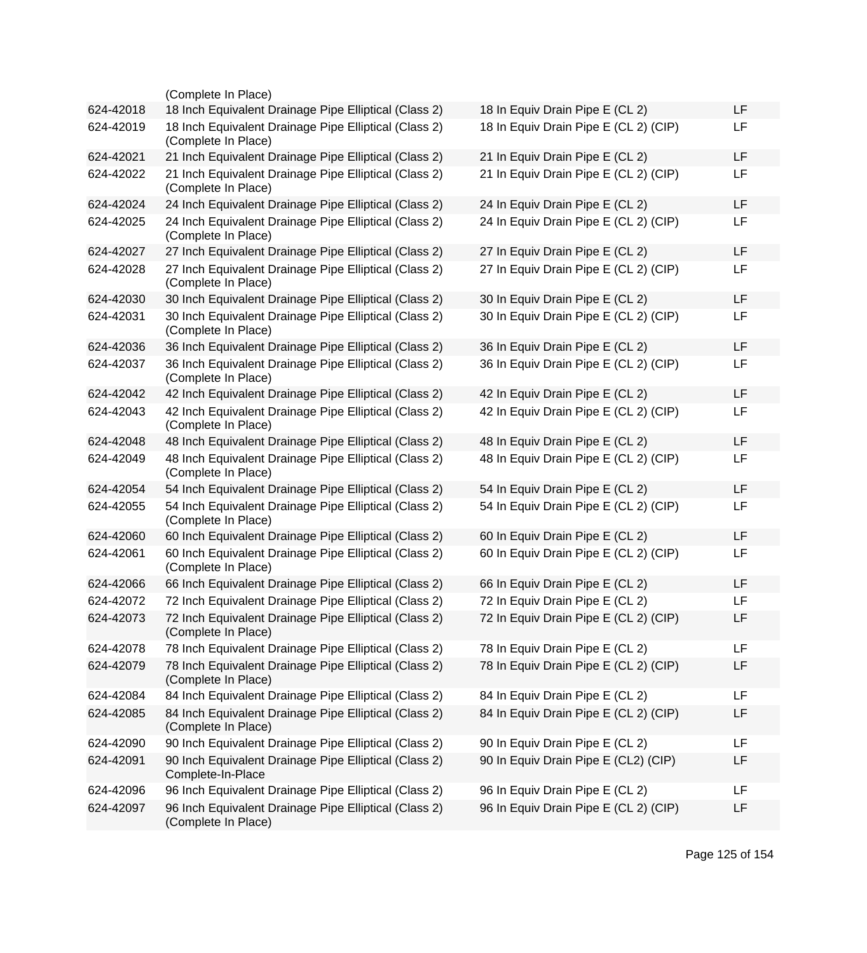|           | (Complete In Place)                                                          |                                       |           |
|-----------|------------------------------------------------------------------------------|---------------------------------------|-----------|
| 624-42018 | 18 Inch Equivalent Drainage Pipe Elliptical (Class 2)                        | 18 In Equiv Drain Pipe E (CL 2)       | <b>LF</b> |
| 624-42019 | 18 Inch Equivalent Drainage Pipe Elliptical (Class 2)<br>(Complete In Place) | 18 In Equiv Drain Pipe E (CL 2) (CIP) | LF        |
| 624-42021 | 21 Inch Equivalent Drainage Pipe Elliptical (Class 2)                        | 21 In Equiv Drain Pipe E (CL 2)       | <b>LF</b> |
| 624-42022 | 21 Inch Equivalent Drainage Pipe Elliptical (Class 2)<br>(Complete In Place) | 21 In Equiv Drain Pipe E (CL 2) (CIP) | <b>LF</b> |
| 624-42024 | 24 Inch Equivalent Drainage Pipe Elliptical (Class 2)                        | 24 In Equiv Drain Pipe E (CL 2)       | LF        |
| 624-42025 | 24 Inch Equivalent Drainage Pipe Elliptical (Class 2)<br>(Complete In Place) | 24 In Equiv Drain Pipe E (CL 2) (CIP) | LF        |
| 624-42027 | 27 Inch Equivalent Drainage Pipe Elliptical (Class 2)                        | 27 In Equiv Drain Pipe E (CL 2)       | LF        |
| 624-42028 | 27 Inch Equivalent Drainage Pipe Elliptical (Class 2)<br>(Complete In Place) | 27 In Equiv Drain Pipe E (CL 2) (CIP) | <b>LF</b> |
| 624-42030 | 30 Inch Equivalent Drainage Pipe Elliptical (Class 2)                        | 30 In Equiv Drain Pipe E (CL 2)       | LF        |
| 624-42031 | 30 Inch Equivalent Drainage Pipe Elliptical (Class 2)<br>(Complete In Place) | 30 In Equiv Drain Pipe E (CL 2) (CIP) | <b>LF</b> |
| 624-42036 | 36 Inch Equivalent Drainage Pipe Elliptical (Class 2)                        | 36 In Equiv Drain Pipe E (CL 2)       | <b>LF</b> |
| 624-42037 | 36 Inch Equivalent Drainage Pipe Elliptical (Class 2)<br>(Complete In Place) | 36 In Equiv Drain Pipe E (CL 2) (CIP) | LF        |
| 624-42042 | 42 Inch Equivalent Drainage Pipe Elliptical (Class 2)                        | 42 In Equiv Drain Pipe E (CL 2)       | <b>LF</b> |
| 624-42043 | 42 Inch Equivalent Drainage Pipe Elliptical (Class 2)<br>(Complete In Place) | 42 In Equiv Drain Pipe E (CL 2) (CIP) | <b>LF</b> |
| 624-42048 | 48 Inch Equivalent Drainage Pipe Elliptical (Class 2)                        | 48 In Equiv Drain Pipe E (CL 2)       | <b>LF</b> |
| 624-42049 | 48 Inch Equivalent Drainage Pipe Elliptical (Class 2)<br>(Complete In Place) | 48 In Equiv Drain Pipe E (CL 2) (CIP) | <b>LF</b> |
| 624-42054 | 54 Inch Equivalent Drainage Pipe Elliptical (Class 2)                        | 54 In Equiv Drain Pipe E (CL 2)       | <b>LF</b> |
| 624-42055 | 54 Inch Equivalent Drainage Pipe Elliptical (Class 2)<br>(Complete In Place) | 54 In Equiv Drain Pipe E (CL 2) (CIP) | <b>LF</b> |
| 624-42060 | 60 Inch Equivalent Drainage Pipe Elliptical (Class 2)                        | 60 In Equiv Drain Pipe E (CL 2)       | LF        |
| 624-42061 | 60 Inch Equivalent Drainage Pipe Elliptical (Class 2)<br>(Complete In Place) | 60 In Equiv Drain Pipe E (CL 2) (CIP) | LF        |
| 624-42066 | 66 Inch Equivalent Drainage Pipe Elliptical (Class 2)                        | 66 In Equiv Drain Pipe E (CL 2)       | LF        |
| 624-42072 | 72 Inch Equivalent Drainage Pipe Elliptical (Class 2)                        | 72 In Equiv Drain Pipe E (CL 2)       | LF        |
| 624-42073 | 72 Inch Equivalent Drainage Pipe Elliptical (Class 2)<br>(Complete In Place) | 72 In Equiv Drain Pipe E (CL 2) (CIP) | LF        |
| 624-42078 | 78 Inch Equivalent Drainage Pipe Elliptical (Class 2)                        | 78 In Equiv Drain Pipe E (CL 2)       | LF        |
| 624-42079 | 78 Inch Equivalent Drainage Pipe Elliptical (Class 2)<br>(Complete In Place) | 78 In Equiv Drain Pipe E (CL 2) (CIP) | <b>LF</b> |
| 624-42084 | 84 Inch Equivalent Drainage Pipe Elliptical (Class 2)                        | 84 In Equiv Drain Pipe E (CL 2)       | LF        |
| 624-42085 | 84 Inch Equivalent Drainage Pipe Elliptical (Class 2)<br>(Complete In Place) | 84 In Equiv Drain Pipe E (CL 2) (CIP) | LF        |
| 624-42090 | 90 Inch Equivalent Drainage Pipe Elliptical (Class 2)                        | 90 In Equiv Drain Pipe E (CL 2)       | LF        |
| 624-42091 | 90 Inch Equivalent Drainage Pipe Elliptical (Class 2)<br>Complete-In-Place   | 90 In Equiv Drain Pipe E (CL2) (CIP)  | LF        |
| 624-42096 | 96 Inch Equivalent Drainage Pipe Elliptical (Class 2)                        | 96 In Equiv Drain Pipe E (CL 2)       | LF        |
| 624-42097 | 96 Inch Equivalent Drainage Pipe Elliptical (Class 2)<br>(Complete In Place) | 96 In Equiv Drain Pipe E (CL 2) (CIP) | LF        |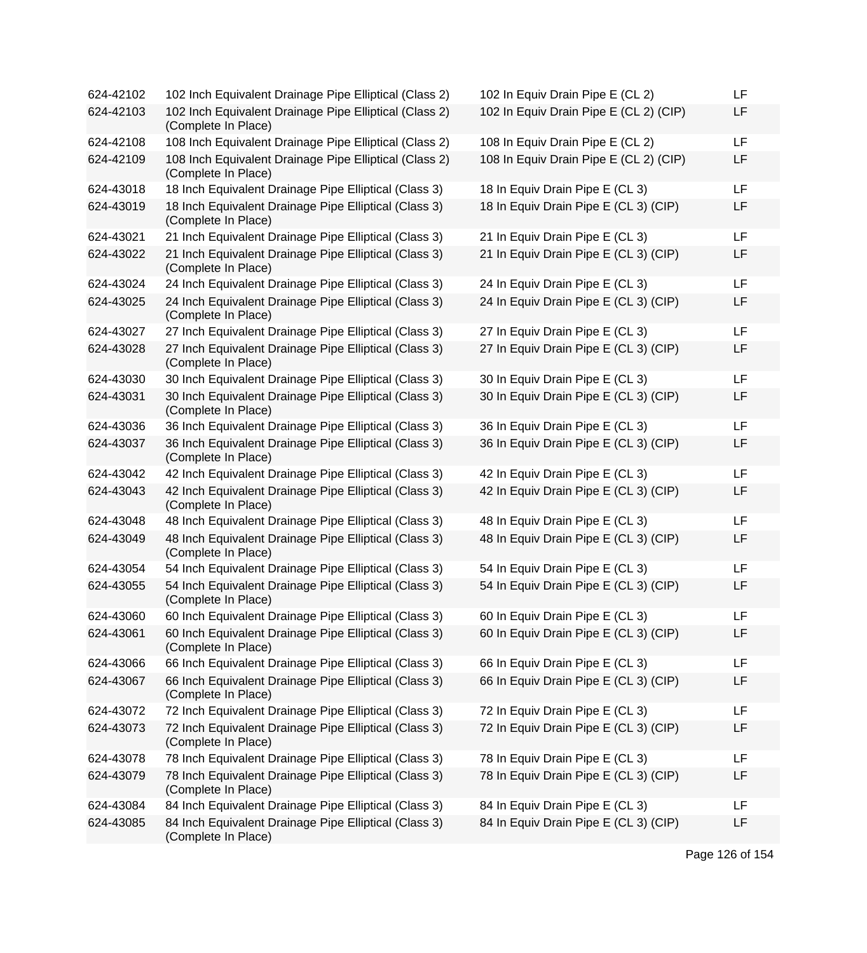| 624-42102 | 102 Inch Equivalent Drainage Pipe Elliptical (Class 2)                        | 102 In Equiv Drain Pipe E (CL 2)       | LF |
|-----------|-------------------------------------------------------------------------------|----------------------------------------|----|
| 624-42103 | 102 Inch Equivalent Drainage Pipe Elliptical (Class 2)<br>(Complete In Place) | 102 In Equiv Drain Pipe E (CL 2) (CIP) | LF |
| 624-42108 | 108 Inch Equivalent Drainage Pipe Elliptical (Class 2)                        | 108 In Equiv Drain Pipe E (CL 2)       | LF |
| 624-42109 | 108 Inch Equivalent Drainage Pipe Elliptical (Class 2)<br>(Complete In Place) | 108 In Equiv Drain Pipe E (CL 2) (CIP) | LF |
| 624-43018 | 18 Inch Equivalent Drainage Pipe Elliptical (Class 3)                         | 18 In Equiv Drain Pipe E (CL 3)        | LF |
| 624-43019 | 18 Inch Equivalent Drainage Pipe Elliptical (Class 3)<br>(Complete In Place)  | 18 In Equiv Drain Pipe E (CL 3) (CIP)  | LF |
| 624-43021 | 21 Inch Equivalent Drainage Pipe Elliptical (Class 3)                         | 21 In Equiv Drain Pipe E (CL 3)        | LF |
| 624-43022 | 21 Inch Equivalent Drainage Pipe Elliptical (Class 3)<br>(Complete In Place)  | 21 In Equiv Drain Pipe E (CL 3) (CIP)  | LF |
| 624-43024 | 24 Inch Equivalent Drainage Pipe Elliptical (Class 3)                         | 24 In Equiv Drain Pipe E (CL 3)        | LF |
| 624-43025 | 24 Inch Equivalent Drainage Pipe Elliptical (Class 3)<br>(Complete In Place)  | 24 In Equiv Drain Pipe E (CL 3) (CIP)  | LF |
| 624-43027 | 27 Inch Equivalent Drainage Pipe Elliptical (Class 3)                         | 27 In Equiv Drain Pipe E (CL 3)        | LF |
| 624-43028 | 27 Inch Equivalent Drainage Pipe Elliptical (Class 3)<br>(Complete In Place)  | 27 In Equiv Drain Pipe E (CL 3) (CIP)  | LF |
| 624-43030 | 30 Inch Equivalent Drainage Pipe Elliptical (Class 3)                         | 30 In Equiv Drain Pipe E (CL 3)        | LF |
| 624-43031 | 30 Inch Equivalent Drainage Pipe Elliptical (Class 3)<br>(Complete In Place)  | 30 In Equiv Drain Pipe E (CL 3) (CIP)  | LF |
| 624-43036 | 36 Inch Equivalent Drainage Pipe Elliptical (Class 3)                         | 36 In Equiv Drain Pipe E (CL 3)        | LF |
| 624-43037 | 36 Inch Equivalent Drainage Pipe Elliptical (Class 3)<br>(Complete In Place)  | 36 In Equiv Drain Pipe E (CL 3) (CIP)  | LF |
| 624-43042 | 42 Inch Equivalent Drainage Pipe Elliptical (Class 3)                         | 42 In Equiv Drain Pipe E (CL 3)        | LF |
| 624-43043 | 42 Inch Equivalent Drainage Pipe Elliptical (Class 3)<br>(Complete In Place)  | 42 In Equiv Drain Pipe E (CL 3) (CIP)  | LF |
| 624-43048 | 48 Inch Equivalent Drainage Pipe Elliptical (Class 3)                         | 48 In Equiv Drain Pipe E (CL 3)        | LF |
| 624-43049 | 48 Inch Equivalent Drainage Pipe Elliptical (Class 3)<br>(Complete In Place)  | 48 In Equiv Drain Pipe E (CL 3) (CIP)  | LF |
| 624-43054 | 54 Inch Equivalent Drainage Pipe Elliptical (Class 3)                         | 54 In Equiv Drain Pipe E (CL 3)        | LF |
| 624-43055 | 54 Inch Equivalent Drainage Pipe Elliptical (Class 3)<br>(Complete In Place)  | 54 In Equiv Drain Pipe E (CL 3) (CIP)  | LF |
| 624-43060 | 60 Inch Equivalent Drainage Pipe Elliptical (Class 3)                         | 60 In Equiv Drain Pipe E (CL 3)        | LF |
| 624-43061 | 60 Inch Equivalent Drainage Pipe Elliptical (Class 3)<br>(Complete In Place)  | 60 In Equiv Drain Pipe E (CL 3) (CIP)  | LF |
| 624-43066 | 66 Inch Equivalent Drainage Pipe Elliptical (Class 3)                         | 66 In Equiv Drain Pipe E (CL 3)        | LF |
| 624-43067 | 66 Inch Equivalent Drainage Pipe Elliptical (Class 3)<br>(Complete In Place)  | 66 In Equiv Drain Pipe E (CL 3) (CIP)  | LF |
| 624-43072 | 72 Inch Equivalent Drainage Pipe Elliptical (Class 3)                         | 72 In Equiv Drain Pipe E (CL 3)        | LF |
| 624-43073 | 72 Inch Equivalent Drainage Pipe Elliptical (Class 3)<br>(Complete In Place)  | 72 In Equiv Drain Pipe E (CL 3) (CIP)  | LF |
| 624-43078 | 78 Inch Equivalent Drainage Pipe Elliptical (Class 3)                         | 78 In Equiv Drain Pipe E (CL 3)        | LF |
| 624-43079 | 78 Inch Equivalent Drainage Pipe Elliptical (Class 3)<br>(Complete In Place)  | 78 In Equiv Drain Pipe E (CL 3) (CIP)  | LF |
| 624-43084 | 84 Inch Equivalent Drainage Pipe Elliptical (Class 3)                         | 84 In Equiv Drain Pipe E (CL 3)        | LF |
| 624-43085 | 84 Inch Equivalent Drainage Pipe Elliptical (Class 3)<br>(Complete In Place)  | 84 In Equiv Drain Pipe E (CL 3) (CIP)  | LF |

| 102 In Equiv Drain Pipe E (CL 2)       | LF |
|----------------------------------------|----|
| 102 In Equiv Drain Pipe E (CL 2) (CIP) | LF |
| 108 In Equiv Drain Pipe E (CL 2)       | LF |
| 108 In Equiv Drain Pipe E (CL 2) (CIP) | LF |
| 18 In Equiv Drain Pipe E (CL 3)        | LF |
| 18 In Equiv Drain Pipe E (CL 3) (CIP)  | LF |
| 21 In Equiv Drain Pipe E (CL 3)        | LF |
| 21 In Equiv Drain Pipe E (CL 3) (CIP)  | LF |
| 24 In Equiv Drain Pipe E (CL 3)        | LF |
| 24 In Equiv Drain Pipe E (CL 3) (CIP)  | LF |
| 27 In Equiv Drain Pipe E (CL 3)        | LF |
| 27 In Equiv Drain Pipe E (CL 3) (CIP)  | LF |
| 30 In Equiv Drain Pipe E (CL 3)        | LF |
| 30 In Equiv Drain Pipe E (CL 3) (CIP)  | LF |
| 36 In Equiv Drain Pipe E (CL 3)        | LF |
| 36 In Equiv Drain Pipe E (CL 3) (CIP)  | LF |
| 42 In Equiv Drain Pipe E (CL 3)        | LF |
| 42 In Equiv Drain Pipe E (CL 3) (CIP)  | LF |
| 48 In Equiv Drain Pipe E (CL 3)        | LF |
| 48 In Equiv Drain Pipe E (CL 3) (CIP)  | LF |
| 54 In Equiv Drain Pipe E (CL 3)        | LF |
| 54 In Equiv Drain Pipe E (CL 3) (CIP)  | LF |
| 60 In Equiv Drain Pipe E (CL 3)        | LF |
| 60 In Equiv Drain Pipe E (CL 3) (CIP)  | LF |
| 66 In Equiv Drain Pipe E (CL 3)        | LF |
| 66 In Equiv Drain Pipe E (CL 3) (CIP)  | LF |
| 72 In Equiv Drain Pipe E (CL 3)        | LF |
| 72 In Equiv Drain Pipe E (CL 3) (CIP)  | LF |
| 78 In Equiv Drain Pipe E (CL 3)        | LF |
| 78 In Equiv Drain Pipe E (CL 3) (CIP)  | LF |
| 84 In Equiv Drain Pipe E (CL 3)        | LF |
| 84 In Equiv Drain Pipe E (CL 3) (CIP)  | LF |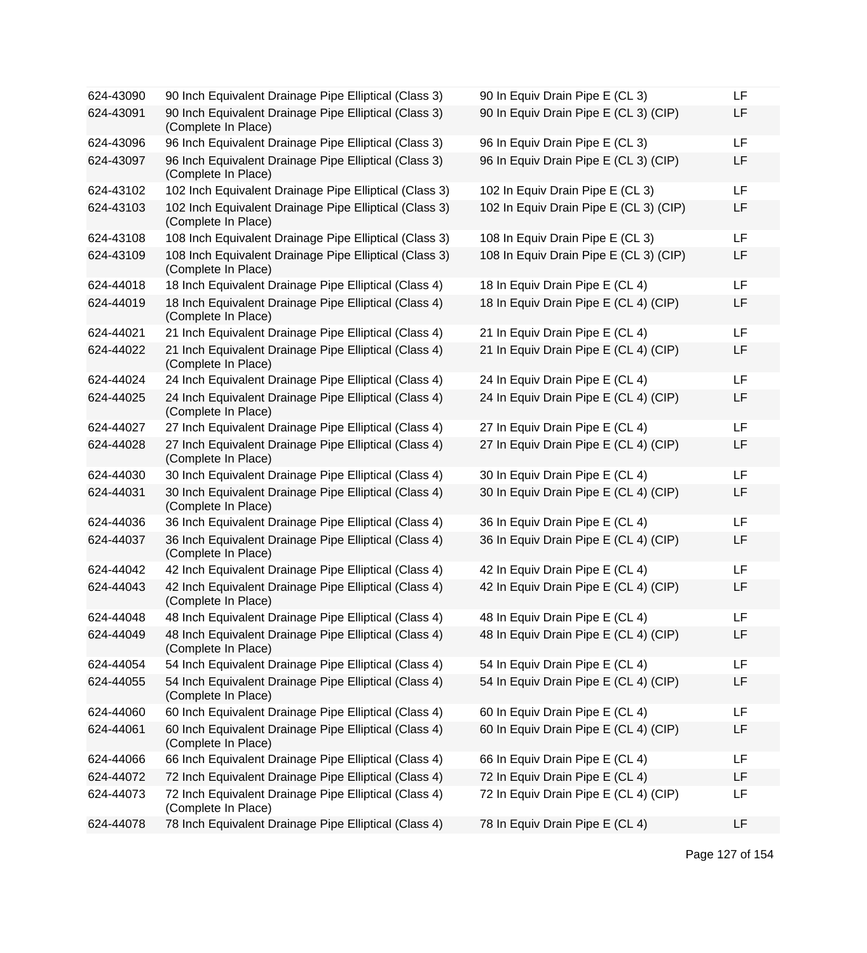| 624-43090 | 90 Inch Equivalent Drainage Pipe Elliptical (Class 3)                         | 90 In Equiv Drain Pipe E (CL 3)        | LF        |
|-----------|-------------------------------------------------------------------------------|----------------------------------------|-----------|
| 624-43091 | 90 Inch Equivalent Drainage Pipe Elliptical (Class 3)<br>(Complete In Place)  | 90 In Equiv Drain Pipe E (CL 3) (CIP)  | LF        |
| 624-43096 | 96 Inch Equivalent Drainage Pipe Elliptical (Class 3)                         | 96 In Equiv Drain Pipe E (CL 3)        | <b>LF</b> |
| 624-43097 | 96 Inch Equivalent Drainage Pipe Elliptical (Class 3)<br>(Complete In Place)  | 96 In Equiv Drain Pipe E (CL 3) (CIP)  | LF        |
| 624-43102 | 102 Inch Equivalent Drainage Pipe Elliptical (Class 3)                        | 102 In Equiv Drain Pipe E (CL 3)       | LF        |
| 624-43103 | 102 Inch Equivalent Drainage Pipe Elliptical (Class 3)<br>(Complete In Place) | 102 In Equiv Drain Pipe E (CL 3) (CIP) | LF        |
| 624-43108 | 108 Inch Equivalent Drainage Pipe Elliptical (Class 3)                        | 108 In Equiv Drain Pipe E (CL 3)       | LF        |
| 624-43109 | 108 Inch Equivalent Drainage Pipe Elliptical (Class 3)<br>(Complete In Place) | 108 In Equiv Drain Pipe E (CL 3) (CIP) | LF        |
| 624-44018 | 18 Inch Equivalent Drainage Pipe Elliptical (Class 4)                         | 18 In Equiv Drain Pipe E (CL 4)        | LF        |
| 624-44019 | 18 Inch Equivalent Drainage Pipe Elliptical (Class 4)<br>(Complete In Place)  | 18 In Equiv Drain Pipe E (CL 4) (CIP)  | LF        |
| 624-44021 | 21 Inch Equivalent Drainage Pipe Elliptical (Class 4)                         | 21 In Equiv Drain Pipe E (CL 4)        | LF        |
| 624-44022 | 21 Inch Equivalent Drainage Pipe Elliptical (Class 4)<br>(Complete In Place)  | 21 In Equiv Drain Pipe E (CL 4) (CIP)  | LF        |
| 624-44024 | 24 Inch Equivalent Drainage Pipe Elliptical (Class 4)                         | 24 In Equiv Drain Pipe E (CL 4)        | LF        |
| 624-44025 | 24 Inch Equivalent Drainage Pipe Elliptical (Class 4)<br>(Complete In Place)  | 24 In Equiv Drain Pipe E (CL 4) (CIP)  | LF        |
| 624-44027 | 27 Inch Equivalent Drainage Pipe Elliptical (Class 4)                         | 27 In Equiv Drain Pipe E (CL 4)        | LF        |
| 624-44028 | 27 Inch Equivalent Drainage Pipe Elliptical (Class 4)<br>(Complete In Place)  | 27 In Equiv Drain Pipe E (CL 4) (CIP)  | LF        |
| 624-44030 | 30 Inch Equivalent Drainage Pipe Elliptical (Class 4)                         | 30 In Equiv Drain Pipe E (CL 4)        | LF        |
| 624-44031 | 30 Inch Equivalent Drainage Pipe Elliptical (Class 4)<br>(Complete In Place)  | 30 In Equiv Drain Pipe E (CL 4) (CIP)  | LF        |
| 624-44036 | 36 Inch Equivalent Drainage Pipe Elliptical (Class 4)                         | 36 In Equiv Drain Pipe E (CL 4)        | LF        |
| 624-44037 | 36 Inch Equivalent Drainage Pipe Elliptical (Class 4)<br>(Complete In Place)  | 36 In Equiv Drain Pipe E (CL 4) (CIP)  | LF        |
| 624-44042 | 42 Inch Equivalent Drainage Pipe Elliptical (Class 4)                         | 42 In Equiv Drain Pipe E (CL 4)        | LF        |
| 624-44043 | 42 Inch Equivalent Drainage Pipe Elliptical (Class 4)<br>(Complete In Place)  | 42 In Equiv Drain Pipe E (CL 4) (CIP)  | LF        |
| 624-44048 | 48 Inch Equivalent Drainage Pipe Elliptical (Class 4)                         | 48 In Equiv Drain Pipe E (CL 4)        | LF        |
| 624-44049 | 48 Inch Equivalent Drainage Pipe Elliptical (Class 4)<br>(Complete In Place)  | 48 In Equiv Drain Pipe E (CL 4) (CIP)  | LF        |
| 624-44054 | 54 Inch Equivalent Drainage Pipe Elliptical (Class 4)                         | 54 In Equiv Drain Pipe E (CL 4)        | LF        |
| 624-44055 | 54 Inch Equivalent Drainage Pipe Elliptical (Class 4)<br>(Complete In Place)  | 54 In Equiv Drain Pipe E (CL 4) (CIP)  | LF        |
| 624-44060 | 60 Inch Equivalent Drainage Pipe Elliptical (Class 4)                         | 60 In Equiv Drain Pipe E (CL 4)        | LF        |
| 624-44061 | 60 Inch Equivalent Drainage Pipe Elliptical (Class 4)<br>(Complete In Place)  | 60 In Equiv Drain Pipe E (CL 4) (CIP)  | LF        |
| 624-44066 | 66 Inch Equivalent Drainage Pipe Elliptical (Class 4)                         | 66 In Equiv Drain Pipe E (CL 4)        | LF        |
| 624-44072 | 72 Inch Equivalent Drainage Pipe Elliptical (Class 4)                         | 72 In Equiv Drain Pipe E (CL 4)        | LF        |
| 624-44073 | 72 Inch Equivalent Drainage Pipe Elliptical (Class 4)<br>(Complete In Place)  | 72 In Equiv Drain Pipe E (CL 4) (CIP)  | LF        |
| 624-44078 | 78 Inch Equivalent Drainage Pipe Elliptical (Class 4)                         | 78 In Equiv Drain Pipe E (CL 4)        | LF        |
|           |                                                                               |                                        |           |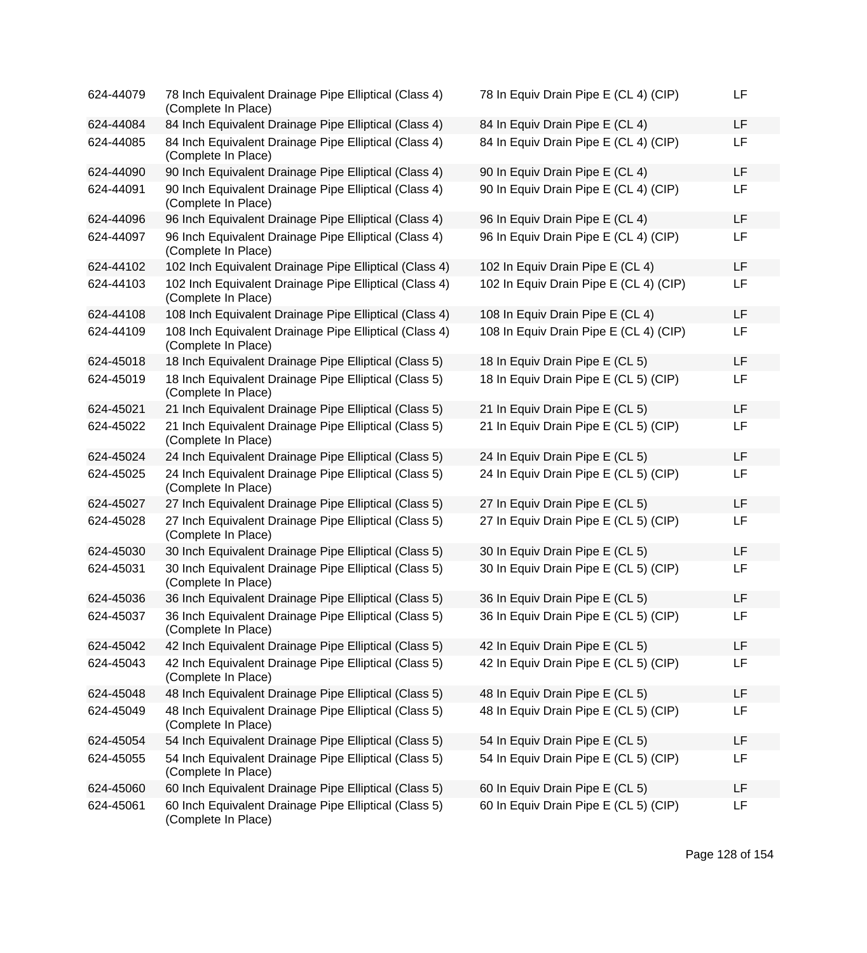| 624-44079 | 78 Inch Equivalent Drainage Pipe Elliptical (Class 4)<br>(Complete In Place)  | 78 In Equiv Drain Pipe E (CL 4) (CIP)  | LF |
|-----------|-------------------------------------------------------------------------------|----------------------------------------|----|
| 624-44084 | 84 Inch Equivalent Drainage Pipe Elliptical (Class 4)                         | 84 In Equiv Drain Pipe E (CL 4)        | LF |
| 624-44085 | 84 Inch Equivalent Drainage Pipe Elliptical (Class 4)<br>(Complete In Place)  | 84 In Equiv Drain Pipe E (CL 4) (CIP)  | LF |
| 624-44090 | 90 Inch Equivalent Drainage Pipe Elliptical (Class 4)                         | 90 In Equiv Drain Pipe E (CL 4)        | LF |
| 624-44091 | 90 Inch Equivalent Drainage Pipe Elliptical (Class 4)<br>(Complete In Place)  | 90 In Equiv Drain Pipe E (CL 4) (CIP)  | LF |
| 624-44096 | 96 Inch Equivalent Drainage Pipe Elliptical (Class 4)                         | 96 In Equiv Drain Pipe E (CL 4)        | LF |
| 624-44097 | 96 Inch Equivalent Drainage Pipe Elliptical (Class 4)<br>(Complete In Place)  | 96 In Equiv Drain Pipe E (CL 4) (CIP)  | LF |
| 624-44102 | 102 Inch Equivalent Drainage Pipe Elliptical (Class 4)                        | 102 In Equiv Drain Pipe E (CL 4)       | LF |
| 624-44103 | 102 Inch Equivalent Drainage Pipe Elliptical (Class 4)<br>(Complete In Place) | 102 In Equiv Drain Pipe E (CL 4) (CIP) | LF |
| 624-44108 | 108 Inch Equivalent Drainage Pipe Elliptical (Class 4)                        | 108 In Equiv Drain Pipe E (CL 4)       | LF |
| 624-44109 | 108 Inch Equivalent Drainage Pipe Elliptical (Class 4)<br>(Complete In Place) | 108 In Equiv Drain Pipe E (CL 4) (CIP) | LF |
| 624-45018 | 18 Inch Equivalent Drainage Pipe Elliptical (Class 5)                         | 18 In Equiv Drain Pipe E (CL 5)        | LF |
| 624-45019 | 18 Inch Equivalent Drainage Pipe Elliptical (Class 5)<br>(Complete In Place)  | 18 In Equiv Drain Pipe E (CL 5) (CIP)  | LF |
| 624-45021 | 21 Inch Equivalent Drainage Pipe Elliptical (Class 5)                         | 21 In Equiv Drain Pipe E (CL 5)        | LF |
| 624-45022 | 21 Inch Equivalent Drainage Pipe Elliptical (Class 5)<br>(Complete In Place)  | 21 In Equiv Drain Pipe E (CL 5) (CIP)  | LF |
| 624-45024 | 24 Inch Equivalent Drainage Pipe Elliptical (Class 5)                         | 24 In Equiv Drain Pipe E (CL 5)        | LF |
| 624-45025 | 24 Inch Equivalent Drainage Pipe Elliptical (Class 5)<br>(Complete In Place)  | 24 In Equiv Drain Pipe E (CL 5) (CIP)  | LF |
| 624-45027 | 27 Inch Equivalent Drainage Pipe Elliptical (Class 5)                         | 27 In Equiv Drain Pipe E (CL 5)        | LF |
| 624-45028 | 27 Inch Equivalent Drainage Pipe Elliptical (Class 5)<br>(Complete In Place)  | 27 In Equiv Drain Pipe E (CL 5) (CIP)  | LF |
| 624-45030 | 30 Inch Equivalent Drainage Pipe Elliptical (Class 5)                         | 30 In Equiv Drain Pipe E (CL 5)        | LF |
| 624-45031 | 30 Inch Equivalent Drainage Pipe Elliptical (Class 5)<br>(Complete In Place)  | 30 In Equiv Drain Pipe E (CL 5) (CIP)  | LF |
| 624-45036 | 36 Inch Equivalent Drainage Pipe Elliptical (Class 5)                         | 36 In Equiv Drain Pipe E (CL 5)        | LF |
| 624-45037 | 36 Inch Equivalent Drainage Pipe Elliptical (Class 5)<br>(Complete In Place)  | 36 In Equiv Drain Pipe E (CL 5) (CIP)  | LF |
| 624-45042 | 42 Inch Equivalent Drainage Pipe Elliptical (Class 5)                         | 42 In Equiv Drain Pipe E (CL 5)        | LF |
| 624-45043 | 42 Inch Equivalent Drainage Pipe Elliptical (Class 5)<br>(Complete In Place)  | 42 In Equiv Drain Pipe E (CL 5) (CIP)  | LF |
| 624-45048 | 48 Inch Equivalent Drainage Pipe Elliptical (Class 5)                         | 48 In Equiv Drain Pipe E (CL 5)        | LF |
| 624-45049 | 48 Inch Equivalent Drainage Pipe Elliptical (Class 5)<br>(Complete In Place)  | 48 In Equiv Drain Pipe E (CL 5) (CIP)  | LF |
| 624-45054 | 54 Inch Equivalent Drainage Pipe Elliptical (Class 5)                         | 54 In Equiv Drain Pipe E (CL 5)        | LF |
| 624-45055 | 54 Inch Equivalent Drainage Pipe Elliptical (Class 5)<br>(Complete In Place)  | 54 In Equiv Drain Pipe E (CL 5) (CIP)  | LF |
| 624-45060 | 60 Inch Equivalent Drainage Pipe Elliptical (Class 5)                         | 60 In Equiv Drain Pipe E (CL 5)        | LF |
| 624-45061 | 60 Inch Equivalent Drainage Pipe Elliptical (Class 5)<br>(Complete In Place)  | 60 In Equiv Drain Pipe E (CL 5) (CIP)  | LF |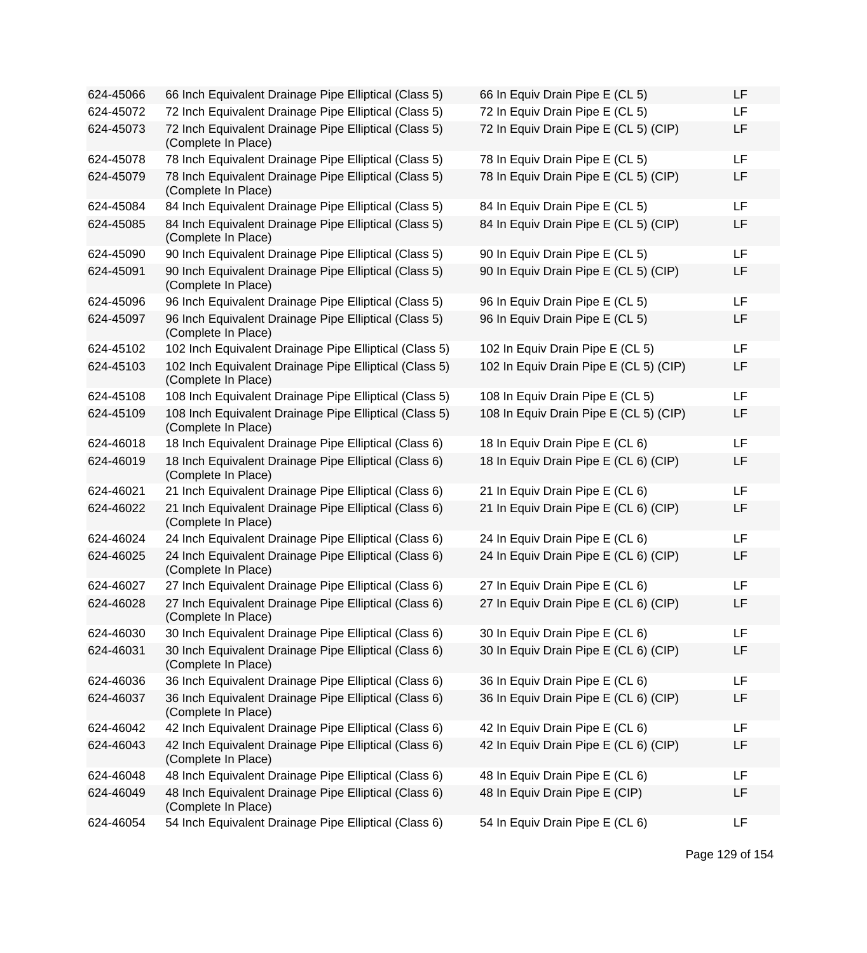| 624-45066 | 66 Inch Equivalent Drainage Pipe Elliptical (Class 5)                         | 66 In Equiv Drain Pipe E (CL 5)        | LF |
|-----------|-------------------------------------------------------------------------------|----------------------------------------|----|
| 624-45072 | 72 Inch Equivalent Drainage Pipe Elliptical (Class 5)                         | 72 In Equiv Drain Pipe E (CL 5)        | LF |
| 624-45073 | 72 Inch Equivalent Drainage Pipe Elliptical (Class 5)<br>(Complete In Place)  | 72 In Equiv Drain Pipe E (CL 5) (CIP)  | LF |
| 624-45078 | 78 Inch Equivalent Drainage Pipe Elliptical (Class 5)                         | 78 In Equiv Drain Pipe E (CL 5)        | LF |
| 624-45079 | 78 Inch Equivalent Drainage Pipe Elliptical (Class 5)<br>(Complete In Place)  | 78 In Equiv Drain Pipe E (CL 5) (CIP)  | LF |
| 624-45084 | 84 Inch Equivalent Drainage Pipe Elliptical (Class 5)                         | 84 In Equiv Drain Pipe E (CL 5)        | LF |
| 624-45085 | 84 Inch Equivalent Drainage Pipe Elliptical (Class 5)<br>(Complete In Place)  | 84 In Equiv Drain Pipe E (CL 5) (CIP)  | LF |
| 624-45090 | 90 Inch Equivalent Drainage Pipe Elliptical (Class 5)                         | 90 In Equiv Drain Pipe E (CL 5)        | LF |
| 624-45091 | 90 Inch Equivalent Drainage Pipe Elliptical (Class 5)<br>(Complete In Place)  | 90 In Equiv Drain Pipe E (CL 5) (CIP)  | LF |
| 624-45096 | 96 Inch Equivalent Drainage Pipe Elliptical (Class 5)                         | 96 In Equiv Drain Pipe E (CL 5)        | LF |
| 624-45097 | 96 Inch Equivalent Drainage Pipe Elliptical (Class 5)<br>(Complete In Place)  | 96 In Equiv Drain Pipe E (CL 5)        | LF |
| 624-45102 | 102 Inch Equivalent Drainage Pipe Elliptical (Class 5)                        | 102 In Equiv Drain Pipe E (CL 5)       | LF |
| 624-45103 | 102 Inch Equivalent Drainage Pipe Elliptical (Class 5)<br>(Complete In Place) | 102 In Equiv Drain Pipe E (CL 5) (CIP) | LF |
| 624-45108 | 108 Inch Equivalent Drainage Pipe Elliptical (Class 5)                        | 108 In Equiv Drain Pipe E (CL 5)       | LF |
| 624-45109 | 108 Inch Equivalent Drainage Pipe Elliptical (Class 5)<br>(Complete In Place) | 108 In Equiv Drain Pipe E (CL 5) (CIP) | LF |
| 624-46018 | 18 Inch Equivalent Drainage Pipe Elliptical (Class 6)                         | 18 In Equiv Drain Pipe E (CL 6)        | LF |
| 624-46019 | 18 Inch Equivalent Drainage Pipe Elliptical (Class 6)<br>(Complete In Place)  | 18 In Equiv Drain Pipe E (CL 6) (CIP)  | LF |
| 624-46021 | 21 Inch Equivalent Drainage Pipe Elliptical (Class 6)                         | 21 In Equiv Drain Pipe E (CL 6)        | LF |
| 624-46022 | 21 Inch Equivalent Drainage Pipe Elliptical (Class 6)<br>(Complete In Place)  | 21 In Equiv Drain Pipe E (CL 6) (CIP)  | LF |
| 624-46024 | 24 Inch Equivalent Drainage Pipe Elliptical (Class 6)                         | 24 In Equiv Drain Pipe E (CL 6)        | LF |
| 624-46025 | 24 Inch Equivalent Drainage Pipe Elliptical (Class 6)<br>(Complete In Place)  | 24 In Equiv Drain Pipe E (CL 6) (CIP)  | LF |
| 624-46027 | 27 Inch Equivalent Drainage Pipe Elliptical (Class 6)                         | 27 In Equiv Drain Pipe E (CL 6)        | LF |
| 624-46028 | 27 Inch Equivalent Drainage Pipe Elliptical (Class 6)<br>(Complete In Place)  | 27 In Equiv Drain Pipe E (CL 6) (CIP)  | LF |
| 624-46030 | 30 Inch Equivalent Drainage Pipe Elliptical (Class 6)                         | 30 In Equiv Drain Pipe E (CL 6)        | LF |
| 624-46031 | 30 Inch Equivalent Drainage Pipe Elliptical (Class 6)<br>(Complete In Place)  | 30 In Equiv Drain Pipe E (CL 6) (CIP)  | LF |
| 624-46036 | 36 Inch Equivalent Drainage Pipe Elliptical (Class 6)                         | 36 In Equiv Drain Pipe E (CL 6)        | LF |
| 624-46037 | 36 Inch Equivalent Drainage Pipe Elliptical (Class 6)<br>(Complete In Place)  | 36 In Equiv Drain Pipe E (CL 6) (CIP)  | LF |
| 624-46042 | 42 Inch Equivalent Drainage Pipe Elliptical (Class 6)                         | 42 In Equiv Drain Pipe E (CL 6)        | LF |
| 624-46043 | 42 Inch Equivalent Drainage Pipe Elliptical (Class 6)<br>(Complete In Place)  | 42 In Equiv Drain Pipe E (CL 6) (CIP)  | LF |
| 624-46048 | 48 Inch Equivalent Drainage Pipe Elliptical (Class 6)                         | 48 In Equiv Drain Pipe E (CL 6)        | LF |
| 624-46049 | 48 Inch Equivalent Drainage Pipe Elliptical (Class 6)<br>(Complete In Place)  | 48 In Equiv Drain Pipe E (CIP)         | LF |
| 624-46054 | 54 Inch Equivalent Drainage Pipe Elliptical (Class 6)                         | 54 In Equiv Drain Pipe E (CL 6)        | LF |

| 50 In Equiv Drain Pipe E (CL 5)        | ᄔ  |
|----------------------------------------|----|
| 72 In Equiv Drain Pipe E (CL 5)        | LF |
| 72 In Equiv Drain Pipe E (CL 5) (CIP)  | LF |
| 78 In Equiv Drain Pipe E (CL 5)        | LF |
| 78 In Equiv Drain Pipe E (CL 5) (CIP)  | LF |
| 84 In Equiv Drain Pipe E (CL 5)        | LF |
| 84 In Equiv Drain Pipe E (CL 5) (CIP)  | LF |
| 90 In Equiv Drain Pipe E (CL 5)        | LF |
| 90 In Equiv Drain Pipe E (CL 5) (CIP)  | LF |
| 96 In Equiv Drain Pipe E (CL 5)        | LF |
| 96 In Equiv Drain Pipe E (CL 5)        | LF |
| 102 In Equiv Drain Pipe E (CL 5)       | LF |
| 102 In Equiv Drain Pipe E (CL 5) (CIP) | LF |
| 108 In Equiv Drain Pipe E (CL 5)       | LF |
| 108 In Equiv Drain Pipe E (CL 5) (CIP) | LF |
| 18 In Equiv Drain Pipe E (CL 6)        | LF |
| 18 In Equiv Drain Pipe E (CL 6) (CIP)  | LF |
| 21 In Equiv Drain Pipe E (CL 6)        | LF |
| 21 In Equiv Drain Pipe E (CL 6) (CIP)  | LF |
| 24 In Equiv Drain Pipe E (CL 6)        | LF |
| 24 In Equiv Drain Pipe E (CL 6) (CIP)  | LF |
| 27 In Equiv Drain Pipe E (CL 6)        | LF |
| 27 In Equiv Drain Pipe E (CL 6) (CIP)  | LF |
| 30 In Equiv Drain Pipe E (CL 6)        | LF |
| 30 In Equiv Drain Pipe E (CL 6) (CIP)  | LF |
| 36 In Equiv Drain Pipe E (CL 6)        | LF |
| 36 In Equiv Drain Pipe E (CL 6) (CIP)  | LF |
| 42 In Equiv Drain Pipe E (CL 6)        | LF |
| 42 In Equiv Drain Pipe E (CL 6) (CIP)  | LF |
| 48 In Equiv Drain Pipe E (CL 6)        | LF |
| 48 In Equiv Drain Pipe E (CIP)         | LF |
| 54 In Equiv Drain Pipe E (CL 6)        | LF |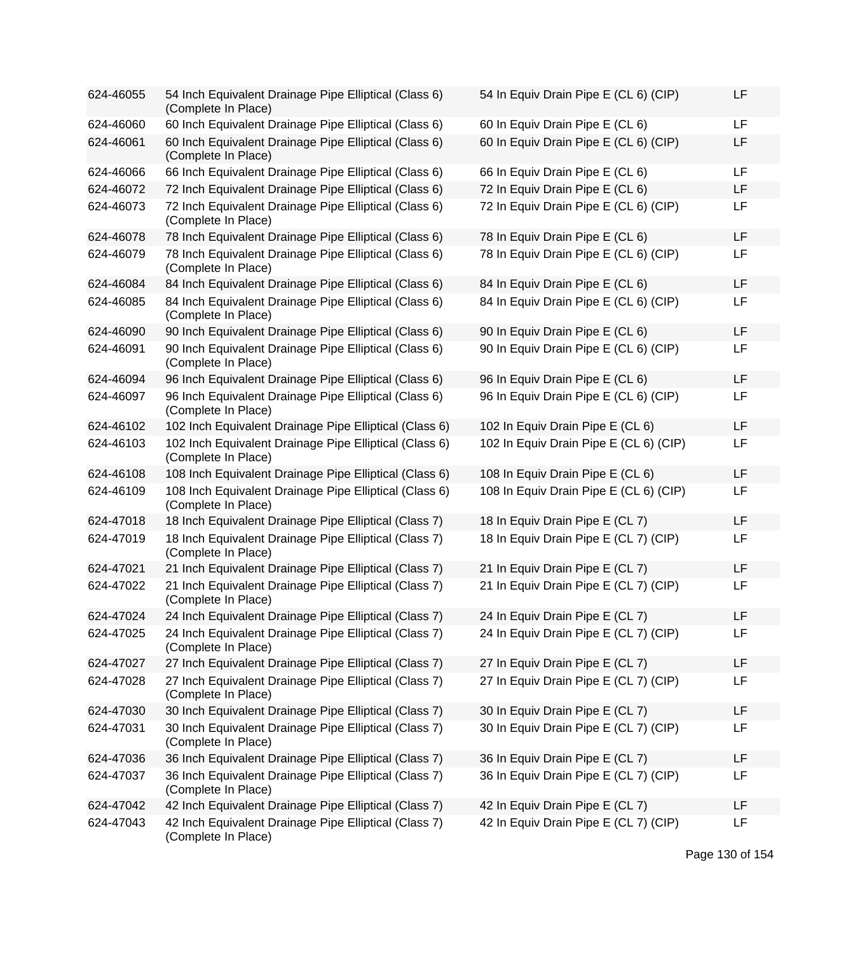| 624-46055 | 54 Inch Equivalent Drainage Pipe Elliptical (Class 6)<br>(Complete In Place)  | 54 In Equiv Drain Pipe E (CL 6) (CIP)  | LF |
|-----------|-------------------------------------------------------------------------------|----------------------------------------|----|
| 624-46060 | 60 Inch Equivalent Drainage Pipe Elliptical (Class 6)                         | 60 In Equiv Drain Pipe E (CL 6)        | LF |
| 624-46061 | 60 Inch Equivalent Drainage Pipe Elliptical (Class 6)<br>(Complete In Place)  | 60 In Equiv Drain Pipe E (CL 6) (CIP)  | LF |
| 624-46066 | 66 Inch Equivalent Drainage Pipe Elliptical (Class 6)                         | 66 In Equiv Drain Pipe E (CL 6)        | LF |
| 624-46072 | 72 Inch Equivalent Drainage Pipe Elliptical (Class 6)                         | 72 In Equiv Drain Pipe E (CL 6)        | LF |
| 624-46073 | 72 Inch Equivalent Drainage Pipe Elliptical (Class 6)<br>(Complete In Place)  | 72 In Equiv Drain Pipe E (CL 6) (CIP)  | LF |
| 624-46078 | 78 Inch Equivalent Drainage Pipe Elliptical (Class 6)                         | 78 In Equiv Drain Pipe E (CL 6)        | LF |
| 624-46079 | 78 Inch Equivalent Drainage Pipe Elliptical (Class 6)<br>(Complete In Place)  | 78 In Equiv Drain Pipe E (CL 6) (CIP)  | LF |
| 624-46084 | 84 Inch Equivalent Drainage Pipe Elliptical (Class 6)                         | 84 In Equiv Drain Pipe E (CL 6)        | LF |
| 624-46085 | 84 Inch Equivalent Drainage Pipe Elliptical (Class 6)<br>(Complete In Place)  | 84 In Equiv Drain Pipe E (CL 6) (CIP)  | LF |
| 624-46090 | 90 Inch Equivalent Drainage Pipe Elliptical (Class 6)                         | 90 In Equiv Drain Pipe E (CL 6)        | LF |
| 624-46091 | 90 Inch Equivalent Drainage Pipe Elliptical (Class 6)<br>(Complete In Place)  | 90 In Equiv Drain Pipe E (CL 6) (CIP)  | LF |
| 624-46094 | 96 Inch Equivalent Drainage Pipe Elliptical (Class 6)                         | 96 In Equiv Drain Pipe E (CL 6)        | LF |
| 624-46097 | 96 Inch Equivalent Drainage Pipe Elliptical (Class 6)<br>(Complete In Place)  | 96 In Equiv Drain Pipe E (CL 6) (CIP)  | LF |
| 624-46102 | 102 Inch Equivalent Drainage Pipe Elliptical (Class 6)                        | 102 In Equiv Drain Pipe E (CL 6)       | LF |
| 624-46103 | 102 Inch Equivalent Drainage Pipe Elliptical (Class 6)<br>(Complete In Place) | 102 In Equiv Drain Pipe E (CL 6) (CIP) | LF |
| 624-46108 | 108 Inch Equivalent Drainage Pipe Elliptical (Class 6)                        | 108 In Equiv Drain Pipe E (CL 6)       | LF |
| 624-46109 | 108 Inch Equivalent Drainage Pipe Elliptical (Class 6)<br>(Complete In Place) | 108 In Equiv Drain Pipe E (CL 6) (CIP) | LF |
| 624-47018 | 18 Inch Equivalent Drainage Pipe Elliptical (Class 7)                         | 18 In Equiv Drain Pipe E (CL 7)        | LF |
| 624-47019 | 18 Inch Equivalent Drainage Pipe Elliptical (Class 7)<br>(Complete In Place)  | 18 In Equiv Drain Pipe E (CL 7) (CIP)  | LF |
| 624-47021 | 21 Inch Equivalent Drainage Pipe Elliptical (Class 7)                         | 21 In Equiv Drain Pipe E (CL 7)        | LF |
| 624-47022 | 21 Inch Equivalent Drainage Pipe Elliptical (Class 7)<br>(Complete In Place)  | 21 In Equiv Drain Pipe E (CL 7) (CIP)  | LF |
| 624-47024 | 24 Inch Equivalent Drainage Pipe Elliptical (Class 7)                         | 24 In Equiv Drain Pipe E (CL 7)        | LF |
| 624-47025 | 24 Inch Equivalent Drainage Pipe Elliptical (Class 7)<br>(Complete In Place)  | 24 In Equiv Drain Pipe E (CL 7) (CIP)  | LF |
| 624-47027 | 27 Inch Equivalent Drainage Pipe Elliptical (Class 7)                         | 27 In Equiv Drain Pipe E (CL 7)        | LF |
| 624-47028 | 27 Inch Equivalent Drainage Pipe Elliptical (Class 7)<br>(Complete In Place)  | 27 In Equiv Drain Pipe E (CL 7) (CIP)  | LF |
| 624-47030 | 30 Inch Equivalent Drainage Pipe Elliptical (Class 7)                         | 30 In Equiv Drain Pipe E (CL 7)        | LF |
| 624-47031 | 30 Inch Equivalent Drainage Pipe Elliptical (Class 7)<br>(Complete In Place)  | 30 In Equiv Drain Pipe E (CL 7) (CIP)  | LF |
| 624-47036 | 36 Inch Equivalent Drainage Pipe Elliptical (Class 7)                         | 36 In Equiv Drain Pipe E (CL 7)        | LF |
| 624-47037 | 36 Inch Equivalent Drainage Pipe Elliptical (Class 7)<br>(Complete In Place)  | 36 In Equiv Drain Pipe E (CL 7) (CIP)  | LF |
| 624-47042 | 42 Inch Equivalent Drainage Pipe Elliptical (Class 7)                         | 42 In Equiv Drain Pipe E (CL 7)        | LF |
| 624-47043 | 42 Inch Equivalent Drainage Pipe Elliptical (Class 7)<br>(Complete In Place)  | 42 In Equiv Drain Pipe E (CL 7) (CIP)  | LF |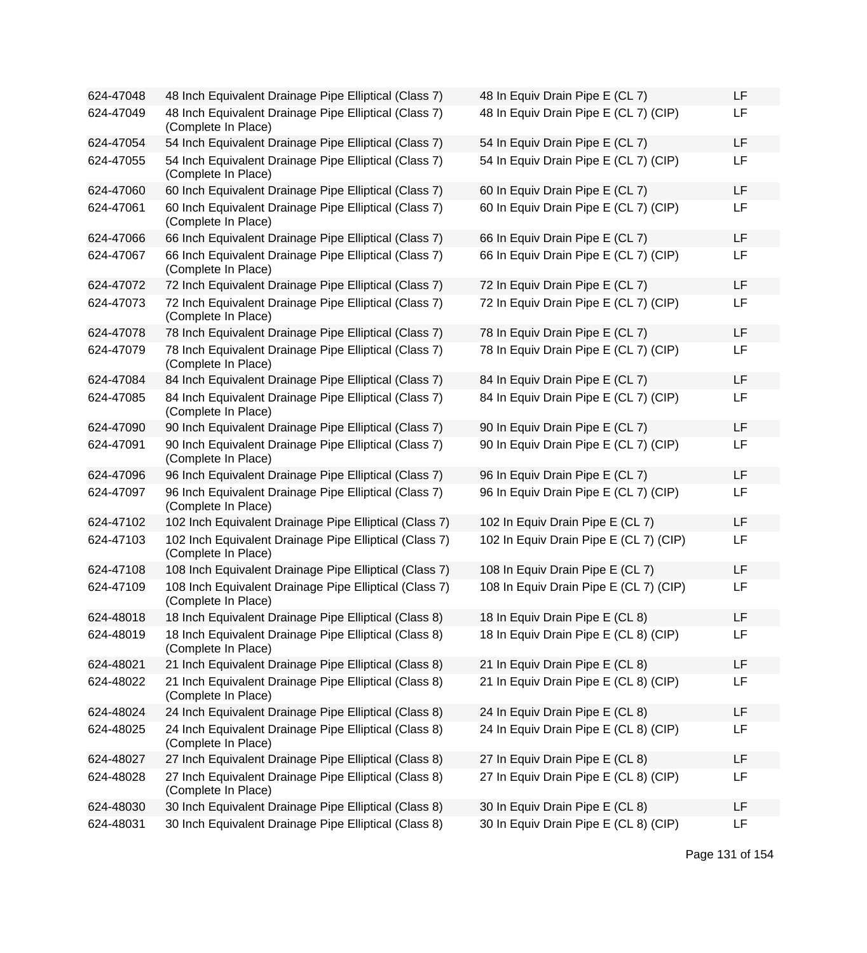| 624-47048 | 48 Inch Equivalent Drainage Pipe Elliptical (Class 7)                         | 48 In Equiv Drain Pipe E (CL 7)        | LF |
|-----------|-------------------------------------------------------------------------------|----------------------------------------|----|
| 624-47049 | 48 Inch Equivalent Drainage Pipe Elliptical (Class 7)<br>(Complete In Place)  | 48 In Equiv Drain Pipe E (CL 7) (CIP)  | LF |
| 624-47054 | 54 Inch Equivalent Drainage Pipe Elliptical (Class 7)                         | 54 In Equiv Drain Pipe E (CL 7)        | LF |
| 624-47055 | 54 Inch Equivalent Drainage Pipe Elliptical (Class 7)<br>(Complete In Place)  | 54 In Equiv Drain Pipe E (CL 7) (CIP)  | LF |
| 624-47060 | 60 Inch Equivalent Drainage Pipe Elliptical (Class 7)                         | 60 In Equiv Drain Pipe E (CL 7)        | LF |
| 624-47061 | 60 Inch Equivalent Drainage Pipe Elliptical (Class 7)<br>(Complete In Place)  | 60 In Equiv Drain Pipe E (CL 7) (CIP)  | LF |
| 624-47066 | 66 Inch Equivalent Drainage Pipe Elliptical (Class 7)                         | 66 In Equiv Drain Pipe E (CL 7)        | LF |
| 624-47067 | 66 Inch Equivalent Drainage Pipe Elliptical (Class 7)<br>(Complete In Place)  | 66 In Equiv Drain Pipe E (CL 7) (CIP)  | LF |
| 624-47072 | 72 Inch Equivalent Drainage Pipe Elliptical (Class 7)                         | 72 In Equiv Drain Pipe E (CL 7)        | LF |
| 624-47073 | 72 Inch Equivalent Drainage Pipe Elliptical (Class 7)<br>(Complete In Place)  | 72 In Equiv Drain Pipe E (CL 7) (CIP)  | LF |
| 624-47078 | 78 Inch Equivalent Drainage Pipe Elliptical (Class 7)                         | 78 In Equiv Drain Pipe E (CL 7)        | LF |
| 624-47079 | 78 Inch Equivalent Drainage Pipe Elliptical (Class 7)<br>(Complete In Place)  | 78 In Equiv Drain Pipe E (CL 7) (CIP)  | LF |
| 624-47084 | 84 Inch Equivalent Drainage Pipe Elliptical (Class 7)                         | 84 In Equiv Drain Pipe E (CL 7)        | LF |
| 624-47085 | 84 Inch Equivalent Drainage Pipe Elliptical (Class 7)<br>(Complete In Place)  | 84 In Equiv Drain Pipe E (CL 7) (CIP)  | LF |
| 624-47090 | 90 Inch Equivalent Drainage Pipe Elliptical (Class 7)                         | 90 In Equiv Drain Pipe E (CL 7)        | LF |
| 624-47091 | 90 Inch Equivalent Drainage Pipe Elliptical (Class 7)<br>(Complete In Place)  | 90 In Equiv Drain Pipe E (CL 7) (CIP)  | LF |
| 624-47096 | 96 Inch Equivalent Drainage Pipe Elliptical (Class 7)                         | 96 In Equiv Drain Pipe E (CL 7)        | LF |
| 624-47097 | 96 Inch Equivalent Drainage Pipe Elliptical (Class 7)<br>(Complete In Place)  | 96 In Equiv Drain Pipe E (CL 7) (CIP)  | LF |
| 624-47102 | 102 Inch Equivalent Drainage Pipe Elliptical (Class 7)                        | 102 In Equiv Drain Pipe E (CL 7)       | LF |
| 624-47103 | 102 Inch Equivalent Drainage Pipe Elliptical (Class 7)<br>(Complete In Place) | 102 In Equiv Drain Pipe E (CL 7) (CIP) | LF |
| 624-47108 | 108 Inch Equivalent Drainage Pipe Elliptical (Class 7)                        | 108 In Equiv Drain Pipe E (CL 7)       | LF |
| 624-47109 | 108 Inch Equivalent Drainage Pipe Elliptical (Class 7)<br>(Complete In Place) | 108 In Equiv Drain Pipe E (CL 7) (CIP) | LF |
| 624-48018 | 18 Inch Equivalent Drainage Pipe Elliptical (Class 8)                         | 18 In Equiv Drain Pipe E (CL 8)        | LF |
| 624-48019 | 18 Inch Equivalent Drainage Pipe Elliptical (Class 8)<br>(Complete In Place)  | 18 In Equiv Drain Pipe E (CL 8) (CIP)  | LF |
| 624-48021 | 21 Inch Equivalent Drainage Pipe Elliptical (Class 8)                         | 21 In Equiv Drain Pipe E (CL 8)        | LF |
| 624-48022 | 21 Inch Equivalent Drainage Pipe Elliptical (Class 8)<br>(Complete In Place)  | 21 In Equiv Drain Pipe E (CL 8) (CIP)  | LF |
| 624-48024 | 24 Inch Equivalent Drainage Pipe Elliptical (Class 8)                         | 24 In Equiv Drain Pipe E (CL 8)        | LF |
| 624-48025 | 24 Inch Equivalent Drainage Pipe Elliptical (Class 8)<br>(Complete In Place)  | 24 In Equiv Drain Pipe E (CL 8) (CIP)  | LF |
| 624-48027 | 27 Inch Equivalent Drainage Pipe Elliptical (Class 8)                         | 27 In Equiv Drain Pipe E (CL 8)        | LF |
| 624-48028 | 27 Inch Equivalent Drainage Pipe Elliptical (Class 8)<br>(Complete In Place)  | 27 In Equiv Drain Pipe E (CL 8) (CIP)  | LF |
| 624-48030 | 30 Inch Equivalent Drainage Pipe Elliptical (Class 8)                         | 30 In Equiv Drain Pipe E (CL 8)        | LF |
| 624-48031 | 30 Inch Equivalent Drainage Pipe Elliptical (Class 8)                         | 30 In Equiv Drain Pipe E (CL 8) (CIP)  | LF |

| 48 In Equiv Drain Pipe E (CL 7)        | LF |
|----------------------------------------|----|
| 48 In Equiv Drain Pipe E (CL 7) (CIP)  | LF |
| 54 In Equiv Drain Pipe E (CL 7)        | LF |
| 54 In Equiv Drain Pipe E (CL 7) (CIP)  | LF |
| 60 In Equiv Drain Pipe E (CL 7)        | LF |
| 60 In Equiv Drain Pipe E (CL 7) (CIP)  | LF |
| 66 In Equiv Drain Pipe E (CL 7)        | LF |
| 66 In Equiv Drain Pipe E (CL 7) (CIP)  | LF |
| 72 In Equiv Drain Pipe E (CL 7)        | LF |
| 72 In Equiv Drain Pipe E (CL 7) (CIP)  | LF |
| 78 In Equiv Drain Pipe E (CL 7)        | LF |
| 78 In Equiv Drain Pipe E (CL 7) (CIP)  | LF |
| 84 In Equiv Drain Pipe E (CL 7)        | LF |
| 84 In Equiv Drain Pipe E (CL 7) (CIP)  | LF |
| 90 In Equiv Drain Pipe E (CL 7)        | LF |
| 90 In Equiv Drain Pipe E (CL 7) (CIP)  | LF |
| 96 In Equiv Drain Pipe E (CL 7)        | LF |
| 96 In Equiv Drain Pipe E (CL 7) (CIP)  | LF |
| 102 In Equiv Drain Pipe E (CL 7)       | LF |
| 102 In Equiv Drain Pipe E (CL 7) (CIP) | LF |
| 108 In Equiv Drain Pipe E (CL 7)       | LF |
| 108 In Equiv Drain Pipe E (CL 7) (CIP) | LF |
| 18 In Equiv Drain Pipe E (CL 8)        | LF |
| 18 In Equiv Drain Pipe E (CL 8) (CIP)  | LF |
| 21 In Equiv Drain Pipe E (CL 8)        | LF |
| 21 In Equiv Drain Pipe E (CL 8) (CIP)  | LF |
| 24 In Equiv Drain Pipe E (CL 8)        | LF |
| 24 In Equiv Drain Pipe E (CL 8) (CIP)  | LF |
| 27 In Equiv Drain Pipe E (CL 8)        | LF |
| 27 In Equiv Drain Pipe E (CL 8) (CIP)  | LF |
| 30 In Equiv Drain Pipe E (CL 8)        | LF |
| 30 In Equiv Drain Pipe E (CL 8) (CIP)  | LF |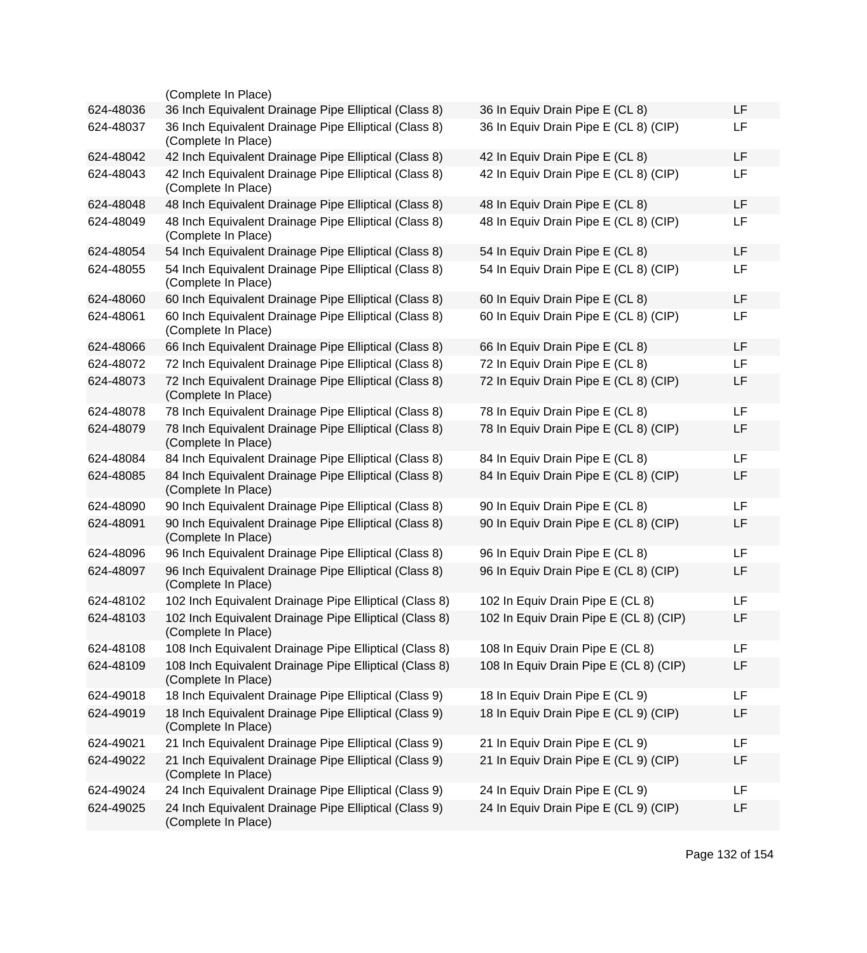|           | (Complete In Place)                                                           |                                        |    |
|-----------|-------------------------------------------------------------------------------|----------------------------------------|----|
| 624-48036 | 36 Inch Equivalent Drainage Pipe Elliptical (Class 8)                         | 36 In Equiv Drain Pipe E (CL 8)        | LF |
| 624-48037 | 36 Inch Equivalent Drainage Pipe Elliptical (Class 8)<br>(Complete In Place)  | 36 In Equiv Drain Pipe E (CL 8) (CIP)  | LF |
| 624-48042 | 42 Inch Equivalent Drainage Pipe Elliptical (Class 8)                         | 42 In Equiv Drain Pipe E (CL 8)        | LF |
| 624-48043 | 42 Inch Equivalent Drainage Pipe Elliptical (Class 8)<br>(Complete In Place)  | 42 In Equiv Drain Pipe E (CL 8) (CIP)  | LF |
| 624-48048 | 48 Inch Equivalent Drainage Pipe Elliptical (Class 8)                         | 48 In Equiv Drain Pipe E (CL 8)        | LF |
| 624-48049 | 48 Inch Equivalent Drainage Pipe Elliptical (Class 8)<br>(Complete In Place)  | 48 In Equiv Drain Pipe E (CL 8) (CIP)  | LF |
| 624-48054 | 54 Inch Equivalent Drainage Pipe Elliptical (Class 8)                         | 54 In Equiv Drain Pipe E (CL 8)        | LF |
| 624-48055 | 54 Inch Equivalent Drainage Pipe Elliptical (Class 8)<br>(Complete In Place)  | 54 In Equiv Drain Pipe E (CL 8) (CIP)  | LF |
| 624-48060 | 60 Inch Equivalent Drainage Pipe Elliptical (Class 8)                         | 60 In Equiv Drain Pipe E (CL 8)        | LF |
| 624-48061 | 60 Inch Equivalent Drainage Pipe Elliptical (Class 8)<br>(Complete In Place)  | 60 In Equiv Drain Pipe E (CL 8) (CIP)  | LF |
| 624-48066 | 66 Inch Equivalent Drainage Pipe Elliptical (Class 8)                         | 66 In Equiv Drain Pipe E (CL 8)        | LF |
| 624-48072 | 72 Inch Equivalent Drainage Pipe Elliptical (Class 8)                         | 72 In Equiv Drain Pipe E (CL 8)        | LF |
| 624-48073 | 72 Inch Equivalent Drainage Pipe Elliptical (Class 8)<br>(Complete In Place)  | 72 In Equiv Drain Pipe E (CL 8) (CIP)  | LF |
| 624-48078 | 78 Inch Equivalent Drainage Pipe Elliptical (Class 8)                         | 78 In Equiv Drain Pipe E (CL 8)        | LF |
| 624-48079 | 78 Inch Equivalent Drainage Pipe Elliptical (Class 8)<br>(Complete In Place)  | 78 In Equiv Drain Pipe E (CL 8) (CIP)  | LF |
| 624-48084 | 84 Inch Equivalent Drainage Pipe Elliptical (Class 8)                         | 84 In Equiv Drain Pipe E (CL 8)        | LF |
| 624-48085 | 84 Inch Equivalent Drainage Pipe Elliptical (Class 8)<br>(Complete In Place)  | 84 In Equiv Drain Pipe E (CL 8) (CIP)  | LF |
| 624-48090 | 90 Inch Equivalent Drainage Pipe Elliptical (Class 8)                         | 90 In Equiv Drain Pipe E (CL 8)        | LF |
| 624-48091 | 90 Inch Equivalent Drainage Pipe Elliptical (Class 8)<br>(Complete In Place)  | 90 In Equiv Drain Pipe E (CL 8) (CIP)  | LF |
| 624-48096 | 96 Inch Equivalent Drainage Pipe Elliptical (Class 8)                         | 96 In Equiv Drain Pipe E (CL 8)        | LF |
| 624-48097 | 96 Inch Equivalent Drainage Pipe Elliptical (Class 8)<br>(Complete In Place)  | 96 In Equiv Drain Pipe E (CL 8) (CIP)  | LF |
| 624-48102 | 102 Inch Equivalent Drainage Pipe Elliptical (Class 8)                        | 102 In Equiv Drain Pipe E (CL 8)       | LF |
| 624-48103 | 102 Inch Equivalent Drainage Pipe Elliptical (Class 8)<br>(Complete In Place) | 102 In Equiv Drain Pipe E (CL 8) (CIP) | LF |
| 624-48108 | 108 Inch Equivalent Drainage Pipe Elliptical (Class 8)                        | 108 In Equiv Drain Pipe E (CL 8)       | LF |
| 624-48109 | 108 Inch Equivalent Drainage Pipe Elliptical (Class 8)<br>(Complete In Place) | 108 In Equiv Drain Pipe E (CL 8) (CIP) | LF |
| 624-49018 | 18 Inch Equivalent Drainage Pipe Elliptical (Class 9)                         | 18 In Equiv Drain Pipe E (CL 9)        | LF |
| 624-49019 | 18 Inch Equivalent Drainage Pipe Elliptical (Class 9)<br>(Complete In Place)  | 18 In Equiv Drain Pipe E (CL 9) (CIP)  | LF |
| 624-49021 | 21 Inch Equivalent Drainage Pipe Elliptical (Class 9)                         | 21 In Equiv Drain Pipe E (CL 9)        | LF |
| 624-49022 | 21 Inch Equivalent Drainage Pipe Elliptical (Class 9)<br>(Complete In Place)  | 21 In Equiv Drain Pipe E (CL 9) (CIP)  | LF |
| 624-49024 | 24 Inch Equivalent Drainage Pipe Elliptical (Class 9)                         | 24 In Equiv Drain Pipe E (CL 9)        | LF |
| 624-49025 | 24 Inch Equivalent Drainage Pipe Elliptical (Class 9)<br>(Complete In Place)  | 24 In Equiv Drain Pipe E (CL 9) (CIP)  | LF |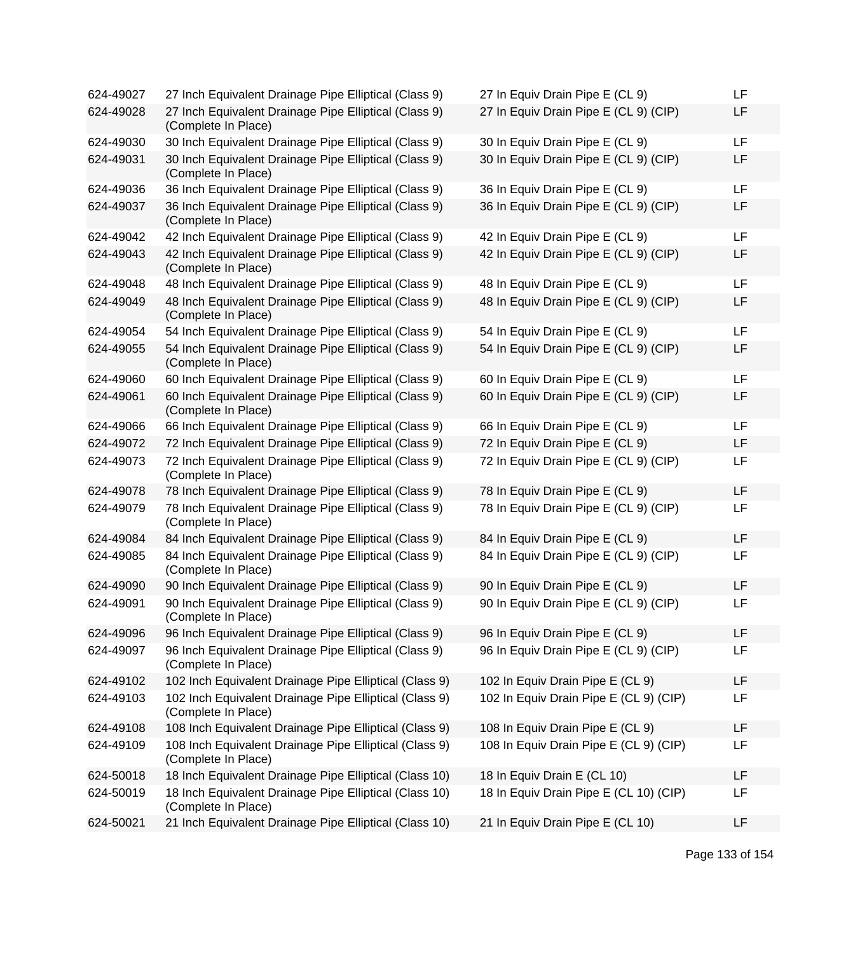| 624-49027 | 27 Inch Equivalent Drainage Pipe Elliptical (Class 9)                         | 27 In Equiv Drain Pipe E (CL 9)        | LF |
|-----------|-------------------------------------------------------------------------------|----------------------------------------|----|
| 624-49028 | 27 Inch Equivalent Drainage Pipe Elliptical (Class 9)<br>(Complete In Place)  | 27 In Equiv Drain Pipe E (CL 9) (CIP)  | LF |
| 624-49030 | 30 Inch Equivalent Drainage Pipe Elliptical (Class 9)                         | 30 In Equiv Drain Pipe E (CL 9)        | LF |
| 624-49031 | 30 Inch Equivalent Drainage Pipe Elliptical (Class 9)<br>(Complete In Place)  | 30 In Equiv Drain Pipe E (CL 9) (CIP)  | LF |
| 624-49036 | 36 Inch Equivalent Drainage Pipe Elliptical (Class 9)                         | 36 In Equiv Drain Pipe E (CL 9)        | LF |
| 624-49037 | 36 Inch Equivalent Drainage Pipe Elliptical (Class 9)<br>(Complete In Place)  | 36 In Equiv Drain Pipe E (CL 9) (CIP)  | LF |
| 624-49042 | 42 Inch Equivalent Drainage Pipe Elliptical (Class 9)                         | 42 In Equiv Drain Pipe E (CL 9)        | LF |
| 624-49043 | 42 Inch Equivalent Drainage Pipe Elliptical (Class 9)<br>(Complete In Place)  | 42 In Equiv Drain Pipe E (CL 9) (CIP)  | LF |
| 624-49048 | 48 Inch Equivalent Drainage Pipe Elliptical (Class 9)                         | 48 In Equiv Drain Pipe E (CL 9)        | LF |
| 624-49049 | 48 Inch Equivalent Drainage Pipe Elliptical (Class 9)<br>(Complete In Place)  | 48 In Equiv Drain Pipe E (CL 9) (CIP)  | LF |
| 624-49054 | 54 Inch Equivalent Drainage Pipe Elliptical (Class 9)                         | 54 In Equiv Drain Pipe E (CL 9)        | LF |
| 624-49055 | 54 Inch Equivalent Drainage Pipe Elliptical (Class 9)<br>(Complete In Place)  | 54 In Equiv Drain Pipe E (CL 9) (CIP)  | LF |
| 624-49060 | 60 Inch Equivalent Drainage Pipe Elliptical (Class 9)                         | 60 In Equiv Drain Pipe E (CL 9)        | LF |
| 624-49061 | 60 Inch Equivalent Drainage Pipe Elliptical (Class 9)<br>(Complete In Place)  | 60 In Equiv Drain Pipe E (CL 9) (CIP)  | LF |
| 624-49066 | 66 Inch Equivalent Drainage Pipe Elliptical (Class 9)                         | 66 In Equiv Drain Pipe E (CL 9)        | LF |
| 624-49072 | 72 Inch Equivalent Drainage Pipe Elliptical (Class 9)                         | 72 In Equiv Drain Pipe E (CL 9)        | LF |
| 624-49073 | 72 Inch Equivalent Drainage Pipe Elliptical (Class 9)<br>(Complete In Place)  | 72 In Equiv Drain Pipe E (CL 9) (CIP)  | LF |
| 624-49078 | 78 Inch Equivalent Drainage Pipe Elliptical (Class 9)                         | 78 In Equiv Drain Pipe E (CL 9)        | LF |
| 624-49079 | 78 Inch Equivalent Drainage Pipe Elliptical (Class 9)<br>(Complete In Place)  | 78 In Equiv Drain Pipe E (CL 9) (CIP)  | LF |
| 624-49084 | 84 Inch Equivalent Drainage Pipe Elliptical (Class 9)                         | 84 In Equiv Drain Pipe E (CL 9)        | LF |
| 624-49085 | 84 Inch Equivalent Drainage Pipe Elliptical (Class 9)<br>(Complete In Place)  | 84 In Equiv Drain Pipe E (CL 9) (CIP)  | LF |
| 624-49090 | 90 Inch Equivalent Drainage Pipe Elliptical (Class 9)                         | 90 In Equiv Drain Pipe E (CL 9)        | LF |
| 624-49091 | 90 Inch Equivalent Drainage Pipe Elliptical (Class 9)<br>(Complete In Place)  | 90 In Equiv Drain Pipe E (CL 9) (CIP)  | LF |
| 624-49096 | 96 Inch Equivalent Drainage Pipe Elliptical (Class 9)                         | 96 In Equiv Drain Pipe E (CL 9)        | LF |
| 624-49097 | 96 Inch Equivalent Drainage Pipe Elliptical (Class 9)<br>(Complete In Place)  | 96 In Equiv Drain Pipe E (CL 9) (CIP)  | LF |
| 624-49102 | 102 Inch Equivalent Drainage Pipe Elliptical (Class 9)                        | 102 In Equiv Drain Pipe E (CL 9)       | LF |
| 624-49103 | 102 Inch Equivalent Drainage Pipe Elliptical (Class 9)<br>(Complete In Place) | 102 In Equiv Drain Pipe E (CL 9) (CIP) | LF |
| 624-49108 | 108 Inch Equivalent Drainage Pipe Elliptical (Class 9)                        | 108 In Equiv Drain Pipe E (CL 9)       | LF |
| 624-49109 | 108 Inch Equivalent Drainage Pipe Elliptical (Class 9)<br>(Complete In Place) | 108 In Equiv Drain Pipe E (CL 9) (CIP) | LF |
| 624-50018 | 18 Inch Equivalent Drainage Pipe Elliptical (Class 10)                        | 18 In Equiv Drain E (CL 10)            | LF |
| 624-50019 | 18 Inch Equivalent Drainage Pipe Elliptical (Class 10)<br>(Complete In Place) | 18 In Equiv Drain Pipe E (CL 10) (CIP) | LF |
| 624-50021 | 21 Inch Equivalent Drainage Pipe Elliptical (Class 10)                        | 21 In Equiv Drain Pipe E (CL 10)       | LF |

| 27 In Equiv Drain Pipe E (CL 9)        | ᄔ  |  |
|----------------------------------------|----|--|
| 27 In Equiv Drain Pipe E (CL 9) (CIP)  | LF |  |
| 30 In Equiv Drain Pipe E (CL 9)        | LF |  |
| 30 In Equiv Drain Pipe E (CL 9) (CIP)  | LF |  |
| 36 In Equiv Drain Pipe E (CL 9)        | LF |  |
| 36 In Equiv Drain Pipe E (CL 9) (CIP)  | LF |  |
| 42 In Equiv Drain Pipe E (CL 9)        | LF |  |
| 42 In Equiv Drain Pipe E (CL 9) (CIP)  | LF |  |
| 48 In Equiv Drain Pipe E (CL 9)        | LF |  |
| 48 In Equiv Drain Pipe E (CL 9) (CIP)  | LF |  |
| 54 In Equiv Drain Pipe E (CL 9)        | LF |  |
| 54 In Equiv Drain Pipe E (CL 9) (CIP)  | LF |  |
| 60 In Equiv Drain Pipe E (CL 9)        | LF |  |
| 60 In Equiv Drain Pipe E (CL 9) (CIP)  | LF |  |
| 66 In Equiv Drain Pipe E (CL 9)        | LF |  |
| 72 In Equiv Drain Pipe E (CL 9)        | LF |  |
| 72 In Equiv Drain Pipe E (CL 9) (CIP)  | LF |  |
| 78 In Equiv Drain Pipe E (CL 9)        | LF |  |
| 78 In Equiv Drain Pipe E (CL 9) (CIP)  | LF |  |
| 84 In Equiv Drain Pipe E (CL 9)        | LF |  |
| 84 In Equiv Drain Pipe E (CL 9) (CIP)  | LF |  |
| 90 In Equiv Drain Pipe E (CL 9)        | LF |  |
| 90 In Equiv Drain Pipe E (CL 9) (CIP)  | LF |  |
| 96 In Equiv Drain Pipe E (CL 9)        | LF |  |
| 96 In Equiv Drain Pipe E (CL 9) (CIP)  | LF |  |
| 102 In Equiv Drain Pipe E (CL 9)       | LF |  |
| 102 In Equiv Drain Pipe E (CL 9) (CIP) | LF |  |
| 108 In Equiv Drain Pipe E (CL 9)       | LF |  |
| 108 In Equiv Drain Pipe E (CL 9) (CIP) | LF |  |
| 18 In Equiv Drain E (CL 10)            | LF |  |
| 18 In Equiv Drain Pipe E (CL 10) (CIP) | LF |  |
| 21 In Equiv Drain Pipe E (CL 10)       | LF |  |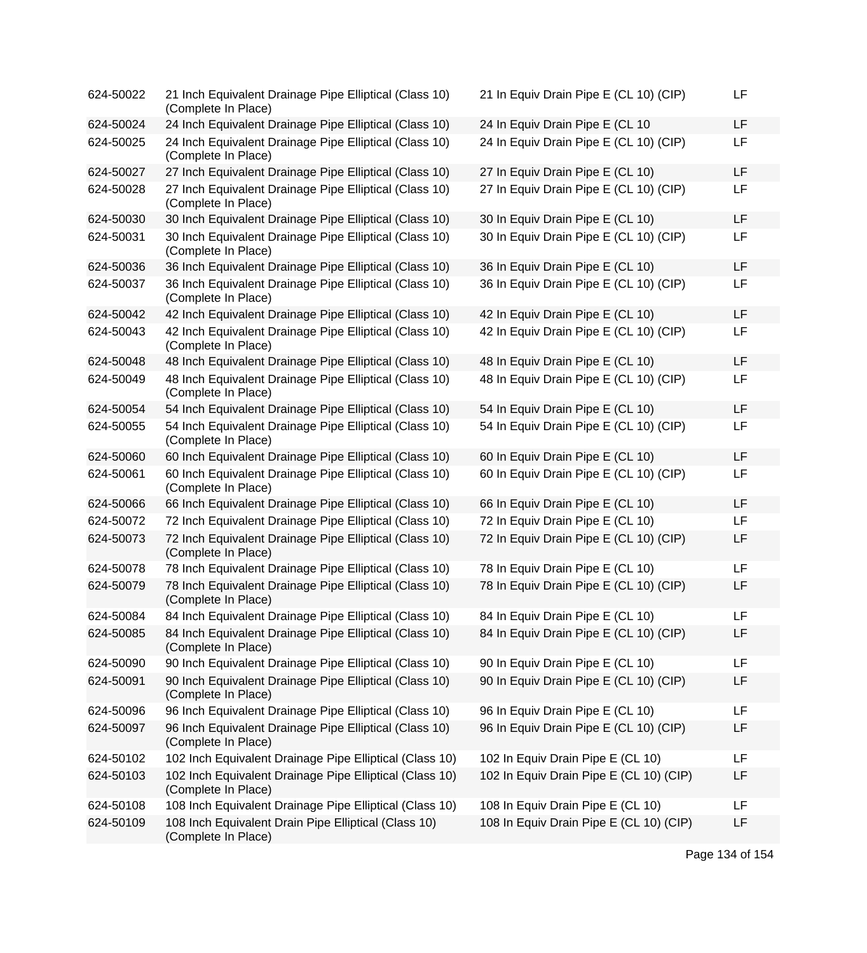| 624-50022 | 21 Inch Equivalent Drainage Pipe Elliptical (Class 10)<br>(Complete In Place)  | 21 In Equiv Drain Pipe E (CL 10) (CIP)  | LF        |
|-----------|--------------------------------------------------------------------------------|-----------------------------------------|-----------|
| 624-50024 | 24 Inch Equivalent Drainage Pipe Elliptical (Class 10)                         | 24 In Equiv Drain Pipe E (CL 10         | LF        |
| 624-50025 | 24 Inch Equivalent Drainage Pipe Elliptical (Class 10)<br>(Complete In Place)  | 24 In Equiv Drain Pipe E (CL 10) (CIP)  | LF        |
| 624-50027 | 27 Inch Equivalent Drainage Pipe Elliptical (Class 10)                         | 27 In Equiv Drain Pipe E (CL 10)        | LF        |
| 624-50028 | 27 Inch Equivalent Drainage Pipe Elliptical (Class 10)<br>(Complete In Place)  | 27 In Equiv Drain Pipe E (CL 10) (CIP)  | LF        |
| 624-50030 | 30 Inch Equivalent Drainage Pipe Elliptical (Class 10)                         | 30 In Equiv Drain Pipe E (CL 10)        | <b>LF</b> |
| 624-50031 | 30 Inch Equivalent Drainage Pipe Elliptical (Class 10)<br>(Complete In Place)  | 30 In Equiv Drain Pipe E (CL 10) (CIP)  | <b>LF</b> |
| 624-50036 | 36 Inch Equivalent Drainage Pipe Elliptical (Class 10)                         | 36 In Equiv Drain Pipe E (CL 10)        | LF        |
| 624-50037 | 36 Inch Equivalent Drainage Pipe Elliptical (Class 10)<br>(Complete In Place)  | 36 In Equiv Drain Pipe E (CL 10) (CIP)  | LF        |
| 624-50042 | 42 Inch Equivalent Drainage Pipe Elliptical (Class 10)                         | 42 In Equiv Drain Pipe E (CL 10)        | <b>LF</b> |
| 624-50043 | 42 Inch Equivalent Drainage Pipe Elliptical (Class 10)<br>(Complete In Place)  | 42 In Equiv Drain Pipe E (CL 10) (CIP)  | LF        |
| 624-50048 | 48 Inch Equivalent Drainage Pipe Elliptical (Class 10)                         | 48 In Equiv Drain Pipe E (CL 10)        | LF        |
| 624-50049 | 48 Inch Equivalent Drainage Pipe Elliptical (Class 10)<br>(Complete In Place)  | 48 In Equiv Drain Pipe E (CL 10) (CIP)  | LF        |
| 624-50054 | 54 Inch Equivalent Drainage Pipe Elliptical (Class 10)                         | 54 In Equiv Drain Pipe E (CL 10)        | LF        |
| 624-50055 | 54 Inch Equivalent Drainage Pipe Elliptical (Class 10)<br>(Complete In Place)  | 54 In Equiv Drain Pipe E (CL 10) (CIP)  | LF        |
| 624-50060 | 60 Inch Equivalent Drainage Pipe Elliptical (Class 10)                         | 60 In Equiv Drain Pipe E (CL 10)        | LF        |
| 624-50061 | 60 Inch Equivalent Drainage Pipe Elliptical (Class 10)<br>(Complete In Place)  | 60 In Equiv Drain Pipe E (CL 10) (CIP)  | LF        |
| 624-50066 | 66 Inch Equivalent Drainage Pipe Elliptical (Class 10)                         | 66 In Equiv Drain Pipe E (CL 10)        | LF        |
| 624-50072 | 72 Inch Equivalent Drainage Pipe Elliptical (Class 10)                         | 72 In Equiv Drain Pipe E (CL 10)        | LF        |
| 624-50073 | 72 Inch Equivalent Drainage Pipe Elliptical (Class 10)<br>(Complete In Place)  | 72 In Equiv Drain Pipe E (CL 10) (CIP)  | LF        |
| 624-50078 | 78 Inch Equivalent Drainage Pipe Elliptical (Class 10)                         | 78 In Equiv Drain Pipe E (CL 10)        | LF        |
| 624-50079 | 78 Inch Equivalent Drainage Pipe Elliptical (Class 10)<br>(Complete In Place)  | 78 In Equiv Drain Pipe E (CL 10) (CIP)  | LF        |
| 624-50084 | 84 Inch Equivalent Drainage Pipe Elliptical (Class 10)                         | 84 In Equiv Drain Pipe E (CL 10)        | LF        |
| 624-50085 | 84 Inch Equivalent Drainage Pipe Elliptical (Class 10)<br>(Complete In Place)  | 84 In Equiv Drain Pipe E (CL 10) (CIP)  | LF        |
| 624-50090 | 90 Inch Equivalent Drainage Pipe Elliptical (Class 10)                         | 90 In Equiv Drain Pipe E (CL 10)        | LF        |
| 624-50091 | 90 Inch Equivalent Drainage Pipe Elliptical (Class 10)<br>(Complete In Place)  | 90 In Equiv Drain Pipe E (CL 10) (CIP)  | LF        |
| 624-50096 | 96 Inch Equivalent Drainage Pipe Elliptical (Class 10)                         | 96 In Equiv Drain Pipe E (CL 10)        | <b>LF</b> |
| 624-50097 | 96 Inch Equivalent Drainage Pipe Elliptical (Class 10)<br>(Complete In Place)  | 96 In Equiv Drain Pipe E (CL 10) (CIP)  | LF        |
| 624-50102 | 102 Inch Equivalent Drainage Pipe Elliptical (Class 10)                        | 102 In Equiv Drain Pipe E (CL 10)       | LF        |
| 624-50103 | 102 Inch Equivalent Drainage Pipe Elliptical (Class 10)<br>(Complete In Place) | 102 In Equiv Drain Pipe E (CL 10) (CIP) | LF        |
| 624-50108 | 108 Inch Equivalent Drainage Pipe Elliptical (Class 10)                        | 108 In Equiv Drain Pipe E (CL 10)       | LF        |
| 624-50109 | 108 Inch Equivalent Drain Pipe Elliptical (Class 10)<br>(Complete In Place)    | 108 In Equiv Drain Pipe E (CL 10) (CIP) | LF        |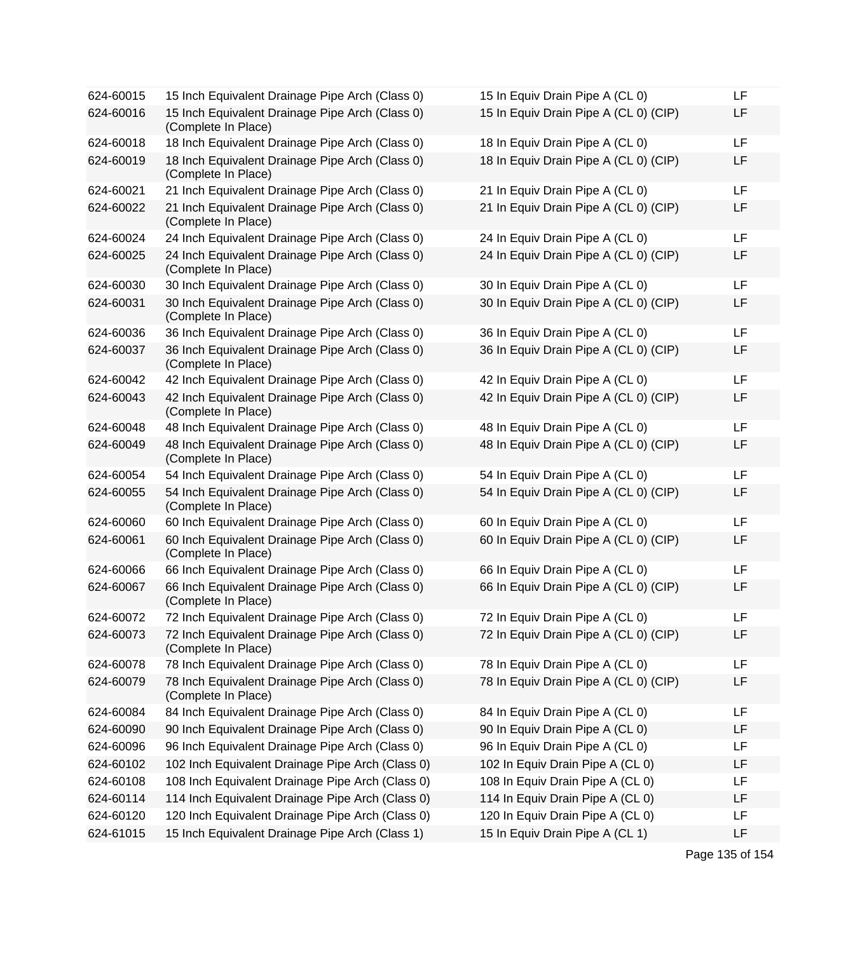| 624-60015 | 15 Inch Equivalent Drainage Pipe Arch (Class 0)                        | 15 In Equiv Drain Pipe A (CL 0)       | LF |
|-----------|------------------------------------------------------------------------|---------------------------------------|----|
| 624-60016 | 15 Inch Equivalent Drainage Pipe Arch (Class 0)<br>(Complete In Place) | 15 In Equiv Drain Pipe A (CL 0) (CIP) | LF |
| 624-60018 | 18 Inch Equivalent Drainage Pipe Arch (Class 0)                        | 18 In Equiv Drain Pipe A (CL 0)       | LF |
| 624-60019 | 18 Inch Equivalent Drainage Pipe Arch (Class 0)<br>(Complete In Place) | 18 In Equiv Drain Pipe A (CL 0) (CIP) | LF |
| 624-60021 | 21 Inch Equivalent Drainage Pipe Arch (Class 0)                        | 21 In Equiv Drain Pipe A (CL 0)       | LF |
| 624-60022 | 21 Inch Equivalent Drainage Pipe Arch (Class 0)<br>(Complete In Place) | 21 In Equiv Drain Pipe A (CL 0) (CIP) | LF |
| 624-60024 | 24 Inch Equivalent Drainage Pipe Arch (Class 0)                        | 24 In Equiv Drain Pipe A (CL 0)       | LF |
| 624-60025 | 24 Inch Equivalent Drainage Pipe Arch (Class 0)<br>(Complete In Place) | 24 In Equiv Drain Pipe A (CL 0) (CIP) | LF |
| 624-60030 | 30 Inch Equivalent Drainage Pipe Arch (Class 0)                        | 30 In Equiv Drain Pipe A (CL 0)       | LF |
| 624-60031 | 30 Inch Equivalent Drainage Pipe Arch (Class 0)<br>(Complete In Place) | 30 In Equiv Drain Pipe A (CL 0) (CIP) | LF |
| 624-60036 | 36 Inch Equivalent Drainage Pipe Arch (Class 0)                        | 36 In Equiv Drain Pipe A (CL 0)       | LF |
| 624-60037 | 36 Inch Equivalent Drainage Pipe Arch (Class 0)<br>(Complete In Place) | 36 In Equiv Drain Pipe A (CL 0) (CIP) | LF |
| 624-60042 | 42 Inch Equivalent Drainage Pipe Arch (Class 0)                        | 42 In Equiv Drain Pipe A (CL 0)       | LF |
| 624-60043 | 42 Inch Equivalent Drainage Pipe Arch (Class 0)<br>(Complete In Place) | 42 In Equiv Drain Pipe A (CL 0) (CIP) | LF |
| 624-60048 | 48 Inch Equivalent Drainage Pipe Arch (Class 0)                        | 48 In Equiv Drain Pipe A (CL 0)       | LF |
| 624-60049 | 48 Inch Equivalent Drainage Pipe Arch (Class 0)<br>(Complete In Place) | 48 In Equiv Drain Pipe A (CL 0) (CIP) | LF |
| 624-60054 | 54 Inch Equivalent Drainage Pipe Arch (Class 0)                        | 54 In Equiv Drain Pipe A (CL 0)       | LF |
| 624-60055 | 54 Inch Equivalent Drainage Pipe Arch (Class 0)<br>(Complete In Place) | 54 In Equiv Drain Pipe A (CL 0) (CIP) | LF |
| 624-60060 | 60 Inch Equivalent Drainage Pipe Arch (Class 0)                        | 60 In Equiv Drain Pipe A (CL 0)       | LF |
| 624-60061 | 60 Inch Equivalent Drainage Pipe Arch (Class 0)<br>(Complete In Place) | 60 In Equiv Drain Pipe A (CL 0) (CIP) | LF |
| 624-60066 | 66 Inch Equivalent Drainage Pipe Arch (Class 0)                        | 66 In Equiv Drain Pipe A (CL 0)       | LF |
| 624-60067 | 66 Inch Equivalent Drainage Pipe Arch (Class 0)<br>(Complete In Place) | 66 In Equiv Drain Pipe A (CL 0) (CIP) | LF |
| 624-60072 | 72 Inch Equivalent Drainage Pipe Arch (Class 0)                        | 72 In Equiv Drain Pipe A (CL 0)       | LF |
| 624-60073 | 72 Inch Equivalent Drainage Pipe Arch (Class 0)<br>(Complete In Place) | 72 In Equiv Drain Pipe A (CL 0) (CIP) | LF |
| 624-60078 | 78 Inch Equivalent Drainage Pipe Arch (Class 0)                        | 78 In Equiv Drain Pipe A (CL 0)       | LF |
| 624-60079 | 78 Inch Equivalent Drainage Pipe Arch (Class 0)<br>(Complete In Place) | 78 In Equiv Drain Pipe A (CL 0) (CIP) | LF |
| 624-60084 | 84 Inch Equivalent Drainage Pipe Arch (Class 0)                        | 84 In Equiv Drain Pipe A (CL 0)       | LF |
| 624-60090 | 90 Inch Equivalent Drainage Pipe Arch (Class 0)                        | 90 In Equiv Drain Pipe A (CL 0)       | LF |
| 624-60096 | 96 Inch Equivalent Drainage Pipe Arch (Class 0)                        | 96 In Equiv Drain Pipe A (CL 0)       | LF |
| 624-60102 | 102 Inch Equivalent Drainage Pipe Arch (Class 0)                       | 102 In Equiv Drain Pipe A (CL 0)      | LF |
| 624-60108 | 108 Inch Equivalent Drainage Pipe Arch (Class 0)                       | 108 In Equiv Drain Pipe A (CL 0)      | LF |
| 624-60114 | 114 Inch Equivalent Drainage Pipe Arch (Class 0)                       | 114 In Equiv Drain Pipe A (CL 0)      | LF |
| 624-60120 | 120 Inch Equivalent Drainage Pipe Arch (Class 0)                       | 120 In Equiv Drain Pipe A (CL 0)      | LF |
| 624-61015 | 15 Inch Equivalent Drainage Pipe Arch (Class 1)                        | 15 In Equiv Drain Pipe A (CL 1)       | LF |

| 15 In Equiv Drain Pipe A (CL 0)       |  | LF |
|---------------------------------------|--|----|
| 15 In Equiv Drain Pipe A (CL 0) (CIP) |  | LF |
| 18 In Equiv Drain Pipe A (CL 0)       |  | LF |
| 18 In Equiv Drain Pipe A (CL 0) (CIP) |  | LF |
| 21 In Equiv Drain Pipe A (CL 0)       |  | LF |
| 21 In Equiv Drain Pipe A (CL 0) (CIP) |  | LF |
| 24 In Equiv Drain Pipe A (CL 0)       |  | LF |
| 24 In Equiv Drain Pipe A (CL 0) (CIP) |  | LF |
| 30 In Equiv Drain Pipe A (CL 0)       |  | LF |
| 30 In Equiv Drain Pipe A (CL 0) (CIP) |  | LF |
| 36 In Equiv Drain Pipe A (CL 0)       |  | LF |
| 36 In Equiv Drain Pipe A (CL 0) (CIP) |  | LF |
| 42 In Equiv Drain Pipe A (CL 0)       |  | LF |
| 42 In Equiv Drain Pipe A (CL 0) (CIP) |  | LF |
| 48 In Equiv Drain Pipe A (CL 0)       |  | LF |
| 48 In Equiv Drain Pipe A (CL 0) (CIP) |  | LF |
| 54 In Equiv Drain Pipe A (CL 0)       |  | LF |
| 54 In Equiv Drain Pipe A (CL 0) (CIP) |  | LF |
| 60 In Equiv Drain Pipe A (CL 0)       |  | LF |
| 60 In Equiv Drain Pipe A (CL 0) (CIP) |  | LF |
| 66 In Equiv Drain Pipe A (CL 0)       |  | LF |
| 66 In Equiv Drain Pipe A (CL 0) (CIP) |  | LF |
| 72 In Equiv Drain Pipe A (CL 0)       |  | LF |
| 72 In Equiv Drain Pipe A (CL 0) (CIP) |  | LF |
| 78 In Equiv Drain Pipe A (CL 0)       |  | LF |
| 78 In Equiv Drain Pipe A (CL 0) (CIP) |  | LF |
| 84 In Equiv Drain Pipe A (CL 0)       |  | LF |
| 90 In Equiv Drain Pipe A (CL 0)       |  | LF |
| 96 In Equiv Drain Pipe A (CL 0)       |  | LF |
| 102 In Equiv Drain Pipe A (CL 0)      |  | LF |
| 108 In Equiv Drain Pipe A (CL 0)      |  | LF |
| 114 In Equiv Drain Pipe A (CL 0)      |  | LF |
| 120 In Equiv Drain Pipe A (CL 0)      |  | LF |
| 15 In Equiv Drain Pipe A (CL 1)       |  | LF |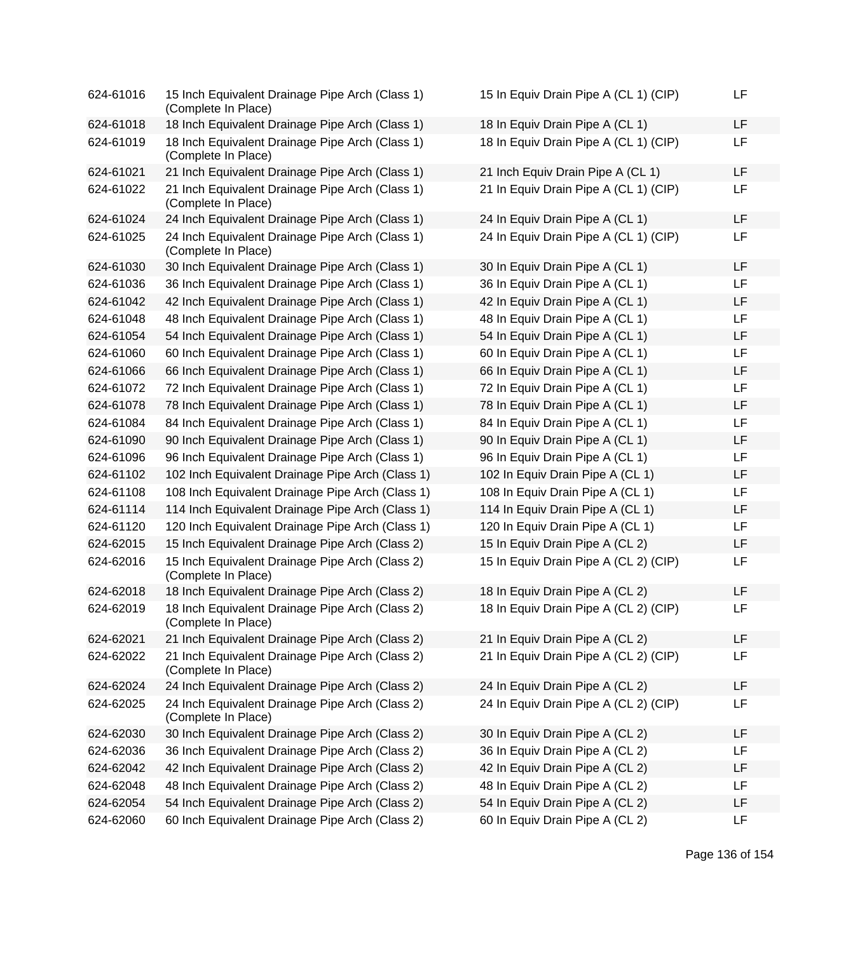| 624-61016 | 15 Inch Equivalent Drainage Pipe Arch (Class 1)<br>(Complete In Place) | 15 In Equiv Drain Pipe A (CL 1) (CIP) | LF |
|-----------|------------------------------------------------------------------------|---------------------------------------|----|
| 624-61018 | 18 Inch Equivalent Drainage Pipe Arch (Class 1)                        | 18 In Equiv Drain Pipe A (CL 1)       | LF |
| 624-61019 | 18 Inch Equivalent Drainage Pipe Arch (Class 1)<br>(Complete In Place) | 18 In Equiv Drain Pipe A (CL 1) (CIP) | LF |
| 624-61021 | 21 Inch Equivalent Drainage Pipe Arch (Class 1)                        | 21 Inch Equiv Drain Pipe A (CL 1)     | LF |
| 624-61022 | 21 Inch Equivalent Drainage Pipe Arch (Class 1)<br>(Complete In Place) | 21 In Equiv Drain Pipe A (CL 1) (CIP) | LF |
| 624-61024 | 24 Inch Equivalent Drainage Pipe Arch (Class 1)                        | 24 In Equiv Drain Pipe A (CL 1)       | LF |
| 624-61025 | 24 Inch Equivalent Drainage Pipe Arch (Class 1)<br>(Complete In Place) | 24 In Equiv Drain Pipe A (CL 1) (CIP) | LF |
| 624-61030 | 30 Inch Equivalent Drainage Pipe Arch (Class 1)                        | 30 In Equiv Drain Pipe A (CL 1)       | LF |
| 624-61036 | 36 Inch Equivalent Drainage Pipe Arch (Class 1)                        | 36 In Equiv Drain Pipe A (CL 1)       | LF |
| 624-61042 | 42 Inch Equivalent Drainage Pipe Arch (Class 1)                        | 42 In Equiv Drain Pipe A (CL 1)       | LF |
| 624-61048 | 48 Inch Equivalent Drainage Pipe Arch (Class 1)                        | 48 In Equiv Drain Pipe A (CL 1)       | LF |
| 624-61054 | 54 Inch Equivalent Drainage Pipe Arch (Class 1)                        | 54 In Equiv Drain Pipe A (CL 1)       | LF |
| 624-61060 | 60 Inch Equivalent Drainage Pipe Arch (Class 1)                        | 60 In Equiv Drain Pipe A (CL 1)       | LF |
| 624-61066 | 66 Inch Equivalent Drainage Pipe Arch (Class 1)                        | 66 In Equiv Drain Pipe A (CL 1)       | LF |
| 624-61072 | 72 Inch Equivalent Drainage Pipe Arch (Class 1)                        | 72 In Equiv Drain Pipe A (CL 1)       | LF |
| 624-61078 | 78 Inch Equivalent Drainage Pipe Arch (Class 1)                        | 78 In Equiv Drain Pipe A (CL 1)       | LF |
| 624-61084 | 84 Inch Equivalent Drainage Pipe Arch (Class 1)                        | 84 In Equiv Drain Pipe A (CL 1)       | LF |
| 624-61090 | 90 Inch Equivalent Drainage Pipe Arch (Class 1)                        | 90 In Equiv Drain Pipe A (CL 1)       | LF |
| 624-61096 | 96 Inch Equivalent Drainage Pipe Arch (Class 1)                        | 96 In Equiv Drain Pipe A (CL 1)       | LF |
| 624-61102 | 102 Inch Equivalent Drainage Pipe Arch (Class 1)                       | 102 In Equiv Drain Pipe A (CL 1)      | LF |
| 624-61108 | 108 Inch Equivalent Drainage Pipe Arch (Class 1)                       | 108 In Equiv Drain Pipe A (CL 1)      | LF |
| 624-61114 | 114 Inch Equivalent Drainage Pipe Arch (Class 1)                       | 114 In Equiv Drain Pipe A (CL 1)      | LF |
| 624-61120 | 120 Inch Equivalent Drainage Pipe Arch (Class 1)                       | 120 In Equiv Drain Pipe A (CL 1)      | LF |
| 624-62015 | 15 Inch Equivalent Drainage Pipe Arch (Class 2)                        | 15 In Equiv Drain Pipe A (CL 2)       | LF |
| 624-62016 | 15 Inch Equivalent Drainage Pipe Arch (Class 2)<br>(Complete In Place) | 15 In Equiv Drain Pipe A (CL 2) (CIP) | LF |
| 624-62018 | 18 Inch Equivalent Drainage Pipe Arch (Class 2)                        | 18 In Equiv Drain Pipe A (CL 2)       | LF |
| 624-62019 | 18 Inch Equivalent Drainage Pipe Arch (Class 2)<br>(Complete In Place) | 18 In Equiv Drain Pipe A (CL 2) (CIP) | LF |
| 624-62021 | 21 Inch Equivalent Drainage Pipe Arch (Class 2)                        | 21 In Equiv Drain Pipe A (CL 2)       | LF |
| 624-62022 | 21 Inch Equivalent Drainage Pipe Arch (Class 2)<br>(Complete In Place) | 21 In Equiv Drain Pipe A (CL 2) (CIP) | LF |
| 624-62024 | 24 Inch Equivalent Drainage Pipe Arch (Class 2)                        | 24 In Equiv Drain Pipe A (CL 2)       | LF |
| 624-62025 | 24 Inch Equivalent Drainage Pipe Arch (Class 2)<br>(Complete In Place) | 24 In Equiv Drain Pipe A (CL 2) (CIP) | LF |
| 624-62030 | 30 Inch Equivalent Drainage Pipe Arch (Class 2)                        | 30 In Equiv Drain Pipe A (CL 2)       | LF |
| 624-62036 | 36 Inch Equivalent Drainage Pipe Arch (Class 2)                        | 36 In Equiv Drain Pipe A (CL 2)       | LF |
| 624-62042 | 42 Inch Equivalent Drainage Pipe Arch (Class 2)                        | 42 In Equiv Drain Pipe A (CL 2)       | LF |
| 624-62048 | 48 Inch Equivalent Drainage Pipe Arch (Class 2)                        | 48 In Equiv Drain Pipe A (CL 2)       | LF |
| 624-62054 | 54 Inch Equivalent Drainage Pipe Arch (Class 2)                        | 54 In Equiv Drain Pipe A (CL 2)       | LF |
| 624-62060 | 60 Inch Equivalent Drainage Pipe Arch (Class 2)                        | 60 In Equiv Drain Pipe A (CL 2)       | LF |

| 15 In Equiv Drain Pipe A (CL 1) (CIP) | LF |
|---------------------------------------|----|
| 18 In Equiv Drain Pipe A (CL 1)       | LF |
| 18 In Equiv Drain Pipe A (CL 1) (CIP) | LF |
| 21 Inch Equiv Drain Pipe A (CL 1)     | LF |
| 21 In Equiv Drain Pipe A (CL 1) (CIP) | LF |
| 24 In Equiv Drain Pipe A (CL 1)       | LF |
| 24 In Equiv Drain Pipe A (CL 1) (CIP) | LF |
| 30 In Equiv Drain Pipe A (CL 1)       | LF |
| 36 In Equiv Drain Pipe A (CL 1)       | LF |
| 42 In Equiv Drain Pipe A (CL 1)       | LF |
| 48 In Equiv Drain Pipe A (CL 1)       | LF |
| 54 In Equiv Drain Pipe A (CL 1)       | LF |
| 60 In Equiv Drain Pipe A (CL 1)       | LF |
| 66 In Equiv Drain Pipe A (CL 1)       | LF |
| 72 In Equiv Drain Pipe A (CL 1)       | LF |
| 78 In Equiv Drain Pipe A (CL 1)       | LF |
| 84 In Equiv Drain Pipe A (CL 1)       | LF |
| 90 In Equiv Drain Pipe A (CL 1)       | LF |
| 96 In Equiv Drain Pipe A (CL 1)       | LF |
| 102 In Equiv Drain Pipe A (CL 1)      | LF |
| 108 In Equiv Drain Pipe A (CL 1)      | LF |
| 114 In Equiv Drain Pipe A (CL 1)      | LF |
| 120 In Equiv Drain Pipe A (CL 1)      | LF |
| 15 In Equiv Drain Pipe A (CL 2)       | LF |
| 15 In Equiv Drain Pipe A (CL 2) (CIP) | LF |
| 18 In Equiv Drain Pipe A (CL 2)       | LF |
| 18 In Equiv Drain Pipe A (CL 2) (CIP) | LF |
| 21 In Equiv Drain Pipe A (CL 2)       | LF |
| 21 In Equiv Drain Pipe A (CL 2) (CIP) | LF |
| 24 In Equiv Drain Pipe A (CL 2)       | LF |
| 24 In Equiv Drain Pipe A (CL 2) (CIP) | LF |
| 30 In Equiv Drain Pipe A (CL 2)       | LF |
| 36 In Equiv Drain Pipe A (CL 2)       | LF |
| 42 In Equiv Drain Pipe A (CL 2)       | LF |
| 48 In Equiv Drain Pipe A (CL 2)       | LF |
| 54 In Equiv Drain Pipe A (CL 2)       | LF |
| 60 In Equiv Drain Pipe A (CL 2)       | LF |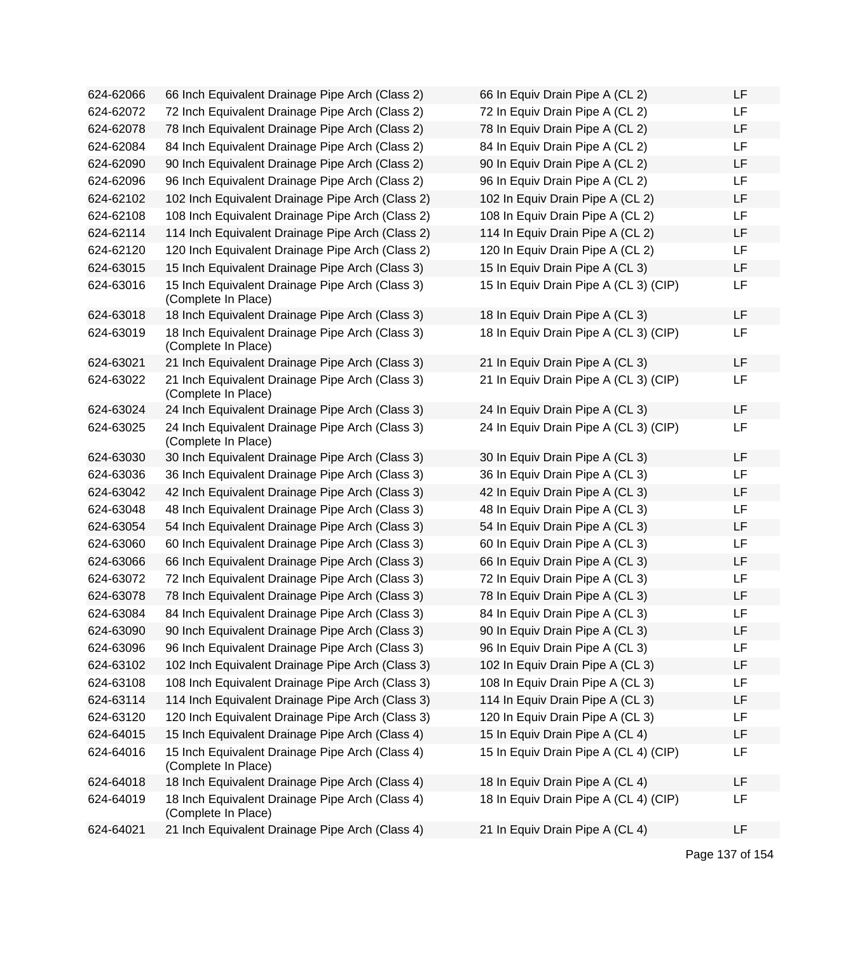| 624-62066 | 66 Inch Equivalent Drainage Pipe Arch (Class 2)                        | 66 In Equiv Drain Pipe A (CL 2)       | LF |
|-----------|------------------------------------------------------------------------|---------------------------------------|----|
| 624-62072 | 72 Inch Equivalent Drainage Pipe Arch (Class 2)                        | 72 In Equiv Drain Pipe A (CL 2)       | LF |
| 624-62078 | 78 Inch Equivalent Drainage Pipe Arch (Class 2)                        | 78 In Equiv Drain Pipe A (CL 2)       | LF |
| 624-62084 | 84 Inch Equivalent Drainage Pipe Arch (Class 2)                        | 84 In Equiv Drain Pipe A (CL 2)       | LF |
| 624-62090 | 90 Inch Equivalent Drainage Pipe Arch (Class 2)                        | 90 In Equiv Drain Pipe A (CL 2)       | LF |
| 624-62096 | 96 Inch Equivalent Drainage Pipe Arch (Class 2)                        | 96 In Equiv Drain Pipe A (CL 2)       | LF |
| 624-62102 | 102 Inch Equivalent Drainage Pipe Arch (Class 2)                       | 102 In Equiv Drain Pipe A (CL 2)      | LF |
| 624-62108 | 108 Inch Equivalent Drainage Pipe Arch (Class 2)                       | 108 In Equiv Drain Pipe A (CL 2)      | LF |
| 624-62114 | 114 Inch Equivalent Drainage Pipe Arch (Class 2)                       | 114 In Equiv Drain Pipe A (CL 2)      | LF |
| 624-62120 | 120 Inch Equivalent Drainage Pipe Arch (Class 2)                       | 120 In Equiv Drain Pipe A (CL 2)      | LF |
| 624-63015 | 15 Inch Equivalent Drainage Pipe Arch (Class 3)                        | 15 In Equiv Drain Pipe A (CL 3)       | LF |
| 624-63016 | 15 Inch Equivalent Drainage Pipe Arch (Class 3)<br>(Complete In Place) | 15 In Equiv Drain Pipe A (CL 3) (CIP) | LF |
| 624-63018 | 18 Inch Equivalent Drainage Pipe Arch (Class 3)                        | 18 In Equiv Drain Pipe A (CL 3)       | LF |
| 624-63019 | 18 Inch Equivalent Drainage Pipe Arch (Class 3)<br>(Complete In Place) | 18 In Equiv Drain Pipe A (CL 3) (CIP) | LF |
| 624-63021 | 21 Inch Equivalent Drainage Pipe Arch (Class 3)                        | 21 In Equiv Drain Pipe A (CL 3)       | LF |
| 624-63022 | 21 Inch Equivalent Drainage Pipe Arch (Class 3)<br>(Complete In Place) | 21 In Equiv Drain Pipe A (CL 3) (CIP) | LF |
| 624-63024 | 24 Inch Equivalent Drainage Pipe Arch (Class 3)                        | 24 In Equiv Drain Pipe A (CL 3)       | LF |
| 624-63025 | 24 Inch Equivalent Drainage Pipe Arch (Class 3)<br>(Complete In Place) | 24 In Equiv Drain Pipe A (CL 3) (CIP) | LF |
| 624-63030 | 30 Inch Equivalent Drainage Pipe Arch (Class 3)                        | 30 In Equiv Drain Pipe A (CL 3)       | LF |
| 624-63036 | 36 Inch Equivalent Drainage Pipe Arch (Class 3)                        | 36 In Equiv Drain Pipe A (CL 3)       | LF |
| 624-63042 | 42 Inch Equivalent Drainage Pipe Arch (Class 3)                        | 42 In Equiv Drain Pipe A (CL 3)       | LF |
| 624-63048 | 48 Inch Equivalent Drainage Pipe Arch (Class 3)                        | 48 In Equiv Drain Pipe A (CL 3)       | LF |
| 624-63054 | 54 Inch Equivalent Drainage Pipe Arch (Class 3)                        | 54 In Equiv Drain Pipe A (CL 3)       | LF |
| 624-63060 | 60 Inch Equivalent Drainage Pipe Arch (Class 3)                        | 60 In Equiv Drain Pipe A (CL 3)       | LF |
| 624-63066 | 66 Inch Equivalent Drainage Pipe Arch (Class 3)                        | 66 In Equiv Drain Pipe A (CL 3)       | LF |
| 624-63072 | 72 Inch Equivalent Drainage Pipe Arch (Class 3)                        | 72 In Equiv Drain Pipe A (CL 3)       | LF |
| 624-63078 | 78 Inch Equivalent Drainage Pipe Arch (Class 3)                        | 78 In Equiv Drain Pipe A (CL 3)       | LF |
| 624-63084 | 84 Inch Equivalent Drainage Pipe Arch (Class 3)                        | 84 In Equiv Drain Pipe A (CL 3)       | LF |
| 624-63090 | 90 Inch Equivalent Drainage Pipe Arch (Class 3)                        | 90 In Equiv Drain Pipe A (CL 3)       | LF |
| 624-63096 | 96 Inch Equivalent Drainage Pipe Arch (Class 3)                        | 96 In Equiv Drain Pipe A (CL 3)       | LF |
| 624-63102 | 102 Inch Equivalent Drainage Pipe Arch (Class 3)                       | 102 In Equiv Drain Pipe A (CL 3)      | LF |
| 624-63108 | 108 Inch Equivalent Drainage Pipe Arch (Class 3)                       | 108 In Equiv Drain Pipe A (CL 3)      | LF |
| 624-63114 | 114 Inch Equivalent Drainage Pipe Arch (Class 3)                       | 114 In Equiv Drain Pipe A (CL 3)      | LF |
| 624-63120 | 120 Inch Equivalent Drainage Pipe Arch (Class 3)                       | 120 In Equiv Drain Pipe A (CL 3)      | LF |
| 624-64015 | 15 Inch Equivalent Drainage Pipe Arch (Class 4)                        | 15 In Equiv Drain Pipe A (CL 4)       | LF |
| 624-64016 | 15 Inch Equivalent Drainage Pipe Arch (Class 4)<br>(Complete In Place) | 15 In Equiv Drain Pipe A (CL 4) (CIP) | LF |
| 624-64018 | 18 Inch Equivalent Drainage Pipe Arch (Class 4)                        | 18 In Equiv Drain Pipe A (CL 4)       | LF |
| 624-64019 | 18 Inch Equivalent Drainage Pipe Arch (Class 4)<br>(Complete In Place) | 18 In Equiv Drain Pipe A (CL 4) (CIP) | LF |
| 624-64021 | 21 Inch Equivalent Drainage Pipe Arch (Class 4)                        | 21 In Equiv Drain Pipe A (CL 4)       | LF |
|           |                                                                        |                                       |    |

Page 137 of 154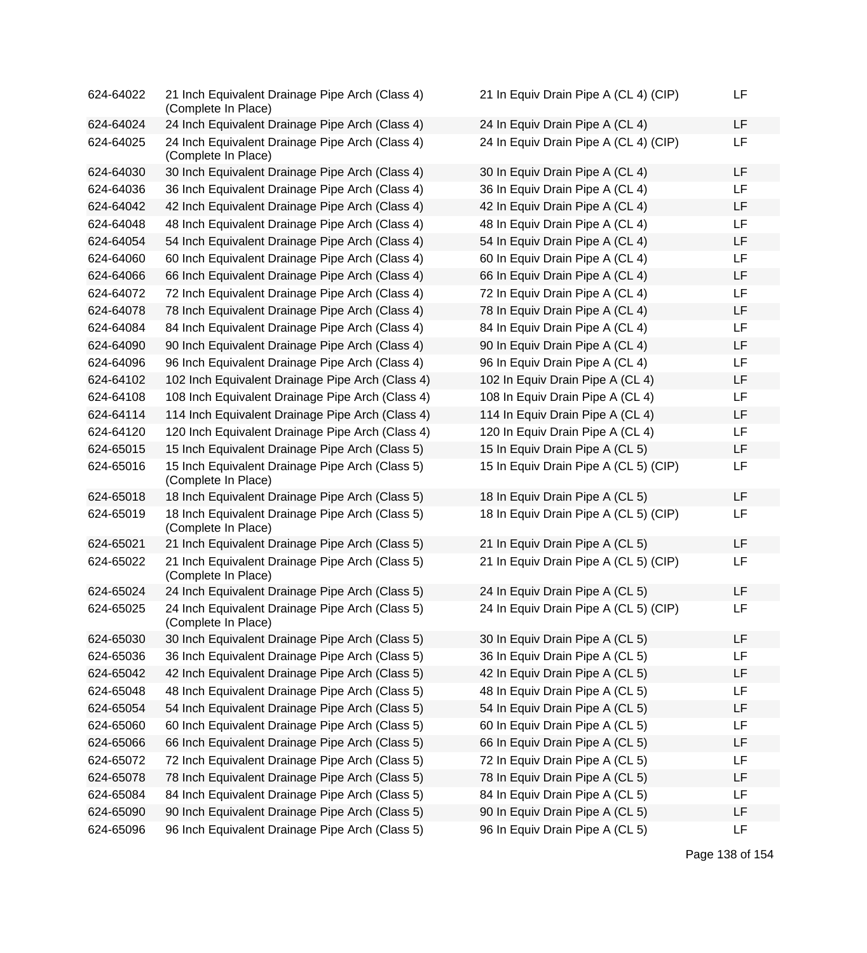| 624-64022 | 21 Inch Equivalent Drainage Pipe Arch (Class 4)<br>(Complete In Place) | 21 In Equiv Drain Pipe A (CL 4) (CIP) | LF |
|-----------|------------------------------------------------------------------------|---------------------------------------|----|
| 624-64024 | 24 Inch Equivalent Drainage Pipe Arch (Class 4)                        | 24 In Equiv Drain Pipe A (CL 4)       | LF |
| 624-64025 | 24 Inch Equivalent Drainage Pipe Arch (Class 4)<br>(Complete In Place) | 24 In Equiv Drain Pipe A (CL 4) (CIP) | LF |
| 624-64030 | 30 Inch Equivalent Drainage Pipe Arch (Class 4)                        | 30 In Equiv Drain Pipe A (CL 4)       | LF |
| 624-64036 | 36 Inch Equivalent Drainage Pipe Arch (Class 4)                        | 36 In Equiv Drain Pipe A (CL 4)       | LF |
| 624-64042 | 42 Inch Equivalent Drainage Pipe Arch (Class 4)                        | 42 In Equiv Drain Pipe A (CL 4)       | LF |
| 624-64048 | 48 Inch Equivalent Drainage Pipe Arch (Class 4)                        | 48 In Equiv Drain Pipe A (CL 4)       | LF |
| 624-64054 | 54 Inch Equivalent Drainage Pipe Arch (Class 4)                        | 54 In Equiv Drain Pipe A (CL 4)       | LF |
| 624-64060 | 60 Inch Equivalent Drainage Pipe Arch (Class 4)                        | 60 In Equiv Drain Pipe A (CL 4)       | LF |
| 624-64066 | 66 Inch Equivalent Drainage Pipe Arch (Class 4)                        | 66 In Equiv Drain Pipe A (CL 4)       | LF |
| 624-64072 | 72 Inch Equivalent Drainage Pipe Arch (Class 4)                        | 72 In Equiv Drain Pipe A (CL 4)       | LF |
| 624-64078 | 78 Inch Equivalent Drainage Pipe Arch (Class 4)                        | 78 In Equiv Drain Pipe A (CL 4)       | LF |
| 624-64084 | 84 Inch Equivalent Drainage Pipe Arch (Class 4)                        | 84 In Equiv Drain Pipe A (CL 4)       | LF |
| 624-64090 | 90 Inch Equivalent Drainage Pipe Arch (Class 4)                        | 90 In Equiv Drain Pipe A (CL 4)       | LF |
| 624-64096 | 96 Inch Equivalent Drainage Pipe Arch (Class 4)                        | 96 In Equiv Drain Pipe A (CL 4)       | LF |
| 624-64102 | 102 Inch Equivalent Drainage Pipe Arch (Class 4)                       | 102 In Equiv Drain Pipe A (CL 4)      | LF |
| 624-64108 | 108 Inch Equivalent Drainage Pipe Arch (Class 4)                       | 108 In Equiv Drain Pipe A (CL 4)      | LF |
| 624-64114 | 114 Inch Equivalent Drainage Pipe Arch (Class 4)                       | 114 In Equiv Drain Pipe A (CL 4)      | LF |
| 624-64120 | 120 Inch Equivalent Drainage Pipe Arch (Class 4)                       | 120 In Equiv Drain Pipe A (CL 4)      | LF |
| 624-65015 | 15 Inch Equivalent Drainage Pipe Arch (Class 5)                        | 15 In Equiv Drain Pipe A (CL 5)       | LF |
| 624-65016 | 15 Inch Equivalent Drainage Pipe Arch (Class 5)<br>(Complete In Place) | 15 In Equiv Drain Pipe A (CL 5) (CIP) | LF |
| 624-65018 | 18 Inch Equivalent Drainage Pipe Arch (Class 5)                        | 18 In Equiv Drain Pipe A (CL 5)       | LF |
| 624-65019 | 18 Inch Equivalent Drainage Pipe Arch (Class 5)<br>(Complete In Place) | 18 In Equiv Drain Pipe A (CL 5) (CIP) | LF |
| 624-65021 | 21 Inch Equivalent Drainage Pipe Arch (Class 5)                        | 21 In Equiv Drain Pipe A (CL 5)       | LF |
| 624-65022 | 21 Inch Equivalent Drainage Pipe Arch (Class 5)<br>(Complete In Place) | 21 In Equiv Drain Pipe A (CL 5) (CIP) | LF |
| 624-65024 | 24 Inch Equivalent Drainage Pipe Arch (Class 5)                        | 24 In Equiv Drain Pipe A (CL 5)       | LF |
| 624-65025 | 24 Inch Equivalent Drainage Pipe Arch (Class 5)<br>(Complete In Place) | 24 In Equiv Drain Pipe A (CL 5) (CIP) | LF |
| 624-65030 | 30 Inch Equivalent Drainage Pipe Arch (Class 5)                        | 30 In Equiv Drain Pipe A (CL 5)       | LF |
| 624-65036 | 36 Inch Equivalent Drainage Pipe Arch (Class 5)                        | 36 In Equiv Drain Pipe A (CL 5)       | LF |
| 624-65042 | 42 Inch Equivalent Drainage Pipe Arch (Class 5)                        | 42 In Equiv Drain Pipe A (CL 5)       | LF |
| 624-65048 | 48 Inch Equivalent Drainage Pipe Arch (Class 5)                        | 48 In Equiv Drain Pipe A (CL 5)       | LF |
| 624-65054 | 54 Inch Equivalent Drainage Pipe Arch (Class 5)                        | 54 In Equiv Drain Pipe A (CL 5)       | LF |
| 624-65060 | 60 Inch Equivalent Drainage Pipe Arch (Class 5)                        | 60 In Equiv Drain Pipe A (CL 5)       | LF |
| 624-65066 | 66 Inch Equivalent Drainage Pipe Arch (Class 5)                        | 66 In Equiv Drain Pipe A (CL 5)       | LF |
| 624-65072 | 72 Inch Equivalent Drainage Pipe Arch (Class 5)                        | 72 In Equiv Drain Pipe A (CL 5)       | LF |
| 624-65078 | 78 Inch Equivalent Drainage Pipe Arch (Class 5)                        | 78 In Equiv Drain Pipe A (CL 5)       | LF |
| 624-65084 | 84 Inch Equivalent Drainage Pipe Arch (Class 5)                        | 84 In Equiv Drain Pipe A (CL 5)       | LF |
| 624-65090 | 90 Inch Equivalent Drainage Pipe Arch (Class 5)                        | 90 In Equiv Drain Pipe A (CL 5)       | LF |
| 624-65096 | 96 Inch Equivalent Drainage Pipe Arch (Class 5)                        | 96 In Equiv Drain Pipe A (CL 5)       | LF |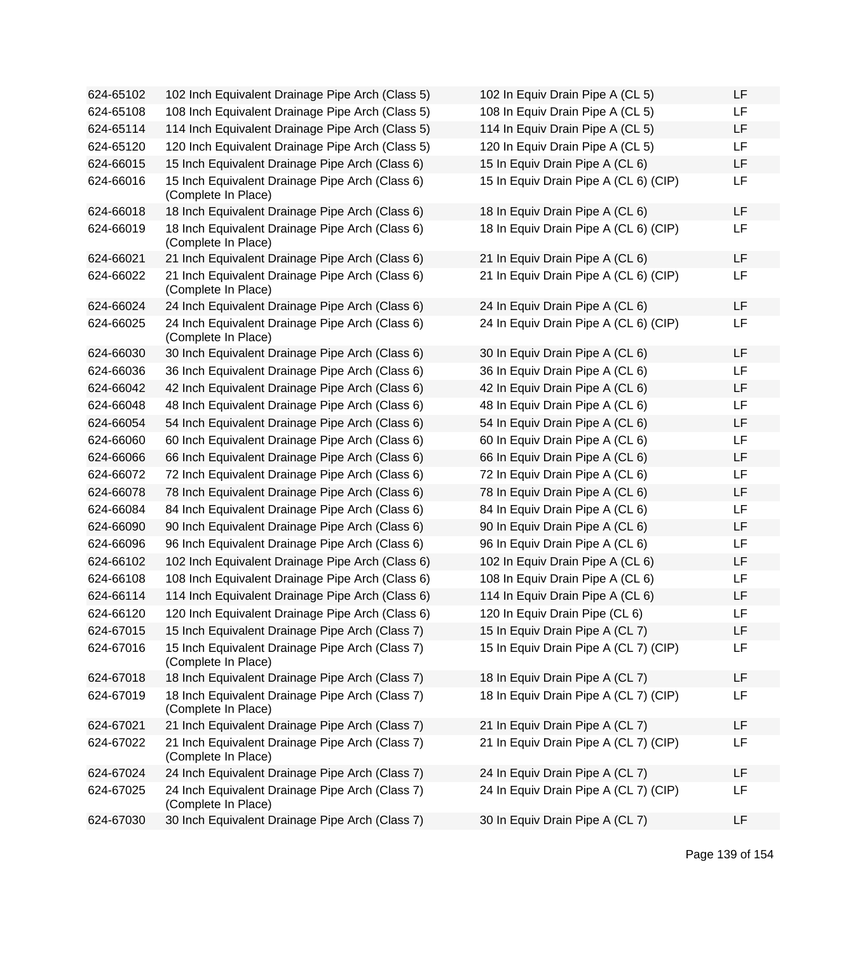| 624-65102 | 102 Inch Equivalent Drainage Pipe Arch (Class 5)                       | 102 In Equiv Drain Pipe A (CL 5)      | LF |
|-----------|------------------------------------------------------------------------|---------------------------------------|----|
| 624-65108 | 108 Inch Equivalent Drainage Pipe Arch (Class 5)                       | 108 In Equiv Drain Pipe A (CL 5)      | LF |
| 624-65114 | 114 Inch Equivalent Drainage Pipe Arch (Class 5)                       | 114 In Equiv Drain Pipe A (CL 5)      | LF |
| 624-65120 | 120 Inch Equivalent Drainage Pipe Arch (Class 5)                       | 120 In Equiv Drain Pipe A (CL 5)      | LF |
| 624-66015 | 15 Inch Equivalent Drainage Pipe Arch (Class 6)                        | 15 In Equiv Drain Pipe A (CL 6)       | LF |
| 624-66016 | 15 Inch Equivalent Drainage Pipe Arch (Class 6)<br>(Complete In Place) | 15 In Equiv Drain Pipe A (CL 6) (CIP) | LF |
| 624-66018 | 18 Inch Equivalent Drainage Pipe Arch (Class 6)                        | 18 In Equiv Drain Pipe A (CL 6)       | LF |
| 624-66019 | 18 Inch Equivalent Drainage Pipe Arch (Class 6)<br>(Complete In Place) | 18 In Equiv Drain Pipe A (CL 6) (CIP) | LF |
| 624-66021 | 21 Inch Equivalent Drainage Pipe Arch (Class 6)                        | 21 In Equiv Drain Pipe A (CL 6)       | LF |
| 624-66022 | 21 Inch Equivalent Drainage Pipe Arch (Class 6)<br>(Complete In Place) | 21 In Equiv Drain Pipe A (CL 6) (CIP) | LF |
| 624-66024 | 24 Inch Equivalent Drainage Pipe Arch (Class 6)                        | 24 In Equiv Drain Pipe A (CL 6)       | LF |
| 624-66025 | 24 Inch Equivalent Drainage Pipe Arch (Class 6)<br>(Complete In Place) | 24 In Equiv Drain Pipe A (CL 6) (CIP) | LF |
| 624-66030 | 30 Inch Equivalent Drainage Pipe Arch (Class 6)                        | 30 In Equiv Drain Pipe A (CL 6)       | LF |
| 624-66036 | 36 Inch Equivalent Drainage Pipe Arch (Class 6)                        | 36 In Equiv Drain Pipe A (CL 6)       | LF |
| 624-66042 | 42 Inch Equivalent Drainage Pipe Arch (Class 6)                        | 42 In Equiv Drain Pipe A (CL 6)       | LF |
| 624-66048 | 48 Inch Equivalent Drainage Pipe Arch (Class 6)                        | 48 In Equiv Drain Pipe A (CL 6)       | LF |
| 624-66054 | 54 Inch Equivalent Drainage Pipe Arch (Class 6)                        | 54 In Equiv Drain Pipe A (CL 6)       | LF |
| 624-66060 | 60 Inch Equivalent Drainage Pipe Arch (Class 6)                        | 60 In Equiv Drain Pipe A (CL 6)       | LF |
| 624-66066 | 66 Inch Equivalent Drainage Pipe Arch (Class 6)                        | 66 In Equiv Drain Pipe A (CL 6)       | LF |
| 624-66072 | 72 Inch Equivalent Drainage Pipe Arch (Class 6)                        | 72 In Equiv Drain Pipe A (CL 6)       | LF |
| 624-66078 | 78 Inch Equivalent Drainage Pipe Arch (Class 6)                        | 78 In Equiv Drain Pipe A (CL 6)       | LF |
| 624-66084 | 84 Inch Equivalent Drainage Pipe Arch (Class 6)                        | 84 In Equiv Drain Pipe A (CL 6)       | LF |
| 624-66090 | 90 Inch Equivalent Drainage Pipe Arch (Class 6)                        | 90 In Equiv Drain Pipe A (CL 6)       | LF |
| 624-66096 | 96 Inch Equivalent Drainage Pipe Arch (Class 6)                        | 96 In Equiv Drain Pipe A (CL 6)       | LF |
| 624-66102 | 102 Inch Equivalent Drainage Pipe Arch (Class 6)                       | 102 In Equiv Drain Pipe A (CL 6)      | LF |
| 624-66108 | 108 Inch Equivalent Drainage Pipe Arch (Class 6)                       | 108 In Equiv Drain Pipe A (CL 6)      | LF |
| 624-66114 | 114 Inch Equivalent Drainage Pipe Arch (Class 6)                       | 114 In Equiv Drain Pipe A (CL 6)      | LF |
| 624-66120 | 120 Inch Equivalent Drainage Pipe Arch (Class 6)                       | 120 In Equiv Drain Pipe (CL 6)        | LF |
| 624-67015 | 15 Inch Equivalent Drainage Pipe Arch (Class 7)                        | 15 In Equiv Drain Pipe A (CL 7)       | LF |
| 624-67016 | 15 Inch Equivalent Drainage Pipe Arch (Class 7)<br>(Complete In Place) | 15 In Equiv Drain Pipe A (CL 7) (CIP) | LF |
| 624-67018 | 18 Inch Equivalent Drainage Pipe Arch (Class 7)                        | 18 In Equiv Drain Pipe A (CL 7)       | LF |
| 624-67019 | 18 Inch Equivalent Drainage Pipe Arch (Class 7)<br>(Complete In Place) | 18 In Equiv Drain Pipe A (CL 7) (CIP) | LF |
| 624-67021 | 21 Inch Equivalent Drainage Pipe Arch (Class 7)                        | 21 In Equiv Drain Pipe A (CL 7)       | LF |
| 624-67022 | 21 Inch Equivalent Drainage Pipe Arch (Class 7)<br>(Complete In Place) | 21 In Equiv Drain Pipe A (CL 7) (CIP) | LF |
| 624-67024 | 24 Inch Equivalent Drainage Pipe Arch (Class 7)                        | 24 In Equiv Drain Pipe A (CL 7)       | LF |
| 624-67025 | 24 Inch Equivalent Drainage Pipe Arch (Class 7)<br>(Complete In Place) | 24 In Equiv Drain Pipe A (CL 7) (CIP) | LF |
| 624-67030 | 30 Inch Equivalent Drainage Pipe Arch (Class 7)                        | 30 In Equiv Drain Pipe A (CL 7)       | LF |

| 102 In Equiv Drain Pipe A (CL 5)      | LF |
|---------------------------------------|----|
| 108 In Equiv Drain Pipe A (CL 5)      | LF |
| 114 In Equiv Drain Pipe A (CL 5)      | LF |
| 120 In Equiv Drain Pipe A (CL 5)      | LF |
| 15 In Equiv Drain Pipe A (CL 6)       | LF |
| 15 In Equiv Drain Pipe A (CL 6) (CIP) | LF |
| 18 In Equiv Drain Pipe A (CL 6)       | LF |
| 18 In Equiv Drain Pipe A (CL 6) (CIP) | LF |
| 21 In Equiv Drain Pipe A (CL 6)       | LF |
| 21 In Equiv Drain Pipe A (CL 6) (CIP) | LF |
| 24 In Equiv Drain Pipe A (CL 6)       | LF |
| 24 In Equiv Drain Pipe A (CL 6) (CIP) | LF |
| 30 In Equiv Drain Pipe A (CL 6)       | LF |
| 36 In Equiv Drain Pipe A (CL 6)       | LF |
| 42 In Equiv Drain Pipe A (CL 6)       | LF |
| 48 In Equiv Drain Pipe A (CL 6)       | LF |
| 54 In Equiv Drain Pipe A (CL 6)       | LF |
| 60 In Equiv Drain Pipe A (CL 6)       | LF |
| 66 In Equiv Drain Pipe A (CL 6)       | LF |
| 72 In Equiv Drain Pipe A (CL 6)       | LF |
| 78 In Equiv Drain Pipe A (CL 6)       | LF |
| 84 In Equiv Drain Pipe A (CL 6)       | LF |
| 90 In Equiv Drain Pipe A (CL 6)       | LF |
| 96 In Equiv Drain Pipe A (CL 6)       | LF |
| 102 In Equiv Drain Pipe A (CL 6)      | LF |
| 108 In Equiv Drain Pipe A (CL 6)      | LF |
| 114 In Equiv Drain Pipe A (CL 6)      | LF |
| 120 In Equiv Drain Pipe (CL 6)        | LF |
| 15 In Equiv Drain Pipe A (CL 7)       | LF |
| 15 In Equiv Drain Pipe A (CL 7) (CIP) | LF |
| 18 In Equiv Drain Pipe A (CL 7)       | LF |
| 18 In Equiv Drain Pipe A (CL 7) (CIP) | LF |
| 21 In Equiv Drain Pipe A (CL 7)       | LF |
| 21 In Equiv Drain Pipe A (CL 7) (CIP) | LF |
| 24 In Equiv Drain Pipe A (CL 7)       | LF |
| 24 In Equiv Drain Pipe A (CL 7) (CIP) | LF |
| 30 In Equiv Drain Pipe A (CL 7)       | LF |

Page 139 of 154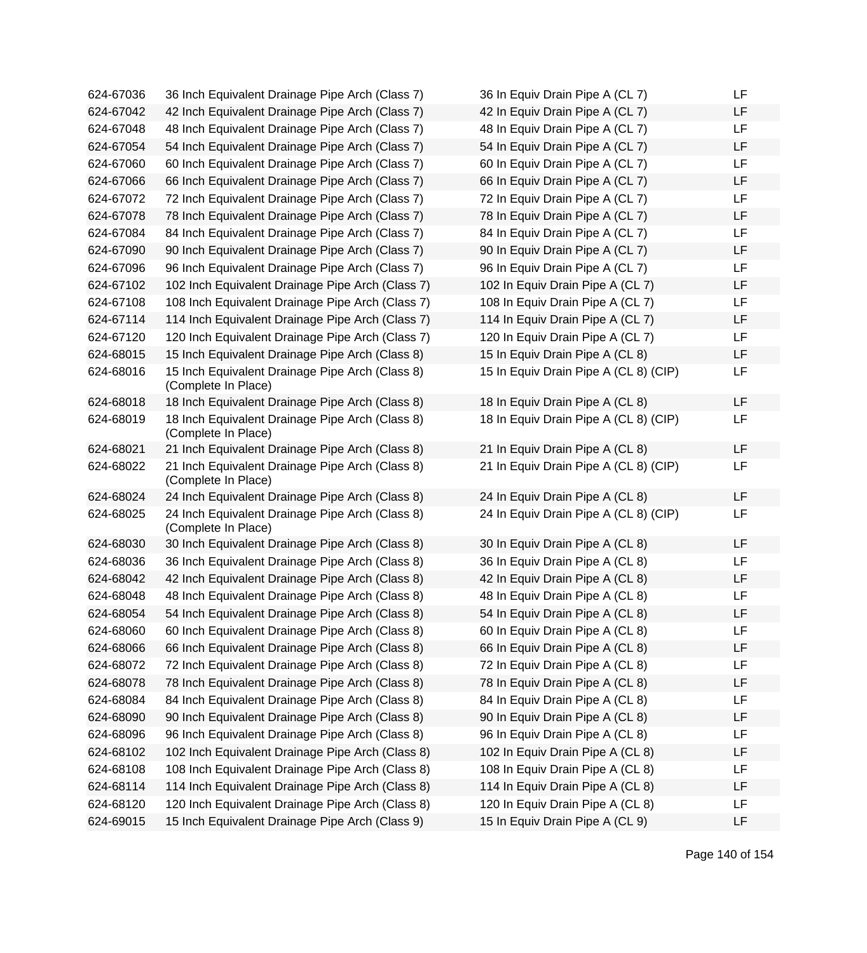| 624-67036 | 36 Inch Equivalent Drainage Pipe Arch (Class 7)                        | 36 In Equiv Drain Pipe A (CL 7)       | LF        |
|-----------|------------------------------------------------------------------------|---------------------------------------|-----------|
| 624-67042 | 42 Inch Equivalent Drainage Pipe Arch (Class 7)                        | 42 In Equiv Drain Pipe A (CL 7)       | <b>LF</b> |
| 624-67048 | 48 Inch Equivalent Drainage Pipe Arch (Class 7)                        | 48 In Equiv Drain Pipe A (CL 7)       | LF        |
| 624-67054 | 54 Inch Equivalent Drainage Pipe Arch (Class 7)                        | 54 In Equiv Drain Pipe A (CL 7)       | LF        |
| 624-67060 | 60 Inch Equivalent Drainage Pipe Arch (Class 7)                        | 60 In Equiv Drain Pipe A (CL 7)       | <b>LF</b> |
| 624-67066 | 66 Inch Equivalent Drainage Pipe Arch (Class 7)                        | 66 In Equiv Drain Pipe A (CL 7)       | LF        |
| 624-67072 | 72 Inch Equivalent Drainage Pipe Arch (Class 7)                        | 72 In Equiv Drain Pipe A (CL 7)       | <b>LF</b> |
| 624-67078 | 78 Inch Equivalent Drainage Pipe Arch (Class 7)                        | 78 In Equiv Drain Pipe A (CL 7)       | LF        |
| 624-67084 | 84 Inch Equivalent Drainage Pipe Arch (Class 7)                        | 84 In Equiv Drain Pipe A (CL 7)       | <b>LF</b> |
| 624-67090 | 90 Inch Equivalent Drainage Pipe Arch (Class 7)                        | 90 In Equiv Drain Pipe A (CL 7)       | LF        |
| 624-67096 | 96 Inch Equivalent Drainage Pipe Arch (Class 7)                        | 96 In Equiv Drain Pipe A (CL 7)       | <b>LF</b> |
| 624-67102 | 102 Inch Equivalent Drainage Pipe Arch (Class 7)                       | 102 In Equiv Drain Pipe A (CL 7)      | <b>LF</b> |
| 624-67108 | 108 Inch Equivalent Drainage Pipe Arch (Class 7)                       | 108 In Equiv Drain Pipe A (CL 7)      | LF        |
| 624-67114 | 114 Inch Equivalent Drainage Pipe Arch (Class 7)                       | 114 In Equiv Drain Pipe A (CL 7)      | LF        |
| 624-67120 | 120 Inch Equivalent Drainage Pipe Arch (Class 7)                       | 120 In Equiv Drain Pipe A (CL 7)      | LF        |
| 624-68015 | 15 Inch Equivalent Drainage Pipe Arch (Class 8)                        | 15 In Equiv Drain Pipe A (CL 8)       | LF        |
| 624-68016 | 15 Inch Equivalent Drainage Pipe Arch (Class 8)<br>(Complete In Place) | 15 In Equiv Drain Pipe A (CL 8) (CIP) | <b>LF</b> |
| 624-68018 | 18 Inch Equivalent Drainage Pipe Arch (Class 8)                        | 18 In Equiv Drain Pipe A (CL 8)       | <b>LF</b> |
| 624-68019 | 18 Inch Equivalent Drainage Pipe Arch (Class 8)<br>(Complete In Place) | 18 In Equiv Drain Pipe A (CL 8) (CIP) | LF        |
| 624-68021 | 21 Inch Equivalent Drainage Pipe Arch (Class 8)                        | 21 In Equiv Drain Pipe A (CL 8)       | <b>LF</b> |
| 624-68022 | 21 Inch Equivalent Drainage Pipe Arch (Class 8)<br>(Complete In Place) | 21 In Equiv Drain Pipe A (CL 8) (CIP) | LF        |
| 624-68024 | 24 Inch Equivalent Drainage Pipe Arch (Class 8)                        | 24 In Equiv Drain Pipe A (CL 8)       | <b>LF</b> |
| 624-68025 | 24 Inch Equivalent Drainage Pipe Arch (Class 8)<br>(Complete In Place) | 24 In Equiv Drain Pipe A (CL 8) (CIP) | LF        |
| 624-68030 | 30 Inch Equivalent Drainage Pipe Arch (Class 8)                        | 30 In Equiv Drain Pipe A (CL 8)       | <b>LF</b> |
| 624-68036 | 36 Inch Equivalent Drainage Pipe Arch (Class 8)                        | 36 In Equiv Drain Pipe A (CL 8)       | LF        |
| 624-68042 | 42 Inch Equivalent Drainage Pipe Arch (Class 8)                        | 42 In Equiv Drain Pipe A (CL 8)       | LF        |
| 624-68048 | 48 Inch Equivalent Drainage Pipe Arch (Class 8)                        | 48 In Equiv Drain Pipe A (CL 8)       | LF        |
| 624-68054 | 54 Inch Equivalent Drainage Pipe Arch (Class 8)                        | 54 In Equiv Drain Pipe A (CL 8)       | LF        |
| 624-68060 | 60 Inch Equivalent Drainage Pipe Arch (Class 8)                        | 60 In Equiv Drain Pipe A (CL 8)       | LF        |
| 624-68066 | 66 Inch Equivalent Drainage Pipe Arch (Class 8)                        | 66 In Equiv Drain Pipe A (CL 8)       | LF        |
| 624-68072 | 72 Inch Equivalent Drainage Pipe Arch (Class 8)                        | 72 In Equiv Drain Pipe A (CL 8)       | LF        |
| 624-68078 | 78 Inch Equivalent Drainage Pipe Arch (Class 8)                        | 78 In Equiv Drain Pipe A (CL 8)       | LF        |
| 624-68084 | 84 Inch Equivalent Drainage Pipe Arch (Class 8)                        | 84 In Equiv Drain Pipe A (CL 8)       | LF        |
| 624-68090 | 90 Inch Equivalent Drainage Pipe Arch (Class 8)                        | 90 In Equiv Drain Pipe A (CL 8)       | LF        |
| 624-68096 | 96 Inch Equivalent Drainage Pipe Arch (Class 8)                        | 96 In Equiv Drain Pipe A (CL 8)       | LF        |
| 624-68102 | 102 Inch Equivalent Drainage Pipe Arch (Class 8)                       | 102 In Equiv Drain Pipe A (CL 8)      | LF        |
| 624-68108 | 108 Inch Equivalent Drainage Pipe Arch (Class 8)                       | 108 In Equiv Drain Pipe A (CL 8)      | LF        |
| 624-68114 | 114 Inch Equivalent Drainage Pipe Arch (Class 8)                       | 114 In Equiv Drain Pipe A (CL 8)      | LF        |
| 624-68120 | 120 Inch Equivalent Drainage Pipe Arch (Class 8)                       | 120 In Equiv Drain Pipe A (CL 8)      | LF        |
| 624-69015 | 15 Inch Equivalent Drainage Pipe Arch (Class 9)                        | 15 In Equiv Drain Pipe A (CL 9)       | LF        |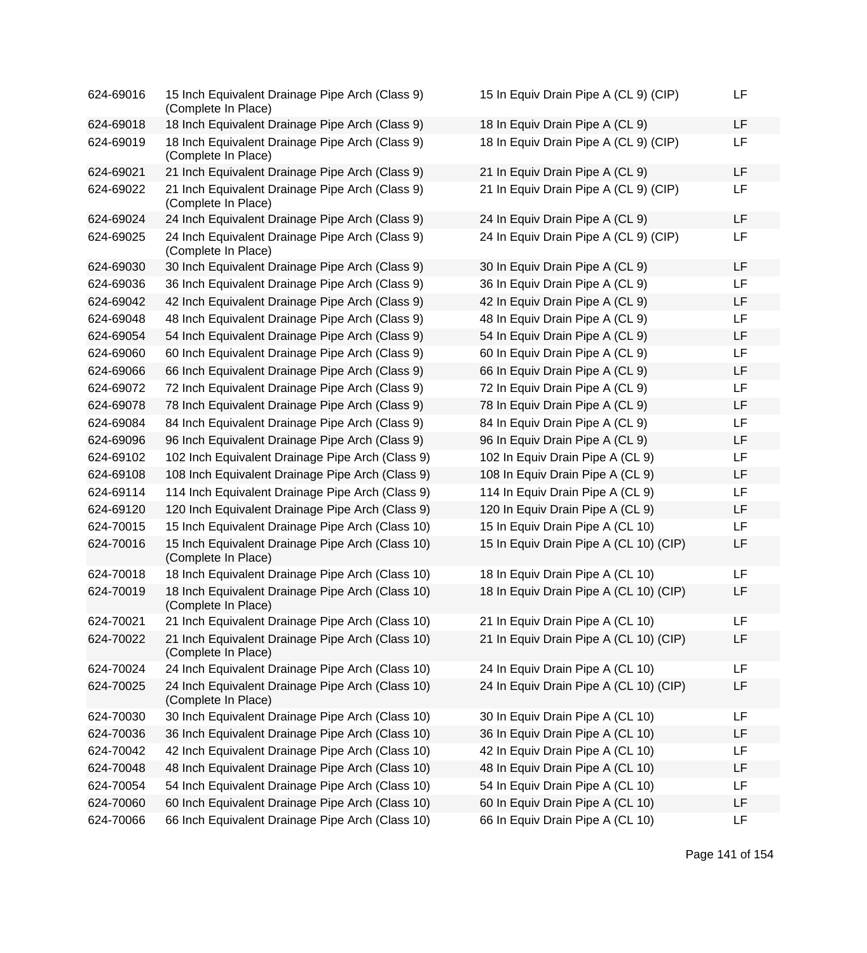| 624-69016 | 15 Inch Equivalent Drainage Pipe Arch (Class 9)<br>(Complete In Place)  | 15 In Equiv Drain Pipe A (CL 9) (CIP)  | LF |
|-----------|-------------------------------------------------------------------------|----------------------------------------|----|
| 624-69018 | 18 Inch Equivalent Drainage Pipe Arch (Class 9)                         | 18 In Equiv Drain Pipe A (CL 9)        | LF |
| 624-69019 | 18 Inch Equivalent Drainage Pipe Arch (Class 9)<br>(Complete In Place)  | 18 In Equiv Drain Pipe A (CL 9) (CIP)  | LF |
| 624-69021 | 21 Inch Equivalent Drainage Pipe Arch (Class 9)                         | 21 In Equiv Drain Pipe A (CL 9)        | LF |
| 624-69022 | 21 Inch Equivalent Drainage Pipe Arch (Class 9)<br>(Complete In Place)  | 21 In Equiv Drain Pipe A (CL 9) (CIP)  | LF |
| 624-69024 | 24 Inch Equivalent Drainage Pipe Arch (Class 9)                         | 24 In Equiv Drain Pipe A (CL 9)        | LF |
| 624-69025 | 24 Inch Equivalent Drainage Pipe Arch (Class 9)<br>(Complete In Place)  | 24 In Equiv Drain Pipe A (CL 9) (CIP)  | LF |
| 624-69030 | 30 Inch Equivalent Drainage Pipe Arch (Class 9)                         | 30 In Equiv Drain Pipe A (CL 9)        | LF |
| 624-69036 | 36 Inch Equivalent Drainage Pipe Arch (Class 9)                         | 36 In Equiv Drain Pipe A (CL 9)        | LF |
| 624-69042 | 42 Inch Equivalent Drainage Pipe Arch (Class 9)                         | 42 In Equiv Drain Pipe A (CL 9)        | LF |
| 624-69048 | 48 Inch Equivalent Drainage Pipe Arch (Class 9)                         | 48 In Equiv Drain Pipe A (CL 9)        | LF |
| 624-69054 | 54 Inch Equivalent Drainage Pipe Arch (Class 9)                         | 54 In Equiv Drain Pipe A (CL 9)        | LF |
| 624-69060 | 60 Inch Equivalent Drainage Pipe Arch (Class 9)                         | 60 In Equiv Drain Pipe A (CL 9)        | LF |
| 624-69066 | 66 Inch Equivalent Drainage Pipe Arch (Class 9)                         | 66 In Equiv Drain Pipe A (CL 9)        | LF |
| 624-69072 | 72 Inch Equivalent Drainage Pipe Arch (Class 9)                         | 72 In Equiv Drain Pipe A (CL 9)        | LF |
| 624-69078 | 78 Inch Equivalent Drainage Pipe Arch (Class 9)                         | 78 In Equiv Drain Pipe A (CL 9)        | LF |
| 624-69084 | 84 Inch Equivalent Drainage Pipe Arch (Class 9)                         | 84 In Equiv Drain Pipe A (CL 9)        | LF |
| 624-69096 | 96 Inch Equivalent Drainage Pipe Arch (Class 9)                         | 96 In Equiv Drain Pipe A (CL 9)        | LF |
| 624-69102 | 102 Inch Equivalent Drainage Pipe Arch (Class 9)                        | 102 In Equiv Drain Pipe A (CL 9)       | LF |
| 624-69108 | 108 Inch Equivalent Drainage Pipe Arch (Class 9)                        | 108 In Equiv Drain Pipe A (CL 9)       | LF |
| 624-69114 | 114 Inch Equivalent Drainage Pipe Arch (Class 9)                        | 114 In Equiv Drain Pipe A (CL 9)       | LF |
| 624-69120 | 120 Inch Equivalent Drainage Pipe Arch (Class 9)                        | 120 In Equiv Drain Pipe A (CL 9)       | LF |
| 624-70015 | 15 Inch Equivalent Drainage Pipe Arch (Class 10)                        | 15 In Equiv Drain Pipe A (CL 10)       | LF |
| 624-70016 | 15 Inch Equivalent Drainage Pipe Arch (Class 10)<br>(Complete In Place) | 15 In Equiv Drain Pipe A (CL 10) (CIP) | LF |
| 624-70018 | 18 Inch Equivalent Drainage Pipe Arch (Class 10)                        | 18 In Equiv Drain Pipe A (CL 10)       | LF |
| 624-70019 | 18 Inch Equivalent Drainage Pipe Arch (Class 10)<br>(Complete In Place) | 18 In Equiv Drain Pipe A (CL 10) (CIP) | LF |
| 624-70021 | 21 Inch Equivalent Drainage Pipe Arch (Class 10)                        | 21 In Equiv Drain Pipe A (CL 10)       | LF |
| 624-70022 | 21 Inch Equivalent Drainage Pipe Arch (Class 10)<br>(Complete In Place) | 21 In Equiv Drain Pipe A (CL 10) (CIP) | LF |
| 624-70024 | 24 Inch Equivalent Drainage Pipe Arch (Class 10)                        | 24 In Equiv Drain Pipe A (CL 10)       | LF |
| 624-70025 | 24 Inch Equivalent Drainage Pipe Arch (Class 10)<br>(Complete In Place) | 24 In Equiv Drain Pipe A (CL 10) (CIP) | LF |
| 624-70030 | 30 Inch Equivalent Drainage Pipe Arch (Class 10)                        | 30 In Equiv Drain Pipe A (CL 10)       | LF |
| 624-70036 | 36 Inch Equivalent Drainage Pipe Arch (Class 10)                        | 36 In Equiv Drain Pipe A (CL 10)       | LF |
| 624-70042 | 42 Inch Equivalent Drainage Pipe Arch (Class 10)                        | 42 In Equiv Drain Pipe A (CL 10)       | LF |
| 624-70048 | 48 Inch Equivalent Drainage Pipe Arch (Class 10)                        | 48 In Equiv Drain Pipe A (CL 10)       | LF |
| 624-70054 | 54 Inch Equivalent Drainage Pipe Arch (Class 10)                        | 54 In Equiv Drain Pipe A (CL 10)       | LF |
| 624-70060 | 60 Inch Equivalent Drainage Pipe Arch (Class 10)                        | 60 In Equiv Drain Pipe A (CL 10)       | LF |
| 624-70066 | 66 Inch Equivalent Drainage Pipe Arch (Class 10)                        | 66 In Equiv Drain Pipe A (CL 10)       | LF |

| 15 In Equiv Drain Pipe A (CL 9) (CIP)  | LF |
|----------------------------------------|----|
| 18 In Equiv Drain Pipe A (CL 9)        | LF |
| 18 In Equiv Drain Pipe A (CL 9) (CIP)  | LF |
| 21 In Equiv Drain Pipe A (CL 9)        | LF |
| 21 In Equiv Drain Pipe A (CL 9) (CIP)  | LF |
| 24 In Equiv Drain Pipe A (CL 9)        | LF |
| 24 In Equiv Drain Pipe A (CL 9) (CIP)  | LF |
| 30 In Equiv Drain Pipe A (CL 9)        | LF |
| 36 In Equiv Drain Pipe A (CL 9)        | LF |
| 42 In Equiv Drain Pipe A (CL 9)        | LF |
| 48 In Equiv Drain Pipe A (CL 9)        | LF |
| 54 In Equiv Drain Pipe A (CL 9)        | LF |
| 60 In Equiv Drain Pipe A (CL 9)        | LF |
| 66 In Equiv Drain Pipe A (CL 9)        | LF |
| 72 In Equiv Drain Pipe A (CL 9)        | LF |
| 78 In Equiv Drain Pipe A (CL 9)        | LF |
| 84 In Equiv Drain Pipe A (CL 9)        | LF |
| 96 In Equiv Drain Pipe A (CL 9)        | LF |
| 102 In Equiv Drain Pipe A (CL 9)       | LF |
| 108 In Equiv Drain Pipe A (CL 9)       | LF |
| 114 In Equiv Drain Pipe A (CL 9)       | LF |
| 120 In Equiv Drain Pipe A (CL 9)       | LF |
| 15 In Equiv Drain Pipe A (CL 10)       | LF |
| 15 In Equiv Drain Pipe A (CL 10) (CIP) | LF |
| 18 In Equiv Drain Pipe A (CL 10)       | LF |
| 18 In Equiv Drain Pipe A (CL 10) (CIP) | LF |
| 21 In Equiv Drain Pipe A (CL 10)       | LF |
| 21 In Equiv Drain Pipe A (CL 10) (CIP) | LF |
| 24 In Equiv Drain Pipe A (CL 10)       | LF |
| 24 In Equiv Drain Pipe A (CL 10) (CIP) | LF |
| 30 In Equiv Drain Pipe A (CL 10)       | LF |
| 36 In Equiv Drain Pipe A (CL 10)       | LF |
| 42 In Equiv Drain Pipe A (CL 10)       | LF |
| 48 In Equiv Drain Pipe A (CL 10)       | LF |
| 54 In Equiv Drain Pipe A (CL 10)       | LF |
| 60 In Equiv Drain Pipe A (CL 10)       | LF |
| 66 In Equiv Drain Pipe A (CL 10)       | LF |
|                                        |    |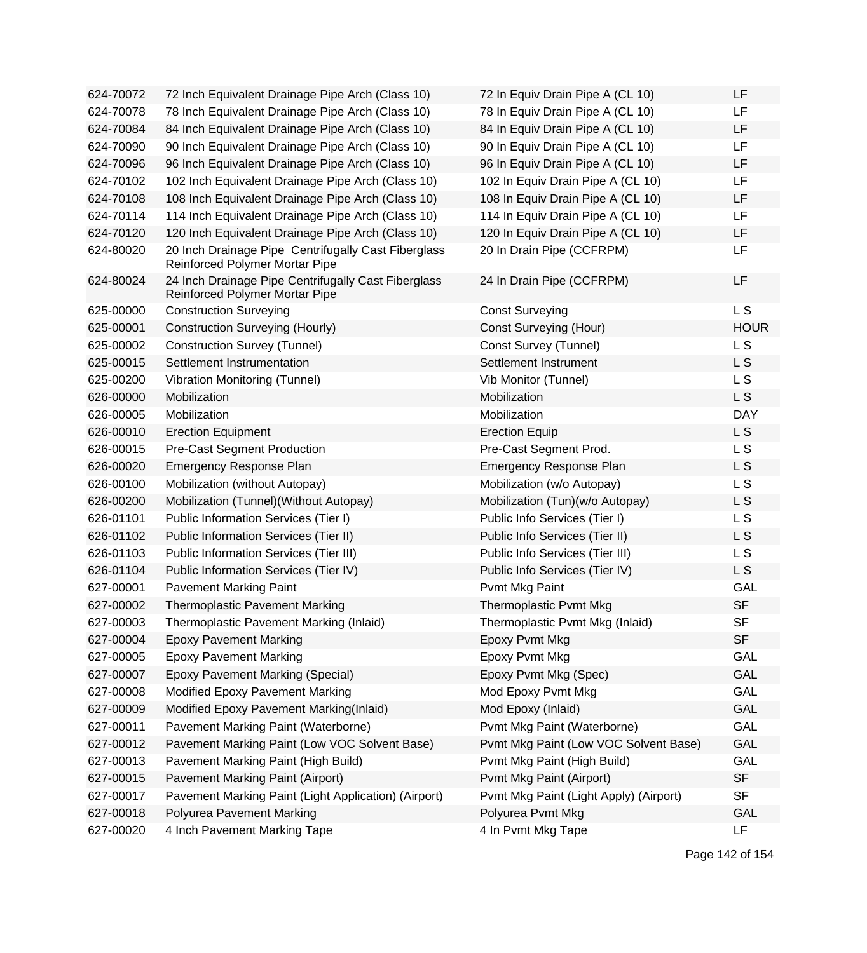| 624-70072 | 72 Inch Equivalent Drainage Pipe Arch (Class 10)                                             | 72 In Equiv Drain Pipe A (CL 10)       | LF             |
|-----------|----------------------------------------------------------------------------------------------|----------------------------------------|----------------|
| 624-70078 | 78 Inch Equivalent Drainage Pipe Arch (Class 10)                                             | 78 In Equiv Drain Pipe A (CL 10)       | LF             |
| 624-70084 | 84 Inch Equivalent Drainage Pipe Arch (Class 10)                                             | 84 In Equiv Drain Pipe A (CL 10)       | <b>LF</b>      |
| 624-70090 | 90 Inch Equivalent Drainage Pipe Arch (Class 10)                                             | 90 In Equiv Drain Pipe A (CL 10)       | LF             |
| 624-70096 | 96 Inch Equivalent Drainage Pipe Arch (Class 10)                                             | 96 In Equiv Drain Pipe A (CL 10)       | <b>LF</b>      |
| 624-70102 | 102 Inch Equivalent Drainage Pipe Arch (Class 10)                                            | 102 In Equiv Drain Pipe A (CL 10)      | LF             |
| 624-70108 | 108 Inch Equivalent Drainage Pipe Arch (Class 10)                                            | 108 In Equiv Drain Pipe A (CL 10)      | LF             |
| 624-70114 | 114 Inch Equivalent Drainage Pipe Arch (Class 10)                                            | 114 In Equiv Drain Pipe A (CL 10)      | <b>LF</b>      |
| 624-70120 | 120 Inch Equivalent Drainage Pipe Arch (Class 10)                                            | 120 In Equiv Drain Pipe A (CL 10)      | LF             |
| 624-80020 | 20 Inch Drainage Pipe Centrifugally Cast Fiberglass<br>Reinforced Polymer Mortar Pipe        | 20 In Drain Pipe (CCFRPM)              | LF             |
| 624-80024 | 24 Inch Drainage Pipe Centrifugally Cast Fiberglass<br><b>Reinforced Polymer Mortar Pipe</b> | 24 In Drain Pipe (CCFRPM)              | <b>LF</b>      |
| 625-00000 | <b>Construction Surveying</b>                                                                | <b>Const Surveying</b>                 | L <sub>S</sub> |
| 625-00001 | <b>Construction Surveying (Hourly)</b>                                                       | <b>Const Surveying (Hour)</b>          | <b>HOUR</b>    |
| 625-00002 | <b>Construction Survey (Tunnel)</b>                                                          | Const Survey (Tunnel)                  | L <sub>S</sub> |
| 625-00015 | Settlement Instrumentation                                                                   | Settlement Instrument                  | L S            |
| 625-00200 | <b>Vibration Monitoring (Tunnel)</b>                                                         | Vib Monitor (Tunnel)                   | L S            |
| 626-00000 | Mobilization                                                                                 | Mobilization                           | L S            |
| 626-00005 | Mobilization                                                                                 | Mobilization                           | <b>DAY</b>     |
| 626-00010 | <b>Erection Equipment</b>                                                                    | <b>Erection Equip</b>                  | L S            |
| 626-00015 | <b>Pre-Cast Segment Production</b>                                                           | Pre-Cast Segment Prod.                 | L S            |
| 626-00020 | <b>Emergency Response Plan</b>                                                               | <b>Emergency Response Plan</b>         | L S            |
| 626-00100 | Mobilization (without Autopay)                                                               | Mobilization (w/o Autopay)             | L S            |
| 626-00200 | Mobilization (Tunnel) (Without Autopay)                                                      | Mobilization (Tun)(w/o Autopay)        | L S            |
| 626-01101 | Public Information Services (Tier I)                                                         | Public Info Services (Tier I)          | L <sub>S</sub> |
| 626-01102 | Public Information Services (Tier II)                                                        | Public Info Services (Tier II)         | L S            |
| 626-01103 | Public Information Services (Tier III)                                                       | Public Info Services (Tier III)        | L S            |
| 626-01104 | Public Information Services (Tier IV)                                                        | Public Info Services (Tier IV)         | L S            |
| 627-00001 | <b>Pavement Marking Paint</b>                                                                | Pvmt Mkg Paint                         | <b>GAL</b>     |
| 627-00002 | <b>Thermoplastic Pavement Marking</b>                                                        | Thermoplastic Pvmt Mkg                 | <b>SF</b>      |
| 627-00003 | Thermoplastic Pavement Marking (Inlaid)                                                      | Thermoplastic Pvmt Mkg (Inlaid)        | <b>SF</b>      |
| 627-00004 | <b>Epoxy Pavement Marking</b>                                                                | Epoxy Pvmt Mkg                         | <b>SF</b>      |
| 627-00005 | <b>Epoxy Pavement Marking</b>                                                                | Epoxy Pvmt Mkg                         | GAL            |
| 627-00007 | <b>Epoxy Pavement Marking (Special)</b>                                                      | Epoxy Pvmt Mkg (Spec)                  | GAL            |
| 627-00008 | Modified Epoxy Pavement Marking                                                              | Mod Epoxy Pvmt Mkg                     | <b>GAL</b>     |
| 627-00009 | Modified Epoxy Pavement Marking(Inlaid)                                                      | Mod Epoxy (Inlaid)                     | <b>GAL</b>     |
| 627-00011 | Pavement Marking Paint (Waterborne)                                                          | Pvmt Mkg Paint (Waterborne)            | <b>GAL</b>     |
| 627-00012 | Pavement Marking Paint (Low VOC Solvent Base)                                                | Pvmt Mkg Paint (Low VOC Solvent Base)  | GAL            |
| 627-00013 | Pavement Marking Paint (High Build)                                                          | Pvmt Mkg Paint (High Build)            | GAL            |
| 627-00015 | <b>Pavement Marking Paint (Airport)</b>                                                      | Pvmt Mkg Paint (Airport)               | <b>SF</b>      |
| 627-00017 | Pavement Marking Paint (Light Application) (Airport)                                         | Pvmt Mkg Paint (Light Apply) (Airport) | <b>SF</b>      |
| 627-00018 | Polyurea Pavement Marking                                                                    | Polyurea Pvmt Mkg                      | GAL            |
| 627-00020 | 4 Inch Pavement Marking Tape                                                                 | 4 In Pvmt Mkg Tape                     | LF             |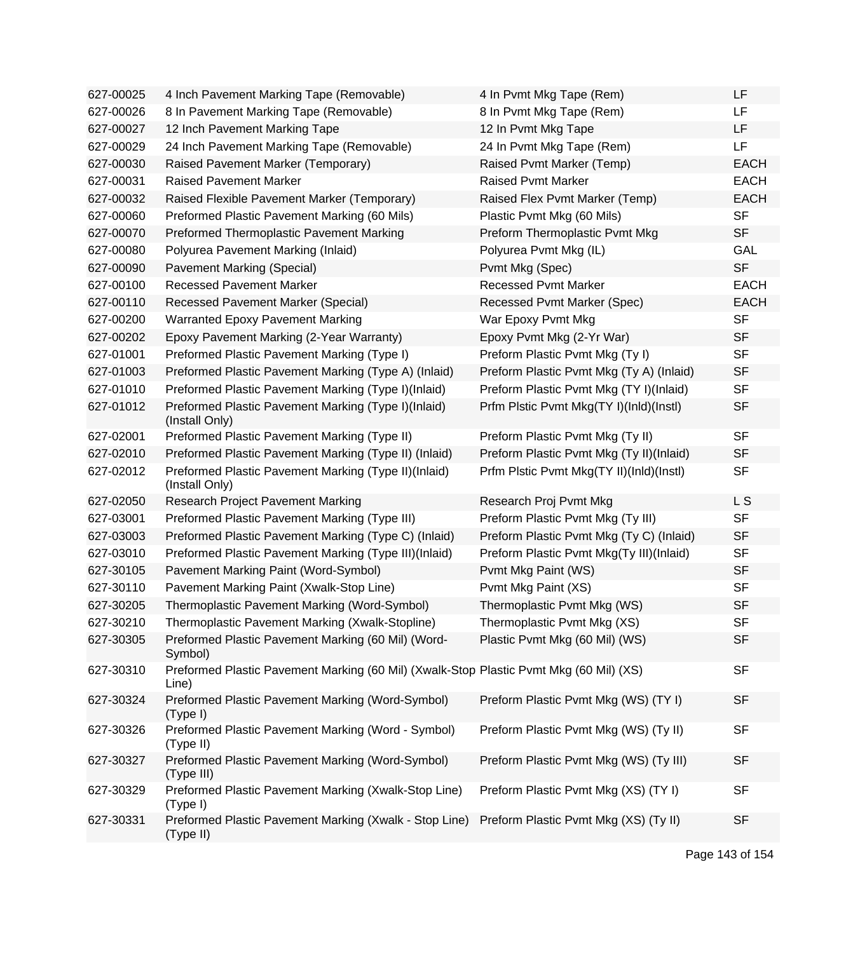| 627-00025 | 4 Inch Pavement Marking Tape (Removable)                                                        | 4 In Pvmt Mkg Tape (Rem)                 | LF             |
|-----------|-------------------------------------------------------------------------------------------------|------------------------------------------|----------------|
| 627-00026 | 8 In Pavement Marking Tape (Removable)                                                          | 8 In Pvmt Mkg Tape (Rem)                 | LF.            |
| 627-00027 | 12 Inch Pavement Marking Tape                                                                   | 12 In Pvmt Mkg Tape                      | LF             |
| 627-00029 | 24 Inch Pavement Marking Tape (Removable)                                                       | 24 In Pvmt Mkg Tape (Rem)                | LF             |
| 627-00030 | Raised Pavement Marker (Temporary)                                                              | Raised Pvmt Marker (Temp)                | <b>EACH</b>    |
| 627-00031 | <b>Raised Pavement Marker</b>                                                                   | <b>Raised Pvmt Marker</b>                | <b>EACH</b>    |
| 627-00032 | Raised Flexible Pavement Marker (Temporary)                                                     | Raised Flex Pvmt Marker (Temp)           | <b>EACH</b>    |
| 627-00060 | Preformed Plastic Pavement Marking (60 Mils)                                                    | Plastic Pvmt Mkg (60 Mils)               | <b>SF</b>      |
| 627-00070 | Preformed Thermoplastic Pavement Marking                                                        | Preform Thermoplastic Pvmt Mkg           | <b>SF</b>      |
| 627-00080 | Polyurea Pavement Marking (Inlaid)                                                              | Polyurea Pvmt Mkg (IL)                   | <b>GAL</b>     |
| 627-00090 | Pavement Marking (Special)                                                                      | Pvmt Mkg (Spec)                          | <b>SF</b>      |
| 627-00100 | <b>Recessed Pavement Marker</b>                                                                 | <b>Recessed Pvmt Marker</b>              | <b>EACH</b>    |
| 627-00110 | <b>Recessed Pavement Marker (Special)</b>                                                       | Recessed Pvmt Marker (Spec)              | <b>EACH</b>    |
| 627-00200 | <b>Warranted Epoxy Pavement Marking</b>                                                         | War Epoxy Pvmt Mkg                       | <b>SF</b>      |
| 627-00202 | Epoxy Pavement Marking (2-Year Warranty)                                                        | Epoxy Pvmt Mkg (2-Yr War)                | <b>SF</b>      |
| 627-01001 | Preformed Plastic Pavement Marking (Type I)                                                     | Preform Plastic Pvmt Mkg (Ty I)          | <b>SF</b>      |
| 627-01003 | Preformed Plastic Pavement Marking (Type A) (Inlaid)                                            | Preform Plastic Pvmt Mkg (Ty A) (Inlaid) | <b>SF</b>      |
| 627-01010 | Preformed Plastic Pavement Marking (Type I)(Inlaid)                                             | Preform Plastic Pvmt Mkg (TY I)(Inlaid)  | <b>SF</b>      |
| 627-01012 | Preformed Plastic Pavement Marking (Type I)(Inlaid)<br>(Install Only)                           | Prfm Plstic Pvmt Mkg(TY I)(InId)(Instl)  | <b>SF</b>      |
| 627-02001 | Preformed Plastic Pavement Marking (Type II)                                                    | Preform Plastic Pvmt Mkg (Ty II)         | <b>SF</b>      |
| 627-02010 | Preformed Plastic Pavement Marking (Type II) (Inlaid)                                           | Preform Plastic Pvmt Mkg (Ty II)(Inlaid) | <b>SF</b>      |
| 627-02012 | Preformed Plastic Pavement Marking (Type II)(Inlaid)<br>(Install Only)                          | Prfm Plstic Pvmt Mkg(TY II)(InId)(Instl) | <b>SF</b>      |
| 627-02050 | <b>Research Project Pavement Marking</b>                                                        | Research Proj Pvmt Mkg                   | L <sub>S</sub> |
| 627-03001 | Preformed Plastic Pavement Marking (Type III)                                                   | Preform Plastic Pvmt Mkg (Ty III)        | <b>SF</b>      |
| 627-03003 | Preformed Plastic Pavement Marking (Type C) (Inlaid)                                            | Preform Plastic Pvmt Mkg (Ty C) (Inlaid) | <b>SF</b>      |
| 627-03010 | Preformed Plastic Pavement Marking (Type III)(Inlaid)                                           | Preform Plastic Pvmt Mkg(Ty III)(Inlaid) | <b>SF</b>      |
| 627-30105 | Pavement Marking Paint (Word-Symbol)                                                            | Pvmt Mkg Paint (WS)                      | <b>SF</b>      |
| 627-30110 | Pavement Marking Paint (Xwalk-Stop Line)                                                        | Pvmt Mkg Paint (XS)                      | <b>SF</b>      |
| 627-30205 | Thermoplastic Pavement Marking (Word-Symbol)                                                    | Thermoplastic Pvmt Mkg (WS)              | <b>SF</b>      |
| 627-30210 | Thermoplastic Pavement Marking (Xwalk-Stopline)                                                 | Thermoplastic Pvmt Mkg (XS)              | <b>SF</b>      |
| 627-30305 | Preformed Plastic Pavement Marking (60 Mil) (Word-<br>Symbol)                                   | Plastic Pvmt Mkg (60 Mil) (WS)           | <b>SF</b>      |
| 627-30310 | Preformed Plastic Pavement Marking (60 Mil) (Xwalk-Stop Plastic Pvmt Mkg (60 Mil) (XS)<br>Line) |                                          | <b>SF</b>      |
| 627-30324 | Preformed Plastic Pavement Marking (Word-Symbol)<br>(Type I)                                    | Preform Plastic Pvmt Mkg (WS) (TY I)     | <b>SF</b>      |
| 627-30326 | Preformed Plastic Pavement Marking (Word - Symbol)<br>(Type II)                                 | Preform Plastic Pvmt Mkg (WS) (Ty II)    | <b>SF</b>      |
| 627-30327 | Preformed Plastic Pavement Marking (Word-Symbol)<br>(Type III)                                  | Preform Plastic Pvmt Mkg (WS) (Ty III)   | <b>SF</b>      |
| 627-30329 | Preformed Plastic Pavement Marking (Xwalk-Stop Line)<br>(Type I)                                | Preform Plastic Pvmt Mkg (XS) (TY I)     | <b>SF</b>      |
| 627-30331 | Preformed Plastic Pavement Marking (Xwalk - Stop Line)<br>(Type II)                             | Preform Plastic Pvmt Mkg (XS) (Ty II)    | <b>SF</b>      |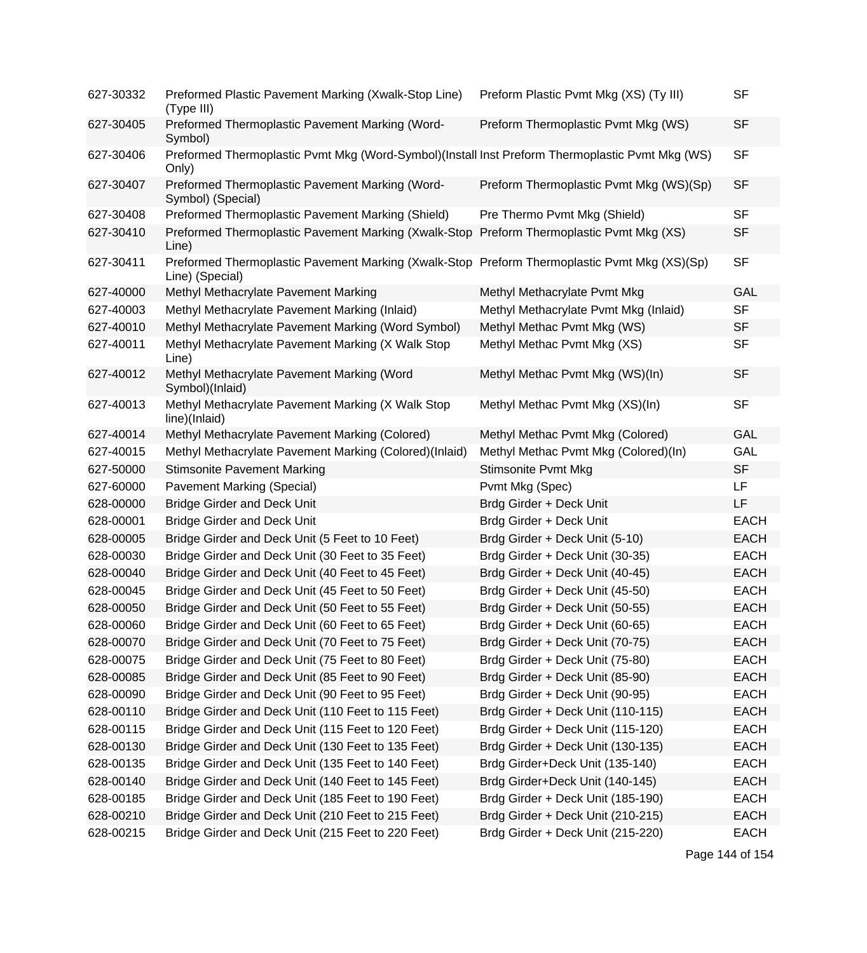| 627-30332 | Preformed Plastic Pavement Marking (Xwalk-Stop Line)<br>(Type III)                                              | Preform Plastic Pvmt Mkg (XS) (Ty III)  | <b>SF</b>   |
|-----------|-----------------------------------------------------------------------------------------------------------------|-----------------------------------------|-------------|
| 627-30405 | Preformed Thermoplastic Pavement Marking (Word-<br>Symbol)                                                      | Preform Thermoplastic Pvmt Mkg (WS)     | <b>SF</b>   |
| 627-30406 | Preformed Thermoplastic Pvmt Mkg (Word-Symbol)(Install Inst Preform Thermoplastic Pvmt Mkg (WS)<br>Only)        |                                         | <b>SF</b>   |
| 627-30407 | Preformed Thermoplastic Pavement Marking (Word-<br>Symbol) (Special)                                            | Preform Thermoplastic Pvmt Mkg (WS)(Sp) | <b>SF</b>   |
| 627-30408 | Preformed Thermoplastic Pavement Marking (Shield)                                                               | Pre Thermo Pvmt Mkg (Shield)            | <b>SF</b>   |
| 627-30410 | Preformed Thermoplastic Pavement Marking (Xwalk-Stop<br>Line)                                                   | Preform Thermoplastic Pvmt Mkg (XS)     | <b>SF</b>   |
| 627-30411 | Preformed Thermoplastic Pavement Marking (Xwalk-Stop Preform Thermoplastic Pvmt Mkg (XS)(Sp)<br>Line) (Special) |                                         | <b>SF</b>   |
| 627-40000 | Methyl Methacrylate Pavement Marking                                                                            | Methyl Methacrylate Pvmt Mkg            | GAL         |
| 627-40003 | Methyl Methacrylate Pavement Marking (Inlaid)                                                                   | Methyl Methacrylate Pvmt Mkg (Inlaid)   | <b>SF</b>   |
| 627-40010 | Methyl Methacrylate Pavement Marking (Word Symbol)                                                              | Methyl Methac Pvmt Mkg (WS)             | <b>SF</b>   |
| 627-40011 | Methyl Methacrylate Pavement Marking (X Walk Stop<br>Line)                                                      | Methyl Methac Pvmt Mkg (XS)             | <b>SF</b>   |
| 627-40012 | Methyl Methacrylate Pavement Marking (Word<br>Symbol)(Inlaid)                                                   | Methyl Methac Pvmt Mkg (WS)(In)         | <b>SF</b>   |
| 627-40013 | Methyl Methacrylate Pavement Marking (X Walk Stop<br>line)(Inlaid)                                              | Methyl Methac Pvmt Mkg (XS)(In)         | <b>SF</b>   |
| 627-40014 | Methyl Methacrylate Pavement Marking (Colored)                                                                  | Methyl Methac Pvmt Mkg (Colored)        | <b>GAL</b>  |
| 627-40015 | Methyl Methacrylate Pavement Marking (Colored)(Inlaid)                                                          | Methyl Methac Pvmt Mkg (Colored)(In)    | GAL         |
| 627-50000 | <b>Stimsonite Pavement Marking</b>                                                                              | <b>Stimsonite Pvmt Mkg</b>              | <b>SF</b>   |
| 627-60000 | <b>Pavement Marking (Special)</b>                                                                               | Pvmt Mkg (Spec)                         | LF          |
| 628-00000 | <b>Bridge Girder and Deck Unit</b>                                                                              | Brdg Girder + Deck Unit                 | LF          |
| 628-00001 | <b>Bridge Girder and Deck Unit</b>                                                                              | Brdg Girder + Deck Unit                 | <b>EACH</b> |
| 628-00005 | Bridge Girder and Deck Unit (5 Feet to 10 Feet)                                                                 | Brdg Girder + Deck Unit (5-10)          | <b>EACH</b> |
| 628-00030 | Bridge Girder and Deck Unit (30 Feet to 35 Feet)                                                                | Brdg Girder + Deck Unit (30-35)         | <b>EACH</b> |
| 628-00040 | Bridge Girder and Deck Unit (40 Feet to 45 Feet)                                                                | Brdg Girder + Deck Unit (40-45)         | <b>EACH</b> |
| 628-00045 | Bridge Girder and Deck Unit (45 Feet to 50 Feet)                                                                | Brdg Girder + Deck Unit (45-50)         | <b>EACH</b> |
| 628-00050 | Bridge Girder and Deck Unit (50 Feet to 55 Feet)                                                                | Brdg Girder + Deck Unit (50-55)         | <b>EACH</b> |
| 628-00060 | Bridge Girder and Deck Unit (60 Feet to 65 Feet)                                                                | Brdg Girder + Deck Unit (60-65)         | <b>EACH</b> |
| 628-00070 | Bridge Girder and Deck Unit (70 Feet to 75 Feet)                                                                | Brdg Girder + Deck Unit (70-75)         | <b>EACH</b> |
| 628-00075 | Bridge Girder and Deck Unit (75 Feet to 80 Feet)                                                                | Brdg Girder + Deck Unit (75-80)         | <b>EACH</b> |
| 628-00085 | Bridge Girder and Deck Unit (85 Feet to 90 Feet)                                                                | Brdg Girder + Deck Unit (85-90)         | <b>EACH</b> |
| 628-00090 | Bridge Girder and Deck Unit (90 Feet to 95 Feet)                                                                | Brdg Girder + Deck Unit (90-95)         | <b>EACH</b> |
| 628-00110 | Bridge Girder and Deck Unit (110 Feet to 115 Feet)                                                              | Brdg Girder + Deck Unit (110-115)       | <b>EACH</b> |
| 628-00115 | Bridge Girder and Deck Unit (115 Feet to 120 Feet)                                                              | Brdg Girder + Deck Unit (115-120)       | <b>EACH</b> |
| 628-00130 | Bridge Girder and Deck Unit (130 Feet to 135 Feet)                                                              | Brdg Girder + Deck Unit (130-135)       | <b>EACH</b> |
| 628-00135 | Bridge Girder and Deck Unit (135 Feet to 140 Feet)                                                              | Brdg Girder+Deck Unit (135-140)         | <b>EACH</b> |
| 628-00140 | Bridge Girder and Deck Unit (140 Feet to 145 Feet)                                                              | Brdg Girder+Deck Unit (140-145)         | <b>EACH</b> |
| 628-00185 | Bridge Girder and Deck Unit (185 Feet to 190 Feet)                                                              | Brdg Girder + Deck Unit (185-190)       | <b>EACH</b> |
| 628-00210 | Bridge Girder and Deck Unit (210 Feet to 215 Feet)                                                              | Brdg Girder + Deck Unit (210-215)       | <b>EACH</b> |
| 628-00215 | Bridge Girder and Deck Unit (215 Feet to 220 Feet)                                                              | Brdg Girder + Deck Unit (215-220)       | <b>EACH</b> |

Page 144 of 154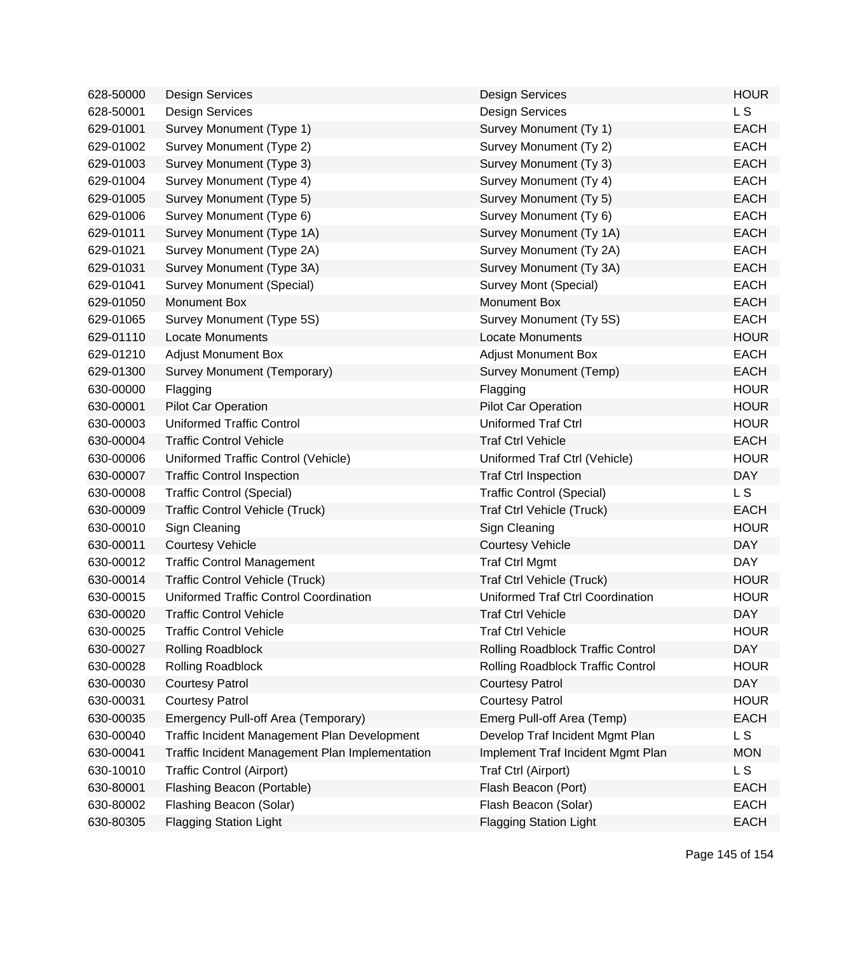| 628-50000 | <b>Design Services</b>                          | <b>Design Services</b>            | <b>HOUR</b> |
|-----------|-------------------------------------------------|-----------------------------------|-------------|
| 628-50001 | <b>Design Services</b>                          | <b>Design Services</b>            | L S         |
| 629-01001 | Survey Monument (Type 1)                        | Survey Monument (Ty 1)            | <b>EACH</b> |
| 629-01002 | Survey Monument (Type 2)                        | Survey Monument (Ty 2)            | <b>EACH</b> |
| 629-01003 | Survey Monument (Type 3)                        | Survey Monument (Ty 3)            | <b>EACH</b> |
| 629-01004 | Survey Monument (Type 4)                        | Survey Monument (Ty 4)            | <b>EACH</b> |
| 629-01005 | Survey Monument (Type 5)                        | Survey Monument (Ty 5)            | <b>EACH</b> |
| 629-01006 | Survey Monument (Type 6)                        | Survey Monument (Ty 6)            | <b>EACH</b> |
| 629-01011 | Survey Monument (Type 1A)                       | Survey Monument (Ty 1A)           | <b>EACH</b> |
| 629-01021 | Survey Monument (Type 2A)                       | Survey Monument (Ty 2A)           | <b>EACH</b> |
| 629-01031 | Survey Monument (Type 3A)                       | Survey Monument (Ty 3A)           | <b>EACH</b> |
| 629-01041 | <b>Survey Monument (Special)</b>                | Survey Mont (Special)             | <b>EACH</b> |
| 629-01050 | Monument Box                                    | <b>Monument Box</b>               | <b>EACH</b> |
| 629-01065 | Survey Monument (Type 5S)                       | Survey Monument (Ty 5S)           | <b>EACH</b> |
| 629-01110 | <b>Locate Monuments</b>                         | <b>Locate Monuments</b>           | <b>HOUR</b> |
| 629-01210 | <b>Adjust Monument Box</b>                      | <b>Adjust Monument Box</b>        | <b>EACH</b> |
| 629-01300 | Survey Monument (Temporary)                     | Survey Monument (Temp)            | <b>EACH</b> |
| 630-00000 | Flagging                                        | Flagging                          | <b>HOUR</b> |
| 630-00001 | <b>Pilot Car Operation</b>                      | <b>Pilot Car Operation</b>        | <b>HOUR</b> |
| 630-00003 | <b>Uniformed Traffic Control</b>                | Uniformed Traf Ctrl               | <b>HOUR</b> |
| 630-00004 | <b>Traffic Control Vehicle</b>                  | <b>Traf Ctrl Vehicle</b>          | <b>EACH</b> |
| 630-00006 | Uniformed Traffic Control (Vehicle)             | Uniformed Traf Ctrl (Vehicle)     | <b>HOUR</b> |
| 630-00007 | <b>Traffic Control Inspection</b>               | <b>Traf Ctrl Inspection</b>       | <b>DAY</b>  |
| 630-00008 | <b>Traffic Control (Special)</b>                | <b>Traffic Control (Special)</b>  | L S         |
| 630-00009 | <b>Traffic Control Vehicle (Truck)</b>          | Traf Ctrl Vehicle (Truck)         | <b>EACH</b> |
| 630-00010 | Sign Cleaning                                   | Sign Cleaning                     | <b>HOUR</b> |
| 630-00011 | <b>Courtesy Vehicle</b>                         | <b>Courtesy Vehicle</b>           | <b>DAY</b>  |
| 630-00012 | <b>Traffic Control Management</b>               | <b>Traf Ctrl Mgmt</b>             | <b>DAY</b>  |
| 630-00014 | <b>Traffic Control Vehicle (Truck)</b>          | Traf Ctrl Vehicle (Truck)         | <b>HOUR</b> |
| 630-00015 | Uniformed Traffic Control Coordination          | Uniformed Traf Ctrl Coordination  | <b>HOUR</b> |
| 630-00020 | <b>Traffic Control Vehicle</b>                  | <b>Traf Ctrl Vehicle</b>          | <b>DAY</b>  |
| 630-00025 | Traffic Control Vehicle                         | Traf Ctrl Vehicle                 | <b>HOUR</b> |
| 630-00027 | <b>Rolling Roadblock</b>                        | Rolling Roadblock Traffic Control | <b>DAY</b>  |
| 630-00028 | Rolling Roadblock                               | Rolling Roadblock Traffic Control | <b>HOUR</b> |
| 630-00030 | <b>Courtesy Patrol</b>                          | <b>Courtesy Patrol</b>            | <b>DAY</b>  |
| 630-00031 | <b>Courtesy Patrol</b>                          | <b>Courtesy Patrol</b>            | <b>HOUR</b> |
| 630-00035 | Emergency Pull-off Area (Temporary)             | Emerg Pull-off Area (Temp)        | <b>EACH</b> |
| 630-00040 | Traffic Incident Management Plan Development    | Develop Traf Incident Mgmt Plan   | L S         |
| 630-00041 | Traffic Incident Management Plan Implementation | Implement Traf Incident Mgmt Plan | <b>MON</b>  |
| 630-10010 | <b>Traffic Control (Airport)</b>                | Traf Ctrl (Airport)               | L S         |
| 630-80001 | Flashing Beacon (Portable)                      | Flash Beacon (Port)               | <b>EACH</b> |
| 630-80002 | Flashing Beacon (Solar)                         | Flash Beacon (Solar)              | <b>EACH</b> |
| 630-80305 | <b>Flagging Station Light</b>                   | <b>Flagging Station Light</b>     | <b>EACH</b> |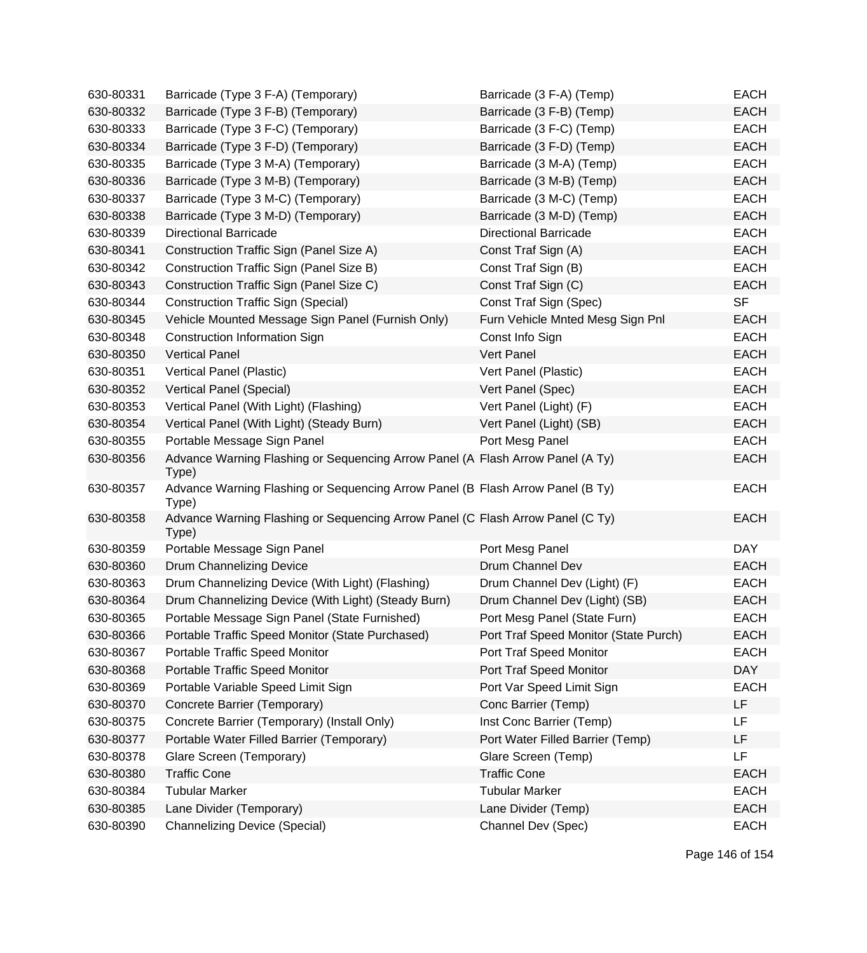| 630-80331 | Barricade (Type 3 F-A) (Temporary)                                                      | Barricade (3 F-A) (Temp)              | <b>EACH</b> |
|-----------|-----------------------------------------------------------------------------------------|---------------------------------------|-------------|
| 630-80332 | Barricade (Type 3 F-B) (Temporary)                                                      | Barricade (3 F-B) (Temp)              | <b>EACH</b> |
| 630-80333 | Barricade (Type 3 F-C) (Temporary)                                                      | Barricade (3 F-C) (Temp)              | <b>EACH</b> |
| 630-80334 | Barricade (Type 3 F-D) (Temporary)                                                      | Barricade (3 F-D) (Temp)              | <b>EACH</b> |
| 630-80335 | Barricade (Type 3 M-A) (Temporary)                                                      | Barricade (3 M-A) (Temp)              | <b>EACH</b> |
| 630-80336 | Barricade (Type 3 M-B) (Temporary)                                                      | Barricade (3 M-B) (Temp)              | <b>EACH</b> |
| 630-80337 | Barricade (Type 3 M-C) (Temporary)                                                      | Barricade (3 M-C) (Temp)              | <b>EACH</b> |
| 630-80338 | Barricade (Type 3 M-D) (Temporary)                                                      | Barricade (3 M-D) (Temp)              | <b>EACH</b> |
| 630-80339 | <b>Directional Barricade</b>                                                            | <b>Directional Barricade</b>          | <b>EACH</b> |
| 630-80341 | Construction Traffic Sign (Panel Size A)                                                | Const Traf Sign (A)                   | <b>EACH</b> |
| 630-80342 | Construction Traffic Sign (Panel Size B)                                                | Const Traf Sign (B)                   | <b>EACH</b> |
| 630-80343 | Construction Traffic Sign (Panel Size C)                                                | Const Traf Sign (C)                   | <b>EACH</b> |
| 630-80344 | <b>Construction Traffic Sign (Special)</b>                                              | Const Traf Sign (Spec)                | <b>SF</b>   |
| 630-80345 | Vehicle Mounted Message Sign Panel (Furnish Only)                                       | Furn Vehicle Mnted Mesg Sign Pnl      | <b>EACH</b> |
| 630-80348 | Construction Information Sign                                                           | Const Info Sign                       | <b>EACH</b> |
| 630-80350 | <b>Vertical Panel</b>                                                                   | Vert Panel                            | <b>EACH</b> |
| 630-80351 | Vertical Panel (Plastic)                                                                | Vert Panel (Plastic)                  | <b>EACH</b> |
| 630-80352 | Vertical Panel (Special)                                                                | Vert Panel (Spec)                     | <b>EACH</b> |
| 630-80353 | Vertical Panel (With Light) (Flashing)                                                  | Vert Panel (Light) (F)                | <b>EACH</b> |
| 630-80354 | Vertical Panel (With Light) (Steady Burn)                                               | Vert Panel (Light) (SB)               | <b>EACH</b> |
| 630-80355 | Portable Message Sign Panel                                                             | Port Mesg Panel                       | <b>EACH</b> |
| 630-80356 | Advance Warning Flashing or Sequencing Arrow Panel (A Flash Arrow Panel (A Ty)<br>Type) |                                       | <b>EACH</b> |
| 630-80357 | Advance Warning Flashing or Sequencing Arrow Panel (B Flash Arrow Panel (B Ty)<br>Type) |                                       | <b>EACH</b> |
| 630-80358 | Advance Warning Flashing or Sequencing Arrow Panel (C Flash Arrow Panel (C Ty)<br>Type) |                                       | <b>EACH</b> |
| 630-80359 | Portable Message Sign Panel                                                             | Port Mesg Panel                       | <b>DAY</b>  |
| 630-80360 | Drum Channelizing Device                                                                | Drum Channel Dev                      | <b>EACH</b> |
| 630-80363 | Drum Channelizing Device (With Light) (Flashing)                                        | Drum Channel Dev (Light) (F)          | <b>EACH</b> |
| 630-80364 | Drum Channelizing Device (With Light) (Steady Burn)                                     | Drum Channel Dev (Light) (SB)         | <b>EACH</b> |
| 630-80365 | Portable Message Sign Panel (State Furnished)                                           | Port Mesg Panel (State Furn)          | <b>EACH</b> |
| 630-80366 | Portable Traffic Speed Monitor (State Purchased)                                        | Port Traf Speed Monitor (State Purch) | <b>EACH</b> |
| 630-80367 | Portable Traffic Speed Monitor                                                          | Port Traf Speed Monitor               | <b>EACH</b> |
| 630-80368 | Portable Traffic Speed Monitor                                                          | Port Traf Speed Monitor               | <b>DAY</b>  |
| 630-80369 | Portable Variable Speed Limit Sign                                                      | Port Var Speed Limit Sign             | <b>EACH</b> |
| 630-80370 | Concrete Barrier (Temporary)                                                            | Conc Barrier (Temp)                   | LF          |
| 630-80375 | Concrete Barrier (Temporary) (Install Only)                                             | Inst Conc Barrier (Temp)              | LF          |
| 630-80377 | Portable Water Filled Barrier (Temporary)                                               | Port Water Filled Barrier (Temp)      | LF          |
| 630-80378 | Glare Screen (Temporary)                                                                | Glare Screen (Temp)                   | LF          |
| 630-80380 | <b>Traffic Cone</b>                                                                     | <b>Traffic Cone</b>                   | <b>EACH</b> |
| 630-80384 | <b>Tubular Marker</b>                                                                   | <b>Tubular Marker</b>                 | <b>EACH</b> |
| 630-80385 | Lane Divider (Temporary)                                                                | Lane Divider (Temp)                   | <b>EACH</b> |
| 630-80390 | <b>Channelizing Device (Special)</b>                                                    | Channel Dev (Spec)                    | <b>EACH</b> |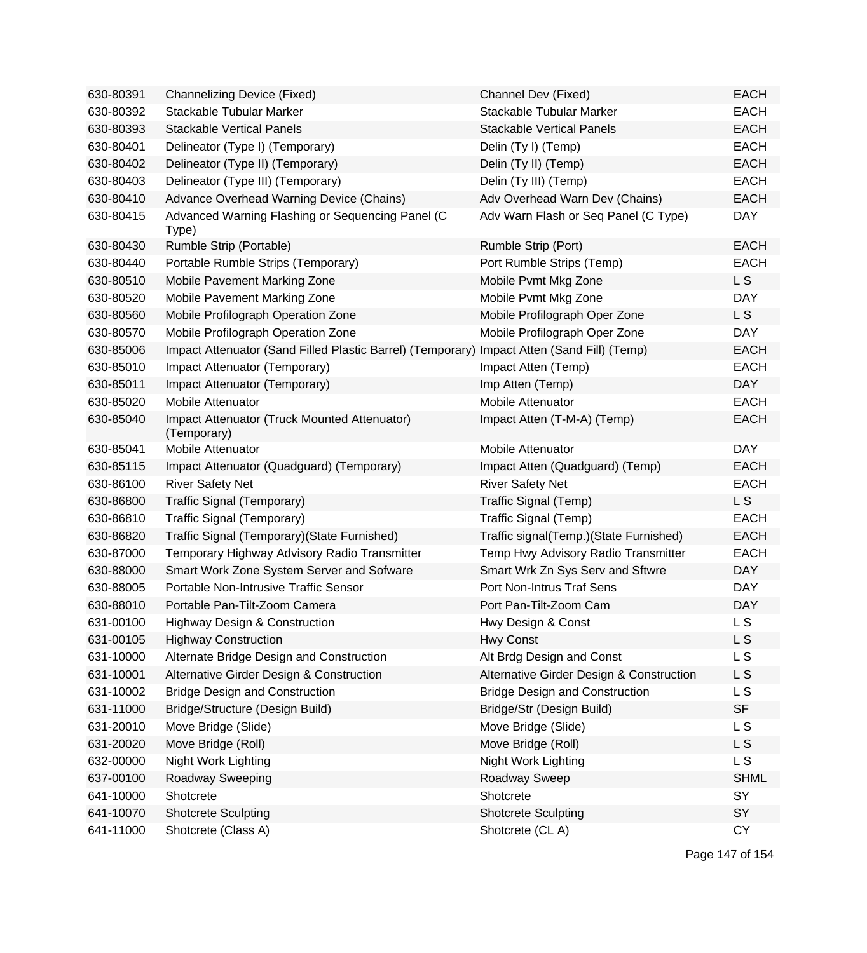| 630-80391 | Channelizing Device (Fixed)                                 | Channel Dev (Fixed)                      | <b>EACH</b>    |
|-----------|-------------------------------------------------------------|------------------------------------------|----------------|
| 630-80392 | Stackable Tubular Marker                                    | Stackable Tubular Marker                 | <b>EACH</b>    |
| 630-80393 | <b>Stackable Vertical Panels</b>                            | <b>Stackable Vertical Panels</b>         | <b>EACH</b>    |
| 630-80401 | Delineator (Type I) (Temporary)                             | Delin (Ty I) (Temp)                      | <b>EACH</b>    |
| 630-80402 | Delineator (Type II) (Temporary)                            | Delin (Ty II) (Temp)                     | <b>EACH</b>    |
| 630-80403 | Delineator (Type III) (Temporary)                           | Delin (Ty III) (Temp)                    | <b>EACH</b>    |
| 630-80410 | Advance Overhead Warning Device (Chains)                    | Adv Overhead Warn Dev (Chains)           | <b>EACH</b>    |
| 630-80415 | Advanced Warning Flashing or Sequencing Panel (C<br>Type)   | Adv Warn Flash or Seq Panel (C Type)     | <b>DAY</b>     |
| 630-80430 | Rumble Strip (Portable)                                     | Rumble Strip (Port)                      | <b>EACH</b>    |
| 630-80440 | Portable Rumble Strips (Temporary)                          | Port Rumble Strips (Temp)                | <b>EACH</b>    |
| 630-80510 | Mobile Pavement Marking Zone                                | Mobile Pvmt Mkg Zone                     | L <sub>S</sub> |
| 630-80520 | Mobile Pavement Marking Zone                                | Mobile Pvmt Mkg Zone                     | <b>DAY</b>     |
| 630-80560 | Mobile Profilograph Operation Zone                          | Mobile Profilograph Oper Zone            | L S            |
| 630-80570 | Mobile Profilograph Operation Zone                          | Mobile Profilograph Oper Zone            | <b>DAY</b>     |
| 630-85006 | Impact Attenuator (Sand Filled Plastic Barrel) (Temporary)  | Impact Atten (Sand Fill) (Temp)          | <b>EACH</b>    |
| 630-85010 | Impact Attenuator (Temporary)                               | Impact Atten (Temp)                      | <b>EACH</b>    |
| 630-85011 | Impact Attenuator (Temporary)                               | Imp Atten (Temp)                         | <b>DAY</b>     |
| 630-85020 | <b>Mobile Attenuator</b>                                    | <b>Mobile Attenuator</b>                 | <b>EACH</b>    |
| 630-85040 | Impact Attenuator (Truck Mounted Attenuator)<br>(Temporary) | Impact Atten (T-M-A) (Temp)              | <b>EACH</b>    |
| 630-85041 | Mobile Attenuator                                           | <b>Mobile Attenuator</b>                 | <b>DAY</b>     |
| 630-85115 | Impact Attenuator (Quadguard) (Temporary)                   | Impact Atten (Quadguard) (Temp)          | <b>EACH</b>    |
| 630-86100 | <b>River Safety Net</b>                                     | <b>River Safety Net</b>                  | <b>EACH</b>    |
| 630-86800 | Traffic Signal (Temporary)                                  | Traffic Signal (Temp)                    | L S            |
| 630-86810 | Traffic Signal (Temporary)                                  | Traffic Signal (Temp)                    | <b>EACH</b>    |
| 630-86820 | Traffic Signal (Temporary) (State Furnished)                | Traffic signal(Temp.)(State Furnished)   | <b>EACH</b>    |
| 630-87000 | Temporary Highway Advisory Radio Transmitter                | Temp Hwy Advisory Radio Transmitter      | <b>EACH</b>    |
| 630-88000 | Smart Work Zone System Server and Sofware                   | Smart Wrk Zn Sys Serv and Sftwre         | <b>DAY</b>     |
| 630-88005 | Portable Non-Intrusive Traffic Sensor                       | Port Non-Intrus Traf Sens                | <b>DAY</b>     |
| 630-88010 | Portable Pan-Tilt-Zoom Camera                               | Port Pan-Tilt-Zoom Cam                   | <b>DAY</b>     |
| 631-00100 | <b>Highway Design &amp; Construction</b>                    | Hwy Design & Const                       | L S            |
| 631-00105 | <b>Highway Construction</b>                                 | <b>Hwy Const</b>                         | L S            |
| 631-10000 | Alternate Bridge Design and Construction                    | Alt Brdg Design and Const                | L S            |
| 631-10001 | Alternative Girder Design & Construction                    | Alternative Girder Design & Construction | L S            |
| 631-10002 | <b>Bridge Design and Construction</b>                       | <b>Bridge Design and Construction</b>    | L S            |
| 631-11000 | Bridge/Structure (Design Build)                             | Bridge/Str (Design Build)                | <b>SF</b>      |
| 631-20010 | Move Bridge (Slide)                                         | Move Bridge (Slide)                      | L S            |
| 631-20020 | Move Bridge (Roll)                                          | Move Bridge (Roll)                       | L S            |
| 632-00000 | Night Work Lighting                                         | Night Work Lighting                      | L S            |
| 637-00100 | Roadway Sweeping                                            | Roadway Sweep                            | <b>SHML</b>    |
| 641-10000 | Shotcrete                                                   | Shotcrete                                | SY             |
| 641-10070 | <b>Shotcrete Sculpting</b>                                  | <b>Shotcrete Sculpting</b>               | SY             |
| 641-11000 | Shotcrete (Class A)                                         | Shotcrete (CLA)                          | <b>CY</b>      |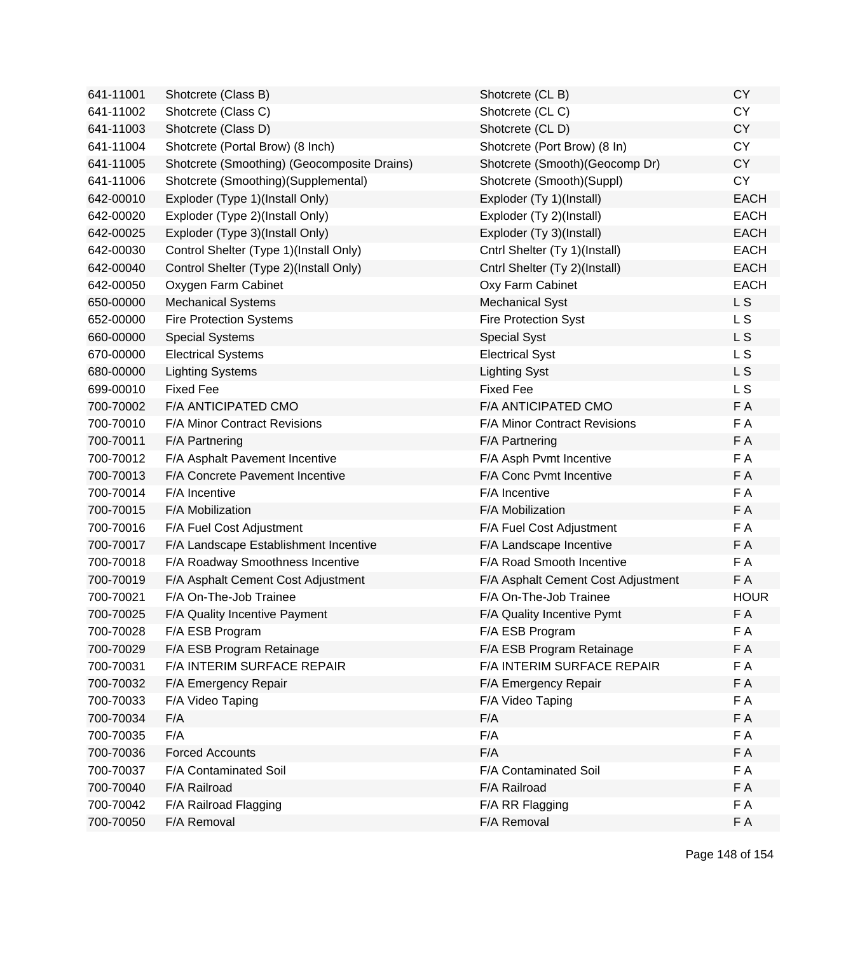| 641-11001 | Shotcrete (Class B)                         | Shotcrete (CL B)                   | <b>CY</b>      |
|-----------|---------------------------------------------|------------------------------------|----------------|
| 641-11002 | Shotcrete (Class C)                         | Shotcrete (CLC)                    | <b>CY</b>      |
| 641-11003 | Shotcrete (Class D)                         | Shotcrete (CLD)                    | <b>CY</b>      |
| 641-11004 | Shotcrete (Portal Brow) (8 Inch)            | Shotcrete (Port Brow) (8 In)       | <b>CY</b>      |
| 641-11005 | Shotcrete (Smoothing) (Geocomposite Drains) | Shotcrete (Smooth)(Geocomp Dr)     | CY             |
| 641-11006 | Shotcrete (Smoothing)(Supplemental)         | Shotcrete (Smooth)(Suppl)          | <b>CY</b>      |
| 642-00010 | Exploder (Type 1)(Install Only)             | Exploder (Ty 1)(Install)           | <b>EACH</b>    |
| 642-00020 | Exploder (Type 2)(Install Only)             | Exploder (Ty 2)(Install)           | <b>EACH</b>    |
| 642-00025 | Exploder (Type 3)(Install Only)             | Exploder (Ty 3)(Install)           | <b>EACH</b>    |
| 642-00030 | Control Shelter (Type 1)(Install Only)      | Cntrl Shelter (Ty 1)(Install)      | <b>EACH</b>    |
| 642-00040 | Control Shelter (Type 2)(Install Only)      | Cntrl Shelter (Ty 2)(Install)      | <b>EACH</b>    |
| 642-00050 | Oxygen Farm Cabinet                         | Oxy Farm Cabinet                   | <b>EACH</b>    |
| 650-00000 | <b>Mechanical Systems</b>                   | <b>Mechanical Syst</b>             | L <sub>S</sub> |
| 652-00000 | <b>Fire Protection Systems</b>              | <b>Fire Protection Syst</b>        | L S            |
| 660-00000 | <b>Special Systems</b>                      | <b>Special Syst</b>                | L S            |
| 670-00000 | <b>Electrical Systems</b>                   | <b>Electrical Syst</b>             | <b>LS</b>      |
| 680-00000 | <b>Lighting Systems</b>                     | <b>Lighting Syst</b>               | L S            |
| 699-00010 | <b>Fixed Fee</b>                            | <b>Fixed Fee</b>                   | L S            |
| 700-70002 | F/A ANTICIPATED CMO                         | F/A ANTICIPATED CMO                | F A            |
| 700-70010 | F/A Minor Contract Revisions                | F/A Minor Contract Revisions       | F A            |
| 700-70011 | F/A Partnering                              | F/A Partnering                     | F A            |
| 700-70012 | F/A Asphalt Pavement Incentive              | F/A Asph Pvmt Incentive            | F A            |
| 700-70013 | F/A Concrete Pavement Incentive             | F/A Conc Pvmt Incentive            | F A            |
| 700-70014 | F/A Incentive                               | F/A Incentive                      | F A            |
| 700-70015 | F/A Mobilization                            | F/A Mobilization                   | F A            |
| 700-70016 | F/A Fuel Cost Adjustment                    | F/A Fuel Cost Adjustment           | F A            |
| 700-70017 | F/A Landscape Establishment Incentive       | F/A Landscape Incentive            | F A            |
| 700-70018 | F/A Roadway Smoothness Incentive            | F/A Road Smooth Incentive          | F A            |
| 700-70019 | F/A Asphalt Cement Cost Adjustment          | F/A Asphalt Cement Cost Adjustment | F A            |
| 700-70021 | F/A On-The-Job Trainee                      | F/A On-The-Job Trainee             | <b>HOUR</b>    |
| 700-70025 | F/A Quality Incentive Payment               | F/A Quality Incentive Pymt         | F A            |
| 700-70028 | F/A ESB Program                             | F/A ESB Program                    | F A            |
| 700-70029 | F/A ESB Program Retainage                   | F/A ESB Program Retainage          | F A            |
| 700-70031 | F/A INTERIM SURFACE REPAIR                  | F/A INTERIM SURFACE REPAIR         | F A            |
| 700-70032 | F/A Emergency Repair                        | F/A Emergency Repair               | F A            |
| 700-70033 | F/A Video Taping                            | F/A Video Taping                   | F A            |
| 700-70034 | F/A                                         | F/A                                | F A            |
| 700-70035 | F/A                                         | F/A                                | F A            |
| 700-70036 | <b>Forced Accounts</b>                      | F/A                                | F A            |
| 700-70037 | F/A Contaminated Soil                       | F/A Contaminated Soil              | F A            |
| 700-70040 | F/A Railroad                                | F/A Railroad                       | F A            |
| 700-70042 | F/A Railroad Flagging                       | F/A RR Flagging                    | F A            |
| 700-70050 | F/A Removal                                 | F/A Removal                        | F A            |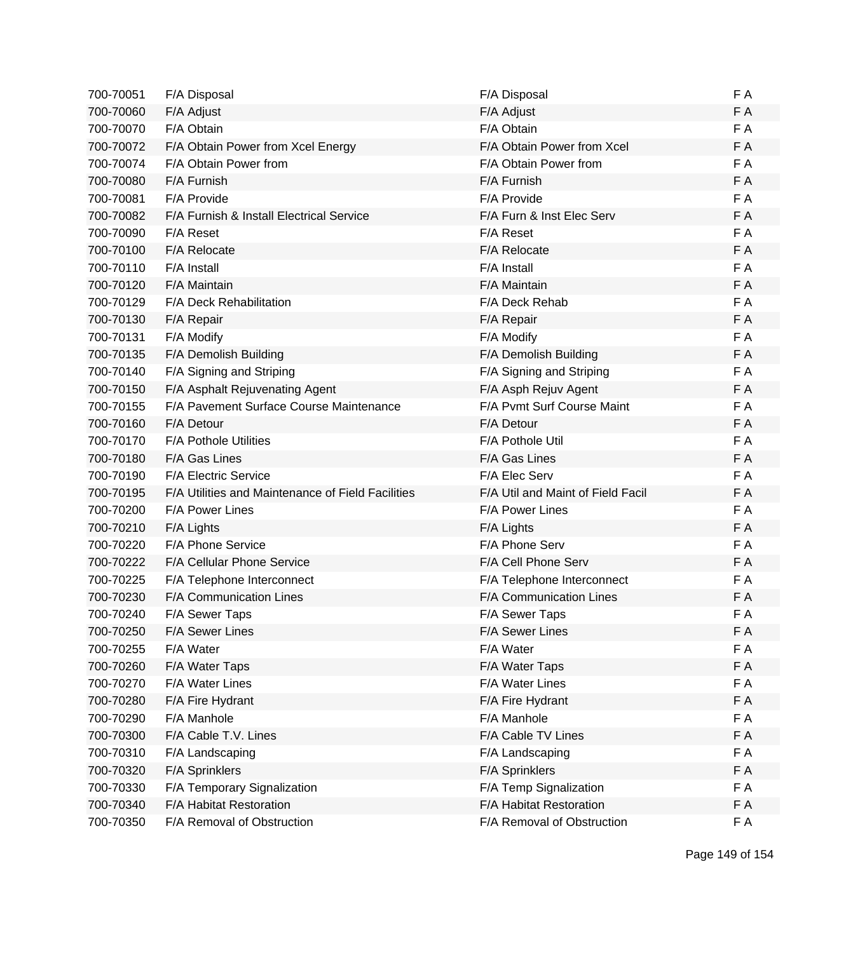| 700-70051 | F/A Disposal                                      | F/A Disposal                      | F A |
|-----------|---------------------------------------------------|-----------------------------------|-----|
| 700-70060 | F/A Adjust                                        | F/A Adjust                        | F A |
| 700-70070 | F/A Obtain                                        | F/A Obtain                        | F A |
| 700-70072 | F/A Obtain Power from Xcel Energy                 | F/A Obtain Power from Xcel        | F A |
| 700-70074 | F/A Obtain Power from                             | F/A Obtain Power from             | F A |
| 700-70080 | F/A Furnish                                       | F/A Furnish                       | FA  |
| 700-70081 | F/A Provide                                       | F/A Provide                       | F A |
| 700-70082 | F/A Furnish & Install Electrical Service          | F/A Furn & Inst Elec Serv         | FA  |
| 700-70090 | F/A Reset                                         | F/A Reset                         | F A |
| 700-70100 | F/A Relocate                                      | F/A Relocate                      | F A |
| 700-70110 | F/A Install                                       | F/A Install                       | F A |
| 700-70120 | F/A Maintain                                      | F/A Maintain                      | F A |
| 700-70129 | F/A Deck Rehabilitation                           | F/A Deck Rehab                    | F A |
| 700-70130 | F/A Repair                                        | F/A Repair                        | F A |
| 700-70131 | F/A Modify                                        | F/A Modify                        | F A |
| 700-70135 | F/A Demolish Building                             | F/A Demolish Building             | F A |
| 700-70140 | F/A Signing and Striping                          | F/A Signing and Striping          | F A |
| 700-70150 | F/A Asphalt Rejuvenating Agent                    | F/A Asph Rejuv Agent              | FA  |
| 700-70155 | F/A Pavement Surface Course Maintenance           | F/A Pvmt Surf Course Maint        | F A |
| 700-70160 | F/A Detour                                        | F/A Detour                        | F A |
| 700-70170 | <b>F/A Pothole Utilities</b>                      | F/A Pothole Util                  | F A |
| 700-70180 | F/A Gas Lines                                     | F/A Gas Lines                     | F A |
| 700-70190 | F/A Electric Service                              | F/A Elec Serv                     | F A |
| 700-70195 | F/A Utilities and Maintenance of Field Facilities | F/A Util and Maint of Field Facil | F A |
| 700-70200 | F/A Power Lines                                   | F/A Power Lines                   | F A |
| 700-70210 | F/A Lights                                        | F/A Lights                        | F A |
| 700-70220 | F/A Phone Service                                 | F/A Phone Serv                    | F A |
| 700-70222 | F/A Cellular Phone Service                        | F/A Cell Phone Serv               | FA  |
| 700-70225 | F/A Telephone Interconnect                        | F/A Telephone Interconnect        | F A |
| 700-70230 | F/A Communication Lines                           | F/A Communication Lines           | F A |
| 700-70240 | F/A Sewer Taps                                    | F/A Sewer Taps                    | F A |
| 700-70250 | <b>F/A Sewer Lines</b>                            | <b>F/A Sewer Lines</b>            | FΑ  |
| 700-70255 | F/A Water                                         | F/A Water                         | F A |
| 700-70260 | F/A Water Taps                                    | F/A Water Taps                    | F A |
| 700-70270 | F/A Water Lines                                   | F/A Water Lines                   | F A |
| 700-70280 | F/A Fire Hydrant                                  | F/A Fire Hydrant                  | F A |
| 700-70290 | F/A Manhole                                       | F/A Manhole                       | F A |
| 700-70300 | F/A Cable T.V. Lines                              | F/A Cable TV Lines                | F A |
| 700-70310 | F/A Landscaping                                   | F/A Landscaping                   | F A |
| 700-70320 | F/A Sprinklers                                    | F/A Sprinklers                    | F A |
| 700-70330 | F/A Temporary Signalization                       | F/A Temp Signalization            | F A |
| 700-70340 | F/A Habitat Restoration                           | F/A Habitat Restoration           | F A |
| 700-70350 | F/A Removal of Obstruction                        | F/A Removal of Obstruction        | F A |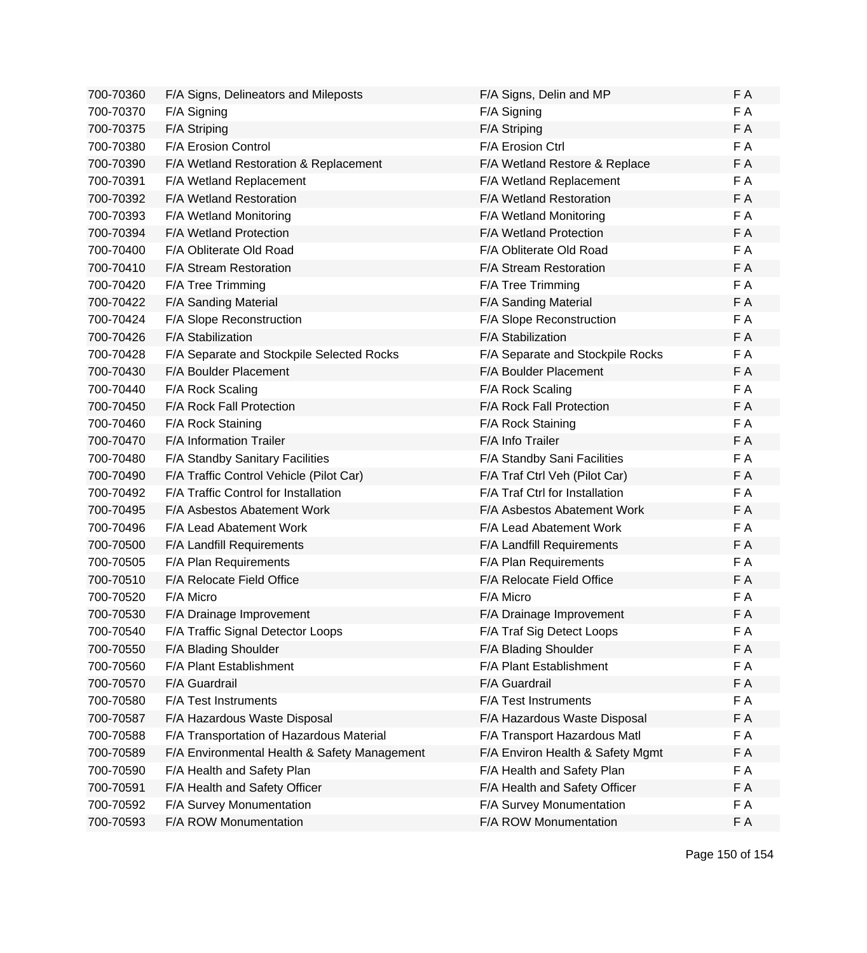| 700-70360 | F/A Signs, Delineators and Mileposts         | F/A Signs, Delin and MP          | F A |
|-----------|----------------------------------------------|----------------------------------|-----|
| 700-70370 | F/A Signing                                  | F/A Signing                      | F A |
| 700-70375 | F/A Striping                                 | F/A Striping                     | F A |
| 700-70380 | F/A Erosion Control                          | F/A Erosion Ctrl                 | F A |
| 700-70390 | F/A Wetland Restoration & Replacement        | F/A Wetland Restore & Replace    | F A |
| 700-70391 | F/A Wetland Replacement                      | F/A Wetland Replacement          | F A |
| 700-70392 | F/A Wetland Restoration                      | F/A Wetland Restoration          | F A |
| 700-70393 | F/A Wetland Monitoring                       | F/A Wetland Monitoring           | F A |
| 700-70394 | <b>F/A Wetland Protection</b>                | <b>F/A Wetland Protection</b>    | F A |
| 700-70400 | F/A Obliterate Old Road                      | F/A Obliterate Old Road          | FA  |
| 700-70410 | F/A Stream Restoration                       | F/A Stream Restoration           | F A |
| 700-70420 | F/A Tree Trimming                            | F/A Tree Trimming                | FA  |
| 700-70422 | F/A Sanding Material                         | F/A Sanding Material             | FA  |
| 700-70424 | F/A Slope Reconstruction                     | F/A Slope Reconstruction         | F A |
| 700-70426 | F/A Stabilization                            | F/A Stabilization                | F A |
| 700-70428 | F/A Separate and Stockpile Selected Rocks    | F/A Separate and Stockpile Rocks | F A |
| 700-70430 | F/A Boulder Placement                        | F/A Boulder Placement            | F A |
| 700-70440 | F/A Rock Scaling                             | F/A Rock Scaling                 | F A |
| 700-70450 | F/A Rock Fall Protection                     | F/A Rock Fall Protection         | FA  |
| 700-70460 | F/A Rock Staining                            | F/A Rock Staining                | FA  |
| 700-70470 | F/A Information Trailer                      | F/A Info Trailer                 | F A |
| 700-70480 | F/A Standby Sanitary Facilities              | F/A Standby Sani Facilities      | FA  |
| 700-70490 | F/A Traffic Control Vehicle (Pilot Car)      | F/A Traf Ctrl Veh (Pilot Car)    | FA  |
| 700-70492 | F/A Traffic Control for Installation         | F/A Traf Ctrl for Installation   | F A |
| 700-70495 | F/A Asbestos Abatement Work                  | F/A Asbestos Abatement Work      | F A |
| 700-70496 | F/A Lead Abatement Work                      | F/A Lead Abatement Work          | F A |
| 700-70500 | F/A Landfill Requirements                    | F/A Landfill Requirements        | F A |
| 700-70505 | F/A Plan Requirements                        | F/A Plan Requirements            | F A |
| 700-70510 | F/A Relocate Field Office                    | F/A Relocate Field Office        | F A |
| 700-70520 | F/A Micro                                    | F/A Micro                        | F A |
| 700-70530 | F/A Drainage Improvement                     | F/A Drainage Improvement         | F A |
| 700-70540 | F/A Traffic Signal Detector Loops            | F/A Traf Sig Detect Loops        | FΑ  |
| 700-70550 | F/A Blading Shoulder                         | F/A Blading Shoulder             | FA  |
| 700-70560 | F/A Plant Establishment                      | F/A Plant Establishment          | F A |
| 700-70570 | F/A Guardrail                                | F/A Guardrail                    | F A |
| 700-70580 | F/A Test Instruments                         | F/A Test Instruments             | F A |
| 700-70587 | F/A Hazardous Waste Disposal                 | F/A Hazardous Waste Disposal     | F A |
| 700-70588 | F/A Transportation of Hazardous Material     | F/A Transport Hazardous Matl     | F A |
| 700-70589 | F/A Environmental Health & Safety Management | F/A Environ Health & Safety Mgmt | F A |
| 700-70590 | F/A Health and Safety Plan                   | F/A Health and Safety Plan       | F A |
| 700-70591 | F/A Health and Safety Officer                | F/A Health and Safety Officer    | F A |
| 700-70592 | F/A Survey Monumentation                     | F/A Survey Monumentation         | F A |
| 700-70593 | F/A ROW Monumentation                        | F/A ROW Monumentation            | F A |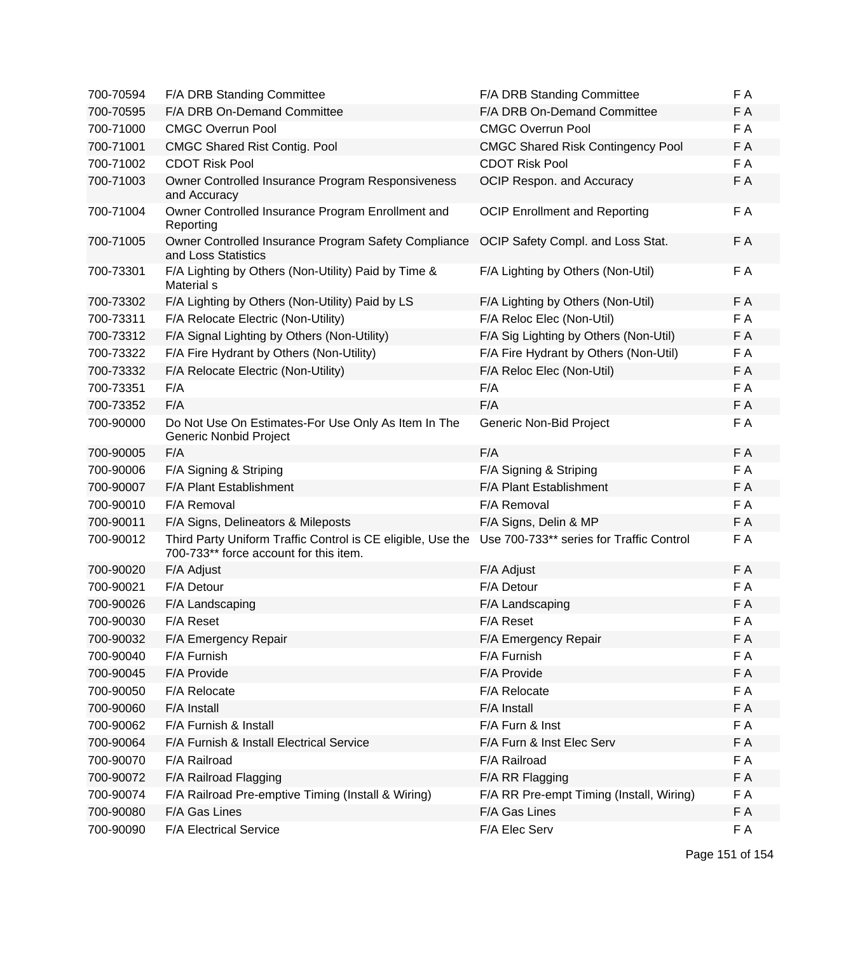| 700-70594 | F/A DRB Standing Committee                                                                            | F/A DRB Standing Committee               | F A |
|-----------|-------------------------------------------------------------------------------------------------------|------------------------------------------|-----|
| 700-70595 | F/A DRB On-Demand Committee                                                                           | F/A DRB On-Demand Committee              | F A |
| 700-71000 | <b>CMGC Overrun Pool</b>                                                                              | <b>CMGC Overrun Pool</b>                 | F A |
| 700-71001 | <b>CMGC Shared Rist Contig. Pool</b>                                                                  | <b>CMGC Shared Risk Contingency Pool</b> | F A |
| 700-71002 | <b>CDOT Risk Pool</b>                                                                                 | <b>CDOT Risk Pool</b>                    | F A |
| 700-71003 | Owner Controlled Insurance Program Responsiveness<br>and Accuracy                                     | OCIP Respon. and Accuracy                | F A |
| 700-71004 | Owner Controlled Insurance Program Enrollment and<br>Reporting                                        | <b>OCIP Enrollment and Reporting</b>     | F A |
| 700-71005 | Owner Controlled Insurance Program Safety Compliance<br>and Loss Statistics                           | OCIP Safety Compl. and Loss Stat.        | F A |
| 700-73301 | F/A Lighting by Others (Non-Utility) Paid by Time &<br>Material s                                     | F/A Lighting by Others (Non-Util)        | F A |
| 700-73302 | F/A Lighting by Others (Non-Utility) Paid by LS                                                       | F/A Lighting by Others (Non-Util)        | F A |
| 700-73311 | F/A Relocate Electric (Non-Utility)                                                                   | F/A Reloc Elec (Non-Util)                | F A |
| 700-73312 | F/A Signal Lighting by Others (Non-Utility)                                                           | F/A Sig Lighting by Others (Non-Util)    | F A |
| 700-73322 | F/A Fire Hydrant by Others (Non-Utility)                                                              | F/A Fire Hydrant by Others (Non-Util)    | F A |
| 700-73332 | F/A Relocate Electric (Non-Utility)                                                                   | F/A Reloc Elec (Non-Util)                | F A |
| 700-73351 | F/A                                                                                                   | F/A                                      | F A |
| 700-73352 | F/A                                                                                                   | F/A                                      | F A |
| 700-90000 | Do Not Use On Estimates-For Use Only As Item In The<br><b>Generic Nonbid Project</b>                  | Generic Non-Bid Project                  | F A |
| 700-90005 | F/A                                                                                                   | F/A                                      | F A |
| 700-90006 | F/A Signing & Striping                                                                                | F/A Signing & Striping                   | F A |
| 700-90007 | F/A Plant Establishment                                                                               | F/A Plant Establishment                  | F A |
| 700-90010 | F/A Removal                                                                                           | F/A Removal                              | F A |
| 700-90011 | F/A Signs, Delineators & Mileposts                                                                    | F/A Signs, Delin & MP                    | F A |
| 700-90012 | Third Party Uniform Traffic Control is CE eligible, Use the<br>700-733** force account for this item. | Use 700-733** series for Traffic Control | F A |
| 700-90020 | F/A Adjust                                                                                            | F/A Adjust                               | F A |
| 700-90021 | F/A Detour                                                                                            | F/A Detour                               | F A |
| 700-90026 | F/A Landscaping                                                                                       | F/A Landscaping                          | F A |
| 700-90030 | F/A Reset                                                                                             | F/A Reset                                | F A |
| 700-90032 | F/A Emergency Repair                                                                                  | F/A Emergency Repair                     | F A |
| 700-90040 | F/A Furnish                                                                                           | F/A Furnish                              | F A |
| 700-90045 | F/A Provide                                                                                           | F/A Provide                              | F A |
| 700-90050 | F/A Relocate                                                                                          | F/A Relocate                             | F A |
| 700-90060 | F/A Install                                                                                           | F/A Install                              | F A |
| 700-90062 | F/A Furnish & Install                                                                                 | F/A Furn & Inst                          | F A |
| 700-90064 | F/A Furnish & Install Electrical Service                                                              | F/A Furn & Inst Elec Serv                | F A |
| 700-90070 | F/A Railroad                                                                                          | F/A Railroad                             | F A |
| 700-90072 | F/A Railroad Flagging                                                                                 | F/A RR Flagging                          | F A |
| 700-90074 | F/A Railroad Pre-emptive Timing (Install & Wiring)                                                    | F/A RR Pre-empt Timing (Install, Wiring) | F A |
| 700-90080 | F/A Gas Lines                                                                                         | F/A Gas Lines                            | F A |
| 700-90090 | F/A Electrical Service                                                                                | F/A Elec Serv                            | F A |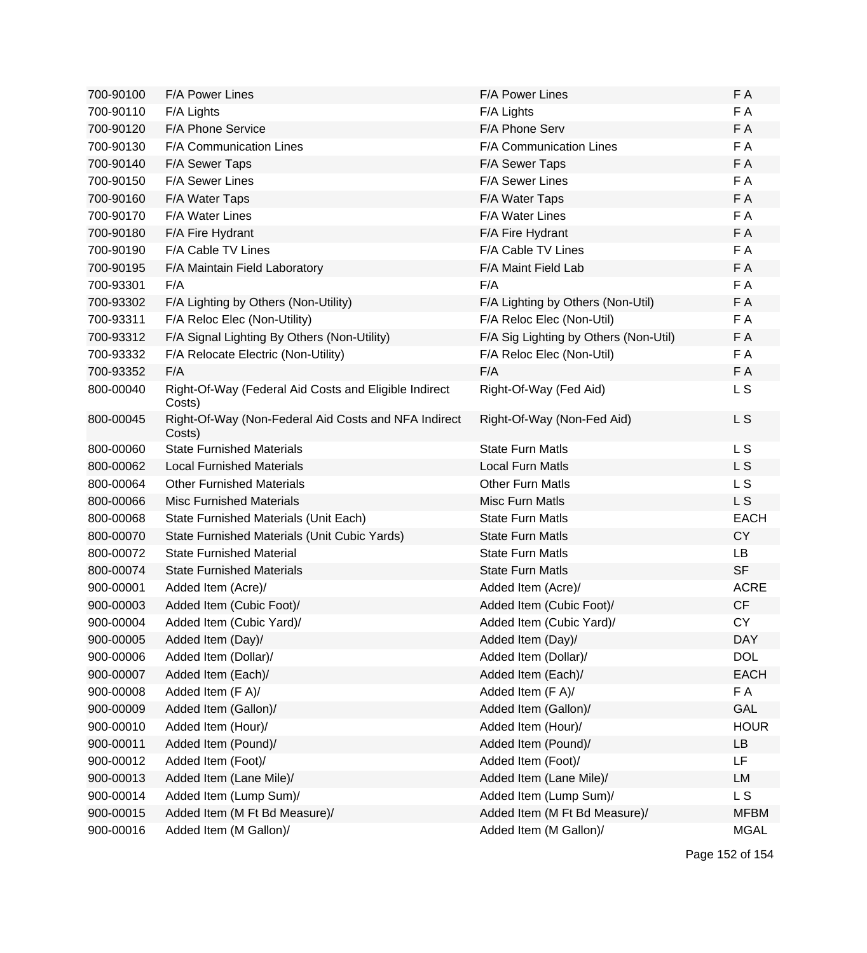| 700-90100 | <b>F/A Power Lines</b>                                          | <b>F/A Power Lines</b>                | F A         |
|-----------|-----------------------------------------------------------------|---------------------------------------|-------------|
| 700-90110 | F/A Lights                                                      | F/A Lights                            | F A         |
| 700-90120 | F/A Phone Service                                               | F/A Phone Serv                        | F A         |
| 700-90130 | F/A Communication Lines                                         | F/A Communication Lines               | F A         |
| 700-90140 | F/A Sewer Taps                                                  | F/A Sewer Taps                        | F A         |
| 700-90150 | F/A Sewer Lines                                                 | F/A Sewer Lines                       | F A         |
| 700-90160 | F/A Water Taps                                                  | F/A Water Taps                        | F A         |
| 700-90170 | F/A Water Lines                                                 | F/A Water Lines                       | F A         |
| 700-90180 | F/A Fire Hydrant                                                | F/A Fire Hydrant                      | F A         |
| 700-90190 | F/A Cable TV Lines                                              | F/A Cable TV Lines                    | F A         |
| 700-90195 | F/A Maintain Field Laboratory                                   | F/A Maint Field Lab                   | F A         |
| 700-93301 | F/A                                                             | F/A                                   | F A         |
| 700-93302 | F/A Lighting by Others (Non-Utility)                            | F/A Lighting by Others (Non-Util)     | F A         |
| 700-93311 | F/A Reloc Elec (Non-Utility)                                    | F/A Reloc Elec (Non-Util)             | F A         |
| 700-93312 | F/A Signal Lighting By Others (Non-Utility)                     | F/A Sig Lighting by Others (Non-Util) | F A         |
| 700-93332 | F/A Relocate Electric (Non-Utility)                             | F/A Reloc Elec (Non-Util)             | F A         |
| 700-93352 | F/A                                                             | F/A                                   | F A         |
| 800-00040 | Right-Of-Way (Federal Aid Costs and Eligible Indirect<br>Costs) | Right-Of-Way (Fed Aid)                | L S         |
| 800-00045 | Right-Of-Way (Non-Federal Aid Costs and NFA Indirect<br>Costs)  | Right-Of-Way (Non-Fed Aid)            | L S         |
| 800-00060 | <b>State Furnished Materials</b>                                | <b>State Furn Matls</b>               | L S         |
| 800-00062 | <b>Local Furnished Materials</b>                                | <b>Local Furn Matls</b>               | L S         |
| 800-00064 | <b>Other Furnished Materials</b>                                | <b>Other Furn Matls</b>               | L S         |
| 800-00066 | <b>Misc Furnished Materials</b>                                 | <b>Misc Furn Matls</b>                | L S         |
| 800-00068 | State Furnished Materials (Unit Each)                           | <b>State Furn Matls</b>               | <b>EACH</b> |
| 800-00070 | State Furnished Materials (Unit Cubic Yards)                    | <b>State Furn Matls</b>               | <b>CY</b>   |
| 800-00072 | <b>State Furnished Material</b>                                 | <b>State Furn Matls</b>               | LB          |
| 800-00074 | <b>State Furnished Materials</b>                                | <b>State Furn Matls</b>               | <b>SF</b>   |
| 900-00001 | Added Item (Acre)/                                              | Added Item (Acre)/                    | <b>ACRE</b> |
| 900-00003 | Added Item (Cubic Foot)/                                        | Added Item (Cubic Foot)/              | CF          |
| 900-00004 | Added Item (Cubic Yard)/                                        | Added Item (Cubic Yard)/              | <b>CY</b>   |
| 900-00005 | Added Item (Day)/                                               | Added Item (Day)/                     | <b>DAY</b>  |
| 900-00006 | Added Item (Dollar)/                                            | Added Item (Dollar)/                  | <b>DOL</b>  |
| 900-00007 | Added Item (Each)/                                              | Added Item (Each)/                    | <b>EACH</b> |
| 900-00008 | Added Item (F A)/                                               | Added Item (F A)/                     | F A         |
| 900-00009 | Added Item (Gallon)/                                            | Added Item (Gallon)/                  | GAL         |
| 900-00010 | Added Item (Hour)/                                              | Added Item (Hour)/                    | <b>HOUR</b> |
| 900-00011 | Added Item (Pound)/                                             | Added Item (Pound)/                   | LB          |
| 900-00012 | Added Item (Foot)/                                              | Added Item (Foot)/                    | LF          |
| 900-00013 | Added Item (Lane Mile)/                                         | Added Item (Lane Mile)/               | LM          |
| 900-00014 | Added Item (Lump Sum)/                                          | Added Item (Lump Sum)/                | L S         |
| 900-00015 | Added Item (M Ft Bd Measure)/                                   | Added Item (M Ft Bd Measure)/         | <b>MFBM</b> |
| 900-00016 | Added Item (M Gallon)/                                          | Added Item (M Gallon)/                | <b>MGAL</b> |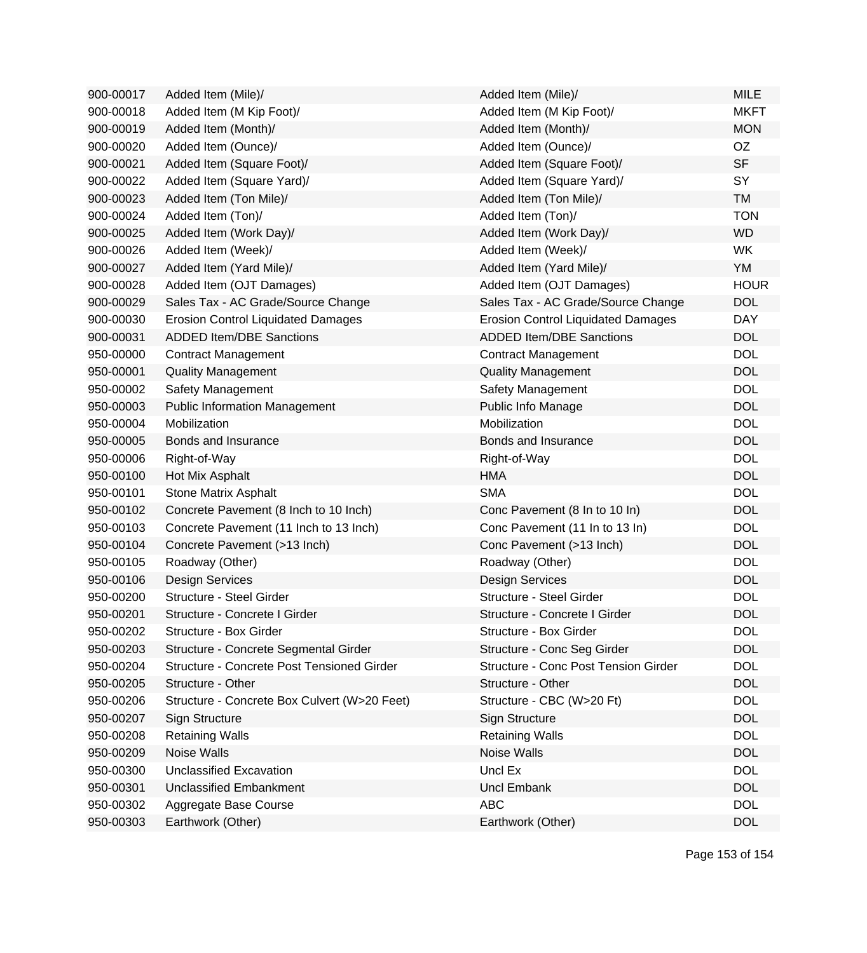| 900-00017 | Added Item (Mile)/                           | Added Item (Mile)/                          | <b>MILE</b> |
|-----------|----------------------------------------------|---------------------------------------------|-------------|
| 900-00018 | Added Item (M Kip Foot)/                     | Added Item (M Kip Foot)/                    | <b>MKFT</b> |
| 900-00019 | Added Item (Month)/                          | Added Item (Month)/                         | <b>MON</b>  |
| 900-00020 | Added Item (Ounce)/                          | Added Item (Ounce)/                         | OZ          |
| 900-00021 | Added Item (Square Foot)/                    | Added Item (Square Foot)/                   | <b>SF</b>   |
| 900-00022 | Added Item (Square Yard)/                    | Added Item (Square Yard)/                   | SY          |
| 900-00023 | Added Item (Ton Mile)/                       | Added Item (Ton Mile)/                      | <b>TM</b>   |
| 900-00024 | Added Item (Ton)/                            | Added Item (Ton)/                           | <b>TON</b>  |
| 900-00025 | Added Item (Work Day)/                       | Added Item (Work Day)/                      | <b>WD</b>   |
| 900-00026 | Added Item (Week)/                           | Added Item (Week)/                          | <b>WK</b>   |
| 900-00027 | Added Item (Yard Mile)/                      | Added Item (Yard Mile)/                     | YM          |
| 900-00028 | Added Item (OJT Damages)                     | Added Item (OJT Damages)                    | <b>HOUR</b> |
| 900-00029 | Sales Tax - AC Grade/Source Change           | Sales Tax - AC Grade/Source Change          | <b>DOL</b>  |
| 900-00030 | <b>Erosion Control Liquidated Damages</b>    | <b>Erosion Control Liquidated Damages</b>   | <b>DAY</b>  |
| 900-00031 | <b>ADDED Item/DBE Sanctions</b>              | <b>ADDED Item/DBE Sanctions</b>             | <b>DOL</b>  |
| 950-00000 | <b>Contract Management</b>                   | <b>Contract Management</b>                  | <b>DOL</b>  |
| 950-00001 | <b>Quality Management</b>                    | <b>Quality Management</b>                   | <b>DOL</b>  |
| 950-00002 | Safety Management                            | Safety Management                           | <b>DOL</b>  |
| 950-00003 | <b>Public Information Management</b>         | Public Info Manage                          | <b>DOL</b>  |
| 950-00004 | Mobilization                                 | Mobilization                                | <b>DOL</b>  |
| 950-00005 | Bonds and Insurance                          | Bonds and Insurance                         | <b>DOL</b>  |
| 950-00006 | Right-of-Way                                 | Right-of-Way                                | <b>DOL</b>  |
| 950-00100 | Hot Mix Asphalt                              | <b>HMA</b>                                  | <b>DOL</b>  |
| 950-00101 | Stone Matrix Asphalt                         | <b>SMA</b>                                  | <b>DOL</b>  |
| 950-00102 | Concrete Pavement (8 Inch to 10 Inch)        | Conc Pavement (8 In to 10 In)               | <b>DOL</b>  |
| 950-00103 | Concrete Pavement (11 Inch to 13 Inch)       | Conc Pavement (11 In to 13 In)              | <b>DOL</b>  |
| 950-00104 | Concrete Pavement (>13 Inch)                 | Conc Pavement (>13 Inch)                    | <b>DOL</b>  |
| 950-00105 | Roadway (Other)                              | Roadway (Other)                             | <b>DOL</b>  |
| 950-00106 | <b>Design Services</b>                       | <b>Design Services</b>                      | <b>DOL</b>  |
| 950-00200 | Structure - Steel Girder                     | <b>Structure - Steel Girder</b>             | <b>DOL</b>  |
| 950-00201 | Structure - Concrete I Girder                | Structure - Concrete I Girder               | <b>DOL</b>  |
| 950-00202 | Structure - Box Girder                       | Structure - Box Girder                      | <b>DOL</b>  |
| 950-00203 | Structure - Concrete Segmental Girder        | Structure - Conc Seg Girder                 | <b>DOL</b>  |
| 950-00204 | Structure - Concrete Post Tensioned Girder   | <b>Structure - Conc Post Tension Girder</b> | <b>DOL</b>  |
| 950-00205 | Structure - Other                            | Structure - Other                           | <b>DOL</b>  |
| 950-00206 | Structure - Concrete Box Culvert (W>20 Feet) | Structure - CBC (W>20 Ft)                   | <b>DOL</b>  |
| 950-00207 | Sign Structure                               | Sign Structure                              | <b>DOL</b>  |
| 950-00208 | <b>Retaining Walls</b>                       | <b>Retaining Walls</b>                      | <b>DOL</b>  |
| 950-00209 | Noise Walls                                  | Noise Walls                                 | <b>DOL</b>  |
| 950-00300 | <b>Unclassified Excavation</b>               | Uncl Ex                                     | <b>DOL</b>  |
| 950-00301 | <b>Unclassified Embankment</b>               | <b>Uncl Embank</b>                          | <b>DOL</b>  |
| 950-00302 | Aggregate Base Course                        | <b>ABC</b>                                  | <b>DOL</b>  |
| 950-00303 | Earthwork (Other)                            | Earthwork (Other)                           | <b>DOL</b>  |